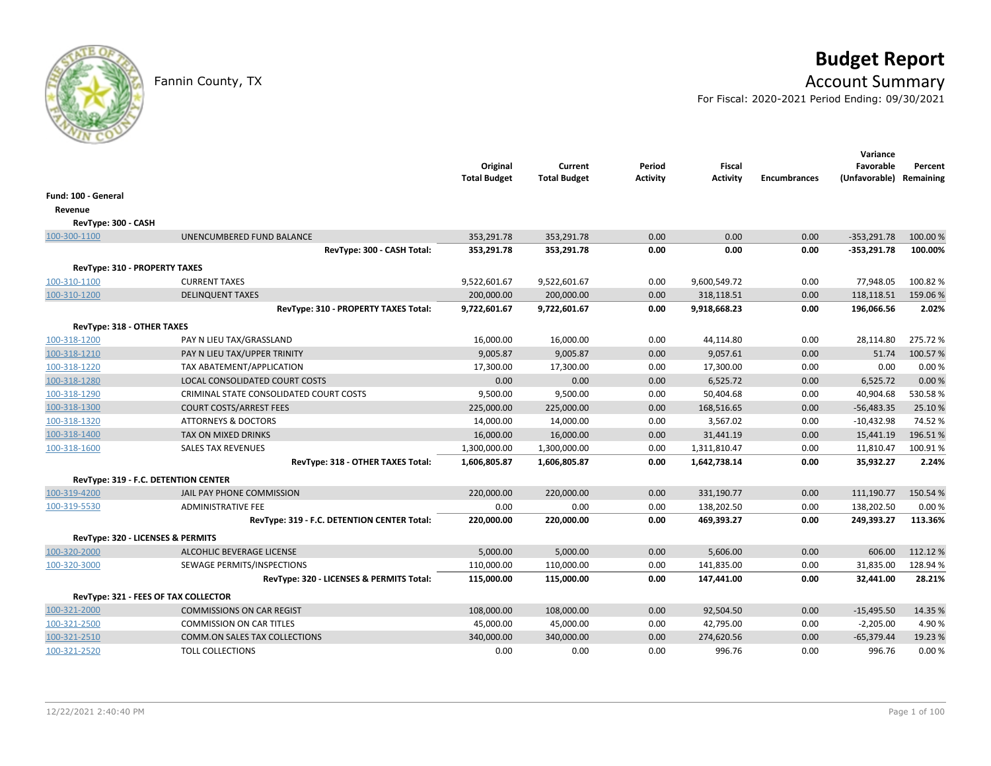# **Budget Report**

## Fannin County, TX **Account Summary**

For Fiscal: 2020-2021 Period Ending: 09/30/2021

|                            |                                             | Original<br><b>Total Budget</b> | Current<br><b>Total Budget</b> | Period<br>Activity | Fiscal<br>Activity | <b>Encumbrances</b> | Variance<br>Favorable<br>(Unfavorable) Remaining | Percent  |
|----------------------------|---------------------------------------------|---------------------------------|--------------------------------|--------------------|--------------------|---------------------|--------------------------------------------------|----------|
| Fund: 100 - General        |                                             |                                 |                                |                    |                    |                     |                                                  |          |
| Revenue                    |                                             |                                 |                                |                    |                    |                     |                                                  |          |
| RevType: 300 - CASH        |                                             |                                 |                                |                    |                    |                     |                                                  |          |
| 100-300-1100               | UNENCUMBERED FUND BALANCE                   | 353,291.78                      | 353,291.78                     | 0.00               | 0.00               | 0.00                | $-353,291.78$                                    | 100.00 % |
|                            | RevType: 300 - CASH Total:                  | 353,291.78                      | 353,291.78                     | 0.00               | 0.00               | 0.00                | $-353,291.78$                                    | 100.00%  |
|                            | RevType: 310 - PROPERTY TAXES               |                                 |                                |                    |                    |                     |                                                  |          |
| 100-310-1100               | <b>CURRENT TAXES</b>                        | 9,522,601.67                    | 9,522,601.67                   | 0.00               | 9,600,549.72       | 0.00                | 77,948.05                                        | 100.82%  |
| 100-310-1200               | <b>DELINQUENT TAXES</b>                     | 200,000.00                      | 200,000.00                     | 0.00               | 318,118.51         | 0.00                | 118,118.51                                       | 159.06%  |
|                            | RevType: 310 - PROPERTY TAXES Total:        | 9,722,601.67                    | 9,722,601.67                   | 0.00               | 9,918,668.23       | 0.00                | 196,066.56                                       | 2.02%    |
| RevType: 318 - OTHER TAXES |                                             |                                 |                                |                    |                    |                     |                                                  |          |
| 100-318-1200               | PAY N LIEU TAX/GRASSLAND                    | 16,000.00                       | 16,000.00                      | 0.00               | 44,114.80          | 0.00                | 28,114.80                                        | 275.72%  |
| 100-318-1210               | PAY N LIEU TAX/UPPER TRINITY                | 9,005.87                        | 9,005.87                       | 0.00               | 9,057.61           | 0.00                | 51.74                                            | 100.57%  |
| 100-318-1220               | TAX ABATEMENT/APPLICATION                   | 17,300.00                       | 17,300.00                      | 0.00               | 17,300.00          | 0.00                | 0.00                                             | 0.00%    |
| 100-318-1280               | LOCAL CONSOLIDATED COURT COSTS              | 0.00                            | 0.00                           | 0.00               | 6,525.72           | 0.00                | 6,525.72                                         | 0.00%    |
| 100-318-1290               | CRIMINAL STATE CONSOLIDATED COURT COSTS     | 9,500.00                        | 9,500.00                       | 0.00               | 50,404.68          | 0.00                | 40,904.68                                        | 530.58%  |
| 100-318-1300               | <b>COURT COSTS/ARREST FEES</b>              | 225,000.00                      | 225,000.00                     | 0.00               | 168,516.65         | 0.00                | $-56,483.35$                                     | 25.10%   |
| 100-318-1320               | <b>ATTORNEYS &amp; DOCTORS</b>              | 14,000.00                       | 14,000.00                      | 0.00               | 3,567.02           | 0.00                | $-10,432.98$                                     | 74.52%   |
| 100-318-1400               | TAX ON MIXED DRINKS                         | 16,000.00                       | 16,000.00                      | 0.00               | 31,441.19          | 0.00                | 15,441.19                                        | 196.51%  |
| 100-318-1600               | <b>SALES TAX REVENUES</b>                   | 1,300,000.00                    | 1,300,000.00                   | 0.00               | 1,311,810.47       | 0.00                | 11,810.47                                        | 100.91%  |
|                            | RevType: 318 - OTHER TAXES Total:           | 1,606,805.87                    | 1,606,805.87                   | 0.00               | 1,642,738.14       | 0.00                | 35,932.27                                        | 2.24%    |
|                            | RevType: 319 - F.C. DETENTION CENTER        |                                 |                                |                    |                    |                     |                                                  |          |
| 100-319-4200               | JAIL PAY PHONE COMMISSION                   | 220,000.00                      | 220,000.00                     | 0.00               | 331,190.77         | 0.00                | 111,190.77                                       | 150.54%  |
| 100-319-5530               | <b>ADMINISTRATIVE FEE</b>                   | 0.00                            | 0.00                           | 0.00               | 138,202.50         | 0.00                | 138,202.50                                       | 0.00%    |
|                            | RevType: 319 - F.C. DETENTION CENTER Total: | 220,000.00                      | 220,000.00                     | 0.00               | 469,393.27         | 0.00                | 249,393.27                                       | 113.36%  |
|                            | RevType: 320 - LICENSES & PERMITS           |                                 |                                |                    |                    |                     |                                                  |          |
| 100-320-2000               | <b>ALCOHLIC BEVERAGE LICENSE</b>            | 5,000.00                        | 5,000.00                       | 0.00               | 5,606.00           | 0.00                | 606.00                                           | 112.12%  |
| 100-320-3000               | SEWAGE PERMITS/INSPECTIONS                  | 110,000.00                      | 110,000.00                     | 0.00               | 141,835.00         | 0.00                | 31,835.00                                        | 128.94%  |
|                            | RevType: 320 - LICENSES & PERMITS Total:    | 115,000.00                      | 115,000.00                     | 0.00               | 147,441.00         | 0.00                | 32,441.00                                        | 28.21%   |
|                            | RevType: 321 - FEES OF TAX COLLECTOR        |                                 |                                |                    |                    |                     |                                                  |          |
| 100-321-2000               | <b>COMMISSIONS ON CAR REGIST</b>            | 108,000.00                      | 108,000.00                     | 0.00               | 92,504.50          | 0.00                | $-15,495.50$                                     | 14.35 %  |
| 100-321-2500               | <b>COMMISSION ON CAR TITLES</b>             | 45,000.00                       | 45,000.00                      | 0.00               | 42,795.00          | 0.00                | $-2,205.00$                                      | 4.90%    |
| 100-321-2510               | <b>COMM.ON SALES TAX COLLECTIONS</b>        | 340,000.00                      | 340,000.00                     | 0.00               | 274,620.56         | 0.00                | $-65,379.44$                                     | 19.23%   |
| 100-321-2520               | <b>TOLL COLLECTIONS</b>                     | 0.00                            | 0.00                           | 0.00               | 996.76             | 0.00                | 996.76                                           | 0.00%    |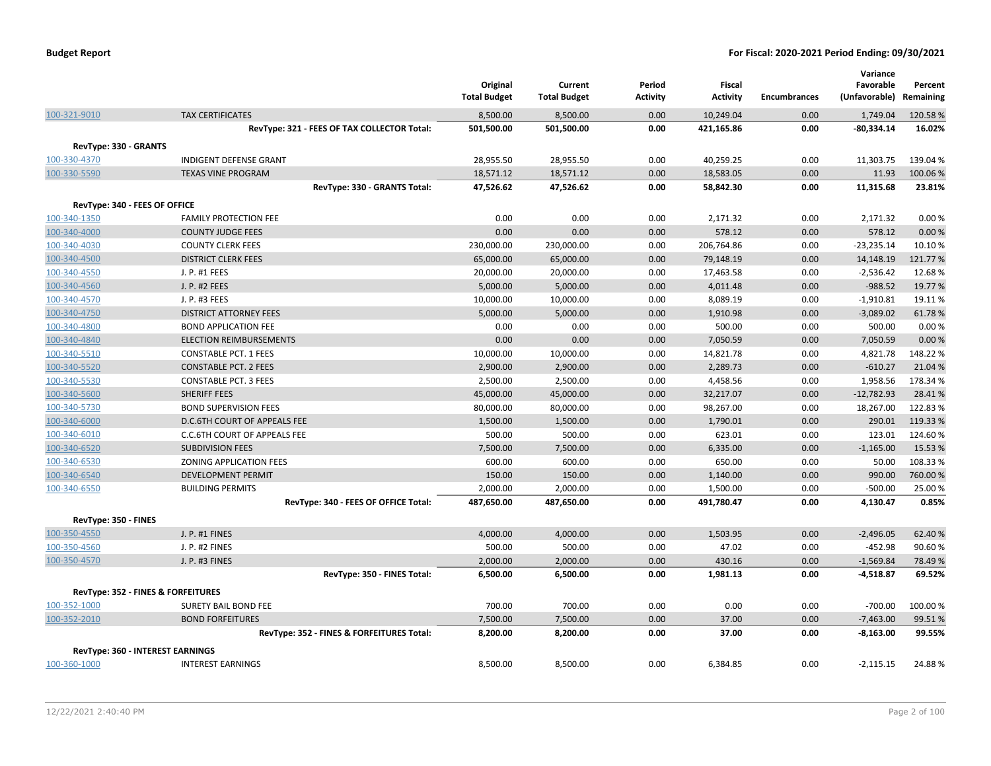|                               |                                             | Original<br><b>Total Budget</b> | Current<br><b>Total Budget</b> | Period<br><b>Activity</b> | <b>Fiscal</b><br><b>Activity</b> | <b>Encumbrances</b> | Variance<br>Favorable<br>(Unfavorable) | Percent<br>Remaining |
|-------------------------------|---------------------------------------------|---------------------------------|--------------------------------|---------------------------|----------------------------------|---------------------|----------------------------------------|----------------------|
| 100-321-9010                  | <b>TAX CERTIFICATES</b>                     | 8,500.00                        | 8,500.00                       | 0.00                      | 10,249.04                        | 0.00                | 1,749.04                               | 120.58%              |
|                               | RevType: 321 - FEES OF TAX COLLECTOR Total: | 501,500.00                      | 501,500.00                     | 0.00                      | 421,165.86                       | 0.00                | $-80,334.14$                           | 16.02%               |
| RevType: 330 - GRANTS         |                                             |                                 |                                |                           |                                  |                     |                                        |                      |
| 100-330-4370                  | <b>INDIGENT DEFENSE GRANT</b>               | 28,955.50                       | 28,955.50                      | 0.00                      | 40,259.25                        | 0.00                | 11,303.75                              | 139.04 %             |
| 100-330-5590                  | <b>TEXAS VINE PROGRAM</b>                   | 18,571.12                       | 18,571.12                      | 0.00                      | 18,583.05                        | 0.00                | 11.93                                  | 100.06%              |
|                               | RevType: 330 - GRANTS Total:                | 47,526.62                       | 47,526.62                      | 0.00                      | 58,842.30                        | 0.00                | 11,315.68                              | 23.81%               |
| RevType: 340 - FEES OF OFFICE |                                             |                                 |                                |                           |                                  |                     |                                        |                      |
| 100-340-1350                  | <b>FAMILY PROTECTION FEE</b>                | 0.00                            | 0.00                           | 0.00                      | 2,171.32                         | 0.00                | 2,171.32                               | 0.00%                |
| 100-340-4000                  | <b>COUNTY JUDGE FEES</b>                    | 0.00                            | 0.00                           | 0.00                      | 578.12                           | 0.00                | 578.12                                 | 0.00%                |
| 100-340-4030                  | <b>COUNTY CLERK FEES</b>                    | 230,000.00                      | 230,000.00                     | 0.00                      | 206,764.86                       | 0.00                | $-23,235.14$                           | 10.10%               |
| 100-340-4500                  | <b>DISTRICT CLERK FEES</b>                  | 65,000.00                       | 65,000.00                      | 0.00                      | 79,148.19                        | 0.00                | 14,148.19                              | 121.77%              |
| 100-340-4550                  | J. P. #1 FEES                               | 20,000.00                       | 20,000.00                      | 0.00                      | 17,463.58                        | 0.00                | $-2,536.42$                            | 12.68%               |
| 100-340-4560                  | J. P. #2 FEES                               | 5,000.00                        | 5,000.00                       | 0.00                      | 4,011.48                         | 0.00                | $-988.52$                              | 19.77%               |
| 100-340-4570                  | J. P. #3 FEES                               | 10,000.00                       | 10,000.00                      | 0.00                      | 8,089.19                         | 0.00                | $-1,910.81$                            | 19.11%               |
| 100-340-4750                  | <b>DISTRICT ATTORNEY FEES</b>               | 5,000.00                        | 5,000.00                       | 0.00                      | 1,910.98                         | 0.00                | $-3,089.02$                            | 61.78%               |
| 100-340-4800                  | <b>BOND APPLICATION FEE</b>                 | 0.00                            | 0.00                           | 0.00                      | 500.00                           | 0.00                | 500.00                                 | 0.00%                |
| 100-340-4840                  | <b>ELECTION REIMBURSEMENTS</b>              | 0.00                            | 0.00                           | 0.00                      | 7,050.59                         | 0.00                | 7,050.59                               | 0.00%                |
| 100-340-5510                  | <b>CONSTABLE PCT. 1 FEES</b>                | 10,000.00                       | 10,000.00                      | 0.00                      | 14,821.78                        | 0.00                | 4,821.78                               | 148.22%              |
| 100-340-5520                  | <b>CONSTABLE PCT. 2 FEES</b>                | 2,900.00                        | 2,900.00                       | 0.00                      | 2,289.73                         | 0.00                | $-610.27$                              | 21.04%               |
| 100-340-5530                  | <b>CONSTABLE PCT. 3 FEES</b>                | 2,500.00                        | 2,500.00                       | 0.00                      | 4,458.56                         | 0.00                | 1,958.56                               | 178.34 %             |
| 100-340-5600                  | <b>SHERIFF FEES</b>                         | 45,000.00                       | 45,000.00                      | 0.00                      | 32,217.07                        | 0.00                | $-12,782.93$                           | 28.41%               |
| 100-340-5730                  | <b>BOND SUPERVISION FEES</b>                | 80,000.00                       | 80,000.00                      | 0.00                      | 98,267.00                        | 0.00                | 18,267.00                              | 122.83%              |
| 100-340-6000                  | D.C.6TH COURT OF APPEALS FEE                | 1,500.00                        | 1,500.00                       | 0.00                      | 1,790.01                         | 0.00                | 290.01                                 | 119.33 %             |
| 100-340-6010                  | <b>C.C.6TH COURT OF APPEALS FEE</b>         | 500.00                          | 500.00                         | 0.00                      | 623.01                           | 0.00                | 123.01                                 | 124.60%              |
| 100-340-6520                  | <b>SUBDIVISION FEES</b>                     | 7,500.00                        | 7,500.00                       | 0.00                      | 6,335.00                         | 0.00                | $-1,165.00$                            | 15.53 %              |
| 100-340-6530                  | ZONING APPLICATION FEES                     | 600.00                          | 600.00                         | 0.00                      | 650.00                           | 0.00                | 50.00                                  | 108.33%              |
| 100-340-6540                  | <b>DEVELOPMENT PERMIT</b>                   | 150.00                          | 150.00                         | 0.00                      | 1,140.00                         | 0.00                | 990.00                                 | 760.00%              |
| 100-340-6550                  | <b>BUILDING PERMITS</b>                     | 2,000.00                        | 2,000.00                       | 0.00                      | 1,500.00                         | 0.00                | $-500.00$                              | 25.00 %              |
|                               | RevType: 340 - FEES OF OFFICE Total:        | 487,650.00                      | 487,650.00                     | 0.00                      | 491,780.47                       | 0.00                | 4,130.47                               | 0.85%                |
| RevType: 350 - FINES          |                                             |                                 |                                |                           |                                  |                     |                                        |                      |
| 100-350-4550                  | J. P. #1 FINES                              | 4,000.00                        | 4,000.00                       | 0.00                      | 1,503.95                         | 0.00                | $-2,496.05$                            | 62.40%               |
| 100-350-4560                  | J. P. #2 FINES                              | 500.00                          | 500.00                         | 0.00                      | 47.02                            | 0.00                | $-452.98$                              | 90.60%               |
| 100-350-4570                  | J. P. #3 FINES                              | 2,000.00                        | 2,000.00                       | 0.00                      | 430.16                           | 0.00                | $-1,569.84$                            | 78.49%               |
|                               | RevType: 350 - FINES Total:                 | 6,500.00                        | 6,500.00                       | 0.00                      | 1,981.13                         | 0.00                | $-4,518.87$                            | 69.52%               |
|                               | RevType: 352 - FINES & FORFEITURES          |                                 |                                |                           |                                  |                     |                                        |                      |
| 100-352-1000                  | SURETY BAIL BOND FEE                        | 700.00                          | 700.00                         | 0.00                      | 0.00                             | 0.00                | $-700.00$                              | 100.00%              |
| 100-352-2010                  | <b>BOND FORFEITURES</b>                     | 7,500.00                        | 7,500.00                       | 0.00                      | 37.00                            | 0.00                | $-7,463.00$                            | 99.51%               |
|                               | RevType: 352 - FINES & FORFEITURES Total:   | 8,200.00                        | 8,200.00                       | 0.00                      | 37.00                            | 0.00                | -8,163.00                              | 99.55%               |
|                               |                                             |                                 |                                |                           |                                  |                     |                                        |                      |
|                               | <b>RevType: 360 - INTEREST EARNINGS</b>     |                                 |                                |                           |                                  |                     |                                        |                      |
| 100-360-1000                  | <b>INTEREST EARNINGS</b>                    | 8,500.00                        | 8,500.00                       | 0.00                      | 6,384.85                         | 0.00                | $-2,115.15$                            | 24.88%               |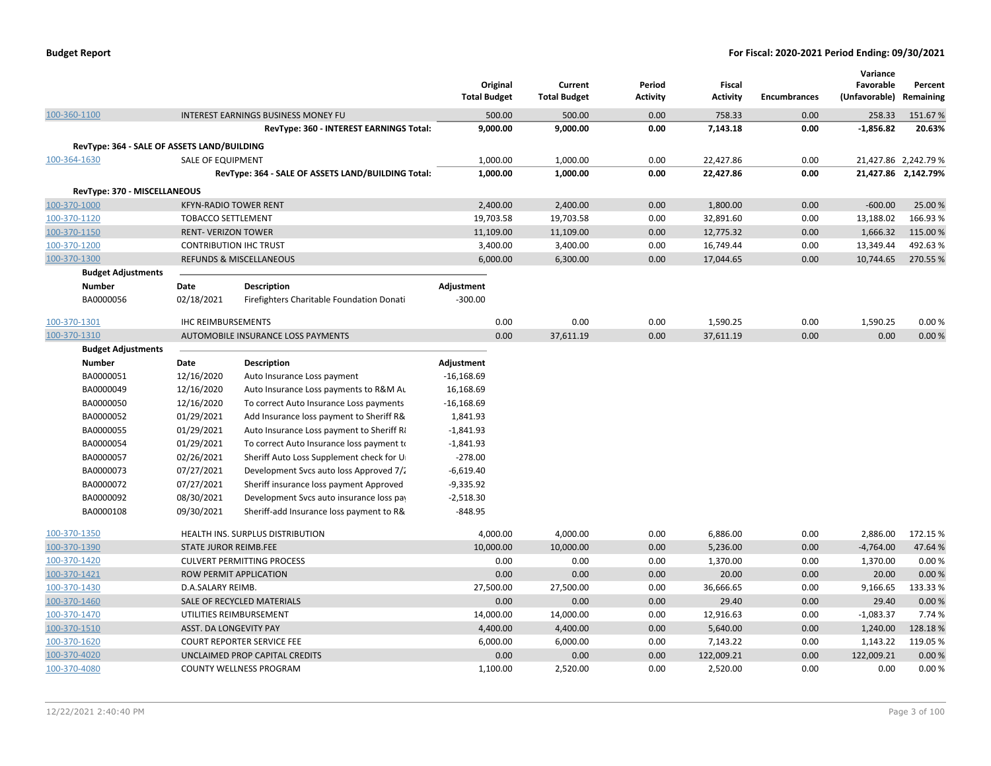|                                              |                            |                                                    | Original<br><b>Total Budget</b> | Current<br><b>Total Budget</b> | Period<br><b>Activity</b> | Fiscal<br><b>Activity</b> | <b>Encumbrances</b> | Variance<br>Favorable<br>(Unfavorable) Remaining | Percent              |
|----------------------------------------------|----------------------------|----------------------------------------------------|---------------------------------|--------------------------------|---------------------------|---------------------------|---------------------|--------------------------------------------------|----------------------|
| 100-360-1100                                 |                            | <b>INTEREST EARNINGS BUSINESS MONEY FU</b>         | 500.00                          | 500.00                         | 0.00                      | 758.33                    | 0.00                | 258.33                                           | 151.67%              |
|                                              |                            | RevType: 360 - INTEREST EARNINGS Total:            | 9,000.00                        | 9,000.00                       | 0.00                      | 7,143.18                  | 0.00                | $-1,856.82$                                      | 20.63%               |
| RevType: 364 - SALE OF ASSETS LAND/BUILDING  |                            |                                                    |                                 |                                |                           |                           |                     |                                                  |                      |
| 100-364-1630                                 | <b>SALE OF EQUIPMENT</b>   |                                                    | 1,000.00                        | 1,000.00                       | 0.00                      | 22,427.86                 | 0.00                |                                                  | 21,427.86 2,242.79 % |
|                                              |                            | RevType: 364 - SALE OF ASSETS LAND/BUILDING Total: | 1,000.00                        | 1,000.00                       | 0.00                      | 22,427.86                 | 0.00                |                                                  | 21,427.86 2,142.79%  |
|                                              |                            |                                                    |                                 |                                |                           |                           |                     |                                                  |                      |
| RevType: 370 - MISCELLANEOUS<br>100-370-1000 |                            | <b>KFYN-RADIO TOWER RENT</b>                       | 2,400.00                        | 2,400.00                       | 0.00                      | 1,800.00                  | 0.00                | $-600.00$                                        | 25.00 %              |
| 100-370-1120                                 | <b>TOBACCO SETTLEMENT</b>  |                                                    | 19,703.58                       | 19,703.58                      | 0.00                      | 32,891.60                 | 0.00                | 13,188.02                                        | 166.93%              |
| 100-370-1150                                 | <b>RENT- VERIZON TOWER</b> |                                                    | 11,109.00                       | 11,109.00                      | 0.00                      | 12,775.32                 | 0.00                | 1,666.32                                         | 115.00 %             |
| 100-370-1200                                 |                            | <b>CONTRIBUTION IHC TRUST</b>                      | 3,400.00                        | 3,400.00                       | 0.00                      | 16,749.44                 | 0.00                | 13,349.44                                        | 492.63%              |
| 100-370-1300                                 |                            | <b>REFUNDS &amp; MISCELLANEOUS</b>                 | 6,000.00                        | 6,300.00                       | 0.00                      | 17,044.65                 | 0.00                | 10,744.65                                        | 270.55 %             |
| <b>Budget Adjustments</b>                    |                            |                                                    |                                 |                                |                           |                           |                     |                                                  |                      |
| <b>Number</b>                                | Date                       | <b>Description</b>                                 | Adjustment                      |                                |                           |                           |                     |                                                  |                      |
| BA0000056                                    | 02/18/2021                 | Firefighters Charitable Foundation Donati          | $-300.00$                       |                                |                           |                           |                     |                                                  |                      |
|                                              |                            |                                                    |                                 |                                |                           |                           |                     |                                                  |                      |
| 100-370-1301                                 | <b>IHC REIMBURSEMENTS</b>  |                                                    | 0.00                            | 0.00                           | 0.00                      | 1,590.25                  | 0.00                | 1,590.25                                         | 0.00%                |
| 100-370-1310                                 |                            | AUTOMOBILE INSURANCE LOSS PAYMENTS                 | 0.00                            | 37,611.19                      | 0.00                      | 37,611.19                 | 0.00                | 0.00                                             | 0.00%                |
| <b>Budget Adjustments</b>                    |                            |                                                    |                                 |                                |                           |                           |                     |                                                  |                      |
| <b>Number</b>                                | Date                       | <b>Description</b>                                 | Adjustment                      |                                |                           |                           |                     |                                                  |                      |
| BA0000051                                    | 12/16/2020                 | Auto Insurance Loss payment                        | $-16,168.69$                    |                                |                           |                           |                     |                                                  |                      |
| BA0000049                                    | 12/16/2020                 | Auto Insurance Loss payments to R&M Au             | 16,168.69                       |                                |                           |                           |                     |                                                  |                      |
| BA0000050                                    | 12/16/2020                 | To correct Auto Insurance Loss payments            | $-16,168.69$                    |                                |                           |                           |                     |                                                  |                      |
| BA0000052                                    | 01/29/2021                 | Add Insurance loss payment to Sheriff R&           | 1,841.93                        |                                |                           |                           |                     |                                                  |                      |
| BA0000055                                    | 01/29/2021                 | Auto Insurance Loss payment to Sheriff Ri          | $-1,841.93$                     |                                |                           |                           |                     |                                                  |                      |
| BA0000054                                    | 01/29/2021                 | To correct Auto Insurance loss payment to          | $-1,841.93$                     |                                |                           |                           |                     |                                                  |                      |
| BA0000057                                    | 02/26/2021                 | Sheriff Auto Loss Supplement check for U           | $-278.00$                       |                                |                           |                           |                     |                                                  |                      |
| BA0000073                                    | 07/27/2021                 | Development Svcs auto loss Approved 7/2            | $-6,619.40$                     |                                |                           |                           |                     |                                                  |                      |
| BA0000072                                    | 07/27/2021                 | Sheriff insurance loss payment Approved            | $-9,335.92$                     |                                |                           |                           |                     |                                                  |                      |
| BA0000092                                    | 08/30/2021                 | Development Svcs auto insurance loss pay           | $-2,518.30$                     |                                |                           |                           |                     |                                                  |                      |
| BA0000108                                    | 09/30/2021                 | Sheriff-add Insurance loss payment to R&           | $-848.95$                       |                                |                           |                           |                     |                                                  |                      |
| 100-370-1350                                 |                            | HEALTH INS. SURPLUS DISTRIBUTION                   | 4,000.00                        | 4,000.00                       | 0.00                      | 6,886.00                  | 0.00                | 2,886.00                                         | 172.15 %             |
| 100-370-1390                                 | STATE JUROR REIMB.FEE      |                                                    | 10,000.00                       | 10,000.00                      | 0.00                      | 5,236.00                  | 0.00                | $-4,764.00$                                      | 47.64 %              |
| 100-370-1420                                 |                            | <b>CULVERT PERMITTING PROCESS</b>                  | 0.00                            | 0.00                           | 0.00                      | 1,370.00                  | 0.00                | 1,370.00                                         | 0.00%                |
| 100-370-1421                                 |                            | ROW PERMIT APPLICATION                             | 0.00                            | 0.00                           | 0.00                      | 20.00                     | 0.00                | 20.00                                            | 0.00%                |
| 100-370-1430                                 | D.A.SALARY REIMB.          |                                                    | 27,500.00                       | 27,500.00                      | 0.00                      | 36,666.65                 | 0.00                | 9,166.65                                         | 133.33%              |
| 100-370-1460                                 |                            | SALE OF RECYCLED MATERIALS                         | 0.00                            | 0.00                           | 0.00                      | 29.40                     | 0.00                | 29.40                                            | 0.00%                |
| 100-370-1470                                 |                            | UTILITIES REIMBURSEMENT                            | 14,000.00                       | 14,000.00                      | 0.00                      | 12,916.63                 | 0.00                | $-1,083.37$                                      | 7.74 %               |
| 100-370-1510                                 | ASST. DA LONGEVITY PAY     |                                                    | 4,400.00                        | 4,400.00                       | 0.00                      | 5,640.00                  | 0.00                | 1,240.00                                         | 128.18%              |
| 100-370-1620                                 |                            | <b>COURT REPORTER SERVICE FEE</b>                  | 6,000.00                        | 6,000.00                       | 0.00                      | 7,143.22                  | 0.00                | 1,143.22                                         | 119.05 %             |
| 100-370-4020                                 |                            | UNCLAIMED PROP CAPITAL CREDITS                     | 0.00                            | 0.00                           | 0.00                      | 122,009.21                | 0.00                | 122,009.21                                       | 0.00 %               |
| 100-370-4080                                 |                            | <b>COUNTY WELLNESS PROGRAM</b>                     | 1,100.00                        | 2,520.00                       | 0.00                      | 2,520.00                  | 0.00                | 0.00                                             | 0.00%                |
|                                              |                            |                                                    |                                 |                                |                           |                           |                     |                                                  |                      |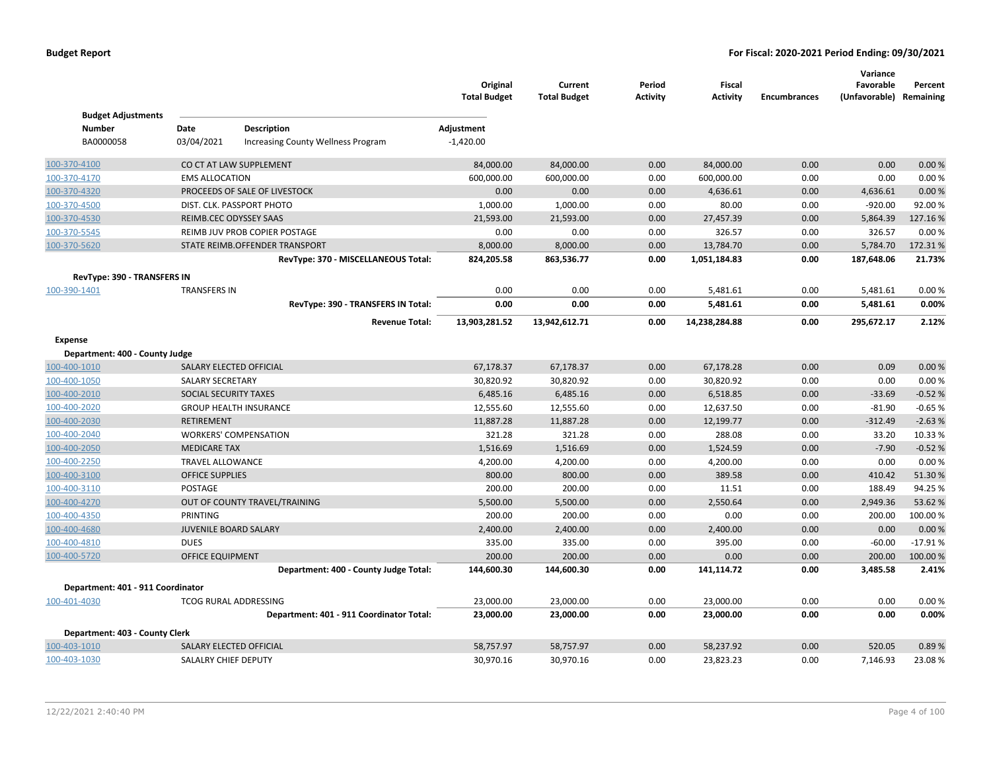| <b>Budget Adjustments</b>         |                         |                                           | Original<br><b>Total Budget</b> | Current<br><b>Total Budget</b> | Period<br>Activity | <b>Fiscal</b><br><b>Activity</b> | <b>Encumbrances</b> | Variance<br>Favorable<br>(Unfavorable) Remaining | Percent   |
|-----------------------------------|-------------------------|-------------------------------------------|---------------------------------|--------------------------------|--------------------|----------------------------------|---------------------|--------------------------------------------------|-----------|
| <b>Number</b>                     | Date                    | <b>Description</b>                        | Adjustment                      |                                |                    |                                  |                     |                                                  |           |
| BA0000058                         | 03/04/2021              | <b>Increasing County Wellness Program</b> | $-1,420.00$                     |                                |                    |                                  |                     |                                                  |           |
| 100-370-4100                      |                         | CO CT AT LAW SUPPLEMENT                   | 84,000.00                       | 84,000.00                      | 0.00               | 84,000.00                        | 0.00                | 0.00                                             | 0.00%     |
| 100-370-4170                      | <b>EMS ALLOCATION</b>   |                                           | 600,000.00                      | 600,000.00                     | 0.00               | 600,000.00                       | 0.00                | 0.00                                             | 0.00%     |
| 100-370-4320                      |                         | PROCEEDS OF SALE OF LIVESTOCK             | 0.00                            | 0.00                           | 0.00               | 4,636.61                         | 0.00                | 4,636.61                                         | 0.00 %    |
| 100-370-4500                      |                         | DIST. CLK. PASSPORT PHOTO                 | 1,000.00                        | 1,000.00                       | 0.00               | 80.00                            | 0.00                | $-920.00$                                        | 92.00%    |
| 100-370-4530                      |                         | REIMB.CEC ODYSSEY SAAS                    | 21,593.00                       | 21,593.00                      | 0.00               | 27,457.39                        | 0.00                | 5,864.39                                         | 127.16%   |
| 100-370-5545                      |                         | REIMB JUV PROB COPIER POSTAGE             | 0.00                            | 0.00                           | 0.00               | 326.57                           | 0.00                | 326.57                                           | 0.00%     |
| 100-370-5620                      |                         | STATE REIMB.OFFENDER TRANSPORT            | 8,000.00                        | 8,000.00                       | 0.00               | 13,784.70                        | 0.00                | 5,784.70                                         | 172.31%   |
|                                   |                         | RevType: 370 - MISCELLANEOUS Total:       | 824,205.58                      | 863,536.77                     | 0.00               | 1,051,184.83                     | 0.00                | 187,648.06                                       | 21.73%    |
| RevType: 390 - TRANSFERS IN       |                         |                                           |                                 |                                |                    |                                  |                     |                                                  |           |
| 100-390-1401                      | <b>TRANSFERS IN</b>     |                                           | 0.00                            | 0.00                           | 0.00               | 5,481.61                         | 0.00                | 5,481.61                                         | 0.00%     |
|                                   |                         | RevType: 390 - TRANSFERS IN Total:        | 0.00                            | 0.00                           | 0.00               | 5,481.61                         | 0.00                | 5,481.61                                         | 0.00%     |
|                                   |                         | <b>Revenue Total:</b>                     | 13,903,281.52                   | 13,942,612.71                  | 0.00               | 14,238,284.88                    | 0.00                | 295,672.17                                       | 2.12%     |
| Expense                           |                         |                                           |                                 |                                |                    |                                  |                     |                                                  |           |
| Department: 400 - County Judge    |                         |                                           |                                 |                                |                    |                                  |                     |                                                  |           |
| 100-400-1010                      |                         | SALARY ELECTED OFFICIAL                   | 67,178.37                       | 67,178.37                      | 0.00               | 67,178.28                        | 0.00                | 0.09                                             | 0.00%     |
| 100-400-1050                      | <b>SALARY SECRETARY</b> |                                           | 30,820.92                       | 30,820.92                      | 0.00               | 30,820.92                        | 0.00                | 0.00                                             | 0.00%     |
| 100-400-2010                      | SOCIAL SECURITY TAXES   |                                           | 6,485.16                        | 6,485.16                       | 0.00               | 6,518.85                         | 0.00                | $-33.69$                                         | $-0.52%$  |
| 100-400-2020                      |                         | <b>GROUP HEALTH INSURANCE</b>             | 12,555.60                       | 12,555.60                      | 0.00               | 12,637.50                        | 0.00                | $-81.90$                                         | $-0.65%$  |
| 100-400-2030                      | RETIREMENT              |                                           | 11,887.28                       | 11,887.28                      | 0.00               | 12,199.77                        | 0.00                | $-312.49$                                        | $-2.63%$  |
| 100-400-2040                      |                         | <b>WORKERS' COMPENSATION</b>              | 321.28                          | 321.28                         | 0.00               | 288.08                           | 0.00                | 33.20                                            | 10.33%    |
| 100-400-2050                      | <b>MEDICARE TAX</b>     |                                           | 1,516.69                        | 1,516.69                       | 0.00               | 1,524.59                         | 0.00                | $-7.90$                                          | $-0.52%$  |
| 100-400-2250                      | <b>TRAVEL ALLOWANCE</b> |                                           | 4,200.00                        | 4,200.00                       | 0.00               | 4,200.00                         | 0.00                | 0.00                                             | 0.00%     |
| 100-400-3100                      | <b>OFFICE SUPPLIES</b>  |                                           | 800.00                          | 800.00                         | 0.00               | 389.58                           | 0.00                | 410.42                                           | 51.30%    |
| 100-400-3110                      | POSTAGE                 |                                           | 200.00                          | 200.00                         | 0.00               | 11.51                            | 0.00                | 188.49                                           | 94.25%    |
| 100-400-4270                      |                         | OUT OF COUNTY TRAVEL/TRAINING             | 5,500.00                        | 5,500.00                       | 0.00               | 2,550.64                         | 0.00                | 2,949.36                                         | 53.62 %   |
| 100-400-4350                      | PRINTING                |                                           | 200.00                          | 200.00                         | 0.00               | 0.00                             | 0.00                | 200.00                                           | 100.00%   |
| 100-400-4680                      | JUVENILE BOARD SALARY   |                                           | 2,400.00                        | 2,400.00                       | 0.00               | 2,400.00                         | 0.00                | 0.00                                             | 0.00 %    |
| 100-400-4810                      | <b>DUES</b>             |                                           | 335.00                          | 335.00                         | 0.00               | 395.00                           | 0.00                | $-60.00$                                         | $-17.91%$ |
| 100-400-5720                      | <b>OFFICE EQUIPMENT</b> |                                           | 200.00                          | 200.00                         | 0.00               | 0.00                             | 0.00                | 200.00                                           | 100.00 %  |
|                                   |                         | Department: 400 - County Judge Total:     | 144,600.30                      | 144,600.30                     | 0.00               | 141,114.72                       | 0.00                | 3,485.58                                         | 2.41%     |
| Department: 401 - 911 Coordinator |                         |                                           |                                 |                                |                    |                                  |                     |                                                  |           |
| 100-401-4030                      |                         | <b>TCOG RURAL ADDRESSING</b>              | 23,000.00                       | 23,000.00                      | 0.00               | 23,000.00                        | 0.00                | 0.00                                             | 0.00%     |
|                                   |                         | Department: 401 - 911 Coordinator Total:  | 23,000.00                       | 23,000.00                      | 0.00               | 23,000.00                        | 0.00                | 0.00                                             | 0.00%     |
| Department: 403 - County Clerk    |                         |                                           |                                 |                                |                    |                                  |                     |                                                  |           |
| 100-403-1010                      |                         | SALARY ELECTED OFFICIAL                   | 58,757.97                       | 58,757.97                      | 0.00               | 58,237.92                        | 0.00                | 520.05                                           | 0.89%     |
| 100-403-1030                      | SALALRY CHIEF DEPUTY    |                                           | 30,970.16                       | 30,970.16                      | 0.00               | 23,823.23                        | 0.00                | 7,146.93                                         | 23.08%    |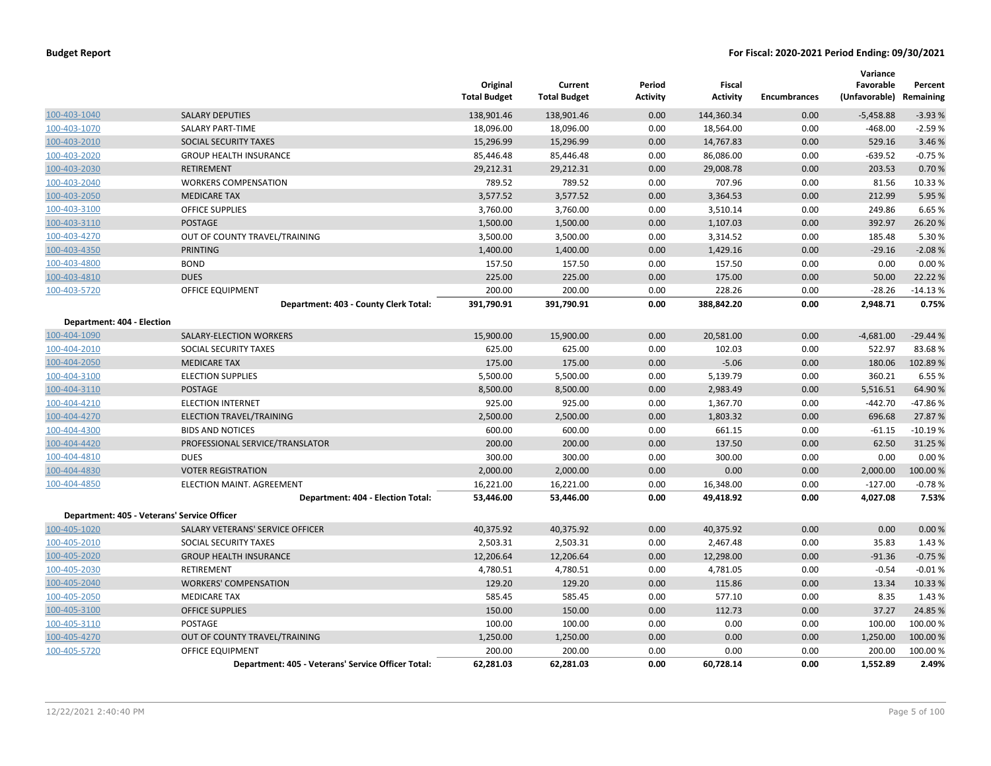|                            |                                                    | Original<br><b>Total Budget</b> | Current<br><b>Total Budget</b> | Period<br><b>Activity</b> | Fiscal<br><b>Activity</b> | <b>Encumbrances</b> | Variance<br>Favorable<br>(Unfavorable) Remaining | Percent   |
|----------------------------|----------------------------------------------------|---------------------------------|--------------------------------|---------------------------|---------------------------|---------------------|--------------------------------------------------|-----------|
| 100-403-1040               | <b>SALARY DEPUTIES</b>                             | 138,901.46                      | 138,901.46                     | 0.00                      | 144,360.34                | 0.00                | $-5,458.88$                                      | $-3.93%$  |
| 100-403-1070               | <b>SALARY PART-TIME</b>                            | 18,096.00                       | 18,096.00                      | 0.00                      | 18,564.00                 | 0.00                | $-468.00$                                        | $-2.59%$  |
| 100-403-2010               | <b>SOCIAL SECURITY TAXES</b>                       | 15,296.99                       | 15,296.99                      | 0.00                      | 14,767.83                 | 0.00                | 529.16                                           | 3.46%     |
| 100-403-2020               | <b>GROUP HEALTH INSURANCE</b>                      | 85,446.48                       | 85,446.48                      | 0.00                      | 86,086.00                 | 0.00                | $-639.52$                                        | $-0.75%$  |
| 100-403-2030               | <b>RETIREMENT</b>                                  | 29,212.31                       | 29,212.31                      | 0.00                      | 29,008.78                 | 0.00                | 203.53                                           | 0.70%     |
| 100-403-2040               | <b>WORKERS COMPENSATION</b>                        | 789.52                          | 789.52                         | 0.00                      | 707.96                    | 0.00                | 81.56                                            | 10.33 %   |
| 100-403-2050               | <b>MEDICARE TAX</b>                                | 3,577.52                        | 3,577.52                       | 0.00                      | 3,364.53                  | 0.00                | 212.99                                           | 5.95 %    |
| 100-403-3100               | <b>OFFICE SUPPLIES</b>                             | 3,760.00                        | 3,760.00                       | 0.00                      | 3,510.14                  | 0.00                | 249.86                                           | 6.65%     |
| 100-403-3110               | <b>POSTAGE</b>                                     | 1,500.00                        | 1,500.00                       | 0.00                      | 1,107.03                  | 0.00                | 392.97                                           | 26.20%    |
| 100-403-4270               | OUT OF COUNTY TRAVEL/TRAINING                      | 3,500.00                        | 3,500.00                       | 0.00                      | 3,314.52                  | 0.00                | 185.48                                           | 5.30 %    |
| 100-403-4350               | <b>PRINTING</b>                                    | 1,400.00                        | 1,400.00                       | 0.00                      | 1,429.16                  | 0.00                | $-29.16$                                         | $-2.08%$  |
| 100-403-4800               | <b>BOND</b>                                        | 157.50                          | 157.50                         | 0.00                      | 157.50                    | 0.00                | 0.00                                             | 0.00%     |
| 100-403-4810               | <b>DUES</b>                                        | 225.00                          | 225.00                         | 0.00                      | 175.00                    | 0.00                | 50.00                                            | 22.22 %   |
| 100-403-5720               | <b>OFFICE EQUIPMENT</b>                            | 200.00                          | 200.00                         | 0.00                      | 228.26                    | 0.00                | $-28.26$                                         | $-14.13%$ |
|                            | Department: 403 - County Clerk Total:              | 391,790.91                      | 391,790.91                     | 0.00                      | 388,842.20                | 0.00                | 2,948.71                                         | 0.75%     |
| Department: 404 - Election |                                                    |                                 |                                |                           |                           |                     |                                                  |           |
| 100-404-1090               | SALARY-ELECTION WORKERS                            | 15,900.00                       | 15,900.00                      | 0.00                      | 20,581.00                 | 0.00                | $-4,681.00$                                      | $-29.44%$ |
| 100-404-2010               | SOCIAL SECURITY TAXES                              | 625.00                          | 625.00                         | 0.00                      | 102.03                    | 0.00                | 522.97                                           | 83.68%    |
| 100-404-2050               | <b>MEDICARE TAX</b>                                | 175.00                          | 175.00                         | 0.00                      | $-5.06$                   | 0.00                | 180.06                                           | 102.89%   |
| 100-404-3100               | <b>ELECTION SUPPLIES</b>                           | 5,500.00                        | 5,500.00                       | 0.00                      | 5,139.79                  | 0.00                | 360.21                                           | 6.55%     |
| 100-404-3110               | <b>POSTAGE</b>                                     | 8,500.00                        | 8,500.00                       | 0.00                      | 2,983.49                  | 0.00                | 5,516.51                                         | 64.90%    |
| 100-404-4210               | <b>ELECTION INTERNET</b>                           | 925.00                          | 925.00                         | 0.00                      | 1,367.70                  | 0.00                | $-442.70$                                        | -47.86%   |
| 100-404-4270               | ELECTION TRAVEL/TRAINING                           | 2,500.00                        | 2,500.00                       | 0.00                      | 1,803.32                  | 0.00                | 696.68                                           | 27.87 %   |
| 100-404-4300               | <b>BIDS AND NOTICES</b>                            | 600.00                          | 600.00                         | 0.00                      | 661.15                    | 0.00                | $-61.15$                                         | $-10.19%$ |
| 100-404-4420               | PROFESSIONAL SERVICE/TRANSLATOR                    | 200.00                          | 200.00                         | 0.00                      | 137.50                    | 0.00                | 62.50                                            | 31.25 %   |
| 100-404-4810               | <b>DUES</b>                                        | 300.00                          | 300.00                         | 0.00                      | 300.00                    | 0.00                | 0.00                                             | 0.00%     |
| 100-404-4830               | <b>VOTER REGISTRATION</b>                          | 2,000.00                        | 2,000.00                       | 0.00                      | 0.00                      | 0.00                | 2,000.00                                         | 100.00%   |
| 100-404-4850               | ELECTION MAINT. AGREEMENT                          | 16,221.00                       | 16,221.00                      | 0.00                      | 16,348.00                 | 0.00                | $-127.00$                                        | $-0.78%$  |
|                            | Department: 404 - Election Total:                  | 53,446.00                       | 53,446.00                      | 0.00                      | 49,418.92                 | 0.00                | 4,027.08                                         | 7.53%     |
|                            | Department: 405 - Veterans' Service Officer        |                                 |                                |                           |                           |                     |                                                  |           |
| 100-405-1020               | SALARY VETERANS' SERVICE OFFICER                   | 40,375.92                       | 40,375.92                      | 0.00                      | 40,375.92                 | 0.00                | 0.00                                             | 0.00%     |
| 100-405-2010               | SOCIAL SECURITY TAXES                              | 2,503.31                        | 2,503.31                       | 0.00                      | 2,467.48                  | 0.00                | 35.83                                            | 1.43 %    |
| 100-405-2020               | <b>GROUP HEALTH INSURANCE</b>                      | 12,206.64                       | 12,206.64                      | 0.00                      | 12,298.00                 | 0.00                | $-91.36$                                         | $-0.75%$  |
| 100-405-2030               | <b>RETIREMENT</b>                                  | 4,780.51                        | 4,780.51                       | 0.00                      | 4,781.05                  | 0.00                | $-0.54$                                          | $-0.01%$  |
| 100-405-2040               | <b>WORKERS' COMPENSATION</b>                       | 129.20                          | 129.20                         | 0.00                      | 115.86                    | 0.00                | 13.34                                            | 10.33 %   |
| 100-405-2050               | <b>MEDICARE TAX</b>                                | 585.45                          | 585.45                         | 0.00                      | 577.10                    | 0.00                | 8.35                                             | 1.43 %    |
| 100-405-3100               | <b>OFFICE SUPPLIES</b>                             | 150.00                          | 150.00                         | 0.00                      | 112.73                    | 0.00                | 37.27                                            | 24.85 %   |
| 100-405-3110               | POSTAGE                                            | 100.00                          | 100.00                         | 0.00                      | 0.00                      | 0.00                | 100.00                                           | 100.00%   |
| 100-405-4270               | OUT OF COUNTY TRAVEL/TRAINING                      | 1,250.00                        | 1,250.00                       | 0.00                      | 0.00                      | 0.00                | 1,250.00                                         | 100.00%   |
| 100-405-5720               | <b>OFFICE EQUIPMENT</b>                            | 200.00                          | 200.00                         | 0.00                      | 0.00                      | 0.00                | 200.00                                           | 100.00%   |
|                            | Department: 405 - Veterans' Service Officer Total: | 62,281.03                       | 62,281.03                      | 0.00                      | 60,728.14                 | 0.00                | 1,552.89                                         | 2.49%     |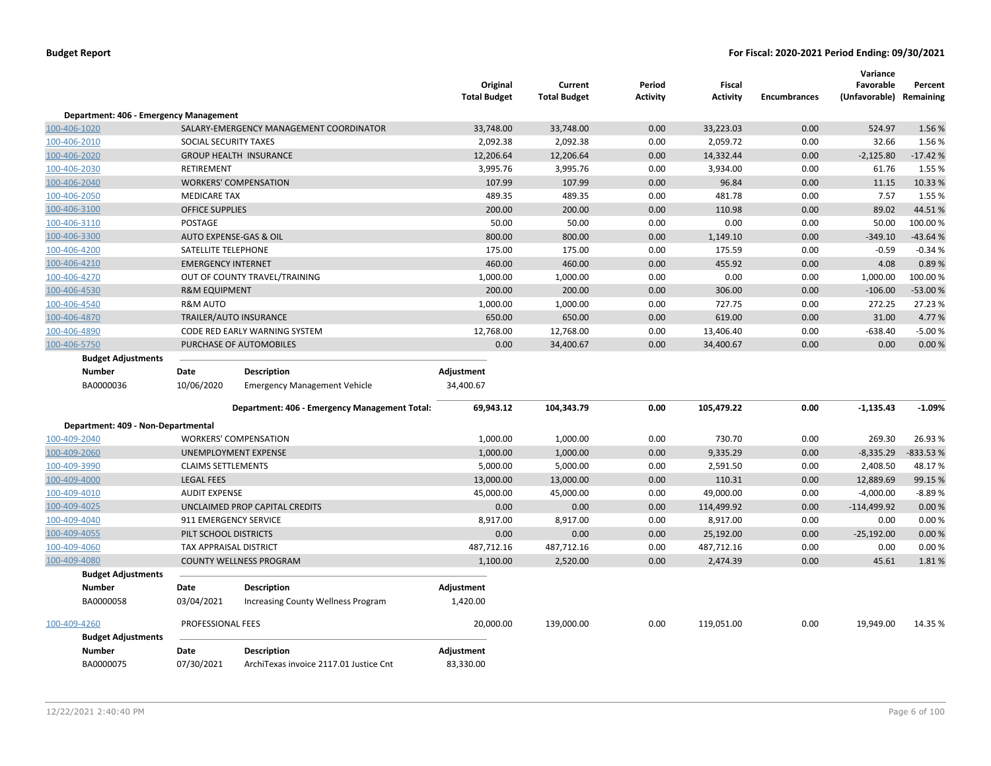|                                        |                           |                                               | Original<br><b>Total Budget</b> | Current<br><b>Total Budget</b> | Period<br>Activity | <b>Fiscal</b><br><b>Activity</b> | <b>Encumbrances</b> | Variance<br>Favorable<br>(Unfavorable) Remaining | Percent   |
|----------------------------------------|---------------------------|-----------------------------------------------|---------------------------------|--------------------------------|--------------------|----------------------------------|---------------------|--------------------------------------------------|-----------|
| Department: 406 - Emergency Management |                           |                                               |                                 |                                |                    |                                  |                     |                                                  |           |
| 100-406-1020                           |                           | SALARY-EMERGENCY MANAGEMENT COORDINATOR       | 33,748.00                       | 33,748.00                      | 0.00               | 33,223.03                        | 0.00                | 524.97                                           | 1.56 %    |
| 100-406-2010                           | SOCIAL SECURITY TAXES     |                                               | 2,092.38                        | 2,092.38                       | 0.00               | 2,059.72                         | 0.00                | 32.66                                            | 1.56%     |
| 100-406-2020                           |                           | <b>GROUP HEALTH INSURANCE</b>                 | 12,206.64                       | 12,206.64                      | 0.00               | 14,332.44                        | 0.00                | $-2,125.80$                                      | $-17.42%$ |
| 100-406-2030                           | <b>RETIREMENT</b>         |                                               | 3,995.76                        | 3,995.76                       | 0.00               | 3,934.00                         | 0.00                | 61.76                                            | 1.55 %    |
| 100-406-2040                           |                           | <b>WORKERS' COMPENSATION</b>                  | 107.99                          | 107.99                         | 0.00               | 96.84                            | 0.00                | 11.15                                            | 10.33%    |
| 100-406-2050                           | <b>MEDICARE TAX</b>       |                                               | 489.35                          | 489.35                         | 0.00               | 481.78                           | 0.00                | 7.57                                             | 1.55 %    |
| 100-406-3100                           | <b>OFFICE SUPPLIES</b>    |                                               | 200.00                          | 200.00                         | 0.00               | 110.98                           | 0.00                | 89.02                                            | 44.51%    |
| 100-406-3110                           | POSTAGE                   |                                               | 50.00                           | 50.00                          | 0.00               | 0.00                             | 0.00                | 50.00                                            | 100.00 %  |
| 100-406-3300                           |                           | AUTO EXPENSE-GAS & OIL                        | 800.00                          | 800.00                         | 0.00               | 1,149.10                         | 0.00                | $-349.10$                                        | $-43.64%$ |
| 100-406-4200                           | SATELLITE TELEPHONE       |                                               | 175.00                          | 175.00                         | 0.00               | 175.59                           | 0.00                | $-0.59$                                          | $-0.34%$  |
| 100-406-4210                           | <b>EMERGENCY INTERNET</b> |                                               | 460.00                          | 460.00                         | 0.00               | 455.92                           | 0.00                | 4.08                                             | 0.89%     |
| 100-406-4270                           |                           | OUT OF COUNTY TRAVEL/TRAINING                 | 1,000.00                        | 1,000.00                       | 0.00               | 0.00                             | 0.00                | 1,000.00                                         | 100.00%   |
| 100-406-4530                           | <b>R&amp;M EQUIPMENT</b>  |                                               | 200.00                          | 200.00                         | 0.00               | 306.00                           | 0.00                | $-106.00$                                        | -53.00 %  |
| 100-406-4540                           | <b>R&amp;M AUTO</b>       |                                               | 1,000.00                        | 1,000.00                       | 0.00               | 727.75                           | 0.00                | 272.25                                           | 27.23 %   |
| 100-406-4870                           |                           | <b>TRAILER/AUTO INSURANCE</b>                 | 650.00                          | 650.00                         | 0.00               | 619.00                           | 0.00                | 31.00                                            | 4.77%     |
| 100-406-4890                           |                           | CODE RED EARLY WARNING SYSTEM                 | 12,768.00                       | 12,768.00                      | 0.00               | 13,406.40                        | 0.00                | $-638.40$                                        | $-5.00%$  |
| 100-406-5750                           |                           | PURCHASE OF AUTOMOBILES                       | 0.00                            | 34,400.67                      | 0.00               | 34,400.67                        | 0.00                | 0.00                                             | 0.00%     |
| <b>Budget Adjustments</b>              |                           |                                               |                                 |                                |                    |                                  |                     |                                                  |           |
| <b>Number</b>                          | Date                      | <b>Description</b>                            | Adjustment                      |                                |                    |                                  |                     |                                                  |           |
| BA0000036                              | 10/06/2020                | <b>Emergency Management Vehicle</b>           | 34,400.67                       |                                |                    |                                  |                     |                                                  |           |
|                                        |                           | Department: 406 - Emergency Management Total: | 69,943.12                       | 104,343.79                     | 0.00               | 105,479.22                       | 0.00                | $-1,135.43$                                      | $-1.09%$  |
| Department: 409 - Non-Departmental     |                           |                                               |                                 |                                |                    |                                  |                     |                                                  |           |
| 100-409-2040                           |                           | <b>WORKERS' COMPENSATION</b>                  | 1,000.00                        | 1,000.00                       | 0.00               | 730.70                           | 0.00                | 269.30                                           | 26.93%    |
| 100-409-2060                           |                           | UNEMPLOYMENT EXPENSE                          | 1,000.00                        | 1,000.00                       | 0.00               | 9,335.29                         | 0.00                | $-8,335.29$                                      | -833.53 % |
| 100-409-3990                           | <b>CLAIMS SETTLEMENTS</b> |                                               | 5,000.00                        | 5,000.00                       | 0.00               | 2,591.50                         | 0.00                | 2,408.50                                         | 48.17%    |
| 100-409-4000                           | <b>LEGAL FEES</b>         |                                               | 13,000.00                       | 13,000.00                      | 0.00               | 110.31                           | 0.00                | 12,889.69                                        | 99.15 %   |
| 100-409-4010                           | <b>AUDIT EXPENSE</b>      |                                               | 45,000.00                       | 45,000.00                      | 0.00               | 49,000.00                        | 0.00                | $-4,000.00$                                      | $-8.89%$  |
| 100-409-4025                           |                           | UNCLAIMED PROP CAPITAL CREDITS                | 0.00                            | 0.00                           | 0.00               | 114,499.92                       | 0.00                | $-114,499.92$                                    | 0.00%     |
| 100-409-4040                           | 911 EMERGENCY SERVICE     |                                               | 8,917.00                        | 8,917.00                       | 0.00               | 8,917.00                         | 0.00                | 0.00                                             | 0.00%     |
| 100-409-4055                           | PILT SCHOOL DISTRICTS     |                                               | 0.00                            | 0.00                           | 0.00               | 25,192.00                        | 0.00                | $-25,192.00$                                     | 0.00%     |
| 100-409-4060                           | TAX APPRAISAL DISTRICT    |                                               | 487,712.16                      | 487,712.16                     | 0.00               | 487,712.16                       | 0.00                | 0.00                                             | 0.00%     |
| 100-409-4080                           |                           | <b>COUNTY WELLNESS PROGRAM</b>                | 1,100.00                        | 2,520.00                       | 0.00               | 2,474.39                         | 0.00                | 45.61                                            | 1.81%     |
| <b>Budget Adjustments</b>              |                           |                                               |                                 |                                |                    |                                  |                     |                                                  |           |
| <b>Number</b>                          | Date                      | <b>Description</b>                            | Adjustment                      |                                |                    |                                  |                     |                                                  |           |
| BA0000058                              | 03/04/2021                | <b>Increasing County Wellness Program</b>     | 1,420.00                        |                                |                    |                                  |                     |                                                  |           |
| 100-409-4260                           | PROFESSIONAL FEES         |                                               | 20,000.00                       | 139,000.00                     | 0.00               | 119,051.00                       | 0.00                | 19,949.00                                        | 14.35 %   |
| <b>Budget Adjustments</b>              |                           |                                               |                                 |                                |                    |                                  |                     |                                                  |           |
| <b>Number</b>                          | Date                      | <b>Description</b>                            | Adjustment                      |                                |                    |                                  |                     |                                                  |           |
| BA0000075                              | 07/30/2021                | ArchiTexas invoice 2117.01 Justice Cnt        | 83,330.00                       |                                |                    |                                  |                     |                                                  |           |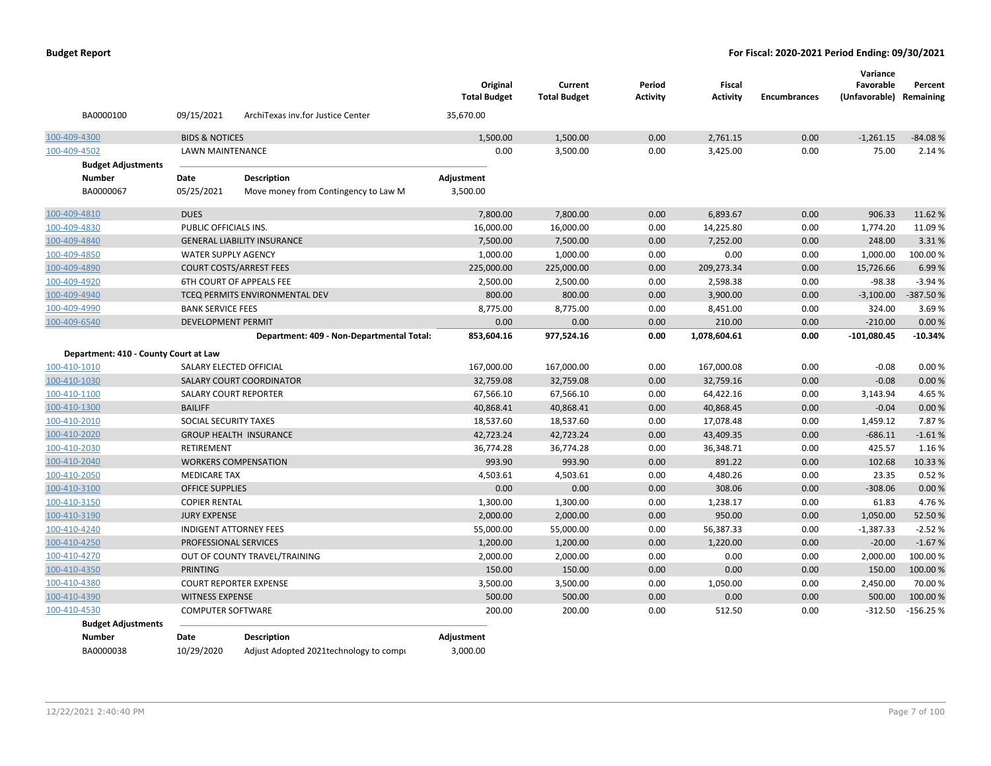| BA0000100                             | 09/15/2021                    |                                           | Original<br><b>Total Budget</b> | Current<br><b>Total Budget</b> | Period<br>Activity | <b>Fiscal</b><br><b>Activity</b> | <b>Encumbrances</b> | Variance<br>Favorable<br>(Unfavorable) Remaining | Percent    |
|---------------------------------------|-------------------------------|-------------------------------------------|---------------------------------|--------------------------------|--------------------|----------------------------------|---------------------|--------------------------------------------------|------------|
|                                       |                               | ArchiTexas inv.for Justice Center         | 35,670.00                       |                                |                    |                                  |                     |                                                  |            |
| 100-409-4300                          | <b>BIDS &amp; NOTICES</b>     |                                           | 1.500.00                        | 1,500.00                       | 0.00               | 2,761.15                         | 0.00                | $-1,261.15$                                      | $-84.08%$  |
| 100-409-4502                          | LAWN MAINTENANCE              |                                           | 0.00                            | 3,500.00                       | 0.00               | 3,425.00                         | 0.00                | 75.00                                            | 2.14 %     |
| <b>Budget Adjustments</b>             |                               |                                           |                                 |                                |                    |                                  |                     |                                                  |            |
| <b>Number</b>                         | Date                          | <b>Description</b>                        | Adjustment                      |                                |                    |                                  |                     |                                                  |            |
| BA0000067                             | 05/25/2021                    | Move money from Contingency to Law M      | 3,500.00                        |                                |                    |                                  |                     |                                                  |            |
| 100-409-4810                          | <b>DUES</b>                   |                                           | 7,800.00                        | 7,800.00                       | 0.00               | 6,893.67                         | 0.00                | 906.33                                           | 11.62%     |
| 100-409-4830                          | PUBLIC OFFICIALS INS.         |                                           | 16,000.00                       | 16,000.00                      | 0.00               | 14,225.80                        | 0.00                | 1,774.20                                         | 11.09%     |
| 100-409-4840                          |                               | <b>GENERAL LIABILITY INSURANCE</b>        | 7,500.00                        | 7,500.00                       | 0.00               | 7,252.00                         | 0.00                | 248.00                                           | 3.31%      |
| 100-409-4850                          | <b>WATER SUPPLY AGENCY</b>    |                                           | 1,000.00                        | 1,000.00                       | 0.00               | 0.00                             | 0.00                | 1,000.00                                         | 100.00%    |
| 100-409-4890                          |                               | <b>COURT COSTS/ARREST FEES</b>            | 225,000.00                      | 225,000.00                     | 0.00               | 209,273.34                       | 0.00                | 15,726.66                                        | 6.99%      |
| 100-409-4920                          |                               | 6TH COURT OF APPEALS FEE                  | 2,500.00                        | 2,500.00                       | 0.00               | 2,598.38                         | 0.00                | $-98.38$                                         | $-3.94%$   |
| 100-409-4940                          |                               | TCEQ PERMITS ENVIRONMENTAL DEV            | 800.00                          | 800.00                         | 0.00               | 3,900.00                         | 0.00                | $-3,100.00$                                      | -387.50%   |
| 100-409-4990                          | <b>BANK SERVICE FEES</b>      |                                           | 8,775.00                        | 8,775.00                       | 0.00               | 8,451.00                         | 0.00                | 324.00                                           | 3.69%      |
| 100-409-6540                          | <b>DEVELOPMENT PERMIT</b>     |                                           | 0.00                            | 0.00                           | 0.00               | 210.00                           | 0.00                | $-210.00$                                        | 0.00%      |
|                                       |                               | Department: 409 - Non-Departmental Total: | 853,604.16                      | 977,524.16                     | 0.00               | 1,078,604.61                     | 0.00                | $-101,080.45$                                    | $-10.34%$  |
| Department: 410 - County Court at Law |                               |                                           |                                 |                                |                    |                                  |                     |                                                  |            |
| 100-410-1010                          | SALARY ELECTED OFFICIAL       |                                           | 167,000.00                      | 167,000.00                     | 0.00               | 167,000.08                       | 0.00                | $-0.08$                                          | 0.00%      |
| 100-410-1030                          |                               | SALARY COURT COORDINATOR                  | 32,759.08                       | 32,759.08                      | 0.00               | 32,759.16                        | 0.00                | $-0.08$                                          | 0.00%      |
| 100-410-1100                          | <b>SALARY COURT REPORTER</b>  |                                           | 67,566.10                       | 67,566.10                      | 0.00               | 64,422.16                        | 0.00                | 3,143.94                                         | 4.65%      |
| 100-410-1300                          | <b>BAILIFF</b>                |                                           | 40,868.41                       | 40,868.41                      | 0.00               | 40,868.45                        | 0.00                | $-0.04$                                          | 0.00%      |
| 100-410-2010                          | SOCIAL SECURITY TAXES         |                                           | 18,537.60                       | 18,537.60                      | 0.00               | 17,078.48                        | 0.00                | 1,459.12                                         | 7.87%      |
| 100-410-2020                          |                               | <b>GROUP HEALTH INSURANCE</b>             | 42,723.24                       | 42,723.24                      | 0.00               | 43,409.35                        | 0.00                | $-686.11$                                        | $-1.61%$   |
| 100-410-2030                          | <b>RETIREMENT</b>             |                                           | 36,774.28                       | 36,774.28                      | 0.00               | 36,348.71                        | 0.00                | 425.57                                           | 1.16%      |
| 100-410-2040                          |                               | <b>WORKERS COMPENSATION</b>               | 993.90                          | 993.90                         | 0.00               | 891.22                           | 0.00                | 102.68                                           | 10.33 %    |
| 100-410-2050                          | <b>MEDICARE TAX</b>           |                                           | 4,503.61                        | 4,503.61                       | 0.00               | 4,480.26                         | 0.00                | 23.35                                            | 0.52%      |
| 100-410-3100                          | <b>OFFICE SUPPLIES</b>        |                                           | 0.00                            | 0.00                           | 0.00               | 308.06                           | 0.00                | $-308.06$                                        | 0.00%      |
| 100-410-3150                          | <b>COPIER RENTAL</b>          |                                           | 1,300.00                        | 1,300.00                       | 0.00               | 1,238.17                         | 0.00                | 61.83                                            | 4.76%      |
| 100-410-3190                          | <b>JURY EXPENSE</b>           |                                           | 2,000.00                        | 2,000.00                       | 0.00               | 950.00                           | 0.00                | 1,050.00                                         | 52.50 %    |
| 100-410-4240                          | <b>INDIGENT ATTORNEY FEES</b> |                                           | 55,000.00                       | 55,000.00                      | 0.00               | 56,387.33                        | 0.00                | $-1,387.33$                                      | $-2.52%$   |
| 100-410-4250                          | PROFESSIONAL SERVICES         |                                           | 1,200.00                        | 1,200.00                       | 0.00               | 1,220.00                         | 0.00                | $-20.00$                                         | $-1.67%$   |
| 100-410-4270                          |                               | OUT OF COUNTY TRAVEL/TRAINING             | 2,000.00                        | 2,000.00                       | 0.00               | 0.00                             | 0.00                | 2,000.00                                         | 100.00 %   |
| 100-410-4350                          | <b>PRINTING</b>               |                                           | 150.00                          | 150.00                         | 0.00               | 0.00                             | 0.00                | 150.00                                           | 100.00 %   |
| 100-410-4380                          |                               | <b>COURT REPORTER EXPENSE</b>             | 3,500.00                        | 3,500.00                       | 0.00               | 1,050.00                         | 0.00                | 2,450.00                                         | 70.00%     |
| 100-410-4390                          | <b>WITNESS EXPENSE</b>        |                                           | 500.00                          | 500.00                         | 0.00               | 0.00                             | 0.00                | 500.00                                           | 100.00%    |
| 100-410-4530                          | <b>COMPUTER SOFTWARE</b>      |                                           | 200.00                          | 200.00                         | 0.00               | 512.50                           | 0.00                | $-312.50$                                        | $-156.25%$ |
| <b>Budget Adjustments</b>             |                               |                                           |                                 |                                |                    |                                  |                     |                                                  |            |
| <b>Number</b>                         | Date                          | <b>Description</b>                        | Adjustment                      |                                |                    |                                  |                     |                                                  |            |
| BA0000038                             | 10/29/2020                    | Adjust Adopted 2021 technology to compi   | 3,000.00                        |                                |                    |                                  |                     |                                                  |            |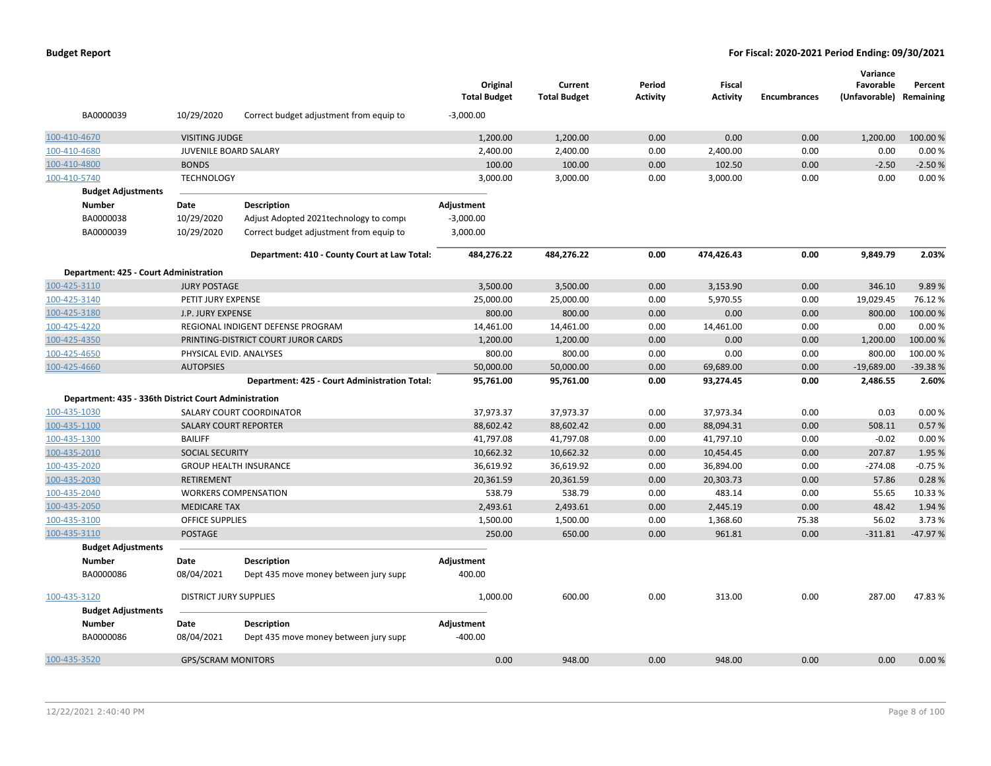|               |                                                       |                               |                                               | Original<br><b>Total Budget</b> | Current<br><b>Total Budget</b> | Period<br><b>Activity</b> | Fiscal<br><b>Activity</b> | <b>Encumbrances</b> | Variance<br>Favorable<br>(Unfavorable) | Percent<br>Remaining |
|---------------|-------------------------------------------------------|-------------------------------|-----------------------------------------------|---------------------------------|--------------------------------|---------------------------|---------------------------|---------------------|----------------------------------------|----------------------|
|               | BA0000039                                             | 10/29/2020                    | Correct budget adjustment from equip to       | $-3,000.00$                     |                                |                           |                           |                     |                                        |                      |
| 100-410-4670  |                                                       | <b>VISITING JUDGE</b>         |                                               | 1,200.00                        | 1,200.00                       | 0.00                      | 0.00                      | 0.00                | 1,200.00                               | 100.00 %             |
| 100-410-4680  |                                                       | JUVENILE BOARD SALARY         |                                               | 2,400.00                        | 2,400.00                       | 0.00                      | 2,400.00                  | 0.00                | 0.00                                   | 0.00%                |
| 100-410-4800  |                                                       | <b>BONDS</b>                  |                                               | 100.00                          | 100.00                         | 0.00                      | 102.50                    | 0.00                | $-2.50$                                | $-2.50%$             |
| 100-410-5740  |                                                       | <b>TECHNOLOGY</b>             |                                               | 3,000.00                        | 3,000.00                       | 0.00                      | 3,000.00                  | 0.00                | 0.00                                   | 0.00%                |
|               | <b>Budget Adjustments</b>                             |                               |                                               |                                 |                                |                           |                           |                     |                                        |                      |
| <b>Number</b> |                                                       | Date                          | <b>Description</b>                            | Adjustment                      |                                |                           |                           |                     |                                        |                      |
|               | BA0000038                                             | 10/29/2020                    | Adjust Adopted 2021 technology to compi       | $-3,000.00$                     |                                |                           |                           |                     |                                        |                      |
|               | BA0000039                                             | 10/29/2020                    | Correct budget adjustment from equip to       | 3,000.00                        |                                |                           |                           |                     |                                        |                      |
|               |                                                       |                               | Department: 410 - County Court at Law Total:  | 484,276.22                      | 484,276.22                     | 0.00                      | 474,426.43                | 0.00                | 9,849.79                               | 2.03%                |
|               | Department: 425 - Court Administration                |                               |                                               |                                 |                                |                           |                           |                     |                                        |                      |
| 100-425-3110  |                                                       | <b>JURY POSTAGE</b>           |                                               | 3,500.00                        | 3,500.00                       | 0.00                      | 3,153.90                  | 0.00                | 346.10                                 | 9.89%                |
| 100-425-3140  |                                                       | PETIT JURY EXPENSE            |                                               | 25,000.00                       | 25,000.00                      | 0.00                      | 5,970.55                  | 0.00                | 19,029.45                              | 76.12%               |
| 100-425-3180  |                                                       | J.P. JURY EXPENSE             |                                               | 800.00                          | 800.00                         | 0.00                      | 0.00                      | 0.00                | 800.00                                 | 100.00%              |
| 100-425-4220  |                                                       |                               | REGIONAL INDIGENT DEFENSE PROGRAM             | 14,461.00                       | 14,461.00                      | 0.00                      | 14,461.00                 | 0.00                | 0.00                                   | 0.00%                |
| 100-425-4350  |                                                       |                               | PRINTING-DISTRICT COURT JUROR CARDS           | 1,200.00                        | 1,200.00                       | 0.00                      | 0.00                      | 0.00                | 1,200.00                               | 100.00 %             |
| 100-425-4650  |                                                       | PHYSICAL EVID. ANALYSES       |                                               | 800.00                          | 800.00                         | 0.00                      | 0.00                      | 0.00                | 800.00                                 | 100.00%              |
| 100-425-4660  |                                                       | <b>AUTOPSIES</b>              |                                               | 50,000.00                       | 50,000.00                      | 0.00                      | 69,689.00                 | 0.00                | $-19,689.00$                           | -39.38%              |
|               |                                                       |                               | Department: 425 - Court Administration Total: | 95,761.00                       | 95,761.00                      | 0.00                      | 93,274.45                 | 0.00                | 2,486.55                               | 2.60%                |
|               | Department: 435 - 336th District Court Administration |                               |                                               |                                 |                                |                           |                           |                     |                                        |                      |
| 100-435-1030  |                                                       |                               | SALARY COURT COORDINATOR                      | 37,973.37                       | 37,973.37                      | 0.00                      | 37,973.34                 | 0.00                | 0.03                                   | 0.00%                |
| 100-435-1100  |                                                       | <b>SALARY COURT REPORTER</b>  |                                               | 88,602.42                       | 88,602.42                      | 0.00                      | 88,094.31                 | 0.00                | 508.11                                 | 0.57%                |
| 100-435-1300  |                                                       | <b>BAILIFF</b>                |                                               | 41,797.08                       | 41,797.08                      | 0.00                      | 41,797.10                 | 0.00                | $-0.02$                                | 0.00%                |
| 100-435-2010  |                                                       | <b>SOCIAL SECURITY</b>        |                                               | 10,662.32                       | 10,662.32                      | 0.00                      | 10,454.45                 | 0.00                | 207.87                                 | 1.95 %               |
| 100-435-2020  |                                                       |                               | <b>GROUP HEALTH INSURANCE</b>                 | 36,619.92                       | 36,619.92                      | 0.00                      | 36,894.00                 | 0.00                | $-274.08$                              | $-0.75%$             |
| 100-435-2030  |                                                       | <b>RETIREMENT</b>             |                                               | 20,361.59                       | 20,361.59                      | 0.00                      | 20,303.73                 | 0.00                | 57.86                                  | 0.28%                |
| 100-435-2040  |                                                       |                               | <b>WORKERS COMPENSATION</b>                   | 538.79                          | 538.79                         | 0.00                      | 483.14                    | 0.00                | 55.65                                  | 10.33 %              |
| 100-435-2050  |                                                       | <b>MEDICARE TAX</b>           |                                               | 2,493.61                        | 2,493.61                       | 0.00                      | 2,445.19                  | 0.00                | 48.42                                  | 1.94 %               |
| 100-435-3100  |                                                       | OFFICE SUPPLIES               |                                               | 1,500.00                        | 1,500.00                       | 0.00                      | 1,368.60                  | 75.38               | 56.02                                  | 3.73 %               |
| 100-435-3110  |                                                       | POSTAGE                       |                                               | 250.00                          | 650.00                         | 0.00                      | 961.81                    | 0.00                | $-311.81$                              | $-47.97%$            |
|               | <b>Budget Adjustments</b>                             |                               |                                               |                                 |                                |                           |                           |                     |                                        |                      |
| <b>Number</b> |                                                       | Date                          | <b>Description</b>                            | Adjustment                      |                                |                           |                           |                     |                                        |                      |
|               | BA0000086                                             | 08/04/2021                    | Dept 435 move money between jury supr         | 400.00                          |                                |                           |                           |                     |                                        |                      |
| 100-435-3120  |                                                       | <b>DISTRICT JURY SUPPLIES</b> |                                               | 1,000.00                        | 600.00                         | 0.00                      | 313.00                    | 0.00                | 287.00                                 | 47.83%               |
|               | <b>Budget Adjustments</b>                             |                               |                                               |                                 |                                |                           |                           |                     |                                        |                      |
| <b>Number</b> |                                                       | Date                          | <b>Description</b>                            | Adjustment                      |                                |                           |                           |                     |                                        |                      |
|               | BA0000086                                             | 08/04/2021                    | Dept 435 move money between jury supp         | $-400.00$                       |                                |                           |                           |                     |                                        |                      |
| 100-435-3520  |                                                       | <b>GPS/SCRAM MONITORS</b>     |                                               | 0.00                            | 948.00                         | 0.00                      | 948.00                    | 0.00                | 0.00                                   | 0.00%                |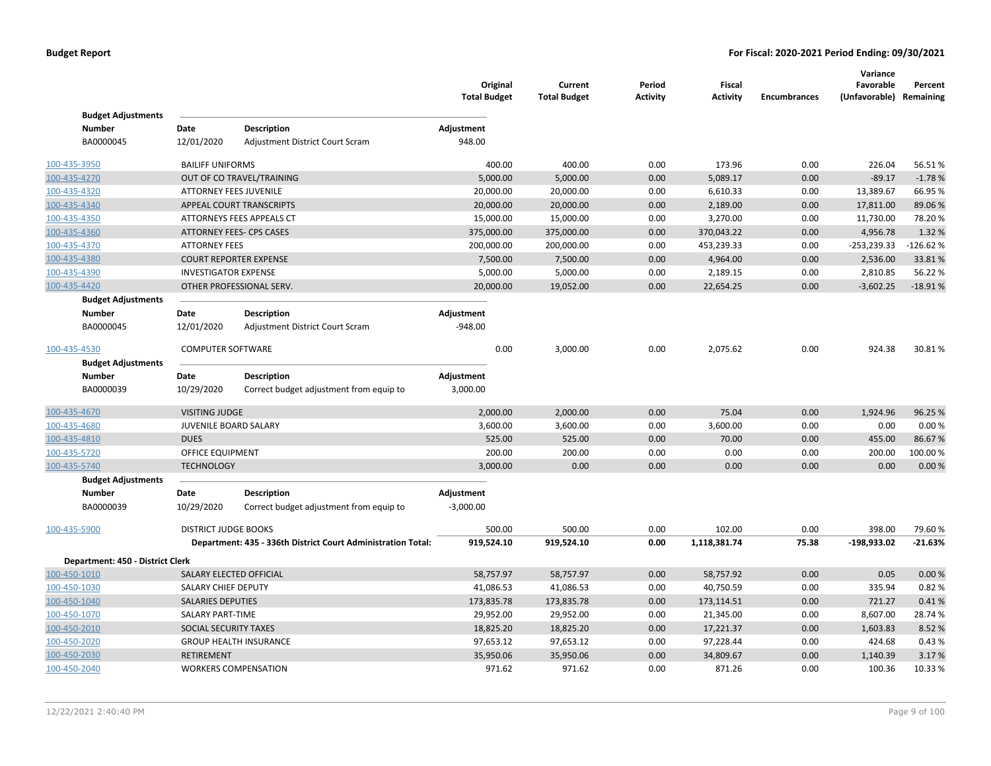|                                  |                             |                                                              | Original<br><b>Total Budget</b> | Current<br><b>Total Budget</b> | Period<br><b>Activity</b> | <b>Fiscal</b><br><b>Activity</b> | <b>Encumbrances</b> | Variance<br>Favorable<br>(Unfavorable) Remaining | Percent    |
|----------------------------------|-----------------------------|--------------------------------------------------------------|---------------------------------|--------------------------------|---------------------------|----------------------------------|---------------------|--------------------------------------------------|------------|
| <b>Budget Adjustments</b>        |                             |                                                              |                                 |                                |                           |                                  |                     |                                                  |            |
| <b>Number</b>                    | Date                        | <b>Description</b>                                           | Adjustment                      |                                |                           |                                  |                     |                                                  |            |
| BA0000045                        | 12/01/2020                  | Adjustment District Court Scram                              | 948.00                          |                                |                           |                                  |                     |                                                  |            |
| 100-435-3950                     | <b>BAILIFF UNIFORMS</b>     |                                                              | 400.00                          | 400.00                         | 0.00                      | 173.96                           | 0.00                | 226.04                                           | 56.51%     |
| 100-435-4270                     |                             | OUT OF CO TRAVEL/TRAINING                                    | 5,000.00                        | 5,000.00                       | 0.00                      | 5,089.17                         | 0.00                | $-89.17$                                         | $-1.78%$   |
| 100-435-4320                     |                             | ATTORNEY FEES JUVENILE                                       | 20,000.00                       | 20,000.00                      | 0.00                      | 6,610.33                         | 0.00                | 13,389.67                                        | 66.95%     |
| 100-435-4340                     |                             | APPEAL COURT TRANSCRIPTS                                     | 20,000.00                       | 20,000.00                      | 0.00                      | 2,189.00                         | 0.00                | 17,811.00                                        | 89.06%     |
| 100-435-4350                     |                             | ATTORNEYS FEES APPEALS CT                                    | 15,000.00                       | 15,000.00                      | 0.00                      | 3,270.00                         | 0.00                | 11,730.00                                        | 78.20%     |
| 100-435-4360                     |                             | <b>ATTORNEY FEES- CPS CASES</b>                              | 375,000.00                      | 375,000.00                     | 0.00                      | 370,043.22                       | 0.00                | 4,956.78                                         | 1.32 %     |
| 100-435-4370                     | <b>ATTORNEY FEES</b>        |                                                              | 200,000.00                      | 200,000.00                     | 0.00                      | 453,239.33                       | 0.00                | $-253,239.33$                                    | $-126.62%$ |
| 100-435-4380                     |                             | <b>COURT REPORTER EXPENSE</b>                                | 7,500.00                        | 7,500.00                       | 0.00                      | 4,964.00                         | 0.00                | 2,536.00                                         | 33.81%     |
| 100-435-4390                     | <b>INVESTIGATOR EXPENSE</b> |                                                              | 5,000.00                        | 5,000.00                       | 0.00                      | 2,189.15                         | 0.00                | 2,810.85                                         | 56.22%     |
| 100-435-4420                     |                             | OTHER PROFESSIONAL SERV.                                     | 20,000.00                       | 19,052.00                      | 0.00                      | 22,654.25                        | 0.00                | $-3,602.25$                                      | $-18.91%$  |
| <b>Budget Adjustments</b>        |                             |                                                              |                                 |                                |                           |                                  |                     |                                                  |            |
| Number                           | Date                        | <b>Description</b>                                           | Adjustment                      |                                |                           |                                  |                     |                                                  |            |
| BA0000045                        | 12/01/2020                  | Adjustment District Court Scram                              | $-948.00$                       |                                |                           |                                  |                     |                                                  |            |
| 100-435-4530                     | <b>COMPUTER SOFTWARE</b>    |                                                              | 0.00                            | 3,000.00                       | 0.00                      | 2,075.62                         | 0.00                | 924.38                                           | 30.81%     |
| <b>Budget Adjustments</b>        |                             |                                                              |                                 |                                |                           |                                  |                     |                                                  |            |
| <b>Number</b>                    | Date                        | <b>Description</b>                                           | Adjustment                      |                                |                           |                                  |                     |                                                  |            |
| BA0000039                        | 10/29/2020                  | Correct budget adjustment from equip to                      | 3,000.00                        |                                |                           |                                  |                     |                                                  |            |
| 100-435-4670                     | <b>VISITING JUDGE</b>       |                                                              | 2,000.00                        | 2,000.00                       | 0.00                      | 75.04                            | 0.00                | 1,924.96                                         | 96.25 %    |
| 100-435-4680                     | JUVENILE BOARD SALARY       |                                                              | 3,600.00                        | 3,600.00                       | 0.00                      | 3,600.00                         | 0.00                | 0.00                                             | 0.00%      |
| 100-435-4810                     | <b>DUES</b>                 |                                                              | 525.00                          | 525.00                         | 0.00                      | 70.00                            | 0.00                | 455.00                                           | 86.67%     |
| 100-435-5720                     | OFFICE EQUIPMENT            |                                                              | 200.00                          | 200.00                         | 0.00                      | 0.00                             | 0.00                | 200.00                                           | 100.00%    |
| 100-435-5740                     | <b>TECHNOLOGY</b>           |                                                              | 3,000.00                        | 0.00                           | 0.00                      | 0.00                             | 0.00                | 0.00                                             | 0.00%      |
| <b>Budget Adjustments</b>        |                             |                                                              |                                 |                                |                           |                                  |                     |                                                  |            |
| Number                           | Date                        | <b>Description</b>                                           | Adjustment                      |                                |                           |                                  |                     |                                                  |            |
| BA0000039                        | 10/29/2020                  | Correct budget adjustment from equip to                      | $-3,000.00$                     |                                |                           |                                  |                     |                                                  |            |
|                                  |                             |                                                              |                                 |                                |                           |                                  |                     |                                                  |            |
| 100-435-5900                     | <b>DISTRICT JUDGE BOOKS</b> |                                                              | 500.00                          | 500.00                         | 0.00                      | 102.00                           | 0.00                | 398.00                                           | 79.60%     |
|                                  |                             | Department: 435 - 336th District Court Administration Total: | 919,524.10                      | 919,524.10                     | 0.00                      | 1,118,381.74                     | 75.38               | -198,933.02                                      | $-21.63%$  |
| Department: 450 - District Clerk |                             |                                                              |                                 |                                |                           |                                  |                     |                                                  |            |
| 100-450-1010                     |                             | SALARY ELECTED OFFICIAL                                      | 58,757.97                       | 58,757.97                      | 0.00                      | 58,757.92                        | 0.00                | 0.05                                             | 0.00%      |
| 100-450-1030                     | SALARY CHIEF DEPUTY         |                                                              | 41,086.53                       | 41,086.53                      | 0.00                      | 40,750.59                        | 0.00                | 335.94                                           | 0.82%      |
| 100-450-1040                     | <b>SALARIES DEPUTIES</b>    |                                                              | 173,835.78                      | 173,835.78                     | 0.00                      | 173,114.51                       | 0.00                | 721.27                                           | 0.41%      |
| 100-450-1070                     | SALARY PART-TIME            |                                                              | 29,952.00                       | 29,952.00                      | 0.00                      | 21,345.00                        | 0.00                | 8,607.00                                         | 28.74%     |
| 100-450-2010                     | SOCIAL SECURITY TAXES       |                                                              | 18,825.20                       | 18,825.20                      | 0.00                      | 17,221.37                        | 0.00                | 1,603.83                                         | 8.52%      |
| 100-450-2020                     |                             | <b>GROUP HEALTH INSURANCE</b>                                | 97,653.12                       | 97,653.12                      | 0.00                      | 97,228.44                        | 0.00                | 424.68                                           | 0.43%      |
| 100-450-2030                     | <b>RETIREMENT</b>           |                                                              | 35,950.06                       | 35,950.06                      | 0.00                      | 34,809.67                        | 0.00                | 1,140.39                                         | 3.17%      |
| 100-450-2040                     |                             | <b>WORKERS COMPENSATION</b>                                  | 971.62                          | 971.62                         | 0.00                      | 871.26                           | 0.00                | 100.36                                           | 10.33 %    |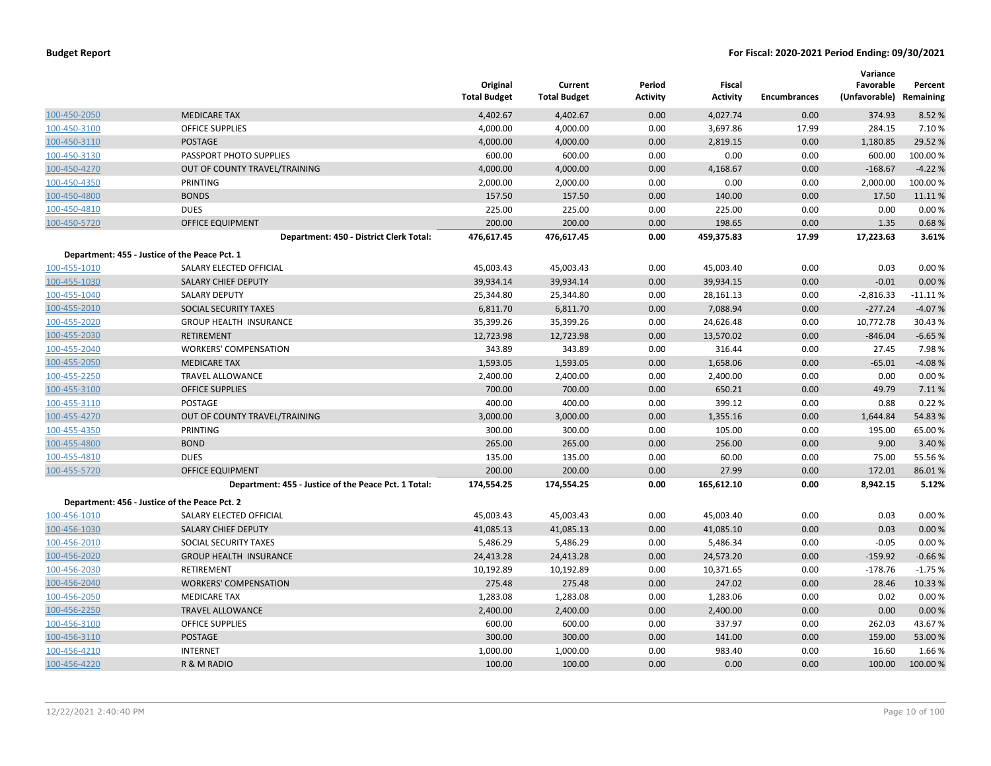|              |                                                      | Original<br><b>Total Budget</b> | Current<br><b>Total Budget</b> | Period<br><b>Activity</b> | Fiscal<br><b>Activity</b> | <b>Encumbrances</b> | Variance<br>Favorable<br>(Unfavorable) Remaining | Percent  |
|--------------|------------------------------------------------------|---------------------------------|--------------------------------|---------------------------|---------------------------|---------------------|--------------------------------------------------|----------|
| 100-450-2050 | <b>MEDICARE TAX</b>                                  | 4,402.67                        | 4,402.67                       | 0.00                      | 4,027.74                  | 0.00                | 374.93                                           | 8.52 %   |
| 100-450-3100 | <b>OFFICE SUPPLIES</b>                               | 4,000.00                        | 4,000.00                       | 0.00                      | 3,697.86                  | 17.99               | 284.15                                           | 7.10%    |
| 100-450-3110 | POSTAGE                                              | 4,000.00                        | 4,000.00                       | 0.00                      | 2,819.15                  | 0.00                | 1,180.85                                         | 29.52 %  |
| 100-450-3130 | PASSPORT PHOTO SUPPLIES                              | 600.00                          | 600.00                         | 0.00                      | 0.00                      | 0.00                | 600.00                                           | 100.00%  |
| 100-450-4270 | OUT OF COUNTY TRAVEL/TRAINING                        | 4,000.00                        | 4,000.00                       | 0.00                      | 4,168.67                  | 0.00                | $-168.67$                                        | $-4.22%$ |
| 100-450-4350 | <b>PRINTING</b>                                      | 2,000.00                        | 2,000.00                       | 0.00                      | 0.00                      | 0.00                | 2,000.00                                         | 100.00%  |
| 100-450-4800 | <b>BONDS</b>                                         | 157.50                          | 157.50                         | 0.00                      | 140.00                    | 0.00                | 17.50                                            | 11.11%   |
| 100-450-4810 | <b>DUES</b>                                          | 225.00                          | 225.00                         | 0.00                      | 225.00                    | 0.00                | 0.00                                             | 0.00%    |
| 100-450-5720 | <b>OFFICE EQUIPMENT</b>                              | 200.00                          | 200.00                         | 0.00                      | 198.65                    | 0.00                | 1.35                                             | 0.68%    |
|              | Department: 450 - District Clerk Total:              | 476,617.45                      | 476,617.45                     | 0.00                      | 459,375.83                | 17.99               | 17,223.63                                        | 3.61%    |
|              | Department: 455 - Justice of the Peace Pct. 1        |                                 |                                |                           |                           |                     |                                                  |          |
| 100-455-1010 | SALARY ELECTED OFFICIAL                              | 45,003.43                       | 45,003.43                      | 0.00                      | 45,003.40                 | 0.00                | 0.03                                             | 0.00%    |
| 100-455-1030 | SALARY CHIEF DEPUTY                                  | 39,934.14                       | 39,934.14                      | 0.00                      | 39,934.15                 | 0.00                | $-0.01$                                          | 0.00%    |
| 100-455-1040 | SALARY DEPUTY                                        | 25,344.80                       | 25,344.80                      | 0.00                      | 28,161.13                 | 0.00                | $-2,816.33$                                      | -11.11 % |
| 100-455-2010 | SOCIAL SECURITY TAXES                                | 6,811.70                        | 6,811.70                       | 0.00                      | 7,088.94                  | 0.00                | $-277.24$                                        | $-4.07%$ |
| 100-455-2020 | <b>GROUP HEALTH INSURANCE</b>                        | 35,399.26                       | 35,399.26                      | 0.00                      | 24,626.48                 | 0.00                | 10,772.78                                        | 30.43 %  |
| 100-455-2030 | <b>RETIREMENT</b>                                    | 12,723.98                       | 12,723.98                      | 0.00                      | 13,570.02                 | 0.00                | $-846.04$                                        | $-6.65%$ |
| 100-455-2040 | <b>WORKERS' COMPENSATION</b>                         | 343.89                          | 343.89                         | 0.00                      | 316.44                    | 0.00                | 27.45                                            | 7.98%    |
| 100-455-2050 | <b>MEDICARE TAX</b>                                  | 1,593.05                        | 1,593.05                       | 0.00                      | 1,658.06                  | 0.00                | $-65.01$                                         | $-4.08%$ |
| 100-455-2250 | <b>TRAVEL ALLOWANCE</b>                              | 2,400.00                        | 2,400.00                       | 0.00                      | 2,400.00                  | 0.00                | 0.00                                             | 0.00%    |
| 100-455-3100 | <b>OFFICE SUPPLIES</b>                               | 700.00                          | 700.00                         | 0.00                      | 650.21                    | 0.00                | 49.79                                            | 7.11%    |
| 100-455-3110 | POSTAGE                                              | 400.00                          | 400.00                         | 0.00                      | 399.12                    | 0.00                | 0.88                                             | 0.22%    |
| 100-455-4270 | OUT OF COUNTY TRAVEL/TRAINING                        | 3,000.00                        | 3,000.00                       | 0.00                      | 1,355.16                  | 0.00                | 1,644.84                                         | 54.83%   |
| 100-455-4350 | PRINTING                                             | 300.00                          | 300.00                         | 0.00                      | 105.00                    | 0.00                | 195.00                                           | 65.00 %  |
| 100-455-4800 | <b>BOND</b>                                          | 265.00                          | 265.00                         | 0.00                      | 256.00                    | 0.00                | 9.00                                             | 3.40 %   |
| 100-455-4810 | <b>DUES</b>                                          | 135.00                          | 135.00                         | 0.00                      | 60.00                     | 0.00                | 75.00                                            | 55.56 %  |
| 100-455-5720 | <b>OFFICE EQUIPMENT</b>                              | 200.00                          | 200.00                         | 0.00                      | 27.99                     | 0.00                | 172.01                                           | 86.01%   |
|              | Department: 455 - Justice of the Peace Pct. 1 Total: | 174,554.25                      | 174,554.25                     | 0.00                      | 165,612.10                | 0.00                | 8,942.15                                         | 5.12%    |
|              | Department: 456 - Justice of the Peace Pct. 2        |                                 |                                |                           |                           |                     |                                                  |          |
| 100-456-1010 | SALARY ELECTED OFFICIAL                              | 45,003.43                       | 45,003.43                      | 0.00                      | 45,003.40                 | 0.00                | 0.03                                             | 0.00%    |
| 100-456-1030 | <b>SALARY CHIEF DEPUTY</b>                           | 41,085.13                       | 41,085.13                      | 0.00                      | 41,085.10                 | 0.00                | 0.03                                             | 0.00%    |
| 100-456-2010 | SOCIAL SECURITY TAXES                                | 5,486.29                        | 5,486.29                       | 0.00                      | 5,486.34                  | 0.00                | $-0.05$                                          | 0.00%    |
| 100-456-2020 | <b>GROUP HEALTH INSURANCE</b>                        | 24,413.28                       | 24,413.28                      | 0.00                      | 24,573.20                 | 0.00                | $-159.92$                                        | $-0.66%$ |
| 100-456-2030 | RETIREMENT                                           | 10,192.89                       | 10,192.89                      | 0.00                      | 10,371.65                 | 0.00                | $-178.76$                                        | $-1.75%$ |
| 100-456-2040 | <b>WORKERS' COMPENSATION</b>                         | 275.48                          | 275.48                         | 0.00                      | 247.02                    | 0.00                | 28.46                                            | 10.33 %  |
| 100-456-2050 | <b>MEDICARE TAX</b>                                  | 1,283.08                        | 1,283.08                       | 0.00                      | 1,283.06                  | 0.00                | 0.02                                             | 0.00%    |
| 100-456-2250 | <b>TRAVEL ALLOWANCE</b>                              | 2,400.00                        | 2,400.00                       | 0.00                      | 2,400.00                  | 0.00                | 0.00                                             | 0.00%    |
| 100-456-3100 | <b>OFFICE SUPPLIES</b>                               | 600.00                          | 600.00                         | 0.00                      | 337.97                    | 0.00                | 262.03                                           | 43.67%   |
| 100-456-3110 | <b>POSTAGE</b>                                       | 300.00                          | 300.00                         | 0.00                      | 141.00                    | 0.00                | 159.00                                           | 53.00 %  |
| 100-456-4210 | <b>INTERNET</b>                                      | 1,000.00                        | 1,000.00                       | 0.00                      | 983.40                    | 0.00                | 16.60                                            | 1.66%    |
| 100-456-4220 | R & M RADIO                                          | 100.00                          | 100.00                         | 0.00                      | 0.00                      | 0.00                | 100.00                                           | 100.00%  |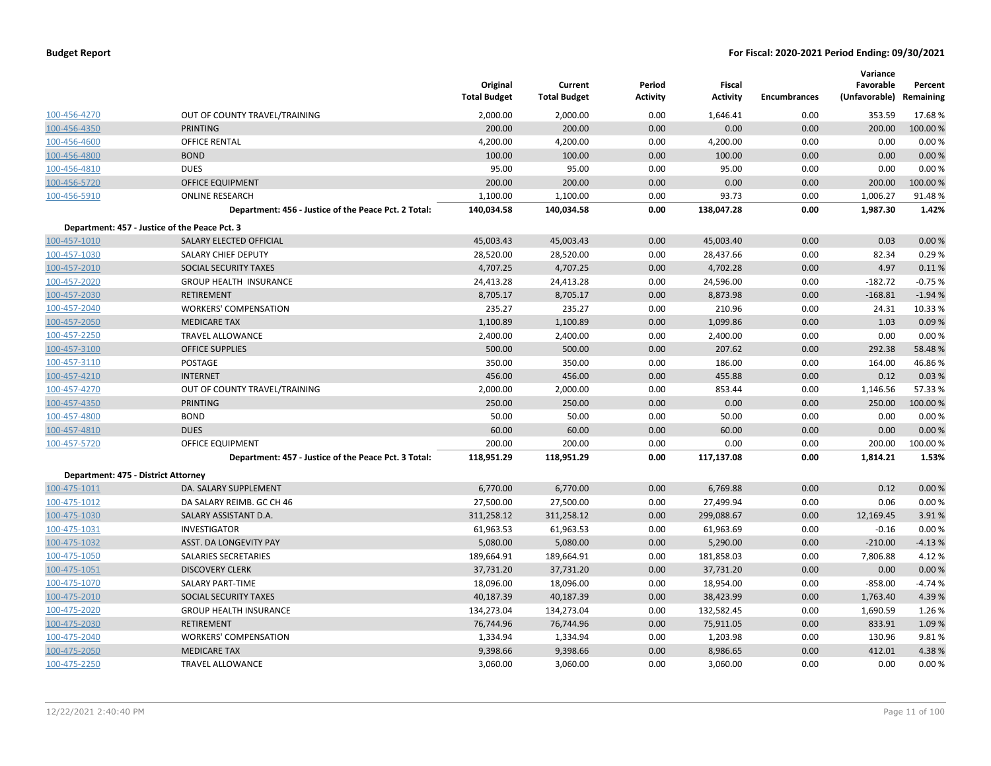|                                     |                                                      | Original<br><b>Total Budget</b> | Current<br><b>Total Budget</b> | Period<br><b>Activity</b> | Fiscal<br><b>Activity</b> | <b>Encumbrances</b> | Variance<br>Favorable<br>(Unfavorable) Remaining | Percent  |
|-------------------------------------|------------------------------------------------------|---------------------------------|--------------------------------|---------------------------|---------------------------|---------------------|--------------------------------------------------|----------|
| 100-456-4270                        | OUT OF COUNTY TRAVEL/TRAINING                        | 2,000.00                        | 2,000.00                       | 0.00                      | 1,646.41                  | 0.00                | 353.59                                           | 17.68%   |
| 100-456-4350                        | <b>PRINTING</b>                                      | 200.00                          | 200.00                         | 0.00                      | 0.00                      | 0.00                | 200.00                                           | 100.00 % |
| 100-456-4600                        | OFFICE RENTAL                                        | 4,200.00                        | 4,200.00                       | 0.00                      | 4,200.00                  | 0.00                | 0.00                                             | 0.00%    |
| 100-456-4800                        | <b>BOND</b>                                          | 100.00                          | 100.00                         | 0.00                      | 100.00                    | 0.00                | 0.00                                             | 0.00%    |
| 100-456-4810                        | <b>DUES</b>                                          | 95.00                           | 95.00                          | 0.00                      | 95.00                     | 0.00                | 0.00                                             | 0.00%    |
| 100-456-5720                        | <b>OFFICE EQUIPMENT</b>                              | 200.00                          | 200.00                         | 0.00                      | 0.00                      | 0.00                | 200.00                                           | 100.00%  |
| 100-456-5910                        | <b>ONLINE RESEARCH</b>                               | 1,100.00                        | 1,100.00                       | 0.00                      | 93.73                     | 0.00                | 1,006.27                                         | 91.48%   |
|                                     | Department: 456 - Justice of the Peace Pct. 2 Total: | 140,034.58                      | 140,034.58                     | 0.00                      | 138,047.28                | 0.00                | 1,987.30                                         | 1.42%    |
|                                     | Department: 457 - Justice of the Peace Pct. 3        |                                 |                                |                           |                           |                     |                                                  |          |
| 100-457-1010                        | SALARY ELECTED OFFICIAL                              | 45,003.43                       | 45,003.43                      | 0.00                      | 45,003.40                 | 0.00                | 0.03                                             | 0.00%    |
| 100-457-1030                        | SALARY CHIEF DEPUTY                                  | 28,520.00                       | 28,520.00                      | 0.00                      | 28,437.66                 | 0.00                | 82.34                                            | 0.29%    |
| 100-457-2010                        | <b>SOCIAL SECURITY TAXES</b>                         | 4,707.25                        | 4,707.25                       | 0.00                      | 4,702.28                  | 0.00                | 4.97                                             | 0.11%    |
| 100-457-2020                        | <b>GROUP HEALTH INSURANCE</b>                        | 24,413.28                       | 24,413.28                      | 0.00                      | 24,596.00                 | 0.00                | $-182.72$                                        | $-0.75%$ |
| 100-457-2030                        | <b>RETIREMENT</b>                                    | 8,705.17                        | 8,705.17                       | 0.00                      | 8,873.98                  | 0.00                | $-168.81$                                        | $-1.94%$ |
| 100-457-2040                        | <b>WORKERS' COMPENSATION</b>                         | 235.27                          | 235.27                         | 0.00                      | 210.96                    | 0.00                | 24.31                                            | 10.33 %  |
| 100-457-2050                        | <b>MEDICARE TAX</b>                                  | 1,100.89                        | 1,100.89                       | 0.00                      | 1,099.86                  | 0.00                | 1.03                                             | 0.09%    |
| 100-457-2250                        | <b>TRAVEL ALLOWANCE</b>                              | 2,400.00                        | 2,400.00                       | 0.00                      | 2,400.00                  | 0.00                | 0.00                                             | 0.00%    |
| 100-457-3100                        | <b>OFFICE SUPPLIES</b>                               | 500.00                          | 500.00                         | 0.00                      | 207.62                    | 0.00                | 292.38                                           | 58.48%   |
| 100-457-3110                        | POSTAGE                                              | 350.00                          | 350.00                         | 0.00                      | 186.00                    | 0.00                | 164.00                                           | 46.86%   |
| 100-457-4210                        | <b>INTERNET</b>                                      | 456.00                          | 456.00                         | 0.00                      | 455.88                    | 0.00                | 0.12                                             | 0.03%    |
| 100-457-4270                        | OUT OF COUNTY TRAVEL/TRAINING                        | 2,000.00                        | 2,000.00                       | 0.00                      | 853.44                    | 0.00                | 1,146.56                                         | 57.33 %  |
| 100-457-4350                        | <b>PRINTING</b>                                      | 250.00                          | 250.00                         | 0.00                      | 0.00                      | 0.00                | 250.00                                           | 100.00 % |
| 100-457-4800                        | <b>BOND</b>                                          | 50.00                           | 50.00                          | 0.00                      | 50.00                     | 0.00                | 0.00                                             | 0.00%    |
| 100-457-4810                        | <b>DUES</b>                                          | 60.00                           | 60.00                          | 0.00                      | 60.00                     | 0.00                | 0.00                                             | 0.00%    |
| 100-457-5720                        | OFFICE EQUIPMENT                                     | 200.00                          | 200.00                         | 0.00                      | 0.00                      | 0.00                | 200.00                                           | 100.00%  |
|                                     | Department: 457 - Justice of the Peace Pct. 3 Total: | 118,951.29                      | 118,951.29                     | 0.00                      | 117,137.08                | 0.00                | 1,814.21                                         | 1.53%    |
| Department: 475 - District Attorney |                                                      |                                 |                                |                           |                           |                     |                                                  |          |
| 100-475-1011                        | DA. SALARY SUPPLEMENT                                | 6,770.00                        | 6,770.00                       | 0.00                      | 6,769.88                  | 0.00                | 0.12                                             | 0.00%    |
| 100-475-1012                        | DA SALARY REIMB. GC CH 46                            | 27,500.00                       | 27,500.00                      | 0.00                      | 27,499.94                 | 0.00                | 0.06                                             | 0.00%    |
| 100-475-1030                        | SALARY ASSISTANT D.A.                                | 311,258.12                      | 311,258.12                     | 0.00                      | 299,088.67                | 0.00                | 12,169.45                                        | 3.91%    |
| 100-475-1031                        | <b>INVESTIGATOR</b>                                  | 61,963.53                       | 61,963.53                      | 0.00                      | 61,963.69                 | 0.00                | $-0.16$                                          | 0.00%    |
| 100-475-1032                        | ASST. DA LONGEVITY PAY                               | 5,080.00                        | 5,080.00                       | 0.00                      | 5,290.00                  | 0.00                | $-210.00$                                        | $-4.13%$ |
| 100-475-1050                        | SALARIES SECRETARIES                                 | 189,664.91                      | 189,664.91                     | 0.00                      | 181,858.03                | 0.00                | 7,806.88                                         | 4.12%    |
| 100-475-1051                        | <b>DISCOVERY CLERK</b>                               | 37,731.20                       | 37,731.20                      | 0.00                      | 37,731.20                 | 0.00                | 0.00                                             | 0.00%    |
| 100-475-1070                        | SALARY PART-TIME                                     | 18,096.00                       | 18,096.00                      | 0.00                      | 18,954.00                 | 0.00                | $-858.00$                                        | $-4.74%$ |
| 100-475-2010                        | SOCIAL SECURITY TAXES                                | 40,187.39                       | 40,187.39                      | 0.00                      | 38,423.99                 | 0.00                | 1,763.40                                         | 4.39%    |
| 100-475-2020                        | <b>GROUP HEALTH INSURANCE</b>                        | 134,273.04                      | 134,273.04                     | 0.00                      | 132,582.45                | 0.00                | 1,690.59                                         | 1.26 %   |
| 100-475-2030                        | <b>RETIREMENT</b>                                    | 76,744.96                       | 76,744.96                      | 0.00                      | 75,911.05                 | 0.00                | 833.91                                           | 1.09 %   |
| 100-475-2040                        | <b>WORKERS' COMPENSATION</b>                         | 1,334.94                        | 1,334.94                       | 0.00                      | 1,203.98                  | 0.00                | 130.96                                           | 9.81%    |
| 100-475-2050                        | <b>MEDICARE TAX</b>                                  | 9,398.66                        | 9,398.66                       | 0.00                      | 8,986.65                  | 0.00                | 412.01                                           | 4.38%    |
| 100-475-2250                        | <b>TRAVEL ALLOWANCE</b>                              | 3,060.00                        | 3,060.00                       | 0.00                      | 3,060.00                  | 0.00                | 0.00                                             | 0.00%    |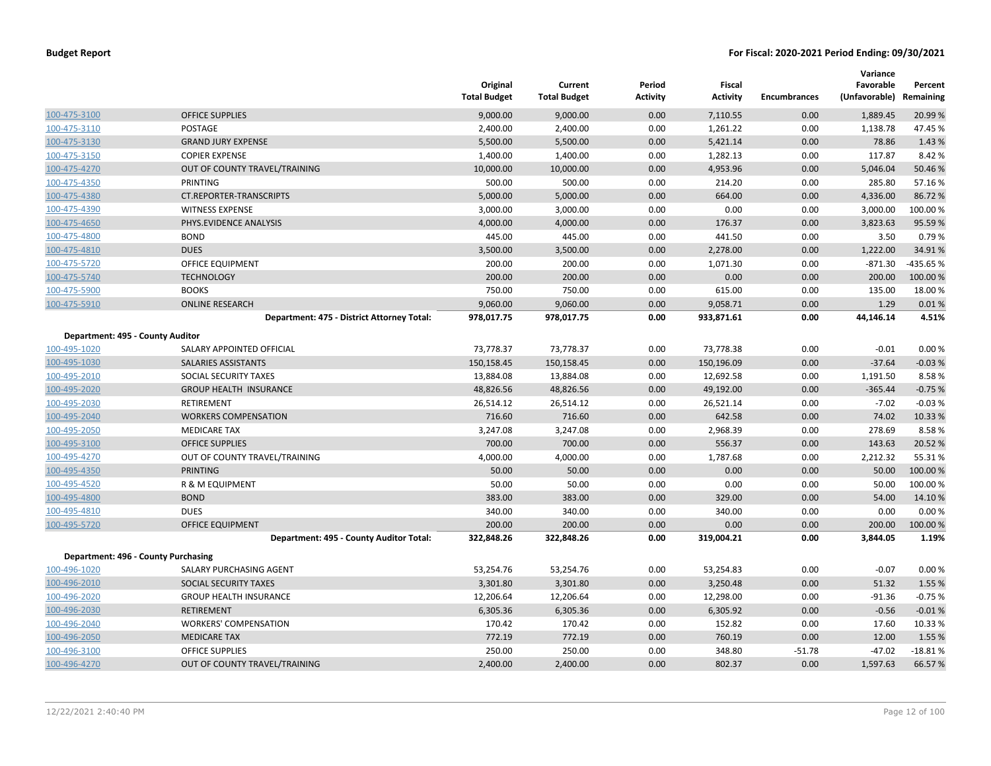|                                  |                                            | Original<br><b>Total Budget</b> | Current<br><b>Total Budget</b> | Period<br><b>Activity</b> | Fiscal<br><b>Activity</b> | <b>Encumbrances</b> | Variance<br>Favorable<br>(Unfavorable) Remaining | Percent   |
|----------------------------------|--------------------------------------------|---------------------------------|--------------------------------|---------------------------|---------------------------|---------------------|--------------------------------------------------|-----------|
| 100-475-3100                     | <b>OFFICE SUPPLIES</b>                     | 9,000.00                        | 9,000.00                       | 0.00                      | 7,110.55                  | 0.00                | 1,889.45                                         | 20.99 %   |
| 100-475-3110                     | <b>POSTAGE</b>                             | 2,400.00                        | 2,400.00                       | 0.00                      | 1,261.22                  | 0.00                | 1,138.78                                         | 47.45 %   |
| 100-475-3130                     | <b>GRAND JURY EXPENSE</b>                  | 5,500.00                        | 5,500.00                       | 0.00                      | 5,421.14                  | 0.00                | 78.86                                            | 1.43 %    |
| 100-475-3150                     | <b>COPIER EXPENSE</b>                      | 1,400.00                        | 1,400.00                       | 0.00                      | 1,282.13                  | 0.00                | 117.87                                           | 8.42 %    |
| 100-475-4270                     | OUT OF COUNTY TRAVEL/TRAINING              | 10,000.00                       | 10,000.00                      | 0.00                      | 4,953.96                  | 0.00                | 5,046.04                                         | 50.46 %   |
| 100-475-4350                     | PRINTING                                   | 500.00                          | 500.00                         | 0.00                      | 214.20                    | 0.00                | 285.80                                           | 57.16%    |
| 100-475-4380                     | <b>CT.REPORTER-TRANSCRIPTS</b>             | 5,000.00                        | 5,000.00                       | 0.00                      | 664.00                    | 0.00                | 4,336.00                                         | 86.72%    |
| 100-475-4390                     | <b>WITNESS EXPENSE</b>                     | 3,000.00                        | 3,000.00                       | 0.00                      | 0.00                      | 0.00                | 3,000.00                                         | 100.00%   |
| 100-475-4650                     | PHYS.EVIDENCE ANALYSIS                     | 4,000.00                        | 4,000.00                       | 0.00                      | 176.37                    | 0.00                | 3,823.63                                         | 95.59 %   |
| 100-475-4800                     | <b>BOND</b>                                | 445.00                          | 445.00                         | 0.00                      | 441.50                    | 0.00                | 3.50                                             | 0.79%     |
| 100-475-4810                     | <b>DUES</b>                                | 3,500.00                        | 3,500.00                       | 0.00                      | 2,278.00                  | 0.00                | 1,222.00                                         | 34.91%    |
| 100-475-5720                     | OFFICE EQUIPMENT                           | 200.00                          | 200.00                         | 0.00                      | 1,071.30                  | 0.00                | $-871.30$                                        | -435.65 % |
| 100-475-5740                     | <b>TECHNOLOGY</b>                          | 200.00                          | 200.00                         | 0.00                      | 0.00                      | 0.00                | 200.00                                           | 100.00 %  |
| 100-475-5900                     | <b>BOOKS</b>                               | 750.00                          | 750.00                         | 0.00                      | 615.00                    | 0.00                | 135.00                                           | 18.00 %   |
| 100-475-5910                     | <b>ONLINE RESEARCH</b>                     | 9,060.00                        | 9,060.00                       | 0.00                      | 9,058.71                  | 0.00                | 1.29                                             | 0.01%     |
|                                  | Department: 475 - District Attorney Total: | 978,017.75                      | 978,017.75                     | 0.00                      | 933,871.61                | 0.00                | 44,146.14                                        | 4.51%     |
| Department: 495 - County Auditor |                                            |                                 |                                |                           |                           |                     |                                                  |           |
| 100-495-1020                     | SALARY APPOINTED OFFICIAL                  | 73,778.37                       | 73,778.37                      | 0.00                      | 73,778.38                 | 0.00                | $-0.01$                                          | 0.00%     |
| 100-495-1030                     | SALARIES ASSISTANTS                        | 150,158.45                      | 150,158.45                     | 0.00                      | 150,196.09                | 0.00                | $-37.64$                                         | $-0.03%$  |
| 100-495-2010                     | SOCIAL SECURITY TAXES                      | 13,884.08                       | 13,884.08                      | 0.00                      | 12,692.58                 | 0.00                | 1,191.50                                         | 8.58%     |
| 100-495-2020                     | <b>GROUP HEALTH INSURANCE</b>              | 48,826.56                       | 48,826.56                      | 0.00                      | 49,192.00                 | 0.00                | $-365.44$                                        | $-0.75%$  |
| 100-495-2030                     | RETIREMENT                                 | 26,514.12                       | 26,514.12                      | 0.00                      | 26,521.14                 | 0.00                | $-7.02$                                          | $-0.03%$  |
| 100-495-2040                     | <b>WORKERS COMPENSATION</b>                | 716.60                          | 716.60                         | 0.00                      | 642.58                    | 0.00                | 74.02                                            | 10.33 %   |
| 100-495-2050                     | <b>MEDICARE TAX</b>                        | 3,247.08                        | 3,247.08                       | 0.00                      | 2,968.39                  | 0.00                | 278.69                                           | 8.58%     |
| 100-495-3100                     | <b>OFFICE SUPPLIES</b>                     | 700.00                          | 700.00                         | 0.00                      | 556.37                    | 0.00                | 143.63                                           | 20.52 %   |
| 100-495-4270                     | OUT OF COUNTY TRAVEL/TRAINING              | 4,000.00                        | 4,000.00                       | 0.00                      | 1,787.68                  | 0.00                | 2,212.32                                         | 55.31%    |
| 100-495-4350                     | <b>PRINTING</b>                            | 50.00                           | 50.00                          | 0.00                      | 0.00                      | 0.00                | 50.00                                            | 100.00 %  |
| 100-495-4520                     | R & M EQUIPMENT                            | 50.00                           | 50.00                          | 0.00                      | 0.00                      | 0.00                | 50.00                                            | 100.00 %  |
| 100-495-4800                     | <b>BOND</b>                                | 383.00                          | 383.00                         | 0.00                      | 329.00                    | 0.00                | 54.00                                            | 14.10%    |
| 100-495-4810                     | <b>DUES</b>                                | 340.00                          | 340.00                         | 0.00                      | 340.00                    | 0.00                | 0.00                                             | 0.00%     |
| 100-495-5720                     | <b>OFFICE EQUIPMENT</b>                    | 200.00                          | 200.00                         | 0.00                      | 0.00                      | 0.00                | 200.00                                           | 100.00 %  |
|                                  | Department: 495 - County Auditor Total:    | 322,848.26                      | 322,848.26                     | 0.00                      | 319,004.21                | 0.00                | 3,844.05                                         | 1.19%     |
|                                  | Department: 496 - County Purchasing        |                                 |                                |                           |                           |                     |                                                  |           |
| 100-496-1020                     | SALARY PURCHASING AGENT                    | 53,254.76                       | 53,254.76                      | 0.00                      | 53,254.83                 | 0.00                | $-0.07$                                          | 0.00%     |
| 100-496-2010                     | SOCIAL SECURITY TAXES                      | 3,301.80                        | 3,301.80                       | 0.00                      | 3,250.48                  | 0.00                | 51.32                                            | 1.55 %    |
| 100-496-2020                     | <b>GROUP HEALTH INSURANCE</b>              | 12,206.64                       | 12,206.64                      | 0.00                      | 12,298.00                 | 0.00                | $-91.36$                                         | $-0.75%$  |
| 100-496-2030                     | <b>RETIREMENT</b>                          | 6,305.36                        | 6,305.36                       | 0.00                      | 6,305.92                  | 0.00                | $-0.56$                                          | $-0.01%$  |
| 100-496-2040                     | <b>WORKERS' COMPENSATION</b>               | 170.42                          | 170.42                         | 0.00                      | 152.82                    | 0.00                | 17.60                                            | 10.33 %   |
| 100-496-2050                     | <b>MEDICARE TAX</b>                        | 772.19                          | 772.19                         | 0.00                      | 760.19                    | 0.00                | 12.00                                            | 1.55 %    |
| 100-496-3100                     | <b>OFFICE SUPPLIES</b>                     | 250.00                          | 250.00                         | 0.00                      | 348.80                    | $-51.78$            | $-47.02$                                         | $-18.81%$ |
| 100-496-4270                     | OUT OF COUNTY TRAVEL/TRAINING              | 2,400.00                        | 2,400.00                       | 0.00                      | 802.37                    | 0.00                | 1,597.63                                         | 66.57%    |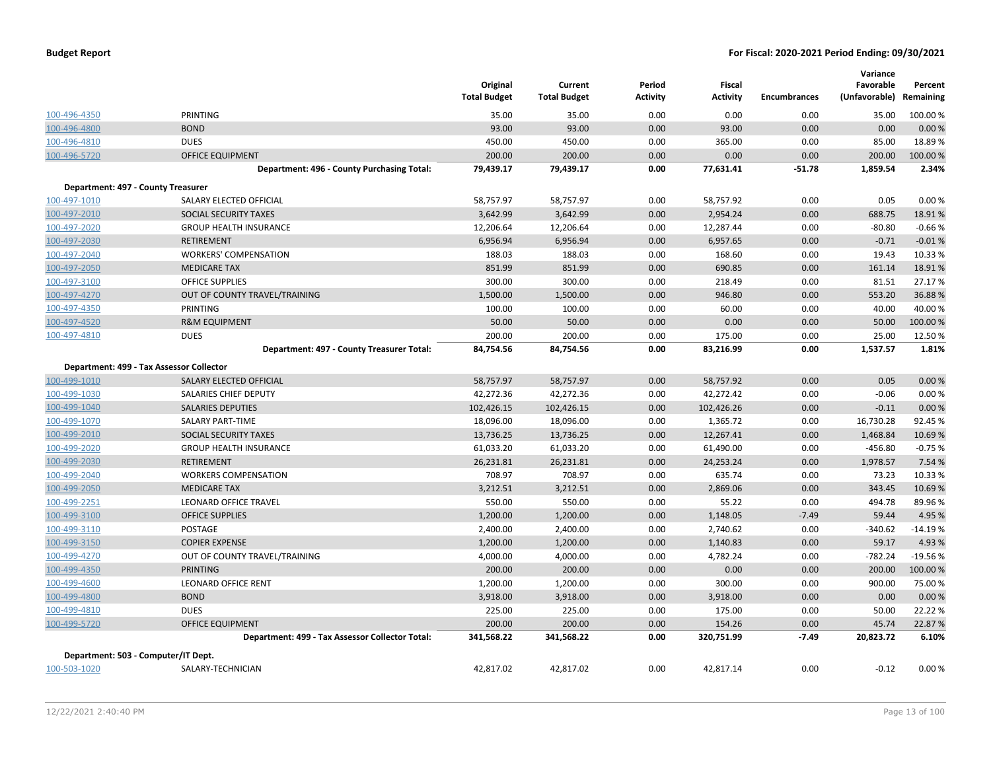|  |  |  | <b>Budget Report</b> |
|--|--|--|----------------------|
|--|--|--|----------------------|

|                                     |                                                 | Original<br><b>Total Budget</b> | Current<br><b>Total Budget</b> | Period<br><b>Activity</b> | Fiscal<br><b>Activity</b> | <b>Encumbrances</b> | Variance<br>Favorable<br>(Unfavorable) | Percent<br>Remaining |
|-------------------------------------|-------------------------------------------------|---------------------------------|--------------------------------|---------------------------|---------------------------|---------------------|----------------------------------------|----------------------|
| 100-496-4350                        | <b>PRINTING</b>                                 | 35.00                           | 35.00                          | 0.00                      | 0.00                      | 0.00                | 35.00                                  | 100.00%              |
| 100-496-4800                        | <b>BOND</b>                                     | 93.00                           | 93.00                          | 0.00                      | 93.00                     | 0.00                | 0.00                                   | 0.00 %               |
| 100-496-4810                        | <b>DUES</b>                                     | 450.00                          | 450.00                         | 0.00                      | 365.00                    | 0.00                | 85.00                                  | 18.89%               |
| 100-496-5720                        | <b>OFFICE EQUIPMENT</b>                         | 200.00                          | 200.00                         | 0.00                      | 0.00                      | 0.00                | 200.00                                 | 100.00%              |
|                                     | Department: 496 - County Purchasing Total:      | 79,439.17                       | 79,439.17                      | 0.00                      | 77,631.41                 | $-51.78$            | 1,859.54                               | 2.34%                |
| Department: 497 - County Treasurer  |                                                 |                                 |                                |                           |                           |                     |                                        |                      |
| 100-497-1010                        | SALARY ELECTED OFFICIAL                         | 58,757.97                       | 58,757.97                      | 0.00                      | 58,757.92                 | 0.00                | 0.05                                   | 0.00%                |
| 100-497-2010                        | SOCIAL SECURITY TAXES                           | 3,642.99                        | 3,642.99                       | 0.00                      | 2,954.24                  | 0.00                | 688.75                                 | 18.91%               |
| 100-497-2020                        | <b>GROUP HEALTH INSURANCE</b>                   | 12,206.64                       | 12,206.64                      | 0.00                      | 12,287.44                 | 0.00                | $-80.80$                               | $-0.66%$             |
| 100-497-2030                        | <b>RETIREMENT</b>                               | 6,956.94                        | 6,956.94                       | 0.00                      | 6,957.65                  | 0.00                | $-0.71$                                | $-0.01%$             |
| 100-497-2040                        | <b>WORKERS' COMPENSATION</b>                    | 188.03                          | 188.03                         | 0.00                      | 168.60                    | 0.00                | 19.43                                  | 10.33%               |
| 100-497-2050                        | <b>MEDICARE TAX</b>                             | 851.99                          | 851.99                         | 0.00                      | 690.85                    | 0.00                | 161.14                                 | 18.91%               |
| 100-497-3100                        | <b>OFFICE SUPPLIES</b>                          | 300.00                          | 300.00                         | 0.00                      | 218.49                    | 0.00                | 81.51                                  | 27.17%               |
| 100-497-4270                        | OUT OF COUNTY TRAVEL/TRAINING                   | 1,500.00                        | 1,500.00                       | 0.00                      | 946.80                    | 0.00                | 553.20                                 | 36.88%               |
| 100-497-4350                        | PRINTING                                        | 100.00                          | 100.00                         | 0.00                      | 60.00                     | 0.00                | 40.00                                  | 40.00%               |
| 100-497-4520                        | <b>R&amp;M EQUIPMENT</b>                        | 50.00                           | 50.00                          | 0.00                      | 0.00                      | 0.00                | 50.00                                  | 100.00%              |
| 100-497-4810                        | <b>DUES</b>                                     | 200.00                          | 200.00                         | 0.00                      | 175.00                    | 0.00                | 25.00                                  | 12.50%               |
|                                     | Department: 497 - County Treasurer Total:       | 84,754.56                       | 84,754.56                      | 0.00                      | 83,216.99                 | 0.00                | 1,537.57                               | 1.81%                |
|                                     | Department: 499 - Tax Assessor Collector        |                                 |                                |                           |                           |                     |                                        |                      |
| 100-499-1010                        | SALARY ELECTED OFFICIAL                         | 58,757.97                       | 58,757.97                      | 0.00                      | 58,757.92                 | 0.00                | 0.05                                   | 0.00%                |
| 100-499-1030                        | SALARIES CHIEF DEPUTY                           | 42,272.36                       | 42,272.36                      | 0.00                      | 42,272.42                 | 0.00                | $-0.06$                                | 0.00%                |
| 100-499-1040                        | <b>SALARIES DEPUTIES</b>                        | 102,426.15                      | 102,426.15                     | 0.00                      | 102,426.26                | 0.00                | $-0.11$                                | 0.00%                |
| 100-499-1070                        | <b>SALARY PART-TIME</b>                         | 18,096.00                       | 18,096.00                      | 0.00                      | 1,365.72                  | 0.00                | 16,730.28                              | 92.45 %              |
| 100-499-2010                        | SOCIAL SECURITY TAXES                           | 13,736.25                       | 13,736.25                      | 0.00                      | 12,267.41                 | 0.00                | 1,468.84                               | 10.69 %              |
| 100-499-2020                        | <b>GROUP HEALTH INSURANCE</b>                   | 61,033.20                       | 61,033.20                      | 0.00                      | 61,490.00                 | 0.00                | $-456.80$                              | $-0.75%$             |
| 100-499-2030                        | <b>RETIREMENT</b>                               | 26,231.81                       | 26,231.81                      | 0.00                      | 24,253.24                 | 0.00                | 1,978.57                               | 7.54 %               |
| 100-499-2040                        | <b>WORKERS COMPENSATION</b>                     | 708.97                          | 708.97                         | 0.00                      | 635.74                    | 0.00                | 73.23                                  | 10.33 %              |
| 100-499-2050                        | <b>MEDICARE TAX</b>                             | 3,212.51                        | 3,212.51                       | 0.00                      | 2,869.06                  | 0.00                | 343.45                                 | 10.69%               |
| 100-499-2251                        | <b>LEONARD OFFICE TRAVEL</b>                    | 550.00                          | 550.00                         | 0.00                      | 55.22                     | 0.00                | 494.78                                 | 89.96%               |
| 100-499-3100                        | <b>OFFICE SUPPLIES</b>                          | 1,200.00                        | 1,200.00                       | 0.00                      | 1,148.05                  | $-7.49$             | 59.44                                  | 4.95 %               |
| 100-499-3110                        | POSTAGE                                         | 2,400.00                        | 2,400.00                       | 0.00                      | 2,740.62                  | 0.00                | $-340.62$                              | $-14.19%$            |
| 100-499-3150                        | <b>COPIER EXPENSE</b>                           | 1,200.00                        | 1,200.00                       | 0.00                      | 1,140.83                  | 0.00                | 59.17                                  | 4.93 %               |
| 100-499-4270                        | OUT OF COUNTY TRAVEL/TRAINING                   | 4,000.00                        | 4,000.00                       | 0.00                      | 4,782.24                  | 0.00                | $-782.24$                              | $-19.56%$            |
| 100-499-4350                        | <b>PRINTING</b>                                 | 200.00                          | 200.00                         | 0.00                      | 0.00                      | 0.00                | 200.00                                 | 100.00%              |
| 100-499-4600                        | <b>LEONARD OFFICE RENT</b>                      | 1,200.00                        | 1,200.00                       | 0.00                      | 300.00                    | 0.00                | 900.00                                 | 75.00 %              |
| 100-499-4800                        | <b>BOND</b>                                     | 3,918.00                        | 3,918.00                       | 0.00                      | 3,918.00                  | 0.00                | 0.00                                   | 0.00%                |
| 100-499-4810                        | <b>DUES</b>                                     | 225.00                          | 225.00                         | 0.00                      | 175.00                    | 0.00                | 50.00                                  | 22.22 %              |
| 100-499-5720                        | <b>OFFICE EQUIPMENT</b>                         | 200.00                          | 200.00                         | 0.00                      | 154.26                    | 0.00                | 45.74                                  | 22.87%               |
|                                     | Department: 499 - Tax Assessor Collector Total: | 341,568.22                      | 341,568.22                     | 0.00                      | 320,751.99                | $-7.49$             | 20,823.72                              | 6.10%                |
| Department: 503 - Computer/IT Dept. |                                                 |                                 |                                |                           |                           |                     |                                        |                      |
| 100-503-1020                        | SALARY-TECHNICIAN                               | 42,817.02                       | 42,817.02                      | 0.00                      | 42,817.14                 | 0.00                | $-0.12$                                | 0.00%                |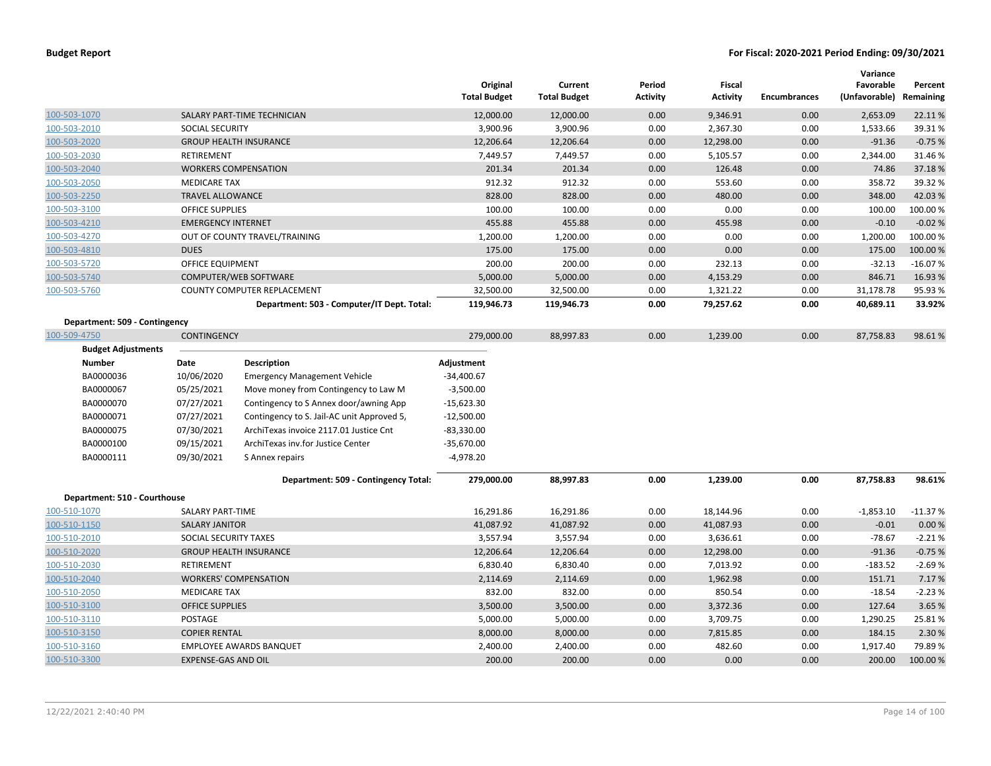|                               |                           |                                            | Original<br><b>Total Budget</b> | Current<br><b>Total Budget</b> | Period<br><b>Activity</b> | Fiscal<br><b>Activity</b> | <b>Encumbrances</b> | Variance<br>Favorable<br>(Unfavorable) | Percent<br>Remaining |
|-------------------------------|---------------------------|--------------------------------------------|---------------------------------|--------------------------------|---------------------------|---------------------------|---------------------|----------------------------------------|----------------------|
| 100-503-1070                  |                           | SALARY PART-TIME TECHNICIAN                | 12,000.00                       | 12,000.00                      | 0.00                      | 9,346.91                  | 0.00                | 2,653.09                               | 22.11%               |
| 100-503-2010                  | SOCIAL SECURITY           |                                            | 3,900.96                        | 3,900.96                       | 0.00                      | 2,367.30                  | 0.00                | 1,533.66                               | 39.31%               |
| 100-503-2020                  |                           | <b>GROUP HEALTH INSURANCE</b>              | 12,206.64                       | 12,206.64                      | 0.00                      | 12,298.00                 | 0.00                | $-91.36$                               | $-0.75%$             |
| 100-503-2030                  | RETIREMENT                |                                            | 7,449.57                        | 7,449.57                       | 0.00                      | 5,105.57                  | 0.00                | 2,344.00                               | 31.46%               |
| 100-503-2040                  |                           | <b>WORKERS COMPENSATION</b>                | 201.34                          | 201.34                         | 0.00                      | 126.48                    | 0.00                | 74.86                                  | 37.18%               |
| 100-503-2050                  | <b>MEDICARE TAX</b>       |                                            | 912.32                          | 912.32                         | 0.00                      | 553.60                    | 0.00                | 358.72                                 | 39.32 %              |
| 100-503-2250                  | <b>TRAVEL ALLOWANCE</b>   |                                            | 828.00                          | 828.00                         | 0.00                      | 480.00                    | 0.00                | 348.00                                 | 42.03%               |
| 100-503-3100                  | <b>OFFICE SUPPLIES</b>    |                                            | 100.00                          | 100.00                         | 0.00                      | 0.00                      | 0.00                | 100.00                                 | 100.00%              |
| 100-503-4210                  | <b>EMERGENCY INTERNET</b> |                                            | 455.88                          | 455.88                         | 0.00                      | 455.98                    | 0.00                | $-0.10$                                | $-0.02%$             |
| 100-503-4270                  |                           | OUT OF COUNTY TRAVEL/TRAINING              | 1,200.00                        | 1,200.00                       | 0.00                      | 0.00                      | 0.00                | 1,200.00                               | 100.00%              |
| 100-503-4810                  | <b>DUES</b>               |                                            | 175.00                          | 175.00                         | 0.00                      | 0.00                      | 0.00                | 175.00                                 | 100.00 %             |
| 100-503-5720                  | <b>OFFICE EQUIPMENT</b>   |                                            | 200.00                          | 200.00                         | 0.00                      | 232.13                    | 0.00                | $-32.13$                               | $-16.07%$            |
| 100-503-5740                  |                           | COMPUTER/WEB SOFTWARE                      | 5,000.00                        | 5,000.00                       | 0.00                      | 4,153.29                  | 0.00                | 846.71                                 | 16.93 %              |
| 100-503-5760                  |                           | COUNTY COMPUTER REPLACEMENT                | 32,500.00                       | 32,500.00                      | 0.00                      | 1,321.22                  | 0.00                | 31,178.78                              | 95.93 %              |
|                               |                           | Department: 503 - Computer/IT Dept. Total: | 119,946.73                      | 119,946.73                     | 0.00                      | 79,257.62                 | 0.00                | 40,689.11                              | 33.92%               |
| Department: 509 - Contingency |                           |                                            |                                 |                                |                           |                           |                     |                                        |                      |
| 100-509-4750                  | <b>CONTINGENCY</b>        |                                            | 279,000.00                      | 88,997.83                      | 0.00                      | 1,239.00                  | 0.00                | 87,758.83                              | 98.61%               |
| <b>Budget Adjustments</b>     |                           |                                            |                                 |                                |                           |                           |                     |                                        |                      |
| <b>Number</b>                 | Date                      | Description                                | Adjustment                      |                                |                           |                           |                     |                                        |                      |
| BA0000036                     | 10/06/2020                | <b>Emergency Management Vehicle</b>        | $-34,400.67$                    |                                |                           |                           |                     |                                        |                      |
| BA0000067                     | 05/25/2021                | Move money from Contingency to Law M       | $-3,500.00$                     |                                |                           |                           |                     |                                        |                      |
| BA0000070                     | 07/27/2021                | Contingency to S Annex door/awning App     | $-15,623.30$                    |                                |                           |                           |                     |                                        |                      |
| BA0000071                     | 07/27/2021                | Contingency to S. Jail-AC unit Approved 5, | $-12,500.00$                    |                                |                           |                           |                     |                                        |                      |
| BA0000075                     | 07/30/2021                | ArchiTexas invoice 2117.01 Justice Cnt     | $-83,330.00$                    |                                |                           |                           |                     |                                        |                      |
| BA0000100                     | 09/15/2021                | ArchiTexas inv.for Justice Center          | $-35,670.00$                    |                                |                           |                           |                     |                                        |                      |
| BA0000111                     | 09/30/2021                | S Annex repairs                            | $-4,978.20$                     |                                |                           |                           |                     |                                        |                      |
|                               |                           | Department: 509 - Contingency Total:       | 279,000.00                      | 88,997.83                      | 0.00                      | 1,239.00                  | 0.00                | 87,758.83                              | 98.61%               |
| Department: 510 - Courthouse  |                           |                                            |                                 |                                |                           |                           |                     |                                        |                      |
| 100-510-1070                  | <b>SALARY PART-TIME</b>   |                                            | 16,291.86                       | 16,291.86                      | 0.00                      | 18,144.96                 | 0.00                | $-1,853.10$                            | $-11.37%$            |
| 100-510-1150                  | <b>SALARY JANITOR</b>     |                                            | 41,087.92                       | 41,087.92                      | 0.00                      | 41,087.93                 | 0.00                | $-0.01$                                | 0.00 %               |
| 100-510-2010                  | SOCIAL SECURITY TAXES     |                                            | 3,557.94                        | 3,557.94                       | 0.00                      | 3,636.61                  | 0.00                | $-78.67$                               | $-2.21%$             |
| 100-510-2020                  |                           | <b>GROUP HEALTH INSURANCE</b>              | 12,206.64                       | 12,206.64                      | 0.00                      | 12,298.00                 | 0.00                | $-91.36$                               | $-0.75%$             |
| 100-510-2030                  | RETIREMENT                |                                            | 6,830.40                        | 6,830.40                       | 0.00                      | 7,013.92                  | 0.00                | $-183.52$                              | $-2.69%$             |
| 100-510-2040                  |                           | <b>WORKERS' COMPENSATION</b>               | 2,114.69                        | 2,114.69                       | 0.00                      | 1,962.98                  | 0.00                | 151.71                                 | 7.17%                |
| 100-510-2050                  | <b>MEDICARE TAX</b>       |                                            | 832.00                          | 832.00                         | 0.00                      | 850.54                    | 0.00                | $-18.54$                               | $-2.23%$             |
| 100-510-3100                  | <b>OFFICE SUPPLIES</b>    |                                            | 3,500.00                        | 3,500.00                       | 0.00                      | 3,372.36                  | 0.00                | 127.64                                 | 3.65 %               |
| 100-510-3110                  | POSTAGE                   |                                            | 5,000.00                        | 5,000.00                       | 0.00                      | 3,709.75                  | 0.00                | 1,290.25                               | 25.81%               |
| 100-510-3150                  | <b>COPIER RENTAL</b>      |                                            | 8,000.00                        | 8,000.00                       | 0.00                      | 7,815.85                  | 0.00                | 184.15                                 | 2.30 %               |
| 100-510-3160                  |                           | <b>EMPLOYEE AWARDS BANQUET</b>             | 2,400.00                        | 2,400.00                       | 0.00                      | 482.60                    | 0.00                | 1,917.40                               | 79.89%               |
| 100-510-3300                  | EXPENSE-GAS AND OIL       |                                            | 200.00                          | 200.00                         | 0.00                      | 0.00                      | 0.00                | 200.00                                 | 100.00 %             |
|                               |                           |                                            |                                 |                                |                           |                           |                     |                                        |                      |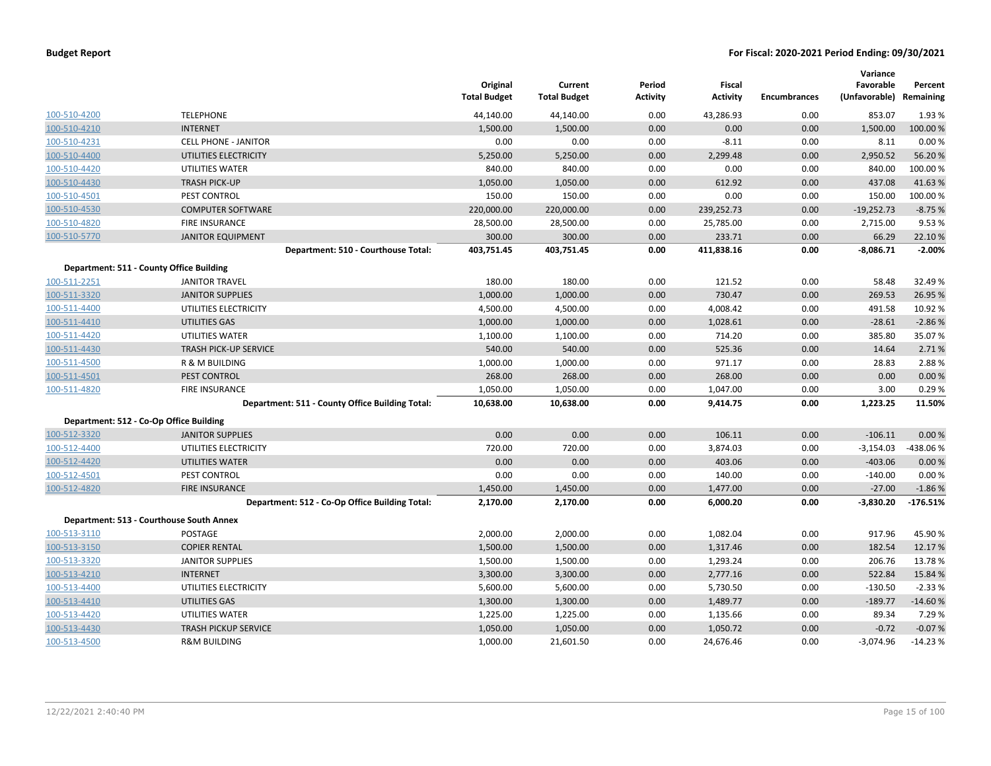|              |                                                 | Original<br><b>Total Budget</b> | Current<br><b>Total Budget</b> | Period<br><b>Activity</b> | <b>Fiscal</b><br><b>Activity</b> | <b>Encumbrances</b> | Variance<br>Favorable<br>(Unfavorable) | Percent<br>Remaining |
|--------------|-------------------------------------------------|---------------------------------|--------------------------------|---------------------------|----------------------------------|---------------------|----------------------------------------|----------------------|
| 100-510-4200 | <b>TELEPHONE</b>                                | 44,140.00                       | 44,140.00                      | 0.00                      | 43,286.93                        | 0.00                | 853.07                                 | 1.93%                |
| 100-510-4210 | <b>INTERNET</b>                                 | 1,500.00                        | 1,500.00                       | 0.00                      | 0.00                             | 0.00                | 1,500.00                               | 100.00 %             |
| 100-510-4231 | <b>CELL PHONE - JANITOR</b>                     | 0.00                            | 0.00                           | 0.00                      | $-8.11$                          | 0.00                | 8.11                                   | 0.00%                |
| 100-510-4400 | UTILITIES ELECTRICITY                           | 5,250.00                        | 5,250.00                       | 0.00                      | 2,299.48                         | 0.00                | 2,950.52                               | 56.20%               |
| 100-510-4420 | UTILITIES WATER                                 | 840.00                          | 840.00                         | 0.00                      | 0.00                             | 0.00                | 840.00                                 | 100.00%              |
| 100-510-4430 | <b>TRASH PICK-UP</b>                            | 1,050.00                        | 1,050.00                       | 0.00                      | 612.92                           | 0.00                | 437.08                                 | 41.63%               |
| 100-510-4501 | PEST CONTROL                                    | 150.00                          | 150.00                         | 0.00                      | 0.00                             | 0.00                | 150.00                                 | 100.00%              |
| 100-510-4530 | <b>COMPUTER SOFTWARE</b>                        | 220,000.00                      | 220,000.00                     | 0.00                      | 239,252.73                       | 0.00                | $-19,252.73$                           | $-8.75%$             |
| 100-510-4820 | <b>FIRE INSURANCE</b>                           | 28,500.00                       | 28,500.00                      | 0.00                      | 25,785.00                        | 0.00                | 2,715.00                               | 9.53 %               |
| 100-510-5770 | <b>JANITOR EQUIPMENT</b>                        | 300.00                          | 300.00                         | 0.00                      | 233.71                           | 0.00                | 66.29                                  | 22.10%               |
|              | Department: 510 - Courthouse Total:             | 403,751.45                      | 403,751.45                     | 0.00                      | 411,838.16                       | 0.00                | $-8,086.71$                            | $-2.00%$             |
|              | Department: 511 - County Office Building        |                                 |                                |                           |                                  |                     |                                        |                      |
| 100-511-2251 | <b>JANITOR TRAVEL</b>                           | 180.00                          | 180.00                         | 0.00                      | 121.52                           | 0.00                | 58.48                                  | 32.49%               |
| 100-511-3320 | <b>JANITOR SUPPLIES</b>                         | 1,000.00                        | 1,000.00                       | 0.00                      | 730.47                           | 0.00                | 269.53                                 | 26.95%               |
| 100-511-4400 | UTILITIES ELECTRICITY                           | 4,500.00                        | 4,500.00                       | 0.00                      | 4,008.42                         | 0.00                | 491.58                                 | 10.92%               |
| 100-511-4410 | UTILITIES GAS                                   | 1,000.00                        | 1,000.00                       | 0.00                      | 1,028.61                         | 0.00                | $-28.61$                               | $-2.86%$             |
| 100-511-4420 | UTILITIES WATER                                 | 1,100.00                        | 1,100.00                       | 0.00                      | 714.20                           | 0.00                | 385.80                                 | 35.07%               |
| 100-511-4430 | <b>TRASH PICK-UP SERVICE</b>                    | 540.00                          | 540.00                         | 0.00                      | 525.36                           | 0.00                | 14.64                                  | 2.71%                |
| 100-511-4500 | R & M BUILDING                                  | 1,000.00                        | 1,000.00                       | 0.00                      | 971.17                           | 0.00                | 28.83                                  | 2.88%                |
| 100-511-4501 | PEST CONTROL                                    | 268.00                          | 268.00                         | 0.00                      | 268.00                           | 0.00                | 0.00                                   | 0.00%                |
| 100-511-4820 | <b>FIRE INSURANCE</b>                           | 1,050.00                        | 1,050.00                       | 0.00                      | 1,047.00                         | 0.00                | 3.00                                   | 0.29%                |
|              | Department: 511 - County Office Building Total: | 10,638.00                       | 10,638.00                      | 0.00                      | 9,414.75                         | 0.00                | 1,223.25                               | 11.50%               |
|              | Department: 512 - Co-Op Office Building         |                                 |                                |                           |                                  |                     |                                        |                      |
| 100-512-3320 | <b>JANITOR SUPPLIES</b>                         | 0.00                            | 0.00                           | 0.00                      | 106.11                           | 0.00                | $-106.11$                              | 0.00%                |
| 100-512-4400 | UTILITIES ELECTRICITY                           | 720.00                          | 720.00                         | 0.00                      | 3,874.03                         | 0.00                | $-3,154.03$                            | -438.06%             |
| 100-512-4420 | UTILITIES WATER                                 | 0.00                            | 0.00                           | 0.00                      | 403.06                           | 0.00                | $-403.06$                              | 0.00%                |
| 100-512-4501 | PEST CONTROL                                    | 0.00                            | 0.00                           | 0.00                      | 140.00                           | 0.00                | $-140.00$                              | 0.00%                |
| 100-512-4820 | <b>FIRE INSURANCE</b>                           | 1,450.00                        | 1,450.00                       | 0.00                      | 1,477.00                         | 0.00                | $-27.00$                               | $-1.86%$             |
|              | Department: 512 - Co-Op Office Building Total:  | 2,170.00                        | 2,170.00                       | 0.00                      | 6,000.20                         | 0.00                | $-3,830.20$                            | $-176.51%$           |
|              | Department: 513 - Courthouse South Annex        |                                 |                                |                           |                                  |                     |                                        |                      |
| 100-513-3110 | <b>POSTAGE</b>                                  | 2,000.00                        | 2,000.00                       | 0.00                      | 1,082.04                         | 0.00                | 917.96                                 | 45.90%               |
| 100-513-3150 | <b>COPIER RENTAL</b>                            | 1,500.00                        | 1,500.00                       | 0.00                      | 1,317.46                         | 0.00                | 182.54                                 | 12.17%               |
| 100-513-3320 | <b>JANITOR SUPPLIES</b>                         | 1,500.00                        | 1,500.00                       | 0.00                      | 1,293.24                         | 0.00                | 206.76                                 | 13.78%               |
| 100-513-4210 | <b>INTERNET</b>                                 | 3,300.00                        | 3,300.00                       | 0.00                      | 2,777.16                         | 0.00                | 522.84                                 | 15.84 %              |
| 100-513-4400 | UTILITIES ELECTRICITY                           | 5,600.00                        | 5,600.00                       | 0.00                      | 5,730.50                         | 0.00                | $-130.50$                              | $-2.33%$             |
| 100-513-4410 | UTILITIES GAS                                   | 1,300.00                        | 1,300.00                       | 0.00                      | 1,489.77                         | 0.00                | $-189.77$                              | $-14.60%$            |
| 100-513-4420 | UTILITIES WATER                                 | 1,225.00                        | 1,225.00                       | 0.00                      | 1,135.66                         | 0.00                | 89.34                                  | 7.29 %               |
| 100-513-4430 | <b>TRASH PICKUP SERVICE</b>                     | 1,050.00                        | 1,050.00                       | 0.00                      | 1,050.72                         | 0.00                | $-0.72$                                | $-0.07%$             |
| 100-513-4500 | <b>R&amp;M BUILDING</b>                         | 1,000.00                        | 21,601.50                      | 0.00                      | 24,676.46                        | 0.00                | $-3,074.96$                            | $-14.23%$            |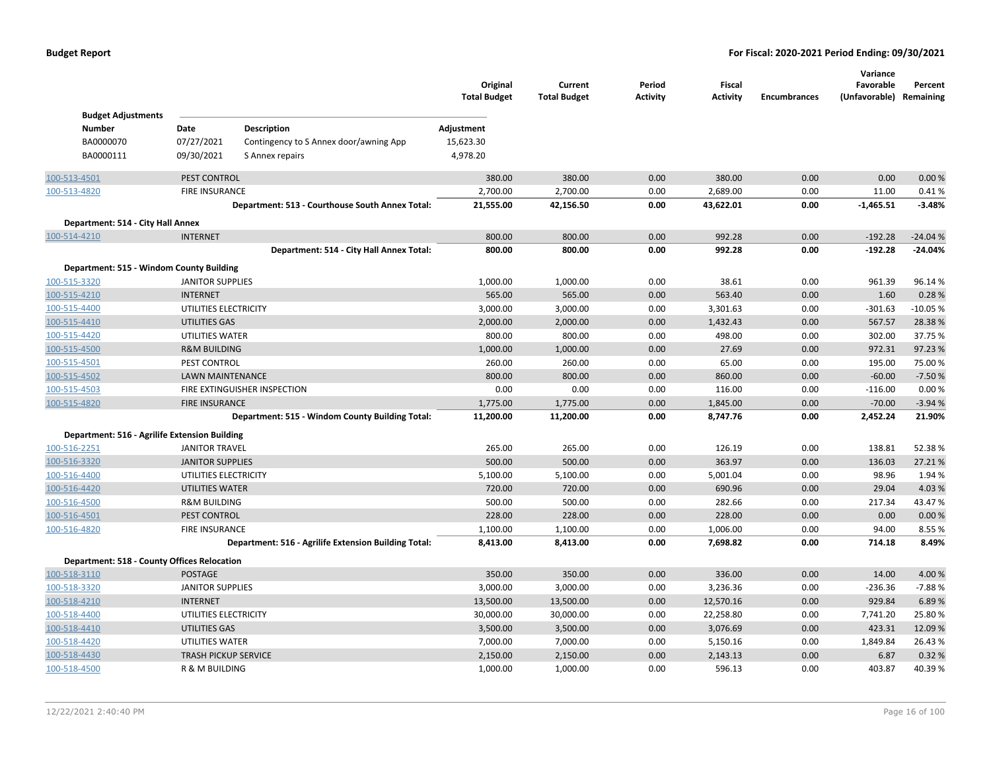|                                               |                                                |                                                      | Original<br><b>Total Budget</b> | Current<br><b>Total Budget</b> | Period<br><b>Activity</b> | Fiscal<br><b>Activity</b> | <b>Encumbrances</b> | Variance<br>Favorable<br>(Unfavorable) Remaining | Percent          |
|-----------------------------------------------|------------------------------------------------|------------------------------------------------------|---------------------------------|--------------------------------|---------------------------|---------------------------|---------------------|--------------------------------------------------|------------------|
| <b>Budget Adjustments</b>                     |                                                |                                                      |                                 |                                |                           |                           |                     |                                                  |                  |
| <b>Number</b>                                 | Date                                           | Description                                          | Adjustment                      |                                |                           |                           |                     |                                                  |                  |
| BA0000070                                     | 07/27/2021                                     | Contingency to S Annex door/awning App               | 15,623.30                       |                                |                           |                           |                     |                                                  |                  |
| BA0000111                                     | 09/30/2021                                     | S Annex repairs                                      | 4,978.20                        |                                |                           |                           |                     |                                                  |                  |
| 100-513-4501                                  | PEST CONTROL                                   |                                                      | 380.00                          | 380.00                         | 0.00                      | 380.00                    | 0.00                | 0.00                                             | 0.00%            |
| 100-513-4820                                  | <b>FIRE INSURANCE</b>                          |                                                      | 2,700.00                        | 2,700.00                       | 0.00                      | 2,689.00                  | 0.00                | 11.00                                            | 0.41%            |
|                                               |                                                | Department: 513 - Courthouse South Annex Total:      | 21,555.00                       | 42,156.50                      | 0.00                      | 43,622.01                 | 0.00                | $-1,465.51$                                      | $-3.48%$         |
| Department: 514 - City Hall Annex             |                                                |                                                      |                                 |                                |                           |                           |                     |                                                  |                  |
| 100-514-4210                                  | <b>INTERNET</b>                                |                                                      | 800.00                          | 800.00                         | 0.00                      | 992.28                    | 0.00                | $-192.28$                                        | $-24.04%$        |
|                                               |                                                | Department: 514 - City Hall Annex Total:             | 800.00                          | 800.00                         | 0.00                      | 992.28                    | 0.00                | $-192.28$                                        | $-24.04%$        |
| Department: 515 - Windom County Building      |                                                |                                                      |                                 |                                |                           |                           |                     |                                                  |                  |
| 100-515-3320                                  | <b>JANITOR SUPPLIES</b>                        |                                                      | 1,000.00                        | 1,000.00                       | 0.00                      | 38.61                     | 0.00                | 961.39                                           | 96.14%           |
| 100-515-4210                                  | <b>INTERNET</b>                                |                                                      | 565.00                          | 565.00                         | 0.00                      | 563.40                    | 0.00                | 1.60                                             | 0.28%            |
| 100-515-4400                                  | UTILITIES ELECTRICITY                          |                                                      | 3,000.00                        | 3,000.00                       | 0.00                      | 3,301.63                  | 0.00                | $-301.63$                                        | $-10.05%$        |
| 100-515-4410                                  | <b>UTILITIES GAS</b>                           |                                                      | 2,000.00                        | 2,000.00                       | 0.00                      | 1,432.43                  | 0.00                | 567.57                                           | 28.38%           |
| 100-515-4420                                  | UTILITIES WATER                                |                                                      | 800.00                          | 800.00                         | 0.00                      | 498.00                    | 0.00                | 302.00                                           | 37.75 %          |
| 100-515-4500                                  | <b>R&amp;M BUILDING</b>                        |                                                      | 1,000.00                        | 1,000.00                       | 0.00                      | 27.69                     | 0.00                | 972.31                                           | 97.23%           |
| 100-515-4501                                  | PEST CONTROL                                   |                                                      | 260.00                          | 260.00                         | 0.00                      | 65.00                     | 0.00                | 195.00                                           | 75.00 %          |
| 100-515-4502                                  | <b>LAWN MAINTENANCE</b>                        |                                                      | 800.00                          | 800.00                         | 0.00                      | 860.00                    | 0.00                | $-60.00$                                         | $-7.50%$         |
| 100-515-4503                                  |                                                | FIRE EXTINGUISHER INSPECTION                         | 0.00                            | 0.00                           | 0.00                      | 116.00                    | 0.00                | $-116.00$                                        | 0.00%            |
| 100-515-4820                                  | <b>FIRE INSURANCE</b>                          |                                                      | 1,775.00                        | 1,775.00                       | 0.00                      | 1,845.00                  | 0.00                | $-70.00$                                         | $-3.94%$         |
|                                               |                                                | Department: 515 - Windom County Building Total:      | 11,200.00                       | 11,200.00                      | 0.00                      | 8,747.76                  | 0.00                | 2,452.24                                         | 21.90%           |
| Department: 516 - Agrilife Extension Building |                                                |                                                      |                                 |                                |                           |                           |                     |                                                  |                  |
| 100-516-2251                                  | <b>JANITOR TRAVEL</b>                          |                                                      | 265.00                          | 265.00                         | 0.00                      | 126.19                    | 0.00                | 138.81                                           | 52.38%           |
| 100-516-3320                                  | <b>JANITOR SUPPLIES</b>                        |                                                      | 500.00                          | 500.00                         | 0.00                      | 363.97                    | 0.00                | 136.03                                           | 27.21%           |
| 100-516-4400                                  | UTILITIES ELECTRICITY                          |                                                      | 5,100.00                        | 5,100.00                       | 0.00                      | 5,001.04                  | 0.00                | 98.96                                            | 1.94 %           |
| 100-516-4420                                  | <b>UTILITIES WATER</b>                         |                                                      | 720.00                          | 720.00                         | 0.00                      | 690.96                    | 0.00                | 29.04                                            | 4.03%            |
| 100-516-4500                                  | <b>R&amp;M BUILDING</b>                        |                                                      | 500.00                          | 500.00                         | 0.00                      | 282.66                    | 0.00                | 217.34                                           | 43.47%           |
| 100-516-4501                                  | PEST CONTROL                                   |                                                      | 228.00                          | 228.00                         | 0.00                      | 228.00                    | 0.00                | 0.00                                             | 0.00%            |
| 100-516-4820                                  | FIRE INSURANCE                                 |                                                      | 1,100.00                        | 1,100.00                       | 0.00                      | 1,006.00                  | 0.00                | 94.00                                            | 8.55 %           |
|                                               |                                                | Department: 516 - Agrilife Extension Building Total: | 8,413.00                        | 8,413.00                       | 0.00                      | 7,698.82                  | 0.00                | 714.18                                           | 8.49%            |
| Department: 518 - County Offices Relocation   |                                                |                                                      |                                 |                                |                           |                           |                     |                                                  |                  |
| 100-518-3110                                  | <b>POSTAGE</b>                                 |                                                      | 350.00                          | 350.00                         | 0.00                      | 336.00                    | 0.00                | 14.00                                            | 4.00 %           |
| 100-518-3320                                  | <b>JANITOR SUPPLIES</b>                        |                                                      | 3,000.00                        | 3,000.00                       | 0.00                      | 3,236.36                  | 0.00                | $-236.36$                                        | $-7.88%$         |
| 100-518-4210                                  | <b>INTERNET</b>                                |                                                      | 13,500.00                       | 13,500.00                      | 0.00                      | 12,570.16                 | 0.00                | 929.84                                           | 6.89%            |
| 100-518-4400                                  | UTILITIES ELECTRICITY                          |                                                      | 30,000.00                       | 30,000.00                      | 0.00                      | 22,258.80                 | 0.00                | 7,741.20                                         | 25.80%           |
| 100-518-4410                                  | UTILITIES GAS                                  |                                                      | 3,500.00                        | 3,500.00                       | 0.00                      | 3,076.69                  | 0.00                | 423.31                                           | 12.09%           |
| 100-518-4420<br>100-518-4430                  | UTILITIES WATER<br><b>TRASH PICKUP SERVICE</b> |                                                      | 7,000.00<br>2,150.00            | 7,000.00<br>2,150.00           | 0.00<br>0.00              | 5,150.16<br>2,143.13      | 0.00<br>0.00        | 1,849.84<br>6.87                                 | 26.43%<br>0.32 % |
| 100-518-4500                                  | R & M BUILDING                                 |                                                      | 1,000.00                        | 1,000.00                       | 0.00                      | 596.13                    | 0.00                | 403.87                                           | 40.39%           |
|                                               |                                                |                                                      |                                 |                                |                           |                           |                     |                                                  |                  |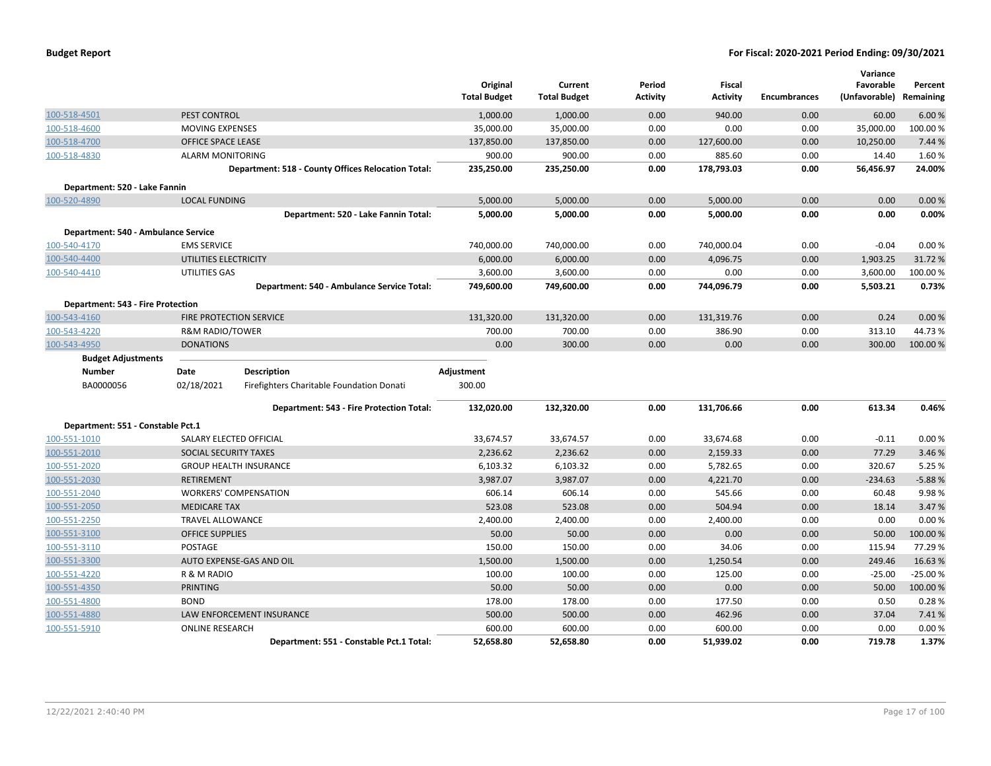| <b>Budget Report</b> |  |
|----------------------|--|
|----------------------|--|

|                                     |                                |                                                    | Original<br><b>Total Budget</b> | Current<br><b>Total Budget</b> | Period<br><b>Activity</b> | <b>Fiscal</b><br><b>Activity</b> | <b>Encumbrances</b> | Variance<br>Favorable<br>(Unfavorable) | Percent<br>Remaining |
|-------------------------------------|--------------------------------|----------------------------------------------------|---------------------------------|--------------------------------|---------------------------|----------------------------------|---------------------|----------------------------------------|----------------------|
| 100-518-4501                        | PEST CONTROL                   |                                                    | 1,000.00                        | 1,000.00                       | 0.00                      | 940.00                           | 0.00                | 60.00                                  | 6.00%                |
| 100-518-4600                        | <b>MOVING EXPENSES</b>         |                                                    | 35,000.00                       | 35,000.00                      | 0.00                      | 0.00                             | 0.00                | 35,000.00                              | 100.00%              |
| 100-518-4700                        | <b>OFFICE SPACE LEASE</b>      |                                                    | 137,850.00                      |                                | 0.00                      |                                  | 0.00                | 10,250.00                              | 7.44 %               |
| 100-518-4830                        | <b>ALARM MONITORING</b>        |                                                    | 900.00                          | 137,850.00<br>900.00           | 0.00                      | 127,600.00<br>885.60             | 0.00                | 14.40                                  | 1.60%                |
|                                     |                                |                                                    |                                 |                                |                           |                                  |                     | 56,456.97                              | 24.00%               |
|                                     |                                | Department: 518 - County Offices Relocation Total: | 235,250.00                      | 235,250.00                     | 0.00                      | 178,793.03                       | 0.00                |                                        |                      |
| Department: 520 - Lake Fannin       |                                |                                                    |                                 |                                |                           |                                  |                     |                                        |                      |
| 100-520-4890                        | <b>LOCAL FUNDING</b>           |                                                    | 5,000.00                        | 5,000.00                       | 0.00                      | 5,000.00                         | 0.00                | 0.00                                   | 0.00%                |
|                                     |                                | Department: 520 - Lake Fannin Total:               | 5,000.00                        | 5,000.00                       | 0.00                      | 5,000.00                         | 0.00                | 0.00                                   | 0.00%                |
| Department: 540 - Ambulance Service |                                |                                                    |                                 |                                |                           |                                  |                     |                                        |                      |
| 100-540-4170                        | <b>EMS SERVICE</b>             |                                                    | 740,000.00                      | 740,000.00                     | 0.00                      | 740,000.04                       | 0.00                | $-0.04$                                | 0.00%                |
| 100-540-4400                        | UTILITIES ELECTRICITY          |                                                    | 6,000.00                        | 6,000.00                       | 0.00                      | 4,096.75                         | 0.00                | 1,903.25                               | 31.72%               |
| 100-540-4410                        | UTILITIES GAS                  |                                                    | 3,600.00                        | 3,600.00                       | 0.00                      | 0.00                             | 0.00                | 3,600.00                               | 100.00%              |
|                                     |                                | Department: 540 - Ambulance Service Total:         | 749,600.00                      | 749,600.00                     | 0.00                      | 744,096.79                       | 0.00                | 5,503.21                               | 0.73%                |
| Department: 543 - Fire Protection   |                                |                                                    |                                 |                                |                           |                                  |                     |                                        |                      |
| 100-543-4160                        | <b>FIRE PROTECTION SERVICE</b> |                                                    | 131,320.00                      | 131,320.00                     | 0.00                      | 131,319.76                       | 0.00                | 0.24                                   | 0.00%                |
| 100-543-4220                        | <b>R&amp;M RADIO/TOWER</b>     |                                                    | 700.00                          | 700.00                         | 0.00                      | 386.90                           | 0.00                | 313.10                                 | 44.73%               |
| 100-543-4950                        | <b>DONATIONS</b>               |                                                    | 0.00                            | 300.00                         | 0.00                      | 0.00                             | 0.00                | 300.00                                 | 100.00 %             |
| <b>Budget Adjustments</b>           |                                |                                                    |                                 |                                |                           |                                  |                     |                                        |                      |
| <b>Number</b>                       | Date                           | <b>Description</b>                                 | Adjustment                      |                                |                           |                                  |                     |                                        |                      |
| BA0000056                           | 02/18/2021                     | Firefighters Charitable Foundation Donati          | 300.00                          |                                |                           |                                  |                     |                                        |                      |
|                                     |                                |                                                    |                                 |                                |                           |                                  |                     |                                        |                      |
|                                     |                                | Department: 543 - Fire Protection Total:           | 132,020.00                      | 132,320.00                     | 0.00                      | 131,706.66                       | 0.00                | 613.34                                 | 0.46%                |
| Department: 551 - Constable Pct.1   |                                |                                                    |                                 |                                |                           |                                  |                     |                                        |                      |
| 100-551-1010                        | SALARY ELECTED OFFICIAL        |                                                    | 33,674.57                       | 33,674.57                      | 0.00                      | 33,674.68                        | 0.00                | $-0.11$                                | 0.00%                |
| 100-551-2010                        | SOCIAL SECURITY TAXES          |                                                    | 2,236.62                        | 2,236.62                       | 0.00                      | 2,159.33                         | 0.00                | 77.29                                  | 3.46%                |
| 100-551-2020                        |                                | <b>GROUP HEALTH INSURANCE</b>                      | 6,103.32                        | 6,103.32                       | 0.00                      | 5,782.65                         | 0.00                | 320.67                                 | 5.25 %               |
| 100-551-2030                        | <b>RETIREMENT</b>              |                                                    | 3,987.07                        | 3,987.07                       | 0.00                      | 4,221.70                         | 0.00                | $-234.63$                              | $-5.88%$             |
| 100-551-2040                        |                                | <b>WORKERS' COMPENSATION</b>                       | 606.14                          | 606.14                         | 0.00                      | 545.66                           | 0.00                | 60.48                                  | 9.98%                |
| 100-551-2050                        | <b>MEDICARE TAX</b>            |                                                    | 523.08                          | 523.08                         | 0.00                      | 504.94                           | 0.00                | 18.14                                  | 3.47%                |
| 100-551-2250                        | <b>TRAVEL ALLOWANCE</b>        |                                                    | 2,400.00                        | 2,400.00                       | 0.00                      | 2,400.00                         | 0.00                | 0.00                                   | 0.00%                |
| 100-551-3100                        | <b>OFFICE SUPPLIES</b>         |                                                    | 50.00                           | 50.00                          | 0.00                      | 0.00                             | 0.00                | 50.00                                  | 100.00 %             |
| 100-551-3110                        | POSTAGE                        |                                                    | 150.00                          | 150.00                         | 0.00                      | 34.06                            | 0.00                | 115.94                                 | 77.29 %              |
| 100-551-3300                        |                                | AUTO EXPENSE-GAS AND OIL                           | 1,500.00                        | 1,500.00                       | 0.00                      | 1,250.54                         | 0.00                | 249.46                                 | 16.63%               |
| 100-551-4220                        | R & M RADIO                    |                                                    | 100.00                          | 100.00                         | 0.00                      | 125.00                           | 0.00                | $-25.00$                               | $-25.00%$            |
| 100-551-4350                        | PRINTING                       |                                                    | 50.00                           | 50.00                          | 0.00                      | 0.00                             | 0.00                | 50.00                                  | 100.00 %             |
| 100-551-4800                        | <b>BOND</b>                    |                                                    | 178.00                          | 178.00                         | 0.00                      | 177.50                           | 0.00                | 0.50                                   | 0.28%                |
| 100-551-4880                        |                                | LAW ENFORCEMENT INSURANCE                          | 500.00                          | 500.00                         | 0.00                      | 462.96                           | 0.00                | 37.04                                  | 7.41%                |
| 100-551-5910                        | <b>ONLINE RESEARCH</b>         |                                                    | 600.00                          | 600.00                         | 0.00                      | 600.00                           | 0.00                | 0.00                                   | 0.00%                |
|                                     |                                | Department: 551 - Constable Pct.1 Total:           | 52,658.80                       | 52,658.80                      | 0.00                      | 51,939.02                        | 0.00                | 719.78                                 | 1.37%                |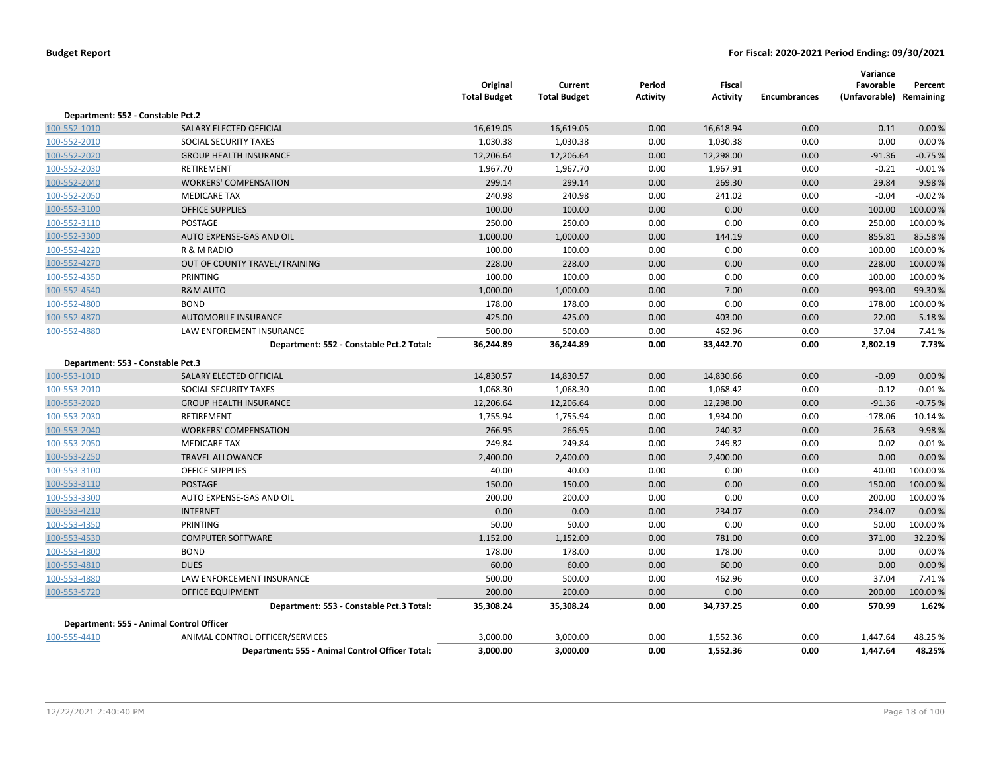|                                   |                                                 | Original<br><b>Total Budget</b> | Current<br><b>Total Budget</b> | Period<br><b>Activity</b> | <b>Fiscal</b><br><b>Activity</b> | <b>Encumbrances</b> | Variance<br>Favorable<br>(Unfavorable) Remaining | Percent   |
|-----------------------------------|-------------------------------------------------|---------------------------------|--------------------------------|---------------------------|----------------------------------|---------------------|--------------------------------------------------|-----------|
| Department: 552 - Constable Pct.2 |                                                 |                                 |                                |                           |                                  |                     |                                                  |           |
| 100-552-1010                      | SALARY ELECTED OFFICIAL                         | 16,619.05                       | 16,619.05                      | 0.00                      | 16,618.94                        | 0.00                | 0.11                                             | 0.00%     |
| 100-552-2010                      | SOCIAL SECURITY TAXES                           | 1,030.38                        | 1,030.38                       | 0.00                      | 1,030.38                         | 0.00                | 0.00                                             | 0.00%     |
| 100-552-2020                      | <b>GROUP HEALTH INSURANCE</b>                   | 12,206.64                       | 12,206.64                      | 0.00                      | 12,298.00                        | 0.00                | $-91.36$                                         | $-0.75%$  |
| 100-552-2030                      | <b>RETIREMENT</b>                               | 1,967.70                        | 1,967.70                       | 0.00                      | 1,967.91                         | 0.00                | $-0.21$                                          | $-0.01%$  |
| 100-552-2040                      | <b>WORKERS' COMPENSATION</b>                    | 299.14                          | 299.14                         | 0.00                      | 269.30                           | 0.00                | 29.84                                            | 9.98%     |
| 100-552-2050                      | <b>MEDICARE TAX</b>                             | 240.98                          | 240.98                         | 0.00                      | 241.02                           | 0.00                | $-0.04$                                          | $-0.02%$  |
| 100-552-3100                      | <b>OFFICE SUPPLIES</b>                          | 100.00                          | 100.00                         | 0.00                      | 0.00                             | 0.00                | 100.00                                           | 100.00 %  |
| 100-552-3110                      | <b>POSTAGE</b>                                  | 250.00                          | 250.00                         | 0.00                      | 0.00                             | 0.00                | 250.00                                           | 100.00%   |
| 100-552-3300                      | AUTO EXPENSE-GAS AND OIL                        | 1,000.00                        | 1,000.00                       | 0.00                      | 144.19                           | 0.00                | 855.81                                           | 85.58%    |
| 100-552-4220                      | R & M RADIO                                     | 100.00                          | 100.00                         | 0.00                      | 0.00                             | 0.00                | 100.00                                           | 100.00%   |
| 100-552-4270                      | OUT OF COUNTY TRAVEL/TRAINING                   | 228.00                          | 228.00                         | 0.00                      | 0.00                             | 0.00                | 228.00                                           | 100.00%   |
| 100-552-4350                      | PRINTING                                        | 100.00                          | 100.00                         | 0.00                      | 0.00                             | 0.00                | 100.00                                           | 100.00%   |
| 100-552-4540                      | <b>R&amp;M AUTO</b>                             | 1,000.00                        | 1,000.00                       | 0.00                      | 7.00                             | 0.00                | 993.00                                           | 99.30 %   |
| 100-552-4800                      | <b>BOND</b>                                     | 178.00                          | 178.00                         | 0.00                      | 0.00                             | 0.00                | 178.00                                           | 100.00%   |
| 100-552-4870                      | <b>AUTOMOBILE INSURANCE</b>                     | 425.00                          | 425.00                         | 0.00                      | 403.00                           | 0.00                | 22.00                                            | 5.18%     |
| 100-552-4880                      | LAW ENFOREMENT INSURANCE                        | 500.00                          | 500.00                         | 0.00                      | 462.96                           | 0.00                | 37.04                                            | 7.41%     |
|                                   | Department: 552 - Constable Pct.2 Total:        | 36,244.89                       | 36,244.89                      | 0.00                      | 33,442.70                        | 0.00                | 2,802.19                                         | 7.73%     |
| Department: 553 - Constable Pct.3 |                                                 |                                 |                                |                           |                                  |                     |                                                  |           |
| 100-553-1010                      | SALARY ELECTED OFFICIAL                         | 14,830.57                       | 14,830.57                      | 0.00                      | 14,830.66                        | 0.00                | $-0.09$                                          | 0.00 %    |
| 100-553-2010                      | SOCIAL SECURITY TAXES                           | 1,068.30                        | 1,068.30                       | 0.00                      | 1,068.42                         | 0.00                | $-0.12$                                          | $-0.01%$  |
| 100-553-2020                      | <b>GROUP HEALTH INSURANCE</b>                   | 12,206.64                       | 12,206.64                      | 0.00                      | 12,298.00                        | 0.00                | $-91.36$                                         | $-0.75%$  |
| 100-553-2030                      | RETIREMENT                                      | 1,755.94                        | 1,755.94                       | 0.00                      | 1,934.00                         | 0.00                | $-178.06$                                        | $-10.14%$ |
| 100-553-2040                      | <b>WORKERS' COMPENSATION</b>                    | 266.95                          | 266.95                         | 0.00                      | 240.32                           | 0.00                | 26.63                                            | 9.98%     |
| 100-553-2050                      | <b>MEDICARE TAX</b>                             | 249.84                          | 249.84                         | 0.00                      | 249.82                           | 0.00                | 0.02                                             | 0.01%     |
| 100-553-2250                      | <b>TRAVEL ALLOWANCE</b>                         | 2,400.00                        | 2,400.00                       | 0.00                      | 2,400.00                         | 0.00                | 0.00                                             | 0.00 %    |
| 100-553-3100                      | <b>OFFICE SUPPLIES</b>                          | 40.00                           | 40.00                          | 0.00                      | 0.00                             | 0.00                | 40.00                                            | 100.00%   |
| 100-553-3110                      | <b>POSTAGE</b>                                  | 150.00                          | 150.00                         | 0.00                      | 0.00                             | 0.00                | 150.00                                           | 100.00%   |
| 100-553-3300                      | AUTO EXPENSE-GAS AND OIL                        | 200.00                          | 200.00                         | 0.00                      | 0.00                             | 0.00                | 200.00                                           | 100.00%   |
| 100-553-4210                      | <b>INTERNET</b>                                 | 0.00                            | 0.00                           | 0.00                      | 234.07                           | 0.00                | $-234.07$                                        | 0.00 %    |
| 100-553-4350                      | PRINTING                                        | 50.00                           | 50.00                          | 0.00                      | 0.00                             | 0.00                | 50.00                                            | 100.00%   |
| 100-553-4530                      | <b>COMPUTER SOFTWARE</b>                        | 1,152.00                        | 1,152.00                       | 0.00                      | 781.00                           | 0.00                | 371.00                                           | 32.20%    |
| 100-553-4800                      | <b>BOND</b>                                     | 178.00                          | 178.00                         | 0.00                      | 178.00                           | 0.00                | 0.00                                             | 0.00%     |
| 100-553-4810                      | <b>DUES</b>                                     | 60.00                           | 60.00                          | 0.00                      | 60.00                            | 0.00                | 0.00                                             | 0.00 %    |
| 100-553-4880                      | LAW ENFORCEMENT INSURANCE                       | 500.00                          | 500.00                         | 0.00                      | 462.96                           | 0.00                | 37.04                                            | 7.41%     |
| 100-553-5720                      | <b>OFFICE EQUIPMENT</b>                         | 200.00                          | 200.00                         | 0.00                      | 0.00                             | 0.00                | 200.00                                           | 100.00%   |
|                                   | Department: 553 - Constable Pct.3 Total:        | 35,308.24                       | 35,308.24                      | 0.00                      | 34,737.25                        | 0.00                | 570.99                                           | 1.62%     |
|                                   | Department: 555 - Animal Control Officer        |                                 |                                |                           |                                  |                     |                                                  |           |
| 100-555-4410                      | ANIMAL CONTROL OFFICER/SERVICES                 | 3,000.00                        | 3,000.00                       | 0.00                      | 1,552.36                         | 0.00                | 1,447.64                                         | 48.25%    |
|                                   | Department: 555 - Animal Control Officer Total: | 3,000.00                        | 3,000.00                       | 0.00                      | 1,552.36                         | 0.00                | 1,447.64                                         | 48.25%    |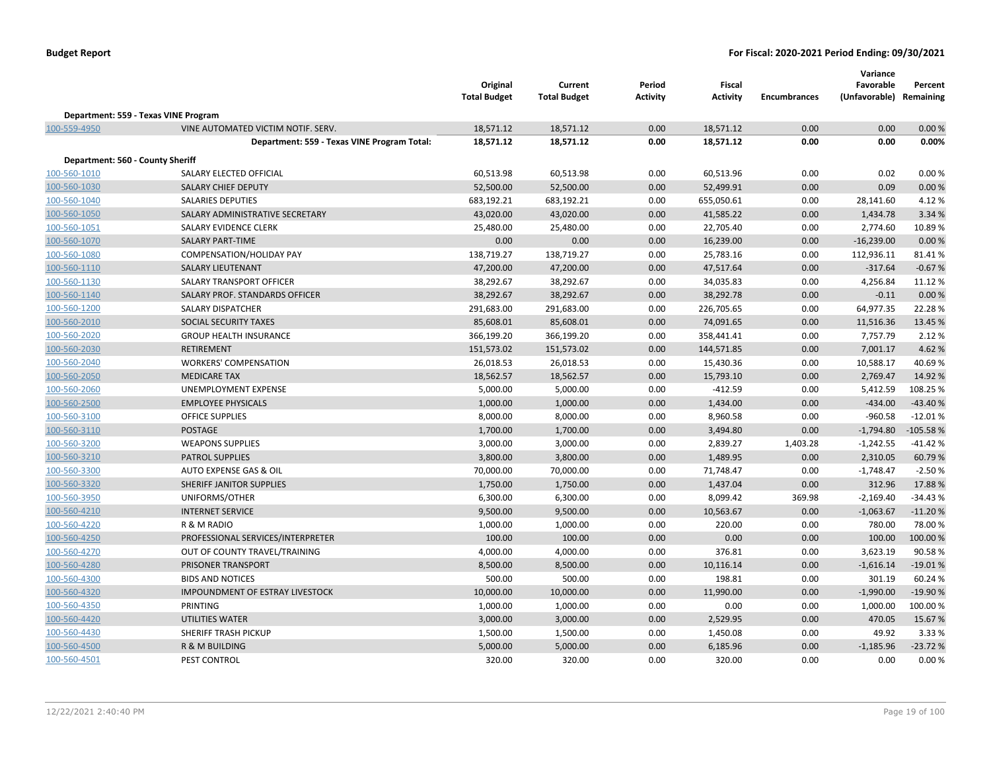|                                  |                                             | Original<br><b>Total Budget</b> | Current<br><b>Total Budget</b> | Period<br><b>Activity</b> | Fiscal<br>Activity | <b>Encumbrances</b> | Variance<br>Favorable<br>(Unfavorable) Remaining | Percent    |
|----------------------------------|---------------------------------------------|---------------------------------|--------------------------------|---------------------------|--------------------|---------------------|--------------------------------------------------|------------|
|                                  | Department: 559 - Texas VINE Program        |                                 |                                |                           |                    |                     |                                                  |            |
| 100-559-4950                     | VINE AUTOMATED VICTIM NOTIF. SERV.          | 18,571.12                       | 18,571.12                      | 0.00                      | 18,571.12          | 0.00                | 0.00                                             | 0.00%      |
|                                  | Department: 559 - Texas VINE Program Total: | 18,571.12                       | 18,571.12                      | 0.00                      | 18,571.12          | 0.00                | 0.00                                             | 0.00%      |
| Department: 560 - County Sheriff |                                             |                                 |                                |                           |                    |                     |                                                  |            |
| 100-560-1010                     | SALARY ELECTED OFFICIAL                     | 60,513.98                       | 60,513.98                      | 0.00                      | 60,513.96          | 0.00                | 0.02                                             | 0.00%      |
| 100-560-1030                     | <b>SALARY CHIEF DEPUTY</b>                  | 52,500.00                       | 52,500.00                      | 0.00                      | 52,499.91          | 0.00                | 0.09                                             | 0.00%      |
| 100-560-1040                     | <b>SALARIES DEPUTIES</b>                    | 683,192.21                      | 683,192.21                     | 0.00                      | 655,050.61         | 0.00                | 28,141.60                                        | 4.12%      |
| 100-560-1050                     | SALARY ADMINISTRATIVE SECRETARY             | 43,020.00                       | 43,020.00                      | 0.00                      | 41,585.22          | 0.00                | 1,434.78                                         | 3.34 %     |
| 100-560-1051                     | SALARY EVIDENCE CLERK                       | 25,480.00                       | 25,480.00                      | 0.00                      | 22,705.40          | 0.00                | 2,774.60                                         | 10.89%     |
| 100-560-1070                     | <b>SALARY PART-TIME</b>                     | 0.00                            | 0.00                           | 0.00                      | 16,239.00          | 0.00                | $-16,239.00$                                     | 0.00%      |
| 100-560-1080                     | COMPENSATION/HOLIDAY PAY                    | 138,719.27                      | 138,719.27                     | 0.00                      | 25,783.16          | 0.00                | 112,936.11                                       | 81.41%     |
| 100-560-1110                     | <b>SALARY LIEUTENANT</b>                    | 47,200.00                       | 47,200.00                      | 0.00                      | 47,517.64          | 0.00                | $-317.64$                                        | $-0.67%$   |
| 100-560-1130                     | SALARY TRANSPORT OFFICER                    | 38,292.67                       | 38,292.67                      | 0.00                      | 34,035.83          | 0.00                | 4,256.84                                         | 11.12 %    |
| 100-560-1140                     | SALARY PROF. STANDARDS OFFICER              | 38,292.67                       | 38,292.67                      | 0.00                      | 38,292.78          | 0.00                | $-0.11$                                          | 0.00%      |
| 100-560-1200                     | <b>SALARY DISPATCHER</b>                    | 291,683.00                      | 291,683.00                     | 0.00                      | 226,705.65         | 0.00                | 64,977.35                                        | 22.28%     |
| 100-560-2010                     | SOCIAL SECURITY TAXES                       | 85,608.01                       | 85,608.01                      | 0.00                      | 74,091.65          | 0.00                | 11,516.36                                        | 13.45 %    |
| 100-560-2020                     | <b>GROUP HEALTH INSURANCE</b>               | 366,199.20                      | 366,199.20                     | 0.00                      | 358,441.41         | 0.00                | 7,757.79                                         | 2.12 %     |
| 100-560-2030                     | <b>RETIREMENT</b>                           | 151,573.02                      | 151,573.02                     | 0.00                      | 144,571.85         | 0.00                | 7,001.17                                         | 4.62%      |
| 100-560-2040                     | <b>WORKERS' COMPENSATION</b>                | 26,018.53                       | 26,018.53                      | 0.00                      | 15,430.36          | 0.00                | 10,588.17                                        | 40.69%     |
| 100-560-2050                     | <b>MEDICARE TAX</b>                         | 18,562.57                       | 18,562.57                      | 0.00                      | 15,793.10          | 0.00                | 2,769.47                                         | 14.92%     |
| 100-560-2060                     | UNEMPLOYMENT EXPENSE                        | 5,000.00                        | 5,000.00                       | 0.00                      | $-412.59$          | 0.00                | 5,412.59                                         | 108.25%    |
| 100-560-2500                     | <b>EMPLOYEE PHYSICALS</b>                   | 1,000.00                        | 1,000.00                       | 0.00                      | 1,434.00           | 0.00                | $-434.00$                                        | $-43.40%$  |
| 100-560-3100                     | <b>OFFICE SUPPLIES</b>                      | 8,000.00                        | 8,000.00                       | 0.00                      | 8,960.58           | 0.00                | $-960.58$                                        | $-12.01%$  |
| 100-560-3110                     | <b>POSTAGE</b>                              | 1,700.00                        | 1,700.00                       | 0.00                      | 3,494.80           | 0.00                | $-1,794.80$                                      | $-105.58%$ |
| 100-560-3200                     | <b>WEAPONS SUPPLIES</b>                     | 3,000.00                        | 3,000.00                       | 0.00                      | 2,839.27           | 1,403.28            | $-1,242.55$                                      | $-41.42%$  |
| 100-560-3210                     | <b>PATROL SUPPLIES</b>                      | 3,800.00                        | 3,800.00                       | 0.00                      | 1,489.95           | 0.00                | 2,310.05                                         | 60.79%     |
| 100-560-3300                     | <b>AUTO EXPENSE GAS &amp; OIL</b>           | 70,000.00                       | 70,000.00                      | 0.00                      | 71,748.47          | 0.00                | $-1,748.47$                                      | $-2.50%$   |
| 100-560-3320                     | SHERIFF JANITOR SUPPLIES                    | 1,750.00                        | 1,750.00                       | 0.00                      | 1,437.04           | 0.00                | 312.96                                           | 17.88%     |
| 100-560-3950                     | UNIFORMS/OTHER                              | 6,300.00                        | 6,300.00                       | 0.00                      | 8,099.42           | 369.98              | $-2,169.40$                                      | $-34.43%$  |
| 100-560-4210                     | <b>INTERNET SERVICE</b>                     | 9,500.00                        | 9,500.00                       | 0.00                      | 10,563.67          | 0.00                | $-1,063.67$                                      | $-11.20%$  |
| 100-560-4220                     | R & M RADIO                                 | 1,000.00                        | 1,000.00                       | 0.00                      | 220.00             | 0.00                | 780.00                                           | 78.00%     |
| 100-560-4250                     | PROFESSIONAL SERVICES/INTERPRETER           | 100.00                          | 100.00                         | 0.00                      | 0.00               | 0.00                | 100.00                                           | 100.00 %   |
| 100-560-4270                     | OUT OF COUNTY TRAVEL/TRAINING               | 4,000.00                        | 4,000.00                       | 0.00                      | 376.81             | 0.00                | 3,623.19                                         | 90.58%     |
| 100-560-4280                     | PRISONER TRANSPORT                          | 8,500.00                        | 8,500.00                       | 0.00                      | 10,116.14          | 0.00                | $-1,616.14$                                      | $-19.01%$  |
| 100-560-4300                     | <b>BIDS AND NOTICES</b>                     | 500.00                          | 500.00                         | 0.00                      | 198.81             | 0.00                | 301.19                                           | 60.24%     |
| 100-560-4320                     | <b>IMPOUNDMENT OF ESTRAY LIVESTOCK</b>      | 10,000.00                       | 10,000.00                      | 0.00                      | 11,990.00          | 0.00                | $-1,990.00$                                      | -19.90%    |
| 100-560-4350                     | PRINTING                                    | 1,000.00                        | 1,000.00                       | 0.00                      | 0.00               | 0.00                | 1,000.00                                         | 100.00%    |
| 100-560-4420                     | UTILITIES WATER                             | 3,000.00                        | 3,000.00                       | 0.00                      | 2,529.95           | 0.00                | 470.05                                           | 15.67%     |
| 100-560-4430                     | SHERIFF TRASH PICKUP                        | 1,500.00                        | 1,500.00                       | 0.00                      | 1,450.08           | 0.00                | 49.92                                            | 3.33%      |
| 100-560-4500                     | R & M BUILDING                              | 5,000.00                        | 5,000.00                       | 0.00                      | 6,185.96           | 0.00                | $-1,185.96$                                      | $-23.72%$  |
| 100-560-4501                     | PEST CONTROL                                | 320.00                          | 320.00                         | 0.00                      | 320.00             | 0.00                | 0.00                                             | 0.00%      |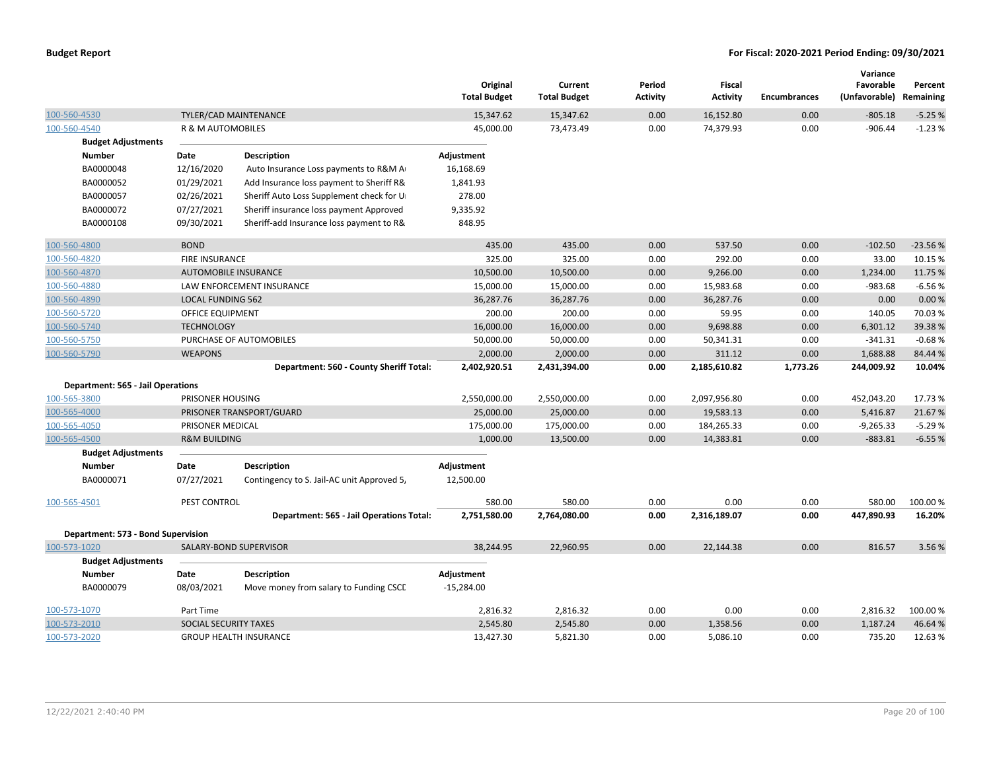|                                          |                          |                                            | Original<br><b>Total Budget</b> | Current<br><b>Total Budget</b> | Period<br>Activity | <b>Fiscal</b><br><b>Activity</b> | <b>Encumbrances</b> | Variance<br>Favorable<br>(Unfavorable) | Percent<br>Remaining |
|------------------------------------------|--------------------------|--------------------------------------------|---------------------------------|--------------------------------|--------------------|----------------------------------|---------------------|----------------------------------------|----------------------|
| 100-560-4530                             |                          | TYLER/CAD MAINTENANCE                      | 15,347.62                       | 15,347.62                      | 0.00               | 16,152.80                        | 0.00                | $-805.18$                              | $-5.25%$             |
| 100-560-4540                             | R & M AUTOMOBILES        |                                            | 45,000.00                       | 73,473.49                      | 0.00               | 74,379.93                        | 0.00                | $-906.44$                              | $-1.23%$             |
| <b>Budget Adjustments</b>                |                          |                                            |                                 |                                |                    |                                  |                     |                                        |                      |
| <b>Number</b>                            | Date                     | <b>Description</b>                         | Adjustment                      |                                |                    |                                  |                     |                                        |                      |
| BA0000048                                | 12/16/2020               | Auto Insurance Loss payments to R&M A      | 16,168.69                       |                                |                    |                                  |                     |                                        |                      |
| BA0000052                                | 01/29/2021               | Add Insurance loss payment to Sheriff R&   | 1,841.93                        |                                |                    |                                  |                     |                                        |                      |
| BA0000057                                | 02/26/2021               | Sheriff Auto Loss Supplement check for U   | 278.00                          |                                |                    |                                  |                     |                                        |                      |
| BA0000072                                | 07/27/2021               | Sheriff insurance loss payment Approved    | 9,335.92                        |                                |                    |                                  |                     |                                        |                      |
| BA0000108                                | 09/30/2021               | Sheriff-add Insurance loss payment to R&   | 848.95                          |                                |                    |                                  |                     |                                        |                      |
| 100-560-4800                             | <b>BOND</b>              |                                            | 435.00                          | 435.00                         | 0.00               | 537.50                           | 0.00                | $-102.50$                              | $-23.56%$            |
| 100-560-4820                             | <b>FIRE INSURANCE</b>    |                                            | 325.00                          | 325.00                         | 0.00               | 292.00                           | 0.00                | 33.00                                  | 10.15 %              |
| 100-560-4870                             |                          | <b>AUTOMOBILE INSURANCE</b>                | 10,500.00                       | 10,500.00                      | 0.00               | 9,266.00                         | 0.00                | 1,234.00                               | 11.75 %              |
| 100-560-4880                             |                          | LAW ENFORCEMENT INSURANCE                  | 15,000.00                       | 15,000.00                      | 0.00               | 15,983.68                        | 0.00                | $-983.68$                              | $-6.56%$             |
| 100-560-4890                             | <b>LOCAL FUNDING 562</b> |                                            | 36,287.76                       | 36,287.76                      | 0.00               | 36,287.76                        | 0.00                | 0.00                                   | 0.00%                |
| 100-560-5720                             | OFFICE EQUIPMENT         |                                            | 200.00                          | 200.00                         | 0.00               | 59.95                            | 0.00                | 140.05                                 | 70.03%               |
| 100-560-5740                             | <b>TECHNOLOGY</b>        |                                            | 16,000.00                       | 16,000.00                      | 0.00               | 9,698.88                         | 0.00                | 6,301.12                               | 39.38%               |
| 100-560-5750                             |                          | PURCHASE OF AUTOMOBILES                    | 50,000.00                       | 50,000.00                      | 0.00               | 50,341.31                        | 0.00                | $-341.31$                              | $-0.68%$             |
| 100-560-5790                             | <b>WEAPONS</b>           |                                            | 2,000.00                        | 2,000.00                       | 0.00               | 311.12                           | 0.00                | 1,688.88                               | 84.44 %              |
|                                          |                          | Department: 560 - County Sheriff Total:    | 2,402,920.51                    | 2,431,394.00                   | 0.00               | 2,185,610.82                     | 1,773.26            | 244,009.92                             | 10.04%               |
| <b>Department: 565 - Jail Operations</b> |                          |                                            |                                 |                                |                    |                                  |                     |                                        |                      |
| 100-565-3800                             | PRISONER HOUSING         |                                            | 2,550,000.00                    | 2,550,000.00                   | 0.00               | 2,097,956.80                     | 0.00                | 452,043.20                             | 17.73 %              |
| 100-565-4000                             |                          | PRISONER TRANSPORT/GUARD                   | 25,000.00                       | 25,000.00                      | 0.00               | 19,583.13                        | 0.00                | 5,416.87                               | 21.67%               |
| 100-565-4050                             | PRISONER MEDICAL         |                                            | 175,000.00                      | 175,000.00                     | 0.00               | 184,265.33                       | 0.00                | $-9,265.33$                            | $-5.29%$             |
| 100-565-4500                             | <b>R&amp;M BUILDING</b>  |                                            | 1,000.00                        | 13,500.00                      | 0.00               | 14,383.81                        | 0.00                | $-883.81$                              | $-6.55%$             |
| <b>Budget Adjustments</b>                |                          |                                            |                                 |                                |                    |                                  |                     |                                        |                      |
| <b>Number</b>                            | Date                     | <b>Description</b>                         | Adjustment                      |                                |                    |                                  |                     |                                        |                      |
| BA0000071                                | 07/27/2021               | Contingency to S. Jail-AC unit Approved 5, | 12,500.00                       |                                |                    |                                  |                     |                                        |                      |
| 100-565-4501                             | PEST CONTROL             |                                            | 580.00                          | 580.00                         | 0.00               | 0.00                             | 0.00                | 580.00                                 | 100.00%              |
|                                          |                          | Department: 565 - Jail Operations Total:   | 2,751,580.00                    | 2,764,080.00                   | 0.00               | 2,316,189.07                     | 0.00                | 447,890.93                             | 16.20%               |
| Department: 573 - Bond Supervision       |                          |                                            |                                 |                                |                    |                                  |                     |                                        |                      |
| 100-573-1020                             |                          | SALARY-BOND SUPERVISOR                     | 38,244.95                       | 22,960.95                      | 0.00               | 22,144.38                        | 0.00                | 816.57                                 | 3.56%                |
| <b>Budget Adjustments</b>                |                          |                                            |                                 |                                |                    |                                  |                     |                                        |                      |
| <b>Number</b>                            | Date                     | <b>Description</b>                         | Adjustment                      |                                |                    |                                  |                     |                                        |                      |
| BA0000079                                | 08/03/2021               | Move money from salary to Funding CSCL     | $-15,284.00$                    |                                |                    |                                  |                     |                                        |                      |
| 100-573-1070                             | Part Time                |                                            | 2,816.32                        | 2,816.32                       | 0.00               | 0.00                             | 0.00                | 2,816.32                               | 100.00%              |
| 100-573-2010                             | SOCIAL SECURITY TAXES    |                                            | 2,545.80                        | 2,545.80                       | 0.00               | 1,358.56                         | 0.00                | 1,187.24                               | 46.64%               |
| 100-573-2020                             |                          | <b>GROUP HEALTH INSURANCE</b>              | 13,427.30                       | 5,821.30                       | 0.00               | 5,086.10                         | 0.00                | 735.20                                 | 12.63%               |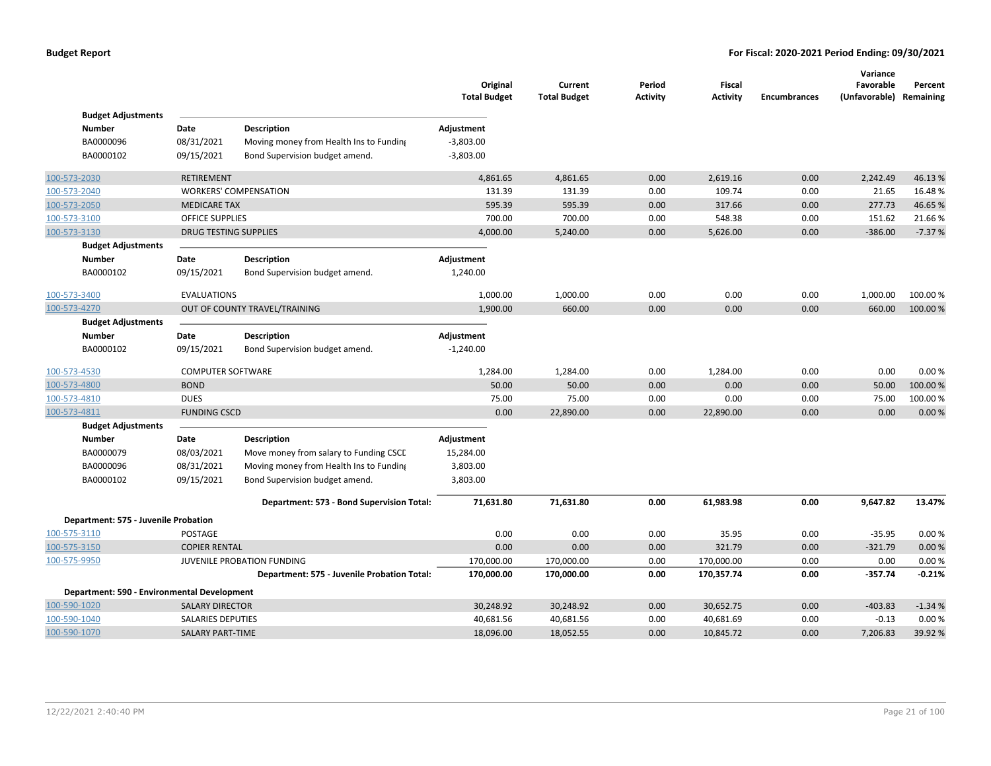|                                      |                                             |                                             | Original<br><b>Total Budget</b> | Current<br><b>Total Budget</b> | Period<br><b>Activity</b> | Fiscal<br><b>Activity</b> | <b>Encumbrances</b> | Variance<br>Favorable<br>(Unfavorable) Remaining | Percent  |
|--------------------------------------|---------------------------------------------|---------------------------------------------|---------------------------------|--------------------------------|---------------------------|---------------------------|---------------------|--------------------------------------------------|----------|
| <b>Budget Adjustments</b>            |                                             |                                             |                                 |                                |                           |                           |                     |                                                  |          |
| <b>Number</b>                        | Date                                        | <b>Description</b>                          | Adjustment                      |                                |                           |                           |                     |                                                  |          |
| BA0000096                            | 08/31/2021                                  | Moving money from Health Ins to Funding     | $-3,803.00$                     |                                |                           |                           |                     |                                                  |          |
| BA0000102                            | 09/15/2021                                  | Bond Supervision budget amend.              | $-3,803.00$                     |                                |                           |                           |                     |                                                  |          |
| 100-573-2030                         | <b>RETIREMENT</b>                           |                                             | 4,861.65                        | 4,861.65                       | 0.00                      | 2,619.16                  | 0.00                | 2,242.49                                         | 46.13%   |
| 100-573-2040                         |                                             | <b>WORKERS' COMPENSATION</b>                | 131.39                          | 131.39                         | 0.00                      | 109.74                    | 0.00                | 21.65                                            | 16.48%   |
| 100-573-2050                         | <b>MEDICARE TAX</b>                         |                                             | 595.39                          | 595.39                         | 0.00                      | 317.66                    | 0.00                | 277.73                                           | 46.65%   |
| 100-573-3100                         | <b>OFFICE SUPPLIES</b>                      |                                             | 700.00                          | 700.00                         | 0.00                      | 548.38                    | 0.00                | 151.62                                           | 21.66%   |
| 100-573-3130                         | <b>DRUG TESTING SUPPLIES</b>                |                                             | 4,000.00                        | 5,240.00                       | 0.00                      | 5,626.00                  | 0.00                | $-386.00$                                        | $-7.37%$ |
| <b>Budget Adjustments</b>            |                                             |                                             |                                 |                                |                           |                           |                     |                                                  |          |
| <b>Number</b>                        | Date                                        | Description                                 | Adjustment                      |                                |                           |                           |                     |                                                  |          |
| BA0000102                            | 09/15/2021                                  | Bond Supervision budget amend.              | 1,240.00                        |                                |                           |                           |                     |                                                  |          |
| 100-573-3400                         | <b>EVALUATIONS</b>                          |                                             | 1,000.00                        | 1,000.00                       | 0.00                      | 0.00                      | 0.00                | 1,000.00                                         | 100.00%  |
| 100-573-4270                         |                                             | OUT OF COUNTY TRAVEL/TRAINING               | 1,900.00                        | 660.00                         | 0.00                      | 0.00                      | 0.00                | 660.00                                           | 100.00%  |
| <b>Budget Adjustments</b>            |                                             |                                             |                                 |                                |                           |                           |                     |                                                  |          |
| <b>Number</b>                        | Date                                        | <b>Description</b>                          | Adjustment                      |                                |                           |                           |                     |                                                  |          |
| BA0000102                            | 09/15/2021                                  | Bond Supervision budget amend.              | $-1,240.00$                     |                                |                           |                           |                     |                                                  |          |
| 100-573-4530                         | <b>COMPUTER SOFTWARE</b>                    |                                             | 1,284.00                        | 1,284.00                       | 0.00                      | 1,284.00                  | 0.00                | 0.00                                             | 0.00%    |
| 100-573-4800                         | <b>BOND</b>                                 |                                             | 50.00                           | 50.00                          | 0.00                      | 0.00                      | 0.00                | 50.00                                            | 100.00%  |
| 100-573-4810                         | <b>DUES</b>                                 |                                             | 75.00                           | 75.00                          | 0.00                      | 0.00                      | 0.00                | 75.00                                            | 100.00%  |
| 100-573-4811                         | <b>FUNDING CSCD</b>                         |                                             | 0.00                            | 22,890.00                      | 0.00                      | 22,890.00                 | 0.00                | 0.00                                             | 0.00%    |
| <b>Budget Adjustments</b>            |                                             |                                             |                                 |                                |                           |                           |                     |                                                  |          |
| <b>Number</b>                        | Date                                        | <b>Description</b>                          | Adjustment                      |                                |                           |                           |                     |                                                  |          |
| BA0000079                            | 08/03/2021                                  | Move money from salary to Funding CSCL      | 15,284.00                       |                                |                           |                           |                     |                                                  |          |
| BA0000096                            | 08/31/2021                                  | Moving money from Health Ins to Funding     | 3,803.00                        |                                |                           |                           |                     |                                                  |          |
| BA0000102                            | 09/15/2021                                  | Bond Supervision budget amend.              | 3,803.00                        |                                |                           |                           |                     |                                                  |          |
|                                      |                                             | Department: 573 - Bond Supervision Total:   | 71,631.80                       | 71,631.80                      | 0.00                      | 61,983.98                 | 0.00                | 9,647.82                                         | 13.47%   |
| Department: 575 - Juvenile Probation |                                             |                                             |                                 |                                |                           |                           |                     |                                                  |          |
| 100-575-3110                         | POSTAGE                                     |                                             | 0.00                            | 0.00                           | 0.00                      | 35.95                     | 0.00                | $-35.95$                                         | 0.00%    |
| 100-575-3150                         | <b>COPIER RENTAL</b>                        |                                             | 0.00                            | 0.00                           | 0.00                      | 321.79                    | 0.00                | $-321.79$                                        | 0.00%    |
| 100-575-9950                         |                                             | JUVENILE PROBATION FUNDING                  | 170,000.00                      | 170,000.00                     | 0.00                      | 170,000.00                | 0.00                | 0.00                                             | 0.00%    |
|                                      |                                             | Department: 575 - Juvenile Probation Total: | 170,000.00                      | 170,000.00                     | 0.00                      | 170,357.74                | 0.00                | $-357.74$                                        | $-0.21%$ |
|                                      | Department: 590 - Environmental Development |                                             |                                 |                                |                           |                           |                     |                                                  |          |
| 100-590-1020                         | <b>SALARY DIRECTOR</b>                      |                                             | 30,248.92                       | 30,248.92                      | 0.00                      | 30,652.75                 | 0.00                | $-403.83$                                        | $-1.34%$ |
| 100-590-1040                         | <b>SALARIES DEPUTIES</b>                    |                                             | 40,681.56                       | 40,681.56                      | 0.00                      | 40,681.69                 | 0.00                | $-0.13$                                          | 0.00%    |
| 100-590-1070                         | <b>SALARY PART-TIME</b>                     |                                             | 18,096.00                       | 18,052.55                      | 0.00                      | 10,845.72                 | 0.00                | 7,206.83                                         | 39.92 %  |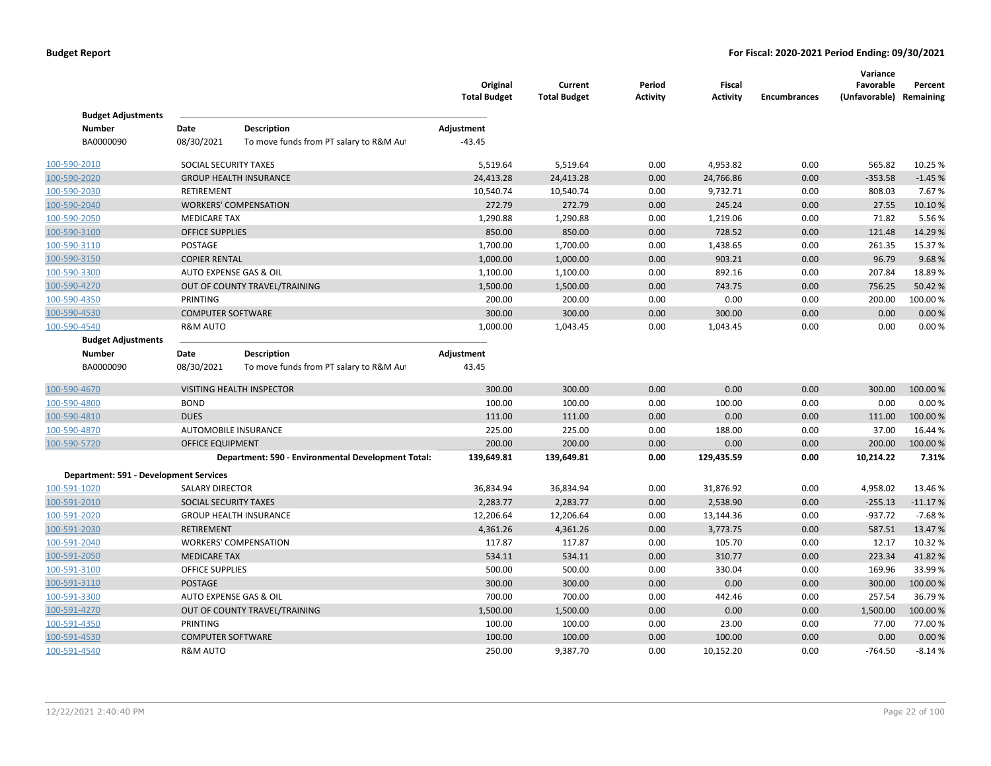|                                        |                          |                                                    | Original<br><b>Total Budget</b> | Current<br><b>Total Budget</b> | Period<br>Activity | <b>Fiscal</b><br><b>Activity</b> | <b>Encumbrances</b> | Variance<br>Favorable<br>(Unfavorable) Remaining | Percent   |
|----------------------------------------|--------------------------|----------------------------------------------------|---------------------------------|--------------------------------|--------------------|----------------------------------|---------------------|--------------------------------------------------|-----------|
| <b>Budget Adjustments</b>              |                          |                                                    |                                 |                                |                    |                                  |                     |                                                  |           |
| <b>Number</b>                          | Date                     | <b>Description</b>                                 | Adjustment                      |                                |                    |                                  |                     |                                                  |           |
| BA0000090                              | 08/30/2021               | To move funds from PT salary to R&M Au             | $-43.45$                        |                                |                    |                                  |                     |                                                  |           |
| 100-590-2010                           | SOCIAL SECURITY TAXES    |                                                    | 5,519.64                        | 5,519.64                       | 0.00               | 4,953.82                         | 0.00                | 565.82                                           | 10.25 %   |
| 100-590-2020                           |                          | <b>GROUP HEALTH INSURANCE</b>                      | 24,413.28                       | 24,413.28                      | 0.00               | 24,766.86                        | 0.00                | $-353.58$                                        | $-1.45%$  |
| 100-590-2030                           | <b>RETIREMENT</b>        |                                                    | 10,540.74                       | 10,540.74                      | 0.00               | 9,732.71                         | 0.00                | 808.03                                           | 7.67%     |
| 100-590-2040                           |                          | <b>WORKERS' COMPENSATION</b>                       | 272.79                          | 272.79                         | 0.00               | 245.24                           | 0.00                | 27.55                                            | 10.10%    |
| 100-590-2050                           | <b>MEDICARE TAX</b>      |                                                    | 1,290.88                        | 1,290.88                       | 0.00               | 1,219.06                         | 0.00                | 71.82                                            | 5.56%     |
| 100-590-3100                           | <b>OFFICE SUPPLIES</b>   |                                                    | 850.00                          | 850.00                         | 0.00               | 728.52                           | 0.00                | 121.48                                           | 14.29%    |
| 100-590-3110                           | POSTAGE                  |                                                    | 1,700.00                        | 1,700.00                       | 0.00               | 1,438.65                         | 0.00                | 261.35                                           | 15.37%    |
| 100-590-3150                           | <b>COPIER RENTAL</b>     |                                                    | 1,000.00                        | 1,000.00                       | 0.00               | 903.21                           | 0.00                | 96.79                                            | 9.68%     |
| 100-590-3300                           | AUTO EXPENSE GAS & OIL   |                                                    | 1,100.00                        | 1,100.00                       | 0.00               | 892.16                           | 0.00                | 207.84                                           | 18.89%    |
| 100-590-4270                           |                          | OUT OF COUNTY TRAVEL/TRAINING                      | 1,500.00                        | 1,500.00                       | 0.00               | 743.75                           | 0.00                | 756.25                                           | 50.42%    |
| 100-590-4350                           | PRINTING                 |                                                    | 200.00                          | 200.00                         | 0.00               | 0.00                             | 0.00                | 200.00                                           | 100.00%   |
| 100-590-4530                           | <b>COMPUTER SOFTWARE</b> |                                                    | 300.00                          | 300.00                         | 0.00               | 300.00                           | 0.00                | 0.00                                             | 0.00%     |
| 100-590-4540                           | <b>R&amp;M AUTO</b>      |                                                    | 1,000.00                        | 1,043.45                       | 0.00               | 1,043.45                         | 0.00                | 0.00                                             | 0.00%     |
| <b>Budget Adjustments</b>              |                          |                                                    |                                 |                                |                    |                                  |                     |                                                  |           |
| <b>Number</b>                          | Date                     | Description                                        | Adjustment                      |                                |                    |                                  |                     |                                                  |           |
| BA0000090                              | 08/30/2021               | To move funds from PT salary to R&M Au             | 43.45                           |                                |                    |                                  |                     |                                                  |           |
| 100-590-4670                           |                          | <b>VISITING HEALTH INSPECTOR</b>                   | 300.00                          | 300.00                         | 0.00               | 0.00                             | 0.00                | 300.00                                           | 100.00 %  |
| 100-590-4800                           | <b>BOND</b>              |                                                    | 100.00                          | 100.00                         | 0.00               | 100.00                           | 0.00                | 0.00                                             | 0.00%     |
| 100-590-4810                           | <b>DUES</b>              |                                                    | 111.00                          | 111.00                         | 0.00               | 0.00                             | 0.00                | 111.00                                           | 100.00 %  |
| 100-590-4870                           | AUTOMOBILE INSURANCE     |                                                    | 225.00                          | 225.00                         | 0.00               | 188.00                           | 0.00                | 37.00                                            | 16.44 %   |
| 100-590-5720                           | OFFICE EQUIPMENT         |                                                    | 200.00                          | 200.00                         | 0.00               | 0.00                             | 0.00                | 200.00                                           | 100.00%   |
|                                        |                          | Department: 590 - Environmental Development Total: | 139,649.81                      | 139,649.81                     | 0.00               | 129,435.59                       | 0.00                | 10,214.22                                        | 7.31%     |
| Department: 591 - Development Services |                          |                                                    |                                 |                                |                    |                                  |                     |                                                  |           |
| 100-591-1020                           | <b>SALARY DIRECTOR</b>   |                                                    | 36,834.94                       | 36,834.94                      | 0.00               | 31,876.92                        | 0.00                | 4,958.02                                         | 13.46%    |
| 100-591-2010                           | SOCIAL SECURITY TAXES    |                                                    | 2,283.77                        | 2,283.77                       | 0.00               | 2,538.90                         | 0.00                | $-255.13$                                        | $-11.17%$ |
| 100-591-2020                           |                          | <b>GROUP HEALTH INSURANCE</b>                      | 12,206.64                       | 12,206.64                      | 0.00               | 13,144.36                        | 0.00                | $-937.72$                                        | $-7.68%$  |
| 100-591-2030                           | <b>RETIREMENT</b>        |                                                    | 4,361.26                        | 4,361.26                       | 0.00               | 3,773.75                         | 0.00                | 587.51                                           | 13.47%    |
| 100-591-2040                           |                          | <b>WORKERS' COMPENSATION</b>                       | 117.87                          | 117.87                         | 0.00               | 105.70                           | 0.00                | 12.17                                            | 10.32 %   |
| 100-591-2050                           | <b>MEDICARE TAX</b>      |                                                    | 534.11                          | 534.11                         | 0.00               | 310.77                           | 0.00                | 223.34                                           | 41.82%    |
| 100-591-3100                           | <b>OFFICE SUPPLIES</b>   |                                                    | 500.00                          | 500.00                         | 0.00               | 330.04                           | 0.00                | 169.96                                           | 33.99%    |
| 100-591-3110                           | <b>POSTAGE</b>           |                                                    | 300.00                          | 300.00                         | 0.00               | 0.00                             | 0.00                | 300.00                                           | 100.00 %  |
| 100-591-3300                           | AUTO EXPENSE GAS & OIL   |                                                    | 700.00                          | 700.00                         | 0.00               | 442.46                           | 0.00                | 257.54                                           | 36.79%    |
| 100-591-4270                           |                          | OUT OF COUNTY TRAVEL/TRAINING                      | 1,500.00                        | 1,500.00                       | 0.00               | 0.00                             | 0.00                | 1,500.00                                         | 100.00 %  |
| 100-591-4350                           | PRINTING                 |                                                    | 100.00                          | 100.00                         | 0.00               | 23.00                            | 0.00                | 77.00                                            | 77.00 %   |
| 100-591-4530                           | <b>COMPUTER SOFTWARE</b> |                                                    | 100.00                          | 100.00                         | 0.00               | 100.00                           | 0.00                | 0.00                                             | 0.00%     |
| 100-591-4540                           | <b>R&amp;M AUTO</b>      |                                                    | 250.00                          | 9,387.70                       | 0.00               | 10,152.20                        | 0.00                | $-764.50$                                        | $-8.14%$  |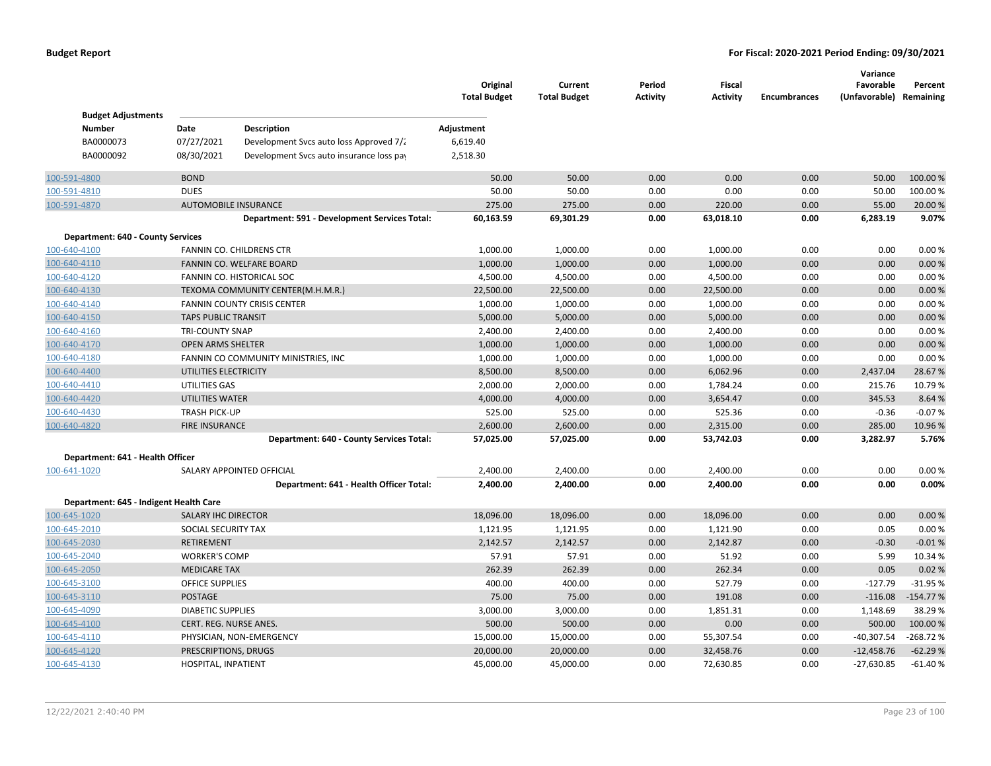|                                        |                            |                                               | Original<br><b>Total Budget</b> | Current<br><b>Total Budget</b> | Period<br><b>Activity</b> | <b>Fiscal</b><br><b>Activity</b> | <b>Encumbrances</b> | Variance<br>Favorable<br>(Unfavorable) Remaining | Percent    |
|----------------------------------------|----------------------------|-----------------------------------------------|---------------------------------|--------------------------------|---------------------------|----------------------------------|---------------------|--------------------------------------------------|------------|
| <b>Budget Adjustments</b>              |                            |                                               |                                 |                                |                           |                                  |                     |                                                  |            |
| <b>Number</b>                          | Date                       | Description                                   | Adjustment                      |                                |                           |                                  |                     |                                                  |            |
| BA0000073                              | 07/27/2021                 | Development Svcs auto loss Approved 7/2       | 6,619.40                        |                                |                           |                                  |                     |                                                  |            |
| BA0000092                              | 08/30/2021                 | Development Svcs auto insurance loss pay      | 2,518.30                        |                                |                           |                                  |                     |                                                  |            |
| 100-591-4800                           | <b>BOND</b>                |                                               | 50.00                           | 50.00                          | 0.00                      | 0.00                             | 0.00                | 50.00                                            | 100.00 %   |
| 100-591-4810                           | <b>DUES</b>                |                                               | 50.00                           | 50.00                          | 0.00                      | 0.00                             | 0.00                | 50.00                                            | 100.00 %   |
| 100-591-4870                           |                            | <b>AUTOMOBILE INSURANCE</b>                   | 275.00                          | 275.00                         | 0.00                      | 220.00                           | 0.00                | 55.00                                            | 20.00 %    |
|                                        |                            | Department: 591 - Development Services Total: | 60,163.59                       | 69,301.29                      | 0.00                      | 63,018.10                        | 0.00                | 6,283.19                                         | 9.07%      |
| Department: 640 - County Services      |                            |                                               |                                 |                                |                           |                                  |                     |                                                  |            |
| 100-640-4100                           |                            | FANNIN CO. CHILDRENS CTR                      | 1,000.00                        | 1,000.00                       | 0.00                      | 1,000.00                         | 0.00                | 0.00                                             | 0.00%      |
| 100-640-4110                           |                            | FANNIN CO. WELFARE BOARD                      | 1,000.00                        | 1,000.00                       | 0.00                      | 1,000.00                         | 0.00                | 0.00                                             | 0.00%      |
| 100-640-4120                           |                            | FANNIN CO. HISTORICAL SOC                     | 4,500.00                        | 4,500.00                       | 0.00                      | 4,500.00                         | 0.00                | 0.00                                             | 0.00%      |
| 100-640-4130                           |                            | TEXOMA COMMUNITY CENTER(M.H.M.R.)             | 22,500.00                       | 22,500.00                      | 0.00                      | 22,500.00                        | 0.00                | 0.00                                             | 0.00%      |
| 100-640-4140                           |                            | FANNIN COUNTY CRISIS CENTER                   | 1,000.00                        | 1,000.00                       | 0.00                      | 1,000.00                         | 0.00                | 0.00                                             | 0.00%      |
| 100-640-4150                           | <b>TAPS PUBLIC TRANSIT</b> |                                               | 5,000.00                        | 5,000.00                       | 0.00                      | 5,000.00                         | 0.00                | 0.00                                             | 0.00%      |
| 100-640-4160                           | <b>TRI-COUNTY SNAP</b>     |                                               | 2,400.00                        | 2,400.00                       | 0.00                      | 2,400.00                         | 0.00                | 0.00                                             | 0.00%      |
| 100-640-4170                           | <b>OPEN ARMS SHELTER</b>   |                                               | 1,000.00                        | 1,000.00                       | 0.00                      | 1,000.00                         | 0.00                | 0.00                                             | 0.00%      |
| 100-640-4180                           |                            | FANNIN CO COMMUNITY MINISTRIES, INC           | 1,000.00                        | 1,000.00                       | 0.00                      | 1,000.00                         | 0.00                | 0.00                                             | 0.00%      |
| 100-640-4400                           | UTILITIES ELECTRICITY      |                                               | 8,500.00                        | 8,500.00                       | 0.00                      | 6,062.96                         | 0.00                | 2,437.04                                         | 28.67%     |
| 100-640-4410                           | UTILITIES GAS              |                                               | 2,000.00                        | 2,000.00                       | 0.00                      | 1,784.24                         | 0.00                | 215.76                                           | 10.79%     |
| 100-640-4420                           | UTILITIES WATER            |                                               | 4,000.00                        | 4,000.00                       | 0.00                      | 3,654.47                         | 0.00                | 345.53                                           | 8.64 %     |
| 100-640-4430                           | <b>TRASH PICK-UP</b>       |                                               | 525.00                          | 525.00                         | 0.00                      | 525.36                           | 0.00                | $-0.36$                                          | $-0.07%$   |
| 100-640-4820                           | <b>FIRE INSURANCE</b>      |                                               | 2,600.00                        | 2,600.00                       | 0.00                      | 2,315.00                         | 0.00                | 285.00                                           | 10.96%     |
|                                        |                            | Department: 640 - County Services Total:      | 57,025.00                       | 57,025.00                      | 0.00                      | 53,742.03                        | 0.00                | 3,282.97                                         | 5.76%      |
| Department: 641 - Health Officer       |                            |                                               |                                 |                                |                           |                                  |                     |                                                  |            |
| 100-641-1020                           |                            | SALARY APPOINTED OFFICIAL                     | 2,400.00                        | 2,400.00                       | 0.00                      | 2,400.00                         | 0.00                | 0.00                                             | 0.00%      |
|                                        |                            | Department: 641 - Health Officer Total:       | 2,400.00                        | 2,400.00                       | 0.00                      | 2,400.00                         | 0.00                | 0.00                                             | 0.00%      |
| Department: 645 - Indigent Health Care |                            |                                               |                                 |                                |                           |                                  |                     |                                                  |            |
| 100-645-1020                           | <b>SALARY IHC DIRECTOR</b> |                                               | 18,096.00                       | 18,096.00                      | 0.00                      | 18,096.00                        | 0.00                | 0.00                                             | 0.00%      |
| 100-645-2010                           | SOCIAL SECURITY TAX        |                                               | 1,121.95                        | 1,121.95                       | 0.00                      | 1,121.90                         | 0.00                | 0.05                                             | 0.00%      |
| 100-645-2030                           | RETIREMENT                 |                                               | 2,142.57                        | 2,142.57                       | 0.00                      | 2,142.87                         | 0.00                | $-0.30$                                          | $-0.01%$   |
| 100-645-2040                           | <b>WORKER'S COMP</b>       |                                               | 57.91                           | 57.91                          | 0.00                      | 51.92                            | 0.00                | 5.99                                             | 10.34 %    |
| 100-645-2050                           | <b>MEDICARE TAX</b>        |                                               | 262.39                          | 262.39                         | 0.00                      | 262.34                           | 0.00                | 0.05                                             | 0.02 %     |
| 100-645-3100                           | <b>OFFICE SUPPLIES</b>     |                                               | 400.00                          | 400.00                         | 0.00                      | 527.79                           | 0.00                | $-127.79$                                        | $-31.95%$  |
| 100-645-3110                           | POSTAGE                    |                                               | 75.00                           | 75.00                          | 0.00                      | 191.08                           | 0.00                | $-116.08$                                        | $-154.77%$ |
| 100-645-4090                           | <b>DIABETIC SUPPLIES</b>   |                                               | 3,000.00                        | 3,000.00                       | 0.00                      | 1,851.31                         | 0.00                | 1,148.69                                         | 38.29%     |
| 100-645-4100                           | CERT. REG. NURSE ANES.     |                                               | 500.00                          | 500.00                         | 0.00                      | 0.00                             | 0.00                | 500.00                                           | 100.00%    |
| 100-645-4110                           |                            | PHYSICIAN, NON-EMERGENCY                      | 15,000.00                       | 15,000.00                      | 0.00                      | 55,307.54                        | 0.00                | $-40,307.54$                                     | $-268.72%$ |
| 100-645-4120                           | PRESCRIPTIONS, DRUGS       |                                               | 20,000.00                       | 20,000.00                      | 0.00                      | 32,458.76                        | 0.00                | $-12,458.76$                                     | $-62.29%$  |
| 100-645-4130                           | HOSPITAL, INPATIENT        |                                               | 45,000.00                       | 45,000.00                      | 0.00                      | 72,630.85                        | 0.00                | $-27,630.85$                                     | $-61.40%$  |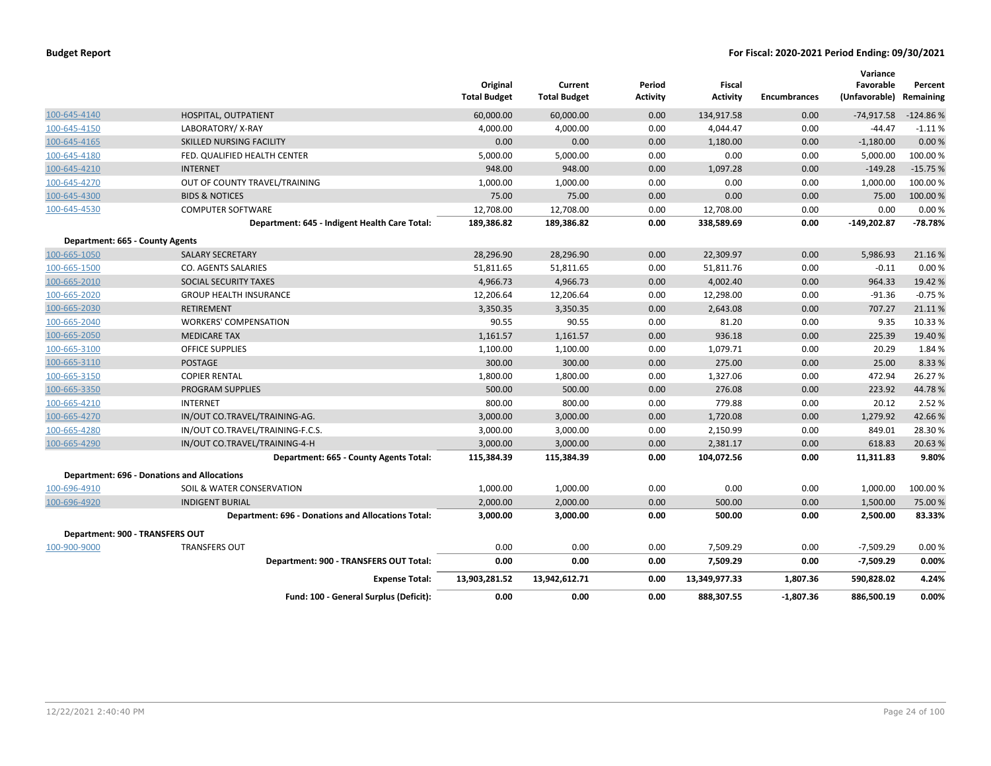|                                 |                                                           | Original<br><b>Total Budget</b> | Current<br><b>Total Budget</b> | Period<br>Activity | <b>Fiscal</b><br><b>Activity</b> | <b>Encumbrances</b> | Variance<br>Favorable<br>(Unfavorable) | Percent<br>Remaining |
|---------------------------------|-----------------------------------------------------------|---------------------------------|--------------------------------|--------------------|----------------------------------|---------------------|----------------------------------------|----------------------|
| 100-645-4140                    | HOSPITAL, OUTPATIENT                                      | 60,000.00                       | 60,000.00                      | 0.00               | 134,917.58                       | 0.00                | $-74,917.58$                           | $-124.86%$           |
| 100-645-4150                    | LABORATORY/X-RAY                                          | 4,000.00                        | 4,000.00                       | 0.00               | 4,044.47                         | 0.00                | $-44.47$                               | $-1.11%$             |
| 100-645-4165                    | SKILLED NURSING FACILITY                                  | 0.00                            | 0.00                           | 0.00               | 1,180.00                         | 0.00                | $-1,180.00$                            | 0.00%                |
| 100-645-4180                    | FED. QUALIFIED HEALTH CENTER                              | 5,000.00                        | 5,000.00                       | 0.00               | 0.00                             | 0.00                | 5,000.00                               | 100.00%              |
| 100-645-4210                    | <b>INTERNET</b>                                           | 948.00                          | 948.00                         | 0.00               | 1,097.28                         | 0.00                | $-149.28$                              | $-15.75%$            |
| 100-645-4270                    | OUT OF COUNTY TRAVEL/TRAINING                             | 1,000.00                        | 1,000.00                       | 0.00               | 0.00                             | 0.00                | 1,000.00                               | 100.00%              |
| 100-645-4300                    | <b>BIDS &amp; NOTICES</b>                                 | 75.00                           | 75.00                          | 0.00               | 0.00                             | 0.00                | 75.00                                  | 100.00%              |
| 100-645-4530                    | <b>COMPUTER SOFTWARE</b>                                  | 12,708.00                       | 12,708.00                      | 0.00               | 12,708.00                        | 0.00                | 0.00                                   | 0.00%                |
|                                 | Department: 645 - Indigent Health Care Total:             | 189,386.82                      | 189,386.82                     | 0.00               | 338,589.69                       | 0.00                | $-149,202.87$                          | $-78.78%$            |
| Department: 665 - County Agents |                                                           |                                 |                                |                    |                                  |                     |                                        |                      |
| 100-665-1050                    | <b>SALARY SECRETARY</b>                                   | 28,296.90                       | 28,296.90                      | 0.00               | 22,309.97                        | 0.00                | 5,986.93                               | 21.16%               |
| 100-665-1500                    | <b>CO. AGENTS SALARIES</b>                                | 51,811.65                       | 51,811.65                      | 0.00               | 51,811.76                        | 0.00                | $-0.11$                                | 0.00%                |
| 100-665-2010                    | SOCIAL SECURITY TAXES                                     | 4,966.73                        | 4,966.73                       | 0.00               | 4,002.40                         | 0.00                | 964.33                                 | 19.42 %              |
| 100-665-2020                    | <b>GROUP HEALTH INSURANCE</b>                             | 12,206.64                       | 12,206.64                      | 0.00               | 12,298.00                        | 0.00                | $-91.36$                               | $-0.75%$             |
| 100-665-2030                    | <b>RETIREMENT</b>                                         | 3,350.35                        | 3,350.35                       | 0.00               | 2,643.08                         | 0.00                | 707.27                                 | 21.11%               |
| 100-665-2040                    | <b>WORKERS' COMPENSATION</b>                              | 90.55                           | 90.55                          | 0.00               | 81.20                            | 0.00                | 9.35                                   | 10.33 %              |
| 100-665-2050                    | <b>MEDICARE TAX</b>                                       | 1,161.57                        | 1,161.57                       | 0.00               | 936.18                           | 0.00                | 225.39                                 | 19.40 %              |
| 100-665-3100                    | <b>OFFICE SUPPLIES</b>                                    | 1,100.00                        | 1,100.00                       | 0.00               | 1,079.71                         | 0.00                | 20.29                                  | 1.84 %               |
| 100-665-3110                    | <b>POSTAGE</b>                                            | 300.00                          | 300.00                         | 0.00               | 275.00                           | 0.00                | 25.00                                  | 8.33 %               |
| 100-665-3150                    | <b>COPIER RENTAL</b>                                      | 1,800.00                        | 1,800.00                       | 0.00               | 1,327.06                         | 0.00                | 472.94                                 | 26.27%               |
| 100-665-3350                    | PROGRAM SUPPLIES                                          | 500.00                          | 500.00                         | 0.00               | 276.08                           | 0.00                | 223.92                                 | 44.78%               |
| 100-665-4210                    | <b>INTERNET</b>                                           | 800.00                          | 800.00                         | 0.00               | 779.88                           | 0.00                | 20.12                                  | 2.52 %               |
| 100-665-4270                    | IN/OUT CO.TRAVEL/TRAINING-AG.                             | 3,000.00                        | 3,000.00                       | 0.00               | 1,720.08                         | 0.00                | 1,279.92                               | 42.66%               |
| 100-665-4280                    | IN/OUT CO.TRAVEL/TRAINING-F.C.S.                          | 3,000.00                        | 3,000.00                       | 0.00               | 2,150.99                         | 0.00                | 849.01                                 | 28.30%               |
| 100-665-4290                    | IN/OUT CO.TRAVEL/TRAINING-4-H                             | 3,000.00                        | 3,000.00                       | 0.00               | 2,381.17                         | 0.00                | 618.83                                 | 20.63%               |
|                                 | Department: 665 - County Agents Total:                    | 115,384.39                      | 115,384.39                     | 0.00               | 104,072.56                       | 0.00                | 11,311.83                              | 9.80%                |
|                                 | <b>Department: 696 - Donations and Allocations</b>        |                                 |                                |                    |                                  |                     |                                        |                      |
| 100-696-4910                    | SOIL & WATER CONSERVATION                                 | 1,000.00                        | 1,000.00                       | 0.00               | 0.00                             | 0.00                | 1,000.00                               | 100.00 %             |
| 100-696-4920                    | <b>INDIGENT BURIAL</b>                                    | 2,000.00                        | 2,000.00                       | 0.00               | 500.00                           | 0.00                | 1,500.00                               | 75.00 %              |
|                                 | <b>Department: 696 - Donations and Allocations Total:</b> | 3,000.00                        | 3,000.00                       | 0.00               | 500.00                           | 0.00                | 2,500.00                               | 83.33%               |
| Department: 900 - TRANSFERS OUT |                                                           |                                 |                                |                    |                                  |                     |                                        |                      |
| 100-900-9000                    | <b>TRANSFERS OUT</b>                                      | 0.00                            | 0.00                           | 0.00               | 7,509.29                         | 0.00                | $-7,509.29$                            | 0.00%                |
|                                 | Department: 900 - TRANSFERS OUT Total:                    | 0.00                            | 0.00                           | 0.00               | 7,509.29                         | 0.00                | $-7,509.29$                            | 0.00%                |
|                                 | <b>Expense Total:</b>                                     | 13,903,281.52                   | 13,942,612.71                  | 0.00               | 13,349,977.33                    | 1,807.36            | 590,828.02                             | 4.24%                |
|                                 | Fund: 100 - General Surplus (Deficit):                    | 0.00                            | 0.00                           | 0.00               | 888,307.55                       | $-1,807.36$         | 886,500.19                             | 0.00%                |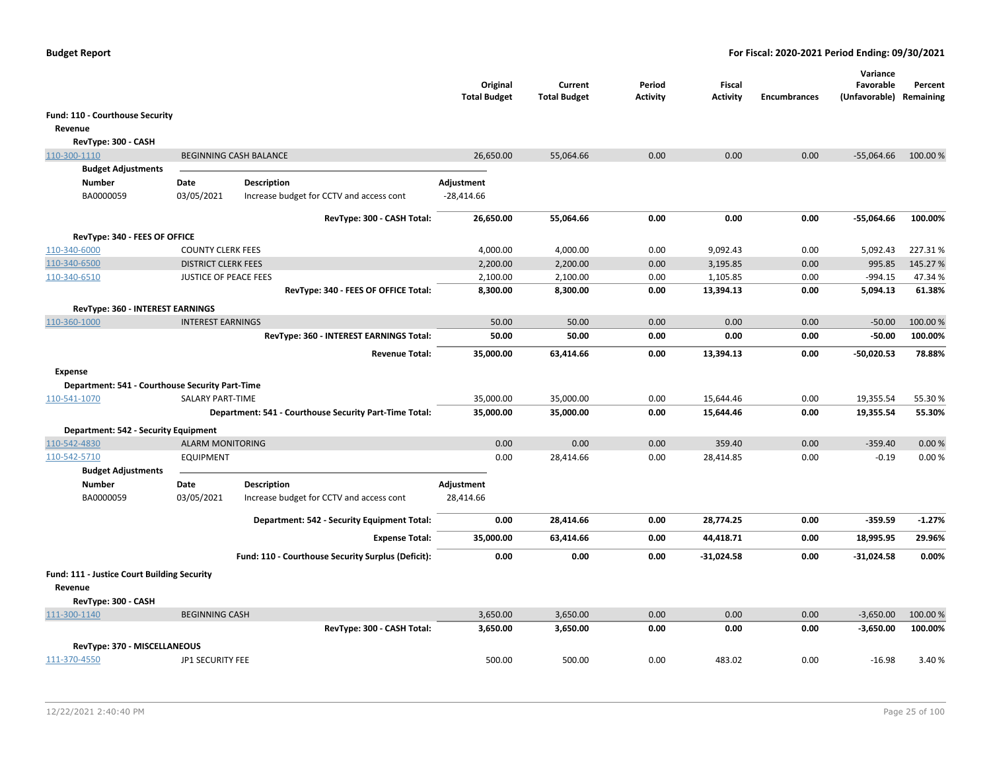|                                                 |                            |                                                        | Original<br><b>Total Budget</b> | Current<br><b>Total Budget</b> | Period<br><b>Activity</b> | Fiscal<br><b>Activity</b> | <b>Encumbrances</b> | Variance<br>Favorable<br>(Unfavorable) | Percent<br>Remaining |
|-------------------------------------------------|----------------------------|--------------------------------------------------------|---------------------------------|--------------------------------|---------------------------|---------------------------|---------------------|----------------------------------------|----------------------|
| Fund: 110 - Courthouse Security                 |                            |                                                        |                                 |                                |                           |                           |                     |                                        |                      |
| Revenue                                         |                            |                                                        |                                 |                                |                           |                           |                     |                                        |                      |
| RevType: 300 - CASH                             |                            |                                                        |                                 |                                |                           |                           |                     |                                        |                      |
| 110-300-1110                                    |                            | <b>BEGINNING CASH BALANCE</b>                          | 26,650.00                       | 55,064.66                      | 0.00                      | 0.00                      | 0.00                | $-55,064.66$                           | 100.00%              |
| <b>Budget Adjustments</b>                       |                            |                                                        |                                 |                                |                           |                           |                     |                                        |                      |
| <b>Number</b>                                   | Date                       | Description                                            | Adjustment                      |                                |                           |                           |                     |                                        |                      |
| BA0000059                                       | 03/05/2021                 | Increase budget for CCTV and access cont               | $-28,414.66$                    |                                |                           |                           |                     |                                        |                      |
|                                                 |                            | RevType: 300 - CASH Total:                             | 26,650.00                       | 55,064.66                      | 0.00                      | 0.00                      | 0.00                | $-55,064.66$                           | 100.00%              |
| RevType: 340 - FEES OF OFFICE                   |                            |                                                        |                                 |                                |                           |                           |                     |                                        |                      |
| 110-340-6000                                    | <b>COUNTY CLERK FEES</b>   |                                                        | 4,000.00                        | 4,000.00                       | 0.00                      | 9,092.43                  | 0.00                | 5,092.43                               | 227.31%              |
| 110-340-6500                                    | <b>DISTRICT CLERK FEES</b> |                                                        | 2,200.00                        | 2,200.00                       | 0.00                      | 3,195.85                  | 0.00                | 995.85                                 | 145.27%              |
| 110-340-6510                                    | JUSTICE OF PEACE FEES      |                                                        | 2,100.00                        | 2,100.00                       | 0.00                      | 1,105.85                  | 0.00                | $-994.15$                              | 47.34%               |
|                                                 |                            | RevType: 340 - FEES OF OFFICE Total:                   | 8,300.00                        | 8,300.00                       | 0.00                      | 13,394.13                 | 0.00                | 5,094.13                               | 61.38%               |
| RevType: 360 - INTEREST EARNINGS                |                            |                                                        |                                 |                                |                           |                           |                     |                                        |                      |
| 110-360-1000                                    | <b>INTEREST EARNINGS</b>   |                                                        | 50.00                           | 50.00                          | 0.00                      | 0.00                      | 0.00                | $-50.00$                               | 100.00 %             |
|                                                 |                            | RevType: 360 - INTEREST EARNINGS Total:                | 50.00                           | 50.00                          | 0.00                      | 0.00                      | 0.00                | $-50.00$                               | 100.00%              |
|                                                 |                            | <b>Revenue Total:</b>                                  | 35,000.00                       | 63,414.66                      | 0.00                      | 13,394.13                 | 0.00                | $-50,020.53$                           | 78.88%               |
| Expense                                         |                            |                                                        |                                 |                                |                           |                           |                     |                                        |                      |
| Department: 541 - Courthouse Security Part-Time |                            |                                                        |                                 |                                |                           |                           |                     |                                        |                      |
| 110-541-1070                                    | SALARY PART-TIME           |                                                        | 35,000.00                       | 35,000.00                      | 0.00                      | 15,644.46                 | 0.00                | 19,355.54                              | 55.30 %              |
|                                                 |                            | Department: 541 - Courthouse Security Part-Time Total: | 35,000.00                       | 35,000.00                      | 0.00                      | 15,644.46                 | 0.00                | 19,355.54                              | 55.30%               |
| Department: 542 - Security Equipment            |                            |                                                        |                                 |                                |                           |                           |                     |                                        |                      |
| 110-542-4830                                    | <b>ALARM MONITORING</b>    |                                                        | 0.00                            | 0.00                           | 0.00                      | 359.40                    | 0.00                | $-359.40$                              | 0.00%                |
| 110-542-5710                                    | <b>EQUIPMENT</b>           |                                                        | 0.00                            | 28,414.66                      | 0.00                      | 28,414.85                 | 0.00                | $-0.19$                                | 0.00%                |
| <b>Budget Adjustments</b><br>Number             | Date                       | Description                                            | Adjustment                      |                                |                           |                           |                     |                                        |                      |
| BA0000059                                       | 03/05/2021                 | Increase budget for CCTV and access cont               | 28,414.66                       |                                |                           |                           |                     |                                        |                      |
|                                                 |                            | Department: 542 - Security Equipment Total:            | 0.00                            | 28,414.66                      | 0.00                      | 28,774.25                 | 0.00                | $-359.59$                              | $-1.27%$             |
|                                                 |                            | <b>Expense Total:</b>                                  | 35,000.00                       | 63,414.66                      | 0.00                      | 44,418.71                 | 0.00                | 18,995.95                              | 29.96%               |
|                                                 |                            | Fund: 110 - Courthouse Security Surplus (Deficit):     | 0.00                            | 0.00                           | 0.00                      | $-31,024.58$              | 0.00                | $-31,024.58$                           | 0.00%                |
| Fund: 111 - Justice Court Building Security     |                            |                                                        |                                 |                                |                           |                           |                     |                                        |                      |
| Revenue                                         |                            |                                                        |                                 |                                |                           |                           |                     |                                        |                      |
| RevType: 300 - CASH                             |                            |                                                        |                                 |                                |                           |                           |                     |                                        |                      |
| 111-300-1140                                    | <b>BEGINNING CASH</b>      |                                                        | 3,650.00                        | 3,650.00                       | 0.00                      | 0.00                      | 0.00                | $-3,650.00$                            | 100.00%              |
|                                                 |                            | RevType: 300 - CASH Total:                             | 3,650.00                        | 3,650.00                       | 0.00                      | 0.00                      | 0.00                | $-3,650.00$                            | 100.00%              |
| RevType: 370 - MISCELLANEOUS                    |                            |                                                        |                                 |                                |                           |                           |                     |                                        |                      |
| 111-370-4550                                    | JP1 SECURITY FEE           |                                                        | 500.00                          | 500.00                         | 0.00                      | 483.02                    | 0.00                | $-16.98$                               | 3.40%                |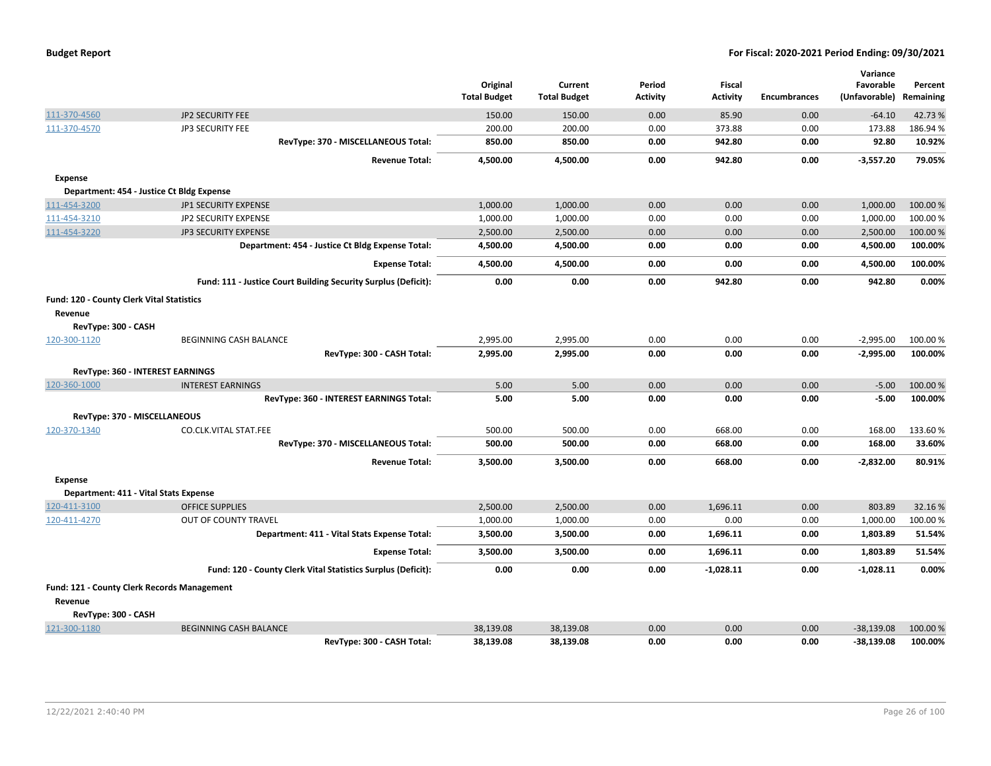| <b>Budget Report</b> |  |
|----------------------|--|
|----------------------|--|

|                                           |                                                                |                                 |                                |                           |                                  |                     | Variance                   |                      |
|-------------------------------------------|----------------------------------------------------------------|---------------------------------|--------------------------------|---------------------------|----------------------------------|---------------------|----------------------------|----------------------|
|                                           |                                                                | Original<br><b>Total Budget</b> | Current<br><b>Total Budget</b> | Period<br><b>Activity</b> | <b>Fiscal</b><br><b>Activity</b> | <b>Encumbrances</b> | Favorable<br>(Unfavorable) | Percent<br>Remaining |
| 111-370-4560                              | JP2 SECURITY FEE                                               | 150.00                          | 150.00                         | 0.00                      | 85.90                            | 0.00                | $-64.10$                   | 42.73%               |
| 111-370-4570                              | JP3 SECURITY FEE                                               | 200.00                          | 200.00                         | 0.00                      | 373.88                           | 0.00                | 173.88                     | 186.94%              |
|                                           | RevType: 370 - MISCELLANEOUS Total:                            | 850.00                          | 850.00                         | 0.00                      | 942.80                           | 0.00                | 92.80                      | 10.92%               |
|                                           | <b>Revenue Total:</b>                                          | 4,500.00                        | 4,500.00                       | 0.00                      | 942.80                           | 0.00                | $-3,557.20$                | 79.05%               |
| <b>Expense</b>                            |                                                                |                                 |                                |                           |                                  |                     |                            |                      |
|                                           | Department: 454 - Justice Ct Bldg Expense                      |                                 |                                |                           |                                  |                     |                            |                      |
| 111-454-3200                              | JP1 SECURITY EXPENSE                                           | 1,000.00                        | 1,000.00                       | 0.00                      | 0.00                             | 0.00                | 1,000.00                   | 100.00 %             |
| 111-454-3210                              | <b>JP2 SECURITY EXPENSE</b>                                    | 1,000.00                        | 1,000.00                       | 0.00                      | 0.00                             | 0.00                | 1,000.00                   | 100.00%              |
| 111-454-3220                              | <b>JP3 SECURITY EXPENSE</b>                                    | 2,500.00                        | 2,500.00                       | 0.00                      | 0.00                             | 0.00                | 2,500.00                   | 100.00 %             |
|                                           | Department: 454 - Justice Ct Bldg Expense Total:               | 4,500.00                        | 4,500.00                       | 0.00                      | 0.00                             | 0.00                | 4,500.00                   | 100.00%              |
|                                           | <b>Expense Total:</b>                                          | 4,500.00                        | 4,500.00                       | 0.00                      | 0.00                             | 0.00                | 4,500.00                   | 100.00%              |
|                                           | Fund: 111 - Justice Court Building Security Surplus (Deficit): | 0.00                            | 0.00                           | 0.00                      | 942.80                           | 0.00                | 942.80                     | 0.00%                |
| Fund: 120 - County Clerk Vital Statistics |                                                                |                                 |                                |                           |                                  |                     |                            |                      |
| Revenue                                   |                                                                |                                 |                                |                           |                                  |                     |                            |                      |
| RevType: 300 - CASH                       |                                                                |                                 |                                |                           |                                  |                     |                            |                      |
| 120-300-1120                              | <b>BEGINNING CASH BALANCE</b>                                  | 2,995.00                        | 2,995.00                       | 0.00                      | 0.00                             | 0.00                | $-2,995.00$                | 100.00%              |
|                                           | RevType: 300 - CASH Total:                                     | 2,995.00                        | 2,995.00                       | 0.00                      | 0.00                             | 0.00                | $-2,995.00$                | 100.00%              |
|                                           | RevType: 360 - INTEREST EARNINGS                               |                                 |                                |                           |                                  |                     |                            |                      |
| 120-360-1000                              | <b>INTEREST EARNINGS</b>                                       | 5.00                            | 5.00                           | 0.00                      | 0.00                             | 0.00                | $-5.00$                    | 100.00 %             |
|                                           | RevType: 360 - INTEREST EARNINGS Total:                        | 5.00                            | 5.00                           | 0.00                      | 0.00                             | 0.00                | $-5.00$                    | 100.00%              |
|                                           | RevType: 370 - MISCELLANEOUS                                   |                                 |                                |                           |                                  |                     |                            |                      |
| 120-370-1340                              | CO.CLK.VITAL STAT.FEE                                          | 500.00                          | 500.00                         | 0.00                      | 668.00                           | 0.00                | 168.00                     | 133.60%              |
|                                           | RevType: 370 - MISCELLANEOUS Total:                            | 500.00                          | 500.00                         | 0.00                      | 668.00                           | 0.00                | 168.00                     | 33.60%               |
|                                           | <b>Revenue Total:</b>                                          | 3,500.00                        | 3,500.00                       | 0.00                      | 668.00                           | 0.00                | $-2,832.00$                | 80.91%               |
| Expense                                   |                                                                |                                 |                                |                           |                                  |                     |                            |                      |
|                                           | Department: 411 - Vital Stats Expense                          |                                 |                                |                           |                                  |                     |                            |                      |
| 120-411-3100                              | <b>OFFICE SUPPLIES</b>                                         | 2,500.00                        | 2,500.00                       | 0.00                      | 1,696.11                         | 0.00                | 803.89                     | 32.16%               |
| 120-411-4270                              | OUT OF COUNTY TRAVEL                                           | 1,000.00                        | 1,000.00                       | 0.00                      | 0.00                             | 0.00                | 1,000.00                   | 100.00%              |
|                                           | Department: 411 - Vital Stats Expense Total:                   | 3,500.00                        | 3,500.00                       | 0.00                      | 1,696.11                         | 0.00                | 1,803.89                   | 51.54%               |
|                                           | <b>Expense Total:</b>                                          | 3,500.00                        | 3,500.00                       | 0.00                      | 1,696.11                         | 0.00                | 1,803.89                   | 51.54%               |
|                                           | Fund: 120 - County Clerk Vital Statistics Surplus (Deficit):   | 0.00                            | 0.00                           | 0.00                      | $-1,028.11$                      | 0.00                | $-1,028.11$                | 0.00%                |
|                                           | Fund: 121 - County Clerk Records Management                    |                                 |                                |                           |                                  |                     |                            |                      |
| Revenue                                   |                                                                |                                 |                                |                           |                                  |                     |                            |                      |
| RevType: 300 - CASH                       |                                                                |                                 |                                |                           |                                  |                     |                            |                      |
| 121-300-1180                              | <b>BEGINNING CASH BALANCE</b>                                  | 38,139.08                       | 38.139.08                      | 0.00                      | 0.00                             | 0.00                | $-38,139.08$               | 100.00 %             |
|                                           | RevType: 300 - CASH Total:                                     | 38,139.08                       | 38,139.08                      | 0.00                      | 0.00                             | 0.00                | $-38,139.08$               | 100.00%              |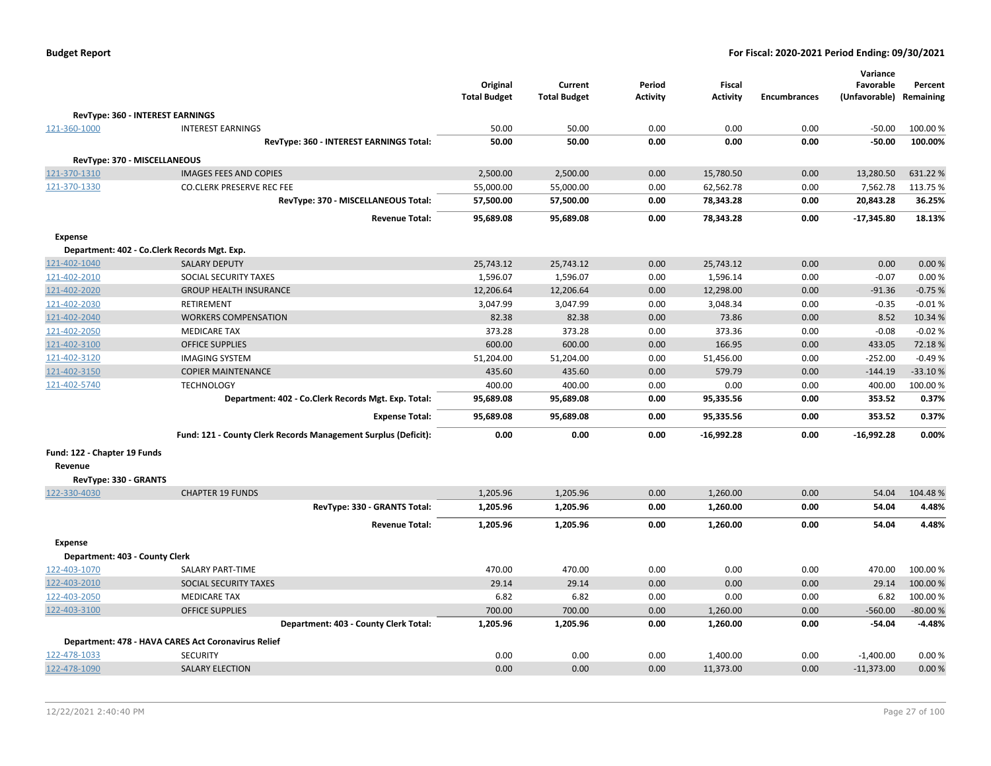| <b>Budget Report</b> |  |
|----------------------|--|
|----------------------|--|

|                                  |                                                                |                     |                     |          |                 |                     | Variance      |           |
|----------------------------------|----------------------------------------------------------------|---------------------|---------------------|----------|-----------------|---------------------|---------------|-----------|
|                                  |                                                                | Original            | Current             | Period   | Fiscal          |                     | Favorable     | Percent   |
|                                  |                                                                | <b>Total Budget</b> | <b>Total Budget</b> | Activity | <b>Activity</b> | <b>Encumbrances</b> | (Unfavorable) | Remaining |
| RevType: 360 - INTEREST EARNINGS |                                                                |                     |                     |          |                 |                     |               |           |
| 121-360-1000                     | <b>INTEREST EARNINGS</b>                                       | 50.00               | 50.00               | 0.00     | 0.00            | 0.00                | $-50.00$      | 100.00%   |
|                                  | RevType: 360 - INTEREST EARNINGS Total:                        | 50.00               | 50.00               | 0.00     | 0.00            | 0.00                | $-50.00$      | 100.00%   |
| RevType: 370 - MISCELLANEOUS     |                                                                |                     |                     |          |                 |                     |               |           |
| 121-370-1310                     | <b>IMAGES FEES AND COPIES</b>                                  | 2,500.00            | 2,500.00            | 0.00     | 15,780.50       | 0.00                | 13,280.50     | 631.22%   |
| 121-370-1330                     | <b>CO.CLERK PRESERVE REC FEE</b>                               | 55,000.00           | 55,000.00           | 0.00     | 62,562.78       | 0.00                | 7,562.78      | 113.75 %  |
|                                  | RevType: 370 - MISCELLANEOUS Total:                            | 57,500.00           | 57,500.00           | 0.00     | 78,343.28       | 0.00                | 20,843.28     | 36.25%    |
|                                  | <b>Revenue Total:</b>                                          | 95,689.08           | 95,689.08           | 0.00     | 78,343.28       | 0.00                | $-17,345.80$  | 18.13%    |
| <b>Expense</b>                   |                                                                |                     |                     |          |                 |                     |               |           |
|                                  | Department: 402 - Co.Clerk Records Mgt. Exp.                   |                     |                     |          |                 |                     |               |           |
| 121-402-1040                     | <b>SALARY DEPUTY</b>                                           | 25,743.12           | 25,743.12           | 0.00     | 25,743.12       | 0.00                | 0.00          | 0.00%     |
| 121-402-2010                     | SOCIAL SECURITY TAXES                                          | 1,596.07            | 1,596.07            | 0.00     | 1,596.14        | 0.00                | $-0.07$       | 0.00%     |
| 121-402-2020                     | <b>GROUP HEALTH INSURANCE</b>                                  | 12,206.64           | 12,206.64           | 0.00     | 12,298.00       | 0.00                | $-91.36$      | $-0.75%$  |
| 121-402-2030                     | <b>RETIREMENT</b>                                              | 3,047.99            | 3,047.99            | 0.00     | 3,048.34        | 0.00                | $-0.35$       | $-0.01%$  |
| 121-402-2040                     | <b>WORKERS COMPENSATION</b>                                    | 82.38               | 82.38               | 0.00     | 73.86           | 0.00                | 8.52          | 10.34 %   |
| 121-402-2050                     | <b>MEDICARE TAX</b>                                            | 373.28              | 373.28              | 0.00     | 373.36          | 0.00                | $-0.08$       | $-0.02%$  |
| 121-402-3100                     | <b>OFFICE SUPPLIES</b>                                         | 600.00              | 600.00              | 0.00     | 166.95          | 0.00                | 433.05        | 72.18%    |
| 121-402-3120                     | <b>IMAGING SYSTEM</b>                                          | 51,204.00           | 51,204.00           | 0.00     | 51,456.00       | 0.00                | $-252.00$     | $-0.49%$  |
| 121-402-3150                     | <b>COPIER MAINTENANCE</b>                                      | 435.60              | 435.60              | 0.00     | 579.79          | 0.00                | $-144.19$     | $-33.10%$ |
| 121-402-5740                     | <b>TECHNOLOGY</b>                                              | 400.00              | 400.00              | 0.00     | 0.00            | 0.00                | 400.00        | 100.00%   |
|                                  | Department: 402 - Co.Clerk Records Mgt. Exp. Total:            | 95,689.08           | 95,689.08           | 0.00     | 95,335.56       | 0.00                | 353.52        | 0.37%     |
|                                  | <b>Expense Total:</b>                                          | 95,689.08           | 95,689.08           | 0.00     | 95,335.56       | 0.00                | 353.52        | 0.37%     |
|                                  | Fund: 121 - County Clerk Records Management Surplus (Deficit): | 0.00                | 0.00                | 0.00     | $-16,992.28$    | 0.00                | $-16,992.28$  | 0.00%     |
| Fund: 122 - Chapter 19 Funds     |                                                                |                     |                     |          |                 |                     |               |           |
| Revenue                          |                                                                |                     |                     |          |                 |                     |               |           |
| RevType: 330 - GRANTS            |                                                                |                     |                     |          |                 |                     |               |           |
| 122-330-4030                     | <b>CHAPTER 19 FUNDS</b>                                        | 1,205.96            | 1,205.96            | 0.00     | 1,260.00        | 0.00                | 54.04         | 104.48%   |
|                                  | RevType: 330 - GRANTS Total:                                   | 1,205.96            | 1,205.96            | 0.00     | 1,260.00        | 0.00                | 54.04         | 4.48%     |
|                                  | <b>Revenue Total:</b>                                          | 1,205.96            | 1,205.96            | 0.00     | 1,260.00        | 0.00                | 54.04         | 4.48%     |
| <b>Expense</b>                   |                                                                |                     |                     |          |                 |                     |               |           |
| Department: 403 - County Clerk   |                                                                |                     |                     |          |                 |                     |               |           |
| 122-403-1070                     | SALARY PART-TIME                                               | 470.00              | 470.00              | 0.00     | 0.00            | 0.00                | 470.00        | 100.00%   |
| 122-403-2010                     | SOCIAL SECURITY TAXES                                          | 29.14               | 29.14               | 0.00     | 0.00            | 0.00                | 29.14         | 100.00%   |
| 122-403-2050                     | <b>MEDICARE TAX</b>                                            | 6.82                | 6.82                | 0.00     | 0.00            | 0.00                | 6.82          | 100.00%   |
| 122-403-3100                     | <b>OFFICE SUPPLIES</b>                                         | 700.00              | 700.00              | 0.00     | 1,260.00        | 0.00                | $-560.00$     | $-80.00%$ |
|                                  | Department: 403 - County Clerk Total:                          | 1,205.96            | 1,205.96            | 0.00     | 1,260.00        | 0.00                | $-54.04$      | $-4.48%$  |
|                                  | Department: 478 - HAVA CARES Act Coronavirus Relief            |                     |                     |          |                 |                     |               |           |
| 122-478-1033                     | <b>SECURITY</b>                                                | 0.00                | 0.00                | 0.00     | 1,400.00        | 0.00                | $-1,400.00$   | 0.00%     |
| 122-478-1090                     | <b>SALARY ELECTION</b>                                         | 0.00                | 0.00                | 0.00     | 11,373.00       | 0.00                | $-11,373.00$  | 0.00%     |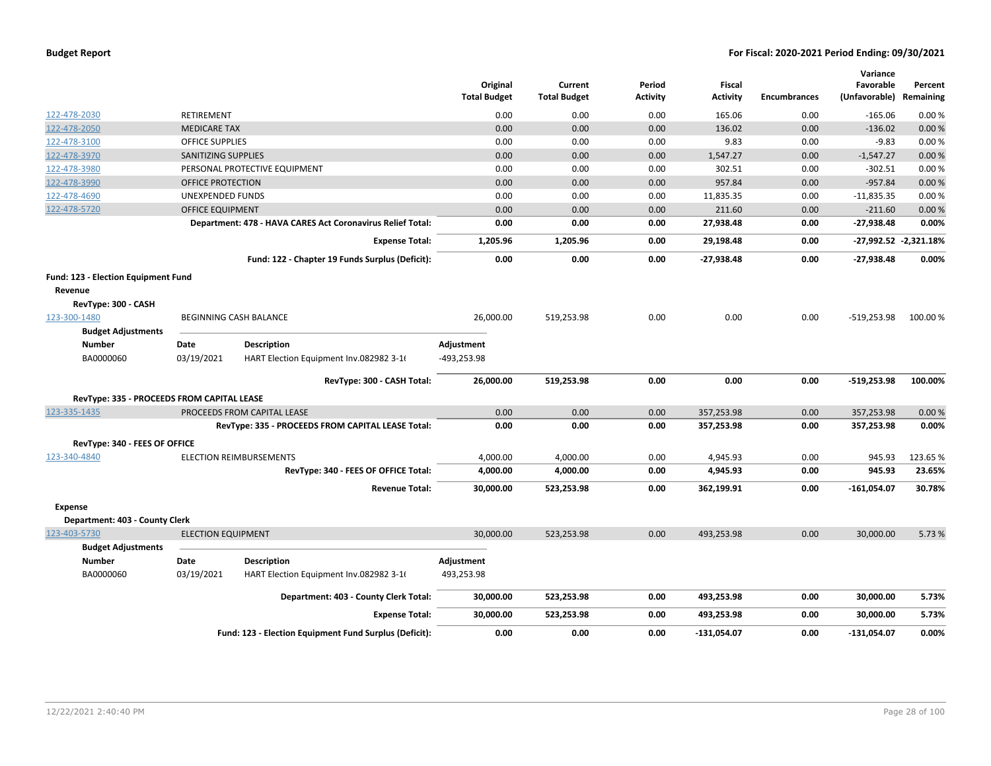|                                            |                            |                                                            | Original<br><b>Total Budget</b> | Current<br><b>Total Budget</b> | Period<br><b>Activity</b> | <b>Fiscal</b><br><b>Activity</b> | <b>Encumbrances</b> | Variance<br>Favorable<br>(Unfavorable) | Percent<br>Remaining  |
|--------------------------------------------|----------------------------|------------------------------------------------------------|---------------------------------|--------------------------------|---------------------------|----------------------------------|---------------------|----------------------------------------|-----------------------|
| 122-478-2030                               | <b>RETIREMENT</b>          |                                                            | 0.00                            | 0.00                           | 0.00                      | 165.06                           | 0.00                | $-165.06$                              | 0.00%                 |
| 122-478-2050                               | <b>MEDICARE TAX</b>        |                                                            | 0.00                            | 0.00                           | 0.00                      | 136.02                           | 0.00                | $-136.02$                              | 0.00%                 |
| 122-478-3100                               | <b>OFFICE SUPPLIES</b>     |                                                            | 0.00                            | 0.00                           | 0.00                      | 9.83                             | 0.00                | $-9.83$                                | 0.00%                 |
| 122-478-3970                               | <b>SANITIZING SUPPLIES</b> |                                                            | 0.00                            | 0.00                           | 0.00                      | 1,547.27                         | 0.00                | $-1,547.27$                            | 0.00%                 |
| 122-478-3980                               |                            | PERSONAL PROTECTIVE EQUIPMENT                              | 0.00                            | 0.00                           | 0.00                      | 302.51                           | 0.00                | $-302.51$                              | 0.00%                 |
| 122-478-3990                               | OFFICE PROTECTION          |                                                            | 0.00                            | 0.00                           | 0.00                      | 957.84                           | 0.00                | $-957.84$                              | 0.00%                 |
| 122-478-4690                               | UNEXPENDED FUNDS           |                                                            | 0.00                            | 0.00                           | 0.00                      | 11,835.35                        | 0.00                | $-11,835.35$                           | 0.00%                 |
| 122-478-5720                               | <b>OFFICE EQUIPMENT</b>    |                                                            | 0.00                            | 0.00                           | 0.00                      | 211.60                           | 0.00                | $-211.60$                              | 0.00%                 |
|                                            |                            | Department: 478 - HAVA CARES Act Coronavirus Relief Total: | 0.00                            | 0.00                           | 0.00                      | 27,938.48                        | 0.00                | $-27,938.48$                           | 0.00%                 |
|                                            |                            | <b>Expense Total:</b>                                      | 1,205.96                        | 1,205.96                       | 0.00                      | 29,198.48                        | 0.00                |                                        | -27,992.52 -2,321.18% |
|                                            |                            | Fund: 122 - Chapter 19 Funds Surplus (Deficit):            | 0.00                            | 0.00                           | 0.00                      | -27,938.48                       | 0.00                | $-27,938.48$                           | 0.00%                 |
| Fund: 123 - Election Equipment Fund        |                            |                                                            |                                 |                                |                           |                                  |                     |                                        |                       |
| Revenue                                    |                            |                                                            |                                 |                                |                           |                                  |                     |                                        |                       |
| RevType: 300 - CASH                        |                            |                                                            |                                 |                                |                           |                                  |                     |                                        |                       |
| 123-300-1480                               |                            | <b>BEGINNING CASH BALANCE</b>                              | 26,000.00                       | 519,253.98                     | 0.00                      | 0.00                             | 0.00                | $-519,253.98$                          | 100.00%               |
| <b>Budget Adjustments</b>                  |                            |                                                            |                                 |                                |                           |                                  |                     |                                        |                       |
| <b>Number</b>                              | Date                       | <b>Description</b>                                         | Adjustment                      |                                |                           |                                  |                     |                                        |                       |
| BA0000060                                  | 03/19/2021                 | HART Election Equipment Inv.082982 3-16                    | -493,253.98                     |                                |                           |                                  |                     |                                        |                       |
|                                            |                            | RevType: 300 - CASH Total:                                 | 26,000.00                       | 519,253.98                     | 0.00                      | 0.00                             | 0.00                | $-519,253.98$                          | 100.00%               |
| RevType: 335 - PROCEEDS FROM CAPITAL LEASE |                            |                                                            |                                 |                                |                           |                                  |                     |                                        |                       |
| 123-335-1435                               |                            | PROCEEDS FROM CAPITAL LEASE                                | 0.00                            | 0.00                           | 0.00                      | 357,253.98                       | 0.00                | 357,253.98                             | 0.00%                 |
|                                            |                            | RevType: 335 - PROCEEDS FROM CAPITAL LEASE Total:          | 0.00                            | 0.00                           | 0.00                      | 357,253.98                       | 0.00                | 357,253.98                             | 0.00%                 |
| RevType: 340 - FEES OF OFFICE              |                            |                                                            |                                 |                                |                           |                                  |                     |                                        |                       |
| 123-340-4840                               |                            | <b>ELECTION REIMBURSEMENTS</b>                             | 4,000.00                        | 4,000.00                       | 0.00                      | 4,945.93                         | 0.00                | 945.93                                 | 123.65%               |
|                                            |                            | RevType: 340 - FEES OF OFFICE Total:                       | 4,000.00                        | 4,000.00                       | 0.00                      | 4,945.93                         | 0.00                | 945.93                                 | 23.65%                |
|                                            |                            | <b>Revenue Total:</b>                                      | 30,000.00                       | 523,253.98                     | 0.00                      | 362,199.91                       | 0.00                | $-161,054.07$                          | 30.78%                |
| <b>Expense</b>                             |                            |                                                            |                                 |                                |                           |                                  |                     |                                        |                       |
| Department: 403 - County Clerk             |                            |                                                            |                                 |                                |                           |                                  |                     |                                        |                       |
| 123-403-5730                               | <b>ELECTION EQUIPMENT</b>  |                                                            | 30,000.00                       | 523,253.98                     | 0.00                      | 493,253.98                       | 0.00                | 30,000.00                              | 5.73 %                |
| <b>Budget Adjustments</b>                  |                            |                                                            |                                 |                                |                           |                                  |                     |                                        |                       |
| <b>Number</b>                              | Date                       | <b>Description</b>                                         | Adjustment                      |                                |                           |                                  |                     |                                        |                       |
| BA0000060                                  | 03/19/2021                 | HART Election Equipment Inv.082982 3-16                    | 493,253.98                      |                                |                           |                                  |                     |                                        |                       |
|                                            |                            | Department: 403 - County Clerk Total:                      | 30,000.00                       | 523,253.98                     | 0.00                      | 493,253.98                       | 0.00                | 30,000.00                              | 5.73%                 |
|                                            |                            | <b>Expense Total:</b>                                      | 30,000.00                       | 523,253.98                     | 0.00                      | 493,253.98                       | 0.00                | 30,000.00                              | 5.73%                 |
|                                            |                            | Fund: 123 - Election Equipment Fund Surplus (Deficit):     | 0.00                            | 0.00                           | 0.00                      | $-131,054.07$                    | 0.00                | -131,054.07                            | 0.00%                 |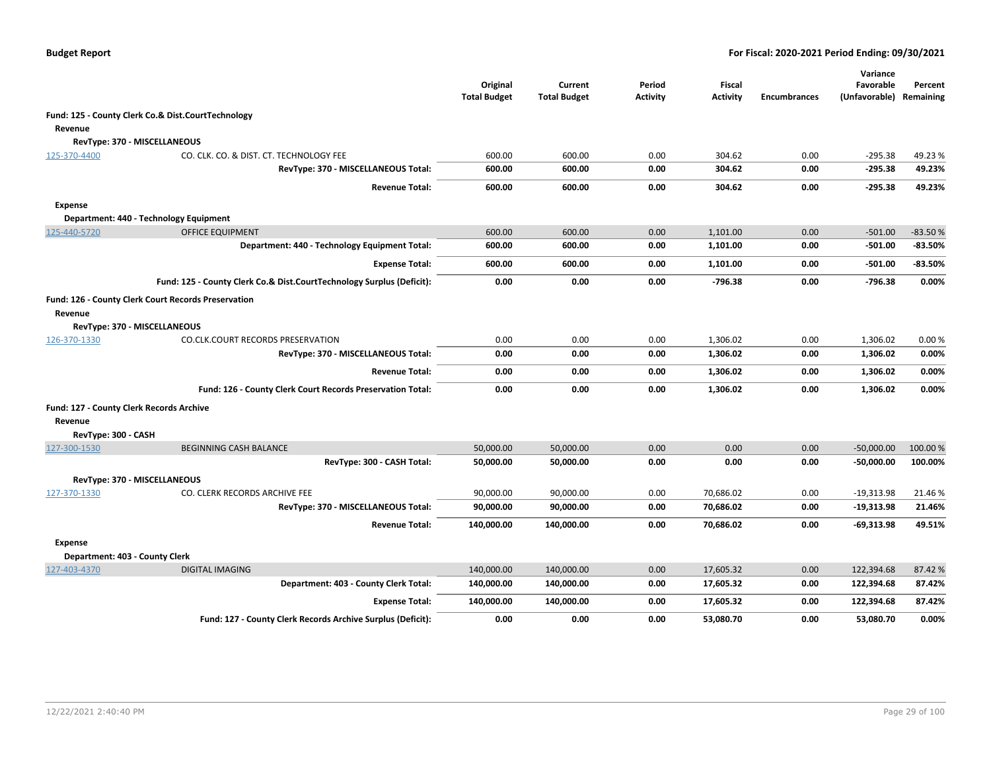|                                                  |                                                                       | Original<br><b>Total Budget</b> | Current<br><b>Total Budget</b> | Period<br>Activity | <b>Fiscal</b><br><b>Activity</b> | <b>Encumbrances</b> | Variance<br>Favorable<br>(Unfavorable) | Percent<br>Remaining |
|--------------------------------------------------|-----------------------------------------------------------------------|---------------------------------|--------------------------------|--------------------|----------------------------------|---------------------|----------------------------------------|----------------------|
|                                                  | Fund: 125 - County Clerk Co.& Dist.CourtTechnology                    |                                 |                                |                    |                                  |                     |                                        |                      |
| Revenue                                          |                                                                       |                                 |                                |                    |                                  |                     |                                        |                      |
|                                                  | RevType: 370 - MISCELLANEOUS                                          |                                 |                                |                    |                                  |                     |                                        |                      |
| 125-370-4400                                     | CO. CLK. CO. & DIST. CT. TECHNOLOGY FEE                               | 600.00                          | 600.00                         | 0.00               | 304.62                           | 0.00                | $-295.38$                              | 49.23%               |
|                                                  | RevType: 370 - MISCELLANEOUS Total:                                   | 600.00                          | 600.00                         | 0.00               | 304.62                           | 0.00                | $-295.38$                              | 49.23%               |
|                                                  | <b>Revenue Total:</b>                                                 | 600.00                          | 600.00                         | 0.00               | 304.62                           | 0.00                | $-295.38$                              | 49.23%               |
| <b>Expense</b>                                   |                                                                       |                                 |                                |                    |                                  |                     |                                        |                      |
|                                                  | Department: 440 - Technology Equipment                                |                                 |                                |                    |                                  |                     |                                        |                      |
| 125-440-5720                                     | <b>OFFICE EQUIPMENT</b>                                               | 600.00                          | 600.00                         | 0.00               | 1.101.00                         | 0.00                | $-501.00$                              | $-83.50%$            |
|                                                  | Department: 440 - Technology Equipment Total:                         | 600.00                          | 600.00                         | 0.00               | 1,101.00                         | 0.00                | $-501.00$                              | $-83.50%$            |
|                                                  | <b>Expense Total:</b>                                                 | 600.00                          | 600.00                         | 0.00               | 1,101.00                         | 0.00                | $-501.00$                              | $-83.50%$            |
|                                                  | Fund: 125 - County Clerk Co.& Dist.CourtTechnology Surplus (Deficit): | 0.00                            | 0.00                           | 0.00               | $-796.38$                        | 0.00                | $-796.38$                              | 0.00%                |
|                                                  | Fund: 126 - County Clerk Court Records Preservation                   |                                 |                                |                    |                                  |                     |                                        |                      |
| Revenue                                          |                                                                       |                                 |                                |                    |                                  |                     |                                        |                      |
|                                                  | RevType: 370 - MISCELLANEOUS                                          |                                 |                                |                    |                                  |                     |                                        |                      |
| 126-370-1330                                     | CO.CLK.COURT RECORDS PRESERVATION                                     | 0.00                            | 0.00                           | 0.00               | 1,306.02                         | 0.00                | 1,306.02                               | 0.00%                |
|                                                  | RevType: 370 - MISCELLANEOUS Total:                                   | 0.00                            | 0.00                           | 0.00               | 1,306.02                         | 0.00                | 1,306.02                               | 0.00%                |
|                                                  | <b>Revenue Total:</b>                                                 | 0.00                            | 0.00                           | 0.00               | 1,306.02                         | 0.00                | 1,306.02                               | 0.00%                |
|                                                  | Fund: 126 - County Clerk Court Records Preservation Total:            | 0.00                            | 0.00                           | 0.00               | 1,306.02                         | 0.00                | 1,306.02                               | 0.00%                |
| Fund: 127 - County Clerk Records Archive         |                                                                       |                                 |                                |                    |                                  |                     |                                        |                      |
| Revenue                                          |                                                                       |                                 |                                |                    |                                  |                     |                                        |                      |
| RevType: 300 - CASH                              |                                                                       |                                 |                                |                    |                                  |                     |                                        |                      |
| 127-300-1530                                     | BEGINNING CASH BALANCE                                                | 50,000.00                       | 50,000.00                      | 0.00               | 0.00                             | 0.00                | $-50,000.00$                           | 100.00 %             |
|                                                  | RevType: 300 - CASH Total:                                            | 50,000.00                       | 50,000.00                      | 0.00               | 0.00                             | 0.00                | -50,000.00                             | 100.00%              |
|                                                  | RevType: 370 - MISCELLANEOUS                                          |                                 |                                |                    |                                  |                     |                                        |                      |
| 127-370-1330                                     | CO. CLERK RECORDS ARCHIVE FEE                                         | 90,000.00                       | 90,000.00                      | 0.00               | 70,686.02                        | 0.00                | $-19,313.98$                           | 21.46%               |
|                                                  | RevType: 370 - MISCELLANEOUS Total:                                   | 90,000.00                       | 90,000.00                      | 0.00               | 70,686.02                        | 0.00                | $-19,313.98$                           | 21.46%               |
|                                                  | <b>Revenue Total:</b>                                                 | 140,000.00                      | 140,000.00                     | 0.00               | 70,686.02                        | 0.00                | -69,313.98                             | 49.51%               |
| <b>Expense</b><br>Department: 403 - County Clerk |                                                                       |                                 |                                |                    |                                  |                     |                                        |                      |
| 127-403-4370                                     | <b>DIGITAL IMAGING</b>                                                | 140,000.00                      | 140,000.00                     | 0.00               | 17,605.32                        | 0.00                | 122,394.68                             | 87.42%               |
|                                                  | Department: 403 - County Clerk Total:                                 | 140,000.00                      | 140,000.00                     | 0.00               | 17,605.32                        | 0.00                | 122,394.68                             | 87.42%               |
|                                                  | <b>Expense Total:</b>                                                 | 140,000.00                      | 140,000.00                     | 0.00               | 17,605.32                        | 0.00                | 122,394.68                             | 87.42%               |
|                                                  | Fund: 127 - County Clerk Records Archive Surplus (Deficit):           | 0.00                            | 0.00                           | 0.00               | 53,080.70                        | 0.00                | 53,080.70                              | 0.00%                |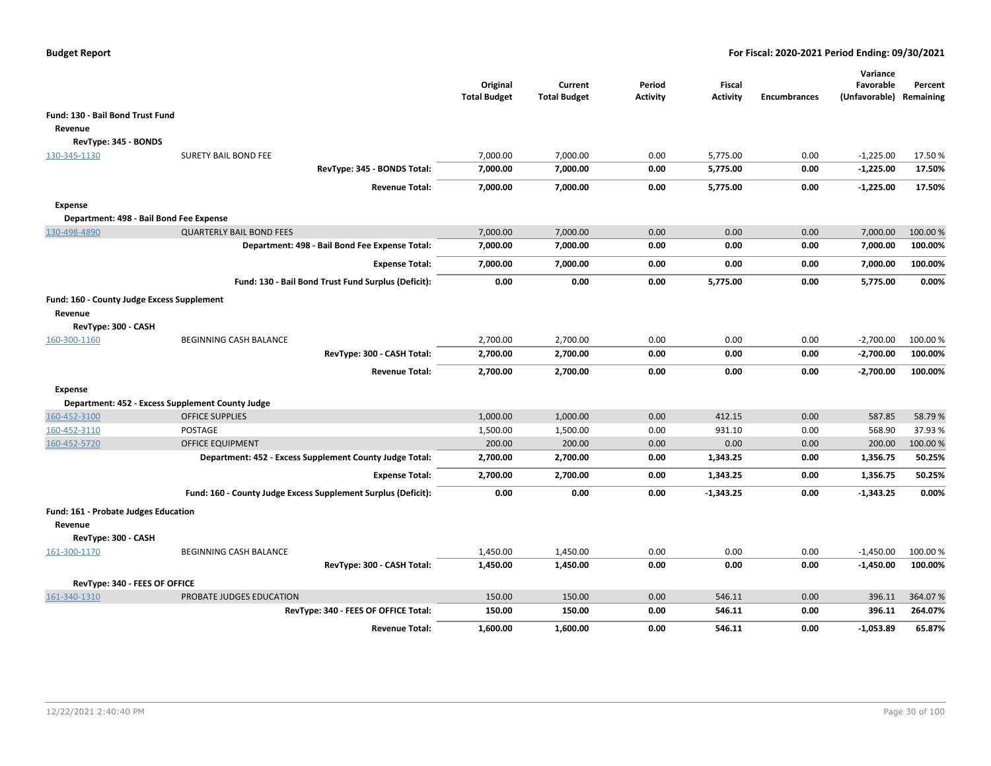|                                                           |                                                               | Original<br><b>Total Budget</b> | Current<br><b>Total Budget</b> | Period<br><b>Activity</b> | Fiscal<br><b>Activity</b> | <b>Encumbrances</b> | Variance<br>Favorable<br>(Unfavorable) | Percent<br>Remaining |
|-----------------------------------------------------------|---------------------------------------------------------------|---------------------------------|--------------------------------|---------------------------|---------------------------|---------------------|----------------------------------------|----------------------|
| Fund: 130 - Bail Bond Trust Fund                          |                                                               |                                 |                                |                           |                           |                     |                                        |                      |
| Revenue                                                   |                                                               |                                 |                                |                           |                           |                     |                                        |                      |
| RevType: 345 - BONDS                                      |                                                               |                                 |                                |                           |                           |                     |                                        |                      |
| 130-345-1130                                              | <b>SURETY BAIL BOND FEE</b>                                   | 7,000.00                        | 7,000.00                       | 0.00                      | 5,775.00                  | 0.00                | $-1,225.00$                            | 17.50%               |
|                                                           | RevType: 345 - BONDS Total:                                   | 7,000.00                        | 7,000.00                       | 0.00                      | 5,775.00                  | 0.00                | $-1,225.00$                            | 17.50%               |
|                                                           | <b>Revenue Total:</b>                                         | 7,000.00                        | 7,000.00                       | 0.00                      | 5,775.00                  | 0.00                | $-1,225.00$                            | 17.50%               |
|                                                           |                                                               |                                 |                                |                           |                           |                     |                                        |                      |
| <b>Expense</b><br>Department: 498 - Bail Bond Fee Expense |                                                               |                                 |                                |                           |                           |                     |                                        |                      |
| 130-498-4890                                              | <b>QUARTERLY BAIL BOND FEES</b>                               | 7,000.00                        | 7,000.00                       | 0.00                      | 0.00                      | 0.00                | 7,000.00                               | 100.00%              |
|                                                           | Department: 498 - Bail Bond Fee Expense Total:                | 7,000.00                        | 7,000.00                       | 0.00                      | 0.00                      | 0.00                | 7,000.00                               | 100.00%              |
|                                                           |                                                               |                                 |                                |                           |                           |                     |                                        |                      |
|                                                           | <b>Expense Total:</b>                                         | 7,000.00                        | 7,000.00                       | 0.00                      | 0.00                      | 0.00                | 7,000.00                               | 100.00%              |
|                                                           | Fund: 130 - Bail Bond Trust Fund Surplus (Deficit):           | 0.00                            | 0.00                           | 0.00                      | 5.775.00                  | 0.00                | 5,775.00                               | 0.00%                |
| Fund: 160 - County Judge Excess Supplement                |                                                               |                                 |                                |                           |                           |                     |                                        |                      |
| Revenue                                                   |                                                               |                                 |                                |                           |                           |                     |                                        |                      |
| RevType: 300 - CASH                                       |                                                               |                                 |                                |                           |                           |                     |                                        |                      |
| 160-300-1160                                              | <b>BEGINNING CASH BALANCE</b>                                 | 2,700.00                        | 2,700.00                       | 0.00                      | 0.00                      | 0.00                | $-2,700.00$                            | 100.00 %             |
|                                                           | RevType: 300 - CASH Total:                                    | 2,700.00                        | 2,700.00                       | 0.00                      | 0.00                      | 0.00                | $-2,700.00$                            | 100.00%              |
|                                                           | <b>Revenue Total:</b>                                         | 2,700.00                        | 2,700.00                       | 0.00                      | 0.00                      | 0.00                | $-2,700.00$                            | 100.00%              |
| <b>Expense</b>                                            |                                                               |                                 |                                |                           |                           |                     |                                        |                      |
|                                                           | Department: 452 - Excess Supplement County Judge              |                                 |                                |                           |                           |                     |                                        |                      |
| 160-452-3100                                              | <b>OFFICE SUPPLIES</b>                                        | 1,000.00                        | 1,000.00                       | 0.00                      | 412.15                    | 0.00                | 587.85                                 | 58.79%               |
| 160-452-3110                                              | POSTAGE                                                       | 1,500.00                        | 1,500.00                       | 0.00                      | 931.10                    | 0.00                | 568.90                                 | 37.93 %              |
| 160-452-5720                                              | <b>OFFICE EQUIPMENT</b>                                       | 200.00                          | 200.00                         | 0.00                      | 0.00                      | 0.00                | 200.00                                 | 100.00%              |
|                                                           | Department: 452 - Excess Supplement County Judge Total:       | 2,700.00                        | 2,700.00                       | 0.00                      | 1,343.25                  | 0.00                | 1,356.75                               | 50.25%               |
|                                                           | <b>Expense Total:</b>                                         | 2,700.00                        | 2,700.00                       | 0.00                      | 1,343.25                  | 0.00                | 1,356.75                               | 50.25%               |
|                                                           | Fund: 160 - County Judge Excess Supplement Surplus (Deficit): | 0.00                            | 0.00                           | 0.00                      | $-1,343.25$               | 0.00                | $-1,343.25$                            | 0.00%                |
| Fund: 161 - Probate Judges Education                      |                                                               |                                 |                                |                           |                           |                     |                                        |                      |
| Revenue                                                   |                                                               |                                 |                                |                           |                           |                     |                                        |                      |
| RevType: 300 - CASH                                       |                                                               |                                 |                                |                           |                           |                     |                                        |                      |
| 161-300-1170                                              | <b>BEGINNING CASH BALANCE</b>                                 | 1,450.00                        | 1,450.00                       | 0.00                      | 0.00                      | 0.00                | $-1,450.00$                            | 100.00 %             |
|                                                           | RevType: 300 - CASH Total:                                    | 1,450.00                        | 1,450.00                       | 0.00                      | 0.00                      | 0.00                | $-1,450.00$                            | 100.00%              |
| RevType: 340 - FEES OF OFFICE                             |                                                               |                                 |                                |                           |                           |                     |                                        |                      |
| 161-340-1310                                              | PROBATE JUDGES EDUCATION                                      | 150.00                          | 150.00                         | 0.00                      | 546.11                    | 0.00                | 396.11                                 | 364.07%              |
|                                                           | RevType: 340 - FEES OF OFFICE Total:                          | 150.00                          | 150.00                         | 0.00                      | 546.11                    | 0.00                | 396.11                                 | 264.07%              |
|                                                           | <b>Revenue Total:</b>                                         | 1,600.00                        | 1.600.00                       | 0.00                      | 546.11                    | 0.00                | $-1,053.89$                            | 65.87%               |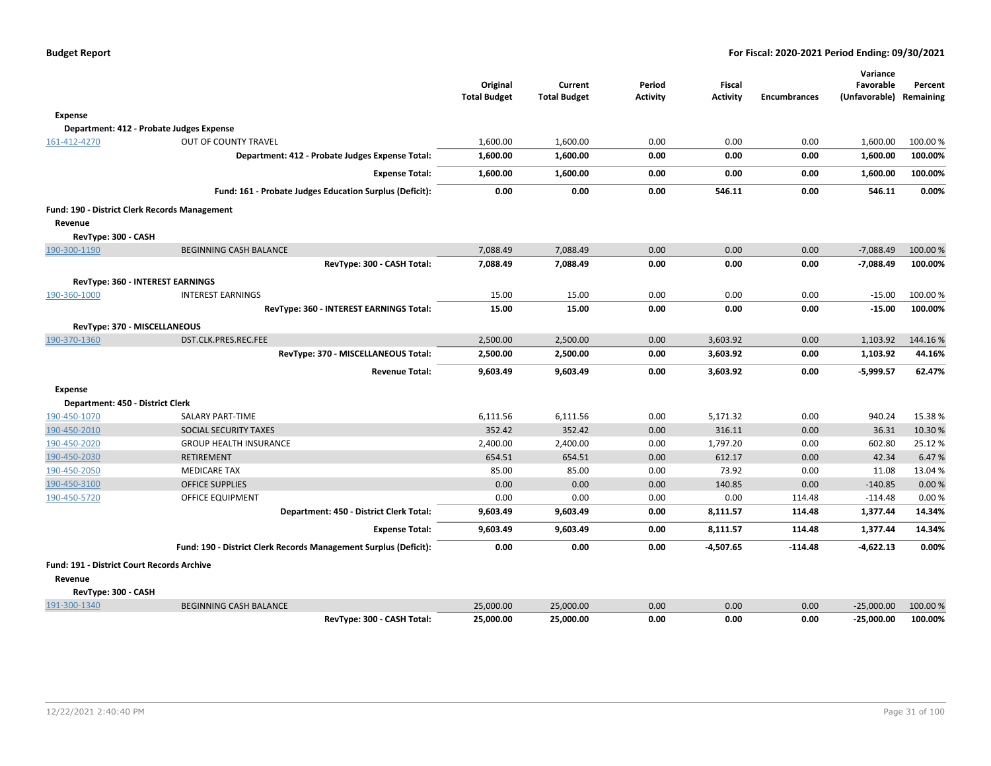|                                                   |                                                                  |                                 |                                |                           |                                  |                     | Variance                             |          |
|---------------------------------------------------|------------------------------------------------------------------|---------------------------------|--------------------------------|---------------------------|----------------------------------|---------------------|--------------------------------------|----------|
|                                                   |                                                                  | Original<br><b>Total Budget</b> | Current<br><b>Total Budget</b> | Period<br><b>Activity</b> | <b>Fiscal</b><br><b>Activity</b> | <b>Encumbrances</b> | Favorable<br>(Unfavorable) Remaining | Percent  |
|                                                   |                                                                  |                                 |                                |                           |                                  |                     |                                      |          |
| <b>Expense</b>                                    |                                                                  |                                 |                                |                           |                                  |                     |                                      |          |
|                                                   | Department: 412 - Probate Judges Expense                         |                                 |                                |                           |                                  |                     |                                      |          |
| 161-412-4270                                      | OUT OF COUNTY TRAVEL                                             | 1,600.00                        | 1,600.00                       | 0.00                      | 0.00                             | 0.00                | 1,600.00                             | 100.00 % |
|                                                   | Department: 412 - Probate Judges Expense Total:                  | 1,600.00                        | 1,600.00                       | 0.00                      | 0.00                             | 0.00                | 1,600.00                             | 100.00%  |
|                                                   | <b>Expense Total:</b>                                            | 1,600.00                        | 1,600.00                       | 0.00                      | 0.00                             | 0.00                | 1,600.00                             | 100.00%  |
|                                                   | Fund: 161 - Probate Judges Education Surplus (Deficit):          | 0.00                            | 0.00                           | 0.00                      | 546.11                           | 0.00                | 546.11                               | 0.00%    |
| Fund: 190 - District Clerk Records Management     |                                                                  |                                 |                                |                           |                                  |                     |                                      |          |
| Revenue                                           |                                                                  |                                 |                                |                           |                                  |                     |                                      |          |
| RevType: 300 - CASH                               |                                                                  |                                 |                                |                           |                                  |                     |                                      |          |
| 190-300-1190                                      | <b>BEGINNING CASH BALANCE</b>                                    | 7,088.49                        | 7,088.49                       | 0.00                      | 0.00                             | 0.00                | $-7,088.49$                          | 100.00 % |
|                                                   | RevType: 300 - CASH Total:                                       | 7,088.49                        | 7,088.49                       | 0.00                      | 0.00                             | 0.00                | $-7,088.49$                          | 100.00%  |
|                                                   | RevType: 360 - INTEREST EARNINGS                                 |                                 |                                |                           |                                  |                     |                                      |          |
| 190-360-1000                                      | <b>INTEREST EARNINGS</b>                                         | 15.00                           | 15.00                          | 0.00                      | 0.00                             | 0.00                | $-15.00$                             | 100.00 % |
|                                                   | RevType: 360 - INTEREST EARNINGS Total:                          | 15.00                           | 15.00                          | 0.00                      | 0.00                             | 0.00                | $-15.00$                             | 100.00%  |
| RevType: 370 - MISCELLANEOUS                      |                                                                  |                                 |                                |                           |                                  |                     |                                      |          |
| 190-370-1360                                      | DST.CLK.PRES.REC.FEE                                             | 2,500.00                        | 2,500.00                       | 0.00                      | 3,603.92                         | 0.00                | 1,103.92                             | 144.16%  |
|                                                   | RevType: 370 - MISCELLANEOUS Total:                              | 2,500.00                        | 2,500.00                       | 0.00                      | 3,603.92                         | 0.00                | 1,103.92                             | 44.16%   |
|                                                   | <b>Revenue Total:</b>                                            | 9.603.49                        | 9,603.49                       | 0.00                      | 3.603.92                         | 0.00                | $-5,999.57$                          | 62.47%   |
| <b>Expense</b>                                    |                                                                  |                                 |                                |                           |                                  |                     |                                      |          |
| Department: 450 - District Clerk                  |                                                                  |                                 |                                |                           |                                  |                     |                                      |          |
| 190-450-1070                                      | <b>SALARY PART-TIME</b>                                          | 6,111.56                        | 6,111.56                       | 0.00                      | 5,171.32                         | 0.00                | 940.24                               | 15.38%   |
| 190-450-2010                                      | SOCIAL SECURITY TAXES                                            | 352.42                          | 352.42                         | 0.00                      | 316.11                           | 0.00                | 36.31                                | 10.30%   |
| 190-450-2020                                      | <b>GROUP HEALTH INSURANCE</b>                                    | 2,400.00                        | 2,400.00                       | 0.00                      | 1,797.20                         | 0.00                | 602.80                               | 25.12%   |
| 190-450-2030                                      | <b>RETIREMENT</b>                                                | 654.51                          | 654.51                         | 0.00                      | 612.17                           | 0.00                | 42.34                                | 6.47%    |
| 190-450-2050                                      | <b>MEDICARE TAX</b>                                              | 85.00                           | 85.00                          | 0.00                      | 73.92                            | 0.00                | 11.08                                | 13.04 %  |
| 190-450-3100                                      | <b>OFFICE SUPPLIES</b>                                           | 0.00                            | 0.00                           | 0.00                      | 140.85                           | 0.00                | $-140.85$                            | 0.00%    |
| 190-450-5720                                      | <b>OFFICE EQUIPMENT</b>                                          | 0.00                            | 0.00                           | 0.00                      | 0.00                             | 114.48              | $-114.48$                            | 0.00%    |
|                                                   | Department: 450 - District Clerk Total:                          | 9,603.49                        | 9,603.49                       | 0.00                      | 8,111.57                         | 114.48              | 1,377.44                             | 14.34%   |
|                                                   | <b>Expense Total:</b>                                            | 9,603.49                        | 9,603.49                       | 0.00                      | 8,111.57                         | 114.48              | 1,377.44                             | 14.34%   |
|                                                   | Fund: 190 - District Clerk Records Management Surplus (Deficit): | 0.00                            | 0.00                           | 0.00                      | $-4,507.65$                      | $-114.48$           | $-4,622.13$                          | 0.00%    |
| <b>Fund: 191 - District Court Records Archive</b> |                                                                  |                                 |                                |                           |                                  |                     |                                      |          |
| Revenue                                           |                                                                  |                                 |                                |                           |                                  |                     |                                      |          |
| RevType: 300 - CASH                               |                                                                  |                                 |                                |                           |                                  |                     |                                      |          |
| 191-300-1340                                      | <b>BEGINNING CASH BALANCE</b>                                    | 25,000.00                       | 25,000.00                      | 0.00                      | 0.00                             | 0.00                | $-25,000.00$                         | 100.00 % |
|                                                   | RevType: 300 - CASH Total:                                       | 25,000.00                       | 25,000.00                      | 0.00                      | 0.00                             | 0.00                | -25,000.00                           | 100.00%  |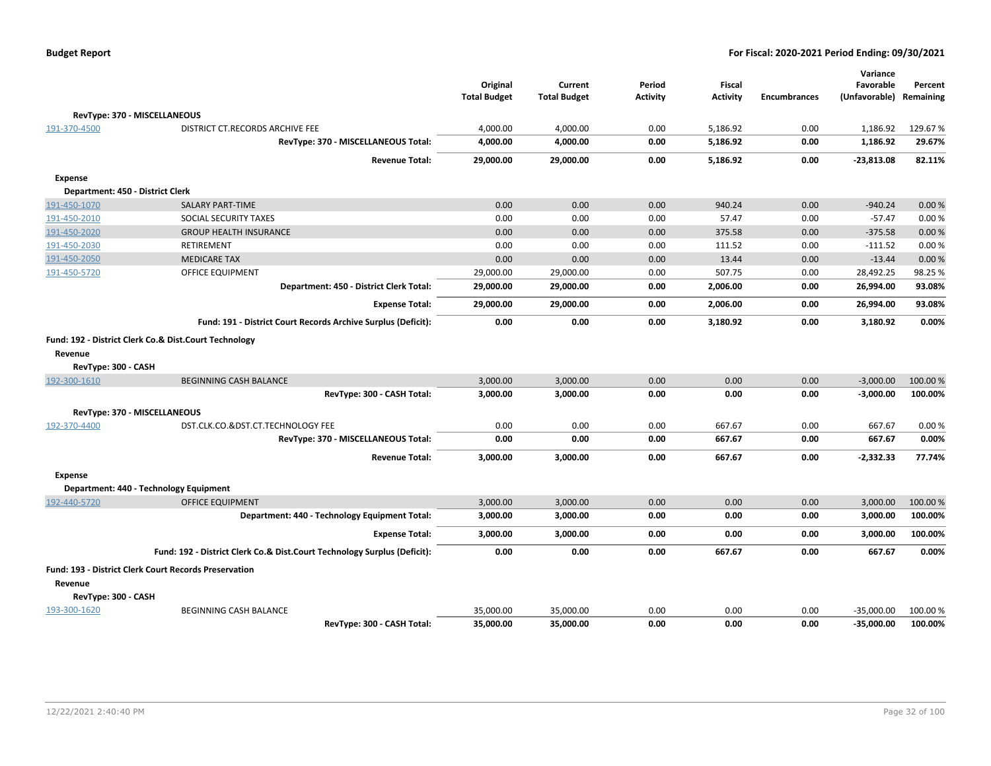|                     |                                                                          | Original<br><b>Total Budget</b> | Current<br><b>Total Budget</b> | Period<br><b>Activity</b> | <b>Fiscal</b><br><b>Activity</b> | <b>Encumbrances</b> | Variance<br>Favorable<br>(Unfavorable) | Percent<br>Remaining |
|---------------------|--------------------------------------------------------------------------|---------------------------------|--------------------------------|---------------------------|----------------------------------|---------------------|----------------------------------------|----------------------|
|                     | RevType: 370 - MISCELLANEOUS                                             |                                 |                                |                           |                                  |                     |                                        |                      |
| 191-370-4500        | DISTRICT CT.RECORDS ARCHIVE FEE                                          | 4,000.00                        | 4,000.00                       | 0.00                      | 5,186.92                         | 0.00                | 1,186.92                               | 129.67%              |
|                     | RevType: 370 - MISCELLANEOUS Total:                                      | 4,000.00                        | 4,000.00                       | 0.00                      | 5,186.92                         | 0.00                | 1,186.92                               | 29.67%               |
|                     | <b>Revenue Total:</b>                                                    | 29,000.00                       | 29,000.00                      | 0.00                      | 5,186.92                         | 0.00                | $-23,813.08$                           | 82.11%               |
| <b>Expense</b>      |                                                                          |                                 |                                |                           |                                  |                     |                                        |                      |
|                     | Department: 450 - District Clerk                                         |                                 |                                |                           |                                  |                     |                                        |                      |
| 191-450-1070        | <b>SALARY PART-TIME</b>                                                  | 0.00                            | 0.00                           | 0.00                      | 940.24                           | 0.00                | $-940.24$                              | 0.00%                |
| 191-450-2010        | SOCIAL SECURITY TAXES                                                    | 0.00                            | 0.00                           | 0.00                      | 57.47                            | 0.00                | $-57.47$                               | 0.00%                |
| 191-450-2020        | <b>GROUP HEALTH INSURANCE</b>                                            | 0.00                            | 0.00                           | 0.00                      | 375.58                           | 0.00                | $-375.58$                              | 0.00%                |
| 191-450-2030        | RETIREMENT                                                               | 0.00                            | 0.00                           | 0.00                      | 111.52                           | 0.00                | $-111.52$                              | 0.00%                |
| 191-450-2050        | <b>MEDICARE TAX</b>                                                      | 0.00                            | 0.00                           | 0.00                      | 13.44                            | 0.00                | $-13.44$                               | 0.00%                |
| 191-450-5720        | <b>OFFICE EQUIPMENT</b>                                                  | 29,000.00                       | 29,000.00                      | 0.00                      | 507.75                           | 0.00                | 28,492.25                              | 98.25%               |
|                     | Department: 450 - District Clerk Total:                                  | 29,000.00                       | 29,000.00                      | 0.00                      | 2,006.00                         | 0.00                | 26,994.00                              | 93.08%               |
|                     | <b>Expense Total:</b>                                                    | 29,000.00                       | 29,000.00                      | 0.00                      | 2,006.00                         | 0.00                | 26,994.00                              | 93.08%               |
|                     | Fund: 191 - District Court Records Archive Surplus (Deficit):            | 0.00                            | 0.00                           | 0.00                      | 3,180.92                         | 0.00                | 3,180.92                               | 0.00%                |
|                     | Fund: 192 - District Clerk Co.& Dist.Court Technology                    |                                 |                                |                           |                                  |                     |                                        |                      |
| Revenue             |                                                                          |                                 |                                |                           |                                  |                     |                                        |                      |
| RevType: 300 - CASH |                                                                          |                                 |                                |                           |                                  |                     |                                        |                      |
| 192-300-1610        | <b>BEGINNING CASH BALANCE</b>                                            | 3,000.00                        | 3,000.00                       | 0.00                      | 0.00                             | 0.00                | $-3,000.00$                            | 100.00 %             |
|                     | RevType: 300 - CASH Total:                                               | 3,000.00                        | 3,000.00                       | 0.00                      | 0.00                             | 0.00                | $-3,000.00$                            | 100.00%              |
|                     | RevType: 370 - MISCELLANEOUS                                             |                                 |                                |                           |                                  |                     |                                        |                      |
| 192-370-4400        | DST.CLK.CO.&DST.CT.TECHNOLOGY FEE                                        | 0.00                            | 0.00                           | 0.00                      | 667.67                           | 0.00                | 667.67                                 | 0.00%                |
|                     | RevType: 370 - MISCELLANEOUS Total:                                      | 0.00                            | 0.00                           | 0.00                      | 667.67                           | 0.00                | 667.67                                 | 0.00%                |
|                     | <b>Revenue Total:</b>                                                    | 3,000.00                        | 3,000.00                       | 0.00                      | 667.67                           | 0.00                | $-2,332.33$                            | 77.74%               |
| <b>Expense</b>      |                                                                          |                                 |                                |                           |                                  |                     |                                        |                      |
|                     | Department: 440 - Technology Equipment                                   |                                 |                                |                           |                                  |                     |                                        |                      |
| 192-440-5720        | <b>OFFICE EQUIPMENT</b>                                                  | 3,000.00                        | 3,000.00                       | 0.00                      | 0.00                             | 0.00                | 3,000.00                               | 100.00 %             |
|                     | Department: 440 - Technology Equipment Total:                            | 3,000.00                        | 3,000.00                       | 0.00                      | 0.00                             | 0.00                | 3,000.00                               | 100.00%              |
|                     | <b>Expense Total:</b>                                                    | 3,000.00                        | 3,000.00                       | 0.00                      | 0.00                             | 0.00                | 3,000.00                               | 100.00%              |
|                     | Fund: 192 - District Clerk Co.& Dist.Court Technology Surplus (Deficit): | 0.00                            | 0.00                           | 0.00                      | 667.67                           | 0.00                | 667.67                                 | 0.00%                |
|                     | <b>Fund: 193 - District Clerk Court Records Preservation</b>             |                                 |                                |                           |                                  |                     |                                        |                      |
| Revenue             |                                                                          |                                 |                                |                           |                                  |                     |                                        |                      |
| RevType: 300 - CASH |                                                                          |                                 |                                |                           |                                  |                     |                                        |                      |
| 193-300-1620        | BEGINNING CASH BALANCE                                                   | 35,000.00                       | 35,000.00                      | 0.00                      | 0.00                             | 0.00                | $-35,000.00$                           | 100.00 %             |
|                     | RevTvpe: 300 - CASH Total:                                               | 35,000.00                       | 35.000.00                      | 0.00                      | 0.00                             | 0.00                | $-35.000.00$                           | 100.00%              |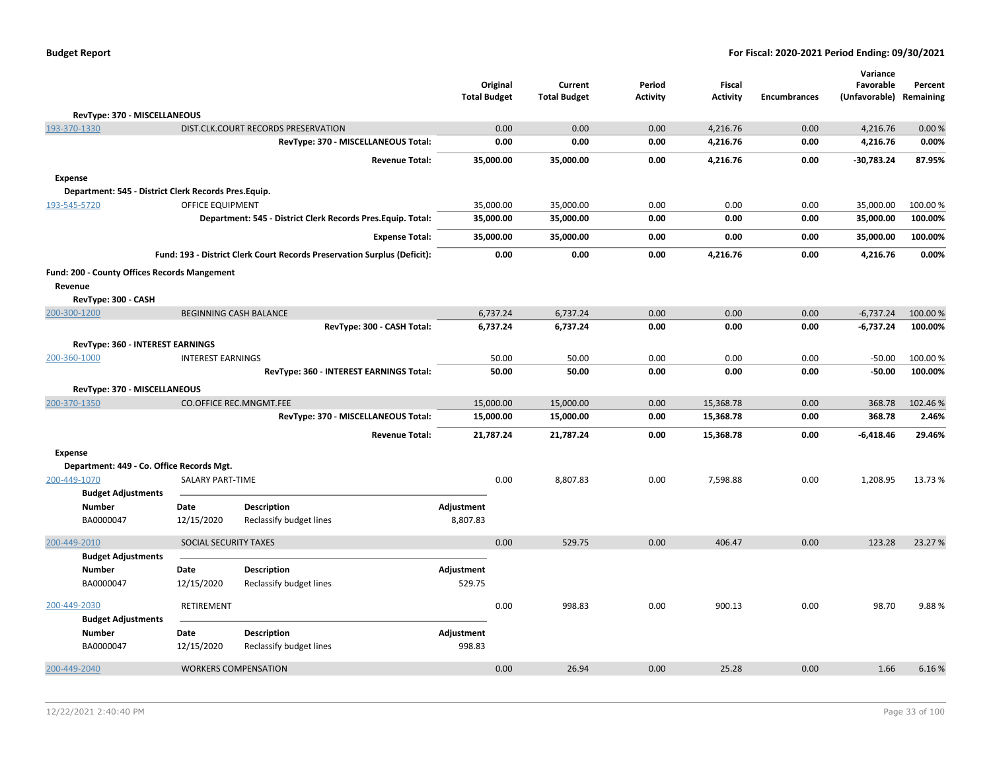| <b>Budget Report</b> |  |
|----------------------|--|
|----------------------|--|

|                                                      |                               |                                                                          | <b>Total Budget</b> | Original  | Current<br><b>Total Budget</b> | Period<br>Activity | Fiscal<br><b>Activity</b> | <b>Encumbrances</b> | Variance<br>Favorable<br>(Unfavorable) | Percent<br>Remaining |
|------------------------------------------------------|-------------------------------|--------------------------------------------------------------------------|---------------------|-----------|--------------------------------|--------------------|---------------------------|---------------------|----------------------------------------|----------------------|
| RevType: 370 - MISCELLANEOUS                         |                               |                                                                          |                     |           |                                |                    |                           |                     |                                        |                      |
| 193-370-1330                                         |                               | DIST.CLK.COURT RECORDS PRESERVATION                                      |                     | 0.00      | 0.00                           | 0.00               | 4,216.76                  | 0.00                | 4,216.76                               | 0.00%                |
|                                                      |                               | RevType: 370 - MISCELLANEOUS Total:                                      |                     | 0.00      | 0.00                           | 0.00               | 4,216.76                  | 0.00                | 4,216.76                               | 0.00%                |
|                                                      |                               | <b>Revenue Total:</b>                                                    |                     | 35,000.00 | 35,000.00                      | 0.00               | 4,216.76                  | 0.00                | $-30,783.24$                           | 87.95%               |
| <b>Expense</b>                                       |                               |                                                                          |                     |           |                                |                    |                           |                     |                                        |                      |
| Department: 545 - District Clerk Records Pres.Equip. |                               |                                                                          |                     |           |                                |                    |                           |                     |                                        |                      |
| 193-545-5720                                         | <b>OFFICE EQUIPMENT</b>       |                                                                          |                     | 35,000.00 | 35,000.00                      | 0.00               | 0.00                      | 0.00                | 35,000.00                              | 100.00%              |
|                                                      |                               | Department: 545 - District Clerk Records Pres. Equip. Total:             |                     | 35,000.00 | 35,000.00                      | 0.00               | 0.00                      | 0.00                | 35,000.00                              | 100.00%              |
|                                                      |                               | <b>Expense Total:</b>                                                    |                     | 35,000.00 | 35,000.00                      | 0.00               | 0.00                      | 0.00                | 35,000.00                              | 100.00%              |
|                                                      |                               | Fund: 193 - District Clerk Court Records Preservation Surplus (Deficit): |                     | 0.00      | 0.00                           | 0.00               | 4,216.76                  | 0.00                | 4,216.76                               | 0.00%                |
| Fund: 200 - County Offices Records Mangement         |                               |                                                                          |                     |           |                                |                    |                           |                     |                                        |                      |
| Revenue                                              |                               |                                                                          |                     |           |                                |                    |                           |                     |                                        |                      |
| RevType: 300 - CASH                                  |                               |                                                                          |                     |           |                                |                    |                           |                     |                                        |                      |
| 200-300-1200                                         | <b>BEGINNING CASH BALANCE</b> |                                                                          |                     | 6,737.24  | 6,737.24                       | 0.00               | 0.00                      | 0.00                | $-6,737.24$                            | 100.00 %             |
|                                                      |                               | RevType: 300 - CASH Total:                                               |                     | 6,737.24  | 6,737.24                       | 0.00               | 0.00                      | 0.00                | $-6,737.24$                            | 100.00%              |
| RevType: 360 - INTEREST EARNINGS                     |                               |                                                                          |                     |           |                                |                    |                           |                     |                                        |                      |
| 200-360-1000                                         | <b>INTEREST EARNINGS</b>      |                                                                          |                     | 50.00     | 50.00                          | 0.00               | 0.00                      | 0.00                | $-50.00$                               | 100.00%              |
|                                                      |                               | RevType: 360 - INTEREST EARNINGS Total:                                  |                     | 50.00     | 50.00                          | 0.00               | 0.00                      | 0.00                | $-50.00$                               | 100.00%              |
| RevType: 370 - MISCELLANEOUS                         |                               |                                                                          |                     |           |                                |                    |                           |                     |                                        |                      |
| 200-370-1350                                         |                               | <b>CO.OFFICE REC.MNGMT.FEE</b>                                           |                     | 15,000.00 | 15,000.00                      | 0.00               | 15,368.78                 | 0.00                | 368.78                                 | 102.46%              |
|                                                      |                               | RevType: 370 - MISCELLANEOUS Total:                                      |                     | 15,000.00 | 15,000.00                      | 0.00               | 15,368.78                 | 0.00                | 368.78                                 | 2.46%                |
|                                                      |                               | <b>Revenue Total:</b>                                                    |                     | 21,787.24 | 21,787.24                      | 0.00               | 15,368.78                 | 0.00                | $-6,418.46$                            | 29.46%               |
| <b>Expense</b>                                       |                               |                                                                          |                     |           |                                |                    |                           |                     |                                        |                      |
| Department: 449 - Co. Office Records Mgt.            |                               |                                                                          |                     |           |                                |                    |                           |                     |                                        |                      |
| 200-449-1070                                         | <b>SALARY PART-TIME</b>       |                                                                          |                     | 0.00      | 8,807.83                       | 0.00               | 7,598.88                  | 0.00                | 1,208.95                               | 13.73 %              |
| <b>Budget Adjustments</b>                            |                               |                                                                          |                     |           |                                |                    |                           |                     |                                        |                      |
| <b>Number</b>                                        | Date                          | <b>Description</b>                                                       | Adjustment          |           |                                |                    |                           |                     |                                        |                      |
| BA0000047                                            | 12/15/2020                    | Reclassify budget lines                                                  | 8,807.83            |           |                                |                    |                           |                     |                                        |                      |
| 200-449-2010                                         | SOCIAL SECURITY TAXES         |                                                                          |                     | 0.00      | 529.75                         | 0.00               | 406.47                    | 0.00                | 123.28                                 | 23.27 %              |
| <b>Budget Adjustments</b>                            |                               |                                                                          |                     |           |                                |                    |                           |                     |                                        |                      |
| <b>Number</b>                                        | Date                          | Description                                                              | Adjustment          |           |                                |                    |                           |                     |                                        |                      |
| BA0000047                                            | 12/15/2020                    | Reclassify budget lines                                                  | 529.75              |           |                                |                    |                           |                     |                                        |                      |
| 200-449-2030                                         | RETIREMENT                    |                                                                          |                     | 0.00      | 998.83                         | 0.00               | 900.13                    | 0.00                | 98.70                                  | 9.88%                |
| <b>Budget Adjustments</b>                            |                               |                                                                          |                     |           |                                |                    |                           |                     |                                        |                      |
| Number                                               | Date                          | <b>Description</b>                                                       | Adjustment          |           |                                |                    |                           |                     |                                        |                      |
| BA0000047                                            | 12/15/2020                    | Reclassify budget lines                                                  | 998.83              |           |                                |                    |                           |                     |                                        |                      |
| 200-449-2040                                         | <b>WORKERS COMPENSATION</b>   |                                                                          |                     | 0.00      | 26.94                          | 0.00               | 25.28                     | 0.00                | 1.66                                   | 6.16%                |
|                                                      |                               |                                                                          |                     |           |                                |                    |                           |                     |                                        |                      |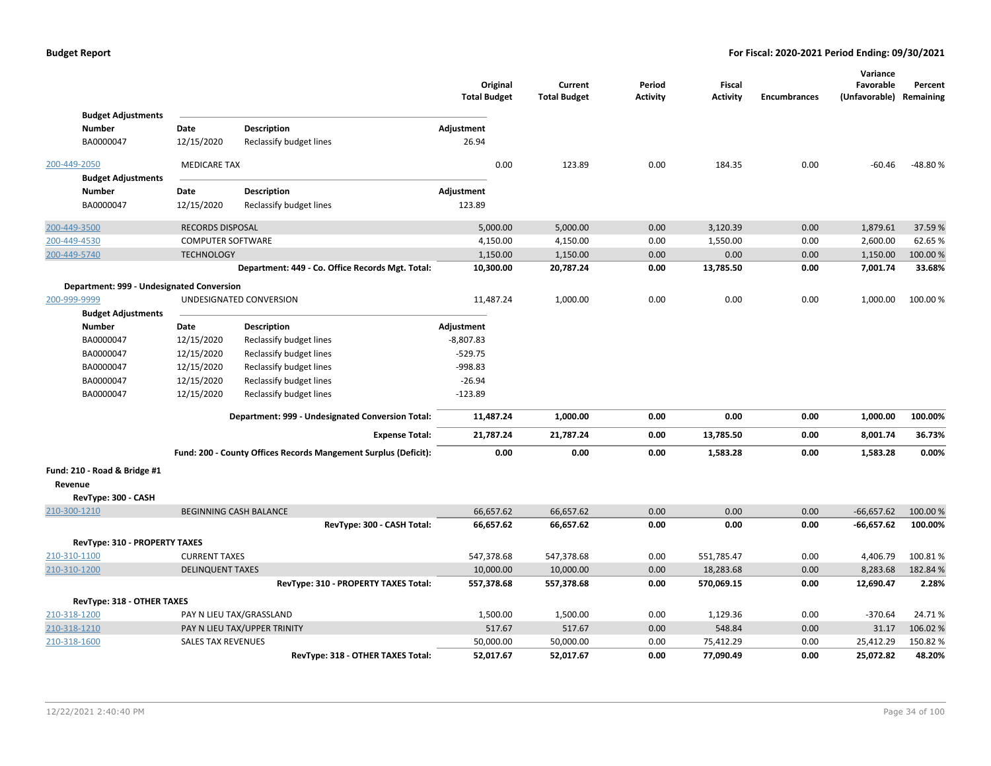|                                            |                           |                                                                 | Original<br><b>Total Budget</b> | Current<br><b>Total Budget</b> | Period<br><b>Activity</b> | Fiscal<br><b>Activity</b> | <b>Encumbrances</b> | Variance<br>Favorable<br>(Unfavorable) Remaining | Percent   |
|--------------------------------------------|---------------------------|-----------------------------------------------------------------|---------------------------------|--------------------------------|---------------------------|---------------------------|---------------------|--------------------------------------------------|-----------|
| <b>Budget Adjustments</b><br><b>Number</b> | Date                      |                                                                 |                                 |                                |                           |                           |                     |                                                  |           |
| BA0000047                                  | 12/15/2020                | <b>Description</b>                                              | Adjustment<br>26.94             |                                |                           |                           |                     |                                                  |           |
|                                            |                           | Reclassify budget lines                                         |                                 |                                |                           |                           |                     |                                                  |           |
| 200-449-2050                               | <b>MEDICARE TAX</b>       |                                                                 | 0.00                            | 123.89                         | 0.00                      | 184.35                    | 0.00                | $-60.46$                                         | $-48.80%$ |
| <b>Budget Adjustments</b>                  |                           |                                                                 |                                 |                                |                           |                           |                     |                                                  |           |
| <b>Number</b>                              | Date                      | <b>Description</b>                                              | Adjustment                      |                                |                           |                           |                     |                                                  |           |
| BA0000047                                  | 12/15/2020                | Reclassify budget lines                                         | 123.89                          |                                |                           |                           |                     |                                                  |           |
| 200-449-3500                               | RECORDS DISPOSAL          |                                                                 | 5,000.00                        | 5,000.00                       | 0.00                      | 3,120.39                  | 0.00                | 1,879.61                                         | 37.59 %   |
| 200-449-4530                               | <b>COMPUTER SOFTWARE</b>  |                                                                 | 4,150.00                        | 4,150.00                       | 0.00                      | 1,550.00                  | 0.00                | 2,600.00                                         | 62.65%    |
| 200-449-5740                               | <b>TECHNOLOGY</b>         |                                                                 | 1,150.00                        | 1,150.00                       | 0.00                      | 0.00                      | 0.00                | 1,150.00                                         | 100.00 %  |
|                                            |                           | Department: 449 - Co. Office Records Mgt. Total:                | 10,300.00                       | 20,787.24                      | 0.00                      | 13,785.50                 | 0.00                | 7,001.74                                         | 33.68%    |
| Department: 999 - Undesignated Conversion  |                           |                                                                 |                                 |                                |                           |                           |                     |                                                  |           |
| 200-999-9999                               |                           | UNDESIGNATED CONVERSION                                         | 11,487.24                       | 1,000.00                       | 0.00                      | 0.00                      | 0.00                | 1,000.00                                         | 100.00%   |
| <b>Budget Adjustments</b>                  |                           |                                                                 |                                 |                                |                           |                           |                     |                                                  |           |
| <b>Number</b>                              | Date                      | <b>Description</b>                                              | Adjustment                      |                                |                           |                           |                     |                                                  |           |
| BA0000047                                  | 12/15/2020                | Reclassify budget lines                                         | -8,807.83                       |                                |                           |                           |                     |                                                  |           |
| BA0000047                                  | 12/15/2020                | Reclassify budget lines                                         | $-529.75$                       |                                |                           |                           |                     |                                                  |           |
| BA0000047                                  | 12/15/2020                | Reclassify budget lines                                         | -998.83                         |                                |                           |                           |                     |                                                  |           |
| BA0000047                                  | 12/15/2020                | Reclassify budget lines                                         | $-26.94$                        |                                |                           |                           |                     |                                                  |           |
| BA0000047                                  | 12/15/2020                | Reclassify budget lines                                         | $-123.89$                       |                                |                           |                           |                     |                                                  |           |
|                                            |                           | Department: 999 - Undesignated Conversion Total:                | 11,487.24                       | 1,000.00                       | 0.00                      | 0.00                      | 0.00                | 1,000.00                                         | 100.00%   |
|                                            |                           | <b>Expense Total:</b>                                           | 21,787.24                       | 21,787.24                      | 0.00                      | 13,785.50                 | 0.00                | 8,001.74                                         | 36.73%    |
|                                            |                           | Fund: 200 - County Offices Records Mangement Surplus (Deficit): | 0.00                            | 0.00                           | 0.00                      | 1,583.28                  | 0.00                | 1,583.28                                         | 0.00%     |
| Fund: 210 - Road & Bridge #1               |                           |                                                                 |                                 |                                |                           |                           |                     |                                                  |           |
| Revenue                                    |                           |                                                                 |                                 |                                |                           |                           |                     |                                                  |           |
| RevType: 300 - CASH                        |                           |                                                                 |                                 |                                |                           |                           |                     |                                                  |           |
| 210-300-1210                               |                           | <b>BEGINNING CASH BALANCE</b>                                   | 66,657.62                       | 66,657.62                      | 0.00                      | 0.00                      | 0.00                | $-66,657.62$                                     | 100.00 %  |
|                                            |                           | RevType: 300 - CASH Total:                                      | 66,657.62                       | 66,657.62                      | 0.00                      | 0.00                      | 0.00                | $-66,657.62$                                     | 100.00%   |
| RevType: 310 - PROPERTY TAXES              |                           |                                                                 |                                 |                                |                           |                           |                     |                                                  |           |
| 210-310-1100                               | <b>CURRENT TAXES</b>      |                                                                 | 547,378.68                      | 547,378.68                     | 0.00                      | 551,785.47                | 0.00                | 4,406.79                                         | 100.81%   |
| 210-310-1200                               | <b>DELINQUENT TAXES</b>   |                                                                 | 10,000.00                       | 10,000.00                      | 0.00                      | 18,283.68                 | 0.00                | 8,283.68                                         | 182.84 %  |
|                                            |                           | RevType: 310 - PROPERTY TAXES Total:                            | 557,378.68                      | 557,378.68                     | 0.00                      | 570,069.15                | 0.00                | 12,690.47                                        | 2.28%     |
| RevType: 318 - OTHER TAXES                 |                           |                                                                 |                                 |                                |                           |                           |                     |                                                  |           |
| 210-318-1200                               |                           | PAY N LIEU TAX/GRASSLAND                                        | 1,500.00                        | 1,500.00                       | 0.00                      | 1,129.36                  | 0.00                | $-370.64$                                        | 24.71%    |
| 210-318-1210                               |                           | PAY N LIEU TAX/UPPER TRINITY                                    | 517.67                          | 517.67                         | 0.00                      | 548.84                    | 0.00                | 31.17                                            | 106.02%   |
| 210-318-1600                               | <b>SALES TAX REVENUES</b> |                                                                 | 50,000.00                       | 50,000.00                      | 0.00                      | 75,412.29                 | 0.00                | 25,412.29                                        | 150.82%   |
|                                            |                           | RevType: 318 - OTHER TAXES Total:                               | 52,017.67                       | 52,017.67                      | 0.00                      | 77,090.49                 | 0.00                | 25,072.82                                        | 48.20%    |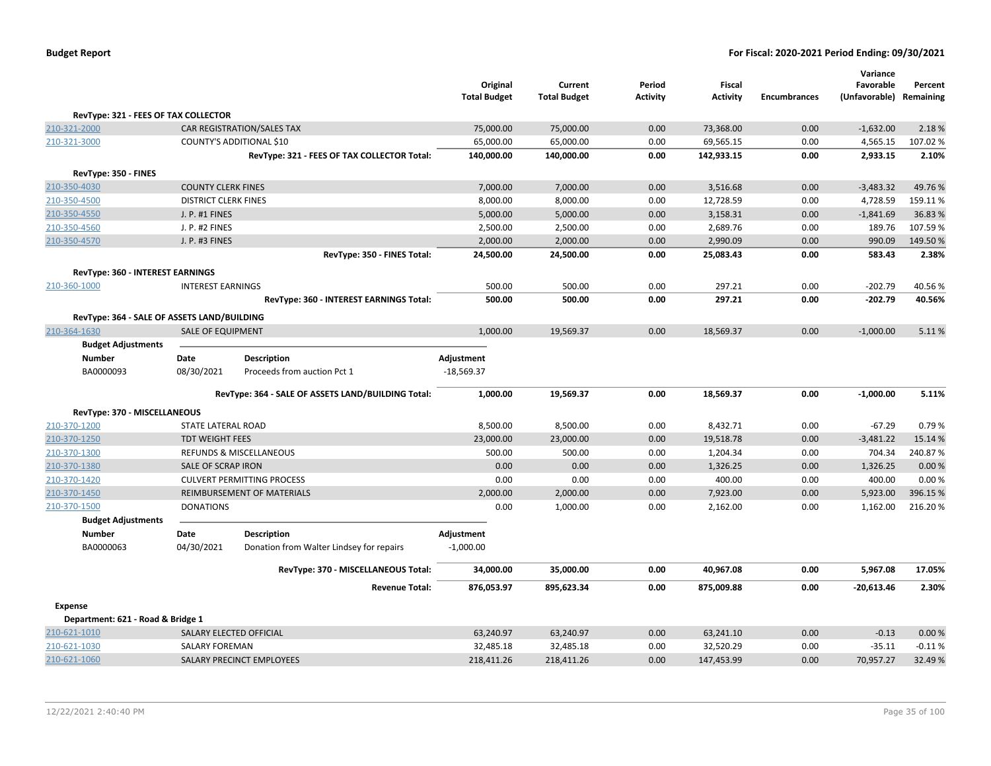|                                             |                             |                                                    | Original            | Current             | Period          | Fiscal          |                     | Variance<br>Favorable | Percent   |
|---------------------------------------------|-----------------------------|----------------------------------------------------|---------------------|---------------------|-----------------|-----------------|---------------------|-----------------------|-----------|
|                                             |                             |                                                    | <b>Total Budget</b> | <b>Total Budget</b> | <b>Activity</b> | <b>Activity</b> | <b>Encumbrances</b> | (Unfavorable)         | Remaining |
| RevType: 321 - FEES OF TAX COLLECTOR        |                             |                                                    |                     |                     |                 |                 |                     |                       |           |
| 210-321-2000                                |                             | CAR REGISTRATION/SALES TAX                         | 75,000.00           | 75,000.00           | 0.00            | 73,368.00       | 0.00                | $-1,632.00$           | 2.18%     |
| 210-321-3000                                |                             | COUNTY'S ADDITIONAL \$10                           | 65,000.00           | 65,000.00           | 0.00            | 69,565.15       | 0.00                | 4,565.15              | 107.02%   |
|                                             |                             | RevType: 321 - FEES OF TAX COLLECTOR Total:        | 140,000.00          | 140,000.00          | 0.00            | 142,933.15      | 0.00                | 2,933.15              | 2.10%     |
| RevType: 350 - FINES                        |                             |                                                    |                     |                     |                 |                 |                     |                       |           |
| 210-350-4030                                | <b>COUNTY CLERK FINES</b>   |                                                    | 7,000.00            | 7,000.00            | 0.00            | 3,516.68        | 0.00                | $-3,483.32$           | 49.76%    |
| 210-350-4500                                | <b>DISTRICT CLERK FINES</b> |                                                    | 8,000.00            | 8,000.00            | 0.00            | 12,728.59       | 0.00                | 4,728.59              | 159.11%   |
| 210-350-4550                                | J. P. #1 FINES              |                                                    | 5,000.00            | 5,000.00            | 0.00            | 3,158.31        | 0.00                | $-1,841.69$           | 36.83%    |
| 210-350-4560                                | J. P. #2 FINES              |                                                    | 2,500.00            | 2,500.00            | 0.00            | 2,689.76        | 0.00                | 189.76                | 107.59%   |
| 210-350-4570                                | J. P. #3 FINES              |                                                    | 2,000.00            | 2,000.00            | 0.00            | 2,990.09        | 0.00                | 990.09                | 149.50%   |
|                                             |                             | RevType: 350 - FINES Total:                        | 24,500.00           | 24,500.00           | 0.00            | 25,083.43       | 0.00                | 583.43                | 2.38%     |
| RevType: 360 - INTEREST EARNINGS            |                             |                                                    |                     |                     |                 |                 |                     |                       |           |
| 210-360-1000                                | <b>INTEREST EARNINGS</b>    |                                                    | 500.00              | 500.00              | 0.00            | 297.21          | 0.00                | $-202.79$             | 40.56%    |
|                                             |                             | RevType: 360 - INTEREST EARNINGS Total:            | 500.00              | 500.00              | 0.00            | 297.21          | 0.00                | $-202.79$             | 40.56%    |
| RevType: 364 - SALE OF ASSETS LAND/BUILDING |                             |                                                    |                     |                     |                 |                 |                     |                       |           |
| 210-364-1630                                | <b>SALE OF EQUIPMENT</b>    |                                                    | 1,000.00            | 19,569.37           | 0.00            | 18,569.37       | 0.00                | $-1,000.00$           | 5.11%     |
| <b>Budget Adjustments</b>                   |                             |                                                    |                     |                     |                 |                 |                     |                       |           |
| Number                                      | Date                        | <b>Description</b>                                 | Adjustment          |                     |                 |                 |                     |                       |           |
| BA0000093                                   | 08/30/2021                  | Proceeds from auction Pct 1                        | $-18,569.37$        |                     |                 |                 |                     |                       |           |
|                                             |                             |                                                    |                     |                     |                 |                 |                     |                       |           |
|                                             |                             | RevType: 364 - SALE OF ASSETS LAND/BUILDING Total: | 1,000.00            | 19,569.37           | 0.00            | 18,569.37       | 0.00                | $-1,000.00$           | 5.11%     |
| RevType: 370 - MISCELLANEOUS                |                             |                                                    |                     |                     |                 |                 |                     |                       |           |
| 210-370-1200                                | STATE LATERAL ROAD          |                                                    | 8,500.00            | 8,500.00            | 0.00            | 8,432.71        | 0.00                | $-67.29$              | 0.79%     |
| 210-370-1250                                | <b>TDT WEIGHT FEES</b>      |                                                    | 23,000.00           | 23,000.00           | 0.00            | 19,518.78       | 0.00                | $-3,481.22$           | 15.14 %   |
| 210-370-1300                                |                             | <b>REFUNDS &amp; MISCELLANEOUS</b>                 | 500.00              | 500.00              | 0.00            | 1,204.34        | 0.00                | 704.34                | 240.87%   |
| 210-370-1380                                | <b>SALE OF SCRAP IRON</b>   |                                                    | 0.00                | 0.00                | 0.00            | 1,326.25        | 0.00                | 1,326.25              | 0.00%     |
| 210-370-1420                                |                             | <b>CULVERT PERMITTING PROCESS</b>                  | 0.00                | 0.00                | 0.00            | 400.00          | 0.00                | 400.00                | 0.00%     |
| 210-370-1450                                |                             | REIMBURSEMENT OF MATERIALS                         | 2,000.00            | 2,000.00            | 0.00            | 7,923.00        | 0.00                | 5,923.00              | 396.15%   |
| 210-370-1500                                | <b>DONATIONS</b>            |                                                    | 0.00                | 1,000.00            | 0.00            | 2,162.00        | 0.00                | 1,162.00              | 216.20%   |
| <b>Budget Adjustments</b>                   |                             |                                                    |                     |                     |                 |                 |                     |                       |           |
| <b>Number</b>                               | Date                        | <b>Description</b>                                 | Adjustment          |                     |                 |                 |                     |                       |           |
| BA0000063                                   | 04/30/2021                  | Donation from Walter Lindsey for repairs           | $-1,000.00$         |                     |                 |                 |                     |                       |           |
|                                             |                             | RevType: 370 - MISCELLANEOUS Total:                | 34,000.00           | 35,000.00           | 0.00            | 40,967.08       | 0.00                | 5,967.08              | 17.05%    |
|                                             |                             | <b>Revenue Total:</b>                              | 876,053.97          | 895,623.34          | 0.00            | 875,009.88      | 0.00                | $-20,613.46$          | 2.30%     |
| <b>Expense</b>                              |                             |                                                    |                     |                     |                 |                 |                     |                       |           |
| Department: 621 - Road & Bridge 1           |                             |                                                    |                     |                     |                 |                 |                     |                       |           |
| 210-621-1010                                |                             | SALARY ELECTED OFFICIAL                            | 63,240.97           | 63,240.97           | 0.00            | 63,241.10       | 0.00                | $-0.13$               | 0.00%     |
| 210-621-1030                                | <b>SALARY FOREMAN</b>       |                                                    | 32,485.18           | 32,485.18           | 0.00            | 32,520.29       | 0.00                | $-35.11$              | $-0.11%$  |
| 210-621-1060                                |                             | <b>SALARY PRECINCT EMPLOYEES</b>                   | 218,411.26          | 218,411.26          | 0.00            | 147,453.99      | 0.00                | 70,957.27             | 32.49%    |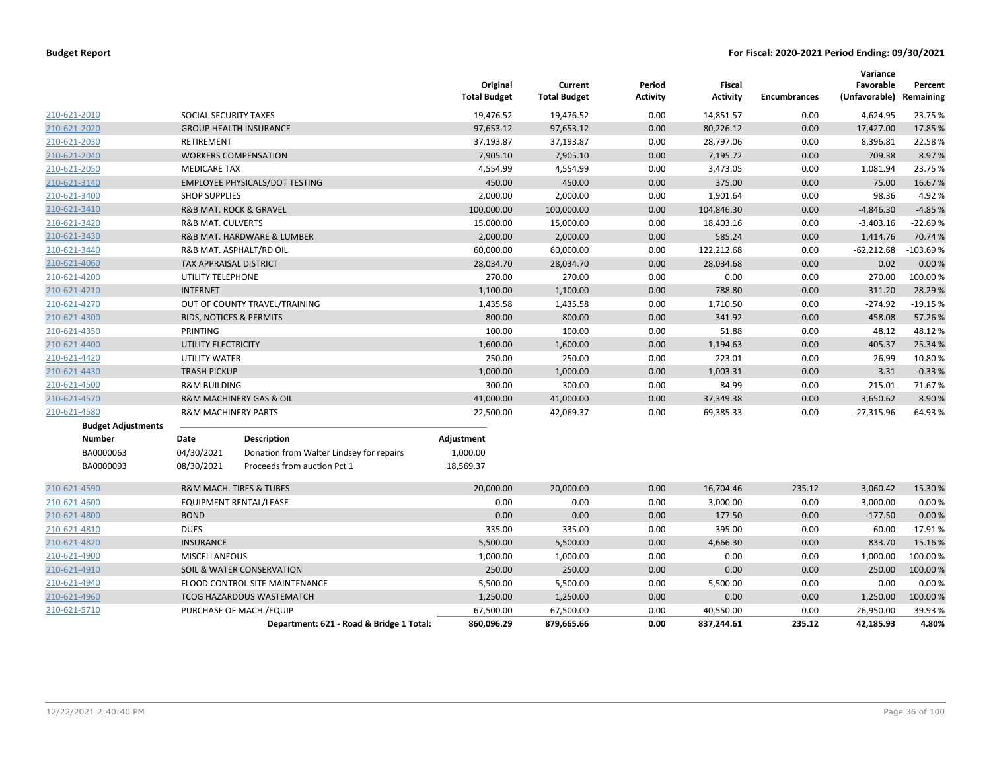|                           |                                    |                                          | Original<br><b>Total Budget</b> | Current<br><b>Total Budget</b> | Period<br><b>Activity</b> | Fiscal<br><b>Activity</b> | <b>Encumbrances</b> | Variance<br>Favorable<br>(Unfavorable) Remaining | Percent    |
|---------------------------|------------------------------------|------------------------------------------|---------------------------------|--------------------------------|---------------------------|---------------------------|---------------------|--------------------------------------------------|------------|
| 210-621-2010              | SOCIAL SECURITY TAXES              |                                          | 19,476.52                       | 19,476.52                      | 0.00                      | 14,851.57                 | 0.00                | 4,624.95                                         | 23.75 %    |
| 210-621-2020              |                                    | <b>GROUP HEALTH INSURANCE</b>            | 97,653.12                       | 97,653.12                      | 0.00                      | 80,226.12                 | 0.00                | 17,427.00                                        | 17.85 %    |
| 210-621-2030              | <b>RETIREMENT</b>                  |                                          | 37,193.87                       | 37,193.87                      | 0.00                      | 28,797.06                 | 0.00                | 8,396.81                                         | 22.58%     |
| 210-621-2040              |                                    | <b>WORKERS COMPENSATION</b>              | 7,905.10                        | 7,905.10                       | 0.00                      | 7,195.72                  | 0.00                | 709.38                                           | 8.97%      |
| 210-621-2050              | <b>MEDICARE TAX</b>                |                                          | 4,554.99                        | 4,554.99                       | 0.00                      | 3,473.05                  | 0.00                | 1,081.94                                         | 23.75 %    |
| 210-621-3140              |                                    | <b>EMPLOYEE PHYSICALS/DOT TESTING</b>    | 450.00                          | 450.00                         | 0.00                      | 375.00                    | 0.00                | 75.00                                            | 16.67%     |
| 210-621-3400              | <b>SHOP SUPPLIES</b>               |                                          | 2,000.00                        | 2,000.00                       | 0.00                      | 1,901.64                  | 0.00                | 98.36                                            | 4.92%      |
| 210-621-3410              |                                    | <b>R&amp;B MAT, ROCK &amp; GRAVEL</b>    | 100,000.00                      | 100,000.00                     | 0.00                      | 104,846.30                | 0.00                | $-4,846.30$                                      | $-4.85%$   |
| 210-621-3420              | <b>R&amp;B MAT. CULVERTS</b>       |                                          | 15,000.00                       | 15,000.00                      | 0.00                      | 18,403.16                 | 0.00                | $-3,403.16$                                      | $-22.69%$  |
| 210-621-3430              |                                    | R&B MAT. HARDWARE & LUMBER               | 2,000.00                        | 2,000.00                       | 0.00                      | 585.24                    | 0.00                | 1,414.76                                         | 70.74 %    |
| 210-621-3440              |                                    | R&B MAT. ASPHALT/RD OIL                  | 60,000.00                       | 60,000.00                      | 0.00                      | 122,212.68                | 0.00                | $-62,212.68$                                     | $-103.69%$ |
| 210-621-4060              | <b>TAX APPRAISAL DISTRICT</b>      |                                          | 28,034.70                       | 28,034.70                      | 0.00                      | 28,034.68                 | 0.00                | 0.02                                             | 0.00%      |
| 210-621-4200              | UTILITY TELEPHONE                  |                                          | 270.00                          | 270.00                         | 0.00                      | 0.00                      | 0.00                | 270.00                                           | 100.00%    |
| 210-621-4210              | <b>INTERNET</b>                    |                                          | 1,100.00                        | 1,100.00                       | 0.00                      | 788.80                    | 0.00                | 311.20                                           | 28.29 %    |
| 210-621-4270              |                                    | OUT OF COUNTY TRAVEL/TRAINING            | 1,435.58                        | 1,435.58                       | 0.00                      | 1,710.50                  | 0.00                | $-274.92$                                        | $-19.15%$  |
| 210-621-4300              | <b>BIDS, NOTICES &amp; PERMITS</b> |                                          | 800.00                          | 800.00                         | 0.00                      | 341.92                    | 0.00                | 458.08                                           | 57.26%     |
| 210-621-4350              | PRINTING                           |                                          | 100.00                          | 100.00                         | 0.00                      | 51.88                     | 0.00                | 48.12                                            | 48.12%     |
| 210-621-4400              | UTILITY ELECTRICITY                |                                          | 1,600.00                        | 1,600.00                       | 0.00                      | 1,194.63                  | 0.00                | 405.37                                           | 25.34 %    |
| 210-621-4420              | <b>UTILITY WATER</b>               |                                          | 250.00                          | 250.00                         | 0.00                      | 223.01                    | 0.00                | 26.99                                            | 10.80%     |
| 210-621-4430              | <b>TRASH PICKUP</b>                |                                          | 1,000.00                        | 1,000.00                       | 0.00                      | 1,003.31                  | 0.00                | $-3.31$                                          | $-0.33%$   |
| 210-621-4500              | <b>R&amp;M BUILDING</b>            |                                          | 300.00                          | 300.00                         | 0.00                      | 84.99                     | 0.00                | 215.01                                           | 71.67%     |
| 210-621-4570              |                                    | R&M MACHINERY GAS & OIL                  | 41,000.00                       | 41,000.00                      | 0.00                      | 37,349.38                 | 0.00                | 3,650.62                                         | 8.90%      |
| 210-621-4580              | <b>R&amp;M MACHINERY PARTS</b>     |                                          | 22,500.00                       | 42,069.37                      | 0.00                      | 69,385.33                 | 0.00                | $-27,315.96$                                     | $-64.93%$  |
| <b>Budget Adjustments</b> |                                    |                                          |                                 |                                |                           |                           |                     |                                                  |            |
| <b>Number</b>             | Date                               | <b>Description</b>                       | Adjustment                      |                                |                           |                           |                     |                                                  |            |
| BA0000063                 | 04/30/2021                         | Donation from Walter Lindsey for repairs | 1,000.00                        |                                |                           |                           |                     |                                                  |            |
| BA0000093                 | 08/30/2021                         | Proceeds from auction Pct 1              | 18,569.37                       |                                |                           |                           |                     |                                                  |            |
| 210-621-4590              |                                    | <b>R&amp;M MACH. TIRES &amp; TUBES</b>   | 20,000.00                       | 20,000.00                      | 0.00                      | 16,704.46                 | 235.12              | 3,060.42                                         | 15.30%     |
| 210-621-4600              |                                    | EQUIPMENT RENTAL/LEASE                   | 0.00                            | 0.00                           | 0.00                      | 3,000.00                  | 0.00                | $-3,000.00$                                      | 0.00%      |
| 210-621-4800              | <b>BOND</b>                        |                                          | 0.00                            | 0.00                           | 0.00                      | 177.50                    | 0.00                | $-177.50$                                        | 0.00 %     |
| 210-621-4810              | <b>DUES</b>                        |                                          | 335.00                          | 335.00                         | 0.00                      | 395.00                    | 0.00                | $-60.00$                                         | $-17.91%$  |
| 210-621-4820              | <b>INSURANCE</b>                   |                                          | 5,500.00                        | 5,500.00                       | 0.00                      | 4,666.30                  | 0.00                | 833.70                                           | 15.16%     |
| 210-621-4900              | <b>MISCELLANEOUS</b>               |                                          | 1,000.00                        | 1,000.00                       | 0.00                      | 0.00                      | 0.00                | 1,000.00                                         | 100.00%    |
| 210-621-4910              |                                    | SOIL & WATER CONSERVATION                | 250.00                          | 250.00                         | 0.00                      | 0.00                      | 0.00                | 250.00                                           | 100.00%    |
| 210-621-4940              |                                    | FLOOD CONTROL SITE MAINTENANCE           | 5,500.00                        | 5,500.00                       | 0.00                      | 5,500.00                  | 0.00                | 0.00                                             | 0.00%      |
| 210-621-4960              |                                    | <b>TCOG HAZARDOUS WASTEMATCH</b>         | 1,250.00                        | 1,250.00                       | 0.00                      | 0.00                      | 0.00                | 1,250.00                                         | 100.00%    |
| 210-621-5710              |                                    | PURCHASE OF MACH./EQUIP                  | 67,500.00                       | 67,500.00                      | 0.00                      | 40,550.00                 | 0.00                | 26,950.00                                        | 39.93%     |
|                           |                                    | Department: 621 - Road & Bridge 1 Total: | 860,096.29                      | 879,665.66                     | 0.00                      | 837,244.61                | 235.12              | 42,185.93                                        | 4.80%      |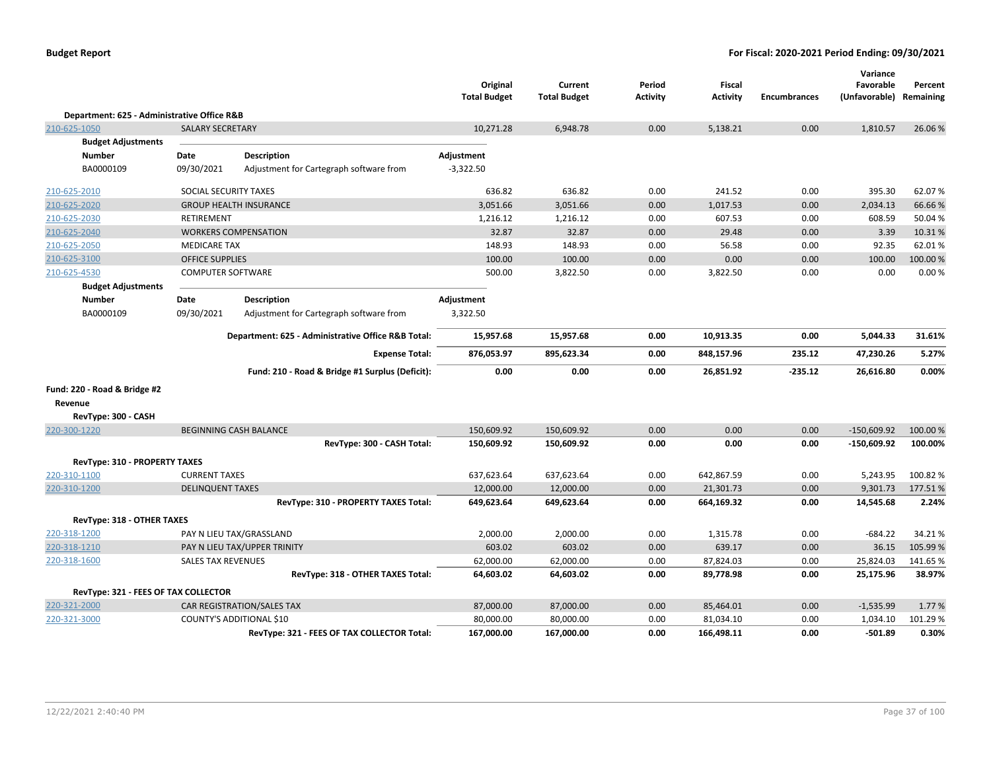|                                             |                           |                                                    | Original<br><b>Total Budget</b> | Current<br><b>Total Budget</b> | Period<br><b>Activity</b> | <b>Fiscal</b><br><b>Activity</b> | <b>Encumbrances</b> | Variance<br>Favorable<br>(Unfavorable) | Percent<br>Remaining |
|---------------------------------------------|---------------------------|----------------------------------------------------|---------------------------------|--------------------------------|---------------------------|----------------------------------|---------------------|----------------------------------------|----------------------|
| Department: 625 - Administrative Office R&B |                           |                                                    |                                 |                                |                           |                                  |                     |                                        |                      |
| 210-625-1050                                | <b>SALARY SECRETARY</b>   |                                                    | 10,271.28                       | 6,948.78                       | 0.00                      | 5,138.21                         | 0.00                | 1,810.57                               | 26.06%               |
| <b>Budget Adjustments</b>                   |                           |                                                    |                                 |                                |                           |                                  |                     |                                        |                      |
| <b>Number</b>                               | Date                      | <b>Description</b>                                 | Adjustment                      |                                |                           |                                  |                     |                                        |                      |
| BA0000109                                   | 09/30/2021                | Adjustment for Cartegraph software from            | $-3,322.50$                     |                                |                           |                                  |                     |                                        |                      |
| 210-625-2010                                | SOCIAL SECURITY TAXES     |                                                    | 636.82                          | 636.82                         | 0.00                      | 241.52                           | 0.00                | 395.30                                 | 62.07%               |
| 210-625-2020                                |                           | <b>GROUP HEALTH INSURANCE</b>                      | 3,051.66                        | 3,051.66                       | 0.00                      | 1,017.53                         | 0.00                | 2,034.13                               | 66.66%               |
| 210-625-2030                                | <b>RETIREMENT</b>         |                                                    | 1,216.12                        | 1,216.12                       | 0.00                      | 607.53                           | 0.00                | 608.59                                 | 50.04%               |
| 210-625-2040                                |                           | <b>WORKERS COMPENSATION</b>                        | 32.87                           | 32.87                          | 0.00                      | 29.48                            | 0.00                | 3.39                                   | 10.31%               |
| 210-625-2050                                | <b>MEDICARE TAX</b>       |                                                    | 148.93                          | 148.93                         | 0.00                      | 56.58                            | 0.00                | 92.35                                  | 62.01%               |
| 210-625-3100                                | <b>OFFICE SUPPLIES</b>    |                                                    | 100.00                          | 100.00                         | 0.00                      | 0.00                             | 0.00                | 100.00                                 | 100.00%              |
| 210-625-4530                                | <b>COMPUTER SOFTWARE</b>  |                                                    | 500.00                          | 3,822.50                       | 0.00                      | 3,822.50                         | 0.00                | 0.00                                   | 0.00%                |
| <b>Budget Adjustments</b>                   |                           |                                                    |                                 |                                |                           |                                  |                     |                                        |                      |
| <b>Number</b>                               | Date                      | <b>Description</b>                                 | Adjustment                      |                                |                           |                                  |                     |                                        |                      |
| BA0000109                                   | 09/30/2021                | Adjustment for Cartegraph software from            | 3,322.50                        |                                |                           |                                  |                     |                                        |                      |
|                                             |                           | Department: 625 - Administrative Office R&B Total: | 15,957.68                       | 15,957.68                      | 0.00                      | 10,913.35                        | 0.00                | 5,044.33                               | 31.61%               |
|                                             |                           | <b>Expense Total:</b>                              | 876,053.97                      | 895,623.34                     | 0.00                      | 848,157.96                       | 235.12              | 47,230.26                              | 5.27%                |
|                                             |                           | Fund: 210 - Road & Bridge #1 Surplus (Deficit):    | 0.00                            | 0.00                           | 0.00                      | 26,851.92                        | $-235.12$           | 26,616.80                              | 0.00%                |
| Fund: 220 - Road & Bridge #2                |                           |                                                    |                                 |                                |                           |                                  |                     |                                        |                      |
| Revenue                                     |                           |                                                    |                                 |                                |                           |                                  |                     |                                        |                      |
| RevType: 300 - CASH                         |                           |                                                    |                                 |                                |                           |                                  |                     |                                        |                      |
| 220-300-1220                                |                           | <b>BEGINNING CASH BALANCE</b>                      | 150,609.92                      | 150,609.92                     | 0.00                      | 0.00                             | 0.00                | $-150,609.92$                          | 100.00 %             |
|                                             |                           | RevType: 300 - CASH Total:                         | 150,609.92                      | 150,609.92                     | 0.00                      | 0.00                             | 0.00                | $-150,609.92$                          | 100.00%              |
| <b>RevType: 310 - PROPERTY TAXES</b>        |                           |                                                    |                                 |                                |                           |                                  |                     |                                        |                      |
| 220-310-1100                                | <b>CURRENT TAXES</b>      |                                                    | 637,623.64                      | 637,623.64                     | 0.00                      | 642,867.59                       | 0.00                | 5,243.95                               | 100.82%              |
| 220-310-1200                                | <b>DELINQUENT TAXES</b>   |                                                    | 12,000.00                       | 12,000.00                      | 0.00                      | 21,301.73                        | 0.00                | 9,301.73                               | 177.51%              |
|                                             |                           | RevType: 310 - PROPERTY TAXES Total:               | 649,623.64                      | 649,623.64                     | 0.00                      | 664,169.32                       | 0.00                | 14,545.68                              | 2.24%                |
| RevType: 318 - OTHER TAXES                  |                           |                                                    |                                 |                                |                           |                                  |                     |                                        |                      |
| 220-318-1200                                |                           | PAY N LIEU TAX/GRASSLAND                           | 2,000.00                        | 2,000.00                       | 0.00                      | 1,315.78                         | 0.00                | $-684.22$                              | 34.21%               |
| 220-318-1210                                |                           | PAY N LIEU TAX/UPPER TRINITY                       | 603.02                          | 603.02                         | 0.00                      | 639.17                           | 0.00                | 36.15                                  | 105.99 %             |
| 220-318-1600                                | <b>SALES TAX REVENUES</b> |                                                    | 62,000.00                       | 62,000.00                      | 0.00                      | 87,824.03                        | 0.00                | 25,824.03                              | 141.65%              |
|                                             |                           | RevType: 318 - OTHER TAXES Total:                  | 64,603.02                       | 64,603.02                      | 0.00                      | 89,778.98                        | 0.00                | 25,175.96                              | 38.97%               |
| RevType: 321 - FEES OF TAX COLLECTOR        |                           |                                                    |                                 |                                |                           |                                  |                     |                                        |                      |
| 220-321-2000                                |                           | CAR REGISTRATION/SALES TAX                         | 87,000.00                       | 87,000.00                      | 0.00                      | 85,464.01                        | 0.00                | $-1,535.99$                            | 1.77 %               |
| 220-321-3000                                |                           | COUNTY'S ADDITIONAL \$10                           | 80,000.00                       | 80,000.00                      | 0.00                      | 81,034.10                        | 0.00                | 1,034.10                               | 101.29 %             |
|                                             |                           | RevType: 321 - FEES OF TAX COLLECTOR Total:        | 167,000.00                      | 167,000.00                     | 0.00                      | 166,498.11                       | 0.00                | $-501.89$                              | 0.30%                |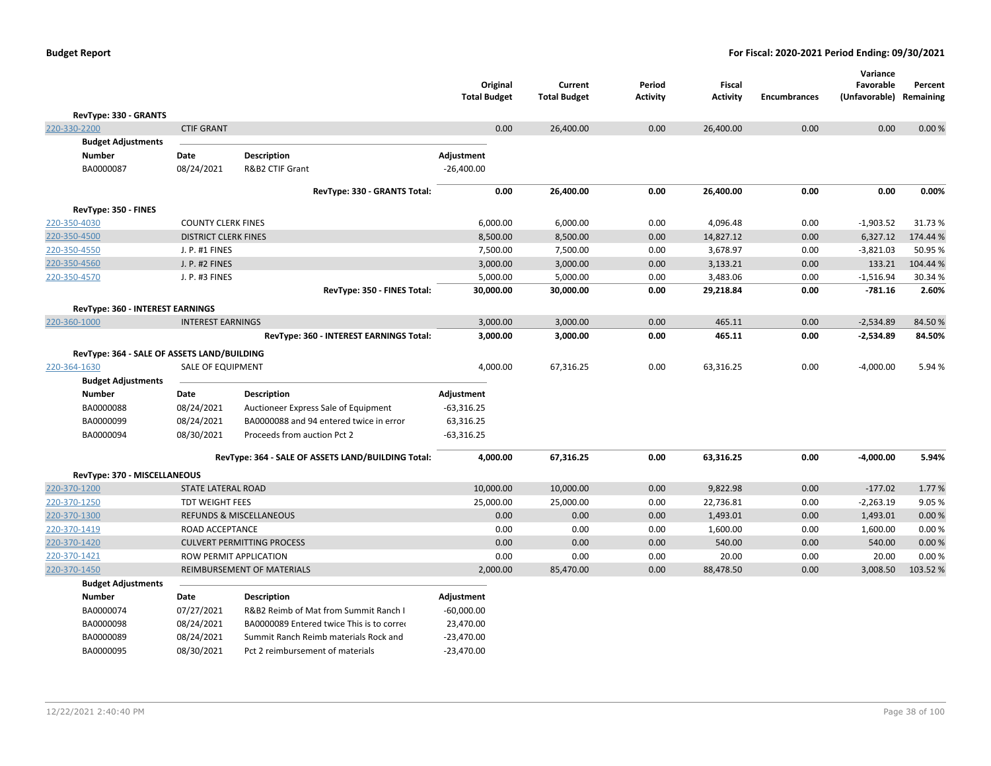|                                             |                             |                                                    | Original<br><b>Total Budget</b> | Current<br><b>Total Budget</b> | Period<br>Activity | Fiscal<br><b>Activity</b> | <b>Encumbrances</b> | Variance<br>Favorable<br>(Unfavorable) Remaining | Percent  |
|---------------------------------------------|-----------------------------|----------------------------------------------------|---------------------------------|--------------------------------|--------------------|---------------------------|---------------------|--------------------------------------------------|----------|
| RevType: 330 - GRANTS                       |                             |                                                    |                                 |                                |                    |                           |                     |                                                  |          |
| 220-330-2200                                | <b>CTIF GRANT</b>           |                                                    | 0.00                            | 26,400.00                      | 0.00               | 26,400.00                 | 0.00                | 0.00                                             | 0.00%    |
| <b>Budget Adjustments</b>                   |                             |                                                    |                                 |                                |                    |                           |                     |                                                  |          |
| <b>Number</b>                               | Date                        | <b>Description</b>                                 | Adjustment                      |                                |                    |                           |                     |                                                  |          |
| BA0000087                                   | 08/24/2021                  | R&B2 CTIF Grant                                    | $-26,400.00$                    |                                |                    |                           |                     |                                                  |          |
|                                             |                             | RevType: 330 - GRANTS Total:                       | 0.00                            | 26,400.00                      | 0.00               | 26,400.00                 | 0.00                | 0.00                                             | 0.00%    |
| RevType: 350 - FINES                        |                             |                                                    |                                 |                                |                    |                           |                     |                                                  |          |
| 220-350-4030                                | <b>COUNTY CLERK FINES</b>   |                                                    | 6,000.00                        | 6,000.00                       | 0.00               | 4,096.48                  | 0.00                | $-1,903.52$                                      | 31.73%   |
| 220-350-4500                                | <b>DISTRICT CLERK FINES</b> |                                                    | 8,500.00                        | 8,500.00                       | 0.00               | 14,827.12                 | 0.00                | 6,327.12                                         | 174.44 % |
| 220-350-4550                                | J. P. #1 FINES              |                                                    | 7,500.00                        | 7,500.00                       | 0.00               | 3,678.97                  | 0.00                | $-3,821.03$                                      | 50.95 %  |
| 220-350-4560                                | J. P. #2 FINES              |                                                    | 3,000.00                        | 3,000.00                       | 0.00               | 3,133.21                  | 0.00                | 133.21                                           | 104.44 % |
| 220-350-4570                                | J. P. #3 FINES              |                                                    | 5,000.00                        | 5,000.00                       | 0.00               | 3,483.06                  | 0.00                | $-1,516.94$                                      | 30.34 %  |
|                                             |                             | RevType: 350 - FINES Total:                        | 30,000.00                       | 30,000.00                      | 0.00               | 29,218.84                 | 0.00                | $-781.16$                                        | 2.60%    |
| RevType: 360 - INTEREST EARNINGS            |                             |                                                    |                                 |                                |                    |                           |                     |                                                  |          |
| 220-360-1000                                | <b>INTEREST EARNINGS</b>    |                                                    | 3,000.00                        | 3,000.00                       | 0.00               | 465.11                    | 0.00                | $-2,534.89$                                      | 84.50%   |
|                                             |                             | RevType: 360 - INTEREST EARNINGS Total:            | 3,000.00                        | 3,000.00                       | 0.00               | 465.11                    | 0.00                | $-2,534.89$                                      | 84.50%   |
| RevType: 364 - SALE OF ASSETS LAND/BUILDING |                             |                                                    |                                 |                                |                    |                           |                     |                                                  |          |
| 220-364-1630                                | <b>SALE OF EQUIPMENT</b>    |                                                    | 4,000.00                        | 67,316.25                      | 0.00               | 63,316.25                 | 0.00                | $-4,000.00$                                      | 5.94 %   |
| <b>Budget Adjustments</b>                   |                             |                                                    |                                 |                                |                    |                           |                     |                                                  |          |
| <b>Number</b>                               | Date                        | Description                                        | Adjustment                      |                                |                    |                           |                     |                                                  |          |
| BA0000088                                   | 08/24/2021                  | Auctioneer Express Sale of Equipment               | $-63,316.25$                    |                                |                    |                           |                     |                                                  |          |
| BA0000099                                   | 08/24/2021                  | BA0000088 and 94 entered twice in error            | 63,316.25                       |                                |                    |                           |                     |                                                  |          |
| BA0000094                                   | 08/30/2021                  | Proceeds from auction Pct 2                        | $-63,316.25$                    |                                |                    |                           |                     |                                                  |          |
|                                             |                             | RevType: 364 - SALE OF ASSETS LAND/BUILDING Total: | 4,000.00                        | 67,316.25                      | 0.00               | 63,316.25                 | 0.00                | $-4,000.00$                                      | 5.94%    |
| RevType: 370 - MISCELLANEOUS                |                             |                                                    |                                 |                                |                    |                           |                     |                                                  |          |
| 220-370-1200                                | <b>STATE LATERAL ROAD</b>   |                                                    | 10,000.00                       | 10,000.00                      | 0.00               | 9,822.98                  | 0.00                | $-177.02$                                        | 1.77%    |
| 220-370-1250                                | <b>TDT WEIGHT FEES</b>      |                                                    | 25,000.00                       | 25,000.00                      | 0.00               | 22,736.81                 | 0.00                | $-2,263.19$                                      | 9.05%    |
| 220-370-1300                                |                             | <b>REFUNDS &amp; MISCELLANEOUS</b>                 | 0.00                            | 0.00                           | 0.00               | 1,493.01                  | 0.00                | 1,493.01                                         | 0.00 %   |
| 220-370-1419                                | ROAD ACCEPTANCE             |                                                    | 0.00                            | 0.00                           | 0.00               | 1,600.00                  | 0.00                | 1,600.00                                         | 0.00%    |
| 220-370-1420                                |                             | <b>CULVERT PERMITTING PROCESS</b>                  | 0.00                            | 0.00                           | 0.00               | 540.00                    | 0.00                | 540.00                                           | 0.00%    |
| 220-370-1421                                | ROW PERMIT APPLICATION      |                                                    | 0.00                            | 0.00                           | 0.00               | 20.00                     | 0.00                | 20.00                                            | 0.00%    |
| 220-370-1450                                |                             | REIMBURSEMENT OF MATERIALS                         | 2,000.00                        | 85,470.00                      | 0.00               | 88,478.50                 | 0.00                | 3,008.50                                         | 103.52%  |
| <b>Budget Adjustments</b>                   |                             |                                                    |                                 |                                |                    |                           |                     |                                                  |          |
| <b>Number</b>                               | Date                        | <b>Description</b>                                 | Adjustment                      |                                |                    |                           |                     |                                                  |          |
| BA0000074                                   | 07/27/2021                  | R&B2 Reimb of Mat from Summit Ranch I              | $-60,000.00$                    |                                |                    |                           |                     |                                                  |          |
| BA0000098                                   | 08/24/2021                  | BA0000089 Entered twice This is to corred          | 23,470.00                       |                                |                    |                           |                     |                                                  |          |
| BA0000089                                   | 08/24/2021                  | Summit Ranch Reimb materials Rock and              | $-23,470.00$                    |                                |                    |                           |                     |                                                  |          |
| BA0000095                                   | 08/30/2021                  | Pct 2 reimbursement of materials                   | $-23,470.00$                    |                                |                    |                           |                     |                                                  |          |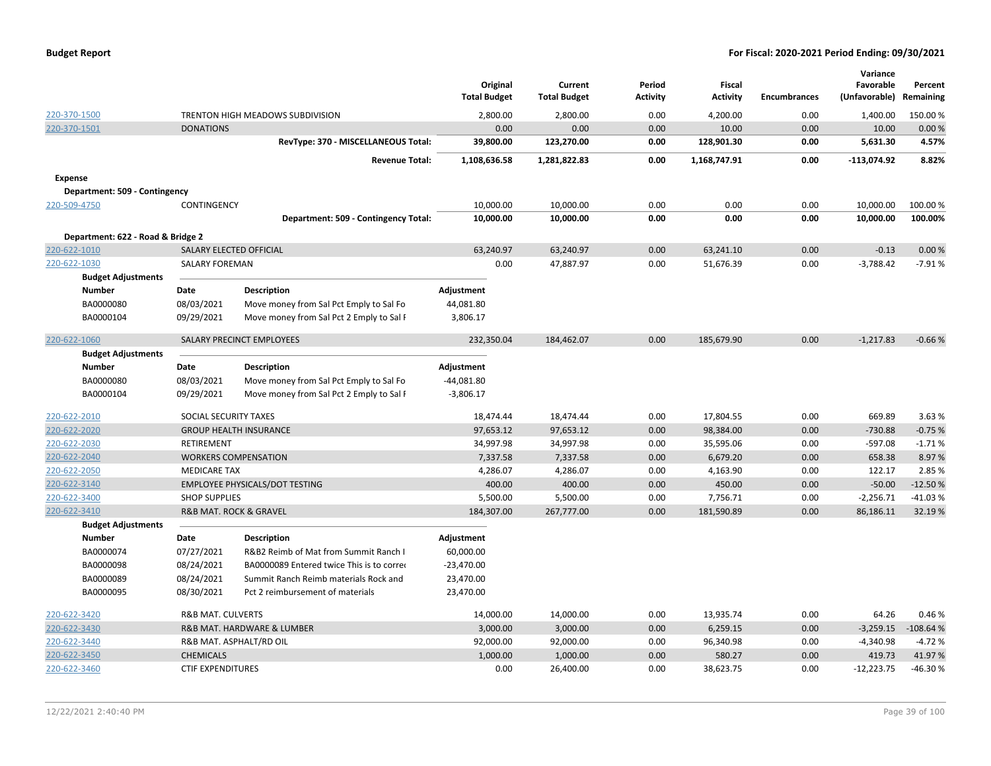| <b>Budget Report</b> |  |
|----------------------|--|
|----------------------|--|

|                                   |                              |                                           | Original            | Current             | Period          | Fiscal          |                     | Variance<br>Favorable | Percent    |
|-----------------------------------|------------------------------|-------------------------------------------|---------------------|---------------------|-----------------|-----------------|---------------------|-----------------------|------------|
|                                   |                              |                                           | <b>Total Budget</b> | <b>Total Budget</b> | <b>Activity</b> | <b>Activity</b> | <b>Encumbrances</b> | (Unfavorable)         | Remaining  |
| 220-370-1500                      |                              | TRENTON HIGH MEADOWS SUBDIVISION          | 2,800.00            | 2,800.00            | 0.00            | 4,200.00        | 0.00                | 1,400.00              | 150.00%    |
| 220-370-1501                      | <b>DONATIONS</b>             |                                           | 0.00                | 0.00                | 0.00            | 10.00           | 0.00                | 10.00                 | 0.00%      |
|                                   |                              | RevType: 370 - MISCELLANEOUS Total:       | 39,800.00           | 123,270.00          | 0.00            | 128,901.30      | 0.00                | 5,631.30              | 4.57%      |
|                                   |                              | <b>Revenue Total:</b>                     | 1,108,636.58        | 1,281,822.83        | 0.00            | 1,168,747.91    | 0.00                | $-113,074.92$         | 8.82%      |
| <b>Expense</b>                    |                              |                                           |                     |                     |                 |                 |                     |                       |            |
| Department: 509 - Contingency     |                              |                                           |                     |                     |                 |                 |                     |                       |            |
| 220-509-4750                      | CONTINGENCY                  |                                           | 10,000.00           | 10,000.00           | 0.00            | 0.00            | 0.00                | 10,000.00             | 100.00%    |
|                                   |                              | Department: 509 - Contingency Total:      | 10,000.00           | 10,000.00           | 0.00            | 0.00            | 0.00                | 10,000.00             | 100.00%    |
| Department: 622 - Road & Bridge 2 |                              |                                           |                     |                     |                 |                 |                     |                       |            |
| 220-622-1010                      | SALARY ELECTED OFFICIAL      |                                           | 63,240.97           | 63,240.97           | 0.00            | 63,241.10       | 0.00                | $-0.13$               | 0.00%      |
| 220-622-1030                      | <b>SALARY FOREMAN</b>        |                                           | 0.00                | 47,887.97           | 0.00            | 51,676.39       | 0.00                | $-3,788.42$           | $-7.91%$   |
| <b>Budget Adjustments</b>         |                              |                                           |                     |                     |                 |                 |                     |                       |            |
| <b>Number</b>                     | Date                         | <b>Description</b>                        | Adjustment          |                     |                 |                 |                     |                       |            |
| BA0000080                         | 08/03/2021                   | Move money from Sal Pct Emply to Sal Fo   | 44,081.80           |                     |                 |                 |                     |                       |            |
| BA0000104                         | 09/29/2021                   | Move money from Sal Pct 2 Emply to Sal F  | 3,806.17            |                     |                 |                 |                     |                       |            |
| 220-622-1060                      |                              | SALARY PRECINCT EMPLOYEES                 | 232,350.04          | 184,462.07          | 0.00            | 185,679.90      | 0.00                | $-1,217.83$           | $-0.66%$   |
| <b>Budget Adjustments</b>         |                              |                                           |                     |                     |                 |                 |                     |                       |            |
| <b>Number</b>                     | Date                         | <b>Description</b>                        | Adjustment          |                     |                 |                 |                     |                       |            |
| BA0000080                         | 08/03/2021                   | Move money from Sal Pct Emply to Sal Fo   | $-44,081.80$        |                     |                 |                 |                     |                       |            |
| BA0000104                         | 09/29/2021                   | Move money from Sal Pct 2 Emply to Sal F  | $-3,806.17$         |                     |                 |                 |                     |                       |            |
| 220-622-2010                      | SOCIAL SECURITY TAXES        |                                           | 18,474.44           | 18,474.44           | 0.00            | 17,804.55       | 0.00                | 669.89                | 3.63 %     |
| 220-622-2020                      |                              | <b>GROUP HEALTH INSURANCE</b>             | 97,653.12           | 97,653.12           | 0.00            | 98,384.00       | 0.00                | $-730.88$             | $-0.75%$   |
| 220-622-2030                      | RETIREMENT                   |                                           | 34,997.98           | 34,997.98           | 0.00            | 35,595.06       | 0.00                | $-597.08$             | $-1.71%$   |
| 220-622-2040                      |                              | <b>WORKERS COMPENSATION</b>               | 7,337.58            | 7,337.58            | 0.00            | 6,679.20        | 0.00                | 658.38                | 8.97%      |
| 220-622-2050                      | <b>MEDICARE TAX</b>          |                                           | 4,286.07            | 4,286.07            | 0.00            | 4,163.90        | 0.00                | 122.17                | 2.85%      |
| 220-622-3140                      |                              | EMPLOYEE PHYSICALS/DOT TESTING            | 400.00              | 400.00              | 0.00            | 450.00          | 0.00                | $-50.00$              | $-12.50%$  |
| 220-622-3400                      | <b>SHOP SUPPLIES</b>         |                                           | 5,500.00            | 5,500.00            | 0.00            | 7,756.71        | 0.00                | $-2,256.71$           | $-41.03%$  |
| 220-622-3410                      |                              | <b>R&amp;B MAT. ROCK &amp; GRAVEL</b>     | 184,307.00          | 267,777.00          | 0.00            | 181,590.89      | 0.00                | 86,186.11             | 32.19%     |
| <b>Budget Adjustments</b>         |                              |                                           |                     |                     |                 |                 |                     |                       |            |
| <b>Number</b>                     | Date                         | <b>Description</b>                        | Adjustment          |                     |                 |                 |                     |                       |            |
| BA0000074                         | 07/27/2021                   | R&B2 Reimb of Mat from Summit Ranch I     | 60,000.00           |                     |                 |                 |                     |                       |            |
| BA0000098                         | 08/24/2021                   | BA0000089 Entered twice This is to corred | $-23,470.00$        |                     |                 |                 |                     |                       |            |
| BA0000089                         | 08/24/2021                   | Summit Ranch Reimb materials Rock and     | 23,470.00           |                     |                 |                 |                     |                       |            |
| BA0000095                         | 08/30/2021                   | Pct 2 reimbursement of materials          | 23,470.00           |                     |                 |                 |                     |                       |            |
| 220-622-3420                      | <b>R&amp;B MAT. CULVERTS</b> |                                           | 14,000.00           | 14,000.00           | 0.00            | 13,935.74       | 0.00                | 64.26                 | 0.46%      |
| 220-622-3430                      |                              | R&B MAT. HARDWARE & LUMBER                | 3,000.00            | 3,000.00            | 0.00            | 6,259.15        | 0.00                | $-3,259.15$           | $-108.64%$ |
| 220-622-3440                      |                              | R&B MAT. ASPHALT/RD OIL                   | 92,000.00           | 92,000.00           | 0.00            | 96,340.98       | 0.00                | $-4,340.98$           | $-4.72%$   |
| 220-622-3450                      | <b>CHEMICALS</b>             |                                           | 1,000.00            | 1,000.00            | 0.00            | 580.27          | 0.00                | 419.73                | 41.97%     |
| 220-622-3460                      | <b>CTIF EXPENDITURES</b>     |                                           | 0.00                | 26,400.00           | 0.00            | 38,623.75       | 0.00                | $-12,223.75$          | -46.30%    |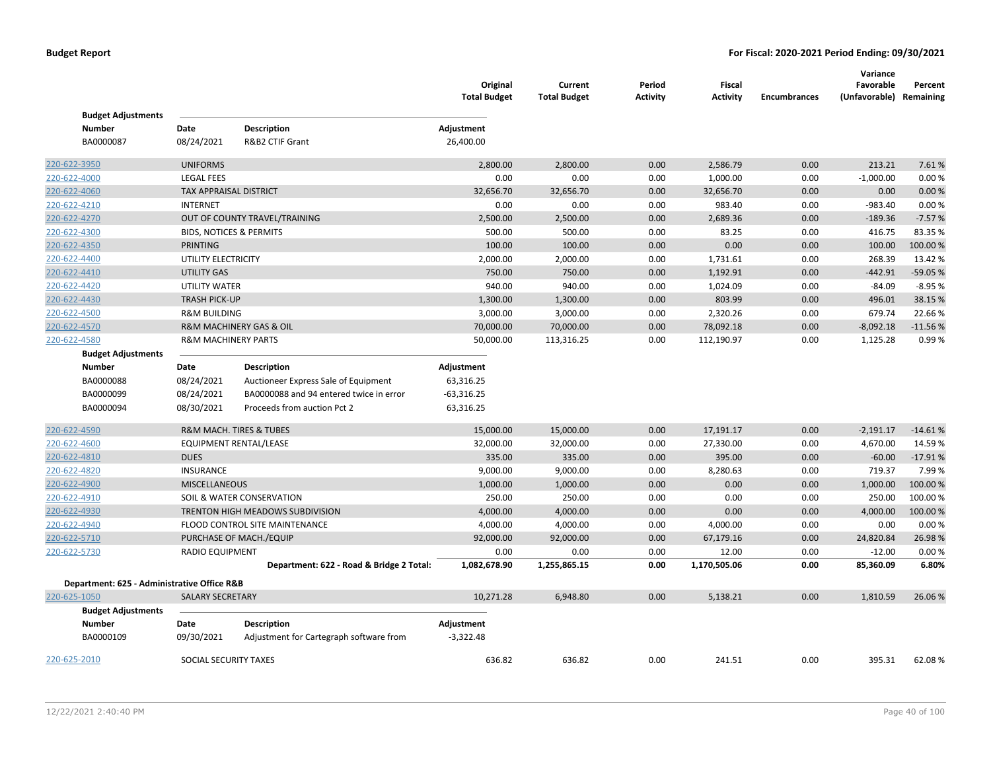| <b>Budget Adjustments</b>                   |                                    |                                          | Original<br><b>Total Budget</b> | Current<br><b>Total Budget</b> | Period<br><b>Activity</b> | <b>Fiscal</b><br><b>Activity</b> | <b>Encumbrances</b> | Variance<br>Favorable<br>(Unfavorable) Remaining | Percent   |
|---------------------------------------------|------------------------------------|------------------------------------------|---------------------------------|--------------------------------|---------------------------|----------------------------------|---------------------|--------------------------------------------------|-----------|
| <b>Number</b>                               | Date                               | Description                              | Adjustment                      |                                |                           |                                  |                     |                                                  |           |
| BA0000087                                   | 08/24/2021                         | R&B2 CTIF Grant                          | 26,400.00                       |                                |                           |                                  |                     |                                                  |           |
| 220-622-3950                                | <b>UNIFORMS</b>                    |                                          | 2,800.00                        | 2,800.00                       | 0.00                      | 2,586.79                         | 0.00                | 213.21                                           | 7.61%     |
| 220-622-4000                                | <b>LEGAL FEES</b>                  |                                          | 0.00                            | 0.00                           | 0.00                      | 1,000.00                         | 0.00                | $-1,000.00$                                      | 0.00%     |
| 220-622-4060                                | <b>TAX APPRAISAL DISTRICT</b>      |                                          | 32,656.70                       | 32,656.70                      | 0.00                      | 32,656.70                        | 0.00                | 0.00                                             | 0.00%     |
| 220-622-4210                                | <b>INTERNET</b>                    |                                          | 0.00                            | 0.00                           | 0.00                      | 983.40                           | 0.00                | $-983.40$                                        | 0.00%     |
| 220-622-4270                                |                                    | OUT OF COUNTY TRAVEL/TRAINING            | 2,500.00                        | 2,500.00                       | 0.00                      | 2,689.36                         | 0.00                | $-189.36$                                        | $-7.57%$  |
| 220-622-4300                                | <b>BIDS, NOTICES &amp; PERMITS</b> |                                          | 500.00                          | 500.00                         | 0.00                      | 83.25                            | 0.00                | 416.75                                           | 83.35%    |
| 220-622-4350                                | <b>PRINTING</b>                    |                                          | 100.00                          | 100.00                         | 0.00                      | 0.00                             | 0.00                | 100.00                                           | 100.00%   |
| 220-622-4400                                | UTILITY ELECTRICITY                |                                          | 2,000.00                        | 2,000.00                       | 0.00                      | 1,731.61                         | 0.00                | 268.39                                           | 13.42%    |
| 220-622-4410                                | <b>UTILITY GAS</b>                 |                                          | 750.00                          | 750.00                         | 0.00                      | 1,192.91                         | 0.00                | $-442.91$                                        | $-59.05%$ |
| 220-622-4420                                | <b>UTILITY WATER</b>               |                                          | 940.00                          | 940.00                         | 0.00                      | 1,024.09                         | 0.00                | $-84.09$                                         | $-8.95%$  |
| 220-622-4430                                | <b>TRASH PICK-UP</b>               |                                          | 1,300.00                        | 1,300.00                       | 0.00                      | 803.99                           | 0.00                | 496.01                                           | 38.15 %   |
| 220-622-4500                                | <b>R&amp;M BUILDING</b>            |                                          | 3,000.00                        | 3,000.00                       | 0.00                      | 2,320.26                         | 0.00                | 679.74                                           | 22.66%    |
| 220-622-4570                                |                                    | R&M MACHINERY GAS & OIL                  | 70,000.00                       | 70,000.00                      | 0.00                      | 78,092.18                        | 0.00                | $-8,092.18$                                      | $-11.56%$ |
| 220-622-4580                                | <b>R&amp;M MACHINERY PARTS</b>     |                                          | 50,000.00                       | 113,316.25                     | 0.00                      | 112,190.97                       | 0.00                | 1,125.28                                         | 0.99%     |
| <b>Budget Adjustments</b>                   |                                    |                                          |                                 |                                |                           |                                  |                     |                                                  |           |
| <b>Number</b>                               | Date                               | <b>Description</b>                       | Adjustment                      |                                |                           |                                  |                     |                                                  |           |
| BA0000088                                   | 08/24/2021                         | Auctioneer Express Sale of Equipment     | 63,316.25                       |                                |                           |                                  |                     |                                                  |           |
| BA0000099                                   | 08/24/2021                         | BA0000088 and 94 entered twice in error  | $-63,316.25$                    |                                |                           |                                  |                     |                                                  |           |
| BA0000094                                   | 08/30/2021                         | Proceeds from auction Pct 2              | 63,316.25                       |                                |                           |                                  |                     |                                                  |           |
| 220-622-4590                                |                                    | R&M MACH. TIRES & TUBES                  | 15,000.00                       | 15,000.00                      | 0.00                      | 17,191.17                        | 0.00                | $-2,191.17$                                      | $-14.61%$ |
| 220-622-4600                                |                                    | <b>EQUIPMENT RENTAL/LEASE</b>            | 32,000.00                       | 32,000.00                      | 0.00                      | 27,330.00                        | 0.00                | 4,670.00                                         | 14.59%    |
| 220-622-4810                                | <b>DUES</b>                        |                                          | 335.00                          | 335.00                         | 0.00                      | 395.00                           | 0.00                | $-60.00$                                         | $-17.91%$ |
| 220-622-4820                                | <b>INSURANCE</b>                   |                                          | 9,000.00                        | 9,000.00                       | 0.00                      | 8,280.63                         | 0.00                | 719.37                                           | 7.99%     |
| 220-622-4900                                | <b>MISCELLANEOUS</b>               |                                          | 1,000.00                        | 1,000.00                       | 0.00                      | 0.00                             | 0.00                | 1,000.00                                         | 100.00 %  |
| 220-622-4910                                |                                    | SOIL & WATER CONSERVATION                | 250.00                          | 250.00                         | 0.00                      | 0.00                             | 0.00                | 250.00                                           | 100.00 %  |
| 220-622-4930                                |                                    | TRENTON HIGH MEADOWS SUBDIVISION         | 4,000.00                        | 4,000.00                       | 0.00                      | 0.00                             | 0.00                | 4,000.00                                         | 100.00%   |
| 220-622-4940                                |                                    | FLOOD CONTROL SITE MAINTENANCE           | 4,000.00                        | 4,000.00                       | 0.00                      | 4,000.00                         | 0.00                | 0.00                                             | 0.00%     |
| 220-622-5710                                |                                    | PURCHASE OF MACH./EQUIP                  | 92,000.00                       | 92,000.00                      | 0.00                      | 67,179.16                        | 0.00                | 24,820.84                                        | 26.98%    |
| 220-622-5730                                | RADIO EQUIPMENT                    |                                          | 0.00                            | 0.00                           | 0.00                      | 12.00                            | 0.00                | $-12.00$                                         | 0.00%     |
|                                             |                                    | Department: 622 - Road & Bridge 2 Total: | 1,082,678.90                    | 1,255,865.15                   | 0.00                      | 1,170,505.06                     | 0.00                | 85,360.09                                        | 6.80%     |
| Department: 625 - Administrative Office R&B |                                    |                                          |                                 |                                |                           |                                  |                     |                                                  |           |
| 220-625-1050                                | <b>SALARY SECRETARY</b>            |                                          | 10,271.28                       | 6,948.80                       | 0.00                      | 5,138.21                         | 0.00                | 1,810.59                                         | 26.06%    |
| <b>Budget Adjustments</b>                   |                                    |                                          |                                 |                                |                           |                                  |                     |                                                  |           |
| <b>Number</b>                               | Date                               | <b>Description</b>                       | Adjustment                      |                                |                           |                                  |                     |                                                  |           |
| BA0000109                                   | 09/30/2021                         | Adjustment for Cartegraph software from  | $-3,322.48$                     |                                |                           |                                  |                     |                                                  |           |
| 220-625-2010                                | SOCIAL SECURITY TAXES              |                                          | 636.82                          | 636.82                         | 0.00                      | 241.51                           | 0.00                | 395.31                                           | 62.08%    |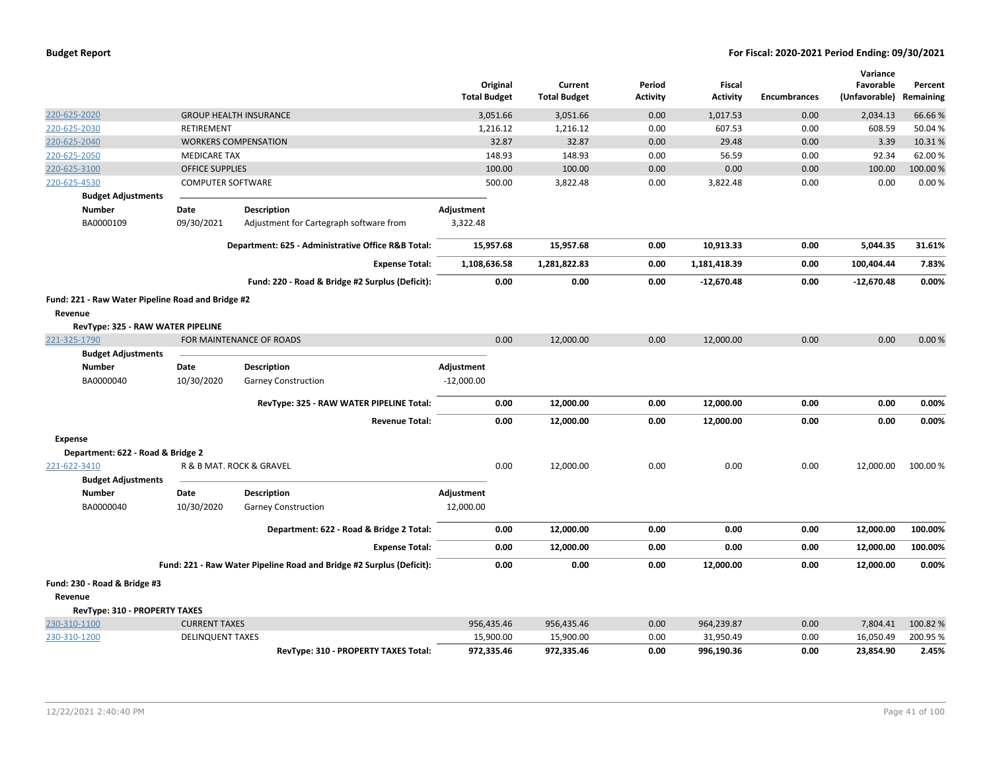|                                                                                                   |                          |                                                                      | Original<br><b>Total Budget</b> | Current<br><b>Total Budget</b> | Period<br>Activity | <b>Fiscal</b><br><b>Activity</b> | <b>Encumbrances</b> | Variance<br>Favorable<br>(Unfavorable) | Percent<br>Remaining |
|---------------------------------------------------------------------------------------------------|--------------------------|----------------------------------------------------------------------|---------------------------------|--------------------------------|--------------------|----------------------------------|---------------------|----------------------------------------|----------------------|
| 220-625-2020                                                                                      |                          | <b>GROUP HEALTH INSURANCE</b>                                        | 3,051.66                        | 3,051.66                       | 0.00               | 1,017.53                         | 0.00                | 2,034.13                               | 66.66%               |
| 220-625-2030                                                                                      | RETIREMENT               |                                                                      | 1,216.12                        | 1,216.12                       | 0.00               | 607.53                           | 0.00                | 608.59                                 | 50.04%               |
| 220-625-2040                                                                                      |                          | <b>WORKERS COMPENSATION</b>                                          | 32.87                           | 32.87                          | 0.00               | 29.48                            | 0.00                | 3.39                                   | 10.31%               |
| 220-625-2050                                                                                      | <b>MEDICARE TAX</b>      |                                                                      | 148.93                          | 148.93                         | 0.00               | 56.59                            | 0.00                | 92.34                                  | 62.00%               |
| 220-625-3100                                                                                      | <b>OFFICE SUPPLIES</b>   |                                                                      | 100.00                          | 100.00                         | 0.00               | 0.00                             | 0.00                | 100.00                                 | 100.00%              |
| 220-625-4530                                                                                      | <b>COMPUTER SOFTWARE</b> |                                                                      | 500.00                          | 3,822.48                       | 0.00               | 3,822.48                         | 0.00                | 0.00                                   | 0.00%                |
| <b>Budget Adjustments</b>                                                                         |                          |                                                                      |                                 |                                |                    |                                  |                     |                                        |                      |
| <b>Number</b>                                                                                     | Date                     | <b>Description</b>                                                   | Adjustment                      |                                |                    |                                  |                     |                                        |                      |
| BA0000109                                                                                         | 09/30/2021               | Adjustment for Cartegraph software from                              | 3,322.48                        |                                |                    |                                  |                     |                                        |                      |
|                                                                                                   |                          | Department: 625 - Administrative Office R&B Total:                   | 15,957.68                       | 15,957.68                      | 0.00               | 10,913.33                        | 0.00                | 5,044.35                               | 31.61%               |
|                                                                                                   |                          | <b>Expense Total:</b>                                                | 1,108,636.58                    | 1,281,822.83                   | 0.00               | 1,181,418.39                     | 0.00                | 100,404.44                             | 7.83%                |
|                                                                                                   |                          | Fund: 220 - Road & Bridge #2 Surplus (Deficit):                      | 0.00                            | 0.00                           | 0.00               | $-12,670.48$                     | 0.00                | $-12,670.48$                           | 0.00%                |
| Fund: 221 - Raw Water Pipeline Road and Bridge #2<br>Revenue<br>RevType: 325 - RAW WATER PIPELINE |                          |                                                                      |                                 |                                |                    |                                  |                     |                                        |                      |
| 221-325-1790                                                                                      |                          | FOR MAINTENANCE OF ROADS                                             | 0.00                            | 12,000.00                      | 0.00               | 12,000.00                        | 0.00                | 0.00                                   | 0.00%                |
| <b>Budget Adjustments</b>                                                                         |                          |                                                                      |                                 |                                |                    |                                  |                     |                                        |                      |
| <b>Number</b>                                                                                     | Date                     | <b>Description</b>                                                   | Adjustment                      |                                |                    |                                  |                     |                                        |                      |
| BA0000040                                                                                         | 10/30/2020               | <b>Garney Construction</b>                                           | $-12,000.00$                    |                                |                    |                                  |                     |                                        |                      |
|                                                                                                   |                          | RevType: 325 - RAW WATER PIPELINE Total:                             | 0.00                            | 12,000.00                      | 0.00               | 12,000.00                        | 0.00                | 0.00                                   | 0.00%                |
|                                                                                                   |                          | <b>Revenue Total:</b>                                                | 0.00                            | 12,000.00                      | 0.00               | 12,000.00                        | 0.00                | 0.00                                   | 0.00%                |
| <b>Expense</b>                                                                                    |                          |                                                                      |                                 |                                |                    |                                  |                     |                                        |                      |
| Department: 622 - Road & Bridge 2                                                                 |                          |                                                                      |                                 |                                |                    |                                  |                     |                                        |                      |
| 221-622-3410<br><b>Budget Adjustments</b>                                                         |                          | R & B MAT. ROCK & GRAVEL                                             | 0.00                            | 12,000.00                      | 0.00               | 0.00                             | 0.00                | 12,000.00                              | 100.00%              |
| <b>Number</b>                                                                                     | Date                     | <b>Description</b>                                                   | Adjustment                      |                                |                    |                                  |                     |                                        |                      |
| BA0000040                                                                                         | 10/30/2020               | <b>Garney Construction</b>                                           | 12,000.00                       |                                |                    |                                  |                     |                                        |                      |
|                                                                                                   |                          | Department: 622 - Road & Bridge 2 Total:                             | 0.00                            | 12,000.00                      | 0.00               | 0.00                             | 0.00                | 12,000.00                              | 100.00%              |
|                                                                                                   |                          | <b>Expense Total:</b>                                                | 0.00                            | 12,000.00                      | 0.00               | 0.00                             | 0.00                | 12,000.00                              | 100.00%              |
|                                                                                                   |                          | Fund: 221 - Raw Water Pipeline Road and Bridge #2 Surplus (Deficit): | 0.00                            | 0.00                           | 0.00               | 12,000.00                        | 0.00                | 12,000.00                              | 0.00%                |
| Fund: 230 - Road & Bridge #3                                                                      |                          |                                                                      |                                 |                                |                    |                                  |                     |                                        |                      |
| Revenue                                                                                           |                          |                                                                      |                                 |                                |                    |                                  |                     |                                        |                      |
| RevType: 310 - PROPERTY TAXES                                                                     |                          |                                                                      |                                 |                                |                    |                                  |                     |                                        |                      |
| 230-310-1100                                                                                      | <b>CURRENT TAXES</b>     |                                                                      | 956,435.46                      | 956,435.46                     | 0.00               | 964,239.87                       | 0.00                | 7,804.41                               | 100.82%              |
| 230-310-1200                                                                                      | <b>DELINQUENT TAXES</b>  |                                                                      | 15,900.00                       | 15,900.00                      | 0.00               | 31,950.49                        | 0.00                | 16,050.49                              | 200.95%              |
|                                                                                                   |                          | RevType: 310 - PROPERTY TAXES Total:                                 | 972,335.46                      | 972,335.46                     | 0.00               | 996,190.36                       | 0.00                | 23,854.90                              | 2.45%                |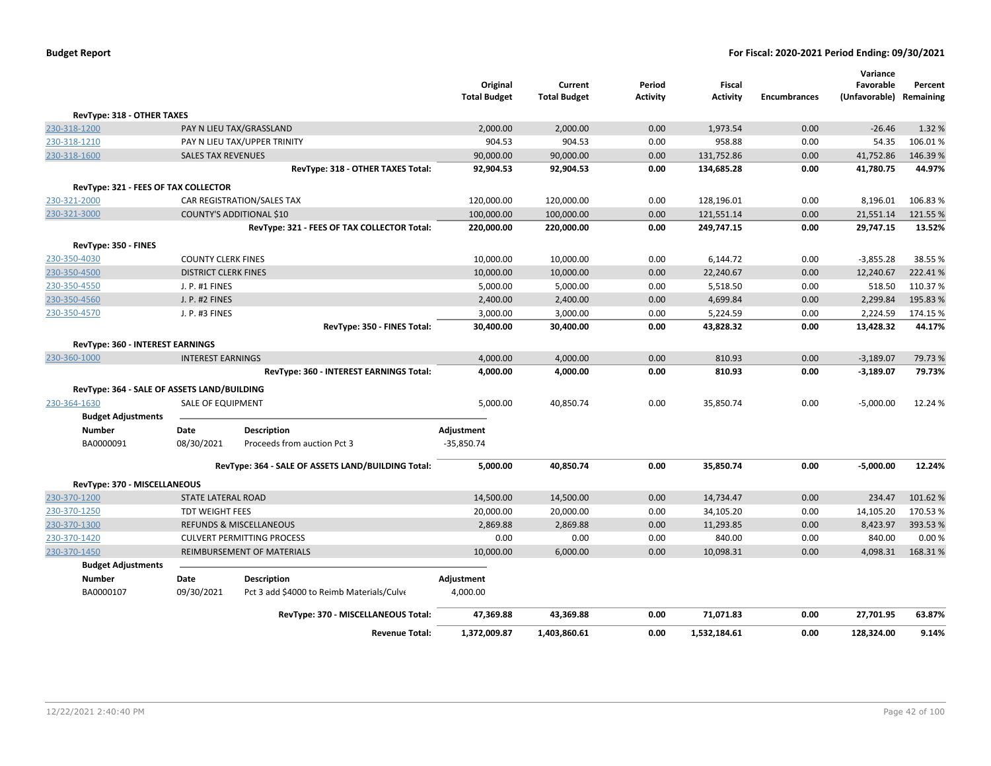|                                             |                             |                                                    | Original             | Current              | Period          | Fiscal          |                     | Variance<br>Favorable      | Percent           |
|---------------------------------------------|-----------------------------|----------------------------------------------------|----------------------|----------------------|-----------------|-----------------|---------------------|----------------------------|-------------------|
|                                             |                             |                                                    | <b>Total Budget</b>  | <b>Total Budget</b>  | <b>Activity</b> | <b>Activity</b> | <b>Encumbrances</b> | (Unfavorable)              | Remaining         |
| RevType: 318 - OTHER TAXES                  |                             |                                                    |                      |                      |                 |                 |                     |                            |                   |
| 230-318-1200                                |                             | PAY N LIEU TAX/GRASSLAND                           | 2,000.00             | 2,000.00             | 0.00            | 1,973.54        | 0.00                | $-26.46$                   | 1.32 %            |
| 230-318-1210                                |                             | PAY N LIEU TAX/UPPER TRINITY                       | 904.53               | 904.53               | 0.00            | 958.88          | 0.00                | 54.35                      | 106.01%           |
| 230-318-1600                                | <b>SALES TAX REVENUES</b>   |                                                    | 90,000.00            | 90,000.00            | 0.00            | 131,752.86      | 0.00                | 41,752.86                  | 146.39%           |
|                                             |                             | RevType: 318 - OTHER TAXES Total:                  | 92,904.53            | 92,904.53            | 0.00            | 134,685.28      | 0.00                | 41,780.75                  | 44.97%            |
| RevType: 321 - FEES OF TAX COLLECTOR        |                             |                                                    |                      |                      |                 |                 |                     |                            |                   |
| 230-321-2000                                |                             | CAR REGISTRATION/SALES TAX                         | 120,000.00           | 120,000.00           | 0.00            | 128,196.01      | 0.00                | 8,196.01                   | 106.83%           |
| 230-321-3000                                |                             | COUNTY'S ADDITIONAL \$10                           | 100,000.00           | 100,000.00           | 0.00            | 121,551.14      | 0.00                | 21,551.14                  | 121.55 %          |
|                                             |                             | RevType: 321 - FEES OF TAX COLLECTOR Total:        | 220,000.00           | 220,000.00           | 0.00            | 249,747.15      | 0.00                | 29,747.15                  | 13.52%            |
| RevType: 350 - FINES                        |                             |                                                    |                      |                      |                 |                 |                     |                            |                   |
| 230-350-4030                                | <b>COUNTY CLERK FINES</b>   |                                                    | 10,000.00            | 10,000.00            | 0.00            | 6,144.72        | 0.00                | $-3,855.28$                | 38.55 %           |
| 230-350-4500                                | <b>DISTRICT CLERK FINES</b> |                                                    | 10,000.00            | 10,000.00            | 0.00            | 22,240.67       | 0.00                | 12,240.67                  | 222.41%           |
| 230-350-4550                                | J. P. #1 FINES              |                                                    | 5,000.00             | 5,000.00             | 0.00            | 5,518.50        | 0.00                | 518.50                     | 110.37%           |
| 230-350-4560                                | J. P. #2 FINES              |                                                    | 2,400.00             | 2,400.00             | 0.00            | 4,699.84        | 0.00                | 2,299.84                   | 195.83%           |
| 230-350-4570                                | J. P. #3 FINES              |                                                    | 3,000.00             | 3,000.00             | 0.00            | 5,224.59        | 0.00                | 2,224.59                   | 174.15 %          |
|                                             |                             | RevType: 350 - FINES Total:                        | 30,400.00            | 30,400.00            | 0.00            | 43,828.32       | 0.00                | 13,428.32                  | 44.17%            |
|                                             |                             |                                                    |                      |                      |                 |                 |                     |                            |                   |
| RevType: 360 - INTEREST EARNINGS            |                             |                                                    |                      |                      |                 | 810.93          | 0.00                |                            |                   |
| 230-360-1000                                | <b>INTEREST EARNINGS</b>    | RevType: 360 - INTEREST EARNINGS Total:            | 4,000.00<br>4,000.00 | 4,000.00<br>4,000.00 | 0.00<br>0.00    | 810.93          | 0.00                | $-3,189.07$<br>$-3,189.07$ | 79.73 %<br>79.73% |
|                                             |                             |                                                    |                      |                      |                 |                 |                     |                            |                   |
| RevType: 364 - SALE OF ASSETS LAND/BUILDING |                             |                                                    |                      |                      |                 |                 |                     |                            |                   |
| 230-364-1630                                | <b>SALE OF EQUIPMENT</b>    |                                                    | 5,000.00             | 40,850.74            | 0.00            | 35,850.74       | 0.00                | $-5,000.00$                | 12.24 %           |
| <b>Budget Adjustments</b>                   |                             |                                                    |                      |                      |                 |                 |                     |                            |                   |
| <b>Number</b>                               | Date                        | <b>Description</b>                                 | Adjustment           |                      |                 |                 |                     |                            |                   |
| BA0000091                                   | 08/30/2021                  | Proceeds from auction Pct 3                        | $-35,850.74$         |                      |                 |                 |                     |                            |                   |
|                                             |                             | RevType: 364 - SALE OF ASSETS LAND/BUILDING Total: | 5,000.00             | 40,850.74            | 0.00            | 35,850.74       | 0.00                | $-5,000.00$                | 12.24%            |
| RevType: 370 - MISCELLANEOUS                |                             |                                                    |                      |                      |                 |                 |                     |                            |                   |
| 230-370-1200                                | STATE LATERAL ROAD          |                                                    | 14,500.00            | 14,500.00            | 0.00            | 14,734.47       | 0.00                | 234.47                     | 101.62%           |
| 230-370-1250                                | <b>TDT WEIGHT FEES</b>      |                                                    | 20,000.00            | 20,000.00            | 0.00            | 34,105.20       | 0.00                | 14,105.20                  | 170.53%           |
| 230-370-1300                                |                             | <b>REFUNDS &amp; MISCELLANEOUS</b>                 | 2,869.88             | 2,869.88             | 0.00            | 11,293.85       | 0.00                | 8,423.97                   | 393.53 %          |
| 230-370-1420                                |                             | <b>CULVERT PERMITTING PROCESS</b>                  | 0.00                 | 0.00                 | 0.00            | 840.00          | 0.00                | 840.00                     | 0.00%             |
| 230-370-1450                                |                             | REIMBURSEMENT OF MATERIALS                         | 10,000.00            | 6,000.00             | 0.00            | 10,098.31       | 0.00                | 4,098.31                   | 168.31%           |
| <b>Budget Adjustments</b>                   |                             |                                                    |                      |                      |                 |                 |                     |                            |                   |
| Number                                      | Date                        | <b>Description</b>                                 | Adjustment           |                      |                 |                 |                     |                            |                   |
| BA0000107                                   | 09/30/2021                  | Pct 3 add \$4000 to Reimb Materials/Culve          | 4,000.00             |                      |                 |                 |                     |                            |                   |
|                                             |                             | RevType: 370 - MISCELLANEOUS Total:                | 47,369.88            | 43,369.88            | 0.00            | 71,071.83       | 0.00                | 27,701.95                  | 63.87%            |
|                                             |                             | <b>Revenue Total:</b>                              | 1,372,009.87         | 1,403,860.61         | 0.00            | 1,532,184.61    | 0.00                | 128,324.00                 | 9.14%             |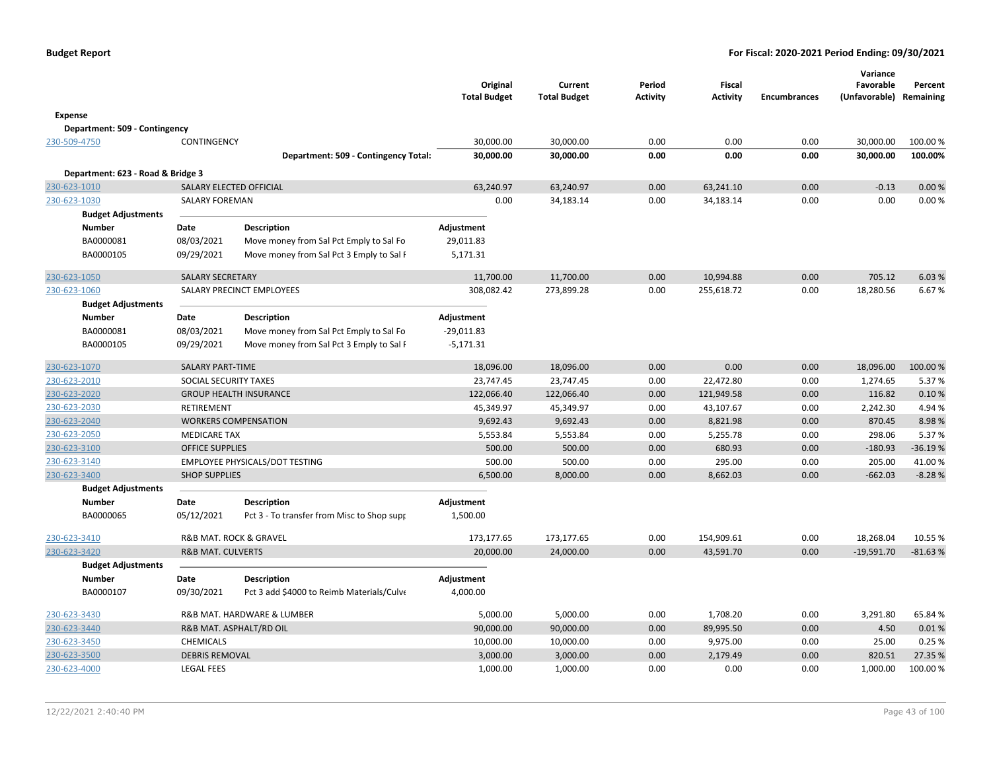|                                   |                              |                                            | Original<br><b>Total Budget</b> | Current<br><b>Total Budget</b> | Period<br>Activity | <b>Fiscal</b><br><b>Activity</b> | <b>Encumbrances</b> | Variance<br>Favorable<br>(Unfavorable) | Percent<br>Remaining |
|-----------------------------------|------------------------------|--------------------------------------------|---------------------------------|--------------------------------|--------------------|----------------------------------|---------------------|----------------------------------------|----------------------|
| <b>Expense</b>                    |                              |                                            |                                 |                                |                    |                                  |                     |                                        |                      |
| Department: 509 - Contingency     |                              |                                            |                                 |                                |                    |                                  |                     |                                        |                      |
| 230-509-4750                      | CONTINGENCY                  |                                            | 30,000.00                       | 30,000.00                      | 0.00               | 0.00                             | 0.00                | 30,000.00                              | 100.00 %             |
|                                   |                              | Department: 509 - Contingency Total:       | 30,000.00                       | 30,000.00                      | 0.00               | 0.00                             | 0.00                | 30,000.00                              | 100.00%              |
|                                   |                              |                                            |                                 |                                |                    |                                  |                     |                                        |                      |
| Department: 623 - Road & Bridge 3 |                              |                                            |                                 |                                |                    |                                  |                     |                                        |                      |
| 230-623-1010                      |                              | SALARY ELECTED OFFICIAL                    | 63,240.97                       | 63,240.97                      | 0.00               | 63,241.10                        | 0.00                | $-0.13$                                | 0.00%                |
| 230-623-1030                      | SALARY FOREMAN               |                                            | 0.00                            | 34,183.14                      | 0.00               | 34,183.14                        | 0.00                | 0.00                                   | 0.00%                |
| <b>Budget Adjustments</b>         |                              |                                            |                                 |                                |                    |                                  |                     |                                        |                      |
| <b>Number</b>                     | Date                         | <b>Description</b>                         | Adjustment                      |                                |                    |                                  |                     |                                        |                      |
| BA0000081                         | 08/03/2021                   | Move money from Sal Pct Emply to Sal Fo    | 29,011.83                       |                                |                    |                                  |                     |                                        |                      |
| BA0000105                         | 09/29/2021                   | Move money from Sal Pct 3 Emply to Sal F   | 5,171.31                        |                                |                    |                                  |                     |                                        |                      |
| 230-623-1050                      | <b>SALARY SECRETARY</b>      |                                            | 11,700.00                       | 11,700.00                      | 0.00               | 10,994.88                        | 0.00                | 705.12                                 | 6.03 %               |
| 230-623-1060                      |                              | SALARY PRECINCT EMPLOYEES                  | 308,082.42                      | 273,899.28                     | 0.00               | 255,618.72                       | 0.00                | 18,280.56                              | 6.67%                |
| <b>Budget Adjustments</b>         |                              |                                            |                                 |                                |                    |                                  |                     |                                        |                      |
| <b>Number</b>                     | Date                         | <b>Description</b>                         | Adjustment                      |                                |                    |                                  |                     |                                        |                      |
| BA0000081                         | 08/03/2021                   | Move money from Sal Pct Emply to Sal Fo    | $-29,011.83$                    |                                |                    |                                  |                     |                                        |                      |
| BA0000105                         | 09/29/2021                   | Move money from Sal Pct 3 Emply to Sal F   | $-5,171.31$                     |                                |                    |                                  |                     |                                        |                      |
|                                   |                              |                                            |                                 |                                |                    |                                  |                     |                                        |                      |
| 230-623-1070                      | <b>SALARY PART-TIME</b>      |                                            | 18,096.00                       | 18,096.00                      | 0.00               | 0.00                             | 0.00                | 18,096.00                              | 100.00 %             |
| 230-623-2010                      | SOCIAL SECURITY TAXES        |                                            | 23,747.45                       | 23,747.45                      | 0.00               | 22,472.80                        | 0.00                | 1,274.65                               | 5.37%                |
| 230-623-2020                      |                              | <b>GROUP HEALTH INSURANCE</b>              | 122,066.40                      | 122,066.40                     | 0.00               | 121,949.58                       | 0.00                | 116.82                                 | 0.10%                |
| 230-623-2030                      | <b>RETIREMENT</b>            |                                            | 45,349.97                       | 45,349.97                      | 0.00               | 43,107.67                        | 0.00                | 2,242.30                               | 4.94%                |
| 230-623-2040                      |                              | <b>WORKERS COMPENSATION</b>                | 9,692.43                        | 9,692.43                       | 0.00               | 8,821.98                         | 0.00                | 870.45                                 | 8.98%                |
| 230-623-2050                      | <b>MEDICARE TAX</b>          |                                            | 5,553.84                        | 5,553.84                       | 0.00               | 5,255.78                         | 0.00                | 298.06                                 | 5.37%                |
| 230-623-3100                      | <b>OFFICE SUPPLIES</b>       |                                            | 500.00                          | 500.00                         | 0.00               | 680.93                           | 0.00                | $-180.93$                              | $-36.19%$            |
| 230-623-3140                      |                              | EMPLOYEE PHYSICALS/DOT TESTING             | 500.00                          | 500.00                         | 0.00               | 295.00                           | 0.00                | 205.00                                 | 41.00%               |
| 230-623-3400                      | <b>SHOP SUPPLIES</b>         |                                            | 6,500.00                        | 8,000.00                       | 0.00               | 8,662.03                         | 0.00                | $-662.03$                              | $-8.28%$             |
| <b>Budget Adjustments</b>         |                              |                                            |                                 |                                |                    |                                  |                     |                                        |                      |
| <b>Number</b>                     | Date                         | <b>Description</b>                         | Adjustment                      |                                |                    |                                  |                     |                                        |                      |
| BA0000065                         | 05/12/2021                   | Pct 3 - To transfer from Misc to Shop supp | 1,500.00                        |                                |                    |                                  |                     |                                        |                      |
| 230-623-3410                      |                              | <b>R&amp;B MAT, ROCK &amp; GRAVEL</b>      | 173,177.65                      | 173,177.65                     | 0.00               | 154,909.61                       | 0.00                | 18,268.04                              | 10.55 %              |
| 230-623-3420                      | <b>R&amp;B MAT. CULVERTS</b> |                                            | 20,000.00                       | 24,000.00                      | 0.00               | 43,591.70                        | 0.00                | $-19,591.70$                           | $-81.63%$            |
| <b>Budget Adjustments</b>         |                              |                                            |                                 |                                |                    |                                  |                     |                                        |                      |
| <b>Number</b>                     | Date                         | <b>Description</b>                         | Adjustment                      |                                |                    |                                  |                     |                                        |                      |
| BA0000107                         | 09/30/2021                   | Pct 3 add \$4000 to Reimb Materials/Culve  | 4,000.00                        |                                |                    |                                  |                     |                                        |                      |
|                                   |                              |                                            |                                 |                                |                    |                                  |                     |                                        |                      |
| 230-623-3430                      |                              | R&B MAT. HARDWARE & LUMBER                 | 5,000.00                        | 5,000.00                       | 0.00               | 1,708.20                         | 0.00                | 3,291.80                               | 65.84 %              |
| 230-623-3440                      |                              | R&B MAT. ASPHALT/RD OIL                    | 90,000.00                       | 90,000.00                      | 0.00               | 89,995.50                        | 0.00                | 4.50                                   | 0.01%                |
| 230-623-3450                      | <b>CHEMICALS</b>             |                                            | 10,000.00                       | 10,000.00                      | 0.00               | 9,975.00                         | 0.00                | 25.00                                  | 0.25%                |
| 230-623-3500                      | <b>DEBRIS REMOVAL</b>        |                                            | 3,000.00                        | 3,000.00                       | 0.00               | 2,179.49                         | 0.00                | 820.51                                 | 27.35 %              |
| 230-623-4000                      | <b>LEGAL FEES</b>            |                                            | 1,000.00                        | 1,000.00                       | 0.00               | 0.00                             | 0.00                | 1,000.00                               | 100.00 %             |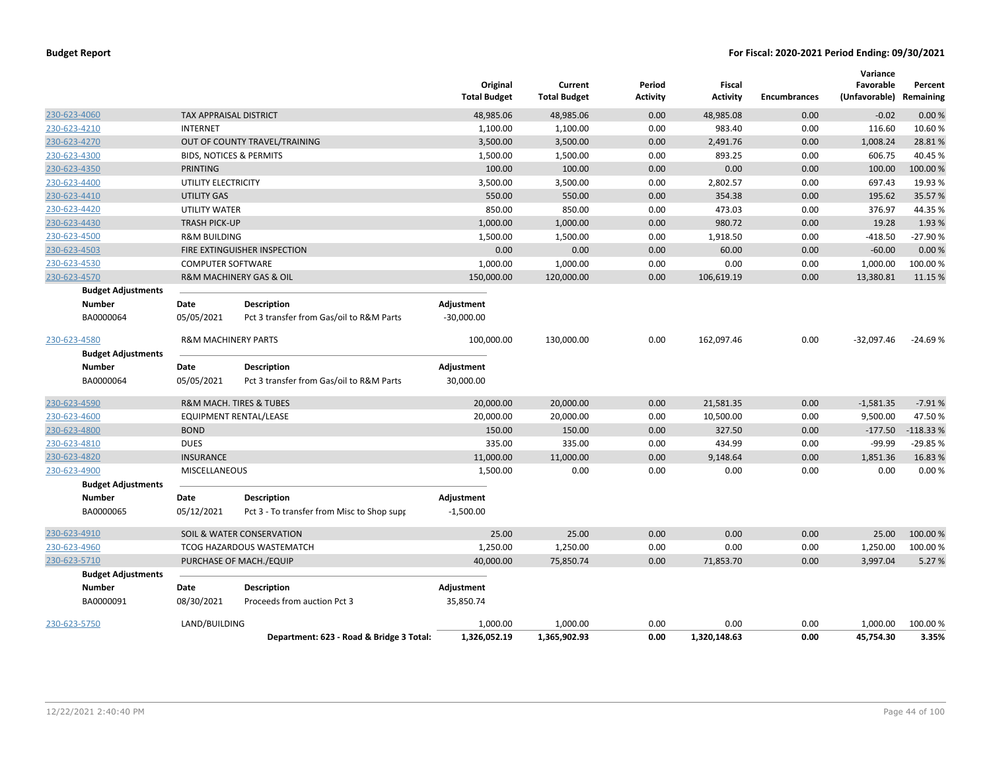|              |                           |                                |                                            | Original<br><b>Total Budget</b> | Current<br><b>Total Budget</b> | Period<br>Activity | Fiscal<br><b>Activity</b> | <b>Encumbrances</b> | Variance<br>Favorable<br>(Unfavorable) Remaining | Percent    |
|--------------|---------------------------|--------------------------------|--------------------------------------------|---------------------------------|--------------------------------|--------------------|---------------------------|---------------------|--------------------------------------------------|------------|
| 230-623-4060 |                           | TAX APPRAISAL DISTRICT         |                                            | 48,985.06                       | 48,985.06                      | 0.00               | 48,985.08                 | 0.00                | $-0.02$                                          | 0.00%      |
| 230-623-4210 |                           | <b>INTERNET</b>                |                                            | 1,100.00                        | 1,100.00                       | 0.00               | 983.40                    | 0.00                | 116.60                                           | 10.60%     |
| 230-623-4270 |                           |                                | OUT OF COUNTY TRAVEL/TRAINING              | 3,500.00                        | 3,500.00                       | 0.00               | 2,491.76                  | 0.00                | 1,008.24                                         | 28.81%     |
| 230-623-4300 |                           |                                | <b>BIDS, NOTICES &amp; PERMITS</b>         | 1,500.00                        | 1,500.00                       | 0.00               | 893.25                    | 0.00                | 606.75                                           | 40.45%     |
| 230-623-4350 |                           | <b>PRINTING</b>                |                                            | 100.00                          | 100.00                         | 0.00               | 0.00                      | 0.00                | 100.00                                           | 100.00 %   |
| 230-623-4400 |                           | UTILITY ELECTRICITY            |                                            | 3,500.00                        | 3,500.00                       | 0.00               | 2,802.57                  | 0.00                | 697.43                                           | 19.93 %    |
| 230-623-4410 |                           | <b>UTILITY GAS</b>             |                                            | 550.00                          | 550.00                         | 0.00               | 354.38                    | 0.00                | 195.62                                           | 35.57%     |
| 230-623-4420 |                           | UTILITY WATER                  |                                            | 850.00                          | 850.00                         | 0.00               | 473.03                    | 0.00                | 376.97                                           | 44.35%     |
| 230-623-4430 |                           | <b>TRASH PICK-UP</b>           |                                            | 1,000.00                        | 1,000.00                       | 0.00               | 980.72                    | 0.00                | 19.28                                            | 1.93 %     |
| 230-623-4500 |                           | <b>R&amp;M BUILDING</b>        |                                            | 1,500.00                        | 1,500.00                       | 0.00               | 1,918.50                  | 0.00                | $-418.50$                                        | -27.90%    |
| 230-623-4503 |                           |                                | FIRE EXTINGUISHER INSPECTION               | 0.00                            | 0.00                           | 0.00               | 60.00                     | 0.00                | $-60.00$                                         | 0.00%      |
| 230-623-4530 |                           | <b>COMPUTER SOFTWARE</b>       |                                            | 1,000.00                        | 1,000.00                       | 0.00               | 0.00                      | 0.00                | 1,000.00                                         | 100.00%    |
| 230-623-4570 |                           |                                | <b>R&amp;M MACHINERY GAS &amp; OIL</b>     | 150,000.00                      | 120,000.00                     | 0.00               | 106,619.19                | 0.00                | 13,380.81                                        | 11.15 %    |
|              | <b>Budget Adjustments</b> |                                |                                            |                                 |                                |                    |                           |                     |                                                  |            |
|              | <b>Number</b>             | Date                           | <b>Description</b>                         | Adjustment                      |                                |                    |                           |                     |                                                  |            |
|              | BA0000064                 | 05/05/2021                     | Pct 3 transfer from Gas/oil to R&M Parts   | $-30,000.00$                    |                                |                    |                           |                     |                                                  |            |
| 230-623-4580 |                           | <b>R&amp;M MACHINERY PARTS</b> |                                            | 100,000.00                      | 130,000.00                     | 0.00               | 162,097.46                | 0.00                | $-32,097.46$                                     | $-24.69%$  |
|              | <b>Budget Adjustments</b> |                                |                                            |                                 |                                |                    |                           |                     |                                                  |            |
|              | <b>Number</b>             | Date                           | <b>Description</b>                         | Adjustment                      |                                |                    |                           |                     |                                                  |            |
|              | BA0000064                 | 05/05/2021                     | Pct 3 transfer from Gas/oil to R&M Parts   | 30,000.00                       |                                |                    |                           |                     |                                                  |            |
| 230-623-4590 |                           |                                | R&M MACH. TIRES & TUBES                    | 20,000.00                       | 20,000.00                      | 0.00               | 21,581.35                 | 0.00                | $-1,581.35$                                      | $-7.91%$   |
| 230-623-4600 |                           |                                | EQUIPMENT RENTAL/LEASE                     | 20,000.00                       | 20,000.00                      | 0.00               | 10,500.00                 | 0.00                | 9,500.00                                         | 47.50%     |
| 230-623-4800 |                           | <b>BOND</b>                    |                                            | 150.00                          | 150.00                         | 0.00               | 327.50                    | 0.00                | $-177.50$                                        | $-118.33%$ |
| 230-623-4810 |                           | <b>DUES</b>                    |                                            | 335.00                          | 335.00                         | 0.00               | 434.99                    | 0.00                | $-99.99$                                         | $-29.85%$  |
| 230-623-4820 |                           | <b>INSURANCE</b>               |                                            | 11,000.00                       | 11,000.00                      | 0.00               | 9,148.64                  | 0.00                | 1,851.36                                         | 16.83%     |
| 230-623-4900 |                           | <b>MISCELLANEOUS</b>           |                                            | 1,500.00                        | 0.00                           | 0.00               | 0.00                      | 0.00                | 0.00                                             | 0.00%      |
|              | <b>Budget Adjustments</b> |                                |                                            |                                 |                                |                    |                           |                     |                                                  |            |
|              | <b>Number</b>             | Date                           | <b>Description</b>                         | Adjustment                      |                                |                    |                           |                     |                                                  |            |
|              | BA0000065                 | 05/12/2021                     | Pct 3 - To transfer from Misc to Shop supp | $-1,500.00$                     |                                |                    |                           |                     |                                                  |            |
| 230-623-4910 |                           |                                | SOIL & WATER CONSERVATION                  | 25.00                           | 25.00                          | 0.00               | 0.00                      | 0.00                | 25.00                                            | 100.00%    |
| 230-623-4960 |                           |                                | TCOG HAZARDOUS WASTEMATCH                  | 1,250.00                        | 1,250.00                       | 0.00               | 0.00                      | 0.00                | 1,250.00                                         | 100.00%    |
| 230-623-5710 |                           |                                | PURCHASE OF MACH./EQUIP                    | 40,000.00                       | 75,850.74                      | 0.00               | 71,853.70                 | 0.00                | 3,997.04                                         | 5.27 %     |
|              | <b>Budget Adjustments</b> |                                |                                            |                                 |                                |                    |                           |                     |                                                  |            |
|              | <b>Number</b>             | Date                           | <b>Description</b>                         | Adjustment                      |                                |                    |                           |                     |                                                  |            |
|              | BA0000091                 | 08/30/2021                     | Proceeds from auction Pct 3                | 35,850.74                       |                                |                    |                           |                     |                                                  |            |
| 230-623-5750 |                           | LAND/BUILDING                  |                                            | 1,000.00                        | 1,000.00                       | 0.00               | 0.00                      | 0.00                | 1,000.00                                         | 100.00 %   |
|              |                           |                                | Department: 623 - Road & Bridge 3 Total:   | 1,326,052.19                    | 1,365,902.93                   | 0.00               | 1,320,148.63              | 0.00                | 45,754.30                                        | 3.35%      |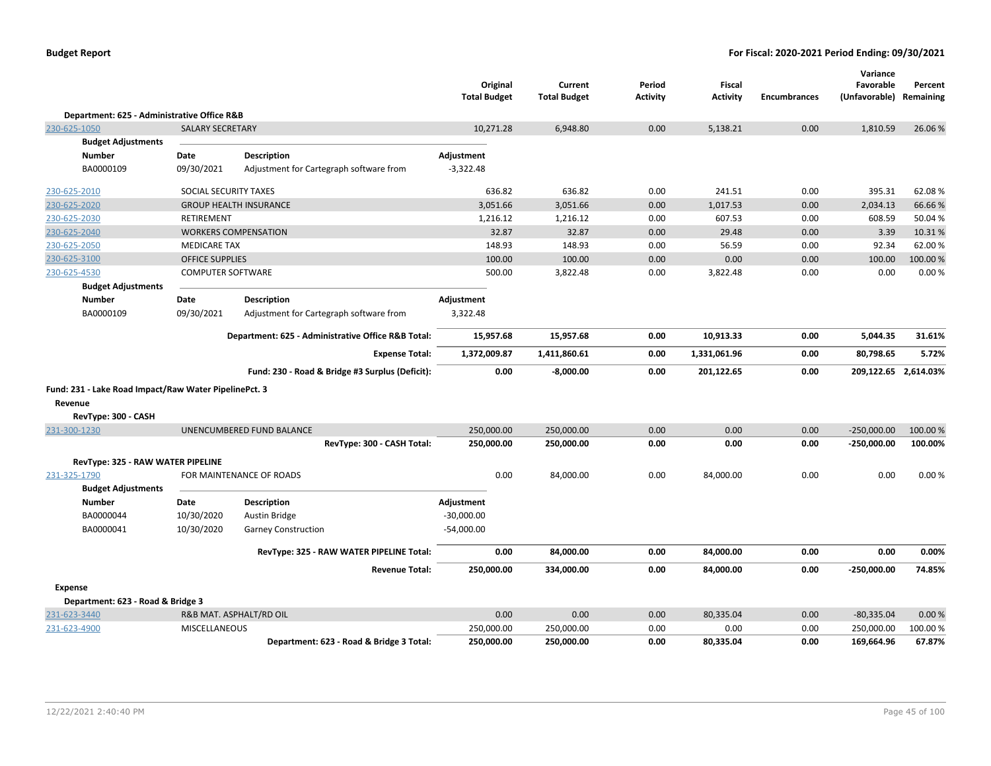|                                                       |                          |                                                    | Original<br><b>Total Budget</b> | Current<br><b>Total Budget</b> | Period<br><b>Activity</b> | Fiscal<br><b>Activity</b> | <b>Encumbrances</b> | Variance<br>Favorable<br>(Unfavorable) | Percent<br>Remaining |
|-------------------------------------------------------|--------------------------|----------------------------------------------------|---------------------------------|--------------------------------|---------------------------|---------------------------|---------------------|----------------------------------------|----------------------|
| Department: 625 - Administrative Office R&B           |                          |                                                    |                                 |                                |                           |                           |                     |                                        |                      |
| 230-625-1050                                          | <b>SALARY SECRETARY</b>  |                                                    | 10,271.28                       | 6,948.80                       | 0.00                      | 5,138.21                  | 0.00                | 1,810.59                               | 26.06%               |
| <b>Budget Adjustments</b>                             |                          |                                                    |                                 |                                |                           |                           |                     |                                        |                      |
| <b>Number</b>                                         | Date                     | <b>Description</b>                                 | Adjustment                      |                                |                           |                           |                     |                                        |                      |
| BA0000109                                             | 09/30/2021               | Adjustment for Cartegraph software from            | $-3,322.48$                     |                                |                           |                           |                     |                                        |                      |
| 230-625-2010                                          | SOCIAL SECURITY TAXES    |                                                    | 636.82                          | 636.82                         | 0.00                      | 241.51                    | 0.00                | 395.31                                 | 62.08%               |
| 230-625-2020                                          |                          | <b>GROUP HEALTH INSURANCE</b>                      | 3,051.66                        | 3,051.66                       | 0.00                      | 1,017.53                  | 0.00                | 2,034.13                               | 66.66%               |
| 230-625-2030                                          | <b>RETIREMENT</b>        |                                                    | 1,216.12                        | 1,216.12                       | 0.00                      | 607.53                    | 0.00                | 608.59                                 | 50.04%               |
| 230-625-2040                                          |                          | <b>WORKERS COMPENSATION</b>                        | 32.87                           | 32.87                          | 0.00                      | 29.48                     | 0.00                | 3.39                                   | 10.31%               |
| 230-625-2050                                          | <b>MEDICARE TAX</b>      |                                                    | 148.93                          | 148.93                         | 0.00                      | 56.59                     | 0.00                | 92.34                                  | 62.00%               |
| 230-625-3100                                          | <b>OFFICE SUPPLIES</b>   |                                                    | 100.00                          | 100.00                         | 0.00                      | 0.00                      | 0.00                | 100.00                                 | 100.00%              |
| 230-625-4530                                          | <b>COMPUTER SOFTWARE</b> |                                                    | 500.00                          | 3,822.48                       | 0.00                      | 3,822.48                  | 0.00                | 0.00                                   | 0.00%                |
| <b>Budget Adjustments</b>                             |                          |                                                    |                                 |                                |                           |                           |                     |                                        |                      |
| <b>Number</b>                                         | Date                     | <b>Description</b>                                 | Adjustment                      |                                |                           |                           |                     |                                        |                      |
| BA0000109                                             | 09/30/2021               | Adjustment for Cartegraph software from            | 3,322.48                        |                                |                           |                           |                     |                                        |                      |
|                                                       |                          | Department: 625 - Administrative Office R&B Total: | 15,957.68                       | 15,957.68                      | 0.00                      | 10,913.33                 | 0.00                | 5,044.35                               | 31.61%               |
|                                                       |                          | <b>Expense Total:</b>                              | 1,372,009.87                    | 1,411,860.61                   | 0.00                      | 1,331,061.96              | 0.00                | 80,798.65                              | 5.72%                |
|                                                       |                          | Fund: 230 - Road & Bridge #3 Surplus (Deficit):    | 0.00                            | $-8,000.00$                    | 0.00                      | 201,122.65                | 0.00                | 209,122.65 2,614.03%                   |                      |
| Fund: 231 - Lake Road Impact/Raw Water PipelinePct. 3 |                          |                                                    |                                 |                                |                           |                           |                     |                                        |                      |
| Revenue                                               |                          |                                                    |                                 |                                |                           |                           |                     |                                        |                      |
| RevType: 300 - CASH                                   |                          |                                                    |                                 |                                |                           |                           |                     |                                        |                      |
| 231-300-1230                                          |                          | UNENCUMBERED FUND BALANCE                          | 250,000.00                      | 250,000.00                     | 0.00                      | 0.00                      | 0.00                | $-250,000.00$                          | 100.00%              |
|                                                       |                          | RevType: 300 - CASH Total:                         | 250,000.00                      | 250,000.00                     | 0.00                      | 0.00                      | 0.00                | $-250,000.00$                          | 100.00%              |
| RevType: 325 - RAW WATER PIPELINE                     |                          |                                                    |                                 |                                |                           |                           |                     |                                        |                      |
| 231-325-1790                                          |                          | FOR MAINTENANCE OF ROADS                           | 0.00                            | 84,000.00                      | 0.00                      | 84,000.00                 | 0.00                | 0.00                                   | 0.00%                |
| <b>Budget Adjustments</b>                             |                          |                                                    |                                 |                                |                           |                           |                     |                                        |                      |
| <b>Number</b>                                         | Date                     | <b>Description</b>                                 | Adjustment                      |                                |                           |                           |                     |                                        |                      |
| BA0000044                                             | 10/30/2020               | <b>Austin Bridge</b>                               | $-30,000.00$                    |                                |                           |                           |                     |                                        |                      |
| BA0000041                                             | 10/30/2020               | <b>Garney Construction</b>                         | $-54,000.00$                    |                                |                           |                           |                     |                                        |                      |
|                                                       |                          | RevType: 325 - RAW WATER PIPELINE Total:           | 0.00                            | 84,000.00                      | 0.00                      | 84,000.00                 | 0.00                | 0.00                                   | 0.00%                |
|                                                       |                          | <b>Revenue Total:</b>                              | 250,000.00                      | 334,000.00                     | 0.00                      | 84,000.00                 | 0.00                | $-250,000.00$                          | 74.85%               |
| Expense                                               |                          |                                                    |                                 |                                |                           |                           |                     |                                        |                      |
| Department: 623 - Road & Bridge 3                     |                          |                                                    |                                 |                                |                           |                           |                     |                                        |                      |
| 231-623-3440                                          |                          | R&B MAT. ASPHALT/RD OIL                            | 0.00                            | 0.00                           | 0.00                      | 80,335.04                 | 0.00                | $-80,335.04$                           | 0.00%                |
| 231-623-4900                                          | <b>MISCELLANEOUS</b>     |                                                    | 250,000.00                      | 250,000.00                     | 0.00                      | 0.00                      | 0.00                | 250,000.00                             | 100.00%              |
|                                                       |                          | Department: 623 - Road & Bridge 3 Total:           | 250,000.00                      | 250.000.00                     | 0.00                      | 80,335.04                 | 0.00                | 169,664.96                             | 67.87%               |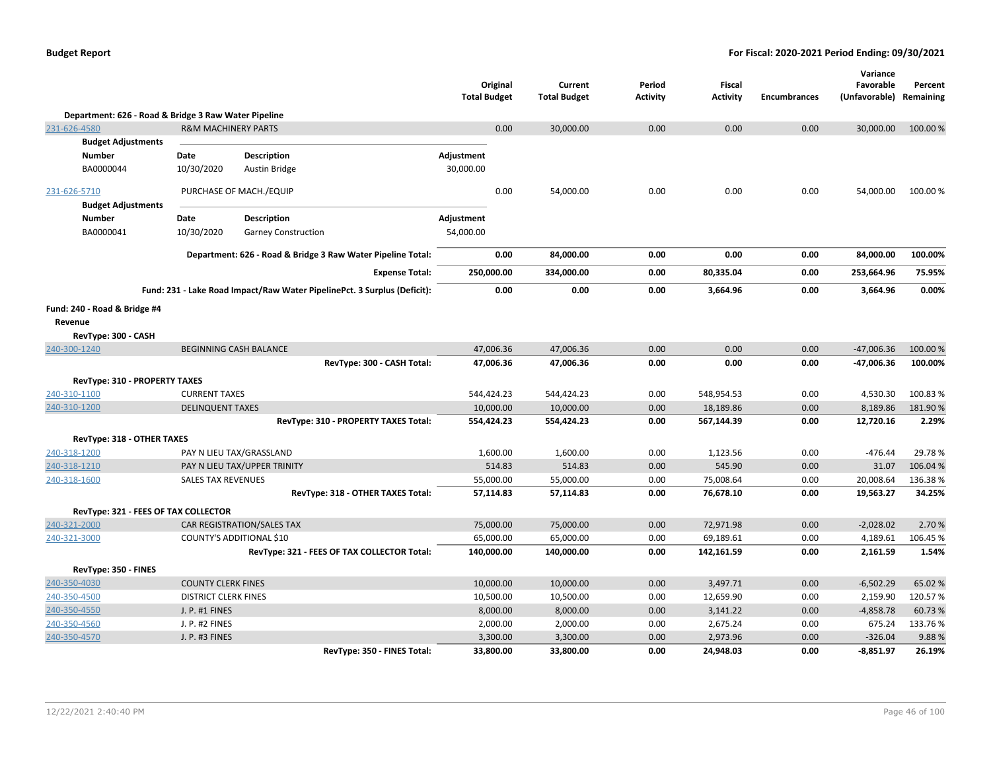|                                                      |                                |                                                                          | <b>Total Budget</b> | Original  | Current<br><b>Total Budget</b> | Period<br><b>Activity</b> | Fiscal<br><b>Activity</b> | <b>Encumbrances</b> | Variance<br>Favorable<br>(Unfavorable) | Percent<br>Remaining |
|------------------------------------------------------|--------------------------------|--------------------------------------------------------------------------|---------------------|-----------|--------------------------------|---------------------------|---------------------------|---------------------|----------------------------------------|----------------------|
| Department: 626 - Road & Bridge 3 Raw Water Pipeline |                                |                                                                          |                     |           |                                |                           |                           |                     |                                        |                      |
| 231-626-4580                                         | <b>R&amp;M MACHINERY PARTS</b> |                                                                          |                     | 0.00      | 30,000.00                      | 0.00                      | 0.00                      | 0.00                | 30,000.00                              | 100.00%              |
| <b>Budget Adjustments</b>                            |                                |                                                                          |                     |           |                                |                           |                           |                     |                                        |                      |
| <b>Number</b>                                        | Date                           | <b>Description</b>                                                       | Adjustment          |           |                                |                           |                           |                     |                                        |                      |
| BA0000044                                            | 10/30/2020                     | <b>Austin Bridge</b>                                                     | 30,000.00           |           |                                |                           |                           |                     |                                        |                      |
| 231-626-5710                                         |                                | PURCHASE OF MACH./EQUIP                                                  |                     | 0.00      | 54,000.00                      | 0.00                      | 0.00                      | 0.00                | 54,000.00                              | 100.00%              |
| <b>Budget Adjustments</b>                            |                                |                                                                          |                     |           |                                |                           |                           |                     |                                        |                      |
| <b>Number</b>                                        | Date                           | <b>Description</b>                                                       | Adjustment          |           |                                |                           |                           |                     |                                        |                      |
| BA0000041                                            | 10/30/2020                     | <b>Garney Construction</b>                                               | 54,000.00           |           |                                |                           |                           |                     |                                        |                      |
|                                                      |                                | Department: 626 - Road & Bridge 3 Raw Water Pipeline Total:              |                     | 0.00      | 84,000.00                      | 0.00                      | 0.00                      | 0.00                | 84,000.00                              | 100.00%              |
|                                                      |                                |                                                                          |                     |           |                                |                           |                           |                     |                                        |                      |
|                                                      |                                | <b>Expense Total:</b>                                                    | 250,000.00          |           | 334,000.00                     | 0.00                      | 80,335.04                 | 0.00                | 253,664.96                             | 75.95%               |
|                                                      |                                | Fund: 231 - Lake Road Impact/Raw Water PipelinePct. 3 Surplus (Deficit): |                     | 0.00      | 0.00                           | 0.00                      | 3,664.96                  | 0.00                | 3,664.96                               | 0.00%                |
| Fund: 240 - Road & Bridge #4                         |                                |                                                                          |                     |           |                                |                           |                           |                     |                                        |                      |
| Revenue                                              |                                |                                                                          |                     |           |                                |                           |                           |                     |                                        |                      |
| RevType: 300 - CASH                                  |                                |                                                                          |                     |           |                                |                           |                           |                     |                                        |                      |
| 240-300-1240                                         |                                | <b>BEGINNING CASH BALANCE</b>                                            |                     | 47,006.36 | 47,006.36                      | 0.00                      | 0.00                      | 0.00                | $-47,006.36$                           | 100.00 %             |
|                                                      |                                | RevType: 300 - CASH Total:                                               |                     | 47,006.36 | 47,006.36                      | 0.00                      | 0.00                      | 0.00                | -47,006.36                             | 100.00%              |
| <b>RevType: 310 - PROPERTY TAXES</b>                 |                                |                                                                          |                     |           |                                |                           |                           |                     |                                        |                      |
| 240-310-1100                                         | <b>CURRENT TAXES</b>           |                                                                          | 544,424.23          |           | 544,424.23                     | 0.00                      | 548,954.53                | 0.00                | 4,530.30                               | 100.83%              |
| 240-310-1200                                         | <b>DELINQUENT TAXES</b>        |                                                                          |                     | 10,000.00 | 10,000.00                      | 0.00                      | 18,189.86                 | 0.00                | 8,189.86                               | 181.90%              |
|                                                      |                                | RevType: 310 - PROPERTY TAXES Total:                                     | 554,424.23          |           | 554,424.23                     | 0.00                      | 567,144.39                | 0.00                | 12,720.16                              | 2.29%                |
| RevType: 318 - OTHER TAXES                           |                                |                                                                          |                     |           |                                |                           |                           |                     |                                        |                      |
| 240-318-1200                                         |                                | PAY N LIEU TAX/GRASSLAND                                                 |                     | 1,600.00  | 1,600.00                       | 0.00                      | 1,123.56                  | 0.00                | $-476.44$                              | 29.78%               |
| 240-318-1210                                         |                                | PAY N LIEU TAX/UPPER TRINITY                                             |                     | 514.83    | 514.83                         | 0.00                      | 545.90                    | 0.00                | 31.07                                  | 106.04 %             |
| 240-318-1600                                         | <b>SALES TAX REVENUES</b>      |                                                                          |                     | 55,000.00 | 55,000.00                      | 0.00                      | 75,008.64                 | 0.00                | 20,008.64                              | 136.38%              |
|                                                      |                                | RevType: 318 - OTHER TAXES Total:                                        |                     | 57,114.83 | 57,114.83                      | 0.00                      | 76,678.10                 | 0.00                | 19,563.27                              | 34.25%               |
| RevType: 321 - FEES OF TAX COLLECTOR                 |                                |                                                                          |                     |           |                                |                           |                           |                     |                                        |                      |
| 240-321-2000                                         |                                | CAR REGISTRATION/SALES TAX                                               |                     | 75,000.00 | 75,000.00                      | 0.00                      | 72,971.98                 | 0.00                | $-2,028.02$                            | 2.70%                |
| 240-321-3000                                         |                                | COUNTY'S ADDITIONAL \$10                                                 |                     | 65,000.00 | 65,000.00                      | 0.00                      | 69,189.61                 | 0.00                | 4,189.61                               | 106.45%              |
|                                                      |                                | RevType: 321 - FEES OF TAX COLLECTOR Total:                              | 140,000.00          |           | 140,000.00                     | 0.00                      | 142,161.59                | 0.00                | 2,161.59                               | 1.54%                |
| RevType: 350 - FINES                                 |                                |                                                                          |                     |           |                                |                           |                           |                     |                                        |                      |
| 240-350-4030                                         | <b>COUNTY CLERK FINES</b>      |                                                                          |                     | 10,000.00 | 10,000.00                      | 0.00                      | 3,497.71                  | 0.00                | $-6,502.29$                            | 65.02 %              |
| 240-350-4500                                         | <b>DISTRICT CLERK FINES</b>    |                                                                          |                     | 10,500.00 | 10,500.00                      | 0.00                      | 12,659.90                 | 0.00                | 2,159.90                               | 120.57%              |
| 240-350-4550                                         | J. P. #1 FINES                 |                                                                          |                     | 8,000.00  | 8,000.00                       | 0.00                      | 3,141.22                  | 0.00                | $-4,858.78$                            | 60.73%               |
| 240-350-4560                                         | J. P. #2 FINES                 |                                                                          |                     | 2,000.00  | 2,000.00                       | 0.00                      | 2,675.24                  | 0.00                | 675.24                                 | 133.76%              |
| 240-350-4570                                         | J. P. #3 FINES                 |                                                                          |                     | 3,300.00  | 3,300.00                       | 0.00                      | 2,973.96                  | 0.00                | $-326.04$                              | 9.88%                |
|                                                      |                                | RevType: 350 - FINES Total:                                              |                     | 33,800.00 | 33,800.00                      | 0.00                      | 24,948.03                 | 0.00                | $-8,851.97$                            | 26.19%               |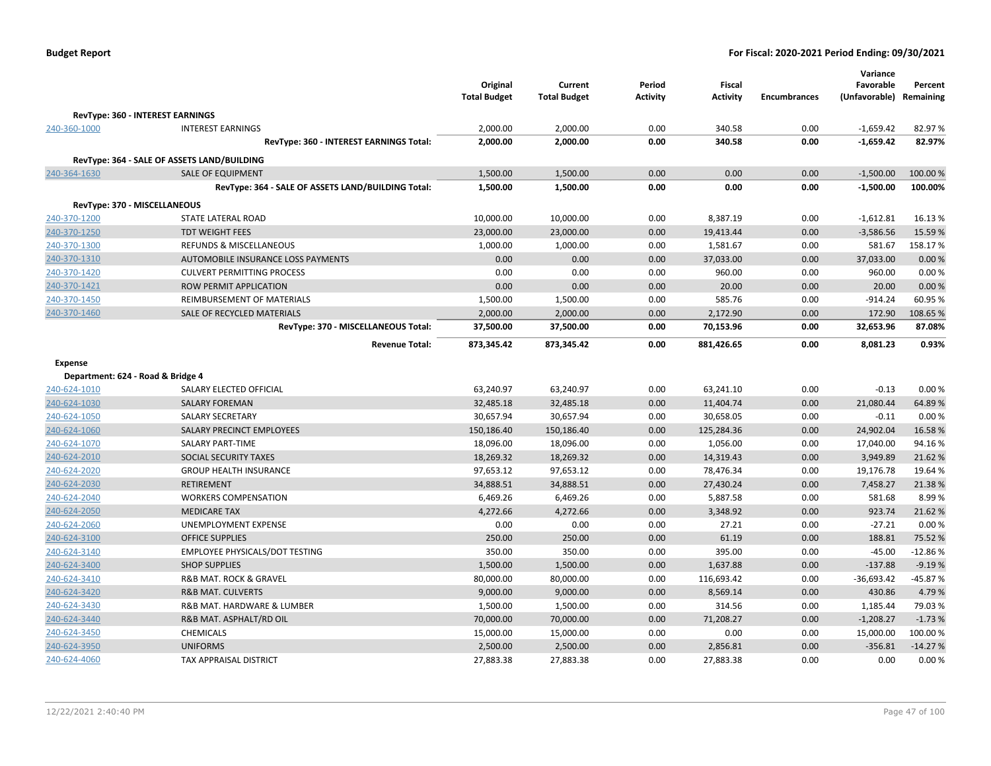|                                   |                                                    | Original<br><b>Total Budget</b> | Current<br><b>Total Budget</b> | Period<br><b>Activity</b> | <b>Fiscal</b><br><b>Activity</b> | <b>Encumbrances</b> | Variance<br>Favorable<br>(Unfavorable) | Percent<br>Remaining |
|-----------------------------------|----------------------------------------------------|---------------------------------|--------------------------------|---------------------------|----------------------------------|---------------------|----------------------------------------|----------------------|
|                                   | RevType: 360 - INTEREST EARNINGS                   |                                 |                                |                           |                                  |                     |                                        |                      |
| 240-360-1000                      | <b>INTEREST EARNINGS</b>                           | 2,000.00                        | 2,000.00                       | 0.00                      | 340.58                           | 0.00                | $-1,659.42$                            | 82.97%               |
|                                   | RevType: 360 - INTEREST EARNINGS Total:            | 2,000.00                        | 2,000.00                       | 0.00                      | 340.58                           | 0.00                | $-1,659.42$                            | 82.97%               |
|                                   |                                                    |                                 |                                |                           |                                  |                     |                                        |                      |
|                                   | RevType: 364 - SALE OF ASSETS LAND/BUILDING        |                                 |                                |                           |                                  |                     |                                        |                      |
| 240-364-1630                      | <b>SALE OF EQUIPMENT</b>                           | 1,500.00                        | 1,500.00                       | 0.00                      | 0.00                             | 0.00                | $-1,500.00$                            | 100.00%              |
|                                   | RevType: 364 - SALE OF ASSETS LAND/BUILDING Total: | 1,500.00                        | 1,500.00                       | 0.00                      | 0.00                             | 0.00                | $-1,500.00$                            | 100.00%              |
|                                   | RevType: 370 - MISCELLANEOUS                       |                                 |                                |                           |                                  |                     |                                        |                      |
| 240-370-1200                      | <b>STATE LATERAL ROAD</b>                          | 10,000.00                       | 10,000.00                      | 0.00                      | 8,387.19                         | 0.00                | $-1,612.81$                            | 16.13%               |
| 240-370-1250                      | <b>TDT WEIGHT FEES</b>                             | 23,000.00                       | 23,000.00                      | 0.00                      | 19,413.44                        | 0.00                | $-3,586.56$                            | 15.59%               |
| 240-370-1300                      | <b>REFUNDS &amp; MISCELLANEOUS</b>                 | 1,000.00                        | 1,000.00                       | 0.00                      | 1,581.67                         | 0.00                | 581.67                                 | 158.17%              |
| 240-370-1310                      | AUTOMOBILE INSURANCE LOSS PAYMENTS                 | 0.00                            | 0.00                           | 0.00                      | 37,033.00                        | 0.00                | 37,033.00                              | 0.00%                |
| 240-370-1420                      | <b>CULVERT PERMITTING PROCESS</b>                  | 0.00                            | 0.00                           | 0.00                      | 960.00                           | 0.00                | 960.00                                 | 0.00%                |
| 240-370-1421                      | ROW PERMIT APPLICATION                             | 0.00                            | 0.00                           | 0.00                      | 20.00                            | 0.00                | 20.00                                  | 0.00 %               |
| 240-370-1450                      | REIMBURSEMENT OF MATERIALS                         | 1,500.00                        | 1,500.00                       | 0.00                      | 585.76                           | 0.00                | $-914.24$                              | 60.95 %              |
| 240-370-1460                      | SALE OF RECYCLED MATERIALS                         | 2,000.00                        | 2,000.00                       | 0.00                      | 2,172.90                         | 0.00                | 172.90                                 | 108.65%              |
|                                   | RevType: 370 - MISCELLANEOUS Total:                | 37,500.00                       | 37,500.00                      | 0.00                      | 70,153.96                        | 0.00                | 32,653.96                              | 87.08%               |
|                                   | <b>Revenue Total:</b>                              | 873,345.42                      | 873,345.42                     | 0.00                      | 881,426.65                       | 0.00                | 8,081.23                               | 0.93%                |
| <b>Expense</b>                    |                                                    |                                 |                                |                           |                                  |                     |                                        |                      |
| Department: 624 - Road & Bridge 4 |                                                    |                                 |                                |                           |                                  |                     |                                        |                      |
| 240-624-1010                      | SALARY ELECTED OFFICIAL                            | 63,240.97                       | 63,240.97                      | 0.00                      | 63,241.10                        | 0.00                | $-0.13$                                | 0.00%                |
| 240-624-1030                      | <b>SALARY FOREMAN</b>                              | 32,485.18                       | 32,485.18                      | 0.00                      | 11,404.74                        | 0.00                | 21,080.44                              | 64.89%               |
| 240-624-1050                      | <b>SALARY SECRETARY</b>                            | 30,657.94                       | 30,657.94                      | 0.00                      | 30,658.05                        | 0.00                | $-0.11$                                | 0.00%                |
| 240-624-1060                      | SALARY PRECINCT EMPLOYEES                          | 150,186.40                      | 150,186.40                     | 0.00                      | 125,284.36                       | 0.00                | 24,902.04                              | 16.58%               |
| 240-624-1070                      | SALARY PART-TIME                                   | 18,096.00                       | 18,096.00                      | 0.00                      | 1,056.00                         | 0.00                | 17,040.00                              | 94.16%               |
| 240-624-2010                      | SOCIAL SECURITY TAXES                              | 18,269.32                       | 18,269.32                      | 0.00                      | 14,319.43                        | 0.00                | 3,949.89                               | 21.62%               |
| 240-624-2020                      | <b>GROUP HEALTH INSURANCE</b>                      | 97,653.12                       | 97,653.12                      | 0.00                      | 78,476.34                        | 0.00                | 19,176.78                              | 19.64 %              |
| 240-624-2030                      | <b>RETIREMENT</b>                                  | 34,888.51                       | 34,888.51                      | 0.00                      | 27,430.24                        | 0.00                | 7,458.27                               | 21.38%               |
| 240-624-2040                      | <b>WORKERS COMPENSATION</b>                        | 6,469.26                        | 6,469.26                       | 0.00                      | 5,887.58                         | 0.00                | 581.68                                 | 8.99%                |
| 240-624-2050                      | <b>MEDICARE TAX</b>                                | 4,272.66                        | 4,272.66                       | 0.00                      | 3,348.92                         | 0.00                | 923.74                                 | 21.62%               |
| 240-624-2060                      | UNEMPLOYMENT EXPENSE                               | 0.00                            | 0.00                           | 0.00                      | 27.21                            | 0.00                | $-27.21$                               | 0.00%                |
| 240-624-3100                      | <b>OFFICE SUPPLIES</b>                             | 250.00                          | 250.00                         | 0.00                      | 61.19                            | 0.00                | 188.81                                 | 75.52 %              |
| 240-624-3140                      | EMPLOYEE PHYSICALS/DOT TESTING                     | 350.00                          | 350.00                         | 0.00                      | 395.00                           | 0.00                | $-45.00$                               | $-12.86%$            |
| 240-624-3400                      | <b>SHOP SUPPLIES</b>                               | 1,500.00                        | 1,500.00                       | 0.00                      | 1,637.88                         | 0.00                | $-137.88$                              | $-9.19%$             |
| 240-624-3410                      | R&B MAT. ROCK & GRAVEL                             | 80,000.00                       | 80,000.00                      | 0.00                      | 116,693.42                       | 0.00                | $-36,693.42$                           | $-45.87%$            |
| 240-624-3420                      | <b>R&amp;B MAT. CULVERTS</b>                       | 9,000.00                        | 9,000.00                       | 0.00                      | 8,569.14                         | 0.00                | 430.86                                 | 4.79%                |
| 240-624-3430                      | R&B MAT. HARDWARE & LUMBER                         | 1,500.00                        | 1,500.00                       | 0.00                      | 314.56                           | 0.00                | 1,185.44                               | 79.03%               |
| 240-624-3440                      | R&B MAT. ASPHALT/RD OIL                            | 70,000.00                       | 70,000.00                      | 0.00                      | 71,208.27                        | 0.00                | $-1,208.27$                            | $-1.73%$             |
| 240-624-3450                      | <b>CHEMICALS</b>                                   | 15,000.00                       | 15,000.00                      | 0.00                      | 0.00                             | 0.00                | 15,000.00                              | 100.00%              |
| 240-624-3950                      | <b>UNIFORMS</b>                                    | 2,500.00                        | 2,500.00                       | 0.00                      | 2,856.81                         | 0.00                | $-356.81$                              | $-14.27%$            |
| 240-624-4060                      | TAX APPRAISAL DISTRICT                             | 27,883.38                       | 27,883.38                      | 0.00                      | 27,883.38                        | 0.00                | 0.00                                   | 0.00%                |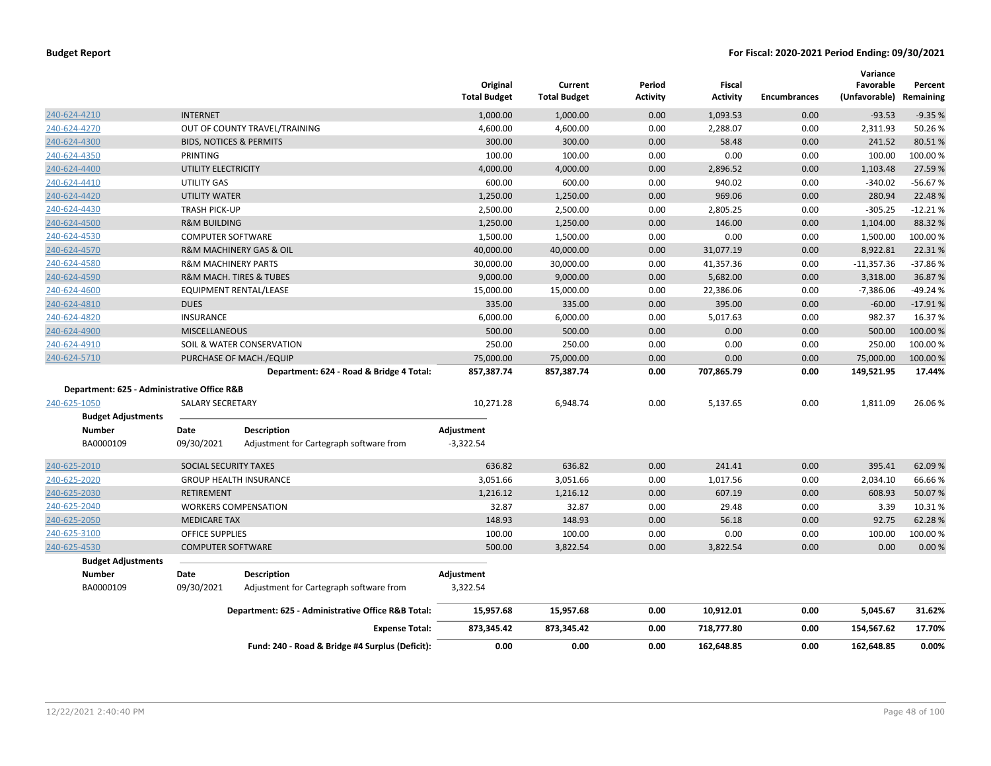|                                             |                                |                                                    | Original<br><b>Total Budget</b> | Current<br><b>Total Budget</b> | Period<br>Activity | Fiscal<br><b>Activity</b> | <b>Encumbrances</b> | Variance<br>Favorable<br>(Unfavorable) Remaining | Percent   |
|---------------------------------------------|--------------------------------|----------------------------------------------------|---------------------------------|--------------------------------|--------------------|---------------------------|---------------------|--------------------------------------------------|-----------|
| 240-624-4210                                | <b>INTERNET</b>                |                                                    | 1,000.00                        | 1,000.00                       | 0.00               | 1,093.53                  | 0.00                | $-93.53$                                         | $-9.35%$  |
| 240-624-4270                                |                                | OUT OF COUNTY TRAVEL/TRAINING                      | 4,600.00                        | 4,600.00                       | 0.00               | 2,288.07                  | 0.00                | 2,311.93                                         | 50.26%    |
| 240-624-4300                                |                                | <b>BIDS, NOTICES &amp; PERMITS</b>                 | 300.00                          | 300.00                         | 0.00               | 58.48                     | 0.00                | 241.52                                           | 80.51%    |
| 240-624-4350                                | PRINTING                       |                                                    | 100.00                          | 100.00                         | 0.00               | 0.00                      | 0.00                | 100.00                                           | 100.00%   |
| 240-624-4400                                | UTILITY ELECTRICITY            |                                                    | 4,000.00                        | 4,000.00                       | 0.00               | 2,896.52                  | 0.00                | 1,103.48                                         | 27.59%    |
| 240-624-4410                                | UTILITY GAS                    |                                                    | 600.00                          | 600.00                         | 0.00               | 940.02                    | 0.00                | $-340.02$                                        | $-56.67%$ |
| 240-624-4420                                | UTILITY WATER                  |                                                    | 1,250.00                        | 1,250.00                       | 0.00               | 969.06                    | 0.00                | 280.94                                           | 22.48%    |
| 240-624-4430                                | <b>TRASH PICK-UP</b>           |                                                    | 2,500.00                        | 2,500.00                       | 0.00               | 2,805.25                  | 0.00                | $-305.25$                                        | $-12.21%$ |
| 240-624-4500                                | <b>R&amp;M BUILDING</b>        |                                                    | 1,250.00                        | 1,250.00                       | 0.00               | 146.00                    | 0.00                | 1,104.00                                         | 88.32%    |
| 240-624-4530                                | <b>COMPUTER SOFTWARE</b>       |                                                    | 1,500.00                        | 1,500.00                       | 0.00               | 0.00                      | 0.00                | 1,500.00                                         | 100.00%   |
| 240-624-4570                                |                                | R&M MACHINERY GAS & OIL                            | 40,000.00                       | 40,000.00                      | 0.00               | 31,077.19                 | 0.00                | 8,922.81                                         | 22.31%    |
| 240-624-4580                                | <b>R&amp;M MACHINERY PARTS</b> |                                                    | 30,000.00                       | 30,000.00                      | 0.00               | 41,357.36                 | 0.00                | $-11,357.36$                                     | $-37.86%$ |
| 240-624-4590                                |                                | R&M MACH. TIRES & TUBES                            | 9,000.00                        | 9,000.00                       | 0.00               | 5,682.00                  | 0.00                | 3,318.00                                         | 36.87%    |
| 240-624-4600                                |                                | EQUIPMENT RENTAL/LEASE                             | 15,000.00                       | 15,000.00                      | 0.00               | 22,386.06                 | 0.00                | $-7,386.06$                                      | $-49.24%$ |
| 240-624-4810                                | <b>DUES</b>                    |                                                    | 335.00                          | 335.00                         | 0.00               | 395.00                    | 0.00                | $-60.00$                                         | $-17.91%$ |
| 240-624-4820                                | <b>INSURANCE</b>               |                                                    | 6,000.00                        | 6,000.00                       | 0.00               | 5,017.63                  | 0.00                | 982.37                                           | 16.37%    |
| 240-624-4900                                | <b>MISCELLANEOUS</b>           |                                                    | 500.00                          | 500.00                         | 0.00               | 0.00                      | 0.00                | 500.00                                           | 100.00 %  |
| 240-624-4910                                |                                | SOIL & WATER CONSERVATION                          | 250.00                          | 250.00                         | 0.00               | 0.00                      | 0.00                | 250.00                                           | 100.00%   |
| 240-624-5710                                |                                | PURCHASE OF MACH./EQUIP                            | 75,000.00                       | 75,000.00                      | 0.00               | 0.00                      | 0.00                | 75,000.00                                        | 100.00 %  |
|                                             |                                | Department: 624 - Road & Bridge 4 Total:           | 857,387.74                      | 857,387.74                     | 0.00               | 707,865.79                | 0.00                | 149,521.95                                       | 17.44%    |
| Department: 625 - Administrative Office R&B |                                |                                                    |                                 |                                |                    |                           |                     |                                                  |           |
| 240-625-1050                                | <b>SALARY SECRETARY</b>        |                                                    | 10,271.28                       | 6,948.74                       | 0.00               | 5,137.65                  | 0.00                | 1,811.09                                         | 26.06%    |
| <b>Budget Adjustments</b>                   |                                |                                                    |                                 |                                |                    |                           |                     |                                                  |           |
| <b>Number</b>                               | Date                           | <b>Description</b>                                 | Adjustment                      |                                |                    |                           |                     |                                                  |           |
| BA0000109                                   | 09/30/2021                     | Adjustment for Cartegraph software from            | $-3,322.54$                     |                                |                    |                           |                     |                                                  |           |
| 240-625-2010                                | SOCIAL SECURITY TAXES          |                                                    | 636.82                          | 636.82                         | 0.00               | 241.41                    | 0.00                | 395.41                                           | 62.09%    |
| 240-625-2020                                |                                | <b>GROUP HEALTH INSURANCE</b>                      | 3,051.66                        | 3,051.66                       | 0.00               | 1,017.56                  | 0.00                | 2,034.10                                         | 66.66%    |
| 240-625-2030                                | <b>RETIREMENT</b>              |                                                    | 1,216.12                        | 1,216.12                       | 0.00               | 607.19                    | 0.00                | 608.93                                           | 50.07%    |
| 240-625-2040                                |                                | <b>WORKERS COMPENSATION</b>                        | 32.87                           | 32.87                          | 0.00               | 29.48                     | 0.00                | 3.39                                             | 10.31%    |
| 240-625-2050                                | <b>MEDICARE TAX</b>            |                                                    | 148.93                          | 148.93                         | 0.00               | 56.18                     | 0.00                | 92.75                                            | 62.28%    |
| 240-625-3100                                | <b>OFFICE SUPPLIES</b>         |                                                    | 100.00                          | 100.00                         | 0.00               | 0.00                      | 0.00                | 100.00                                           | 100.00%   |
| 240-625-4530                                | <b>COMPUTER SOFTWARE</b>       |                                                    | 500.00                          | 3,822.54                       | 0.00               | 3,822.54                  | 0.00                | 0.00                                             | 0.00%     |
| <b>Budget Adjustments</b>                   |                                |                                                    |                                 |                                |                    |                           |                     |                                                  |           |
| <b>Number</b>                               | Date                           | <b>Description</b>                                 | Adjustment                      |                                |                    |                           |                     |                                                  |           |
| BA0000109                                   | 09/30/2021                     | Adjustment for Cartegraph software from            | 3,322.54                        |                                |                    |                           |                     |                                                  |           |
|                                             |                                | Department: 625 - Administrative Office R&B Total: | 15,957.68                       | 15,957.68                      | 0.00               | 10,912.01                 | 0.00                | 5,045.67                                         | 31.62%    |
|                                             |                                | <b>Expense Total:</b>                              | 873,345.42                      | 873,345.42                     | 0.00               | 718,777.80                | 0.00                | 154,567.62                                       | 17.70%    |
|                                             |                                | Fund: 240 - Road & Bridge #4 Surplus (Deficit):    | 0.00                            | 0.00                           | 0.00               | 162,648.85                | 0.00                | 162,648.85                                       | 0.00%     |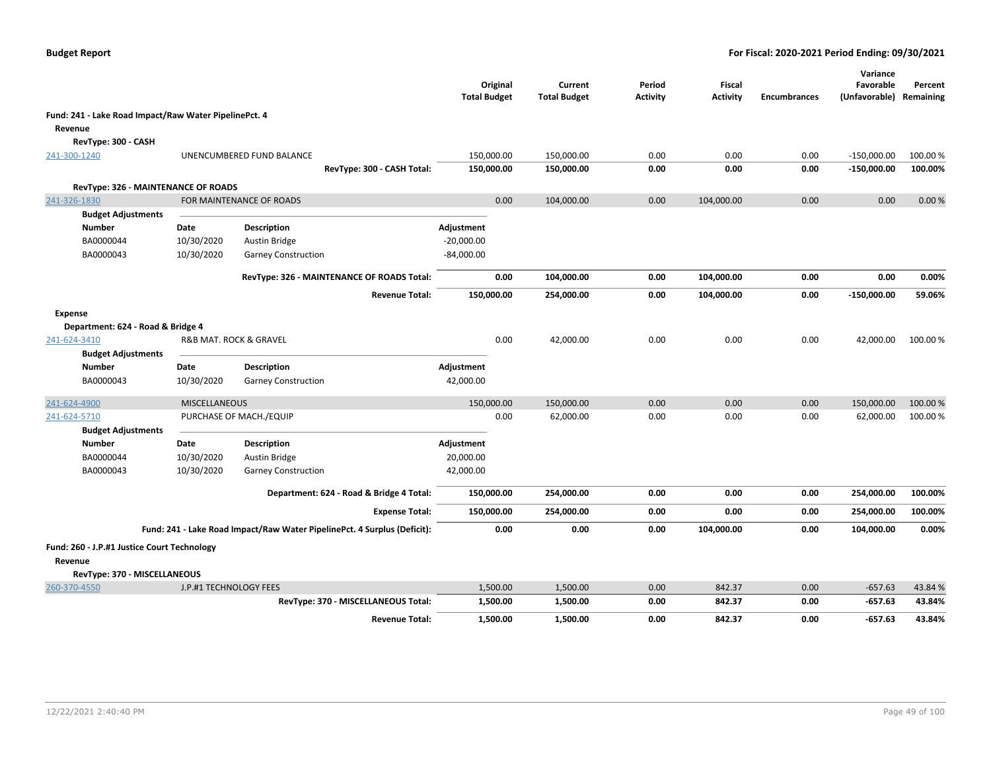|                                                       |                        |                                                                          | Original<br><b>Total Budget</b> | Current<br><b>Total Budget</b> | Period<br><b>Activity</b> | <b>Fiscal</b><br><b>Activity</b> | <b>Encumbrances</b> | Variance<br>Favorable<br>(Unfavorable) Remaining | Percent  |
|-------------------------------------------------------|------------------------|--------------------------------------------------------------------------|---------------------------------|--------------------------------|---------------------------|----------------------------------|---------------------|--------------------------------------------------|----------|
| Fund: 241 - Lake Road Impact/Raw Water PipelinePct. 4 |                        |                                                                          |                                 |                                |                           |                                  |                     |                                                  |          |
| Revenue                                               |                        |                                                                          |                                 |                                |                           |                                  |                     |                                                  |          |
| RevType: 300 - CASH                                   |                        |                                                                          |                                 |                                |                           |                                  |                     |                                                  |          |
| 241-300-1240                                          |                        | UNENCUMBERED FUND BALANCE                                                | 150,000.00                      | 150,000.00                     | 0.00                      | 0.00                             | 0.00                | $-150,000.00$                                    | 100.00%  |
|                                                       |                        | RevType: 300 - CASH Total:                                               | 150,000.00                      | 150,000.00                     | 0.00                      | 0.00                             | 0.00                | $-150,000.00$                                    | 100.00%  |
| RevType: 326 - MAINTENANCE OF ROADS                   |                        |                                                                          |                                 |                                |                           |                                  |                     |                                                  |          |
| 241-326-1830                                          |                        | FOR MAINTENANCE OF ROADS                                                 | 0.00                            | 104,000.00                     | 0.00                      | 104,000.00                       | 0.00                | 0.00                                             | 0.00%    |
| <b>Budget Adjustments</b>                             |                        |                                                                          |                                 |                                |                           |                                  |                     |                                                  |          |
| <b>Number</b>                                         | Date                   | Description                                                              | Adjustment                      |                                |                           |                                  |                     |                                                  |          |
| BA0000044                                             | 10/30/2020             | Austin Bridge                                                            | $-20,000.00$                    |                                |                           |                                  |                     |                                                  |          |
| BA0000043                                             | 10/30/2020             | <b>Garney Construction</b>                                               | $-84,000.00$                    |                                |                           |                                  |                     |                                                  |          |
|                                                       |                        | RevType: 326 - MAINTENANCE OF ROADS Total:                               | 0.00                            | 104,000.00                     | 0.00                      | 104,000.00                       | 0.00                | 0.00                                             | 0.00%    |
|                                                       |                        | <b>Revenue Total:</b>                                                    | 150,000.00                      | 254,000.00                     | 0.00                      | 104,000.00                       | 0.00                | $-150,000.00$                                    | 59.06%   |
| <b>Expense</b>                                        |                        |                                                                          |                                 |                                |                           |                                  |                     |                                                  |          |
| Department: 624 - Road & Bridge 4                     |                        |                                                                          |                                 |                                |                           |                                  |                     |                                                  |          |
| 241-624-3410                                          |                        | R&B MAT. ROCK & GRAVEL                                                   | 0.00                            | 42,000.00                      | 0.00                      | 0.00                             | 0.00                | 42,000.00                                        | 100.00%  |
| <b>Budget Adjustments</b>                             |                        |                                                                          |                                 |                                |                           |                                  |                     |                                                  |          |
| <b>Number</b>                                         | Date                   | Description                                                              | Adjustment                      |                                |                           |                                  |                     |                                                  |          |
| BA0000043                                             | 10/30/2020             | <b>Garney Construction</b>                                               | 42,000.00                       |                                |                           |                                  |                     |                                                  |          |
| 241-624-4900                                          | <b>MISCELLANEOUS</b>   |                                                                          | 150,000.00                      | 150,000.00                     | 0.00                      | 0.00                             | 0.00                | 150,000.00                                       | 100.00 % |
| 241-624-5710                                          |                        | PURCHASE OF MACH./EQUIP                                                  | 0.00                            | 62,000.00                      | 0.00                      | 0.00                             | 0.00                | 62,000.00                                        | 100.00%  |
| <b>Budget Adjustments</b>                             |                        |                                                                          |                                 |                                |                           |                                  |                     |                                                  |          |
| <b>Number</b>                                         | Date                   | Description                                                              | Adjustment                      |                                |                           |                                  |                     |                                                  |          |
| BA0000044                                             | 10/30/2020             | Austin Bridge                                                            | 20,000.00                       |                                |                           |                                  |                     |                                                  |          |
| BA0000043                                             | 10/30/2020             | <b>Garney Construction</b>                                               | 42,000.00                       |                                |                           |                                  |                     |                                                  |          |
|                                                       |                        | Department: 624 - Road & Bridge 4 Total:                                 | 150,000.00                      | 254,000.00                     | 0.00                      | 0.00                             | 0.00                | 254,000.00                                       | 100.00%  |
|                                                       |                        | <b>Expense Total:</b>                                                    | 150,000.00                      | 254,000.00                     | 0.00                      | 0.00                             | 0.00                | 254,000.00                                       | 100.00%  |
|                                                       |                        | Fund: 241 - Lake Road Impact/Raw Water PipelinePct. 4 Surplus (Deficit): | 0.00                            | 0.00                           | 0.00                      | 104,000.00                       | 0.00                | 104,000.00                                       | 0.00%    |
| Fund: 260 - J.P.#1 Justice Court Technology           |                        |                                                                          |                                 |                                |                           |                                  |                     |                                                  |          |
| Revenue                                               |                        |                                                                          |                                 |                                |                           |                                  |                     |                                                  |          |
| RevType: 370 - MISCELLANEOUS                          |                        |                                                                          |                                 |                                |                           |                                  |                     |                                                  |          |
| 260-370-4550                                          | J.P.#1 TECHNOLOGY FEES |                                                                          | 1,500.00                        | 1,500.00                       | 0.00                      | 842.37                           | 0.00                | $-657.63$                                        | 43.84 %  |
|                                                       |                        | RevType: 370 - MISCELLANEOUS Total:                                      | 1,500.00                        | 1,500.00                       | 0.00                      | 842.37                           | 0.00                | $-657.63$                                        | 43.84%   |
|                                                       |                        | <b>Revenue Total:</b>                                                    | 1,500.00                        | 1,500.00                       | 0.00                      | 842.37                           | 0.00                | $-657.63$                                        | 43.84%   |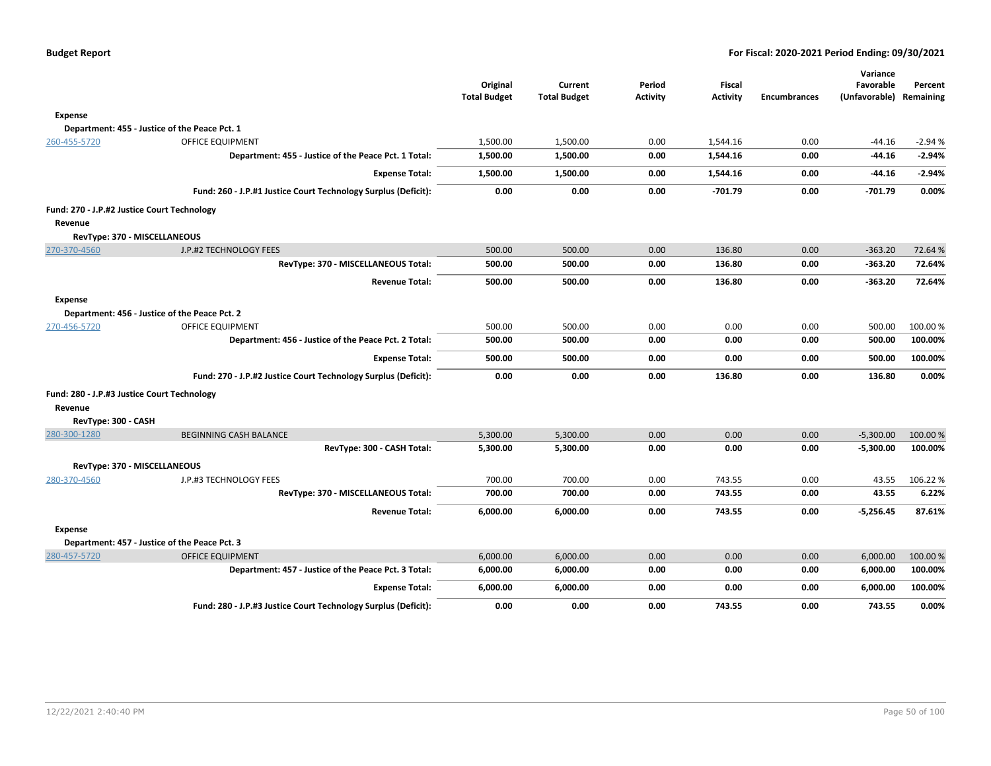**Percent**

|                                             |                                                                | Original<br><b>Total Budget</b> | Current<br><b>Total Budget</b> | Period<br><b>Activity</b> | Fiscal<br><b>Activity</b> | <b>Encumbrances</b> | Variance<br>Favorable<br>(Unfavorable) Remaining | Percent  |
|---------------------------------------------|----------------------------------------------------------------|---------------------------------|--------------------------------|---------------------------|---------------------------|---------------------|--------------------------------------------------|----------|
| Expense                                     |                                                                |                                 |                                |                           |                           |                     |                                                  |          |
|                                             | Department: 455 - Justice of the Peace Pct. 1                  |                                 |                                |                           |                           |                     |                                                  |          |
| 260-455-5720                                | <b>OFFICE EQUIPMENT</b>                                        | 1,500.00                        | 1,500.00                       | 0.00                      | 1,544.16                  | 0.00                | -44.16                                           | $-2.94%$ |
|                                             | Department: 455 - Justice of the Peace Pct. 1 Total:           | 1,500.00                        | 1,500.00                       | 0.00                      | 1,544.16                  | 0.00                | $-44.16$                                         | $-2.94%$ |
|                                             | <b>Expense Total:</b>                                          | 1,500.00                        | 1,500.00                       | 0.00                      | 1,544.16                  | 0.00                | $-44.16$                                         | $-2.94%$ |
|                                             | Fund: 260 - J.P.#1 Justice Court Technology Surplus (Deficit): | 0.00                            | 0.00                           | 0.00                      | $-701.79$                 | 0.00                | -701.79                                          | 0.00%    |
| Fund: 270 - J.P.#2 Justice Court Technology |                                                                |                                 |                                |                           |                           |                     |                                                  |          |
| Revenue                                     |                                                                |                                 |                                |                           |                           |                     |                                                  |          |
| RevType: 370 - MISCELLANEOUS                |                                                                |                                 |                                |                           |                           |                     |                                                  |          |
| 270-370-4560                                | J.P.#2 TECHNOLOGY FEES                                         | 500.00                          | 500.00                         | 0.00                      | 136.80                    | 0.00                | $-363.20$                                        | 72.64 %  |
|                                             | RevType: 370 - MISCELLANEOUS Total:                            | 500.00                          | 500.00                         | 0.00                      | 136.80                    | 0.00                | $-363.20$                                        | 72.64%   |
|                                             | <b>Revenue Total:</b>                                          | 500.00                          | 500.00                         | 0.00                      | 136.80                    | 0.00                | $-363.20$                                        | 72.64%   |
| <b>Expense</b>                              |                                                                |                                 |                                |                           |                           |                     |                                                  |          |
|                                             | Department: 456 - Justice of the Peace Pct. 2                  |                                 |                                |                           |                           |                     |                                                  |          |
| 270-456-5720                                | <b>OFFICE EQUIPMENT</b>                                        | 500.00                          | 500.00                         | 0.00                      | 0.00                      | 0.00                | 500.00                                           | 100.00%  |
|                                             | Department: 456 - Justice of the Peace Pct. 2 Total:           | 500.00                          | 500.00                         | 0.00                      | 0.00                      | 0.00                | 500.00                                           | 100.00%  |
|                                             | <b>Expense Total:</b>                                          | 500.00                          | 500.00                         | 0.00                      | 0.00                      | 0.00                | 500.00                                           | 100.00%  |
|                                             | Fund: 270 - J.P.#2 Justice Court Technology Surplus (Deficit): | 0.00                            | 0.00                           | 0.00                      | 136.80                    | 0.00                | 136.80                                           | 0.00%    |
| Fund: 280 - J.P.#3 Justice Court Technology |                                                                |                                 |                                |                           |                           |                     |                                                  |          |
| Revenue                                     |                                                                |                                 |                                |                           |                           |                     |                                                  |          |
| RevType: 300 - CASH                         |                                                                |                                 |                                |                           |                           |                     |                                                  |          |
| 280-300-1280                                | <b>BEGINNING CASH BALANCE</b>                                  | 5,300.00                        | 5,300.00                       | 0.00                      | 0.00                      | 0.00                | $-5,300.00$                                      | 100.00 % |
|                                             | RevType: 300 - CASH Total:                                     | 5,300.00                        | 5,300.00                       | 0.00                      | 0.00                      | 0.00                | $-5,300.00$                                      | 100.00%  |
| RevType: 370 - MISCELLANEOUS                |                                                                |                                 |                                |                           |                           |                     |                                                  |          |
| 280-370-4560                                | J.P.#3 TECHNOLOGY FEES                                         | 700.00                          | 700.00                         | 0.00                      | 743.55                    | 0.00                | 43.55                                            | 106.22%  |
|                                             | RevType: 370 - MISCELLANEOUS Total:                            | 700.00                          | 700.00                         | 0.00                      | 743.55                    | 0.00                | 43.55                                            | 6.22%    |
|                                             | <b>Revenue Total:</b>                                          | 6,000.00                        | 6,000.00                       | 0.00                      | 743.55                    | 0.00                | $-5,256.45$                                      | 87.61%   |
| <b>Expense</b>                              |                                                                |                                 |                                |                           |                           |                     |                                                  |          |
|                                             | Department: 457 - Justice of the Peace Pct. 3                  |                                 |                                |                           |                           |                     |                                                  |          |
| 280-457-5720                                | <b>OFFICE EQUIPMENT</b>                                        | 6,000.00                        | 6,000.00                       | 0.00                      | 0.00                      | 0.00                | 6,000.00                                         | 100.00 % |
|                                             | Department: 457 - Justice of the Peace Pct. 3 Total:           | 6,000.00                        | 6,000.00                       | 0.00                      | 0.00                      | 0.00                | 6,000.00                                         | 100.00%  |

**Expense Total: 6,000.00 6,000.00 0.00 0.00 0.00 6,000.00 100.00% Fund: 280 - J.P.#3 Justice Court Technology Surplus (Deficit): 0.00 0.00 0.00 743.55 0.00 743.55 0.00%**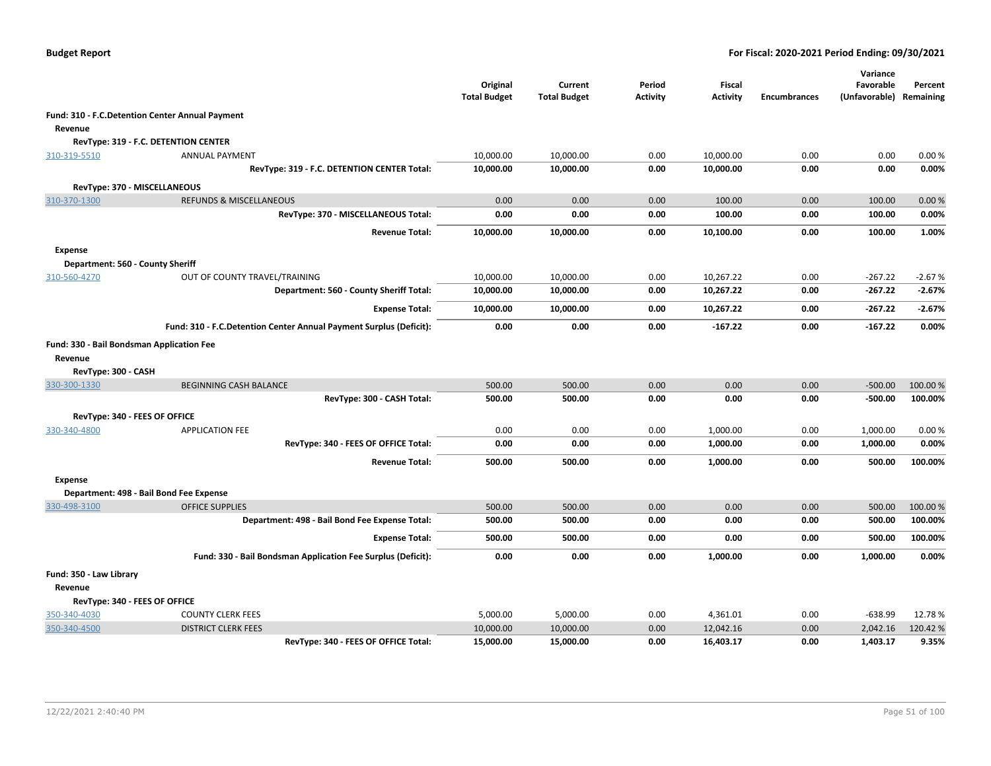|                                  |                                                                    | Original<br><b>Total Budget</b> | Current<br><b>Total Budget</b> | Period<br><b>Activity</b> | <b>Fiscal</b><br><b>Activity</b> | <b>Encumbrances</b> | Variance<br>Favorable<br>(Unfavorable) | Percent<br>Remaining |
|----------------------------------|--------------------------------------------------------------------|---------------------------------|--------------------------------|---------------------------|----------------------------------|---------------------|----------------------------------------|----------------------|
|                                  | Fund: 310 - F.C.Detention Center Annual Payment                    |                                 |                                |                           |                                  |                     |                                        |                      |
| Revenue                          |                                                                    |                                 |                                |                           |                                  |                     |                                        |                      |
|                                  | RevType: 319 - F.C. DETENTION CENTER                               |                                 |                                |                           |                                  |                     |                                        |                      |
| 310-319-5510                     | <b>ANNUAL PAYMENT</b>                                              | 10,000.00                       | 10,000.00                      | 0.00                      | 10,000.00                        | 0.00                | 0.00                                   | 0.00%                |
|                                  | RevType: 319 - F.C. DETENTION CENTER Total:                        | 10,000.00                       | 10,000.00                      | 0.00                      | 10,000.00                        | 0.00                | 0.00                                   | 0.00%                |
|                                  | RevType: 370 - MISCELLANEOUS                                       |                                 |                                |                           |                                  |                     |                                        |                      |
| 310-370-1300                     | <b>REFUNDS &amp; MISCELLANEOUS</b>                                 | 0.00                            | 0.00                           | 0.00                      | 100.00                           | 0.00                | 100.00                                 | 0.00%                |
|                                  | RevType: 370 - MISCELLANEOUS Total:                                | 0.00                            | 0.00                           | 0.00                      | 100.00                           | 0.00                | 100.00                                 | 0.00%                |
|                                  | <b>Revenue Total:</b>                                              | 10,000.00                       | 10,000.00                      | 0.00                      | 10,100.00                        | 0.00                | 100.00                                 | 1.00%                |
| Expense                          |                                                                    |                                 |                                |                           |                                  |                     |                                        |                      |
| Department: 560 - County Sheriff |                                                                    |                                 |                                |                           |                                  |                     |                                        |                      |
| 310-560-4270                     | OUT OF COUNTY TRAVEL/TRAINING                                      | 10,000.00                       | 10,000.00                      | 0.00                      | 10,267.22                        | 0.00                | $-267.22$                              | $-2.67%$             |
|                                  | Department: 560 - County Sheriff Total:                            | 10,000.00                       | 10,000.00                      | 0.00                      | 10,267.22                        | 0.00                | $-267.22$                              | $-2.67%$             |
|                                  | <b>Expense Total:</b>                                              | 10,000.00                       | 10,000.00                      | 0.00                      | 10,267.22                        | 0.00                | $-267.22$                              | $-2.67%$             |
|                                  | Fund: 310 - F.C.Detention Center Annual Payment Surplus (Deficit): | 0.00                            | 0.00                           | 0.00                      | $-167.22$                        | 0.00                | $-167.22$                              | 0.00%                |
|                                  | Fund: 330 - Bail Bondsman Application Fee                          |                                 |                                |                           |                                  |                     |                                        |                      |
| Revenue                          |                                                                    |                                 |                                |                           |                                  |                     |                                        |                      |
| RevType: 300 - CASH              |                                                                    |                                 |                                |                           |                                  |                     |                                        |                      |
| 330-300-1330                     | <b>BEGINNING CASH BALANCE</b>                                      | 500.00                          | 500.00                         | 0.00                      | 0.00                             | 0.00                | $-500.00$                              | 100.00%              |
|                                  | RevType: 300 - CASH Total:                                         | 500.00                          | 500.00                         | 0.00                      | 0.00                             | 0.00                | $-500.00$                              | 100.00%              |
|                                  | RevType: 340 - FEES OF OFFICE                                      |                                 |                                |                           |                                  |                     |                                        |                      |
| 330-340-4800                     | <b>APPLICATION FEE</b>                                             | 0.00                            | 0.00                           | 0.00                      | 1,000.00                         | 0.00                | 1,000.00                               | 0.00%                |
|                                  | RevType: 340 - FEES OF OFFICE Total:                               | 0.00                            | 0.00                           | 0.00                      | 1,000.00                         | 0.00                | 1,000.00                               | 0.00%                |
|                                  | <b>Revenue Total:</b>                                              | 500.00                          | 500.00                         | 0.00                      | 1,000.00                         | 0.00                | 500.00                                 | 100.00%              |
| <b>Expense</b>                   |                                                                    |                                 |                                |                           |                                  |                     |                                        |                      |
|                                  | Department: 498 - Bail Bond Fee Expense                            |                                 |                                |                           |                                  |                     |                                        |                      |
| 330-498-3100                     | <b>OFFICE SUPPLIES</b>                                             | 500.00                          | 500.00                         | 0.00                      | 0.00                             | 0.00                | 500.00                                 | 100.00 %             |
|                                  | Department: 498 - Bail Bond Fee Expense Total:                     | 500.00                          | 500.00                         | 0.00                      | 0.00                             | 0.00                | 500.00                                 | 100.00%              |
|                                  | <b>Expense Total:</b>                                              | 500.00                          | 500.00                         | 0.00                      | 0.00                             | 0.00                | 500.00                                 | 100.00%              |
|                                  | Fund: 330 - Bail Bondsman Application Fee Surplus (Deficit):       | 0.00                            | 0.00                           | 0.00                      | 1,000.00                         | 0.00                | 1,000.00                               | 0.00%                |
| Fund: 350 - Law Library          |                                                                    |                                 |                                |                           |                                  |                     |                                        |                      |
| Revenue                          |                                                                    |                                 |                                |                           |                                  |                     |                                        |                      |
|                                  | RevType: 340 - FEES OF OFFICE                                      |                                 |                                |                           |                                  |                     |                                        |                      |
| 350-340-4030                     | <b>COUNTY CLERK FEES</b>                                           | 5,000.00                        | 5,000.00                       | 0.00                      | 4,361.01                         | 0.00                | $-638.99$                              | 12.78%               |
| 350-340-4500                     | <b>DISTRICT CLERK FEES</b>                                         | 10,000.00                       | 10,000.00                      | 0.00                      | 12,042.16                        | 0.00                | 2,042.16                               | 120.42%              |
|                                  | RevType: 340 - FEES OF OFFICE Total:                               | 15,000.00                       | 15,000.00                      | 0.00                      | 16,403.17                        | 0.00                | 1,403.17                               | 9.35%                |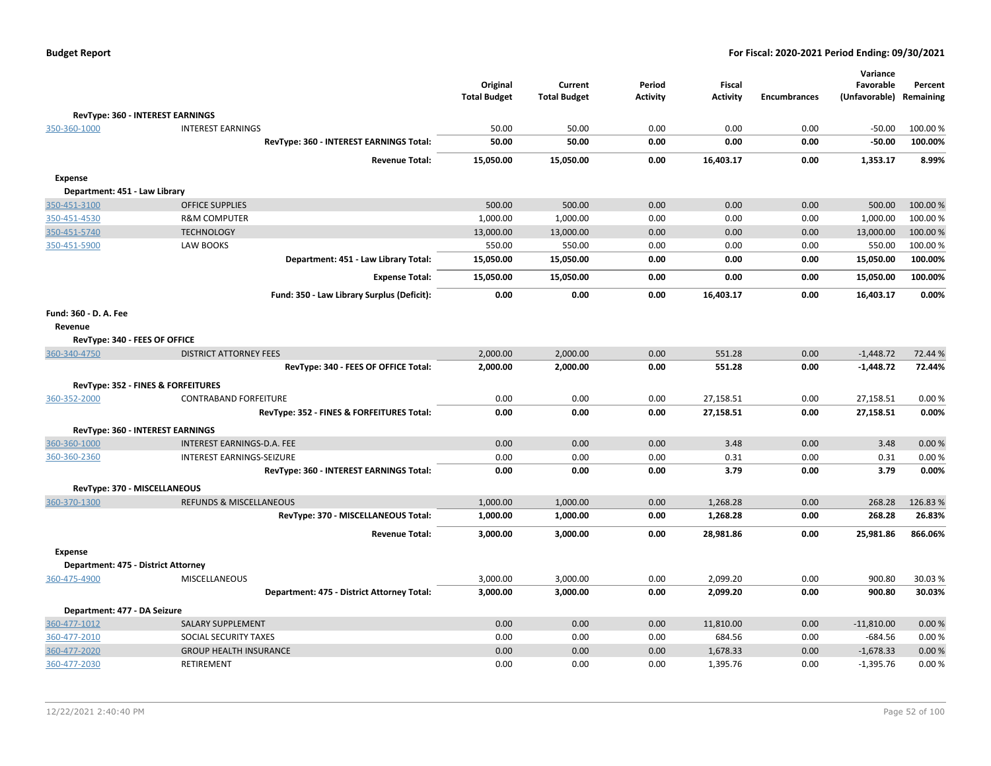|                               |                                            | Original<br><b>Total Budget</b> | Current<br><b>Total Budget</b> | Period<br>Activity | <b>Fiscal</b><br><b>Activity</b> | <b>Encumbrances</b> | Variance<br>Favorable<br>(Unfavorable) | Percent<br>Remaining |
|-------------------------------|--------------------------------------------|---------------------------------|--------------------------------|--------------------|----------------------------------|---------------------|----------------------------------------|----------------------|
|                               | RevType: 360 - INTEREST EARNINGS           |                                 |                                |                    |                                  |                     |                                        |                      |
| 350-360-1000                  | <b>INTEREST EARNINGS</b>                   | 50.00                           | 50.00                          | 0.00               | 0.00                             | 0.00                | $-50.00$                               | 100.00 %             |
|                               | RevType: 360 - INTEREST EARNINGS Total:    | 50.00                           | 50.00                          | 0.00               | 0.00                             | 0.00                | $-50.00$                               | 100.00%              |
|                               | <b>Revenue Total:</b>                      | 15,050.00                       | 15,050.00                      | 0.00               | 16,403.17                        | 0.00                | 1,353.17                               | 8.99%                |
| <b>Expense</b>                |                                            |                                 |                                |                    |                                  |                     |                                        |                      |
| Department: 451 - Law Library |                                            |                                 |                                |                    |                                  |                     |                                        |                      |
| 350-451-3100                  | <b>OFFICE SUPPLIES</b>                     | 500.00                          | 500.00                         | 0.00               | 0.00                             | 0.00                | 500.00                                 | 100.00%              |
| 350-451-4530                  | <b>R&amp;M COMPUTER</b>                    | 1,000.00                        | 1,000.00                       | 0.00               | 0.00                             | 0.00                | 1,000.00                               | 100.00 %             |
| 350-451-5740                  | <b>TECHNOLOGY</b>                          | 13,000.00                       | 13,000.00                      | 0.00               | 0.00                             | 0.00                | 13,000.00                              | 100.00 %             |
| 350-451-5900                  | LAW BOOKS                                  | 550.00                          | 550.00                         | 0.00               | 0.00                             | 0.00                | 550.00                                 | 100.00 %             |
|                               | Department: 451 - Law Library Total:       | 15,050.00                       | 15,050.00                      | 0.00               | 0.00                             | 0.00                | 15,050.00                              | 100.00%              |
|                               | <b>Expense Total:</b>                      | 15,050.00                       | 15,050.00                      | 0.00               | 0.00                             | 0.00                | 15,050.00                              | 100.00%              |
|                               | Fund: 350 - Law Library Surplus (Deficit): | 0.00                            | 0.00                           | 0.00               | 16,403.17                        | 0.00                | 16,403.17                              | 0.00%                |
| Fund: 360 - D. A. Fee         |                                            |                                 |                                |                    |                                  |                     |                                        |                      |
| Revenue                       |                                            |                                 |                                |                    |                                  |                     |                                        |                      |
|                               | RevType: 340 - FEES OF OFFICE              |                                 |                                |                    |                                  |                     |                                        |                      |
| 360-340-4750                  | <b>DISTRICT ATTORNEY FEES</b>              | 2,000.00                        | 2,000.00                       | 0.00               | 551.28                           | 0.00                | $-1,448.72$                            | 72.44 %              |
|                               | RevType: 340 - FEES OF OFFICE Total:       | 2,000.00                        | 2,000.00                       | 0.00               | 551.28                           | 0.00                | $-1,448.72$                            | 72.44%               |
|                               | RevType: 352 - FINES & FORFEITURES         |                                 |                                |                    |                                  |                     |                                        |                      |
| 360-352-2000                  | CONTRABAND FORFEITURE                      | 0.00                            | 0.00                           | 0.00               | 27,158.51                        | 0.00                | 27,158.51                              | 0.00%                |
|                               | RevType: 352 - FINES & FORFEITURES Total:  | 0.00                            | 0.00                           | 0.00               | 27,158.51                        | 0.00                | 27,158.51                              | 0.00%                |
|                               | RevType: 360 - INTEREST EARNINGS           |                                 |                                |                    |                                  |                     |                                        |                      |
| 360-360-1000                  | INTEREST EARNINGS-D.A. FEE                 | 0.00                            | 0.00                           | 0.00               | 3.48                             | 0.00                | 3.48                                   | 0.00%                |
| 360-360-2360                  | INTEREST EARNINGS-SEIZURE                  | 0.00                            | 0.00                           | 0.00               | 0.31                             | 0.00                | 0.31                                   | 0.00%                |
|                               | RevType: 360 - INTEREST EARNINGS Total:    | 0.00                            | 0.00                           | 0.00               | 3.79                             | 0.00                | 3.79                                   | 0.00%                |
|                               | RevType: 370 - MISCELLANEOUS               |                                 |                                |                    |                                  |                     |                                        |                      |
| 360-370-1300                  | <b>REFUNDS &amp; MISCELLANEOUS</b>         | 1,000.00                        | 1,000.00                       | 0.00               | 1,268.28                         | 0.00                | 268.28                                 | 126.83%              |
|                               | RevType: 370 - MISCELLANEOUS Total:        | 1,000.00                        | 1,000.00                       | 0.00               | 1,268.28                         | 0.00                | 268.28                                 | 26.83%               |
|                               | <b>Revenue Total:</b>                      | 3,000.00                        | 3,000.00                       | 0.00               | 28.981.86                        | 0.00                | 25,981.86                              | 866.06%              |
| <b>Expense</b>                |                                            |                                 |                                |                    |                                  |                     |                                        |                      |
|                               | Department: 475 - District Attorney        |                                 |                                |                    |                                  |                     |                                        |                      |
| 360-475-4900                  | <b>MISCELLANEOUS</b>                       | 3,000.00                        | 3,000.00                       | 0.00               | 2,099.20                         | 0.00                | 900.80                                 | 30.03%               |
|                               | Department: 475 - District Attorney Total: | 3,000.00                        | 3,000.00                       | 0.00               | 2,099.20                         | 0.00                | 900.80                                 | 30.03%               |
| Department: 477 - DA Seizure  |                                            |                                 |                                |                    |                                  |                     |                                        |                      |
| 360-477-1012                  | <b>SALARY SUPPLEMENT</b>                   | 0.00                            | 0.00                           | 0.00               | 11,810.00                        | 0.00                | $-11,810.00$                           | 0.00%                |
| 360-477-2010                  | SOCIAL SECURITY TAXES                      | 0.00                            | 0.00                           | 0.00               | 684.56                           | 0.00                | $-684.56$                              | 0.00%                |
| 360-477-2020                  | <b>GROUP HEALTH INSURANCE</b>              | 0.00                            | 0.00                           | 0.00               | 1,678.33                         | 0.00                | $-1,678.33$                            | 0.00%                |
| 360-477-2030                  | <b>RETIREMENT</b>                          | 0.00                            | 0.00                           | 0.00               | 1.395.76                         | 0.00                | $-1,395.76$                            | 0.00%                |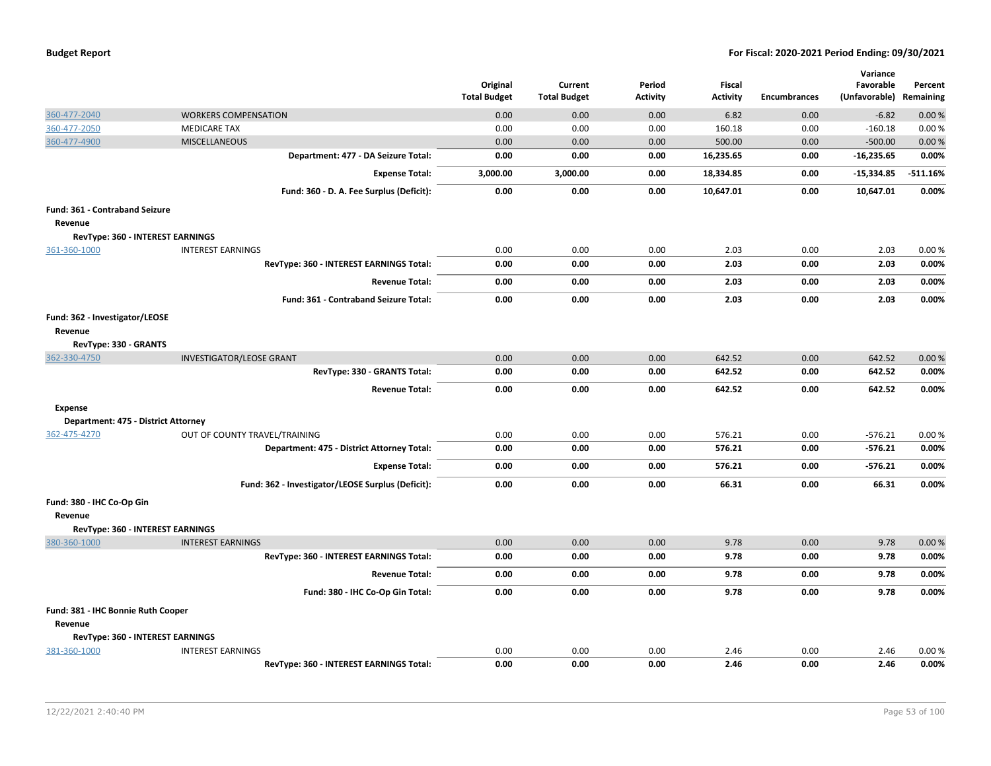| <b>Budget Report</b> |  |
|----------------------|--|
|----------------------|--|

|                                         |                                                   |                                 |                                |                           |                           |              | Variance                   |                      |
|-----------------------------------------|---------------------------------------------------|---------------------------------|--------------------------------|---------------------------|---------------------------|--------------|----------------------------|----------------------|
|                                         |                                                   | Original<br><b>Total Budget</b> | Current<br><b>Total Budget</b> | Period<br><b>Activity</b> | Fiscal<br><b>Activity</b> | Encumbrances | Favorable<br>(Unfavorable) | Percent<br>Remaining |
|                                         |                                                   |                                 |                                |                           |                           |              |                            |                      |
| 360-477-2040                            | <b>WORKERS COMPENSATION</b>                       | 0.00                            | 0.00                           | 0.00                      | 6.82                      | 0.00         | $-6.82$                    | 0.00%                |
| 360-477-2050                            | <b>MEDICARE TAX</b>                               | 0.00                            | 0.00                           | 0.00                      | 160.18                    | 0.00         | $-160.18$                  | 0.00%                |
| 360-477-4900                            | <b>MISCELLANEOUS</b>                              | 0.00                            | 0.00                           | 0.00                      | 500.00                    | 0.00         | $-500.00$                  | 0.00%                |
|                                         | Department: 477 - DA Seizure Total:               | 0.00                            | 0.00                           | 0.00                      | 16,235.65                 | 0.00         | $-16,235.65$               | 0.00%                |
|                                         | <b>Expense Total:</b>                             | 3,000.00                        | 3,000.00                       | 0.00                      | 18,334.85                 | 0.00         | $-15,334.85$               | $-511.16%$           |
|                                         | Fund: 360 - D. A. Fee Surplus (Deficit):          | 0.00                            | 0.00                           | 0.00                      | 10,647.01                 | 0.00         | 10,647.01                  | 0.00%                |
| Fund: 361 - Contraband Seizure          |                                                   |                                 |                                |                           |                           |              |                            |                      |
| Revenue                                 |                                                   |                                 |                                |                           |                           |              |                            |                      |
| RevType: 360 - INTEREST EARNINGS        |                                                   |                                 |                                |                           |                           |              |                            |                      |
| 361-360-1000                            | <b>INTEREST EARNINGS</b>                          | 0.00                            | 0.00                           | 0.00                      | 2.03                      | 0.00         | 2.03                       | 0.00%                |
|                                         | RevType: 360 - INTEREST EARNINGS Total:           | 0.00                            | 0.00                           | 0.00                      | 2.03                      | 0.00         | 2.03                       | 0.00%                |
|                                         | <b>Revenue Total:</b>                             | 0.00                            | 0.00                           | 0.00                      | 2.03                      | 0.00         | 2.03                       | 0.00%                |
|                                         | Fund: 361 - Contraband Seizure Total:             | 0.00                            | 0.00                           | 0.00                      | 2.03                      | 0.00         | 2.03                       | 0.00%                |
| Fund: 362 - Investigator/LEOSE          |                                                   |                                 |                                |                           |                           |              |                            |                      |
| Revenue                                 |                                                   |                                 |                                |                           |                           |              |                            |                      |
| RevType: 330 - GRANTS                   |                                                   |                                 |                                |                           |                           |              |                            |                      |
| 362-330-4750                            | <b>INVESTIGATOR/LEOSE GRANT</b>                   | 0.00                            | 0.00                           | 0.00                      | 642.52                    | 0.00         | 642.52                     | 0.00%                |
|                                         | RevType: 330 - GRANTS Total:                      | 0.00                            | 0.00                           | 0.00                      | 642.52                    | 0.00         | 642.52                     | 0.00%                |
|                                         | <b>Revenue Total:</b>                             | 0.00                            | 0.00                           | 0.00                      | 642.52                    | 0.00         | 642.52                     | 0.00%                |
| <b>Expense</b>                          |                                                   |                                 |                                |                           |                           |              |                            |                      |
| Department: 475 - District Attorney     |                                                   |                                 |                                |                           |                           |              |                            |                      |
| 362-475-4270                            | OUT OF COUNTY TRAVEL/TRAINING                     | 0.00                            | 0.00                           | 0.00                      | 576.21                    | 0.00         | $-576.21$                  | 0.00%                |
|                                         | Department: 475 - District Attorney Total:        | 0.00                            | 0.00                           | 0.00                      | 576.21                    | 0.00         | $-576.21$                  | 0.00%                |
|                                         | <b>Expense Total:</b>                             | 0.00                            | 0.00                           | 0.00                      | 576.21                    | 0.00         | $-576.21$                  | 0.00%                |
|                                         | Fund: 362 - Investigator/LEOSE Surplus (Deficit): | 0.00                            | 0.00                           | 0.00                      | 66.31                     | 0.00         | 66.31                      | 0.00%                |
| Fund: 380 - IHC Co-Op Gin               |                                                   |                                 |                                |                           |                           |              |                            |                      |
| Revenue                                 |                                                   |                                 |                                |                           |                           |              |                            |                      |
| RevType: 360 - INTEREST EARNINGS        |                                                   |                                 |                                |                           |                           |              |                            |                      |
| 380-360-1000                            | <b>INTEREST EARNINGS</b>                          | 0.00                            | 0.00                           | 0.00                      | 9.78                      | 0.00         | 9.78                       | 0.00%                |
|                                         | RevType: 360 - INTEREST EARNINGS Total:           | 0.00                            | 0.00                           | 0.00                      | 9.78                      | 0.00         | 9.78                       | 0.00%                |
|                                         | <b>Revenue Total:</b>                             | 0.00                            | 0.00                           | 0.00                      | 9.78                      | 0.00         | 9.78                       | 0.00%                |
|                                         | Fund: 380 - IHC Co-Op Gin Total:                  | 0.00                            | 0.00                           | 0.00                      | 9.78                      | 0.00         | 9.78                       | 0.00%                |
| Fund: 381 - IHC Bonnie Ruth Cooper      |                                                   |                                 |                                |                           |                           |              |                            |                      |
| Revenue                                 |                                                   |                                 |                                |                           |                           |              |                            |                      |
| <b>RevType: 360 - INTEREST EARNINGS</b> |                                                   |                                 |                                |                           |                           |              |                            |                      |
| 381-360-1000                            | <b>INTEREST EARNINGS</b>                          | 0.00                            | 0.00                           | 0.00                      | 2.46                      | 0.00         | 2.46                       | 0.00%                |
|                                         | RevType: 360 - INTEREST EARNINGS Total:           | 0.00                            | 0.00                           | 0.00                      | 2.46                      | 0.00         | 2.46                       | 0.00%                |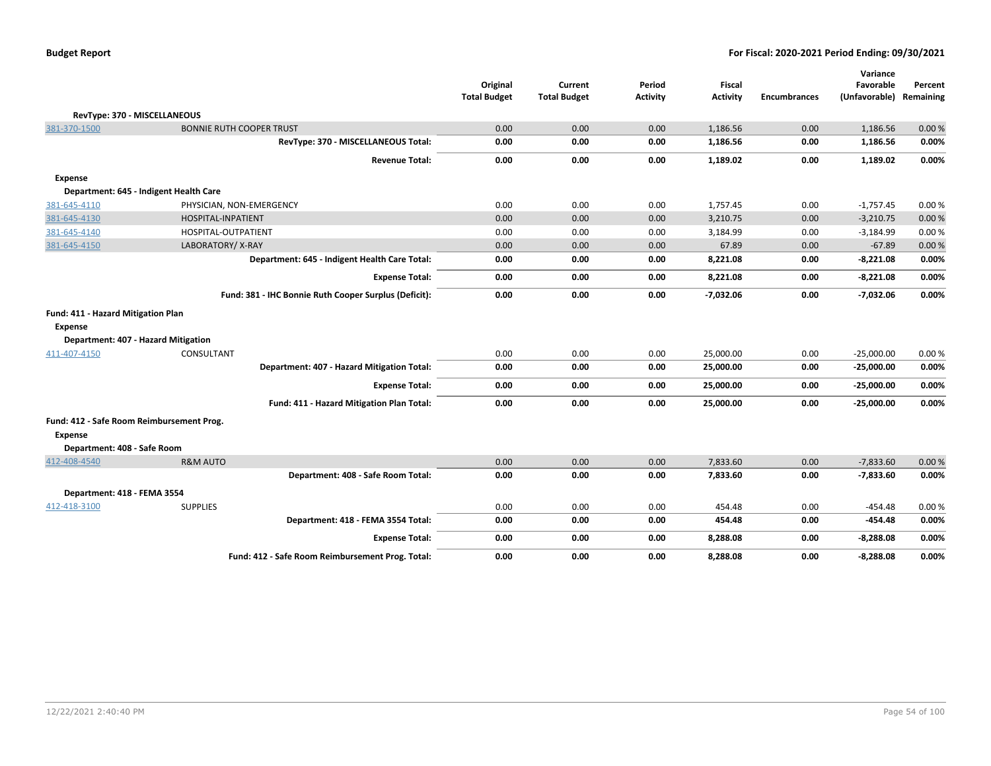| <b>Budget Report</b> |  |
|----------------------|--|
|----------------------|--|

| RevType: 370 - MISCELLANEOUS                                                                |                                                       | Original<br><b>Total Budget</b> | Current<br><b>Total Budget</b> | Period<br><b>Activity</b> | <b>Fiscal</b><br><b>Activity</b> | <b>Encumbrances</b> | Variance<br>Favorable<br>(Unfavorable) | Percent<br>Remaining |
|---------------------------------------------------------------------------------------------|-------------------------------------------------------|---------------------------------|--------------------------------|---------------------------|----------------------------------|---------------------|----------------------------------------|----------------------|
| 381-370-1500                                                                                | <b>BONNIE RUTH COOPER TRUST</b>                       | 0.00                            | 0.00                           | 0.00                      | 1,186.56                         | 0.00                | 1,186.56                               | 0.00%                |
|                                                                                             | RevType: 370 - MISCELLANEOUS Total:                   | 0.00                            | 0.00                           | 0.00                      | 1,186.56                         | 0.00                | 1,186.56                               | 0.00%                |
|                                                                                             | <b>Revenue Total:</b>                                 | 0.00                            | 0.00                           | 0.00                      | 1,189.02                         | 0.00                | 1,189.02                               | 0.00%                |
| Expense                                                                                     |                                                       |                                 |                                |                           |                                  |                     |                                        |                      |
|                                                                                             | Department: 645 - Indigent Health Care                |                                 |                                |                           |                                  |                     |                                        |                      |
| 381-645-4110                                                                                | PHYSICIAN, NON-EMERGENCY                              | 0.00                            | 0.00                           | 0.00                      | 1,757.45                         | 0.00                | $-1,757.45$                            | 0.00%                |
| 381-645-4130                                                                                | HOSPITAL-INPATIENT                                    | 0.00                            | 0.00                           | 0.00                      | 3,210.75                         | 0.00                | $-3,210.75$                            | 0.00 %               |
| 381-645-4140                                                                                | HOSPITAL-OUTPATIENT                                   | 0.00                            | 0.00                           | 0.00                      | 3,184.99                         | 0.00                | $-3,184.99$                            | 0.00%                |
| 381-645-4150                                                                                | LABORATORY/X-RAY                                      | 0.00                            | 0.00                           | 0.00                      | 67.89                            | 0.00                | $-67.89$                               | 0.00 %               |
|                                                                                             | Department: 645 - Indigent Health Care Total:         | 0.00                            | 0.00                           | 0.00                      | 8,221.08                         | 0.00                | $-8,221.08$                            | 0.00%                |
|                                                                                             | <b>Expense Total:</b>                                 | 0.00                            | 0.00                           | 0.00                      | 8,221.08                         | 0.00                | $-8,221.08$                            | 0.00%                |
|                                                                                             | Fund: 381 - IHC Bonnie Ruth Cooper Surplus (Deficit): | 0.00                            | 0.00                           | 0.00                      | $-7,032.06$                      | 0.00                | $-7,032.06$                            | 0.00%                |
| Fund: 411 - Hazard Mitigation Plan<br><b>Expense</b><br>Department: 407 - Hazard Mitigation |                                                       |                                 |                                |                           |                                  |                     |                                        |                      |
| 411-407-4150                                                                                | CONSULTANT                                            | 0.00                            | 0.00                           | 0.00                      | 25,000.00                        | 0.00                | $-25,000.00$                           | 0.00%                |
|                                                                                             | Department: 407 - Hazard Mitigation Total:            | 0.00                            | 0.00                           | 0.00                      | 25,000.00                        | 0.00                | $-25,000.00$                           | 0.00%                |
|                                                                                             | <b>Expense Total:</b>                                 | 0.00                            | 0.00                           | 0.00                      | 25,000.00                        | 0.00                | $-25,000.00$                           | 0.00%                |
|                                                                                             | Fund: 411 - Hazard Mitigation Plan Total:             | 0.00                            | 0.00                           | 0.00                      | 25,000.00                        | 0.00                | $-25,000.00$                           | 0.00%                |
| Fund: 412 - Safe Room Reimbursement Prog.<br>Expense<br>Department: 408 - Safe Room         |                                                       |                                 |                                |                           |                                  |                     |                                        |                      |
| 412-408-4540                                                                                | <b>R&amp;M AUTO</b>                                   | 0.00                            | 0.00                           | 0.00                      | 7,833.60                         | 0.00                | $-7,833.60$                            | 0.00%                |
|                                                                                             | Department: 408 - Safe Room Total:                    | 0.00                            | 0.00                           | 0.00                      | 7,833.60                         | 0.00                | $-7,833.60$                            | 0.00%                |
| Department: 418 - FEMA 3554                                                                 |                                                       |                                 |                                |                           |                                  |                     |                                        |                      |
| 412-418-3100                                                                                | <b>SUPPLIES</b>                                       | 0.00                            | 0.00                           | 0.00                      | 454.48                           | 0.00                | $-454.48$                              | 0.00%                |
|                                                                                             | Department: 418 - FEMA 3554 Total:                    | 0.00                            | 0.00                           | 0.00                      | 454.48                           | 0.00                | $-454.48$                              | 0.00%                |
|                                                                                             | <b>Expense Total:</b>                                 | 0.00                            | 0.00                           | 0.00                      | 8,288.08                         | 0.00                | $-8,288.08$                            | 0.00%                |
|                                                                                             | Fund: 412 - Safe Room Reimbursement Prog. Total:      | 0.00                            | 0.00                           | 0.00                      | 8,288.08                         | 0.00                | $-8,288.08$                            | 0.00%                |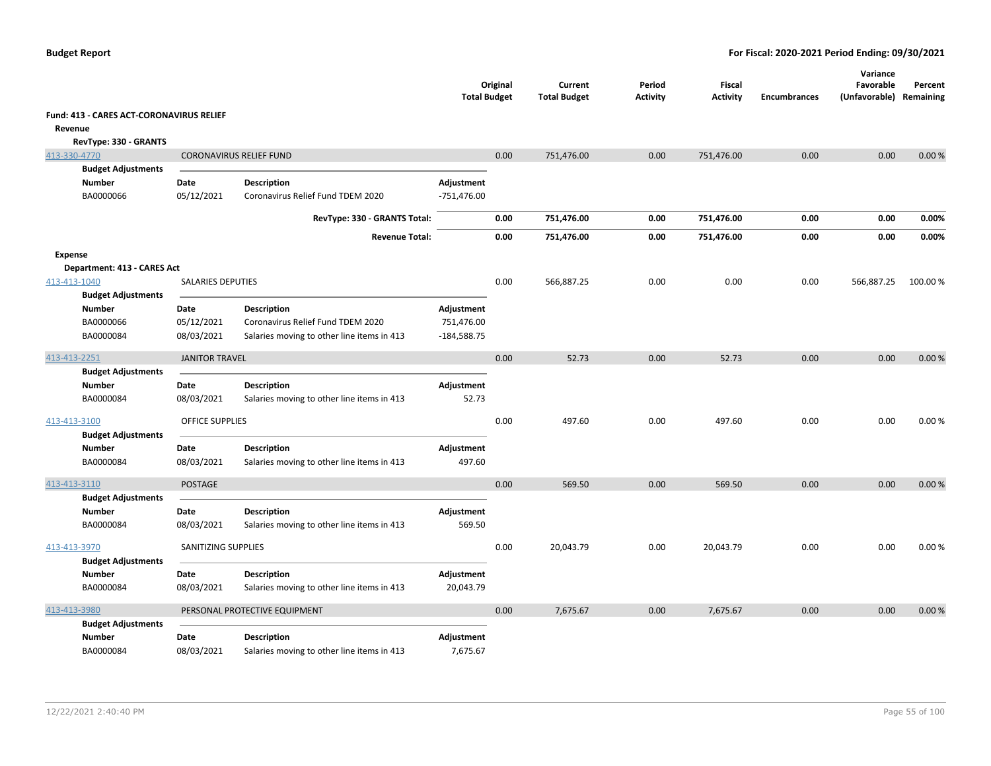|                                          |                          |                                            | <b>Total Budget</b> | Original | Current<br><b>Total Budget</b> | Period<br><b>Activity</b> | <b>Fiscal</b><br><b>Activity</b> | <b>Encumbrances</b> | Variance<br>Favorable<br>(Unfavorable) Remaining | Percent |
|------------------------------------------|--------------------------|--------------------------------------------|---------------------|----------|--------------------------------|---------------------------|----------------------------------|---------------------|--------------------------------------------------|---------|
| Fund: 413 - CARES ACT-CORONAVIRUS RELIEF |                          |                                            |                     |          |                                |                           |                                  |                     |                                                  |         |
| Revenue                                  |                          |                                            |                     |          |                                |                           |                                  |                     |                                                  |         |
| RevType: 330 - GRANTS                    |                          |                                            |                     |          |                                |                           |                                  |                     |                                                  |         |
| 413-330-4770                             |                          | <b>CORONAVIRUS RELIEF FUND</b>             |                     | 0.00     | 751,476.00                     | 0.00                      | 751,476.00                       | 0.00                | 0.00                                             | 0.00%   |
| <b>Budget Adjustments</b>                |                          |                                            |                     |          |                                |                           |                                  |                     |                                                  |         |
| <b>Number</b>                            | Date                     | <b>Description</b>                         | Adjustment          |          |                                |                           |                                  |                     |                                                  |         |
| BA0000066                                | 05/12/2021               | Coronavirus Relief Fund TDEM 2020          | $-751,476.00$       |          |                                |                           |                                  |                     |                                                  |         |
|                                          |                          | RevType: 330 - GRANTS Total:               |                     | 0.00     | 751,476.00                     | 0.00                      | 751,476.00                       | 0.00                | 0.00                                             | 0.00%   |
|                                          |                          | <b>Revenue Total:</b>                      |                     | 0.00     | 751,476.00                     | 0.00                      | 751,476.00                       | 0.00                | 0.00                                             | 0.00%   |
| Expense                                  |                          |                                            |                     |          |                                |                           |                                  |                     |                                                  |         |
| Department: 413 - CARES Act              |                          |                                            |                     |          |                                |                           |                                  |                     |                                                  |         |
| 413-413-1040                             | <b>SALARIES DEPUTIES</b> |                                            |                     | 0.00     | 566,887.25                     | 0.00                      | 0.00                             | 0.00                | 566,887.25                                       | 100.00% |
| <b>Budget Adjustments</b>                |                          |                                            |                     |          |                                |                           |                                  |                     |                                                  |         |
| <b>Number</b>                            | Date                     | <b>Description</b>                         | Adjustment          |          |                                |                           |                                  |                     |                                                  |         |
| BA0000066                                | 05/12/2021               | Coronavirus Relief Fund TDEM 2020          | 751,476.00          |          |                                |                           |                                  |                     |                                                  |         |
| BA0000084                                | 08/03/2021               | Salaries moving to other line items in 413 | $-184,588.75$       |          |                                |                           |                                  |                     |                                                  |         |
| 413-413-2251                             | <b>JANITOR TRAVEL</b>    |                                            |                     | 0.00     | 52.73                          | 0.00                      | 52.73                            | 0.00                | 0.00                                             | 0.00%   |
| <b>Budget Adjustments</b>                |                          |                                            |                     |          |                                |                           |                                  |                     |                                                  |         |
| Number                                   | Date                     | <b>Description</b>                         | Adjustment          |          |                                |                           |                                  |                     |                                                  |         |
| BA0000084                                | 08/03/2021               | Salaries moving to other line items in 413 | 52.73               |          |                                |                           |                                  |                     |                                                  |         |
| 413-413-3100                             | <b>OFFICE SUPPLIES</b>   |                                            |                     | 0.00     | 497.60                         | 0.00                      | 497.60                           | 0.00                | 0.00                                             | 0.00%   |
| <b>Budget Adjustments</b>                |                          |                                            |                     |          |                                |                           |                                  |                     |                                                  |         |
| <b>Number</b>                            | Date                     | <b>Description</b>                         | Adjustment          |          |                                |                           |                                  |                     |                                                  |         |
| BA0000084                                | 08/03/2021               | Salaries moving to other line items in 413 | 497.60              |          |                                |                           |                                  |                     |                                                  |         |
| 413-413-3110                             | <b>POSTAGE</b>           |                                            |                     | 0.00     | 569.50                         | 0.00                      | 569.50                           | 0.00                | 0.00                                             | 0.00%   |
| <b>Budget Adjustments</b>                |                          |                                            |                     |          |                                |                           |                                  |                     |                                                  |         |
| <b>Number</b>                            | Date                     | <b>Description</b>                         | Adjustment          |          |                                |                           |                                  |                     |                                                  |         |
| BA0000084                                | 08/03/2021               | Salaries moving to other line items in 413 | 569.50              |          |                                |                           |                                  |                     |                                                  |         |
| 413-413-3970                             | SANITIZING SUPPLIES      |                                            |                     | 0.00     | 20,043.79                      | 0.00                      | 20,043.79                        | 0.00                | 0.00                                             | 0.00%   |
| <b>Budget Adjustments</b>                |                          |                                            |                     |          |                                |                           |                                  |                     |                                                  |         |
| <b>Number</b>                            | Date                     | Description                                | Adjustment          |          |                                |                           |                                  |                     |                                                  |         |
| BA0000084                                | 08/03/2021               | Salaries moving to other line items in 413 | 20,043.79           |          |                                |                           |                                  |                     |                                                  |         |
| 413-413-3980                             |                          | PERSONAL PROTECTIVE EQUIPMENT              |                     | 0.00     | 7,675.67                       | 0.00                      | 7,675.67                         | 0.00                | 0.00                                             | 0.00%   |
| <b>Budget Adjustments</b>                |                          |                                            |                     |          |                                |                           |                                  |                     |                                                  |         |
| <b>Number</b>                            | Date                     | <b>Description</b>                         | Adjustment          |          |                                |                           |                                  |                     |                                                  |         |
| BA0000084                                | 08/03/2021               | Salaries moving to other line items in 413 | 7,675.67            |          |                                |                           |                                  |                     |                                                  |         |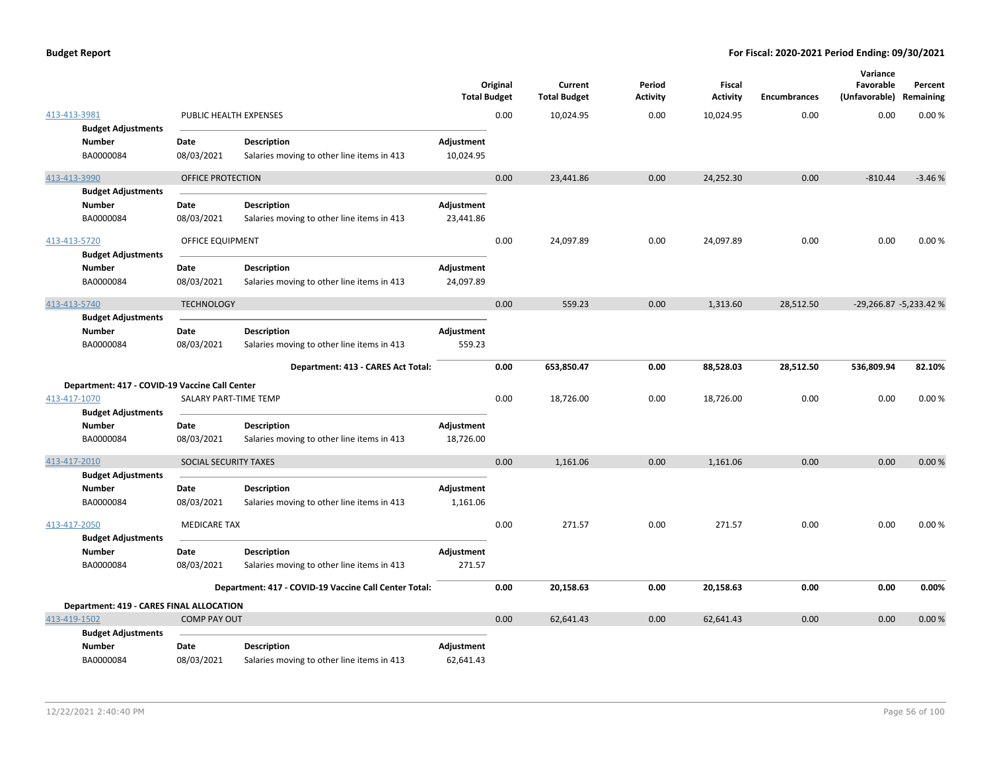|                                                                                             |                          |                                                                  | <b>Total Budget</b>     | Original | Current<br><b>Total Budget</b> | Period<br><b>Activity</b> | <b>Fiscal</b><br><b>Activity</b> | <b>Encumbrances</b> | Variance<br>Favorable<br>(Unfavorable) Remaining | Percent                |
|---------------------------------------------------------------------------------------------|--------------------------|------------------------------------------------------------------|-------------------------|----------|--------------------------------|---------------------------|----------------------------------|---------------------|--------------------------------------------------|------------------------|
| 413-413-3981                                                                                | PUBLIC HEALTH EXPENSES   |                                                                  |                         | 0.00     | 10,024.95                      | 0.00                      | 10,024.95                        | 0.00                | 0.00                                             | 0.00%                  |
| <b>Budget Adjustments</b><br>Number<br>BA0000084                                            | Date<br>08/03/2021       | <b>Description</b><br>Salaries moving to other line items in 413 | Adjustment<br>10,024.95 |          |                                |                           |                                  |                     |                                                  |                        |
| 413-413-3990                                                                                | <b>OFFICE PROTECTION</b> |                                                                  |                         | 0.00     | 23,441.86                      | 0.00                      | 24,252.30                        | 0.00                | $-810.44$                                        | $-3.46%$               |
| <b>Budget Adjustments</b><br><b>Number</b><br>BA0000084                                     | Date<br>08/03/2021       | <b>Description</b><br>Salaries moving to other line items in 413 | Adjustment<br>23,441.86 |          |                                |                           |                                  |                     |                                                  |                        |
| 413-413-5720<br><b>Budget Adjustments</b>                                                   | OFFICE EQUIPMENT         |                                                                  |                         | 0.00     | 24,097.89                      | 0.00                      | 24,097.89                        | 0.00                | 0.00                                             | 0.00%                  |
| <b>Number</b><br>BA0000084                                                                  | Date<br>08/03/2021       | <b>Description</b><br>Salaries moving to other line items in 413 | Adjustment<br>24,097.89 |          |                                |                           |                                  |                     |                                                  |                        |
| 413-413-5740                                                                                | <b>TECHNOLOGY</b>        |                                                                  |                         | 0.00     | 559.23                         | 0.00                      | 1,313.60                         | 28,512.50           |                                                  | -29,266.87 -5,233.42 % |
| <b>Budget Adjustments</b><br><b>Number</b><br>BA0000084                                     | Date<br>08/03/2021       | <b>Description</b><br>Salaries moving to other line items in 413 | Adjustment<br>559.23    |          |                                |                           |                                  |                     |                                                  |                        |
|                                                                                             |                          | Department: 413 - CARES Act Total:                               |                         | 0.00     | 653,850.47                     | 0.00                      | 88,528.03                        | 28,512.50           | 536,809.94                                       | 82.10%                 |
| Department: 417 - COVID-19 Vaccine Call Center<br>413-417-1070<br><b>Budget Adjustments</b> | SALARY PART-TIME TEMP    |                                                                  |                         | 0.00     | 18,726.00                      | 0.00                      | 18,726.00                        | 0.00                | 0.00                                             | 0.00%                  |
| <b>Number</b><br>BA0000084                                                                  | Date<br>08/03/2021       | <b>Description</b><br>Salaries moving to other line items in 413 | Adjustment<br>18,726.00 |          |                                |                           |                                  |                     |                                                  |                        |
| 413-417-2010                                                                                | SOCIAL SECURITY TAXES    |                                                                  |                         | 0.00     | 1,161.06                       | 0.00                      | 1,161.06                         | 0.00                | 0.00                                             | 0.00%                  |
| <b>Budget Adjustments</b><br><b>Number</b><br>BA0000084                                     | Date<br>08/03/2021       | <b>Description</b><br>Salaries moving to other line items in 413 | Adjustment<br>1,161.06  |          |                                |                           |                                  |                     |                                                  |                        |
| 413-417-2050<br><b>Budget Adjustments</b>                                                   | <b>MEDICARE TAX</b>      |                                                                  |                         | 0.00     | 271.57                         | 0.00                      | 271.57                           | 0.00                | 0.00                                             | 0.00%                  |
| <b>Number</b><br>BA0000084                                                                  | Date<br>08/03/2021       | <b>Description</b><br>Salaries moving to other line items in 413 | Adjustment<br>271.57    |          |                                |                           |                                  |                     |                                                  |                        |
|                                                                                             |                          | Department: 417 - COVID-19 Vaccine Call Center Total:            |                         | 0.00     | 20,158.63                      | 0.00                      | 20,158.63                        | 0.00                | 0.00                                             | 0.00%                  |
| Department: 419 - CARES FINAL ALLOCATION                                                    |                          |                                                                  |                         |          |                                |                           |                                  |                     |                                                  |                        |
| 413-419-1502                                                                                | <b>COMP PAY OUT</b>      |                                                                  |                         | 0.00     | 62,641.43                      | 0.00                      | 62,641.43                        | 0.00                | 0.00                                             | 0.00 %                 |
| <b>Budget Adjustments</b><br><b>Number</b><br>BA0000084                                     | Date<br>08/03/2021       | <b>Description</b><br>Salaries moving to other line items in 413 | Adjustment<br>62,641.43 |          |                                |                           |                                  |                     |                                                  |                        |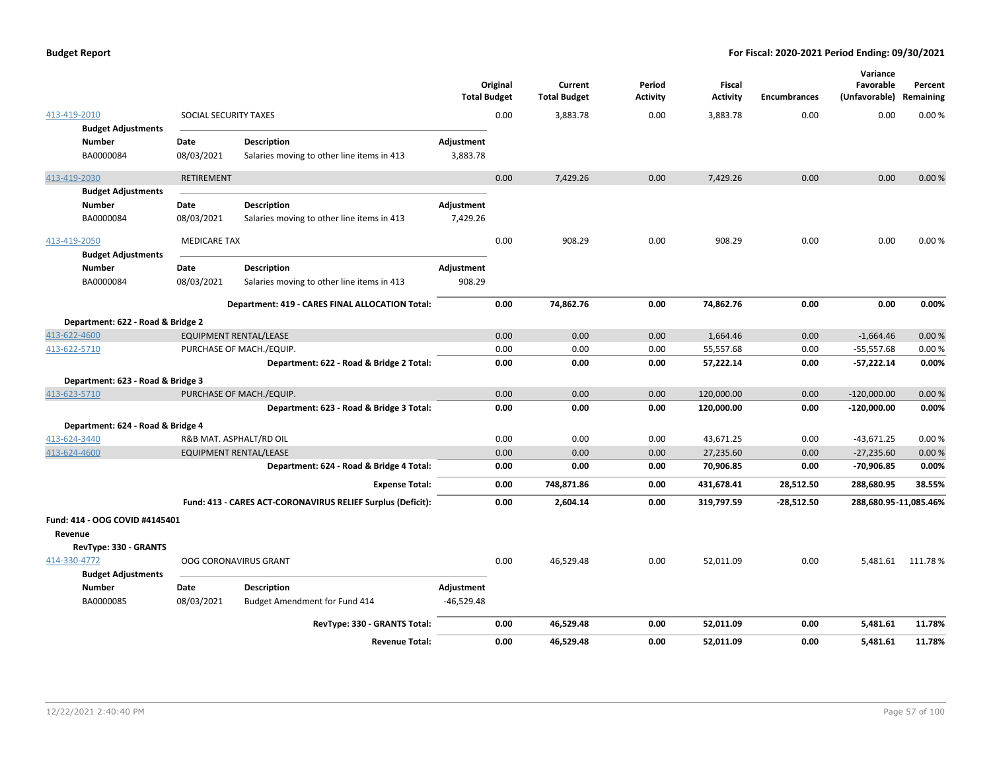|                                   |                       |                                                             | <b>Total Budget</b> | Original | Current<br><b>Total Budget</b> | Period<br><b>Activity</b> | <b>Fiscal</b><br><b>Activity</b> | <b>Encumbrances</b> | Variance<br>Favorable<br>(Unfavorable) | Percent<br>Remaining |
|-----------------------------------|-----------------------|-------------------------------------------------------------|---------------------|----------|--------------------------------|---------------------------|----------------------------------|---------------------|----------------------------------------|----------------------|
| 413-419-2010                      | SOCIAL SECURITY TAXES |                                                             |                     | 0.00     | 3,883.78                       | 0.00                      | 3,883.78                         | 0.00                | 0.00                                   | 0.00%                |
| <b>Budget Adjustments</b>         |                       |                                                             |                     |          |                                |                           |                                  |                     |                                        |                      |
| <b>Number</b>                     | Date                  | Description                                                 | Adjustment          |          |                                |                           |                                  |                     |                                        |                      |
| BA0000084                         | 08/03/2021            | Salaries moving to other line items in 413                  | 3,883.78            |          |                                |                           |                                  |                     |                                        |                      |
| 413-419-2030                      | <b>RETIREMENT</b>     |                                                             |                     | 0.00     | 7,429.26                       | 0.00                      | 7,429.26                         | 0.00                | 0.00                                   | 0.00%                |
| <b>Budget Adjustments</b>         |                       |                                                             |                     |          |                                |                           |                                  |                     |                                        |                      |
| <b>Number</b>                     | Date                  | Description                                                 | Adjustment          |          |                                |                           |                                  |                     |                                        |                      |
| BA0000084                         | 08/03/2021            | Salaries moving to other line items in 413                  | 7,429.26            |          |                                |                           |                                  |                     |                                        |                      |
| 413-419-2050                      | <b>MEDICARE TAX</b>   |                                                             |                     | 0.00     | 908.29                         | 0.00                      | 908.29                           | 0.00                | 0.00                                   | 0.00%                |
| <b>Budget Adjustments</b>         |                       |                                                             |                     |          |                                |                           |                                  |                     |                                        |                      |
| <b>Number</b>                     | Date                  | Description                                                 | Adjustment          |          |                                |                           |                                  |                     |                                        |                      |
| BA0000084                         | 08/03/2021            | Salaries moving to other line items in 413                  | 908.29              |          |                                |                           |                                  |                     |                                        |                      |
|                                   |                       | Department: 419 - CARES FINAL ALLOCATION Total:             |                     | 0.00     | 74,862.76                      | 0.00                      | 74,862.76                        | 0.00                | 0.00                                   | 0.00%                |
| Department: 622 - Road & Bridge 2 |                       |                                                             |                     |          |                                |                           |                                  |                     |                                        |                      |
| 413-622-4600                      |                       | <b>EQUIPMENT RENTAL/LEASE</b>                               |                     | 0.00     | 0.00                           | 0.00                      | 1,664.46                         | 0.00                | $-1,664.46$                            | 0.00%                |
| 413-622-5710                      |                       | PURCHASE OF MACH./EQUIP.                                    |                     | 0.00     | 0.00                           | 0.00                      | 55,557.68                        | 0.00                | $-55,557.68$                           | 0.00%                |
|                                   |                       | Department: 622 - Road & Bridge 2 Total:                    |                     | 0.00     | 0.00                           | 0.00                      | 57,222.14                        | 0.00                | -57,222.14                             | 0.00%                |
| Department: 623 - Road & Bridge 3 |                       |                                                             |                     |          |                                |                           |                                  |                     |                                        |                      |
| 413-623-5710                      |                       | PURCHASE OF MACH./EQUIP.                                    |                     | 0.00     | 0.00                           | 0.00                      | 120,000.00                       | 0.00                | $-120,000.00$                          | 0.00%                |
|                                   |                       | Department: 623 - Road & Bridge 3 Total:                    |                     | 0.00     | 0.00                           | 0.00                      | 120,000.00                       | 0.00                | $-120,000.00$                          | 0.00%                |
| Department: 624 - Road & Bridge 4 |                       |                                                             |                     |          |                                |                           |                                  |                     |                                        |                      |
| 413-624-3440                      |                       | R&B MAT. ASPHALT/RD OIL                                     |                     | 0.00     | 0.00                           | 0.00                      | 43,671.25                        | 0.00                | $-43,671.25$                           | 0.00%                |
| 413-624-4600                      |                       | <b>EQUIPMENT RENTAL/LEASE</b>                               |                     | 0.00     | 0.00                           | 0.00                      | 27,235.60                        | 0.00                | $-27,235.60$                           | 0.00%                |
|                                   |                       | Department: 624 - Road & Bridge 4 Total:                    |                     | 0.00     | 0.00                           | 0.00                      | 70,906.85                        | 0.00                | -70,906.85                             | 0.00%                |
|                                   |                       | <b>Expense Total:</b>                                       |                     | 0.00     | 748,871.86                     | 0.00                      | 431,678.41                       | 28,512.50           | 288,680.95                             | 38.55%               |
|                                   |                       | Fund: 413 - CARES ACT-CORONAVIRUS RELIEF Surplus (Deficit): |                     | 0.00     | 2,604.14                       | 0.00                      | 319,797.59                       | $-28,512.50$        | 288,680.95-11,085.46%                  |                      |
| Fund: 414 - OOG COVID #4145401    |                       |                                                             |                     |          |                                |                           |                                  |                     |                                        |                      |
| Revenue                           |                       |                                                             |                     |          |                                |                           |                                  |                     |                                        |                      |
| RevType: 330 - GRANTS             |                       |                                                             |                     |          |                                |                           |                                  |                     |                                        |                      |
| 414-330-4772                      |                       | OOG CORONAVIRUS GRANT                                       |                     | 0.00     | 46,529.48                      | 0.00                      | 52,011.09                        | 0.00                | 5,481.61                               | 111.78%              |
| <b>Budget Adjustments</b>         |                       |                                                             |                     |          |                                |                           |                                  |                     |                                        |                      |
| <b>Number</b>                     | Date                  | Description                                                 | Adjustment          |          |                                |                           |                                  |                     |                                        |                      |
| BA0000085                         | 08/03/2021            | Budget Amendment for Fund 414                               | $-46,529.48$        |          |                                |                           |                                  |                     |                                        |                      |
|                                   |                       | RevType: 330 - GRANTS Total:                                |                     | 0.00     | 46,529.48                      | 0.00                      | 52,011.09                        | 0.00                | 5,481.61                               | 11.78%               |
|                                   |                       | <b>Revenue Total:</b>                                       |                     | 0.00     | 46,529.48                      | 0.00                      | 52,011.09                        | 0.00                | 5,481.61                               | 11.78%               |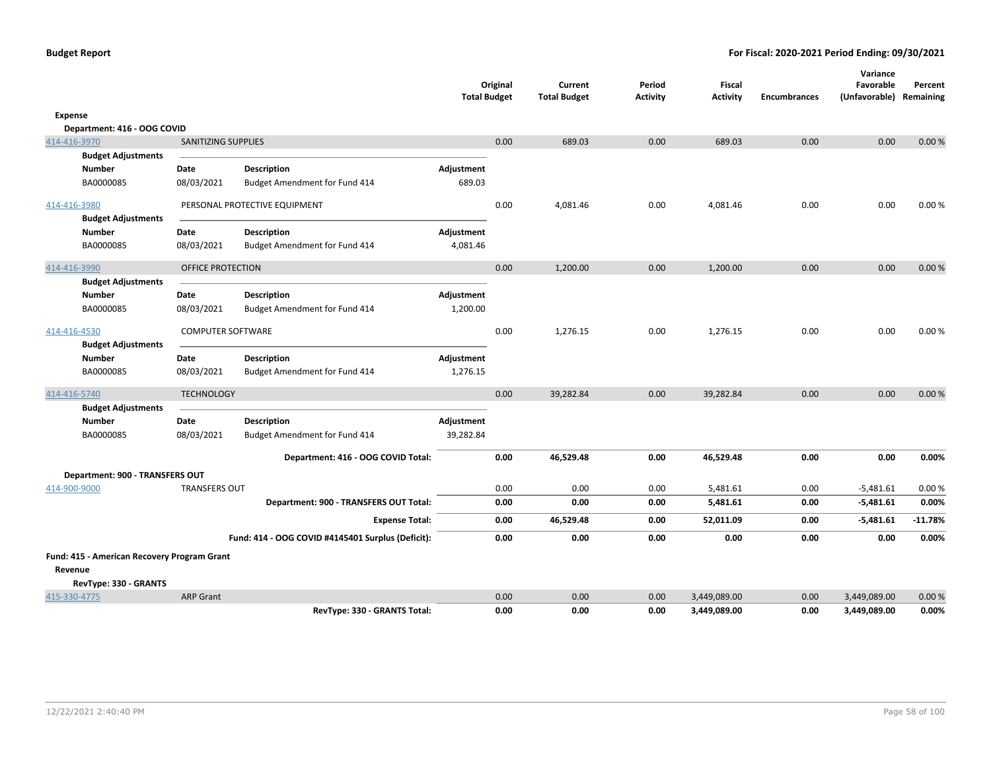|                                                        |                          |                                                   | <b>Total Budget</b> | Original | Current<br><b>Total Budget</b> | Period<br><b>Activity</b> | <b>Fiscal</b><br><b>Activity</b> | <b>Encumbrances</b> | Variance<br>Favorable<br>(Unfavorable) Remaining | Percent   |
|--------------------------------------------------------|--------------------------|---------------------------------------------------|---------------------|----------|--------------------------------|---------------------------|----------------------------------|---------------------|--------------------------------------------------|-----------|
| Expense                                                |                          |                                                   |                     |          |                                |                           |                                  |                     |                                                  |           |
| Department: 416 - OOG COVID                            |                          |                                                   |                     |          |                                |                           |                                  |                     |                                                  |           |
| 414-416-3970                                           | SANITIZING SUPPLIES      |                                                   |                     | 0.00     | 689.03                         | 0.00                      | 689.03                           | 0.00                | 0.00                                             | 0.00%     |
| <b>Budget Adjustments</b>                              |                          |                                                   |                     |          |                                |                           |                                  |                     |                                                  |           |
| <b>Number</b>                                          | Date                     | <b>Description</b>                                | Adjustment          |          |                                |                           |                                  |                     |                                                  |           |
| BA0000085                                              | 08/03/2021               | Budget Amendment for Fund 414                     | 689.03              |          |                                |                           |                                  |                     |                                                  |           |
| 414-416-3980                                           |                          | PERSONAL PROTECTIVE EQUIPMENT                     |                     | 0.00     | 4,081.46                       | 0.00                      | 4,081.46                         | 0.00                | 0.00                                             | 0.00%     |
| <b>Budget Adjustments</b>                              |                          |                                                   |                     |          |                                |                           |                                  |                     |                                                  |           |
| <b>Number</b>                                          | Date                     | Description                                       | Adjustment          |          |                                |                           |                                  |                     |                                                  |           |
| BA0000085                                              | 08/03/2021               | Budget Amendment for Fund 414                     | 4,081.46            |          |                                |                           |                                  |                     |                                                  |           |
| 414-416-3990                                           | <b>OFFICE PROTECTION</b> |                                                   |                     | 0.00     | 1,200.00                       | 0.00                      | 1,200.00                         | 0.00                | 0.00                                             | 0.00%     |
| <b>Budget Adjustments</b>                              |                          |                                                   |                     |          |                                |                           |                                  |                     |                                                  |           |
| <b>Number</b>                                          | Date                     | <b>Description</b>                                | Adjustment          |          |                                |                           |                                  |                     |                                                  |           |
| BA0000085                                              | 08/03/2021               | Budget Amendment for Fund 414                     | 1,200.00            |          |                                |                           |                                  |                     |                                                  |           |
| 414-416-4530                                           | <b>COMPUTER SOFTWARE</b> |                                                   |                     | 0.00     | 1,276.15                       | 0.00                      | 1,276.15                         | 0.00                | 0.00                                             | 0.00%     |
| <b>Budget Adjustments</b>                              |                          |                                                   |                     |          |                                |                           |                                  |                     |                                                  |           |
| <b>Number</b>                                          | Date                     | Description                                       | Adjustment          |          |                                |                           |                                  |                     |                                                  |           |
| BA0000085                                              | 08/03/2021               | Budget Amendment for Fund 414                     | 1,276.15            |          |                                |                           |                                  |                     |                                                  |           |
| 414-416-5740                                           | <b>TECHNOLOGY</b>        |                                                   |                     | 0.00     | 39,282.84                      | 0.00                      | 39,282.84                        | 0.00                | 0.00                                             | 0.00%     |
| <b>Budget Adjustments</b>                              |                          |                                                   |                     |          |                                |                           |                                  |                     |                                                  |           |
| <b>Number</b>                                          | Date                     | <b>Description</b>                                | Adjustment          |          |                                |                           |                                  |                     |                                                  |           |
| BA0000085                                              | 08/03/2021               | Budget Amendment for Fund 414                     | 39,282.84           |          |                                |                           |                                  |                     |                                                  |           |
|                                                        |                          | Department: 416 - OOG COVID Total:                |                     | 0.00     | 46,529.48                      | 0.00                      | 46,529.48                        | 0.00                | 0.00                                             | 0.00%     |
| Department: 900 - TRANSFERS OUT                        |                          |                                                   |                     |          |                                |                           |                                  |                     |                                                  |           |
| 414-900-9000                                           | <b>TRANSFERS OUT</b>     |                                                   |                     | 0.00     | 0.00                           | 0.00                      | 5,481.61                         | 0.00                | $-5,481.61$                                      | 0.00%     |
|                                                        |                          | Department: 900 - TRANSFERS OUT Total:            |                     | 0.00     | 0.00                           | 0.00                      | 5,481.61                         | 0.00                | $-5,481.61$                                      | 0.00%     |
|                                                        |                          | <b>Expense Total:</b>                             |                     | 0.00     | 46,529.48                      | 0.00                      | 52,011.09                        | 0.00                | $-5,481.61$                                      | $-11.78%$ |
|                                                        |                          | Fund: 414 - OOG COVID #4145401 Surplus (Deficit): |                     | 0.00     | 0.00                           | 0.00                      | 0.00                             | 0.00                | 0.00                                             | 0.00%     |
| Fund: 415 - American Recovery Program Grant<br>Revenue |                          |                                                   |                     |          |                                |                           |                                  |                     |                                                  |           |
| RevType: 330 - GRANTS<br>415-330-4775                  | <b>ARP Grant</b>         |                                                   |                     | 0.00     | 0.00                           | 0.00                      | 3,449,089.00                     | 0.00                | 3,449,089.00                                     | 0.00%     |
|                                                        |                          | RevType: 330 - GRANTS Total:                      |                     | 0.00     | 0.00                           | 0.00                      | 3,449,089.00                     | 0.00                | 3,449,089.00                                     | 0.00%     |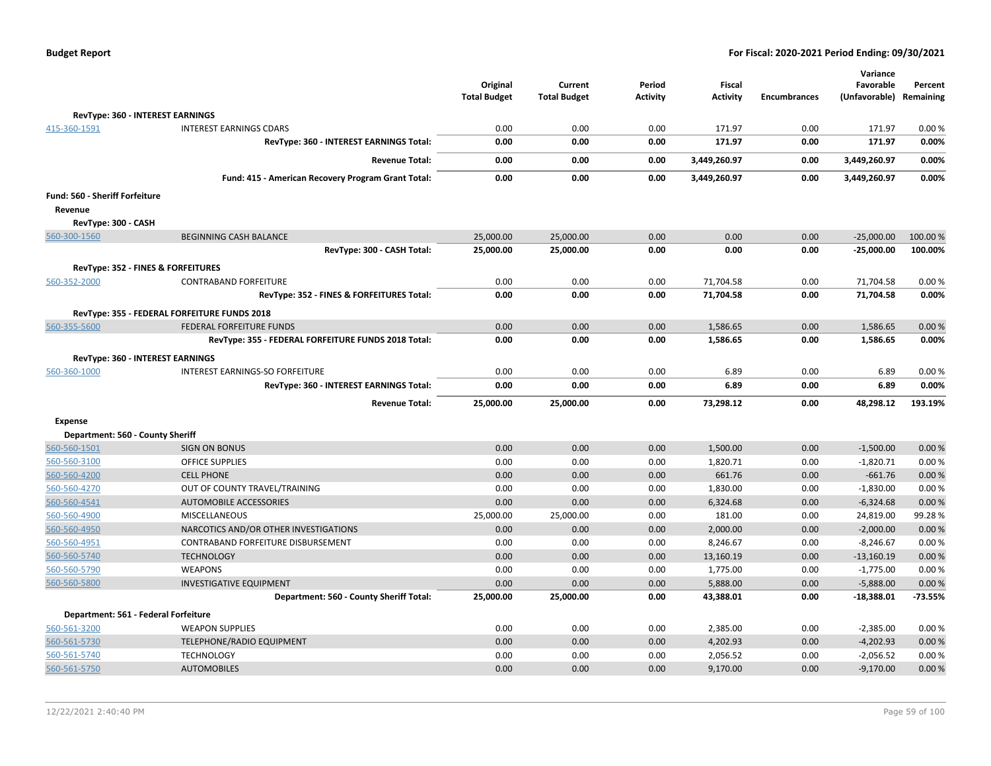| <b>Budget Report</b> |  |
|----------------------|--|
|----------------------|--|

|                                  |                                                     | Original<br><b>Total Budget</b> | Current<br><b>Total Budget</b> | Period<br><b>Activity</b> | Fiscal<br><b>Activity</b> | <b>Encumbrances</b> | Variance<br>Favorable<br>(Unfavorable) Remaining | Percent         |
|----------------------------------|-----------------------------------------------------|---------------------------------|--------------------------------|---------------------------|---------------------------|---------------------|--------------------------------------------------|-----------------|
|                                  | RevType: 360 - INTEREST EARNINGS                    |                                 |                                |                           |                           |                     |                                                  |                 |
| 415-360-1591                     | <b>INTEREST EARNINGS CDARS</b>                      | 0.00                            | 0.00                           | 0.00                      | 171.97                    | 0.00                | 171.97                                           | 0.00%           |
|                                  | RevType: 360 - INTEREST EARNINGS Total:             | 0.00                            | 0.00                           | 0.00                      | 171.97                    | 0.00                | 171.97                                           | 0.00%           |
|                                  | <b>Revenue Total:</b>                               | 0.00                            | 0.00                           | 0.00                      | 3,449,260.97              | 0.00                | 3,449,260.97                                     | 0.00%           |
|                                  |                                                     |                                 |                                |                           |                           |                     |                                                  |                 |
|                                  | Fund: 415 - American Recovery Program Grant Total:  | 0.00                            | 0.00                           | 0.00                      | 3,449,260.97              | 0.00                | 3,449,260.97                                     | 0.00%           |
| Fund: 560 - Sheriff Forfeiture   |                                                     |                                 |                                |                           |                           |                     |                                                  |                 |
| Revenue                          |                                                     |                                 |                                |                           |                           |                     |                                                  |                 |
| RevType: 300 - CASH              |                                                     |                                 |                                |                           |                           |                     |                                                  |                 |
| 560-300-1560                     | <b>BEGINNING CASH BALANCE</b>                       | 25,000.00                       | 25,000.00                      | 0.00                      | 0.00                      | 0.00                | $-25,000.00$                                     | 100.00 %        |
|                                  | RevType: 300 - CASH Total:                          | 25,000.00                       | 25,000.00                      | 0.00                      | 0.00                      | 0.00                | $-25,000.00$                                     | 100.00%         |
|                                  | RevType: 352 - FINES & FORFEITURES                  |                                 |                                |                           |                           |                     |                                                  |                 |
| 560-352-2000                     | <b>CONTRABAND FORFEITURE</b>                        | 0.00                            | 0.00                           | 0.00                      | 71,704.58                 | 0.00                | 71,704.58                                        | 0.00%           |
|                                  | RevType: 352 - FINES & FORFEITURES Total:           | 0.00                            | 0.00                           | 0.00                      | 71,704.58                 | 0.00                | 71,704.58                                        | 0.00%           |
|                                  | RevType: 355 - FEDERAL FORFEITURE FUNDS 2018        |                                 |                                |                           |                           |                     |                                                  |                 |
| 560-355-5600                     | FEDERAL FORFEITURE FUNDS                            | 0.00                            | 0.00                           | 0.00                      | 1,586.65                  | 0.00                | 1,586.65                                         | 0.00%           |
|                                  | RevType: 355 - FEDERAL FORFEITURE FUNDS 2018 Total: | 0.00                            | 0.00                           | 0.00                      | 1,586.65                  | 0.00                | 1,586.65                                         | 0.00%           |
|                                  | RevType: 360 - INTEREST EARNINGS                    |                                 |                                |                           |                           |                     |                                                  |                 |
| 560-360-1000                     | <b>INTEREST EARNINGS-SO FORFEITURE</b>              | 0.00                            | 0.00                           | 0.00                      | 6.89                      | 0.00                | 6.89                                             | 0.00%           |
|                                  | RevType: 360 - INTEREST EARNINGS Total:             | 0.00                            | 0.00                           | 0.00                      | 6.89                      | 0.00                | 6.89                                             | 0.00%           |
|                                  |                                                     |                                 |                                |                           |                           |                     |                                                  |                 |
|                                  | <b>Revenue Total:</b>                               | 25,000.00                       | 25,000.00                      | 0.00                      | 73,298.12                 | 0.00                | 48,298.12                                        | 193.19%         |
| <b>Expense</b>                   |                                                     |                                 |                                |                           |                           |                     |                                                  |                 |
| Department: 560 - County Sheriff |                                                     |                                 |                                |                           |                           |                     |                                                  |                 |
| 560-560-1501                     | <b>SIGN ON BONUS</b>                                | 0.00                            | 0.00                           | 0.00                      | 1,500.00                  | 0.00                | $-1,500.00$                                      | 0.00%           |
| 560-560-3100                     | <b>OFFICE SUPPLIES</b>                              | 0.00                            | 0.00                           | 0.00                      | 1,820.71                  | 0.00                | $-1,820.71$                                      | 0.00%           |
| 560-560-4200                     | <b>CELL PHONE</b>                                   | 0.00                            | 0.00                           | 0.00                      | 661.76                    | 0.00                | $-661.76$                                        | 0.00%           |
| 560-560-4270                     | OUT OF COUNTY TRAVEL/TRAINING                       | 0.00                            | 0.00                           | 0.00                      | 1,830.00                  | 0.00                | $-1,830.00$                                      | 0.00%           |
| 560-560-4541                     | <b>AUTOMOBILE ACCESSORIES</b>                       | 0.00                            | 0.00                           | 0.00                      | 6,324.68                  | 0.00                | $-6,324.68$                                      | 0.00%           |
| 560-560-4900                     | <b>MISCELLANEOUS</b>                                | 25,000.00                       | 25,000.00                      | 0.00                      | 181.00                    | 0.00                | 24,819.00                                        | 99.28%          |
| 560-560-4950                     | NARCOTICS AND/OR OTHER INVESTIGATIONS               | 0.00                            | 0.00                           | 0.00                      | 2,000.00                  | 0.00                | $-2,000.00$                                      | 0.00%           |
| 560-560-4951                     | CONTRABAND FORFEITURE DISBURSEMENT                  | 0.00<br>0.00                    | 0.00<br>0.00                   | 0.00                      | 8,246.67                  | 0.00<br>0.00        | $-8,246.67$                                      | 0.00%           |
| 560-560-5740<br>560-560-5790     | <b>TECHNOLOGY</b><br><b>WEAPONS</b>                 |                                 |                                | 0.00                      | 13,160.19                 | 0.00                | $-13,160.19$                                     | 0.00 %<br>0.00% |
| 560-560-5800                     | <b>INVESTIGATIVE EQUIPMENT</b>                      | 0.00<br>0.00                    | 0.00<br>0.00                   | 0.00<br>0.00              | 1,775.00<br>5,888.00      | 0.00                | $-1,775.00$<br>$-5,888.00$                       | 0.00%           |
|                                  | Department: 560 - County Sheriff Total:             | 25,000.00                       | 25,000.00                      | 0.00                      | 43,388.01                 | 0.00                | $-18,388.01$                                     | $-73.55%$       |
|                                  |                                                     |                                 |                                |                           |                           |                     |                                                  |                 |
|                                  | Department: 561 - Federal Forfeiture                |                                 |                                |                           |                           |                     |                                                  |                 |
| 560-561-3200                     | <b>WEAPON SUPPLIES</b>                              | 0.00                            | 0.00                           | 0.00                      | 2,385.00                  | 0.00                | $-2,385.00$                                      | 0.00%           |
| 560-561-5730                     | TELEPHONE/RADIO EQUIPMENT                           | 0.00                            | 0.00                           | 0.00                      | 4,202.93                  | 0.00                | $-4,202.93$                                      | 0.00%           |
| 560-561-5740                     | <b>TECHNOLOGY</b>                                   | 0.00                            | 0.00                           | 0.00                      | 2,056.52                  | 0.00                | $-2,056.52$                                      | 0.00%           |
| 560-561-5750                     | <b>AUTOMOBILES</b>                                  | 0.00                            | 0.00                           | 0.00                      | 9,170.00                  | 0.00                | $-9,170.00$                                      | 0.00%           |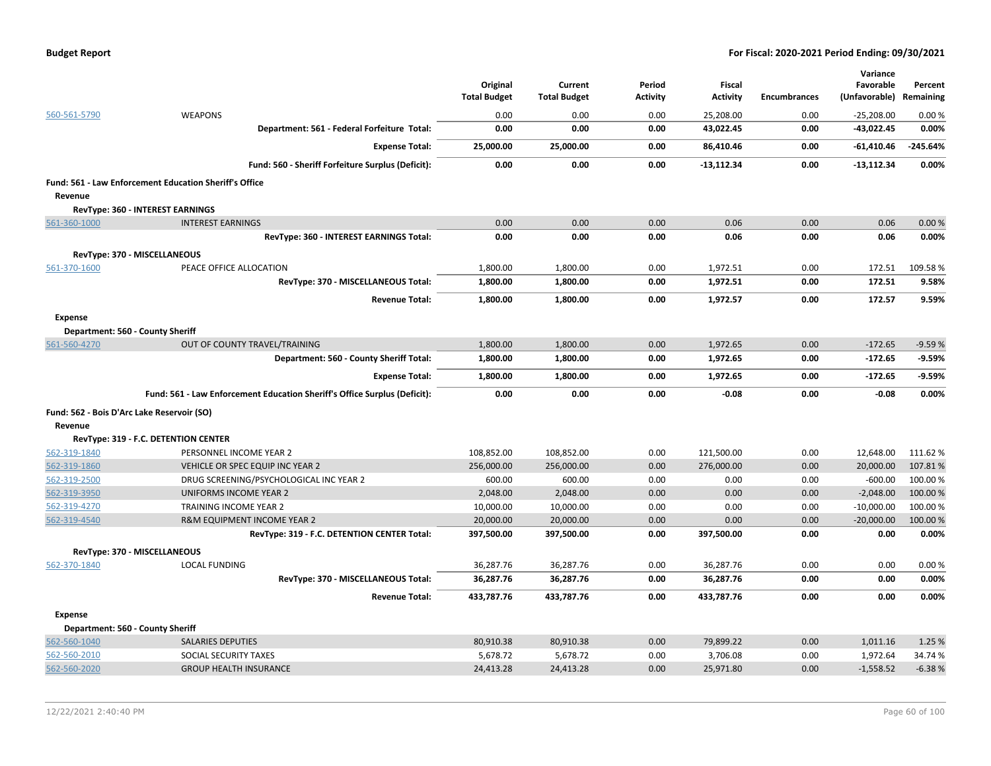|  | <b>Budget Report</b> |
|--|----------------------|
|--|----------------------|

|                                            |                                                                           |                     |                     |                 |                 |                     | Variance      |           |
|--------------------------------------------|---------------------------------------------------------------------------|---------------------|---------------------|-----------------|-----------------|---------------------|---------------|-----------|
|                                            |                                                                           | Original            | Current             | Period          | Fiscal          |                     | Favorable     | Percent   |
|                                            |                                                                           | <b>Total Budget</b> | <b>Total Budget</b> | <b>Activity</b> | <b>Activity</b> | <b>Encumbrances</b> | (Unfavorable) | Remaining |
| 560-561-5790                               | <b>WEAPONS</b>                                                            | 0.00                | 0.00                | 0.00            | 25,208.00       | 0.00                | $-25,208.00$  | 0.00%     |
|                                            | Department: 561 - Federal Forfeiture Total:                               | 0.00                | 0.00                | 0.00            | 43,022.45       | 0.00                | $-43,022.45$  | 0.00%     |
|                                            | <b>Expense Total:</b>                                                     | 25,000.00           | 25,000.00           | 0.00            | 86,410.46       | 0.00                | $-61,410.46$  | -245.64%  |
|                                            | Fund: 560 - Sheriff Forfeiture Surplus (Deficit):                         | 0.00                | 0.00                | 0.00            | $-13,112.34$    | 0.00                | $-13,112.34$  | 0.00%     |
|                                            | Fund: 561 - Law Enforcement Education Sheriff's Office                    |                     |                     |                 |                 |                     |               |           |
| Revenue                                    |                                                                           |                     |                     |                 |                 |                     |               |           |
|                                            | RevType: 360 - INTEREST EARNINGS                                          |                     |                     |                 |                 |                     |               |           |
| 561-360-1000                               | <b>INTEREST EARNINGS</b>                                                  | 0.00                | 0.00                | 0.00            | 0.06            | 0.00                | 0.06          | 0.00%     |
|                                            | RevType: 360 - INTEREST EARNINGS Total:                                   | 0.00                | 0.00                | 0.00            | 0.06            | 0.00                | 0.06          | 0.00%     |
| RevType: 370 - MISCELLANEOUS               |                                                                           |                     |                     |                 |                 |                     |               |           |
| 561-370-1600                               | PEACE OFFICE ALLOCATION                                                   | 1,800.00            | 1,800.00            | 0.00            | 1,972.51        | 0.00                | 172.51        | 109.58%   |
|                                            | RevType: 370 - MISCELLANEOUS Total:                                       | 1,800.00            | 1,800.00            | 0.00            | 1,972.51        | 0.00                | 172.51        | 9.58%     |
|                                            | <b>Revenue Total:</b>                                                     | 1,800.00            | 1,800.00            | 0.00            | 1,972.57        | 0.00                | 172.57        | 9.59%     |
| <b>Expense</b>                             |                                                                           |                     |                     |                 |                 |                     |               |           |
| Department: 560 - County Sheriff           |                                                                           |                     |                     |                 |                 |                     |               |           |
| 561-560-4270                               | OUT OF COUNTY TRAVEL/TRAINING                                             | 1,800.00            | 1,800.00            | 0.00            | 1,972.65        | 0.00                | $-172.65$     | $-9.59%$  |
|                                            | Department: 560 - County Sheriff Total:                                   | 1,800.00            | 1,800.00            | 0.00            | 1,972.65        | 0.00                | $-172.65$     | $-9.59%$  |
|                                            | <b>Expense Total:</b>                                                     | 1,800.00            | 1,800.00            | 0.00            | 1,972.65        | 0.00                | $-172.65$     | $-9.59%$  |
|                                            | Fund: 561 - Law Enforcement Education Sheriff's Office Surplus (Deficit): | 0.00                | 0.00                | 0.00            | $-0.08$         | 0.00                | $-0.08$       | 0.00%     |
| Fund: 562 - Bois D'Arc Lake Reservoir (SO) |                                                                           |                     |                     |                 |                 |                     |               |           |
| Revenue                                    |                                                                           |                     |                     |                 |                 |                     |               |           |
|                                            | RevType: 319 - F.C. DETENTION CENTER                                      |                     |                     |                 |                 |                     |               |           |
| 562-319-1840                               | PERSONNEL INCOME YEAR 2                                                   | 108,852.00          | 108,852.00          | 0.00            | 121,500.00      | 0.00                | 12,648.00     | 111.62%   |
| 562-319-1860                               | VEHICLE OR SPEC EQUIP INC YEAR 2                                          | 256,000.00          | 256,000.00          | 0.00            | 276,000.00      | 0.00                | 20,000.00     | 107.81%   |
| 562-319-2500                               | DRUG SCREENING/PSYCHOLOGICAL INC YEAR 2                                   | 600.00              | 600.00              | 0.00            | 0.00            | 0.00                | $-600.00$     | 100.00%   |
| 562-319-3950                               | UNIFORMS INCOME YEAR 2                                                    | 2,048.00            | 2,048.00            | 0.00            | 0.00            | 0.00                | $-2,048.00$   | 100.00 %  |
| 562-319-4270                               | TRAINING INCOME YEAR 2                                                    | 10,000.00           | 10,000.00           | 0.00            | 0.00            | 0.00                | $-10,000.00$  | 100.00%   |
| 562-319-4540                               | R&M EQUIPMENT INCOME YEAR 2                                               | 20,000.00           | 20,000.00           | 0.00            | 0.00            | 0.00                | $-20,000.00$  | 100.00%   |
|                                            | RevType: 319 - F.C. DETENTION CENTER Total:                               | 397,500.00          | 397,500.00          | 0.00            | 397,500.00      | 0.00                | 0.00          | 0.00%     |
| RevType: 370 - MISCELLANEOUS               |                                                                           |                     |                     |                 |                 |                     |               |           |
| 562-370-1840                               | <b>LOCAL FUNDING</b>                                                      | 36,287.76           | 36,287.76           | 0.00            | 36,287.76       | 0.00                | 0.00          | 0.00%     |
|                                            | RevType: 370 - MISCELLANEOUS Total:                                       | 36,287.76           | 36,287.76           | 0.00            | 36,287.76       | 0.00                | 0.00          | 0.00%     |
|                                            | <b>Revenue Total:</b>                                                     | 433,787.76          | 433,787.76          | 0.00            | 433,787.76      | 0.00                | 0.00          | 0.00%     |
| <b>Expense</b>                             |                                                                           |                     |                     |                 |                 |                     |               |           |
| Department: 560 - County Sheriff           |                                                                           |                     |                     |                 |                 |                     |               |           |
| 562-560-1040                               | <b>SALARIES DEPUTIES</b>                                                  | 80,910.38           | 80,910.38           | 0.00            | 79,899.22       | 0.00                | 1,011.16      | 1.25 %    |
| 562-560-2010                               | SOCIAL SECURITY TAXES                                                     | 5,678.72            | 5,678.72            | 0.00            | 3,706.08        | 0.00                | 1,972.64      | 34.74%    |
| 562-560-2020                               | <b>GROUP HEALTH INSURANCE</b>                                             | 24,413.28           | 24,413.28           | 0.00            | 25,971.80       | 0.00                | $-1,558.52$   | $-6.38%$  |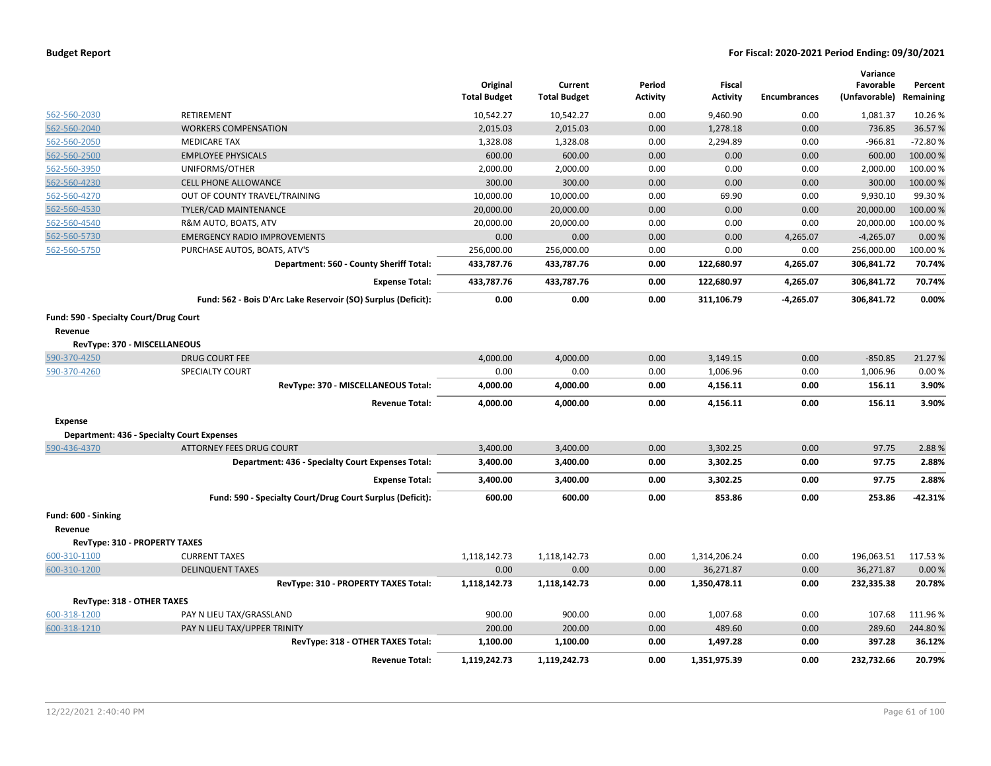|                                        |                                                               | Original<br><b>Total Budget</b> | Current<br><b>Total Budget</b> | Period<br><b>Activity</b> | <b>Fiscal</b><br><b>Activity</b> | <b>Encumbrances</b> | Variance<br>Favorable<br>(Unfavorable) Remaining | Percent   |
|----------------------------------------|---------------------------------------------------------------|---------------------------------|--------------------------------|---------------------------|----------------------------------|---------------------|--------------------------------------------------|-----------|
| 562-560-2030                           | RETIREMENT                                                    | 10,542.27                       | 10,542.27                      | 0.00                      | 9,460.90                         | 0.00                | 1,081.37                                         | 10.26%    |
| 562-560-2040                           | <b>WORKERS COMPENSATION</b>                                   | 2,015.03                        | 2,015.03                       | 0.00                      | 1,278.18                         | 0.00                | 736.85                                           | 36.57%    |
| 562-560-2050                           | <b>MEDICARE TAX</b>                                           | 1,328.08                        | 1,328.08                       | 0.00                      | 2,294.89                         | 0.00                | $-966.81$                                        | $-72.80%$ |
| 562-560-2500                           | <b>EMPLOYEE PHYSICALS</b>                                     | 600.00                          | 600.00                         | 0.00                      | 0.00                             | 0.00                | 600.00                                           | 100.00%   |
| 562-560-3950                           | UNIFORMS/OTHER                                                | 2,000.00                        | 2,000.00                       | 0.00                      | 0.00                             | 0.00                | 2,000.00                                         | 100.00%   |
| 562-560-4230                           | <b>CELL PHONE ALLOWANCE</b>                                   | 300.00                          | 300.00                         | 0.00                      | 0.00                             | 0.00                | 300.00                                           | 100.00 %  |
| 562-560-4270                           | OUT OF COUNTY TRAVEL/TRAINING                                 | 10,000.00                       | 10,000.00                      | 0.00                      | 69.90                            | 0.00                | 9,930.10                                         | 99.30%    |
| 562-560-4530                           | <b>TYLER/CAD MAINTENANCE</b>                                  | 20,000.00                       | 20,000.00                      | 0.00                      | 0.00                             | 0.00                | 20,000.00                                        | 100.00%   |
| 562-560-4540                           | R&M AUTO, BOATS, ATV                                          | 20,000.00                       | 20,000.00                      | 0.00                      | 0.00                             | 0.00                | 20,000.00                                        | 100.00%   |
| 562-560-5730                           | <b>EMERGENCY RADIO IMPROVEMENTS</b>                           | 0.00                            | 0.00                           | 0.00                      | 0.00                             | 4,265.07            | $-4,265.07$                                      | 0.00%     |
| 562-560-5750                           | PURCHASE AUTOS, BOATS, ATV'S                                  | 256,000.00                      | 256,000.00                     | 0.00                      | 0.00                             | 0.00                | 256,000.00                                       | 100.00%   |
|                                        | Department: 560 - County Sheriff Total:                       | 433,787.76                      | 433,787.76                     | 0.00                      | 122,680.97                       | 4,265.07            | 306,841.72                                       | 70.74%    |
|                                        | <b>Expense Total:</b>                                         | 433,787.76                      | 433,787.76                     | 0.00                      | 122,680.97                       | 4,265.07            | 306,841.72                                       | 70.74%    |
|                                        | Fund: 562 - Bois D'Arc Lake Reservoir (SO) Surplus (Deficit): | 0.00                            | 0.00                           | 0.00                      | 311,106.79                       | $-4,265.07$         | 306,841.72                                       | 0.00%     |
| Fund: 590 - Specialty Court/Drug Court |                                                               |                                 |                                |                           |                                  |                     |                                                  |           |
| Revenue                                |                                                               |                                 |                                |                           |                                  |                     |                                                  |           |
|                                        | RevType: 370 - MISCELLANEOUS                                  |                                 |                                |                           |                                  |                     |                                                  |           |
| 590-370-4250                           | <b>DRUG COURT FEE</b>                                         | 4,000.00                        | 4,000.00                       | 0.00                      | 3,149.15                         | 0.00                | $-850.85$                                        | 21.27 %   |
| 590-370-4260                           | <b>SPECIALTY COURT</b>                                        | 0.00                            | 0.00                           | 0.00                      | 1,006.96                         | 0.00                | 1,006.96                                         | 0.00%     |
|                                        | RevType: 370 - MISCELLANEOUS Total:                           | 4,000.00                        | 4,000.00                       | 0.00                      | 4,156.11                         | 0.00                | 156.11                                           | 3.90%     |
|                                        | <b>Revenue Total:</b>                                         | 4,000.00                        | 4,000.00                       | 0.00                      | 4,156.11                         | 0.00                | 156.11                                           | 3.90%     |
| <b>Expense</b>                         |                                                               |                                 |                                |                           |                                  |                     |                                                  |           |
|                                        | <b>Department: 436 - Specialty Court Expenses</b>             |                                 |                                |                           |                                  |                     |                                                  |           |
| 590-436-4370                           | ATTORNEY FEES DRUG COURT                                      | 3,400.00                        | 3,400.00                       | 0.00                      | 3,302.25                         | 0.00                | 97.75                                            | 2.88%     |
|                                        | Department: 436 - Specialty Court Expenses Total:             | 3,400.00                        | 3,400.00                       | 0.00                      | 3,302.25                         | 0.00                | 97.75                                            | 2.88%     |
|                                        | <b>Expense Total:</b>                                         | 3,400.00                        | 3,400.00                       | 0.00                      | 3,302.25                         | 0.00                | 97.75                                            | 2.88%     |
|                                        | Fund: 590 - Specialty Court/Drug Court Surplus (Deficit):     | 600.00                          | 600.00                         | 0.00                      | 853.86                           | 0.00                | 253.86                                           | $-42.31%$ |
| Fund: 600 - Sinking                    |                                                               |                                 |                                |                           |                                  |                     |                                                  |           |
| Revenue                                |                                                               |                                 |                                |                           |                                  |                     |                                                  |           |
|                                        | RevType: 310 - PROPERTY TAXES                                 |                                 |                                |                           |                                  |                     |                                                  |           |
| 600-310-1100                           | <b>CURRENT TAXES</b>                                          | 1,118,142.73                    | 1,118,142.73                   | 0.00                      | 1,314,206.24                     | 0.00                | 196,063.51                                       | 117.53%   |
| 600-310-1200                           | <b>DELINQUENT TAXES</b>                                       | 0.00                            | 0.00                           | 0.00                      | 36,271.87                        | 0.00                | 36,271.87                                        | 0.00%     |
|                                        | RevType: 310 - PROPERTY TAXES Total:                          | 1,118,142.73                    | 1,118,142.73                   | 0.00                      | 1,350,478.11                     | 0.00                | 232,335.38                                       | 20.78%    |
| <b>RevType: 318 - OTHER TAXES</b>      |                                                               |                                 |                                |                           |                                  |                     |                                                  |           |
| 600-318-1200                           | PAY N LIEU TAX/GRASSLAND                                      | 900.00                          | 900.00                         | 0.00                      | 1,007.68                         | 0.00                | 107.68                                           | 111.96%   |
| 600-318-1210                           | PAY N LIEU TAX/UPPER TRINITY                                  | 200.00                          | 200.00                         | 0.00                      | 489.60                           | 0.00                | 289.60                                           | 244.80%   |
|                                        | RevType: 318 - OTHER TAXES Total:                             | 1,100.00                        | 1,100.00                       | 0.00                      | 1,497.28                         | 0.00                | 397.28                                           | 36.12%    |
|                                        | <b>Revenue Total:</b>                                         | 1,119,242.73                    | 1,119,242.73                   | 0.00                      | 1,351,975.39                     | 0.00                | 232,732.66                                       | 20.79%    |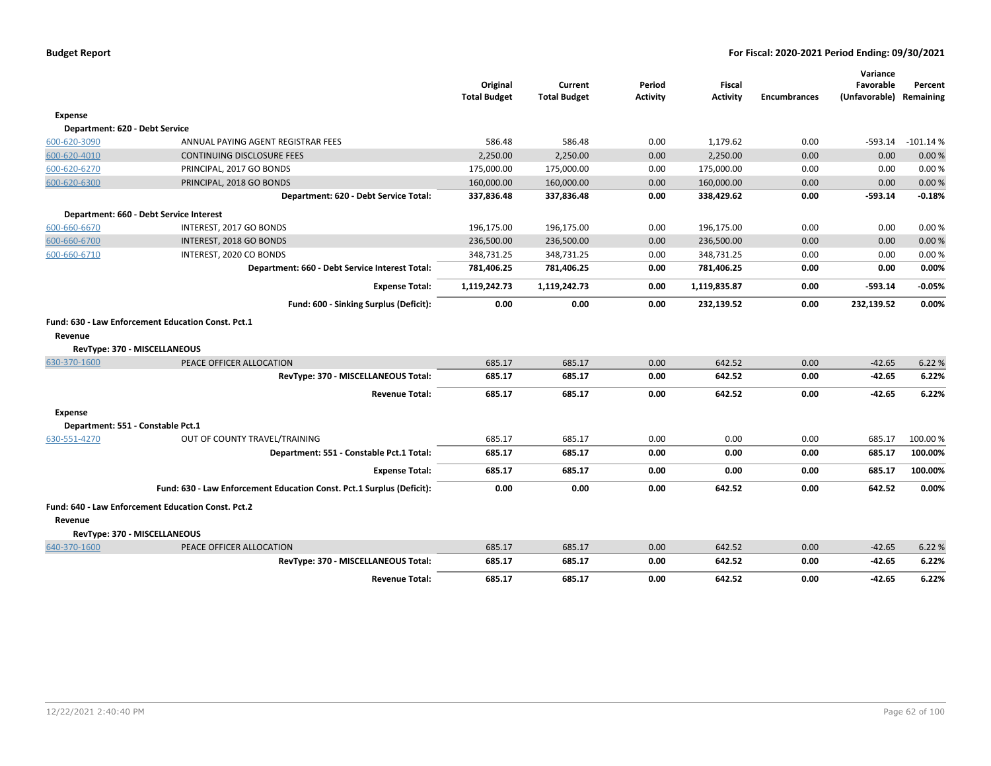|                |                                                                                    | Original<br><b>Total Budget</b> | Current<br><b>Total Budget</b> | Period<br><b>Activity</b> | Fiscal<br><b>Activity</b> | <b>Encumbrances</b> | Variance<br>Favorable<br>(Unfavorable) Remaining | Percent    |
|----------------|------------------------------------------------------------------------------------|---------------------------------|--------------------------------|---------------------------|---------------------------|---------------------|--------------------------------------------------|------------|
| <b>Expense</b> |                                                                                    |                                 |                                |                           |                           |                     |                                                  |            |
|                | Department: 620 - Debt Service                                                     |                                 |                                |                           |                           |                     |                                                  |            |
| 600-620-3090   | ANNUAL PAYING AGENT REGISTRAR FEES                                                 | 586.48                          | 586.48                         | 0.00                      | 1,179.62                  | 0.00                | -593.14                                          | $-101.14%$ |
| 600-620-4010   | <b>CONTINUING DISCLOSURE FEES</b>                                                  | 2,250.00                        | 2,250.00                       | 0.00                      | 2,250.00                  | 0.00                | 0.00                                             | 0.00%      |
| 600-620-6270   | PRINCIPAL, 2017 GO BONDS                                                           | 175,000.00                      | 175,000.00                     | 0.00                      | 175,000.00                | 0.00                | 0.00                                             | 0.00%      |
| 600-620-6300   | PRINCIPAL, 2018 GO BONDS                                                           | 160,000.00                      | 160,000.00                     | 0.00                      | 160,000.00                | 0.00                | 0.00                                             | 0.00 %     |
|                | Department: 620 - Debt Service Total:                                              | 337,836.48                      | 337,836.48                     | 0.00                      | 338,429.62                | 0.00                | $-593.14$                                        | $-0.18%$   |
|                | Department: 660 - Debt Service Interest                                            |                                 |                                |                           |                           |                     |                                                  |            |
| 600-660-6670   | INTEREST, 2017 GO BONDS                                                            | 196,175.00                      | 196,175.00                     | 0.00                      | 196,175.00                | 0.00                | 0.00                                             | 0.00%      |
| 600-660-6700   | INTEREST, 2018 GO BONDS                                                            | 236,500.00                      | 236,500.00                     | 0.00                      | 236,500.00                | 0.00                | 0.00                                             | 0.00%      |
| 600-660-6710   | INTEREST, 2020 CO BONDS                                                            | 348,731.25                      | 348,731.25                     | 0.00                      | 348,731.25                | 0.00                | 0.00                                             | 0.00%      |
|                | Department: 660 - Debt Service Interest Total:                                     | 781,406.25                      | 781,406.25                     | 0.00                      | 781,406.25                | 0.00                | 0.00                                             | 0.00%      |
|                | <b>Expense Total:</b>                                                              | 1,119,242.73                    | 1,119,242.73                   | 0.00                      | 1,119,835.87              | 0.00                | $-593.14$                                        | $-0.05%$   |
|                | Fund: 600 - Sinking Surplus (Deficit):                                             | 0.00                            | 0.00                           | 0.00                      | 232,139.52                | 0.00                | 232,139.52                                       | 0.00%      |
| Revenue        | Fund: 630 - Law Enforcement Education Const. Pct.1<br>RevType: 370 - MISCELLANEOUS |                                 |                                |                           |                           |                     |                                                  |            |
| 630-370-1600   | PEACE OFFICER ALLOCATION                                                           | 685.17                          | 685.17                         | 0.00                      | 642.52                    | 0.00                | $-42.65$                                         | 6.22 %     |
|                | RevType: 370 - MISCELLANEOUS Total:                                                | 685.17                          | 685.17                         | 0.00                      | 642.52                    | 0.00                | $-42.65$                                         | 6.22%      |
|                | <b>Revenue Total:</b>                                                              | 685.17                          | 685.17                         | 0.00                      | 642.52                    | 0.00                | $-42.65$                                         | 6.22%      |
| <b>Expense</b> | Department: 551 - Constable Pct.1                                                  |                                 |                                |                           |                           |                     |                                                  |            |
| 630-551-4270   | OUT OF COUNTY TRAVEL/TRAINING                                                      | 685.17                          | 685.17                         | 0.00                      | 0.00                      | 0.00                | 685.17                                           | 100.00%    |
|                | Department: 551 - Constable Pct.1 Total:                                           | 685.17                          | 685.17                         | 0.00                      | 0.00                      | 0.00                | 685.17                                           | 100.00%    |
|                | <b>Expense Total:</b>                                                              | 685.17                          | 685.17                         | 0.00                      | 0.00                      | 0.00                | 685.17                                           | 100.00%    |
|                | Fund: 630 - Law Enforcement Education Const. Pct.1 Surplus (Deficit):              | 0.00                            | 0.00                           | 0.00                      | 642.52                    | 0.00                | 642.52                                           | 0.00%      |
|                | Fund: 640 - Law Enforcement Education Const. Pct.2                                 |                                 |                                |                           |                           |                     |                                                  |            |
| Revenue        |                                                                                    |                                 |                                |                           |                           |                     |                                                  |            |
|                | RevType: 370 - MISCELLANEOUS                                                       |                                 |                                |                           |                           |                     |                                                  |            |
| 640-370-1600   | PEACE OFFICER ALLOCATION                                                           | 685.17                          | 685.17                         | 0.00                      | 642.52                    | 0.00                | $-42.65$                                         | 6.22 %     |
|                | RevType: 370 - MISCELLANEOUS Total:                                                | 685.17                          | 685.17                         | 0.00                      | 642.52                    | 0.00                | $-42.65$                                         | 6.22%      |
|                | <b>Revenue Total:</b>                                                              | 685.17                          | 685.17                         | 0.00                      | 642.52                    | 0.00                | $-42.65$                                         | 6.22%      |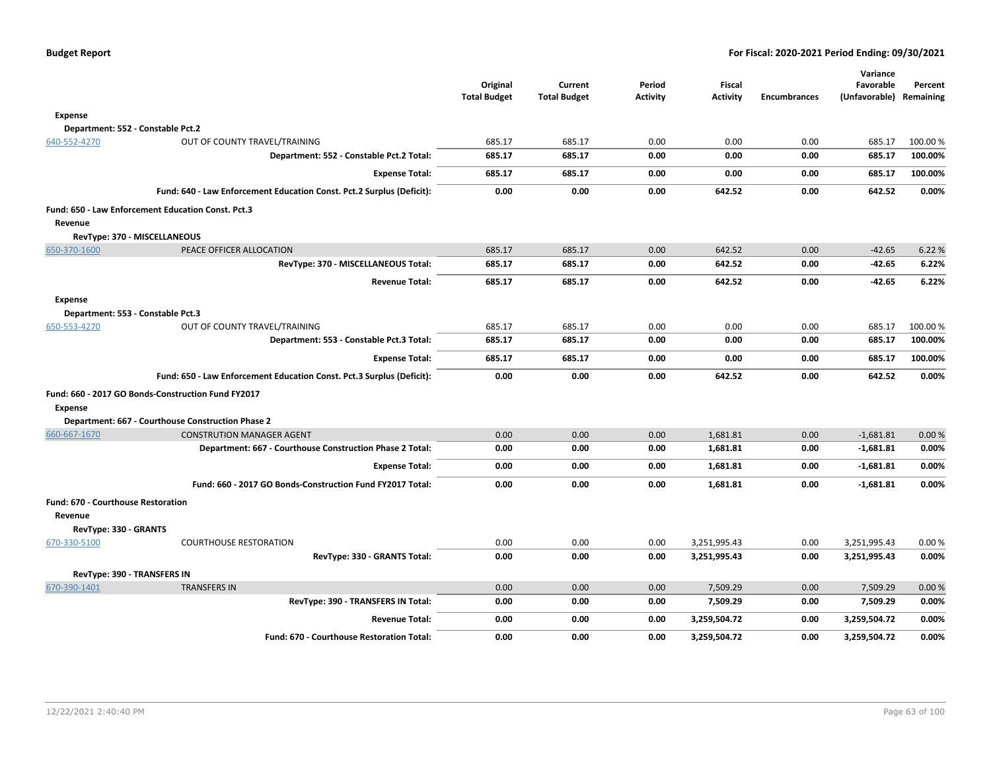|                                                      |                                                                       | Original<br><b>Total Budget</b> | Current<br><b>Total Budget</b> | Period<br>Activity | <b>Fiscal</b><br><b>Activity</b> | <b>Encumbrances</b> | Variance<br>Favorable<br>(Unfavorable) | Percent<br>Remaining |
|------------------------------------------------------|-----------------------------------------------------------------------|---------------------------------|--------------------------------|--------------------|----------------------------------|---------------------|----------------------------------------|----------------------|
| <b>Expense</b>                                       |                                                                       |                                 |                                |                    |                                  |                     |                                        |                      |
|                                                      | Department: 552 - Constable Pct.2                                     |                                 |                                |                    |                                  |                     |                                        |                      |
| 640-552-4270                                         | OUT OF COUNTY TRAVEL/TRAINING                                         | 685.17                          | 685.17                         | 0.00               | 0.00                             | 0.00                | 685.17                                 | 100.00 %             |
|                                                      | Department: 552 - Constable Pct.2 Total:                              | 685.17                          | 685.17                         | 0.00               | 0.00                             | 0.00                | 685.17                                 | 100.00%              |
|                                                      | <b>Expense Total:</b>                                                 | 685.17                          | 685.17                         | 0.00               | 0.00                             | 0.00                | 685.17                                 | 100.00%              |
|                                                      | Fund: 640 - Law Enforcement Education Const. Pct.2 Surplus (Deficit): | 0.00                            | 0.00                           | 0.00               | 642.52                           | 0.00                | 642.52                                 | 0.00%                |
| Revenue                                              | Fund: 650 - Law Enforcement Education Const. Pct.3                    |                                 |                                |                    |                                  |                     |                                        |                      |
|                                                      | RevType: 370 - MISCELLANEOUS                                          |                                 |                                |                    |                                  |                     |                                        |                      |
| 650-370-1600                                         | PEACE OFFICER ALLOCATION                                              | 685.17                          | 685.17                         | 0.00               | 642.52                           | 0.00                | $-42.65$                               | 6.22 %               |
|                                                      | RevType: 370 - MISCELLANEOUS Total:                                   | 685.17                          | 685.17                         | 0.00               | 642.52                           | 0.00                | $-42.65$                               | 6.22%                |
|                                                      | <b>Revenue Total:</b>                                                 | 685.17                          | 685.17                         | 0.00               | 642.52                           | 0.00                | $-42.65$                               | 6.22%                |
| <b>Expense</b>                                       | Department: 553 - Constable Pct.3                                     |                                 |                                |                    |                                  |                     |                                        |                      |
| 650-553-4270                                         | OUT OF COUNTY TRAVEL/TRAINING                                         | 685.17                          | 685.17                         | 0.00               | 0.00                             | 0.00                | 685.17                                 | 100.00 %             |
|                                                      | Department: 553 - Constable Pct.3 Total:                              | 685.17                          | 685.17                         | 0.00               | 0.00                             | 0.00                | 685.17                                 | 100.00%              |
|                                                      | <b>Expense Total:</b>                                                 | 685.17                          | 685.17                         | 0.00               | 0.00                             | 0.00                | 685.17                                 | 100.00%              |
|                                                      | Fund: 650 - Law Enforcement Education Const. Pct.3 Surplus (Deficit): | 0.00                            | 0.00                           | 0.00               | 642.52                           | 0.00                | 642.52                                 | 0.00%                |
| <b>Expense</b>                                       | Fund: 660 - 2017 GO Bonds-Construction Fund FY2017                    |                                 |                                |                    |                                  |                     |                                        |                      |
|                                                      | Department: 667 - Courthouse Construction Phase 2                     |                                 |                                |                    |                                  |                     |                                        |                      |
| 660-667-1670                                         | <b>CONSTRUTION MANAGER AGENT</b>                                      | 0.00                            | 0.00                           | 0.00               | 1,681.81                         | 0.00                | $-1,681.81$                            | 0.00%                |
|                                                      | Department: 667 - Courthouse Construction Phase 2 Total:              | 0.00                            | 0.00                           | 0.00               | 1,681.81                         | 0.00                | $-1,681.81$                            | 0.00%                |
|                                                      | <b>Expense Total:</b>                                                 | 0.00                            | 0.00                           | 0.00               | 1,681.81                         | 0.00                | $-1,681.81$                            | 0.00%                |
|                                                      | Fund: 660 - 2017 GO Bonds-Construction Fund FY2017 Total:             | 0.00                            | 0.00                           | 0.00               | 1,681.81                         | 0.00                | $-1,681.81$                            | 0.00%                |
| <b>Fund: 670 - Courthouse Restoration</b><br>Revenue |                                                                       |                                 |                                |                    |                                  |                     |                                        |                      |
| RevType: 330 - GRANTS                                |                                                                       |                                 |                                |                    |                                  |                     |                                        |                      |
| 670-330-5100                                         | <b>COURTHOUSE RESTORATION</b>                                         | 0.00                            | 0.00                           | 0.00               | 3,251,995.43                     | 0.00                | 3,251,995.43                           | 0.00%                |
|                                                      | RevType: 330 - GRANTS Total:                                          | 0.00                            | 0.00                           | 0.00               | 3,251,995.43                     | 0.00                | 3,251,995.43                           | 0.00%                |
|                                                      | RevType: 390 - TRANSFERS IN                                           |                                 |                                |                    |                                  |                     |                                        |                      |
| 670-390-1401                                         | <b>TRANSFERS IN</b>                                                   | 0.00                            | 0.00                           | 0.00               | 7,509.29                         | 0.00                | 7,509.29                               | 0.00%                |
|                                                      | RevType: 390 - TRANSFERS IN Total:                                    | 0.00                            | 0.00                           | 0.00               | 7,509.29                         | 0.00                | 7,509.29                               | 0.00%                |
|                                                      | <b>Revenue Total:</b>                                                 | 0.00                            | 0.00                           | 0.00               | 3,259,504.72                     | 0.00                | 3,259,504.72                           | 0.00%                |
|                                                      | <b>Fund: 670 - Courthouse Restoration Total:</b>                      | 0.00                            | 0.00                           | 0.00               | 3,259,504.72                     | 0.00                | 3,259,504.72                           | 0.00%                |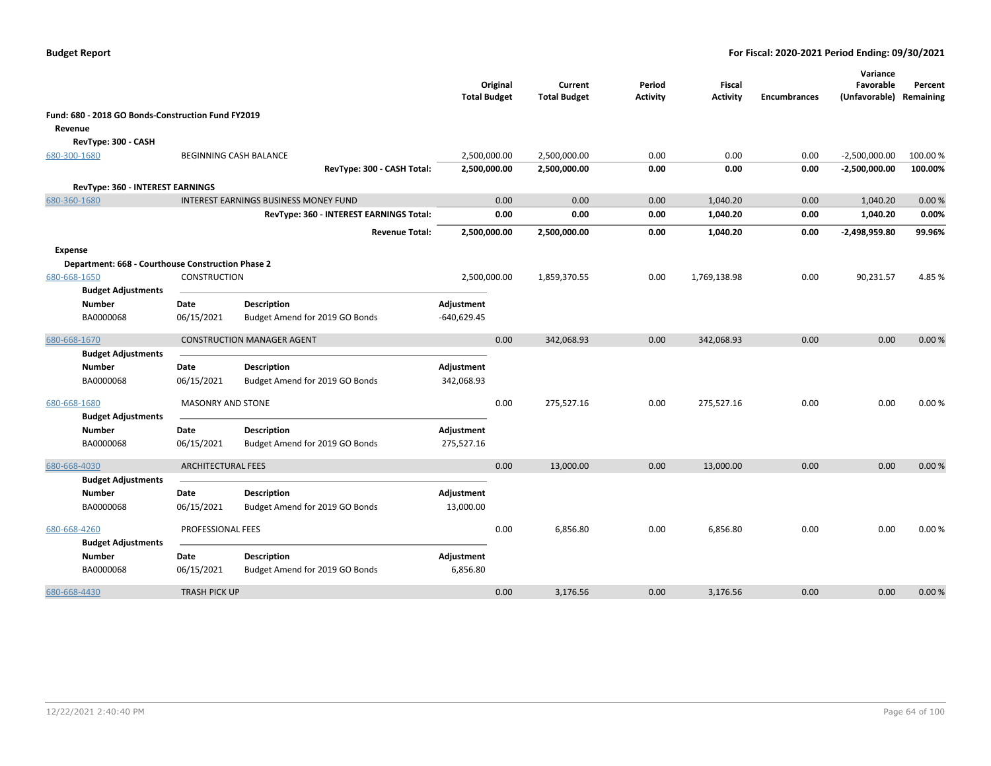|                |                                                    |                           |                                              | <b>Total Budget</b> | Original | Current<br><b>Total Budget</b> | Period<br><b>Activity</b> | Fiscal<br><b>Activity</b> | <b>Encumbrances</b> | Variance<br>Favorable<br>(Unfavorable) | Percent<br>Remaining |
|----------------|----------------------------------------------------|---------------------------|----------------------------------------------|---------------------|----------|--------------------------------|---------------------------|---------------------------|---------------------|----------------------------------------|----------------------|
|                | Fund: 680 - 2018 GO Bonds-Construction Fund FY2019 |                           |                                              |                     |          |                                |                           |                           |                     |                                        |                      |
| Revenue        |                                                    |                           |                                              |                     |          |                                |                           |                           |                     |                                        |                      |
|                | RevType: 300 - CASH                                |                           |                                              |                     |          |                                |                           |                           |                     |                                        |                      |
| 680-300-1680   |                                                    |                           | BEGINNING CASH BALANCE                       | 2,500,000.00        |          | 2,500,000.00                   | 0.00                      | 0.00                      | 0.00                | $-2,500,000.00$                        | 100.00 %             |
|                |                                                    |                           | RevType: 300 - CASH Total:                   | 2,500,000.00        |          | 2,500,000.00                   | 0.00                      | 0.00                      | 0.00                | $-2,500,000.00$                        | 100.00%              |
|                | RevType: 360 - INTEREST EARNINGS                   |                           |                                              |                     |          |                                |                           |                           |                     |                                        |                      |
| 680-360-1680   |                                                    |                           | <b>INTEREST EARNINGS BUSINESS MONEY FUND</b> |                     | 0.00     | 0.00                           | 0.00                      | 1,040.20                  | 0.00                | 1,040.20                               | 0.00%                |
|                |                                                    |                           | RevType: 360 - INTEREST EARNINGS Total:      |                     | 0.00     | 0.00                           | 0.00                      | 1,040.20                  | 0.00                | 1,040.20                               | 0.00%                |
|                |                                                    |                           | <b>Revenue Total:</b>                        | 2,500,000.00        |          | 2,500,000.00                   | 0.00                      | 1,040.20                  | 0.00                | $-2,498,959.80$                        | 99.96%               |
| <b>Expense</b> |                                                    |                           |                                              |                     |          |                                |                           |                           |                     |                                        |                      |
|                | Department: 668 - Courthouse Construction Phase 2  |                           |                                              |                     |          |                                |                           |                           |                     |                                        |                      |
| 680-668-1650   |                                                    | <b>CONSTRUCTION</b>       |                                              | 2,500,000.00        |          | 1,859,370.55                   | 0.00                      | 1,769,138.98              | 0.00                | 90,231.57                              | 4.85%                |
|                | <b>Budget Adjustments</b>                          |                           |                                              |                     |          |                                |                           |                           |                     |                                        |                      |
|                | Number                                             | Date                      | <b>Description</b>                           | Adjustment          |          |                                |                           |                           |                     |                                        |                      |
|                | BA0000068                                          | 06/15/2021                | Budget Amend for 2019 GO Bonds               | $-640,629.45$       |          |                                |                           |                           |                     |                                        |                      |
| 680-668-1670   |                                                    |                           | <b>CONSTRUCTION MANAGER AGENT</b>            |                     | 0.00     | 342,068.93                     | 0.00                      | 342,068.93                | 0.00                | 0.00                                   | 0.00%                |
|                | <b>Budget Adjustments</b>                          |                           |                                              |                     |          |                                |                           |                           |                     |                                        |                      |
|                | <b>Number</b>                                      | Date                      | Description                                  | Adjustment          |          |                                |                           |                           |                     |                                        |                      |
|                | BA0000068                                          | 06/15/2021                | Budget Amend for 2019 GO Bonds               | 342,068.93          |          |                                |                           |                           |                     |                                        |                      |
| 680-668-1680   |                                                    | MASONRY AND STONE         |                                              |                     | 0.00     | 275,527.16                     | 0.00                      | 275,527.16                | 0.00                | 0.00                                   | 0.00%                |
|                | <b>Budget Adjustments</b>                          |                           |                                              |                     |          |                                |                           |                           |                     |                                        |                      |
|                | Number                                             | Date                      | <b>Description</b>                           | Adjustment          |          |                                |                           |                           |                     |                                        |                      |
|                | BA0000068                                          | 06/15/2021                | Budget Amend for 2019 GO Bonds               | 275,527.16          |          |                                |                           |                           |                     |                                        |                      |
|                |                                                    |                           |                                              |                     |          |                                |                           |                           |                     |                                        |                      |
| 680-668-4030   |                                                    | <b>ARCHITECTURAL FEES</b> |                                              |                     | 0.00     | 13,000.00                      | 0.00                      | 13,000.00                 | 0.00                | 0.00                                   | 0.00%                |
|                | <b>Budget Adjustments</b>                          |                           |                                              |                     |          |                                |                           |                           |                     |                                        |                      |
|                | Number                                             | Date                      | Description                                  | Adjustment          |          |                                |                           |                           |                     |                                        |                      |
|                | BA0000068                                          | 06/15/2021                | Budget Amend for 2019 GO Bonds               | 13,000.00           |          |                                |                           |                           |                     |                                        |                      |
| 680-668-4260   |                                                    | PROFESSIONAL FEES         |                                              |                     | 0.00     | 6,856.80                       | 0.00                      | 6,856.80                  | 0.00                | 0.00                                   | 0.00%                |
|                | <b>Budget Adjustments</b>                          |                           |                                              |                     |          |                                |                           |                           |                     |                                        |                      |
|                | <b>Number</b>                                      | Date                      | <b>Description</b>                           | Adjustment          |          |                                |                           |                           |                     |                                        |                      |
|                | BA0000068                                          | 06/15/2021                | Budget Amend for 2019 GO Bonds               | 6,856.80            |          |                                |                           |                           |                     |                                        |                      |
| 680-668-4430   |                                                    | <b>TRASH PICK UP</b>      |                                              |                     | 0.00     | 3,176.56                       | 0.00                      | 3,176.56                  | 0.00                | 0.00                                   | 0.00%                |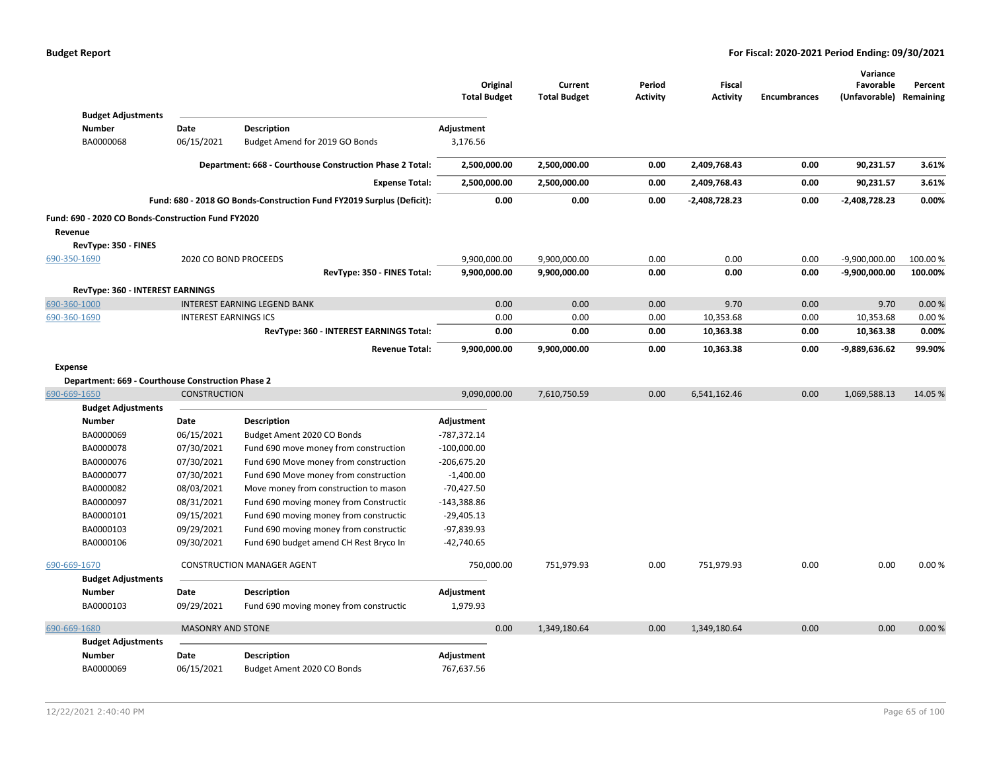|                                                    |                              |                                                                       | Original<br><b>Total Budget</b> | Current<br><b>Total Budget</b> | Period<br><b>Activity</b> | Fiscal<br><b>Activity</b> | <b>Encumbrances</b> | Variance<br>Favorable<br>(Unfavorable) | Percent<br>Remaining |
|----------------------------------------------------|------------------------------|-----------------------------------------------------------------------|---------------------------------|--------------------------------|---------------------------|---------------------------|---------------------|----------------------------------------|----------------------|
| <b>Budget Adjustments</b><br><b>Number</b>         | Date                         | Description                                                           | Adjustment                      |                                |                           |                           |                     |                                        |                      |
| BA0000068                                          | 06/15/2021                   | Budget Amend for 2019 GO Bonds                                        | 3,176.56                        |                                |                           |                           |                     |                                        |                      |
|                                                    |                              |                                                                       |                                 |                                |                           |                           |                     |                                        |                      |
|                                                    |                              | Department: 668 - Courthouse Construction Phase 2 Total:              | 2,500,000.00                    | 2,500,000.00                   | 0.00                      | 2,409,768.43              | 0.00                | 90,231.57                              | 3.61%                |
|                                                    |                              | <b>Expense Total:</b>                                                 | 2,500,000.00                    | 2,500,000.00                   | 0.00                      | 2,409,768.43              | 0.00                | 90,231.57                              | 3.61%                |
|                                                    |                              | Fund: 680 - 2018 GO Bonds-Construction Fund FY2019 Surplus (Deficit): | 0.00                            | 0.00                           | 0.00                      | -2,408,728.23             | 0.00                | -2,408,728.23                          | 0.00%                |
| Fund: 690 - 2020 CO Bonds-Construction Fund FY2020 |                              |                                                                       |                                 |                                |                           |                           |                     |                                        |                      |
| Revenue                                            |                              |                                                                       |                                 |                                |                           |                           |                     |                                        |                      |
| RevType: 350 - FINES                               |                              |                                                                       |                                 |                                |                           |                           |                     |                                        |                      |
| 690-350-1690                                       |                              | 2020 CO BOND PROCEEDS                                                 | 9,900,000.00                    | 9,900,000.00                   | 0.00                      | 0.00                      | 0.00                | $-9,900,000.00$                        | 100.00%              |
|                                                    |                              | RevType: 350 - FINES Total:                                           | 9,900,000.00                    | 9,900,000.00                   | 0.00                      | 0.00                      | 0.00                | -9,900,000.00                          | 100.00%              |
| RevType: 360 - INTEREST EARNINGS                   |                              |                                                                       |                                 |                                |                           |                           |                     |                                        |                      |
| 690-360-1000                                       |                              | <b>INTEREST EARNING LEGEND BANK</b>                                   | 0.00                            | 0.00                           | 0.00                      | 9.70                      | 0.00                | 9.70                                   | 0.00%                |
| 690-360-1690                                       | <b>INTEREST EARNINGS ICS</b> |                                                                       | 0.00                            | 0.00                           | 0.00                      | 10,353.68                 | 0.00                | 10,353.68                              | 0.00%                |
|                                                    |                              | RevType: 360 - INTEREST EARNINGS Total:                               | 0.00                            | 0.00                           | 0.00                      | 10,363.38                 | 0.00                | 10,363.38                              | 0.00%                |
|                                                    |                              | <b>Revenue Total:</b>                                                 | 9,900,000.00                    | 9,900,000.00                   | 0.00                      | 10,363.38                 | 0.00                | -9,889,636.62                          | 99.90%               |
| <b>Expense</b>                                     |                              |                                                                       |                                 |                                |                           |                           |                     |                                        |                      |
| Department: 669 - Courthouse Construction Phase 2  |                              |                                                                       |                                 |                                |                           |                           |                     |                                        |                      |
| 690-669-1650                                       | <b>CONSTRUCTION</b>          |                                                                       | 9,090,000.00                    | 7,610,750.59                   | 0.00                      | 6,541,162.46              | 0.00                | 1,069,588.13                           | 14.05 %              |
| <b>Budget Adjustments</b>                          |                              |                                                                       |                                 |                                |                           |                           |                     |                                        |                      |
| <b>Number</b>                                      | Date                         | <b>Description</b>                                                    | Adjustment                      |                                |                           |                           |                     |                                        |                      |
| BA0000069                                          | 06/15/2021                   | Budget Ament 2020 CO Bonds                                            | -787,372.14                     |                                |                           |                           |                     |                                        |                      |
| BA0000078                                          | 07/30/2021                   | Fund 690 move money from construction                                 | $-100,000.00$                   |                                |                           |                           |                     |                                        |                      |
| BA0000076                                          | 07/30/2021                   | Fund 690 Move money from construction                                 | $-206,675.20$                   |                                |                           |                           |                     |                                        |                      |
| BA0000077                                          | 07/30/2021                   | Fund 690 Move money from construction                                 | $-1,400.00$                     |                                |                           |                           |                     |                                        |                      |
| BA0000082                                          | 08/03/2021                   | Move money from construction to mason                                 | $-70,427.50$                    |                                |                           |                           |                     |                                        |                      |
| BA0000097                                          | 08/31/2021                   | Fund 690 moving money from Constructio                                | $-143,388.86$                   |                                |                           |                           |                     |                                        |                      |
| BA0000101                                          | 09/15/2021                   | Fund 690 moving money from constructic                                | $-29,405.13$                    |                                |                           |                           |                     |                                        |                      |
| BA0000103                                          | 09/29/2021                   | Fund 690 moving money from constructic                                | $-97,839.93$                    |                                |                           |                           |                     |                                        |                      |
| BA0000106                                          | 09/30/2021                   | Fund 690 budget amend CH Rest Bryco In                                | $-42,740.65$                    |                                |                           |                           |                     |                                        |                      |
| 690-669-1670                                       |                              | <b>CONSTRUCTION MANAGER AGENT</b>                                     | 750,000.00                      | 751,979.93                     | 0.00                      | 751,979.93                | 0.00                | 0.00                                   | 0.00%                |
| <b>Budget Adjustments</b>                          |                              |                                                                       |                                 |                                |                           |                           |                     |                                        |                      |
| <b>Number</b>                                      | Date                         | <b>Description</b>                                                    | Adjustment                      |                                |                           |                           |                     |                                        |                      |
| BA0000103                                          | 09/29/2021                   | Fund 690 moving money from constructic                                | 1,979.93                        |                                |                           |                           |                     |                                        |                      |
| 690-669-1680                                       | <b>MASONRY AND STONE</b>     |                                                                       | 0.00                            | 1,349,180.64                   | 0.00                      | 1,349,180.64              | 0.00                | 0.00                                   | 0.00%                |
| <b>Budget Adjustments</b>                          |                              |                                                                       |                                 |                                |                           |                           |                     |                                        |                      |
| <b>Number</b>                                      | Date                         | <b>Description</b>                                                    | Adjustment                      |                                |                           |                           |                     |                                        |                      |
| BA0000069                                          | 06/15/2021                   | Budget Ament 2020 CO Bonds                                            | 767,637.56                      |                                |                           |                           |                     |                                        |                      |
|                                                    |                              |                                                                       |                                 |                                |                           |                           |                     |                                        |                      |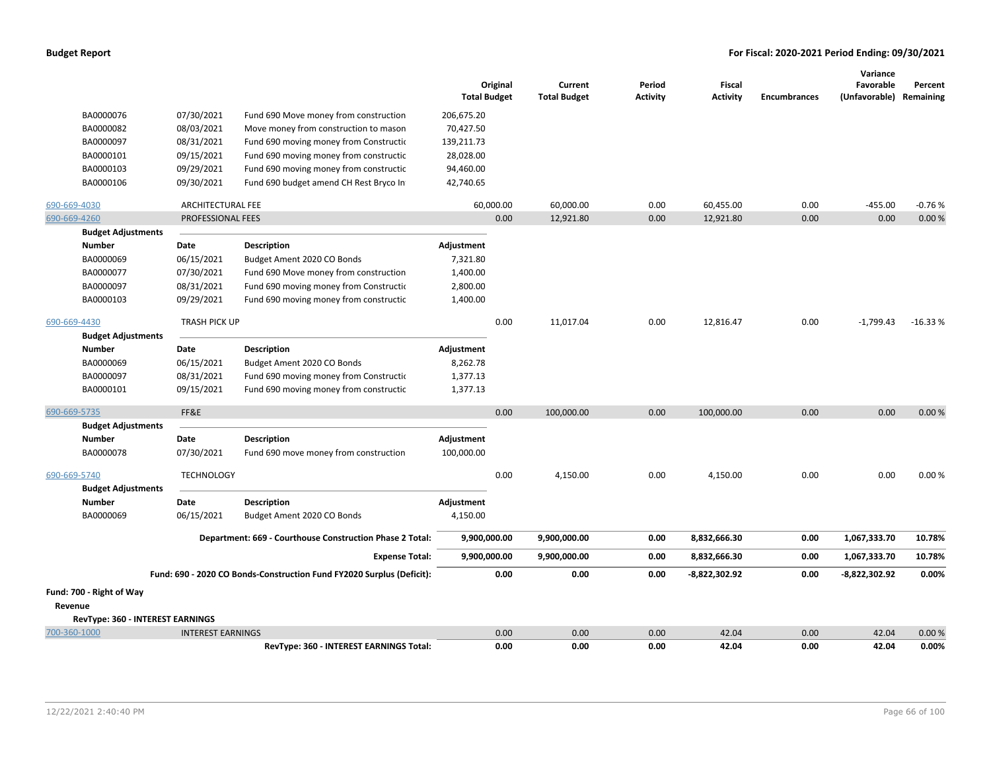|                                  |                          |                                                                       | <b>Total Budget</b> | Original  | Current<br><b>Total Budget</b> | Period<br><b>Activity</b> | Fiscal<br><b>Activity</b> | <b>Encumbrances</b> | Variance<br>Favorable<br>(Unfavorable) Remaining | Percent   |
|----------------------------------|--------------------------|-----------------------------------------------------------------------|---------------------|-----------|--------------------------------|---------------------------|---------------------------|---------------------|--------------------------------------------------|-----------|
| BA0000076                        | 07/30/2021               | Fund 690 Move money from construction                                 | 206,675.20          |           |                                |                           |                           |                     |                                                  |           |
| BA0000082                        | 08/03/2021               | Move money from construction to mason                                 | 70,427.50           |           |                                |                           |                           |                     |                                                  |           |
| BA0000097                        | 08/31/2021               | Fund 690 moving money from Construction                               | 139,211.73          |           |                                |                           |                           |                     |                                                  |           |
| BA0000101                        | 09/15/2021               | Fund 690 moving money from constructic                                | 28,028.00           |           |                                |                           |                           |                     |                                                  |           |
| BA0000103                        | 09/29/2021               | Fund 690 moving money from constructic                                | 94,460.00           |           |                                |                           |                           |                     |                                                  |           |
| BA0000106                        | 09/30/2021               | Fund 690 budget amend CH Rest Bryco In                                | 42,740.65           |           |                                |                           |                           |                     |                                                  |           |
| 690-669-4030                     | ARCHITECTURAL FEE        |                                                                       |                     | 60,000.00 | 60,000.00                      | 0.00                      | 60,455.00                 | 0.00                | $-455.00$                                        | $-0.76%$  |
| 690-669-4260                     | PROFESSIONAL FEES        |                                                                       |                     | 0.00      | 12,921.80                      | 0.00                      | 12,921.80                 | 0.00                | 0.00                                             | 0.00%     |
| <b>Budget Adjustments</b>        |                          |                                                                       |                     |           |                                |                           |                           |                     |                                                  |           |
| <b>Number</b>                    | Date                     | Description                                                           | Adjustment          |           |                                |                           |                           |                     |                                                  |           |
| BA0000069                        | 06/15/2021               | Budget Ament 2020 CO Bonds                                            | 7,321.80            |           |                                |                           |                           |                     |                                                  |           |
| BA0000077                        | 07/30/2021               | Fund 690 Move money from construction                                 | 1,400.00            |           |                                |                           |                           |                     |                                                  |           |
| BA0000097                        | 08/31/2021               | Fund 690 moving money from Construction                               | 2,800.00            |           |                                |                           |                           |                     |                                                  |           |
| BA0000103                        | 09/29/2021               | Fund 690 moving money from constructic                                | 1,400.00            |           |                                |                           |                           |                     |                                                  |           |
| 690-669-4430                     | TRASH PICK UP            |                                                                       |                     | 0.00      | 11,017.04                      | 0.00                      | 12,816.47                 | 0.00                | $-1,799.43$                                      | $-16.33%$ |
| <b>Budget Adjustments</b>        |                          |                                                                       |                     |           |                                |                           |                           |                     |                                                  |           |
| <b>Number</b>                    | Date                     | <b>Description</b>                                                    | Adjustment          |           |                                |                           |                           |                     |                                                  |           |
| BA0000069                        | 06/15/2021               | Budget Ament 2020 CO Bonds                                            | 8,262.78            |           |                                |                           |                           |                     |                                                  |           |
| BA0000097                        | 08/31/2021               | Fund 690 moving money from Constructio                                | 1,377.13            |           |                                |                           |                           |                     |                                                  |           |
| BA0000101                        | 09/15/2021               | Fund 690 moving money from constructic                                | 1,377.13            |           |                                |                           |                           |                     |                                                  |           |
| 690-669-5735                     | FF&E                     |                                                                       |                     | 0.00      | 100,000.00                     | 0.00                      | 100,000.00                | 0.00                | 0.00                                             | 0.00%     |
| <b>Budget Adjustments</b>        |                          |                                                                       |                     |           |                                |                           |                           |                     |                                                  |           |
| <b>Number</b>                    | Date                     | <b>Description</b>                                                    | Adjustment          |           |                                |                           |                           |                     |                                                  |           |
| BA0000078                        | 07/30/2021               | Fund 690 move money from construction                                 | 100,000.00          |           |                                |                           |                           |                     |                                                  |           |
| 690-669-5740                     | <b>TECHNOLOGY</b>        |                                                                       |                     | 0.00      | 4,150.00                       | 0.00                      | 4,150.00                  | 0.00                | 0.00                                             | 0.00%     |
| <b>Budget Adjustments</b>        |                          |                                                                       |                     |           |                                |                           |                           |                     |                                                  |           |
| <b>Number</b>                    | Date                     | <b>Description</b>                                                    | Adjustment          |           |                                |                           |                           |                     |                                                  |           |
| BA0000069                        | 06/15/2021               | Budget Ament 2020 CO Bonds                                            | 4,150.00            |           |                                |                           |                           |                     |                                                  |           |
|                                  |                          | Department: 669 - Courthouse Construction Phase 2 Total:              | 9,900,000.00        |           | 9,900,000.00                   | 0.00                      | 8,832,666.30              | 0.00                | 1,067,333.70                                     | 10.78%    |
|                                  |                          | <b>Expense Total:</b>                                                 | 9,900,000.00        |           | 9,900,000.00                   | 0.00                      | 8,832,666.30              | 0.00                | 1,067,333.70                                     | 10.78%    |
|                                  |                          | Fund: 690 - 2020 CO Bonds-Construction Fund FY2020 Surplus (Deficit): |                     | 0.00      | 0.00                           | 0.00                      | -8,822,302.92             | 0.00                | $-8,822,302.92$                                  | 0.00%     |
| Fund: 700 - Right of Way         |                          |                                                                       |                     |           |                                |                           |                           |                     |                                                  |           |
| Revenue                          |                          |                                                                       |                     |           |                                |                           |                           |                     |                                                  |           |
| RevType: 360 - INTEREST EARNINGS |                          |                                                                       |                     |           |                                |                           |                           |                     |                                                  |           |
| 700-360-1000                     | <b>INTEREST EARNINGS</b> |                                                                       |                     | 0.00      | 0.00                           | 0.00                      | 42.04                     | 0.00                | 42.04                                            | 0.00%     |
|                                  |                          | RevType: 360 - INTEREST EARNINGS Total:                               |                     | 0.00      | 0.00                           | 0.00                      | 42.04                     | 0.00                | 42.04                                            | 0.00%     |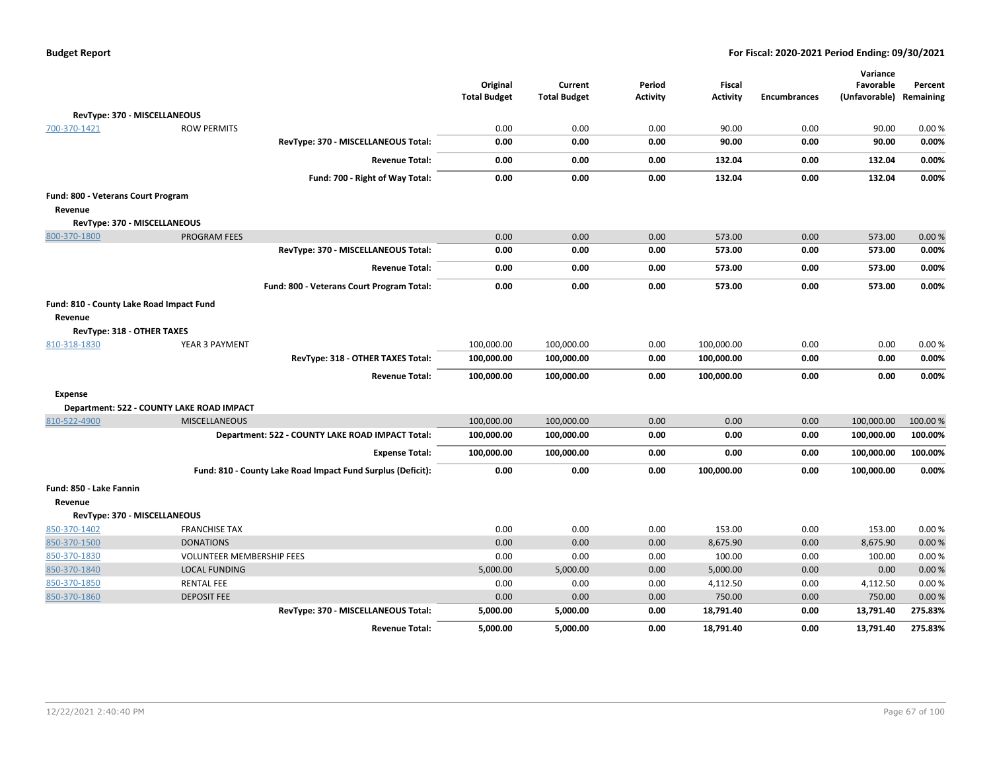| <b>Budget Report</b> |  |
|----------------------|--|
|----------------------|--|

|                                          |                                           |                                                             |                                 |                                |                           |                                  |                     | Variance                             |          |
|------------------------------------------|-------------------------------------------|-------------------------------------------------------------|---------------------------------|--------------------------------|---------------------------|----------------------------------|---------------------|--------------------------------------|----------|
|                                          |                                           |                                                             | Original<br><b>Total Budget</b> | Current<br><b>Total Budget</b> | Period<br><b>Activity</b> | <b>Fiscal</b><br><b>Activity</b> | <b>Encumbrances</b> | Favorable<br>(Unfavorable) Remaining | Percent  |
|                                          |                                           |                                                             |                                 |                                |                           |                                  |                     |                                      |          |
| RevType: 370 - MISCELLANEOUS             |                                           |                                                             |                                 |                                |                           |                                  |                     |                                      |          |
| 700-370-1421                             | <b>ROW PERMITS</b>                        |                                                             | 0.00                            | 0.00                           | 0.00                      | 90.00                            | 0.00                | 90.00                                | 0.00%    |
|                                          |                                           | RevType: 370 - MISCELLANEOUS Total:                         | 0.00                            | 0.00                           | 0.00                      | 90.00                            | 0.00                | 90.00                                | 0.00%    |
|                                          |                                           | <b>Revenue Total:</b>                                       | 0.00                            | 0.00                           | 0.00                      | 132.04                           | 0.00                | 132.04                               | 0.00%    |
|                                          |                                           | Fund: 700 - Right of Way Total:                             | 0.00                            | 0.00                           | 0.00                      | 132.04                           | 0.00                | 132.04                               | 0.00%    |
| Fund: 800 - Veterans Court Program       |                                           |                                                             |                                 |                                |                           |                                  |                     |                                      |          |
| Revenue                                  |                                           |                                                             |                                 |                                |                           |                                  |                     |                                      |          |
| RevType: 370 - MISCELLANEOUS             |                                           |                                                             |                                 |                                |                           |                                  |                     |                                      |          |
| 800-370-1800                             | <b>PROGRAM FEES</b>                       |                                                             | 0.00                            | 0.00                           | 0.00                      | 573.00                           | 0.00                | 573.00                               | 0.00%    |
|                                          |                                           | RevType: 370 - MISCELLANEOUS Total:                         | 0.00                            | 0.00                           | 0.00                      | 573.00                           | 0.00                | 573.00                               | 0.00%    |
|                                          |                                           | <b>Revenue Total:</b>                                       | 0.00                            | 0.00                           | 0.00                      | 573.00                           | 0.00                | 573.00                               | 0.00%    |
|                                          |                                           | Fund: 800 - Veterans Court Program Total:                   | 0.00                            | 0.00                           | 0.00                      | 573.00                           | 0.00                | 573.00                               | 0.00%    |
| Fund: 810 - County Lake Road Impact Fund |                                           |                                                             |                                 |                                |                           |                                  |                     |                                      |          |
| Revenue                                  |                                           |                                                             |                                 |                                |                           |                                  |                     |                                      |          |
| RevType: 318 - OTHER TAXES               |                                           |                                                             |                                 |                                |                           |                                  |                     |                                      |          |
| 810-318-1830                             | YEAR 3 PAYMENT                            |                                                             | 100,000.00                      | 100,000.00                     | 0.00                      | 100,000.00                       | 0.00                | 0.00                                 | 0.00%    |
|                                          |                                           | RevType: 318 - OTHER TAXES Total:                           | 100,000.00                      | 100,000.00                     | 0.00                      | 100,000.00                       | 0.00                | 0.00                                 | 0.00%    |
|                                          |                                           | <b>Revenue Total:</b>                                       | 100,000.00                      | 100,000.00                     | 0.00                      | 100,000.00                       | 0.00                | 0.00                                 | 0.00%    |
| <b>Expense</b>                           |                                           |                                                             |                                 |                                |                           |                                  |                     |                                      |          |
|                                          | Department: 522 - COUNTY LAKE ROAD IMPACT |                                                             |                                 |                                |                           |                                  |                     |                                      |          |
| 810-522-4900                             | <b>MISCELLANEOUS</b>                      |                                                             | 100,000.00                      | 100,000.00                     | 0.00                      | 0.00                             | 0.00                | 100,000.00                           | 100.00 % |
|                                          |                                           | Department: 522 - COUNTY LAKE ROAD IMPACT Total:            | 100,000.00                      | 100,000.00                     | 0.00                      | 0.00                             | 0.00                | 100,000.00                           | 100.00%  |
|                                          |                                           | <b>Expense Total:</b>                                       | 100,000.00                      | 100,000.00                     | 0.00                      | 0.00                             | 0.00                | 100,000.00                           | 100.00%  |
|                                          |                                           | Fund: 810 - County Lake Road Impact Fund Surplus (Deficit): | 0.00                            | 0.00                           | 0.00                      | 100,000.00                       | 0.00                | 100,000.00                           | 0.00%    |
| Fund: 850 - Lake Fannin                  |                                           |                                                             |                                 |                                |                           |                                  |                     |                                      |          |
| Revenue                                  |                                           |                                                             |                                 |                                |                           |                                  |                     |                                      |          |
| RevType: 370 - MISCELLANEOUS             |                                           |                                                             |                                 |                                |                           |                                  |                     |                                      |          |
| 850-370-1402                             | <b>FRANCHISE TAX</b>                      |                                                             | 0.00                            | 0.00                           | 0.00                      | 153.00                           | 0.00                | 153.00                               | 0.00%    |
| 850-370-1500                             | <b>DONATIONS</b>                          |                                                             | 0.00                            | 0.00                           | 0.00                      | 8,675.90                         | 0.00                | 8,675.90                             | 0.00%    |
| 850-370-1830                             | <b>VOLUNTEER MEMBERSHIP FEES</b>          |                                                             | 0.00                            | 0.00                           | 0.00                      | 100.00                           | 0.00                | 100.00                               | 0.00%    |
| 850-370-1840                             | <b>LOCAL FUNDING</b>                      |                                                             | 5,000.00                        | 5,000.00                       | 0.00                      | 5,000.00                         | 0.00                | 0.00                                 | 0.00%    |
| 850-370-1850                             | <b>RENTAL FEE</b>                         |                                                             | 0.00                            | 0.00                           | 0.00                      | 4,112.50                         | 0.00                | 4,112.50                             | 0.00%    |
| 850-370-1860                             | <b>DEPOSIT FEE</b>                        |                                                             | 0.00                            | 0.00                           | 0.00                      | 750.00                           | 0.00                | 750.00                               | 0.00%    |
|                                          |                                           | RevType: 370 - MISCELLANEOUS Total:                         | 5,000.00                        | 5,000.00                       | 0.00                      | 18,791.40                        | 0.00                | 13,791.40                            | 275.83%  |
|                                          |                                           | <b>Revenue Total:</b>                                       | 5,000.00                        | 5,000.00                       | 0.00                      | 18,791.40                        | 0.00                | 13,791.40                            | 275.83%  |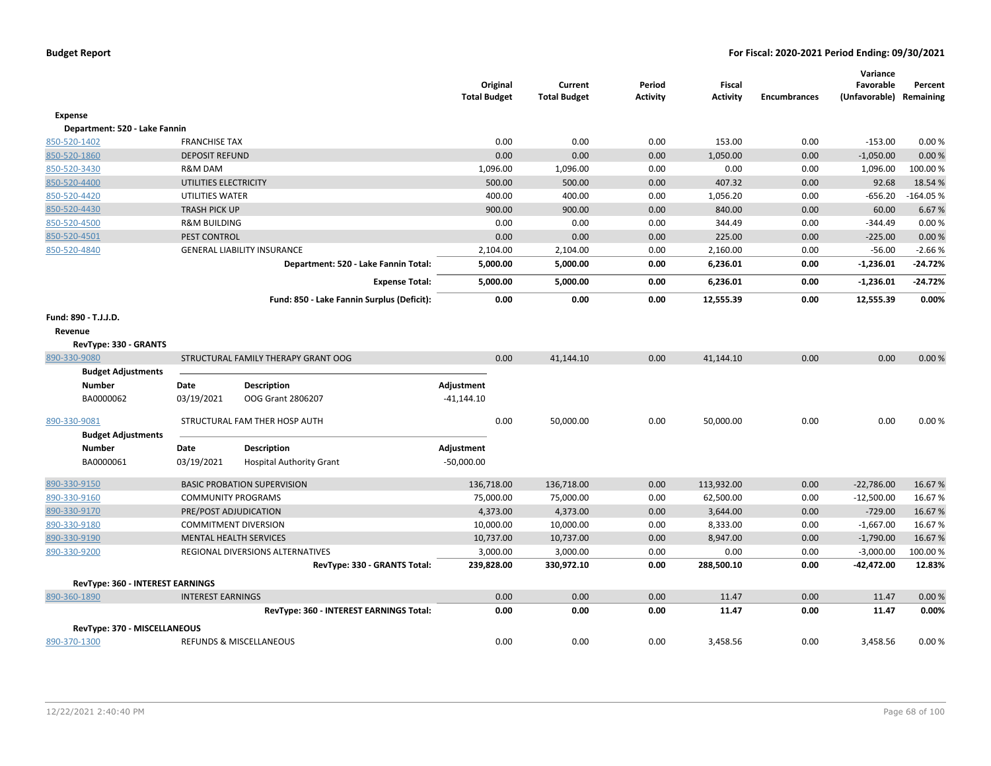|                                                          |                           |                                            | <b>Total Budget</b> | Original | Current<br><b>Total Budget</b> | Period<br><b>Activity</b> | <b>Fiscal</b><br><b>Activity</b> | <b>Encumbrances</b> | Variance<br>Favorable<br>(Unfavorable) Remaining | Percent    |
|----------------------------------------------------------|---------------------------|--------------------------------------------|---------------------|----------|--------------------------------|---------------------------|----------------------------------|---------------------|--------------------------------------------------|------------|
| Expense                                                  |                           |                                            |                     |          |                                |                           |                                  |                     |                                                  |            |
| Department: 520 - Lake Fannin                            |                           |                                            |                     |          |                                |                           |                                  |                     |                                                  |            |
| 850-520-1402                                             | <b>FRANCHISE TAX</b>      |                                            |                     | 0.00     | 0.00                           | 0.00                      | 153.00                           | 0.00                | $-153.00$                                        | 0.00%      |
| 850-520-1860                                             | <b>DEPOSIT REFUND</b>     |                                            |                     | 0.00     | 0.00                           | 0.00                      | 1,050.00                         | 0.00                | $-1,050.00$                                      | 0.00%      |
| 850-520-3430                                             | R&M DAM                   |                                            |                     | 1,096.00 | 1,096.00                       | 0.00                      | 0.00                             | 0.00                | 1,096.00                                         | 100.00%    |
| 850-520-4400                                             | UTILITIES ELECTRICITY     |                                            |                     | 500.00   | 500.00                         | 0.00                      | 407.32                           | 0.00                | 92.68                                            | 18.54 %    |
| 850-520-4420                                             | UTILITIES WATER           |                                            |                     | 400.00   | 400.00                         | 0.00                      | 1,056.20                         | 0.00                | $-656.20$                                        | $-164.05%$ |
| 850-520-4430                                             | <b>TRASH PICK UP</b>      |                                            |                     | 900.00   | 900.00                         | 0.00                      | 840.00                           | 0.00                | 60.00                                            | 6.67%      |
| 850-520-4500                                             | <b>R&amp;M BUILDING</b>   |                                            |                     | 0.00     | 0.00                           | 0.00                      | 344.49                           | 0.00                | $-344.49$                                        | 0.00%      |
| 850-520-4501                                             | PEST CONTROL              |                                            |                     | 0.00     | 0.00                           | 0.00                      | 225.00                           | 0.00                | $-225.00$                                        | 0.00%      |
| 850-520-4840                                             |                           | <b>GENERAL LIABILITY INSURANCE</b>         |                     | 2,104.00 | 2,104.00                       | 0.00                      | 2,160.00                         | 0.00                | $-56.00$                                         | $-2.66%$   |
|                                                          |                           | Department: 520 - Lake Fannin Total:       |                     | 5,000.00 | 5,000.00                       | 0.00                      | 6,236.01                         | 0.00                | $-1,236.01$                                      | -24.72%    |
|                                                          |                           | <b>Expense Total:</b>                      |                     | 5,000.00 | 5,000.00                       | 0.00                      | 6,236.01                         | 0.00                | $-1,236.01$                                      | -24.72%    |
|                                                          |                           | Fund: 850 - Lake Fannin Surplus (Deficit): |                     | 0.00     | 0.00                           | 0.00                      | 12,555.39                        | 0.00                | 12,555.39                                        | 0.00%      |
| Fund: 890 - T.J.J.D.<br>Revenue<br>RevType: 330 - GRANTS |                           |                                            |                     |          |                                |                           |                                  |                     |                                                  |            |
| 890-330-9080                                             |                           | STRUCTURAL FAMILY THERAPY GRANT OOG        |                     | 0.00     | 41,144.10                      | 0.00                      | 41,144.10                        | 0.00                | 0.00                                             | 0.00%      |
| <b>Budget Adjustments</b>                                |                           |                                            |                     |          |                                |                           |                                  |                     |                                                  |            |
| <b>Number</b>                                            | Date                      | Description                                | Adjustment          |          |                                |                           |                                  |                     |                                                  |            |
| BA0000062                                                | 03/19/2021                | OOG Grant 2806207                          | $-41,144.10$        |          |                                |                           |                                  |                     |                                                  |            |
| 890-330-9081                                             |                           | STRUCTURAL FAM THER HOSP AUTH              |                     | 0.00     | 50,000.00                      | 0.00                      | 50,000.00                        | 0.00                | 0.00                                             | 0.00%      |
| <b>Budget Adjustments</b>                                |                           |                                            |                     |          |                                |                           |                                  |                     |                                                  |            |
| <b>Number</b>                                            | Date                      | <b>Description</b>                         | Adjustment          |          |                                |                           |                                  |                     |                                                  |            |
| BA0000061                                                | 03/19/2021                | <b>Hospital Authority Grant</b>            | $-50,000.00$        |          |                                |                           |                                  |                     |                                                  |            |
| 890-330-9150                                             |                           | <b>BASIC PROBATION SUPERVISION</b>         | 136,718.00          |          | 136,718.00                     | 0.00                      | 113,932.00                       | 0.00                | $-22,786.00$                                     | 16.67%     |
| 890-330-9160                                             | <b>COMMUNITY PROGRAMS</b> |                                            | 75,000.00           |          | 75,000.00                      | 0.00                      | 62,500.00                        | 0.00                | $-12,500.00$                                     | 16.67%     |
| 890-330-9170                                             | PRE/POST ADJUDICATION     |                                            |                     | 4,373.00 | 4,373.00                       | 0.00                      | 3,644.00                         | 0.00                | $-729.00$                                        | 16.67%     |
| 890-330-9180                                             |                           | <b>COMMITMENT DIVERSION</b>                | 10,000.00           |          | 10,000.00                      | 0.00                      | 8,333.00                         | 0.00                | $-1,667.00$                                      | 16.67%     |
| 890-330-9190                                             |                           | <b>MENTAL HEALTH SERVICES</b>              | 10,737.00           |          | 10,737.00                      | 0.00                      | 8,947.00                         | 0.00                | $-1,790.00$                                      | 16.67%     |
| 890-330-9200                                             |                           | REGIONAL DIVERSIONS ALTERNATIVES           |                     | 3,000.00 | 3,000.00                       | 0.00                      | 0.00                             | 0.00                | $-3,000.00$                                      | 100.00%    |
|                                                          |                           | RevType: 330 - GRANTS Total:               | 239,828.00          |          | 330,972.10                     | 0.00                      | 288,500.10                       | 0.00                | -42,472.00                                       | 12.83%     |
| <b>RevType: 360 - INTEREST EARNINGS</b>                  |                           |                                            |                     |          |                                |                           |                                  |                     |                                                  |            |
| 890-360-1890                                             | <b>INTEREST EARNINGS</b>  |                                            |                     | 0.00     | 0.00                           | 0.00                      | 11.47                            | 0.00                | 11.47                                            | 0.00%      |
|                                                          |                           | RevType: 360 - INTEREST EARNINGS Total:    |                     | 0.00     | 0.00                           | 0.00                      | 11.47                            | 0.00                | 11.47                                            | 0.00%      |
| RevType: 370 - MISCELLANEOUS                             |                           |                                            |                     |          |                                |                           |                                  |                     |                                                  |            |
| 890-370-1300                                             |                           | REFUNDS & MISCELLANEOUS                    |                     | 0.00     | 0.00                           | 0.00                      | 3,458.56                         | 0.00                | 3,458.56                                         | 0.00%      |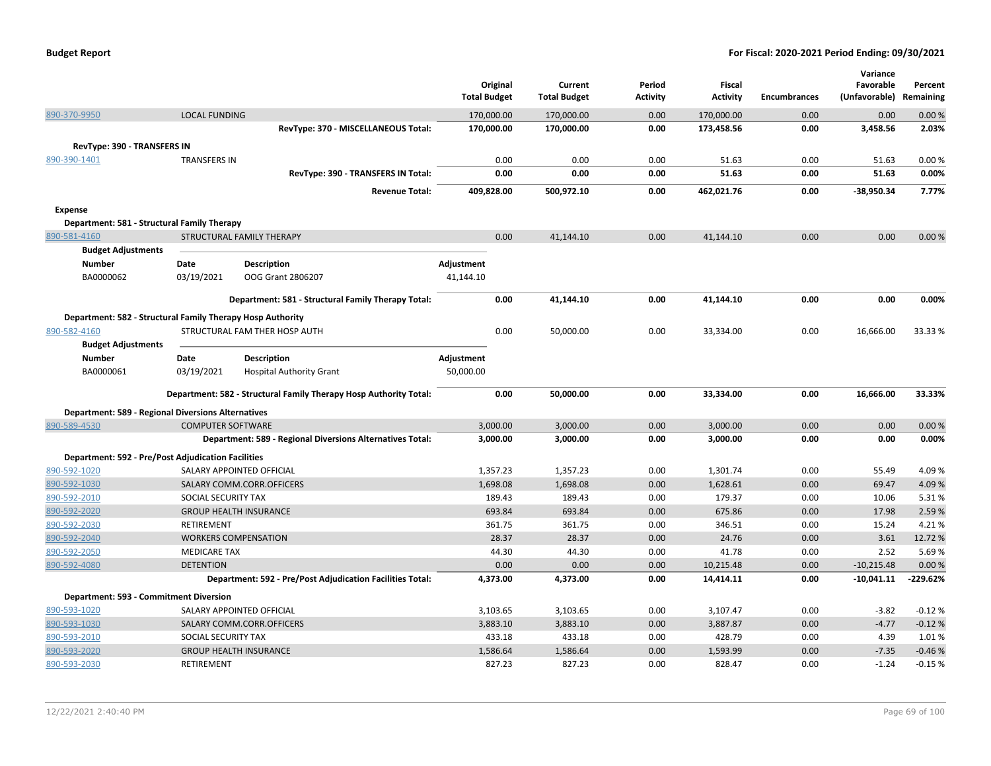| <b>Budget Report</b> |  |
|----------------------|--|
|----------------------|--|

|                                                                           |                          |                                                                   |                     |                     |                 |                    |                     | Variance       |                |
|---------------------------------------------------------------------------|--------------------------|-------------------------------------------------------------------|---------------------|---------------------|-----------------|--------------------|---------------------|----------------|----------------|
|                                                                           |                          |                                                                   | Original            | Current             | Period          | <b>Fiscal</b>      |                     | Favorable      | Percent        |
|                                                                           |                          |                                                                   | <b>Total Budget</b> | <b>Total Budget</b> | <b>Activity</b> | <b>Activity</b>    | <b>Encumbrances</b> | (Unfavorable)  | Remaining      |
| 890-370-9950                                                              | <b>LOCAL FUNDING</b>     |                                                                   | 170,000.00          | 170,000.00          | 0.00            | 170,000.00         | 0.00                | 0.00           | 0.00%          |
|                                                                           |                          | RevType: 370 - MISCELLANEOUS Total:                               | 170,000.00          | 170,000.00          | 0.00            | 173,458.56         | 0.00                | 3,458.56       | 2.03%          |
| RevType: 390 - TRANSFERS IN                                               |                          |                                                                   |                     |                     |                 |                    |                     |                |                |
| 890-390-1401                                                              | <b>TRANSFERS IN</b>      |                                                                   | 0.00                | 0.00                | 0.00            | 51.63              | 0.00                | 51.63          | 0.00%          |
|                                                                           |                          | RevType: 390 - TRANSFERS IN Total:                                | 0.00                | 0.00                | 0.00            | 51.63              | 0.00                | 51.63          | 0.00%          |
|                                                                           |                          | <b>Revenue Total:</b>                                             | 409,828.00          | 500,972.10          | 0.00            | 462,021.76         | 0.00                | $-38,950.34$   | 7.77%          |
| Expense                                                                   |                          |                                                                   |                     |                     |                 |                    |                     |                |                |
| Department: 581 - Structural Family Therapy                               |                          |                                                                   |                     |                     |                 |                    |                     |                |                |
| 890-581-4160                                                              |                          | STRUCTURAL FAMILY THERAPY                                         | 0.00                | 41,144.10           | 0.00            | 41,144.10          | 0.00                | 0.00           | 0.00%          |
| <b>Budget Adjustments</b>                                                 |                          |                                                                   |                     |                     |                 |                    |                     |                |                |
| <b>Number</b>                                                             | Date                     | <b>Description</b>                                                | Adjustment          |                     |                 |                    |                     |                |                |
| BA0000062                                                                 | 03/19/2021               | OOG Grant 2806207                                                 | 41,144.10           |                     |                 |                    |                     |                |                |
|                                                                           |                          | Department: 581 - Structural Family Therapy Total:                | 0.00                | 41,144.10           | 0.00            | 41,144.10          | 0.00                | 0.00           | 0.00%          |
| Department: 582 - Structural Family Therapy Hosp Authority                |                          |                                                                   |                     |                     |                 |                    |                     |                |                |
| 890-582-4160                                                              |                          | STRUCTURAL FAM THER HOSP AUTH                                     | 0.00                | 50,000.00           | 0.00            | 33,334.00          | 0.00                | 16,666.00      | 33.33 %        |
| <b>Budget Adjustments</b>                                                 |                          |                                                                   |                     |                     |                 |                    |                     |                |                |
| <b>Number</b>                                                             | Date                     | Description                                                       | Adjustment          |                     |                 |                    |                     |                |                |
| BA0000061                                                                 | 03/19/2021               | <b>Hospital Authority Grant</b>                                   | 50,000.00           |                     |                 |                    |                     |                |                |
|                                                                           |                          | Department: 582 - Structural Family Therapy Hosp Authority Total: | 0.00                | 50,000.00           | 0.00            | 33,334.00          | 0.00                | 16,666.00      | 33.33%         |
|                                                                           |                          |                                                                   |                     |                     |                 |                    |                     |                |                |
| <b>Department: 589 - Regional Diversions Alternatives</b><br>890-589-4530 | <b>COMPUTER SOFTWARE</b> |                                                                   | 3,000.00            | 3,000.00            | 0.00            | 3,000.00           | 0.00                | 0.00           | 0.00%          |
|                                                                           |                          | <b>Department: 589 - Regional Diversions Alternatives Total:</b>  | 3,000.00            | 3,000.00            | 0.00            | 3,000.00           | 0.00                | 0.00           | 0.00%          |
|                                                                           |                          |                                                                   |                     |                     |                 |                    |                     |                |                |
| <b>Department: 592 - Pre/Post Adjudication Facilities</b>                 |                          |                                                                   |                     |                     |                 |                    |                     |                |                |
| 890-592-1020                                                              |                          | SALARY APPOINTED OFFICIAL                                         | 1,357.23            | 1,357.23            | 0.00            | 1,301.74           | 0.00                | 55.49          | 4.09%          |
| 890-592-1030<br>890-592-2010                                              | SOCIAL SECURITY TAX      | SALARY COMM.CORR.OFFICERS                                         | 1,698.08<br>189.43  | 1,698.08<br>189.43  | 0.00<br>0.00    | 1,628.61<br>179.37 | 0.00<br>0.00        | 69.47<br>10.06 | 4.09%<br>5.31% |
| 890-592-2020                                                              |                          | <b>GROUP HEALTH INSURANCE</b>                                     | 693.84              | 693.84              | 0.00            | 675.86             | 0.00                | 17.98          | 2.59%          |
| 890-592-2030                                                              | <b>RETIREMENT</b>        |                                                                   | 361.75              | 361.75              | 0.00            | 346.51             | 0.00                | 15.24          | 4.21%          |
| 890-592-2040                                                              |                          | <b>WORKERS COMPENSATION</b>                                       | 28.37               | 28.37               | 0.00            | 24.76              | 0.00                | 3.61           | 12.72%         |
| 890-592-2050                                                              | <b>MEDICARE TAX</b>      |                                                                   | 44.30               | 44.30               | 0.00            | 41.78              | 0.00                | 2.52           | 5.69%          |
| 890-592-4080                                                              | <b>DETENTION</b>         |                                                                   | 0.00                | 0.00                | 0.00            | 10,215.48          | 0.00                | $-10,215.48$   | 0.00%          |
|                                                                           |                          | Department: 592 - Pre/Post Adjudication Facilities Total:         | 4,373.00            | 4,373.00            | 0.00            | 14,414.11          | 0.00                | $-10,041.11$   | $-229.62%$     |
| Department: 593 - Commitment Diversion                                    |                          |                                                                   |                     |                     |                 |                    |                     |                |                |
| 890-593-1020                                                              |                          | SALARY APPOINTED OFFICIAL                                         | 3,103.65            | 3,103.65            | 0.00            | 3,107.47           | 0.00                | $-3.82$        | $-0.12%$       |
| 890-593-1030                                                              |                          | SALARY COMM.CORR.OFFICERS                                         | 3,883.10            | 3,883.10            | 0.00            | 3,887.87           | 0.00                | $-4.77$        | $-0.12%$       |
| 890-593-2010                                                              | SOCIAL SECURITY TAX      |                                                                   | 433.18              | 433.18              | 0.00            | 428.79             | 0.00                | 4.39           | 1.01%          |
| 890-593-2020                                                              |                          | <b>GROUP HEALTH INSURANCE</b>                                     | 1,586.64            | 1,586.64            | 0.00            | 1,593.99           | 0.00                | $-7.35$        | $-0.46%$       |
| 890-593-2030                                                              | <b>RETIREMENT</b>        |                                                                   | 827.23              | 827.23              | 0.00            | 828.47             | 0.00                | $-1.24$        | $-0.15%$       |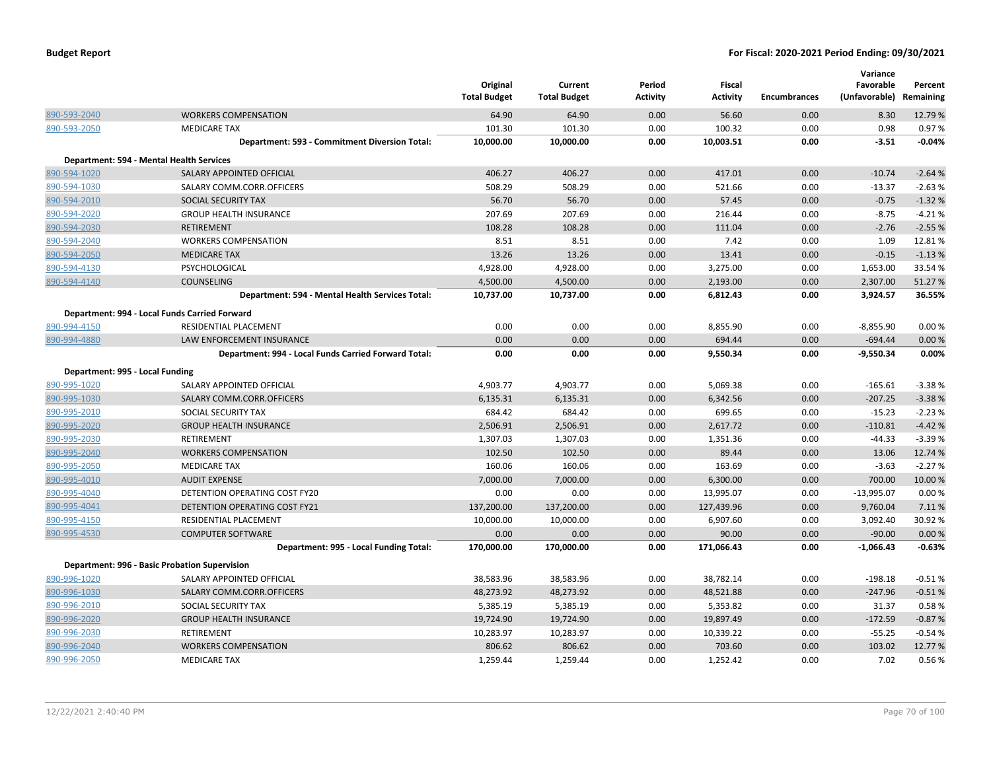|                                 |                                                      | Original<br><b>Total Budget</b> | Current<br><b>Total Budget</b> | Period<br><b>Activity</b> | <b>Fiscal</b><br><b>Activity</b> | <b>Encumbrances</b> | Variance<br>Favorable<br>(Unfavorable) | Percent<br>Remaining |
|---------------------------------|------------------------------------------------------|---------------------------------|--------------------------------|---------------------------|----------------------------------|---------------------|----------------------------------------|----------------------|
| 890-593-2040                    | <b>WORKERS COMPENSATION</b>                          | 64.90                           | 64.90                          | 0.00                      | 56.60                            | 0.00                | 8.30                                   | 12.79 %              |
| 890-593-2050                    | <b>MEDICARE TAX</b>                                  | 101.30                          | 101.30                         | 0.00                      | 100.32                           | 0.00                | 0.98                                   | 0.97%                |
|                                 | Department: 593 - Commitment Diversion Total:        | 10,000.00                       | 10,000.00                      | 0.00                      | 10,003.51                        | 0.00                | $-3.51$                                | $-0.04%$             |
|                                 | Department: 594 - Mental Health Services             |                                 |                                |                           |                                  |                     |                                        |                      |
| 890-594-1020                    | SALARY APPOINTED OFFICIAL                            | 406.27                          | 406.27                         | 0.00                      | 417.01                           | 0.00                | $-10.74$                               | $-2.64%$             |
| 890-594-1030                    | SALARY COMM.CORR.OFFICERS                            | 508.29                          | 508.29                         | 0.00                      | 521.66                           | 0.00                | $-13.37$                               | $-2.63%$             |
| 890-594-2010                    | SOCIAL SECURITY TAX                                  | 56.70                           | 56.70                          | 0.00                      | 57.45                            | 0.00                | $-0.75$                                | $-1.32%$             |
| 890-594-2020                    | <b>GROUP HEALTH INSURANCE</b>                        | 207.69                          | 207.69                         | 0.00                      | 216.44                           | 0.00                | $-8.75$                                | $-4.21%$             |
| 890-594-2030                    | <b>RETIREMENT</b>                                    | 108.28                          | 108.28                         | 0.00                      | 111.04                           | 0.00                | $-2.76$                                | $-2.55%$             |
| 890-594-2040                    | <b>WORKERS COMPENSATION</b>                          | 8.51                            | 8.51                           | 0.00                      | 7.42                             | 0.00                | 1.09                                   | 12.81%               |
| 890-594-2050                    | <b>MEDICARE TAX</b>                                  | 13.26                           | 13.26                          | 0.00                      | 13.41                            | 0.00                | $-0.15$                                | $-1.13%$             |
| 890-594-4130                    | PSYCHOLOGICAL                                        | 4,928.00                        | 4,928.00                       | 0.00                      | 3,275.00                         | 0.00                | 1,653.00                               | 33.54 %              |
| 890-594-4140                    | <b>COUNSELING</b>                                    | 4,500.00                        | 4,500.00                       | 0.00                      | 2,193.00                         | 0.00                | 2,307.00                               | 51.27%               |
|                                 | Department: 594 - Mental Health Services Total:      | 10,737.00                       | 10,737.00                      | 0.00                      | 6,812.43                         | 0.00                | 3,924.57                               | 36.55%               |
|                                 | Department: 994 - Local Funds Carried Forward        |                                 |                                |                           |                                  |                     |                                        |                      |
| 890-994-4150                    | RESIDENTIAL PLACEMENT                                | 0.00                            | 0.00                           | 0.00                      | 8,855.90                         | 0.00                | $-8,855.90$                            | 0.00%                |
| 890-994-4880                    | LAW ENFORCEMENT INSURANCE                            | 0.00                            | 0.00                           | 0.00                      | 694.44                           | 0.00                | $-694.44$                              | 0.00%                |
|                                 | Department: 994 - Local Funds Carried Forward Total: | 0.00                            | 0.00                           | 0.00                      | 9,550.34                         | 0.00                | $-9,550.34$                            | 0.00%                |
| Department: 995 - Local Funding |                                                      |                                 |                                |                           |                                  |                     |                                        |                      |
| 890-995-1020                    | SALARY APPOINTED OFFICIAL                            | 4,903.77                        | 4,903.77                       | 0.00                      | 5,069.38                         | 0.00                | $-165.61$                              | $-3.38%$             |
| 890-995-1030                    | SALARY COMM.CORR.OFFICERS                            | 6,135.31                        | 6,135.31                       | 0.00                      | 6,342.56                         | 0.00                | $-207.25$                              | $-3.38%$             |
| 890-995-2010                    | SOCIAL SECURITY TAX                                  | 684.42                          | 684.42                         | 0.00                      | 699.65                           | 0.00                | $-15.23$                               | $-2.23%$             |
| 890-995-2020                    | <b>GROUP HEALTH INSURANCE</b>                        | 2,506.91                        | 2,506.91                       | 0.00                      | 2,617.72                         | 0.00                | $-110.81$                              | $-4.42%$             |
| 890-995-2030                    | RETIREMENT                                           | 1,307.03                        | 1,307.03                       | 0.00                      | 1,351.36                         | 0.00                | $-44.33$                               | $-3.39%$             |
| 890-995-2040                    | <b>WORKERS COMPENSATION</b>                          | 102.50                          | 102.50                         | 0.00                      | 89.44                            | 0.00                | 13.06                                  | 12.74 %              |
| 890-995-2050                    | <b>MEDICARE TAX</b>                                  | 160.06                          | 160.06                         | 0.00                      | 163.69                           | 0.00                | $-3.63$                                | $-2.27%$             |
| 890-995-4010                    | <b>AUDIT EXPENSE</b>                                 | 7,000.00                        | 7,000.00                       | 0.00                      | 6,300.00                         | 0.00                | 700.00                                 | 10.00 %              |
| 890-995-4040                    | DETENTION OPERATING COST FY20                        | 0.00                            | 0.00                           | 0.00                      | 13,995.07                        | 0.00                | $-13,995.07$                           | 0.00%                |
| 890-995-4041                    | DETENTION OPERATING COST FY21                        | 137,200.00                      | 137,200.00                     | 0.00                      | 127,439.96                       | 0.00                | 9,760.04                               | 7.11%                |
| 890-995-4150                    | RESIDENTIAL PLACEMENT                                | 10,000.00                       | 10,000.00                      | 0.00                      | 6,907.60                         | 0.00                | 3,092.40                               | 30.92 %              |
| 890-995-4530                    | <b>COMPUTER SOFTWARE</b>                             | 0.00                            | 0.00                           | 0.00                      | 90.00                            | 0.00                | $-90.00$                               | 0.00%                |
|                                 | Department: 995 - Local Funding Total:               | 170,000.00                      | 170,000.00                     | 0.00                      | 171,066.43                       | 0.00                | -1,066.43                              | $-0.63%$             |
|                                 | Department: 996 - Basic Probation Supervision        |                                 |                                |                           |                                  |                     |                                        |                      |
| 890-996-1020                    | SALARY APPOINTED OFFICIAL                            | 38,583.96                       | 38,583.96                      | 0.00                      | 38,782.14                        | 0.00                | $-198.18$                              | $-0.51%$             |
| 890-996-1030                    | SALARY COMM.CORR.OFFICERS                            | 48,273.92                       | 48,273.92                      | 0.00                      | 48,521.88                        | 0.00                | $-247.96$                              | $-0.51%$             |
| 890-996-2010                    | SOCIAL SECURITY TAX                                  | 5,385.19                        | 5,385.19                       | 0.00                      | 5,353.82                         | 0.00                | 31.37                                  | 0.58%                |
| 890-996-2020                    | <b>GROUP HEALTH INSURANCE</b>                        | 19,724.90                       | 19,724.90                      | 0.00                      | 19,897.49                        | 0.00                | $-172.59$                              | $-0.87%$             |
| 890-996-2030                    | RETIREMENT                                           | 10,283.97                       | 10,283.97                      | 0.00                      | 10,339.22                        | 0.00                | $-55.25$                               | $-0.54%$             |
| 890-996-2040                    | <b>WORKERS COMPENSATION</b>                          | 806.62                          | 806.62                         | 0.00                      | 703.60                           | 0.00                | 103.02                                 | 12.77%               |
| 890-996-2050                    | <b>MEDICARE TAX</b>                                  | 1,259.44                        | 1,259.44                       | 0.00                      | 1,252.42                         | 0.00                | 7.02                                   | 0.56%                |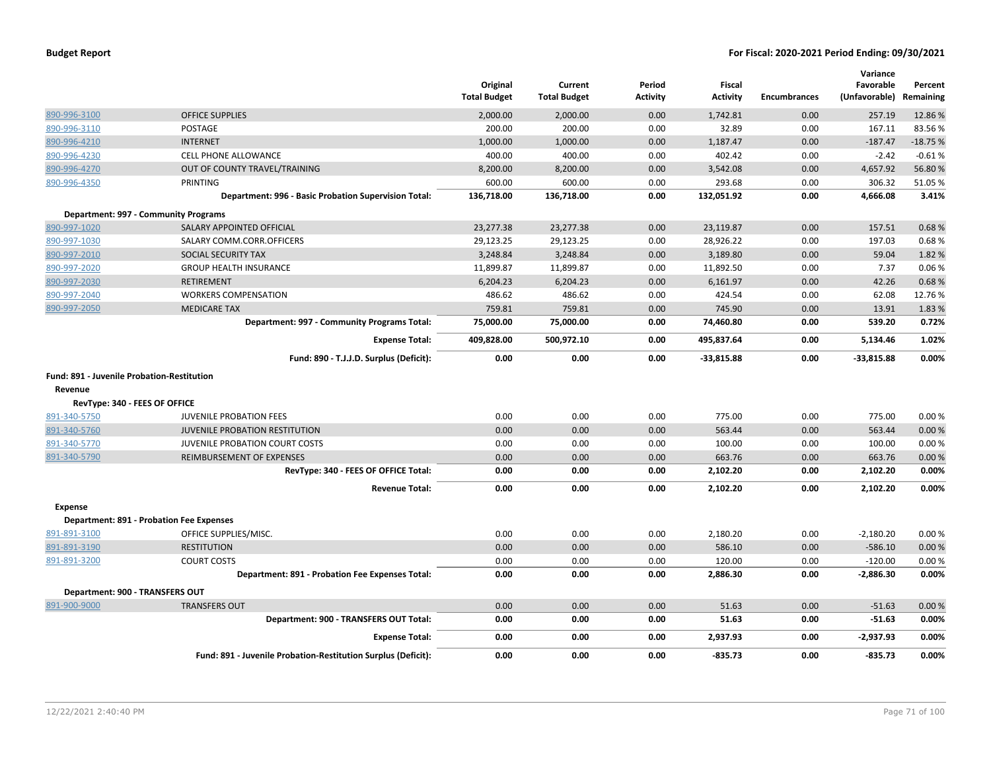|                                            |                                                               | Original<br><b>Total Budget</b> | Current<br><b>Total Budget</b> | Period<br>Activity | <b>Fiscal</b><br><b>Activity</b> | <b>Encumbrances</b> | Variance<br>Favorable<br>(Unfavorable) | Percent<br>Remaining |
|--------------------------------------------|---------------------------------------------------------------|---------------------------------|--------------------------------|--------------------|----------------------------------|---------------------|----------------------------------------|----------------------|
| 890-996-3100                               | <b>OFFICE SUPPLIES</b>                                        | 2,000.00                        | 2,000.00                       | 0.00               | 1,742.81                         | 0.00                | 257.19                                 | 12.86%               |
| 890-996-3110                               | <b>POSTAGE</b>                                                | 200.00                          | 200.00                         | 0.00               | 32.89                            | 0.00                | 167.11                                 | 83.56%               |
| 890-996-4210                               | <b>INTERNET</b>                                               | 1,000.00                        | 1,000.00                       | 0.00               | 1,187.47                         | 0.00                | $-187.47$                              | $-18.75%$            |
| 890-996-4230                               | CELL PHONE ALLOWANCE                                          | 400.00                          | 400.00                         | 0.00               | 402.42                           | 0.00                | $-2.42$                                | $-0.61%$             |
| 890-996-4270                               | OUT OF COUNTY TRAVEL/TRAINING                                 | 8,200.00                        | 8,200.00                       | 0.00               | 3,542.08                         | 0.00                | 4,657.92                               | 56.80%               |
| 890-996-4350                               | <b>PRINTING</b>                                               | 600.00                          | 600.00                         | 0.00               | 293.68                           | 0.00                | 306.32                                 | 51.05%               |
|                                            | Department: 996 - Basic Probation Supervision Total:          | 136,718.00                      | 136,718.00                     | 0.00               | 132,051.92                       | 0.00                | 4,666.08                               | 3.41%                |
| Department: 997 - Community Programs       |                                                               |                                 |                                |                    |                                  |                     |                                        |                      |
| 890-997-1020                               | SALARY APPOINTED OFFICIAL                                     | 23,277.38                       | 23,277.38                      | 0.00               | 23,119.87                        | 0.00                | 157.51                                 | 0.68%                |
| 890-997-1030                               | SALARY COMM.CORR.OFFICERS                                     | 29,123.25                       | 29,123.25                      | 0.00               | 28,926.22                        | 0.00                | 197.03                                 | 0.68%                |
| 890-997-2010                               | SOCIAL SECURITY TAX                                           | 3,248.84                        | 3,248.84                       | 0.00               | 3,189.80                         | 0.00                | 59.04                                  | 1.82%                |
| 890-997-2020                               | <b>GROUP HEALTH INSURANCE</b>                                 | 11,899.87                       | 11,899.87                      | 0.00               | 11,892.50                        | 0.00                | 7.37                                   | 0.06%                |
| 890-997-2030                               | <b>RETIREMENT</b>                                             | 6,204.23                        | 6,204.23                       | 0.00               | 6,161.97                         | 0.00                | 42.26                                  | 0.68%                |
| 890-997-2040                               | <b>WORKERS COMPENSATION</b>                                   | 486.62                          | 486.62                         | 0.00               | 424.54                           | 0.00                | 62.08                                  | 12.76%               |
| 890-997-2050                               | <b>MEDICARE TAX</b>                                           | 759.81                          | 759.81                         | 0.00               | 745.90                           | 0.00                | 13.91                                  | 1.83%                |
|                                            | Department: 997 - Community Programs Total:                   | 75,000.00                       | 75,000.00                      | 0.00               | 74,460.80                        | 0.00                | 539.20                                 | 0.72%                |
|                                            | <b>Expense Total:</b>                                         | 409,828.00                      | 500,972.10                     | 0.00               | 495,837.64                       | 0.00                | 5,134.46                               | 1.02%                |
|                                            | Fund: 890 - T.J.J.D. Surplus (Deficit):                       | 0.00                            | 0.00                           | 0.00               | $-33,815.88$                     | 0.00                | $-33,815.88$                           | 0.00%                |
| Fund: 891 - Juvenile Probation-Restitution |                                                               |                                 |                                |                    |                                  |                     |                                        |                      |
| Revenue                                    |                                                               |                                 |                                |                    |                                  |                     |                                        |                      |
| RevType: 340 - FEES OF OFFICE              |                                                               |                                 |                                |                    |                                  |                     |                                        |                      |
| 891-340-5750                               | <b>JUVENILE PROBATION FEES</b>                                | 0.00                            | 0.00                           | 0.00               | 775.00                           | 0.00                | 775.00                                 | 0.00%                |
| 891-340-5760                               | <b>JUVENILE PROBATION RESTITUTION</b>                         | 0.00                            | 0.00                           | 0.00               | 563.44                           | 0.00                | 563.44                                 | 0.00%                |
| 891-340-5770                               | JUVENILE PROBATION COURT COSTS                                | 0.00                            | 0.00                           | 0.00               | 100.00                           | 0.00                | 100.00                                 | 0.00%                |
| 891-340-5790                               | REIMBURSEMENT OF EXPENSES                                     | 0.00                            | 0.00                           | 0.00               | 663.76                           | 0.00                | 663.76                                 | 0.00%                |
|                                            | RevType: 340 - FEES OF OFFICE Total:                          | 0.00                            | 0.00                           | 0.00               | 2,102.20                         | 0.00                | 2,102.20                               | 0.00%                |
|                                            | <b>Revenue Total:</b>                                         | 0.00                            | 0.00                           | 0.00               | 2,102.20                         | 0.00                | 2,102.20                               | 0.00%                |
| <b>Expense</b>                             |                                                               |                                 |                                |                    |                                  |                     |                                        |                      |
| Department: 891 - Probation Fee Expenses   |                                                               |                                 |                                |                    |                                  |                     |                                        |                      |
| 891-891-3100                               | OFFICE SUPPLIES/MISC.                                         | 0.00                            | 0.00                           | 0.00               | 2,180.20                         | 0.00                | $-2,180.20$                            | 0.00%                |
| 891-891-3190                               | <b>RESTITUTION</b>                                            | 0.00                            | 0.00                           | 0.00               | 586.10                           | 0.00                | $-586.10$                              | 0.00%                |
| 891-891-3200                               | <b>COURT COSTS</b>                                            | 0.00                            | 0.00                           | 0.00               | 120.00                           | 0.00                | $-120.00$                              | 0.00%                |
|                                            | Department: 891 - Probation Fee Expenses Total:               | 0.00                            | 0.00                           | 0.00               | 2,886.30                         | 0.00                | $-2,886.30$                            | 0.00%                |
| Department: 900 - TRANSFERS OUT            |                                                               |                                 |                                |                    |                                  |                     |                                        |                      |
| 891-900-9000                               | <b>TRANSFERS OUT</b>                                          | 0.00                            | 0.00                           | 0.00               | 51.63                            | 0.00                | $-51.63$                               | 0.00%                |
|                                            | Department: 900 - TRANSFERS OUT Total:                        | 0.00                            | 0.00                           | 0.00               | 51.63                            | 0.00                | $-51.63$                               | 0.00%                |
|                                            | <b>Expense Total:</b>                                         | 0.00                            | 0.00                           | 0.00               | 2,937.93                         | 0.00                | $-2,937.93$                            | 0.00%                |
|                                            | Fund: 891 - Juvenile Probation-Restitution Surplus (Deficit): | 0.00                            | 0.00                           | 0.00               | $-835.73$                        | 0.00                | $-835.73$                              | 0.00%                |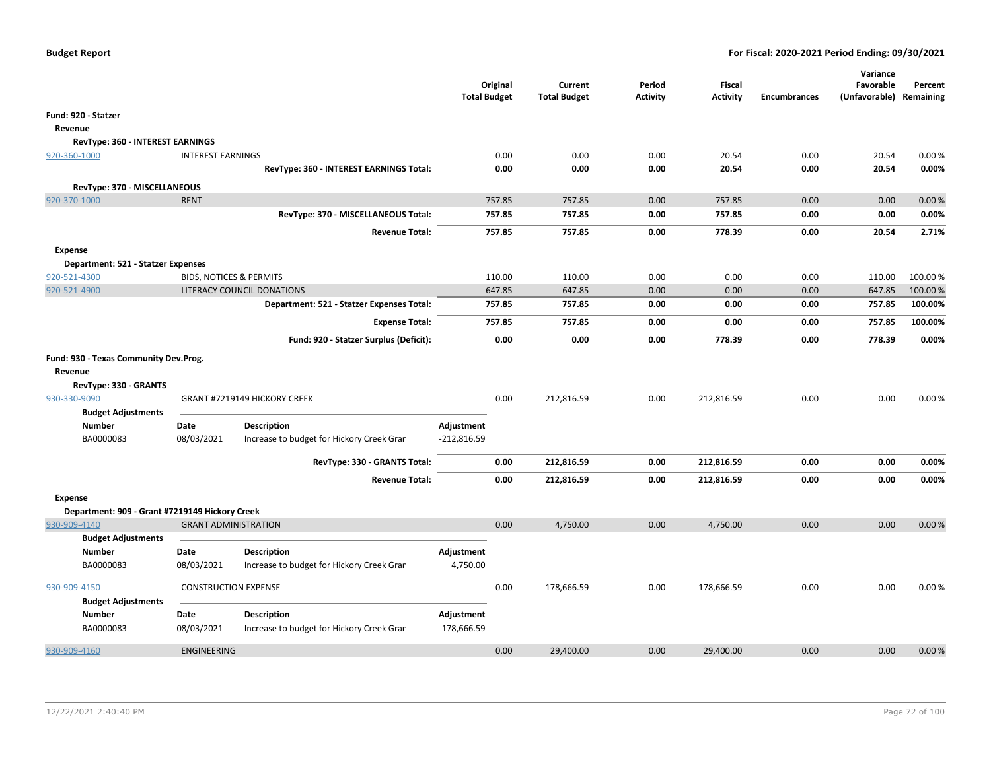| <b>Total Budget</b><br><b>Total Budget</b><br><b>Activity</b><br><b>Activity</b><br><b>Encumbrances</b><br>(Unfavorable) Remaining<br>Fund: 920 - Statzer<br>Revenue<br>RevType: 360 - INTEREST EARNINGS<br>0.00<br>0.00<br>20.54<br>0.00<br>20.54<br>920-360-1000<br><b>INTEREST EARNINGS</b><br>0.00<br>0.00%<br>RevType: 360 - INTEREST EARNINGS Total:<br>0.00<br>0.00<br>20.54<br>0.00%<br>0.00<br>0.00<br>20.54<br>RevType: 370 - MISCELLANEOUS<br><b>RENT</b><br>0.00<br>920-370-1000<br>757.85<br>757.85<br>0.00<br>757.85<br>0.00<br>0.00%<br>RevType: 370 - MISCELLANEOUS Total:<br>757.85<br>757.85<br>0.00<br>757.85<br>0.00<br>0.00<br>0.00%<br>757.85<br>757.85<br>0.00<br>778.39<br>0.00<br>20.54<br>2.71%<br><b>Revenue Total:</b><br><b>Expense</b><br>Department: 521 - Statzer Expenses<br>920-521-4300<br><b>BIDS, NOTICES &amp; PERMITS</b><br>110.00<br>0.00<br>0.00<br>0.00<br>110.00<br>100.00%<br>110.00<br>920-521-4900<br>LITERACY COUNCIL DONATIONS<br>647.85<br>647.85<br>0.00<br>0.00<br>0.00<br>647.85<br>100.00%<br>0.00<br>0.00<br>757.85<br>100.00%<br>Department: 521 - Statzer Expenses Total:<br>757.85<br>757.85<br>0.00<br>757.85<br>757.85<br>757.85<br>100.00%<br>0.00<br>0.00<br>0.00<br><b>Expense Total:</b><br>778.39<br>778.39<br>0.00%<br>Fund: 920 - Statzer Surplus (Deficit):<br>0.00<br>0.00<br>0.00<br>0.00<br>Fund: 930 - Texas Community Dev.Prog.<br>Revenue<br>RevType: 330 - GRANTS<br>0.00<br>0.00<br>930-330-9090<br>GRANT #7219149 HICKORY CREEK<br>212,816.59<br>0.00<br>212,816.59<br>0.00<br>0.00% |
|-------------------------------------------------------------------------------------------------------------------------------------------------------------------------------------------------------------------------------------------------------------------------------------------------------------------------------------------------------------------------------------------------------------------------------------------------------------------------------------------------------------------------------------------------------------------------------------------------------------------------------------------------------------------------------------------------------------------------------------------------------------------------------------------------------------------------------------------------------------------------------------------------------------------------------------------------------------------------------------------------------------------------------------------------------------------------------------------------------------------------------------------------------------------------------------------------------------------------------------------------------------------------------------------------------------------------------------------------------------------------------------------------------------------------------------------------------------------------------------------------------------------------------------------------------------------|
|                                                                                                                                                                                                                                                                                                                                                                                                                                                                                                                                                                                                                                                                                                                                                                                                                                                                                                                                                                                                                                                                                                                                                                                                                                                                                                                                                                                                                                                                                                                                                                   |
|                                                                                                                                                                                                                                                                                                                                                                                                                                                                                                                                                                                                                                                                                                                                                                                                                                                                                                                                                                                                                                                                                                                                                                                                                                                                                                                                                                                                                                                                                                                                                                   |
|                                                                                                                                                                                                                                                                                                                                                                                                                                                                                                                                                                                                                                                                                                                                                                                                                                                                                                                                                                                                                                                                                                                                                                                                                                                                                                                                                                                                                                                                                                                                                                   |
|                                                                                                                                                                                                                                                                                                                                                                                                                                                                                                                                                                                                                                                                                                                                                                                                                                                                                                                                                                                                                                                                                                                                                                                                                                                                                                                                                                                                                                                                                                                                                                   |
|                                                                                                                                                                                                                                                                                                                                                                                                                                                                                                                                                                                                                                                                                                                                                                                                                                                                                                                                                                                                                                                                                                                                                                                                                                                                                                                                                                                                                                                                                                                                                                   |
|                                                                                                                                                                                                                                                                                                                                                                                                                                                                                                                                                                                                                                                                                                                                                                                                                                                                                                                                                                                                                                                                                                                                                                                                                                                                                                                                                                                                                                                                                                                                                                   |
|                                                                                                                                                                                                                                                                                                                                                                                                                                                                                                                                                                                                                                                                                                                                                                                                                                                                                                                                                                                                                                                                                                                                                                                                                                                                                                                                                                                                                                                                                                                                                                   |
|                                                                                                                                                                                                                                                                                                                                                                                                                                                                                                                                                                                                                                                                                                                                                                                                                                                                                                                                                                                                                                                                                                                                                                                                                                                                                                                                                                                                                                                                                                                                                                   |
|                                                                                                                                                                                                                                                                                                                                                                                                                                                                                                                                                                                                                                                                                                                                                                                                                                                                                                                                                                                                                                                                                                                                                                                                                                                                                                                                                                                                                                                                                                                                                                   |
|                                                                                                                                                                                                                                                                                                                                                                                                                                                                                                                                                                                                                                                                                                                                                                                                                                                                                                                                                                                                                                                                                                                                                                                                                                                                                                                                                                                                                                                                                                                                                                   |
|                                                                                                                                                                                                                                                                                                                                                                                                                                                                                                                                                                                                                                                                                                                                                                                                                                                                                                                                                                                                                                                                                                                                                                                                                                                                                                                                                                                                                                                                                                                                                                   |
|                                                                                                                                                                                                                                                                                                                                                                                                                                                                                                                                                                                                                                                                                                                                                                                                                                                                                                                                                                                                                                                                                                                                                                                                                                                                                                                                                                                                                                                                                                                                                                   |
|                                                                                                                                                                                                                                                                                                                                                                                                                                                                                                                                                                                                                                                                                                                                                                                                                                                                                                                                                                                                                                                                                                                                                                                                                                                                                                                                                                                                                                                                                                                                                                   |
|                                                                                                                                                                                                                                                                                                                                                                                                                                                                                                                                                                                                                                                                                                                                                                                                                                                                                                                                                                                                                                                                                                                                                                                                                                                                                                                                                                                                                                                                                                                                                                   |
|                                                                                                                                                                                                                                                                                                                                                                                                                                                                                                                                                                                                                                                                                                                                                                                                                                                                                                                                                                                                                                                                                                                                                                                                                                                                                                                                                                                                                                                                                                                                                                   |
|                                                                                                                                                                                                                                                                                                                                                                                                                                                                                                                                                                                                                                                                                                                                                                                                                                                                                                                                                                                                                                                                                                                                                                                                                                                                                                                                                                                                                                                                                                                                                                   |
|                                                                                                                                                                                                                                                                                                                                                                                                                                                                                                                                                                                                                                                                                                                                                                                                                                                                                                                                                                                                                                                                                                                                                                                                                                                                                                                                                                                                                                                                                                                                                                   |
|                                                                                                                                                                                                                                                                                                                                                                                                                                                                                                                                                                                                                                                                                                                                                                                                                                                                                                                                                                                                                                                                                                                                                                                                                                                                                                                                                                                                                                                                                                                                                                   |
|                                                                                                                                                                                                                                                                                                                                                                                                                                                                                                                                                                                                                                                                                                                                                                                                                                                                                                                                                                                                                                                                                                                                                                                                                                                                                                                                                                                                                                                                                                                                                                   |
|                                                                                                                                                                                                                                                                                                                                                                                                                                                                                                                                                                                                                                                                                                                                                                                                                                                                                                                                                                                                                                                                                                                                                                                                                                                                                                                                                                                                                                                                                                                                                                   |
|                                                                                                                                                                                                                                                                                                                                                                                                                                                                                                                                                                                                                                                                                                                                                                                                                                                                                                                                                                                                                                                                                                                                                                                                                                                                                                                                                                                                                                                                                                                                                                   |
| <b>Budget Adjustments</b>                                                                                                                                                                                                                                                                                                                                                                                                                                                                                                                                                                                                                                                                                                                                                                                                                                                                                                                                                                                                                                                                                                                                                                                                                                                                                                                                                                                                                                                                                                                                         |
| <b>Description</b><br>Adjustment<br><b>Number</b><br>Date                                                                                                                                                                                                                                                                                                                                                                                                                                                                                                                                                                                                                                                                                                                                                                                                                                                                                                                                                                                                                                                                                                                                                                                                                                                                                                                                                                                                                                                                                                         |
| BA0000083<br>08/03/2021<br>Increase to budget for Hickory Creek Grar<br>$-212,816.59$                                                                                                                                                                                                                                                                                                                                                                                                                                                                                                                                                                                                                                                                                                                                                                                                                                                                                                                                                                                                                                                                                                                                                                                                                                                                                                                                                                                                                                                                             |
| RevType: 330 - GRANTS Total:<br>0.00<br>212,816.59<br>0.00<br>212,816.59<br>0.00<br>0.00<br>0.00%                                                                                                                                                                                                                                                                                                                                                                                                                                                                                                                                                                                                                                                                                                                                                                                                                                                                                                                                                                                                                                                                                                                                                                                                                                                                                                                                                                                                                                                                 |
| 0.00<br>212,816.59<br>0.00<br>212,816.59<br>0.00<br>0.00<br>0.00%<br><b>Revenue Total:</b>                                                                                                                                                                                                                                                                                                                                                                                                                                                                                                                                                                                                                                                                                                                                                                                                                                                                                                                                                                                                                                                                                                                                                                                                                                                                                                                                                                                                                                                                        |
| <b>Expense</b>                                                                                                                                                                                                                                                                                                                                                                                                                                                                                                                                                                                                                                                                                                                                                                                                                                                                                                                                                                                                                                                                                                                                                                                                                                                                                                                                                                                                                                                                                                                                                    |
| Department: 909 - Grant #7219149 Hickory Creek                                                                                                                                                                                                                                                                                                                                                                                                                                                                                                                                                                                                                                                                                                                                                                                                                                                                                                                                                                                                                                                                                                                                                                                                                                                                                                                                                                                                                                                                                                                    |
| 930-909-4140<br><b>GRANT ADMINISTRATION</b><br>0.00<br>4,750.00<br>0.00<br>4,750.00<br>0.00<br>0.00<br>0.00%                                                                                                                                                                                                                                                                                                                                                                                                                                                                                                                                                                                                                                                                                                                                                                                                                                                                                                                                                                                                                                                                                                                                                                                                                                                                                                                                                                                                                                                      |
| <b>Budget Adjustments</b>                                                                                                                                                                                                                                                                                                                                                                                                                                                                                                                                                                                                                                                                                                                                                                                                                                                                                                                                                                                                                                                                                                                                                                                                                                                                                                                                                                                                                                                                                                                                         |
| <b>Number</b><br><b>Description</b><br>Adjustment<br>Date                                                                                                                                                                                                                                                                                                                                                                                                                                                                                                                                                                                                                                                                                                                                                                                                                                                                                                                                                                                                                                                                                                                                                                                                                                                                                                                                                                                                                                                                                                         |
| BA0000083<br>08/03/2021<br>Increase to budget for Hickory Creek Grar<br>4,750.00                                                                                                                                                                                                                                                                                                                                                                                                                                                                                                                                                                                                                                                                                                                                                                                                                                                                                                                                                                                                                                                                                                                                                                                                                                                                                                                                                                                                                                                                                  |
| 930-909-4150<br><b>CONSTRUCTION EXPENSE</b><br>0.00<br>178,666.59<br>0.00<br>178,666.59<br>0.00<br>0.00<br>0.00%                                                                                                                                                                                                                                                                                                                                                                                                                                                                                                                                                                                                                                                                                                                                                                                                                                                                                                                                                                                                                                                                                                                                                                                                                                                                                                                                                                                                                                                  |
| <b>Budget Adjustments</b>                                                                                                                                                                                                                                                                                                                                                                                                                                                                                                                                                                                                                                                                                                                                                                                                                                                                                                                                                                                                                                                                                                                                                                                                                                                                                                                                                                                                                                                                                                                                         |
| Adjustment<br>Number<br>Date<br><b>Description</b>                                                                                                                                                                                                                                                                                                                                                                                                                                                                                                                                                                                                                                                                                                                                                                                                                                                                                                                                                                                                                                                                                                                                                                                                                                                                                                                                                                                                                                                                                                                |
| BA0000083<br>08/03/2021<br>178,666.59<br>Increase to budget for Hickory Creek Grar                                                                                                                                                                                                                                                                                                                                                                                                                                                                                                                                                                                                                                                                                                                                                                                                                                                                                                                                                                                                                                                                                                                                                                                                                                                                                                                                                                                                                                                                                |
| 0.00<br>29,400.00<br>29,400.00<br>0.00<br>0.00<br>0.00%<br>930-909-4160<br><b>ENGINEERING</b><br>0.00                                                                                                                                                                                                                                                                                                                                                                                                                                                                                                                                                                                                                                                                                                                                                                                                                                                                                                                                                                                                                                                                                                                                                                                                                                                                                                                                                                                                                                                             |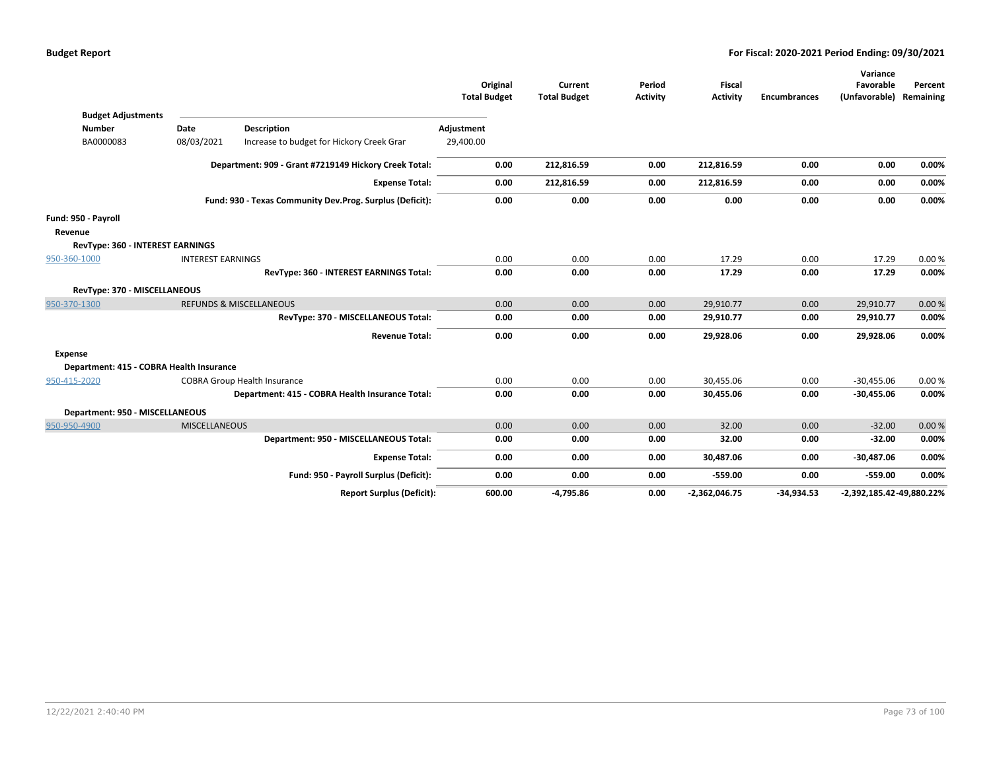|                                            |                          |                                                          | Original<br><b>Total Budget</b> | Current<br><b>Total Budget</b> | Period<br>Activity | <b>Fiscal</b><br><b>Activity</b> | <b>Encumbrances</b> | Variance<br>Favorable<br>(Unfavorable) | Percent<br>Remaining |
|--------------------------------------------|--------------------------|----------------------------------------------------------|---------------------------------|--------------------------------|--------------------|----------------------------------|---------------------|----------------------------------------|----------------------|
| <b>Budget Adjustments</b><br><b>Number</b> | Date                     | <b>Description</b>                                       | Adjustment                      |                                |                    |                                  |                     |                                        |                      |
| BA0000083                                  | 08/03/2021               | Increase to budget for Hickory Creek Grar                | 29,400.00                       |                                |                    |                                  |                     |                                        |                      |
|                                            |                          | Department: 909 - Grant #7219149 Hickory Creek Total:    | 0.00                            | 212,816.59                     | 0.00               | 212,816.59                       | 0.00                | 0.00                                   | 0.00%                |
|                                            |                          | <b>Expense Total:</b>                                    | 0.00                            | 212,816.59                     | 0.00               | 212,816.59                       | 0.00                | 0.00                                   | 0.00%                |
|                                            |                          | Fund: 930 - Texas Community Dev.Prog. Surplus (Deficit): | 0.00                            | 0.00                           | 0.00               | 0.00                             | 0.00                | 0.00                                   | 0.00%                |
| Fund: 950 - Payroll                        |                          |                                                          |                                 |                                |                    |                                  |                     |                                        |                      |
| Revenue                                    |                          |                                                          |                                 |                                |                    |                                  |                     |                                        |                      |
| <b>RevType: 360 - INTEREST EARNINGS</b>    |                          |                                                          |                                 |                                |                    |                                  |                     |                                        |                      |
| 950-360-1000                               | <b>INTEREST EARNINGS</b> |                                                          | 0.00                            | 0.00                           | 0.00               | 17.29                            | 0.00                | 17.29                                  | 0.00%                |
|                                            |                          | RevType: 360 - INTEREST EARNINGS Total:                  | 0.00                            | 0.00                           | 0.00               | 17.29                            | 0.00                | 17.29                                  | $0.00\%$             |
| RevType: 370 - MISCELLANEOUS               |                          |                                                          |                                 |                                |                    |                                  |                     |                                        |                      |
| 950-370-1300                               |                          | <b>REFUNDS &amp; MISCELLANEOUS</b>                       | 0.00                            | 0.00                           | 0.00               | 29,910.77                        | 0.00                | 29,910.77                              | 0.00%                |
|                                            |                          | RevType: 370 - MISCELLANEOUS Total:                      | 0.00                            | 0.00                           | 0.00               | 29,910.77                        | 0.00                | 29,910.77                              | 0.00%                |
|                                            |                          | <b>Revenue Total:</b>                                    | 0.00                            | 0.00                           | 0.00               | 29,928.06                        | 0.00                | 29,928.06                              | 0.00%                |
| <b>Expense</b>                             |                          |                                                          |                                 |                                |                    |                                  |                     |                                        |                      |
| Department: 415 - COBRA Health Insurance   |                          |                                                          |                                 |                                |                    |                                  |                     |                                        |                      |
| 950-415-2020                               |                          | <b>COBRA Group Health Insurance</b>                      | 0.00                            | 0.00                           | 0.00               | 30,455.06                        | 0.00                | $-30,455.06$                           | 0.00%                |
|                                            |                          | Department: 415 - COBRA Health Insurance Total:          | 0.00                            | 0.00                           | 0.00               | 30,455.06                        | 0.00                | $-30,455.06$                           | 0.00%                |
| Department: 950 - MISCELLANEOUS            |                          |                                                          |                                 |                                |                    |                                  |                     |                                        |                      |
| 950-950-4900                               | <b>MISCELLANEOUS</b>     |                                                          | 0.00                            | 0.00                           | 0.00               | 32.00                            | 0.00                | $-32.00$                               | 0.00%                |
|                                            |                          | Department: 950 - MISCELLANEOUS Total:                   | 0.00                            | 0.00                           | 0.00               | 32.00                            | 0.00                | $-32.00$                               | 0.00%                |
|                                            |                          | <b>Expense Total:</b>                                    | 0.00                            | 0.00                           | 0.00               | 30,487.06                        | 0.00                | $-30,487.06$                           | 0.00%                |
|                                            |                          | Fund: 950 - Payroll Surplus (Deficit):                   | 0.00                            | 0.00                           | 0.00               | $-559.00$                        | 0.00                | $-559.00$                              | 0.00%                |
|                                            |                          | <b>Report Surplus (Deficit):</b>                         | 600.00                          | $-4,795.86$                    | 0.00               | $-2,362,046.75$                  | $-34,934.53$        | -2,392,185.42-49,880.22%               |                      |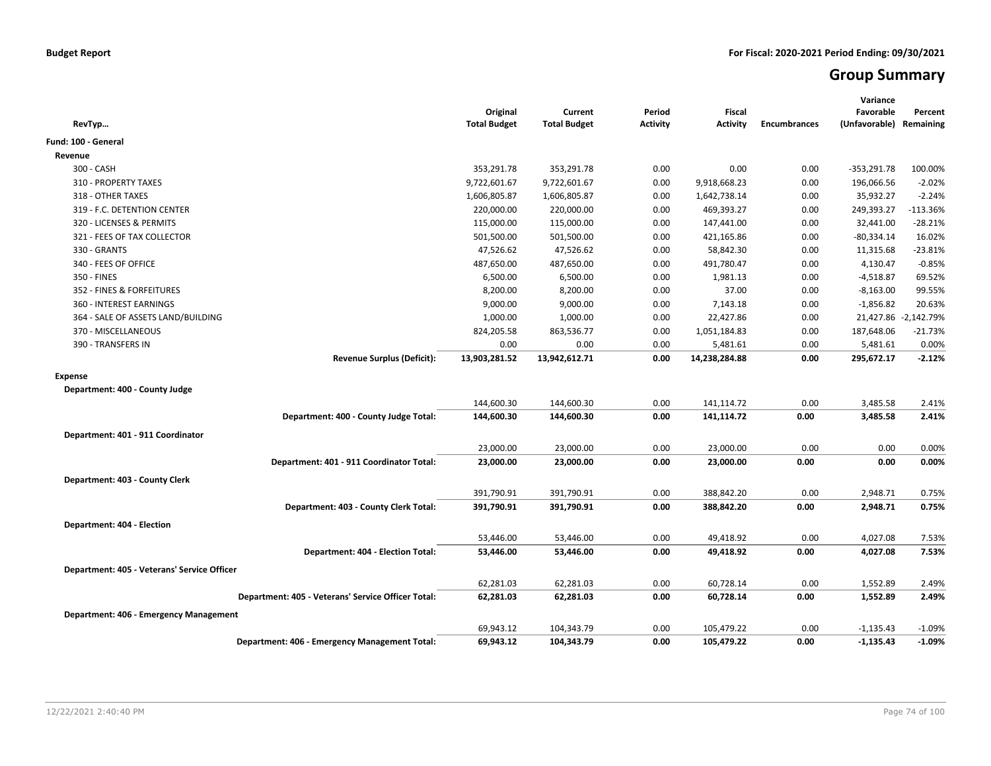# **Group Summary**

| RevTyp                                             | Original<br><b>Total Budget</b> | Current<br><b>Total Budget</b> | Period<br><b>Activity</b> | <b>Fiscal</b><br>Activity | <b>Encumbrances</b> | Variance<br>Favorable<br>(Unfavorable) Remaining | Percent              |
|----------------------------------------------------|---------------------------------|--------------------------------|---------------------------|---------------------------|---------------------|--------------------------------------------------|----------------------|
| Fund: 100 - General                                |                                 |                                |                           |                           |                     |                                                  |                      |
| Revenue                                            |                                 |                                |                           |                           |                     |                                                  |                      |
| 300 - CASH                                         | 353,291.78                      | 353,291.78                     | 0.00                      | 0.00                      | 0.00                | $-353,291.78$                                    | 100.00%              |
| 310 - PROPERTY TAXES                               | 9,722,601.67                    | 9,722,601.67                   | 0.00                      | 9,918,668.23              | 0.00                | 196,066.56                                       | $-2.02%$             |
| 318 - OTHER TAXES                                  | 1,606,805.87                    | 1,606,805.87                   | 0.00                      | 1,642,738.14              | 0.00                | 35,932.27                                        | $-2.24%$             |
| 319 - F.C. DETENTION CENTER                        | 220,000.00                      | 220,000.00                     | 0.00                      | 469,393.27                | 0.00                | 249,393.27                                       | -113.36%             |
| 320 - LICENSES & PERMITS                           | 115,000.00                      | 115,000.00                     | 0.00                      | 147,441.00                | 0.00                | 32,441.00                                        | $-28.21%$            |
| 321 - FEES OF TAX COLLECTOR                        | 501,500.00                      | 501,500.00                     | 0.00                      | 421,165.86                | 0.00                | $-80,334.14$                                     | 16.02%               |
| 330 - GRANTS                                       | 47,526.62                       | 47,526.62                      | 0.00                      | 58,842.30                 | 0.00                | 11,315.68                                        | $-23.81%$            |
| 340 - FEES OF OFFICE                               | 487,650.00                      | 487,650.00                     | 0.00                      | 491,780.47                | 0.00                | 4,130.47                                         | $-0.85%$             |
| 350 - FINES                                        | 6,500.00                        | 6,500.00                       | 0.00                      | 1,981.13                  | 0.00                | $-4,518.87$                                      | 69.52%               |
| 352 - FINES & FORFEITURES                          | 8,200.00                        | 8,200.00                       | 0.00                      | 37.00                     | 0.00                | $-8,163.00$                                      | 99.55%               |
| 360 - INTEREST EARNINGS                            | 9,000.00                        | 9,000.00                       | 0.00                      | 7,143.18                  | 0.00                | $-1,856.82$                                      | 20.63%               |
| 364 - SALE OF ASSETS LAND/BUILDING                 | 1,000.00                        | 1,000.00                       | 0.00                      | 22,427.86                 | 0.00                |                                                  | 21,427.86 -2,142.79% |
| 370 - MISCELLANEOUS                                | 824,205.58                      | 863,536.77                     | 0.00                      | 1,051,184.83              | 0.00                | 187,648.06                                       | $-21.73%$            |
| 390 - TRANSFERS IN                                 | 0.00                            | 0.00                           | 0.00                      | 5,481.61                  | 0.00                | 5,481.61                                         | 0.00%                |
| <b>Revenue Surplus (Deficit):</b>                  | 13,903,281.52                   | 13,942,612.71                  | 0.00                      | 14,238,284.88             | 0.00                | 295,672.17                                       | $-2.12%$             |
| <b>Expense</b>                                     |                                 |                                |                           |                           |                     |                                                  |                      |
| Department: 400 - County Judge                     |                                 |                                |                           |                           |                     |                                                  |                      |
|                                                    | 144,600.30                      | 144,600.30                     | 0.00                      | 141,114.72                | 0.00                | 3,485.58                                         | 2.41%                |
| Department: 400 - County Judge Total:              | 144,600.30                      | 144,600.30                     | 0.00                      | 141,114.72                | 0.00                | 3,485.58                                         | 2.41%                |
|                                                    |                                 |                                |                           |                           |                     |                                                  |                      |
| Department: 401 - 911 Coordinator                  |                                 |                                |                           |                           |                     | 0.00                                             |                      |
|                                                    | 23,000.00<br>23,000.00          | 23,000.00                      | 0.00<br>0.00              | 23,000.00<br>23,000.00    | 0.00<br>0.00        | 0.00                                             | 0.00%<br>0.00%       |
| Department: 401 - 911 Coordinator Total:           |                                 | 23,000.00                      |                           |                           |                     |                                                  |                      |
| Department: 403 - County Clerk                     |                                 |                                |                           |                           |                     |                                                  |                      |
|                                                    | 391,790.91                      | 391,790.91                     | 0.00                      | 388,842.20                | 0.00                | 2,948.71                                         | 0.75%                |
| Department: 403 - County Clerk Total:              | 391,790.91                      | 391,790.91                     | 0.00                      | 388,842.20                | 0.00                | 2,948.71                                         | 0.75%                |
| Department: 404 - Election                         |                                 |                                |                           |                           |                     |                                                  |                      |
|                                                    | 53,446.00                       | 53,446.00                      | 0.00                      | 49,418.92                 | 0.00                | 4,027.08                                         | 7.53%                |
| Department: 404 - Election Total:                  | 53,446.00                       | 53,446.00                      | 0.00                      | 49,418.92                 | 0.00                | 4,027.08                                         | 7.53%                |
|                                                    |                                 |                                |                           |                           |                     |                                                  |                      |
| Department: 405 - Veterans' Service Officer        | 62,281.03                       | 62,281.03                      | 0.00                      | 60,728.14                 | 0.00                | 1,552.89                                         | 2.49%                |
|                                                    |                                 |                                |                           |                           |                     |                                                  |                      |
| Department: 405 - Veterans' Service Officer Total: | 62,281.03                       | 62,281.03                      | 0.00                      | 60,728.14                 | 0.00                | 1,552.89                                         | 2.49%                |
| Department: 406 - Emergency Management             |                                 |                                |                           |                           |                     |                                                  |                      |
|                                                    | 69,943.12                       | 104,343.79                     | 0.00                      | 105,479.22                | 0.00                | $-1,135.43$                                      | $-1.09%$             |
| Department: 406 - Emergency Management Total:      | 69,943.12                       | 104,343.79                     | 0.00                      | 105,479.22                | 0.00                | $-1,135.43$                                      | $-1.09%$             |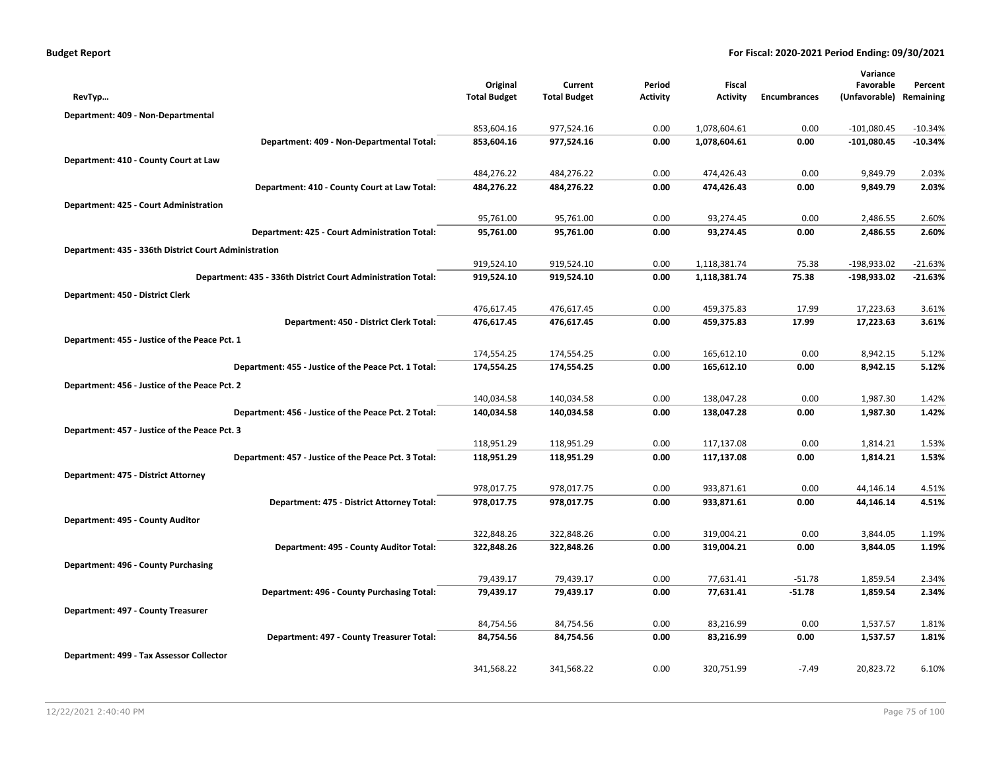| <b>Budget Report</b> |  |  |  |  |
|----------------------|--|--|--|--|
|----------------------|--|--|--|--|

|                                                              |                        |                        |                 |                        |                     | Variance             |                |
|--------------------------------------------------------------|------------------------|------------------------|-----------------|------------------------|---------------------|----------------------|----------------|
|                                                              | Original               | Current                | Period          | Fiscal                 |                     | Favorable            | Percent        |
| RevTyp                                                       | <b>Total Budget</b>    | <b>Total Budget</b>    | <b>Activity</b> | <b>Activity</b>        | <b>Encumbrances</b> | (Unfavorable)        | Remaining      |
| Department: 409 - Non-Departmental                           |                        |                        |                 |                        |                     |                      |                |
|                                                              | 853,604.16             | 977,524.16             | 0.00            | 1,078,604.61           | 0.00                | $-101,080.45$        | $-10.34%$      |
| Department: 409 - Non-Departmental Total:                    | 853,604.16             | 977,524.16             | 0.00            | 1,078,604.61           | 0.00                | $-101,080.45$        | $-10.34%$      |
| Department: 410 - County Court at Law                        |                        |                        |                 |                        |                     |                      |                |
|                                                              | 484,276.22             | 484,276.22             | 0.00            | 474,426.43             | 0.00                | 9,849.79             | 2.03%          |
| Department: 410 - County Court at Law Total:                 | 484,276.22             | 484,276.22             | 0.00            | 474,426.43             | 0.00                | 9,849.79             | 2.03%          |
| Department: 425 - Court Administration                       |                        |                        |                 |                        |                     |                      |                |
|                                                              | 95,761.00              | 95,761.00              | 0.00            | 93,274.45              | 0.00                | 2,486.55             | 2.60%          |
| Department: 425 - Court Administration Total:                | 95,761.00              | 95,761.00              | 0.00            | 93,274.45              | 0.00                | 2,486.55             | 2.60%          |
| Department: 435 - 336th District Court Administration        |                        |                        |                 |                        |                     |                      |                |
|                                                              | 919,524.10             | 919,524.10             | 0.00            | 1,118,381.74           | 75.38               | $-198,933.02$        | $-21.63%$      |
| Department: 435 - 336th District Court Administration Total: | 919,524.10             | 919,524.10             | 0.00            | 1,118,381.74           | 75.38               | $-198,933.02$        | $-21.63%$      |
| Department: 450 - District Clerk                             |                        |                        |                 |                        |                     |                      |                |
|                                                              | 476,617.45             | 476,617.45             | 0.00            | 459,375.83             | 17.99               | 17,223.63            | 3.61%          |
| Department: 450 - District Clerk Total:                      | 476,617.45             | 476,617.45             | 0.00            | 459,375.83             | 17.99               | 17,223.63            | 3.61%          |
| Department: 455 - Justice of the Peace Pct. 1                |                        |                        |                 |                        |                     |                      |                |
|                                                              | 174,554.25             | 174,554.25             | 0.00            | 165,612.10             | 0.00                | 8,942.15             | 5.12%          |
| Department: 455 - Justice of the Peace Pct. 1 Total:         | 174,554.25             | 174,554.25             | 0.00            | 165,612.10             | 0.00                | 8,942.15             | 5.12%          |
| Department: 456 - Justice of the Peace Pct. 2                |                        |                        |                 |                        |                     |                      |                |
|                                                              | 140,034.58             | 140,034.58             | 0.00            | 138,047.28             | 0.00                | 1,987.30             | 1.42%          |
| Department: 456 - Justice of the Peace Pct. 2 Total:         | 140,034.58             | 140,034.58             | 0.00            | 138,047.28             | 0.00                | 1,987.30             | 1.42%          |
| Department: 457 - Justice of the Peace Pct. 3                |                        |                        |                 |                        |                     |                      |                |
|                                                              | 118,951.29             | 118,951.29             | 0.00            | 117,137.08             | 0.00                | 1,814.21             | 1.53%          |
| Department: 457 - Justice of the Peace Pct. 3 Total:         | 118,951.29             | 118,951.29             | 0.00            | 117,137.08             | 0.00                | 1,814.21             | 1.53%          |
| Department: 475 - District Attorney                          |                        |                        |                 |                        |                     |                      |                |
|                                                              | 978,017.75             | 978,017.75             | 0.00            | 933,871.61             | 0.00                | 44,146.14            | 4.51%          |
| Department: 475 - District Attorney Total:                   | 978,017.75             | 978,017.75             | 0.00            | 933,871.61             | 0.00                | 44,146.14            | 4.51%          |
|                                                              |                        |                        |                 |                        |                     |                      |                |
| Department: 495 - County Auditor                             | 322,848.26             | 322,848.26             | 0.00            | 319,004.21             | 0.00                | 3,844.05             | 1.19%          |
| Department: 495 - County Auditor Total:                      | 322,848.26             | 322,848.26             | 0.00            | 319,004.21             | 0.00                | 3,844.05             | 1.19%          |
|                                                              |                        |                        |                 |                        |                     |                      |                |
| Department: 496 - County Purchasing                          | 79,439.17              | 79,439.17              | 0.00            | 77,631.41              | $-51.78$            | 1,859.54             | 2.34%          |
| Department: 496 - County Purchasing Total:                   | 79,439.17              | 79,439.17              | 0.00            | 77,631.41              | $-51.78$            | 1,859.54             | 2.34%          |
|                                                              |                        |                        |                 |                        |                     |                      |                |
| Department: 497 - County Treasurer                           |                        |                        |                 |                        |                     |                      |                |
| Department: 497 - County Treasurer Total:                    | 84,754.56<br>84,754.56 | 84,754.56<br>84,754.56 | 0.00<br>0.00    | 83,216.99<br>83,216.99 | 0.00<br>0.00        | 1,537.57<br>1,537.57 | 1.81%<br>1.81% |
|                                                              |                        |                        |                 |                        |                     |                      |                |
| Department: 499 - Tax Assessor Collector                     |                        |                        |                 |                        |                     |                      |                |
|                                                              | 341,568.22             | 341,568.22             | 0.00            | 320,751.99             | $-7.49$             | 20,823.72            | 6.10%          |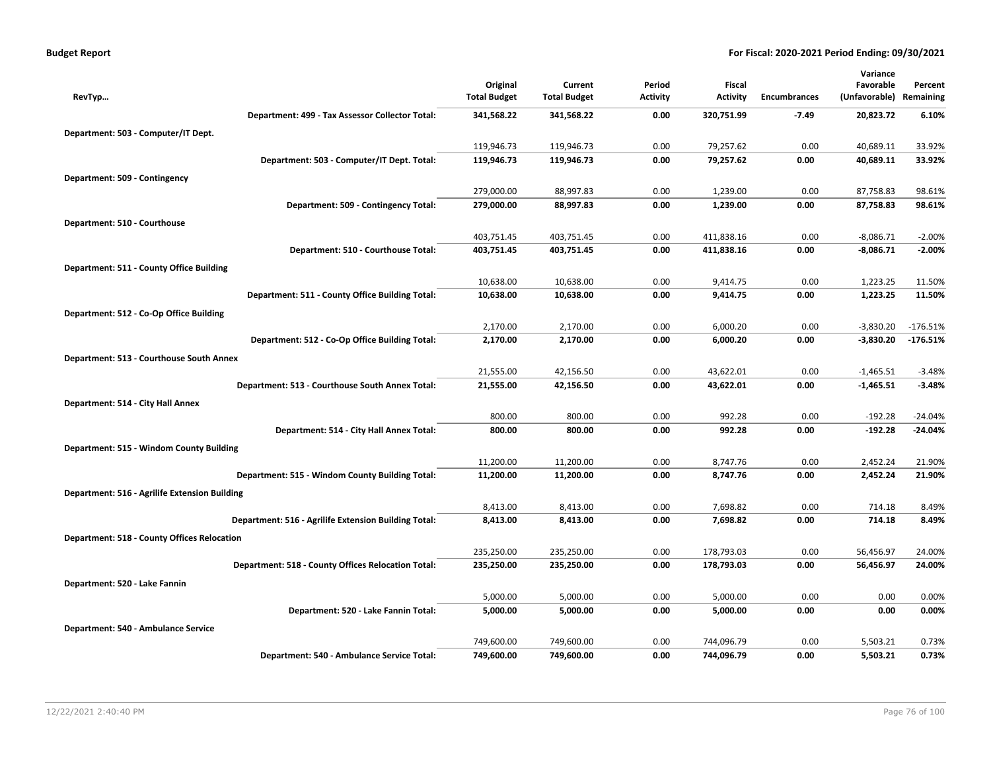| <b>Budget Report</b> |  |
|----------------------|--|
|----------------------|--|

|                                                           |                                 |                                |                           |                           |                     | Variance                   |                      |
|-----------------------------------------------------------|---------------------------------|--------------------------------|---------------------------|---------------------------|---------------------|----------------------------|----------------------|
| RevTyp                                                    | Original<br><b>Total Budget</b> | Current<br><b>Total Budget</b> | Period<br><b>Activity</b> | Fiscal<br><b>Activity</b> | <b>Encumbrances</b> | Favorable<br>(Unfavorable) | Percent<br>Remaining |
|                                                           |                                 |                                |                           |                           |                     |                            |                      |
| Department: 499 - Tax Assessor Collector Total:           | 341,568.22                      | 341,568.22                     | 0.00                      | 320,751.99                | -7.49               | 20,823.72                  | 6.10%                |
| Department: 503 - Computer/IT Dept.                       |                                 |                                |                           |                           |                     |                            |                      |
|                                                           | 119,946.73                      | 119,946.73                     | 0.00                      | 79,257.62                 | 0.00                | 40,689.11                  | 33.92%               |
| Department: 503 - Computer/IT Dept. Total:                | 119,946.73                      | 119,946.73                     | 0.00                      | 79,257.62                 | 0.00                | 40,689.11                  | 33.92%               |
| Department: 509 - Contingency                             |                                 |                                |                           |                           |                     |                            |                      |
|                                                           | 279,000.00                      | 88,997.83                      | 0.00                      | 1,239.00                  | 0.00                | 87,758.83                  | 98.61%               |
| Department: 509 - Contingency Total:                      | 279,000.00                      | 88,997.83                      | 0.00                      | 1,239.00                  | 0.00                | 87,758.83                  | 98.61%               |
| Department: 510 - Courthouse                              |                                 |                                |                           |                           |                     |                            |                      |
|                                                           | 403,751.45                      | 403,751.45                     | 0.00                      | 411,838.16                | 0.00                | $-8,086.71$                | $-2.00%$             |
| Department: 510 - Courthouse Total:                       | 403,751.45                      | 403,751.45                     | 0.00                      | 411,838.16                | 0.00                | $-8,086.71$                | $-2.00%$             |
| Department: 511 - County Office Building                  |                                 |                                |                           |                           |                     |                            |                      |
|                                                           | 10,638.00                       | 10,638.00                      | 0.00                      | 9,414.75                  | 0.00                | 1,223.25                   | 11.50%               |
| Department: 511 - County Office Building Total:           | 10,638.00                       | 10,638.00                      | 0.00                      | 9,414.75                  | 0.00                | 1,223.25                   | 11.50%               |
| Department: 512 - Co-Op Office Building                   |                                 |                                |                           |                           |                     |                            |                      |
|                                                           | 2,170.00                        | 2,170.00                       | 0.00                      | 6,000.20                  | 0.00                | $-3,830.20$                | $-176.51%$           |
| Department: 512 - Co-Op Office Building Total:            | 2,170.00                        | 2,170.00                       | 0.00                      | 6,000.20                  | 0.00                | $-3,830.20$                | $-176.51%$           |
| Department: 513 - Courthouse South Annex                  |                                 |                                |                           |                           |                     |                            |                      |
|                                                           | 21,555.00                       | 42,156.50                      | 0.00                      | 43,622.01                 | 0.00                | $-1,465.51$                | $-3.48%$             |
| Department: 513 - Courthouse South Annex Total:           | 21,555.00                       | 42,156.50                      | 0.00                      | 43,622.01                 | 0.00                | $-1,465.51$                | $-3.48%$             |
| Department: 514 - City Hall Annex                         |                                 |                                |                           |                           |                     |                            |                      |
|                                                           | 800.00                          | 800.00                         | 0.00                      | 992.28                    | 0.00                | $-192.28$                  | $-24.04%$            |
| Department: 514 - City Hall Annex Total:                  | 800.00                          | 800.00                         | 0.00                      | 992.28                    | 0.00                | $-192.28$                  | $-24.04%$            |
| Department: 515 - Windom County Building                  |                                 |                                |                           |                           |                     |                            |                      |
|                                                           | 11,200.00                       | 11,200.00                      | 0.00                      | 8,747.76                  | 0.00                | 2,452.24                   | 21.90%               |
| Department: 515 - Windom County Building Total:           | 11,200.00                       | 11,200.00                      | 0.00                      | 8,747.76                  | 0.00                | 2,452.24                   | 21.90%               |
| Department: 516 - Agrilife Extension Building             |                                 |                                |                           |                           |                     |                            |                      |
|                                                           | 8,413.00                        | 8,413.00                       | 0.00                      | 7,698.82                  | 0.00                | 714.18                     | 8.49%                |
| Department: 516 - Agrilife Extension Building Total:      | 8,413.00                        | 8,413.00                       | 0.00                      | 7,698.82                  | 0.00                | 714.18                     | 8.49%                |
| <b>Department: 518 - County Offices Relocation</b>        |                                 |                                |                           |                           |                     |                            |                      |
|                                                           | 235,250.00                      | 235,250.00                     | 0.00                      | 178,793.03                | 0.00                | 56,456.97                  | 24.00%               |
| <b>Department: 518 - County Offices Relocation Total:</b> | 235,250.00                      | 235,250.00                     | 0.00                      | 178,793.03                | 0.00                | 56,456.97                  | 24.00%               |
| Department: 520 - Lake Fannin                             |                                 |                                |                           |                           |                     |                            |                      |
|                                                           | 5,000.00                        | 5,000.00                       | 0.00                      | 5,000.00                  | 0.00                | 0.00                       | 0.00%                |
| Department: 520 - Lake Fannin Total:                      | 5,000.00                        | 5,000.00                       | 0.00                      | 5,000.00                  | 0.00                | 0.00                       | 0.00%                |
| Department: 540 - Ambulance Service                       |                                 |                                |                           |                           |                     |                            |                      |
|                                                           | 749,600.00                      | 749,600.00                     | 0.00                      | 744,096.79                | 0.00                | 5,503.21                   | 0.73%                |
| Department: 540 - Ambulance Service Total:                | 749,600.00                      | 749,600.00                     | 0.00                      | 744,096.79                | 0.00                | 5,503.21                   | 0.73%                |
|                                                           |                                 |                                |                           |                           |                     |                            |                      |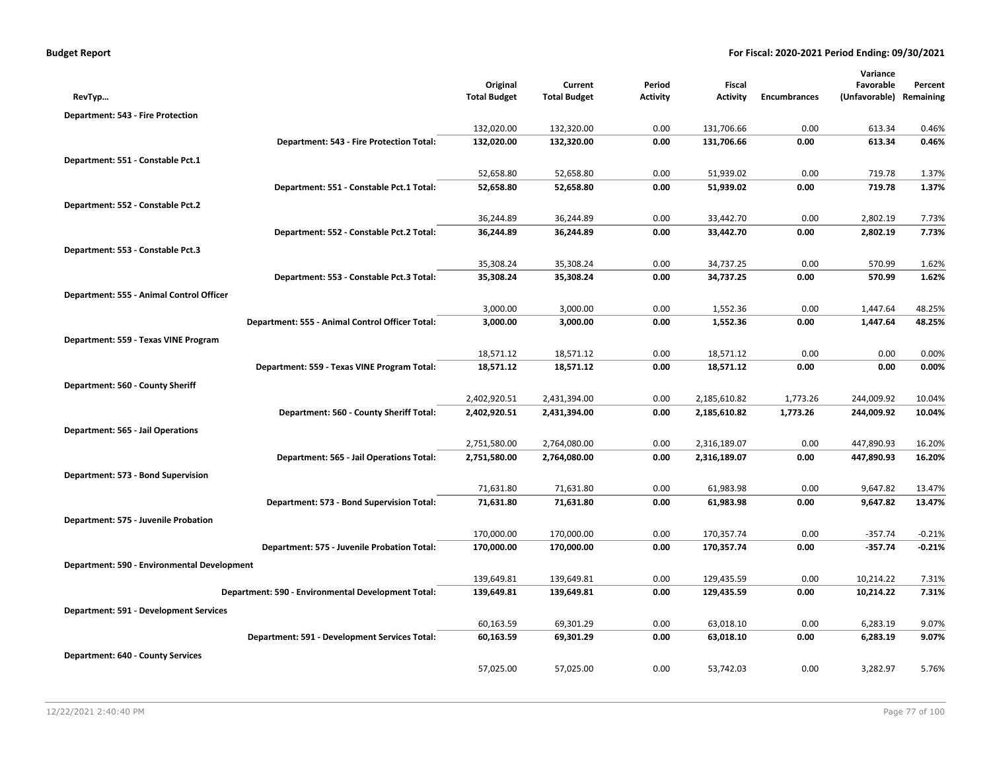|                                             |                                                    | Original               | Current                | Period          | Fiscal                 |                     | Variance<br>Favorable   | Percent        |
|---------------------------------------------|----------------------------------------------------|------------------------|------------------------|-----------------|------------------------|---------------------|-------------------------|----------------|
| RevTyp                                      |                                                    | <b>Total Budget</b>    | <b>Total Budget</b>    | <b>Activity</b> | <b>Activity</b>        | <b>Encumbrances</b> | (Unfavorable) Remaining |                |
| Department: 543 - Fire Protection           |                                                    |                        |                        |                 |                        |                     |                         |                |
|                                             |                                                    | 132,020.00             | 132,320.00             | 0.00            | 131,706.66             | 0.00                | 613.34                  | 0.46%          |
|                                             | Department: 543 - Fire Protection Total:           | 132,020.00             | 132,320.00             | 0.00            | 131,706.66             | 0.00                | 613.34                  | 0.46%          |
| Department: 551 - Constable Pct.1           |                                                    |                        |                        |                 |                        |                     |                         |                |
|                                             |                                                    | 52,658.80              | 52,658.80              | 0.00            | 51,939.02              | 0.00                | 719.78                  | 1.37%          |
|                                             | Department: 551 - Constable Pct.1 Total:           | 52,658.80              | 52,658.80              | 0.00            | 51,939.02              | 0.00                | 719.78                  | 1.37%          |
| Department: 552 - Constable Pct.2           |                                                    |                        |                        |                 |                        |                     |                         |                |
|                                             |                                                    | 36,244.89              | 36,244.89              | 0.00            | 33,442.70              | 0.00                | 2,802.19                | 7.73%          |
|                                             | Department: 552 - Constable Pct.2 Total:           | 36,244.89              | 36,244.89              | 0.00            | 33,442.70              | 0.00                | 2,802.19                | 7.73%          |
| Department: 553 - Constable Pct.3           |                                                    |                        |                        |                 |                        |                     |                         |                |
|                                             |                                                    | 35,308.24              | 35,308.24              | 0.00            | 34,737.25              | 0.00                | 570.99                  | 1.62%          |
|                                             | Department: 553 - Constable Pct.3 Total:           | 35,308.24              | 35,308.24              | 0.00            | 34,737.25              | 0.00                | 570.99                  | 1.62%          |
| Department: 555 - Animal Control Officer    |                                                    |                        |                        |                 |                        |                     |                         |                |
|                                             |                                                    | 3,000.00               | 3,000.00               | 0.00            | 1,552.36               | 0.00                | 1,447.64                | 48.25%         |
|                                             | Department: 555 - Animal Control Officer Total:    | 3,000.00               | 3,000.00               | 0.00            | 1,552.36               | 0.00                | 1,447.64                | 48.25%         |
| Department: 559 - Texas VINE Program        |                                                    |                        |                        |                 |                        |                     |                         |                |
|                                             |                                                    | 18,571.12              | 18,571.12              | 0.00            | 18,571.12              | 0.00                | 0.00                    | 0.00%          |
|                                             | Department: 559 - Texas VINE Program Total:        | 18,571.12              | 18,571.12              | 0.00            | 18,571.12              | 0.00                | 0.00                    | 0.00%          |
| Department: 560 - County Sheriff            |                                                    |                        |                        |                 |                        |                     |                         |                |
|                                             |                                                    | 2,402,920.51           | 2,431,394.00           | 0.00            | 2,185,610.82           | 1,773.26            | 244,009.92              | 10.04%         |
|                                             | Department: 560 - County Sheriff Total:            | 2,402,920.51           | 2,431,394.00           | 0.00            | 2,185,610.82           | 1,773.26            | 244,009.92              | 10.04%         |
| <b>Department: 565 - Jail Operations</b>    |                                                    |                        |                        |                 |                        |                     |                         |                |
|                                             |                                                    | 2,751,580.00           | 2,764,080.00           | 0.00            | 2,316,189.07           | 0.00                | 447,890.93              | 16.20%         |
|                                             | Department: 565 - Jail Operations Total:           | 2,751,580.00           | 2,764,080.00           | 0.00            | 2,316,189.07           | 0.00                | 447,890.93              | 16.20%         |
| Department: 573 - Bond Supervision          |                                                    |                        |                        |                 |                        |                     |                         |                |
|                                             |                                                    | 71,631.80              | 71,631.80              | 0.00            | 61,983.98              | 0.00                | 9,647.82                | 13.47%         |
|                                             | Department: 573 - Bond Supervision Total:          | 71,631.80              | 71,631.80              | 0.00            | 61,983.98              | 0.00                | 9,647.82                | 13.47%         |
| Department: 575 - Juvenile Probation        |                                                    |                        |                        |                 |                        |                     |                         |                |
|                                             |                                                    | 170,000.00             | 170,000.00             | 0.00            | 170,357.74             | 0.00                | $-357.74$               | $-0.21%$       |
|                                             | Department: 575 - Juvenile Probation Total:        | 170,000.00             | 170,000.00             | 0.00            | 170,357.74             | 0.00                | $-357.74$               | $-0.21%$       |
| Department: 590 - Environmental Development |                                                    |                        |                        |                 |                        |                     |                         |                |
|                                             |                                                    | 139,649.81             | 139,649.81             | 0.00            | 129,435.59             | 0.00                | 10,214.22               | 7.31%<br>7.31% |
|                                             | Department: 590 - Environmental Development Total: | 139,649.81             | 139,649.81             | 0.00            | 129,435.59             | 0.00                | 10,214.22               |                |
| Department: 591 - Development Services      |                                                    |                        |                        |                 |                        |                     |                         |                |
|                                             | Department: 591 - Development Services Total:      | 60,163.59<br>60,163.59 | 69,301.29<br>69,301.29 | 0.00<br>0.00    | 63,018.10<br>63,018.10 | 0.00<br>0.00        | 6,283.19<br>6,283.19    | 9.07%<br>9.07% |
|                                             |                                                    |                        |                        |                 |                        |                     |                         |                |
| <b>Department: 640 - County Services</b>    |                                                    |                        |                        |                 |                        |                     |                         |                |
|                                             |                                                    | 57,025.00              | 57,025.00              | 0.00            | 53,742.03              | 0.00                | 3,282.97                | 5.76%          |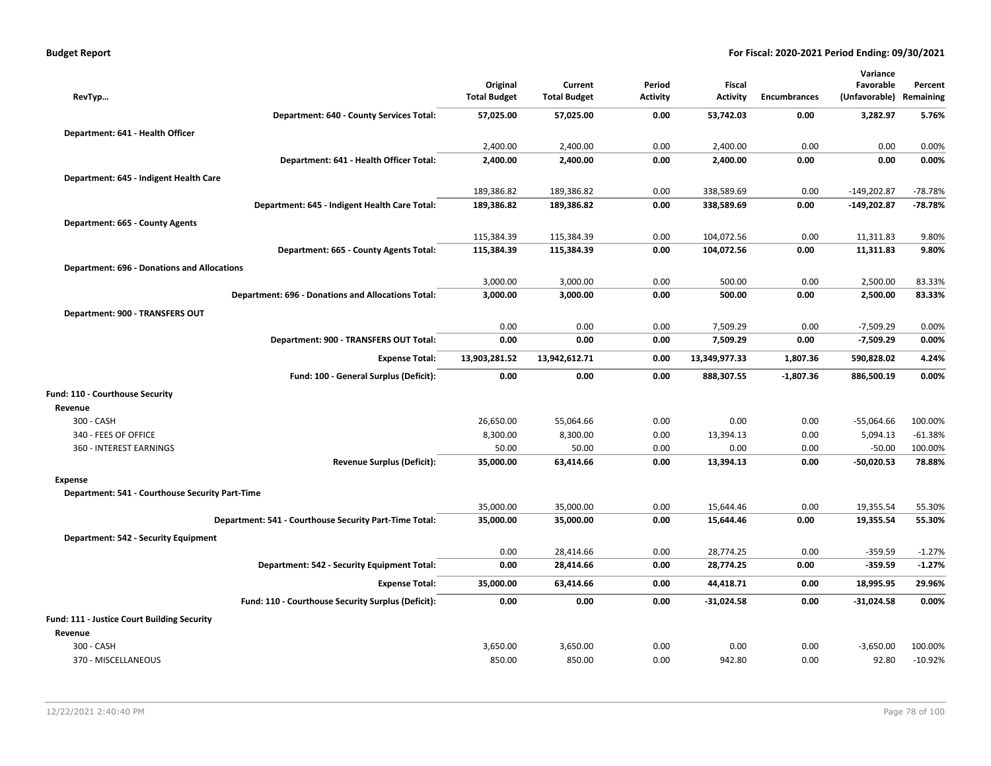| <b>Budget Report</b> |  |
|----------------------|--|
|----------------------|--|

|                                                    |                                                           |                     |                     |                 |                                  |                     | Variance                   |                      |
|----------------------------------------------------|-----------------------------------------------------------|---------------------|---------------------|-----------------|----------------------------------|---------------------|----------------------------|----------------------|
|                                                    |                                                           | Original            | Current             | Period          | <b>Fiscal</b><br><b>Activity</b> | <b>Encumbrances</b> | Favorable<br>(Unfavorable) | Percent<br>Remaining |
| RevTyp                                             |                                                           | <b>Total Budget</b> | <b>Total Budget</b> | <b>Activity</b> |                                  |                     |                            |                      |
|                                                    | Department: 640 - County Services Total:                  | 57,025.00           | 57,025.00           | 0.00            | 53,742.03                        | 0.00                | 3,282.97                   | 5.76%                |
| Department: 641 - Health Officer                   |                                                           |                     |                     |                 |                                  |                     |                            |                      |
|                                                    |                                                           | 2,400.00            | 2,400.00            | 0.00            | 2,400.00                         | 0.00                | 0.00                       | 0.00%                |
|                                                    | Department: 641 - Health Officer Total:                   | 2,400.00            | 2,400.00            | 0.00            | 2,400.00                         | 0.00                | 0.00                       | 0.00%                |
| Department: 645 - Indigent Health Care             |                                                           |                     |                     |                 |                                  |                     |                            |                      |
|                                                    |                                                           | 189,386.82          | 189,386.82          | 0.00            | 338,589.69                       | 0.00                | $-149,202.87$              | -78.78%              |
|                                                    | Department: 645 - Indigent Health Care Total:             | 189,386.82          | 189,386.82          | 0.00            | 338,589.69                       | 0.00                | $-149,202.87$              | -78.78%              |
| Department: 665 - County Agents                    |                                                           |                     |                     |                 |                                  |                     |                            |                      |
|                                                    |                                                           | 115,384.39          | 115,384.39          | 0.00            | 104,072.56                       | 0.00                | 11,311.83                  | 9.80%                |
|                                                    | Department: 665 - County Agents Total:                    | 115,384.39          | 115,384.39          | 0.00            | 104,072.56                       | 0.00                | 11,311.83                  | 9.80%                |
| <b>Department: 696 - Donations and Allocations</b> |                                                           |                     |                     |                 |                                  |                     |                            |                      |
|                                                    |                                                           | 3,000.00            | 3,000.00            | 0.00            | 500.00                           | 0.00                | 2,500.00                   | 83.33%               |
|                                                    | <b>Department: 696 - Donations and Allocations Total:</b> | 3,000.00            | 3,000.00            | 0.00            | 500.00                           | 0.00                | 2,500.00                   | 83.33%               |
| Department: 900 - TRANSFERS OUT                    |                                                           |                     |                     |                 |                                  |                     |                            |                      |
|                                                    |                                                           | 0.00                | 0.00                | 0.00            | 7,509.29                         | 0.00                | $-7,509.29$                | 0.00%                |
|                                                    | Department: 900 - TRANSFERS OUT Total:                    | 0.00                | 0.00                | 0.00            | 7,509.29                         | 0.00                | $-7,509.29$                | 0.00%                |
|                                                    | <b>Expense Total:</b>                                     | 13,903,281.52       | 13,942,612.71       | 0.00            | 13,349,977.33                    | 1,807.36            | 590,828.02                 | 4.24%                |
|                                                    |                                                           |                     |                     |                 |                                  |                     |                            |                      |
|                                                    | Fund: 100 - General Surplus (Deficit):                    | 0.00                | 0.00                | 0.00            | 888,307.55                       | $-1,807.36$         | 886,500.19                 | 0.00%                |
| Fund: 110 - Courthouse Security                    |                                                           |                     |                     |                 |                                  |                     |                            |                      |
| Revenue                                            |                                                           |                     |                     |                 |                                  |                     |                            |                      |
| 300 - CASH                                         |                                                           | 26,650.00           | 55,064.66           | 0.00            | 0.00                             | 0.00                | $-55,064.66$               | 100.00%              |
| 340 - FEES OF OFFICE                               |                                                           | 8,300.00            | 8,300.00            | 0.00            | 13.394.13                        | 0.00                | 5,094.13                   | $-61.38%$            |
| 360 - INTEREST EARNINGS                            |                                                           | 50.00               | 50.00               | 0.00            | 0.00                             | 0.00                | $-50.00$                   | 100.00%              |
|                                                    | <b>Revenue Surplus (Deficit):</b>                         | 35,000.00           | 63,414.66           | 0.00            | 13.394.13                        | 0.00                | $-50,020.53$               | 78.88%               |
| <b>Expense</b>                                     |                                                           |                     |                     |                 |                                  |                     |                            |                      |
| Department: 541 - Courthouse Security Part-Time    |                                                           |                     |                     |                 |                                  |                     |                            |                      |
|                                                    |                                                           | 35,000.00           | 35,000.00           | 0.00            | 15,644.46                        | 0.00                | 19,355.54                  | 55.30%               |
|                                                    | Department: 541 - Courthouse Security Part-Time Total:    | 35,000.00           | 35,000.00           | 0.00            | 15,644.46                        | 0.00                | 19,355.54                  | 55.30%               |
| Department: 542 - Security Equipment               |                                                           |                     |                     |                 |                                  |                     |                            |                      |
|                                                    |                                                           | 0.00                | 28,414.66           | 0.00            | 28,774.25                        | 0.00                | $-359.59$                  | $-1.27%$             |
|                                                    | Department: 542 - Security Equipment Total:               | 0.00                | 28,414.66           | 0.00            | 28,774.25                        | 0.00                | $-359.59$                  | $-1.27%$             |
|                                                    | <b>Expense Total:</b>                                     | 35,000.00           | 63,414.66           | 0.00            | 44,418.71                        | 0.00                | 18,995.95                  | 29.96%               |
|                                                    | Fund: 110 - Courthouse Security Surplus (Deficit):        | 0.00                | 0.00                | 0.00            | $-31,024.58$                     | 0.00                | $-31,024.58$               | 0.00%                |
| Fund: 111 - Justice Court Building Security        |                                                           |                     |                     |                 |                                  |                     |                            |                      |
| Revenue                                            |                                                           |                     |                     |                 |                                  |                     |                            |                      |
| 300 - CASH                                         |                                                           | 3,650.00            | 3,650.00            | 0.00            | 0.00                             | 0.00                | $-3,650.00$                | 100.00%              |
| 370 - MISCELLANEOUS                                |                                                           | 850.00              | 850.00              | 0.00            | 942.80                           | 0.00                | 92.80                      | $-10.92%$            |
|                                                    |                                                           |                     |                     |                 |                                  |                     |                            |                      |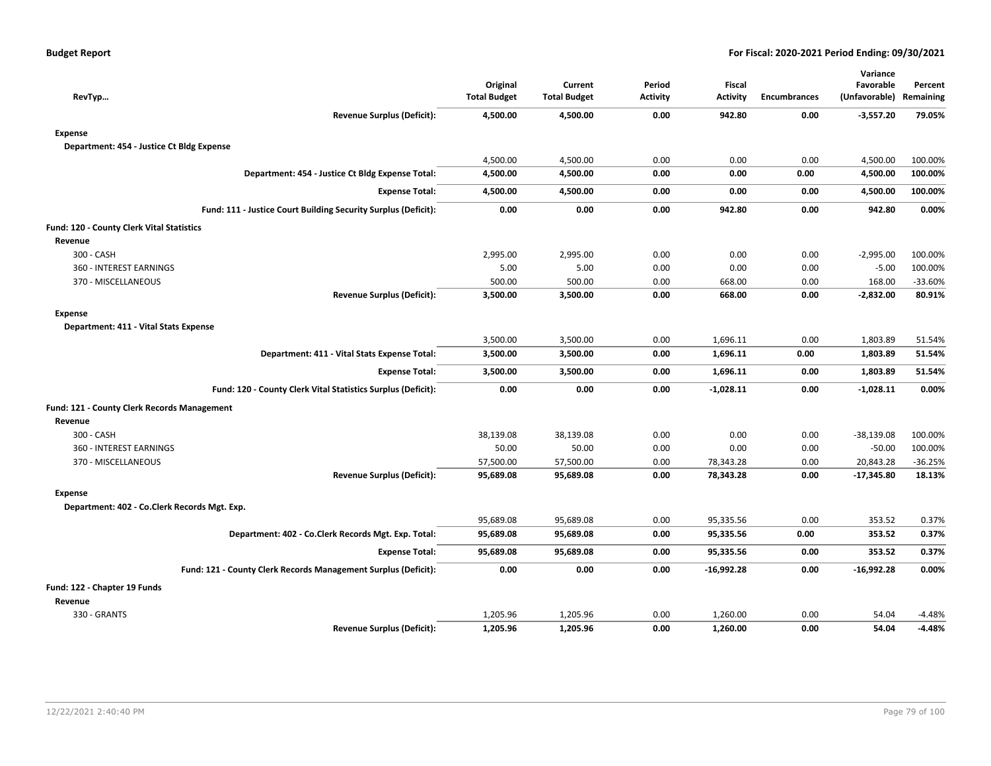| RevTyp                                                         | Original<br><b>Total Budget</b> | Current<br><b>Total Budget</b> | Period<br><b>Activity</b> | <b>Fiscal</b><br><b>Activity</b> | <b>Encumbrances</b> | Variance<br>Favorable<br>(Unfavorable) Remaining | Percent   |
|----------------------------------------------------------------|---------------------------------|--------------------------------|---------------------------|----------------------------------|---------------------|--------------------------------------------------|-----------|
| <b>Revenue Surplus (Deficit):</b>                              | 4,500.00                        | 4,500.00                       | 0.00                      | 942.80                           | 0.00                | $-3,557.20$                                      | 79.05%    |
| <b>Expense</b>                                                 |                                 |                                |                           |                                  |                     |                                                  |           |
| Department: 454 - Justice Ct Bldg Expense                      |                                 |                                |                           |                                  |                     |                                                  |           |
|                                                                | 4,500.00                        | 4,500.00                       | 0.00                      | 0.00                             | 0.00                | 4,500.00                                         | 100.00%   |
| Department: 454 - Justice Ct Bldg Expense Total:               | 4,500.00                        | 4,500.00                       | 0.00                      | 0.00                             | 0.00                | 4,500.00                                         | 100.00%   |
| <b>Expense Total:</b>                                          | 4,500.00                        | 4,500.00                       | 0.00                      | 0.00                             | 0.00                | 4,500.00                                         | 100.00%   |
| Fund: 111 - Justice Court Building Security Surplus (Deficit): | 0.00                            | 0.00                           | 0.00                      | 942.80                           | 0.00                | 942.80                                           | 0.00%     |
| Fund: 120 - County Clerk Vital Statistics                      |                                 |                                |                           |                                  |                     |                                                  |           |
| Revenue                                                        |                                 |                                |                           |                                  |                     |                                                  |           |
| 300 - CASH                                                     | 2,995.00                        | 2,995.00                       | 0.00                      | 0.00                             | 0.00                | $-2,995.00$                                      | 100.00%   |
| 360 - INTEREST EARNINGS                                        | 5.00                            | 5.00                           | 0.00                      | 0.00                             | 0.00                | $-5.00$                                          | 100.00%   |
| 370 - MISCELLANEOUS                                            | 500.00                          | 500.00                         | 0.00                      | 668.00                           | 0.00                | 168.00                                           | -33.60%   |
| <b>Revenue Surplus (Deficit):</b>                              | 3,500.00                        | 3,500.00                       | 0.00                      | 668.00                           | 0.00                | $-2,832.00$                                      | 80.91%    |
| <b>Expense</b>                                                 |                                 |                                |                           |                                  |                     |                                                  |           |
| Department: 411 - Vital Stats Expense                          |                                 |                                |                           |                                  |                     |                                                  |           |
|                                                                | 3,500.00                        | 3,500.00                       | 0.00                      | 1,696.11                         | 0.00                | 1,803.89                                         | 51.54%    |
| Department: 411 - Vital Stats Expense Total:                   | 3,500.00                        | 3,500.00                       | 0.00                      | 1,696.11                         | 0.00                | 1,803.89                                         | 51.54%    |
| <b>Expense Total:</b>                                          | 3,500.00                        | 3,500.00                       | 0.00                      | 1,696.11                         | 0.00                | 1,803.89                                         | 51.54%    |
| Fund: 120 - County Clerk Vital Statistics Surplus (Deficit):   | 0.00                            | 0.00                           | 0.00                      | $-1,028.11$                      | 0.00                | $-1,028.11$                                      | 0.00%     |
| <b>Fund: 121 - County Clerk Records Management</b>             |                                 |                                |                           |                                  |                     |                                                  |           |
| Revenue                                                        |                                 |                                |                           |                                  |                     |                                                  |           |
| 300 - CASH                                                     | 38,139.08                       | 38,139.08                      | 0.00                      | 0.00                             | 0.00                | $-38,139.08$                                     | 100.00%   |
| 360 - INTEREST EARNINGS                                        | 50.00                           | 50.00                          | 0.00                      | 0.00                             | 0.00                | $-50.00$                                         | 100.00%   |
| 370 - MISCELLANEOUS                                            | 57,500.00                       | 57,500.00                      | 0.00                      | 78,343.28                        | 0.00                | 20,843.28                                        | $-36.25%$ |
| <b>Revenue Surplus (Deficit):</b>                              | 95,689.08                       | 95,689.08                      | 0.00                      | 78,343.28                        | 0.00                | $-17,345.80$                                     | 18.13%    |
| <b>Expense</b>                                                 |                                 |                                |                           |                                  |                     |                                                  |           |
| Department: 402 - Co.Clerk Records Mgt. Exp.                   |                                 |                                |                           |                                  |                     |                                                  |           |
|                                                                | 95,689.08                       | 95,689.08                      | 0.00                      | 95,335.56                        | 0.00                | 353.52                                           | 0.37%     |
| Department: 402 - Co.Clerk Records Mgt. Exp. Total:            | 95,689.08                       | 95,689.08                      | 0.00                      | 95,335.56                        | 0.00                | 353.52                                           | 0.37%     |
| <b>Expense Total:</b>                                          | 95,689.08                       | 95,689.08                      | 0.00                      | 95,335.56                        | 0.00                | 353.52                                           | 0.37%     |
| Fund: 121 - County Clerk Records Management Surplus (Deficit): | 0.00                            | 0.00                           | 0.00                      | -16,992.28                       | 0.00                | $-16,992.28$                                     | 0.00%     |
| Fund: 122 - Chapter 19 Funds                                   |                                 |                                |                           |                                  |                     |                                                  |           |
| Revenue                                                        |                                 |                                |                           |                                  |                     |                                                  |           |
| 330 - GRANTS                                                   | 1,205.96                        | 1,205.96                       | 0.00                      | 1,260.00                         | 0.00                | 54.04                                            | $-4.48%$  |
| <b>Revenue Surplus (Deficit):</b>                              | 1,205.96                        | 1,205.96                       | 0.00                      | 1,260.00                         | 0.00                | 54.04                                            | $-4.48%$  |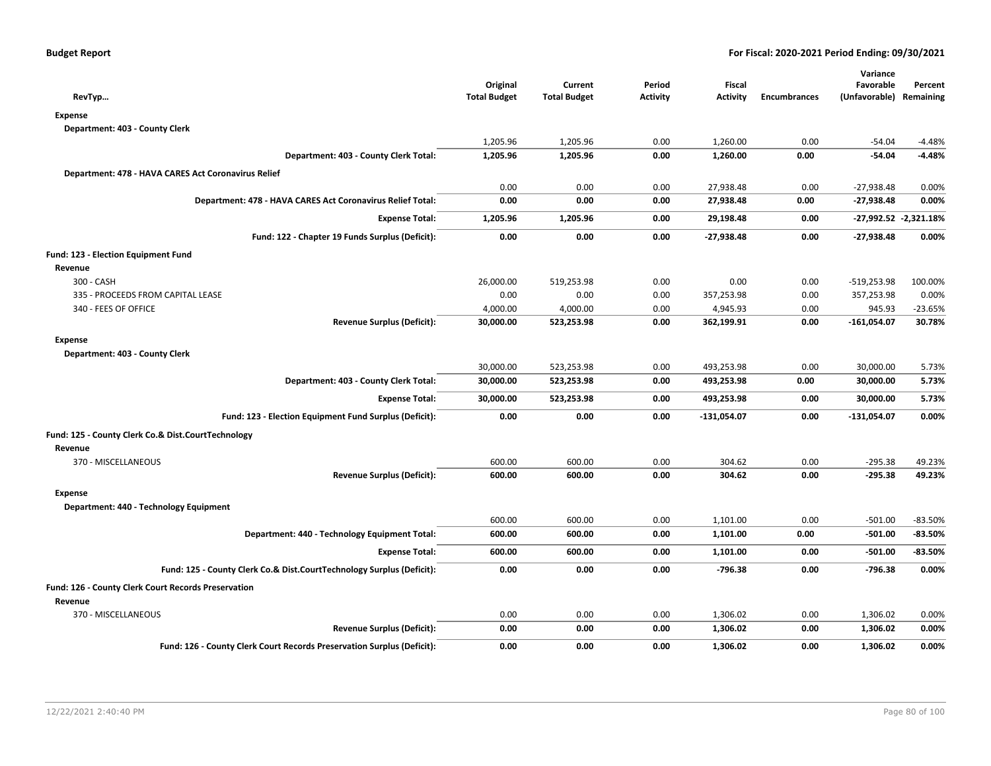| RevTyp                                                                 | Original<br><b>Total Budget</b> | Current<br><b>Total Budget</b> | Period<br><b>Activity</b> | Fiscal<br><b>Activity</b> | <b>Encumbrances</b> | Variance<br>Favorable<br>(Unfavorable) | Percent<br>Remaining  |
|------------------------------------------------------------------------|---------------------------------|--------------------------------|---------------------------|---------------------------|---------------------|----------------------------------------|-----------------------|
| Expense                                                                |                                 |                                |                           |                           |                     |                                        |                       |
| Department: 403 - County Clerk                                         |                                 |                                |                           |                           |                     |                                        |                       |
|                                                                        | 1,205.96                        | 1,205.96                       | 0.00                      | 1,260.00                  | 0.00                | $-54.04$                               | $-4.48%$              |
| Department: 403 - County Clerk Total:                                  | 1,205.96                        | 1,205.96                       | 0.00                      | 1,260.00                  | 0.00                | -54.04                                 | -4.48%                |
| Department: 478 - HAVA CARES Act Coronavirus Relief                    |                                 |                                |                           |                           |                     |                                        |                       |
|                                                                        | 0.00                            | 0.00                           | 0.00                      | 27,938.48                 | 0.00                | $-27,938.48$                           | 0.00%                 |
| Department: 478 - HAVA CARES Act Coronavirus Relief Total:             | 0.00                            | 0.00                           | 0.00                      | 27,938.48                 | 0.00                | $-27,938.48$                           | 0.00%                 |
| <b>Expense Total:</b>                                                  | 1,205.96                        | 1,205.96                       | 0.00                      | 29,198.48                 | 0.00                |                                        | -27,992.52 -2,321.18% |
| Fund: 122 - Chapter 19 Funds Surplus (Deficit):                        | 0.00                            | 0.00                           | 0.00                      | $-27,938.48$              | 0.00                | $-27,938.48$                           | 0.00%                 |
| Fund: 123 - Election Equipment Fund                                    |                                 |                                |                           |                           |                     |                                        |                       |
| Revenue                                                                |                                 |                                |                           |                           |                     |                                        |                       |
| 300 - CASH                                                             | 26,000.00                       | 519,253.98                     | 0.00                      | 0.00                      | 0.00                | $-519,253.98$                          | 100.00%               |
| 335 - PROCEEDS FROM CAPITAL LEASE                                      | 0.00                            | 0.00                           | 0.00                      | 357,253.98                | 0.00                | 357,253.98                             | 0.00%                 |
| 340 - FEES OF OFFICE                                                   | 4,000.00                        | 4,000.00                       | 0.00                      | 4,945.93                  | 0.00                | 945.93                                 | $-23.65%$             |
| <b>Revenue Surplus (Deficit):</b>                                      | 30,000.00                       | 523,253.98                     | 0.00                      | 362,199.91                | 0.00                | $-161,054.07$                          | 30.78%                |
| <b>Expense</b>                                                         |                                 |                                |                           |                           |                     |                                        |                       |
| Department: 403 - County Clerk                                         |                                 |                                |                           |                           |                     |                                        |                       |
|                                                                        | 30,000.00                       | 523,253.98                     | 0.00                      | 493,253.98                | 0.00                | 30,000.00                              | 5.73%                 |
| Department: 403 - County Clerk Total:                                  | 30,000.00                       | 523,253.98                     | 0.00                      | 493,253.98                | 0.00                | 30,000.00                              | 5.73%                 |
| <b>Expense Total:</b>                                                  | 30,000.00                       | 523,253.98                     | 0.00                      | 493,253.98                | 0.00                | 30,000.00                              | 5.73%                 |
| Fund: 123 - Election Equipment Fund Surplus (Deficit):                 | 0.00                            | 0.00                           | 0.00                      | $-131,054.07$             | 0.00                | $-131,054.07$                          | 0.00%                 |
| Fund: 125 - County Clerk Co.& Dist.CourtTechnology<br>Revenue          |                                 |                                |                           |                           |                     |                                        |                       |
| 370 - MISCELLANEOUS                                                    | 600.00                          | 600.00                         | 0.00                      | 304.62                    | 0.00                | $-295.38$                              | 49.23%                |
| <b>Revenue Surplus (Deficit):</b>                                      | 600.00                          | 600.00                         | 0.00                      | 304.62                    | 0.00                | $-295.38$                              | 49.23%                |
| <b>Expense</b>                                                         |                                 |                                |                           |                           |                     |                                        |                       |
| Department: 440 - Technology Equipment                                 |                                 |                                |                           |                           |                     |                                        |                       |
|                                                                        | 600.00                          | 600.00                         | 0.00                      | 1,101.00                  | 0.00                | $-501.00$                              | $-83.50%$             |
| Department: 440 - Technology Equipment Total:                          | 600.00                          | 600.00                         | 0.00                      | 1,101.00                  | 0.00                | $-501.00$                              | $-83.50%$             |
| <b>Expense Total:</b>                                                  | 600.00                          | 600.00                         | 0.00                      | 1,101.00                  | 0.00                | $-501.00$                              | $-83.50%$             |
| Fund: 125 - County Clerk Co.& Dist.CourtTechnology Surplus (Deficit):  | 0.00                            | 0.00                           | 0.00                      | $-796.38$                 | 0.00                | $-796.38$                              | 0.00%                 |
| Fund: 126 - County Clerk Court Records Preservation                    |                                 |                                |                           |                           |                     |                                        |                       |
| Revenue                                                                |                                 |                                |                           |                           |                     |                                        |                       |
| 370 - MISCELLANEOUS                                                    | 0.00                            | 0.00                           | 0.00                      | 1,306.02                  | 0.00                | 1,306.02                               | 0.00%                 |
| <b>Revenue Surplus (Deficit):</b>                                      | 0.00                            | 0.00                           | 0.00                      | 1,306.02                  | 0.00                | 1,306.02                               | 0.00%                 |
| Fund: 126 - County Clerk Court Records Preservation Surplus (Deficit): | 0.00                            | 0.00                           | 0.00                      | 1,306.02                  | 0.00                | 1,306.02                               | 0.00%                 |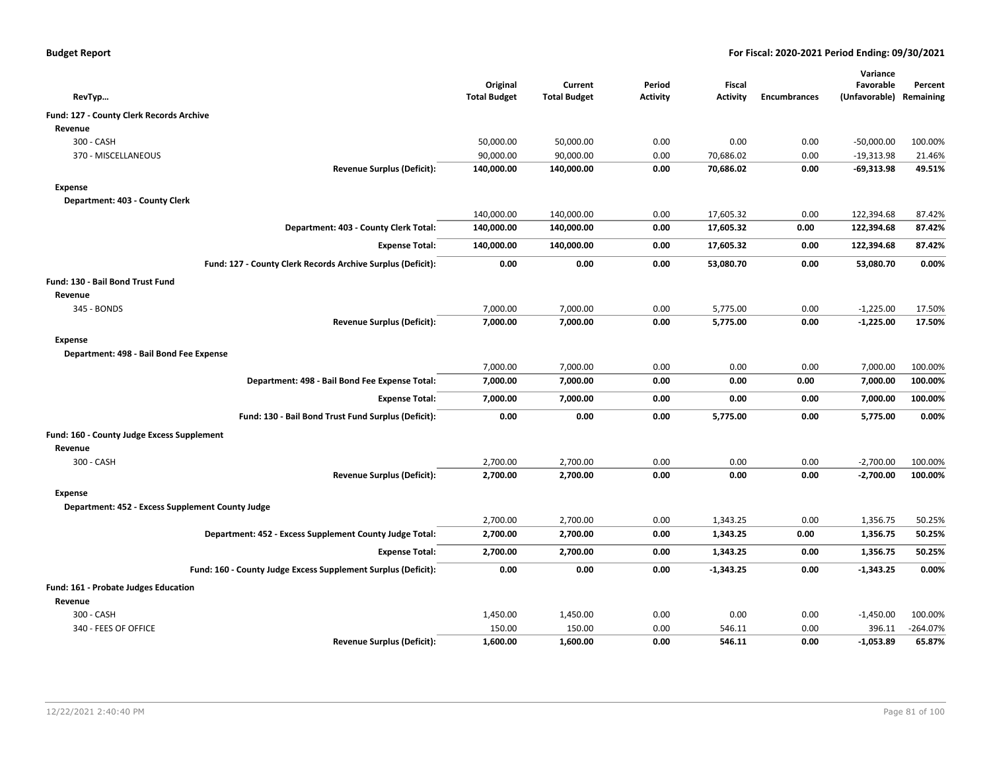|  |  |  | <b>Budget Report</b> |
|--|--|--|----------------------|
|--|--|--|----------------------|

|                                                               |                     |                     |                 |                 |                     | Variance      |            |
|---------------------------------------------------------------|---------------------|---------------------|-----------------|-----------------|---------------------|---------------|------------|
|                                                               | Original            | Current             | Period          | Fiscal          |                     | Favorable     | Percent    |
| RevTyp                                                        | <b>Total Budget</b> | <b>Total Budget</b> | <b>Activity</b> | <b>Activity</b> | <b>Encumbrances</b> | (Unfavorable) | Remaining  |
| Fund: 127 - County Clerk Records Archive                      |                     |                     |                 |                 |                     |               |            |
| Revenue                                                       |                     |                     |                 |                 |                     |               |            |
| 300 - CASH                                                    | 50,000.00           | 50,000.00           | 0.00            | 0.00            | 0.00                | $-50,000.00$  | 100.00%    |
| 370 - MISCELLANEOUS                                           | 90,000.00           | 90,000.00           | 0.00            | 70,686.02       | 0.00                | $-19,313.98$  | 21.46%     |
| <b>Revenue Surplus (Deficit):</b>                             | 140,000.00          | 140,000.00          | 0.00            | 70,686.02       | 0.00                | $-69,313.98$  | 49.51%     |
| Expense                                                       |                     |                     |                 |                 |                     |               |            |
| Department: 403 - County Clerk                                |                     |                     |                 |                 |                     |               |            |
|                                                               | 140,000.00          | 140,000.00          | 0.00            | 17,605.32       | 0.00                | 122,394.68    | 87.42%     |
| Department: 403 - County Clerk Total:                         | 140,000.00          | 140,000.00          | 0.00            | 17,605.32       | 0.00                | 122,394.68    | 87.42%     |
| <b>Expense Total:</b>                                         | 140,000.00          | 140,000.00          | 0.00            | 17,605.32       | 0.00                | 122,394.68    | 87.42%     |
| Fund: 127 - County Clerk Records Archive Surplus (Deficit):   | 0.00                | 0.00                | 0.00            | 53,080.70       | 0.00                | 53,080.70     | 0.00%      |
| Fund: 130 - Bail Bond Trust Fund                              |                     |                     |                 |                 |                     |               |            |
| Revenue                                                       |                     |                     |                 |                 |                     |               |            |
| 345 - BONDS                                                   | 7,000.00            | 7,000.00            | 0.00            | 5,775.00        | 0.00                | $-1,225.00$   | 17.50%     |
| <b>Revenue Surplus (Deficit):</b>                             | 7,000.00            | 7,000.00            | 0.00            | 5,775.00        | 0.00                | $-1,225.00$   | 17.50%     |
| Expense                                                       |                     |                     |                 |                 |                     |               |            |
| Department: 498 - Bail Bond Fee Expense                       |                     |                     |                 |                 |                     |               |            |
|                                                               | 7,000.00            | 7,000.00            | 0.00            | 0.00            | 0.00                | 7,000.00      | 100.00%    |
| Department: 498 - Bail Bond Fee Expense Total:                | 7,000.00            | 7,000.00            | 0.00            | 0.00            | 0.00                | 7,000.00      | 100.00%    |
| <b>Expense Total:</b>                                         | 7,000.00            | 7,000.00            | 0.00            | 0.00            | 0.00                | 7,000.00      | 100.00%    |
| Fund: 130 - Bail Bond Trust Fund Surplus (Deficit):           | 0.00                | 0.00                | 0.00            | 5,775.00        | 0.00                | 5,775.00      | 0.00%      |
|                                                               |                     |                     |                 |                 |                     |               |            |
| Fund: 160 - County Judge Excess Supplement                    |                     |                     |                 |                 |                     |               |            |
| Revenue                                                       |                     |                     |                 |                 |                     |               |            |
| 300 - CASH                                                    | 2,700.00            | 2,700.00            | 0.00            | 0.00            | 0.00                | $-2,700.00$   | 100.00%    |
| Revenue Surplus (Deficit):                                    | 2,700.00            | 2,700.00            | 0.00            | 0.00            | 0.00                | $-2,700.00$   | 100.00%    |
| Expense                                                       |                     |                     |                 |                 |                     |               |            |
| Department: 452 - Excess Supplement County Judge              |                     |                     |                 |                 |                     |               |            |
|                                                               | 2,700.00            | 2,700.00            | 0.00            | 1,343.25        | 0.00                | 1,356.75      | 50.25%     |
| Department: 452 - Excess Supplement County Judge Total:       | 2,700.00            | 2,700.00            | 0.00            | 1,343.25        | 0.00                | 1,356.75      | 50.25%     |
| <b>Expense Total:</b>                                         | 2,700.00            | 2,700.00            | 0.00            | 1,343.25        | 0.00                | 1,356.75      | 50.25%     |
| Fund: 160 - County Judge Excess Supplement Surplus (Deficit): | 0.00                | 0.00                | 0.00            | $-1,343.25$     | 0.00                | $-1,343.25$   | 0.00%      |
| Fund: 161 - Probate Judges Education                          |                     |                     |                 |                 |                     |               |            |
| Revenue                                                       |                     |                     |                 |                 |                     |               |            |
| 300 - CASH                                                    | 1,450.00            | 1,450.00            | 0.00            | 0.00            | 0.00                | $-1,450.00$   | 100.00%    |
| 340 - FEES OF OFFICE                                          | 150.00              | 150.00              | 0.00            | 546.11          | 0.00                | 396.11        | $-264.07%$ |
| <b>Revenue Surplus (Deficit):</b>                             | 1,600.00            | 1,600.00            | 0.00            | 546.11          | 0.00                | $-1,053.89$   | 65.87%     |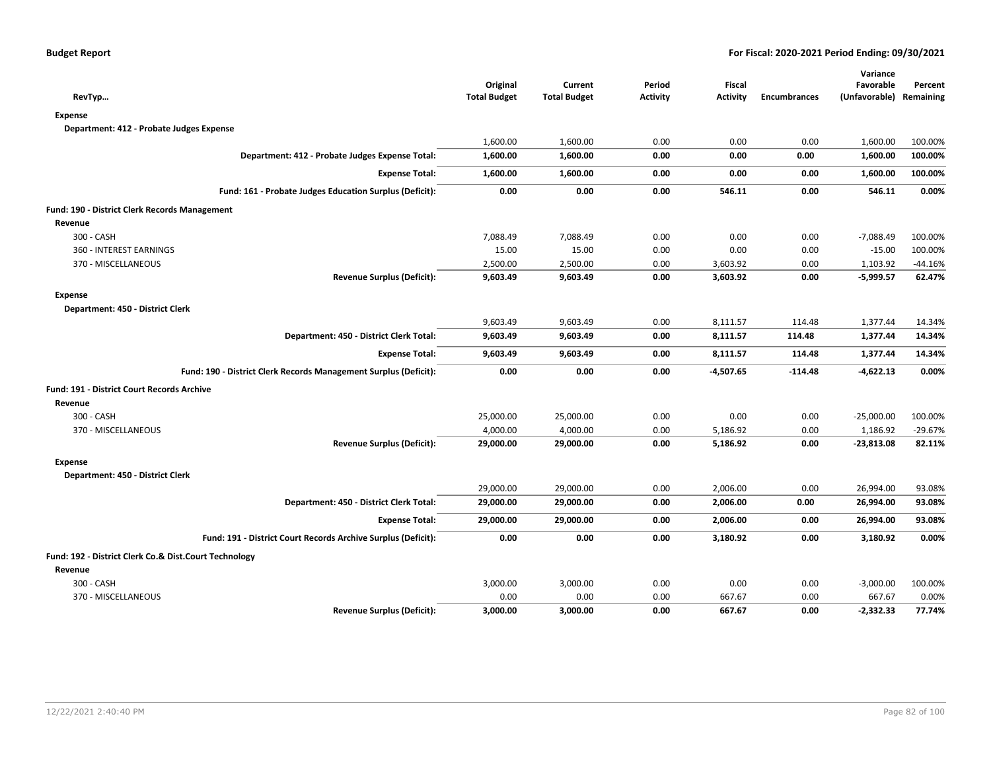| RevTyp                                                  | Original<br><b>Total Budget</b>                                                                                                                                                                                                                                                                                                                                                                                                                                                                                                                                                                                                                                                                                                                                                                                                                                                                                                                                                                                                                                                                                                                                                                                                                                                                                                                                                      | Current<br><b>Total Budget</b> | Period<br><b>Activity</b> | Fiscal<br><b>Activity</b> | <b>Encumbrances</b> | Variance<br>Favorable | Percent   |
|---------------------------------------------------------|--------------------------------------------------------------------------------------------------------------------------------------------------------------------------------------------------------------------------------------------------------------------------------------------------------------------------------------------------------------------------------------------------------------------------------------------------------------------------------------------------------------------------------------------------------------------------------------------------------------------------------------------------------------------------------------------------------------------------------------------------------------------------------------------------------------------------------------------------------------------------------------------------------------------------------------------------------------------------------------------------------------------------------------------------------------------------------------------------------------------------------------------------------------------------------------------------------------------------------------------------------------------------------------------------------------------------------------------------------------------------------------|--------------------------------|---------------------------|---------------------------|---------------------|-----------------------|-----------|
| <b>Expense</b>                                          |                                                                                                                                                                                                                                                                                                                                                                                                                                                                                                                                                                                                                                                                                                                                                                                                                                                                                                                                                                                                                                                                                                                                                                                                                                                                                                                                                                                      |                                |                           |                           |                     |                       |           |
| Department: 412 - Probate Judges Expense                |                                                                                                                                                                                                                                                                                                                                                                                                                                                                                                                                                                                                                                                                                                                                                                                                                                                                                                                                                                                                                                                                                                                                                                                                                                                                                                                                                                                      |                                |                           |                           |                     |                       |           |
|                                                         | 1,600.00                                                                                                                                                                                                                                                                                                                                                                                                                                                                                                                                                                                                                                                                                                                                                                                                                                                                                                                                                                                                                                                                                                                                                                                                                                                                                                                                                                             | 1,600.00                       | 0.00                      | 0.00                      | 0.00                | 1,600.00              | 100.00%   |
| Department: 412 - Probate Judges Expense Total:         | 1,600.00                                                                                                                                                                                                                                                                                                                                                                                                                                                                                                                                                                                                                                                                                                                                                                                                                                                                                                                                                                                                                                                                                                                                                                                                                                                                                                                                                                             | 1,600.00                       | 0.00                      | 0.00                      | 0.00                | 1,600.00              | 100.00%   |
| <b>Expense Total:</b>                                   | 1,600.00                                                                                                                                                                                                                                                                                                                                                                                                                                                                                                                                                                                                                                                                                                                                                                                                                                                                                                                                                                                                                                                                                                                                                                                                                                                                                                                                                                             | 1,600.00                       | 0.00                      | 0.00                      | 0.00                | 1,600.00              | 100.00%   |
| Fund: 161 - Probate Judges Education Surplus (Deficit): | 0.00                                                                                                                                                                                                                                                                                                                                                                                                                                                                                                                                                                                                                                                                                                                                                                                                                                                                                                                                                                                                                                                                                                                                                                                                                                                                                                                                                                                 | 0.00                           | 0.00                      | 546.11                    | 0.00                | 546.11                | 0.00%     |
| Fund: 190 - District Clerk Records Management           |                                                                                                                                                                                                                                                                                                                                                                                                                                                                                                                                                                                                                                                                                                                                                                                                                                                                                                                                                                                                                                                                                                                                                                                                                                                                                                                                                                                      |                                |                           |                           |                     |                       |           |
| Revenue                                                 |                                                                                                                                                                                                                                                                                                                                                                                                                                                                                                                                                                                                                                                                                                                                                                                                                                                                                                                                                                                                                                                                                                                                                                                                                                                                                                                                                                                      |                                |                           |                           |                     |                       |           |
| 300 - CASH                                              | 7,088.49                                                                                                                                                                                                                                                                                                                                                                                                                                                                                                                                                                                                                                                                                                                                                                                                                                                                                                                                                                                                                                                                                                                                                                                                                                                                                                                                                                             | 7,088.49                       | 0.00                      | 0.00                      | 0.00                | $-7,088.49$           | 100.00%   |
| 360 - INTEREST EARNINGS                                 | 15.00                                                                                                                                                                                                                                                                                                                                                                                                                                                                                                                                                                                                                                                                                                                                                                                                                                                                                                                                                                                                                                                                                                                                                                                                                                                                                                                                                                                | 15.00                          | 0.00                      | 0.00                      | 0.00                | $-15.00$              | 100.00%   |
| 370 - MISCELLANEOUS                                     | (Unfavorable) Remaining<br>2,500.00<br>2,500.00<br>0.00<br>3,603.92<br>0.00<br>1,103.92<br><b>Revenue Surplus (Deficit):</b><br>9,603.49<br>9,603.49<br>$-5,999.57$<br>0.00<br>3,603.92<br>0.00<br>9,603.49<br>9,603.49<br>0.00<br>8,111.57<br>114.48<br>1,377.44<br>Department: 450 - District Clerk Total:<br>9,603.49<br>9,603.49<br>0.00<br>8,111.57<br>114.48<br>1,377.44<br>9,603.49<br>9,603.49<br>8,111.57<br><b>Expense Total:</b><br>0.00<br>114.48<br>1,377.44<br>Fund: 190 - District Clerk Records Management Surplus (Deficit):<br>0.00<br>0.00<br>-4,507.65<br>$-4,622.13$<br>0.00<br>$-114.48$<br>25,000.00<br>25,000.00<br>0.00<br>0.00<br>$-25,000.00$<br>0.00<br>4,000.00<br>4,000.00<br>5,186.92<br>0.00<br>1,186.92<br>0.00<br><b>Revenue Surplus (Deficit):</b><br>29,000.00<br>$-23,813.08$<br>29,000.00<br>0.00<br>5,186.92<br>0.00<br>29,000.00<br>29,000.00<br>0.00<br>2,006.00<br>0.00<br>26,994.00<br>Department: 450 - District Clerk Total:<br>29,000.00<br>29,000.00<br>0.00<br>2,006.00<br>0.00<br>26,994.00<br><b>Expense Total:</b><br>29,000.00<br>29,000.00<br>0.00<br>2,006.00<br>0.00<br>26,994.00<br>Fund: 191 - District Court Records Archive Surplus (Deficit):<br>0.00<br>0.00<br>0.00<br>3,180.92<br>0.00<br>3,180.92<br>3,000.00<br>0.00<br>0.00<br>$-3,000.00$<br>3,000.00<br>0.00<br>0.00<br>0.00<br>0.00<br>0.00<br>667.67<br>667.67 | $-44.16%$                      |                           |                           |                     |                       |           |
|                                                         |                                                                                                                                                                                                                                                                                                                                                                                                                                                                                                                                                                                                                                                                                                                                                                                                                                                                                                                                                                                                                                                                                                                                                                                                                                                                                                                                                                                      |                                |                           |                           |                     |                       | 62.47%    |
| <b>Expense</b>                                          |                                                                                                                                                                                                                                                                                                                                                                                                                                                                                                                                                                                                                                                                                                                                                                                                                                                                                                                                                                                                                                                                                                                                                                                                                                                                                                                                                                                      |                                |                           |                           |                     |                       |           |
| Department: 450 - District Clerk                        |                                                                                                                                                                                                                                                                                                                                                                                                                                                                                                                                                                                                                                                                                                                                                                                                                                                                                                                                                                                                                                                                                                                                                                                                                                                                                                                                                                                      |                                |                           |                           |                     |                       |           |
|                                                         |                                                                                                                                                                                                                                                                                                                                                                                                                                                                                                                                                                                                                                                                                                                                                                                                                                                                                                                                                                                                                                                                                                                                                                                                                                                                                                                                                                                      |                                |                           |                           |                     |                       | 14.34%    |
|                                                         |                                                                                                                                                                                                                                                                                                                                                                                                                                                                                                                                                                                                                                                                                                                                                                                                                                                                                                                                                                                                                                                                                                                                                                                                                                                                                                                                                                                      |                                |                           |                           |                     |                       | 14.34%    |
|                                                         |                                                                                                                                                                                                                                                                                                                                                                                                                                                                                                                                                                                                                                                                                                                                                                                                                                                                                                                                                                                                                                                                                                                                                                                                                                                                                                                                                                                      |                                |                           |                           |                     |                       | 14.34%    |
|                                                         |                                                                                                                                                                                                                                                                                                                                                                                                                                                                                                                                                                                                                                                                                                                                                                                                                                                                                                                                                                                                                                                                                                                                                                                                                                                                                                                                                                                      |                                |                           |                           |                     |                       | 0.00%     |
| <b>Fund: 191 - District Court Records Archive</b>       |                                                                                                                                                                                                                                                                                                                                                                                                                                                                                                                                                                                                                                                                                                                                                                                                                                                                                                                                                                                                                                                                                                                                                                                                                                                                                                                                                                                      |                                |                           |                           |                     |                       |           |
| Revenue                                                 |                                                                                                                                                                                                                                                                                                                                                                                                                                                                                                                                                                                                                                                                                                                                                                                                                                                                                                                                                                                                                                                                                                                                                                                                                                                                                                                                                                                      |                                |                           |                           |                     |                       |           |
| 300 - CASH                                              |                                                                                                                                                                                                                                                                                                                                                                                                                                                                                                                                                                                                                                                                                                                                                                                                                                                                                                                                                                                                                                                                                                                                                                                                                                                                                                                                                                                      |                                |                           |                           |                     |                       | 100.00%   |
| 370 - MISCELLANEOUS                                     |                                                                                                                                                                                                                                                                                                                                                                                                                                                                                                                                                                                                                                                                                                                                                                                                                                                                                                                                                                                                                                                                                                                                                                                                                                                                                                                                                                                      |                                |                           |                           |                     |                       | $-29.67%$ |
|                                                         |                                                                                                                                                                                                                                                                                                                                                                                                                                                                                                                                                                                                                                                                                                                                                                                                                                                                                                                                                                                                                                                                                                                                                                                                                                                                                                                                                                                      |                                |                           |                           |                     |                       | 82.11%    |
| <b>Expense</b>                                          |                                                                                                                                                                                                                                                                                                                                                                                                                                                                                                                                                                                                                                                                                                                                                                                                                                                                                                                                                                                                                                                                                                                                                                                                                                                                                                                                                                                      |                                |                           |                           |                     |                       |           |
| Department: 450 - District Clerk                        |                                                                                                                                                                                                                                                                                                                                                                                                                                                                                                                                                                                                                                                                                                                                                                                                                                                                                                                                                                                                                                                                                                                                                                                                                                                                                                                                                                                      |                                |                           |                           |                     |                       |           |
|                                                         |                                                                                                                                                                                                                                                                                                                                                                                                                                                                                                                                                                                                                                                                                                                                                                                                                                                                                                                                                                                                                                                                                                                                                                                                                                                                                                                                                                                      |                                |                           |                           |                     |                       | 93.08%    |
|                                                         |                                                                                                                                                                                                                                                                                                                                                                                                                                                                                                                                                                                                                                                                                                                                                                                                                                                                                                                                                                                                                                                                                                                                                                                                                                                                                                                                                                                      |                                |                           |                           |                     |                       | 93.08%    |
|                                                         |                                                                                                                                                                                                                                                                                                                                                                                                                                                                                                                                                                                                                                                                                                                                                                                                                                                                                                                                                                                                                                                                                                                                                                                                                                                                                                                                                                                      |                                |                           |                           |                     |                       | 93.08%    |
|                                                         |                                                                                                                                                                                                                                                                                                                                                                                                                                                                                                                                                                                                                                                                                                                                                                                                                                                                                                                                                                                                                                                                                                                                                                                                                                                                                                                                                                                      |                                |                           |                           |                     |                       | 0.00%     |
| Fund: 192 - District Clerk Co.& Dist.Court Technology   |                                                                                                                                                                                                                                                                                                                                                                                                                                                                                                                                                                                                                                                                                                                                                                                                                                                                                                                                                                                                                                                                                                                                                                                                                                                                                                                                                                                      |                                |                           |                           |                     |                       |           |
| Revenue                                                 |                                                                                                                                                                                                                                                                                                                                                                                                                                                                                                                                                                                                                                                                                                                                                                                                                                                                                                                                                                                                                                                                                                                                                                                                                                                                                                                                                                                      |                                |                           |                           |                     |                       |           |
| 300 - CASH                                              |                                                                                                                                                                                                                                                                                                                                                                                                                                                                                                                                                                                                                                                                                                                                                                                                                                                                                                                                                                                                                                                                                                                                                                                                                                                                                                                                                                                      |                                |                           |                           |                     |                       | 100.00%   |
| 370 - MISCELLANEOUS                                     |                                                                                                                                                                                                                                                                                                                                                                                                                                                                                                                                                                                                                                                                                                                                                                                                                                                                                                                                                                                                                                                                                                                                                                                                                                                                                                                                                                                      |                                |                           |                           |                     |                       | 0.00%     |
| <b>Revenue Surplus (Deficit):</b>                       | 3,000.00                                                                                                                                                                                                                                                                                                                                                                                                                                                                                                                                                                                                                                                                                                                                                                                                                                                                                                                                                                                                                                                                                                                                                                                                                                                                                                                                                                             | 3,000.00                       | 0.00                      | 667.67                    | 0.00                | $-2,332.33$           | 77.74%    |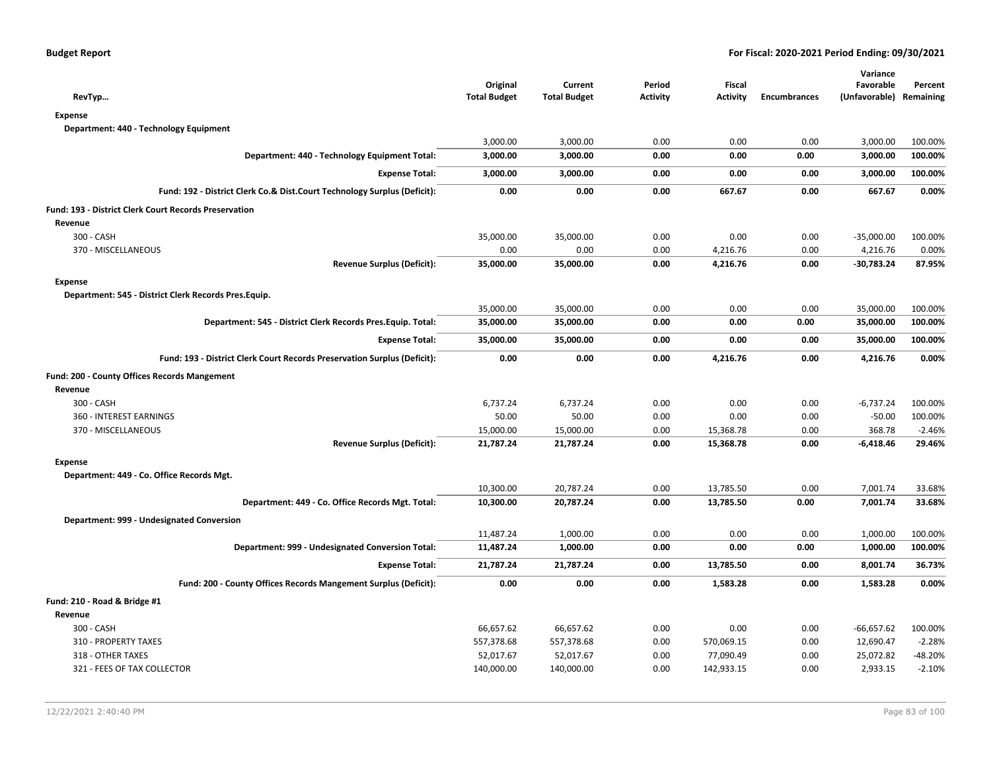| RevTyp                                                                   | Original<br><b>Total Budget</b> | Current<br><b>Total Budget</b> | Period<br><b>Activity</b> | Fiscal<br><b>Activity</b> | <b>Encumbrances</b> | Variance<br>Favorable<br>(Unfavorable) | Percent<br>Remaining |
|--------------------------------------------------------------------------|---------------------------------|--------------------------------|---------------------------|---------------------------|---------------------|----------------------------------------|----------------------|
| <b>Expense</b>                                                           |                                 |                                |                           |                           |                     |                                        |                      |
| Department: 440 - Technology Equipment                                   |                                 |                                |                           |                           |                     |                                        |                      |
|                                                                          | 3,000.00                        | 3,000.00                       | 0.00                      | 0.00                      | 0.00                | 3,000.00                               | 100.00%              |
| Department: 440 - Technology Equipment Total:                            | 3,000.00                        | 3,000.00                       | 0.00                      | 0.00                      | 0.00                | 3,000.00                               | 100.00%              |
| <b>Expense Total:</b>                                                    | 3,000.00                        | 3,000.00                       | 0.00                      | 0.00                      | 0.00                | 3,000.00                               | 100.00%              |
| Fund: 192 - District Clerk Co.& Dist.Court Technology Surplus (Deficit): | 0.00                            | 0.00                           | 0.00                      | 667.67                    | 0.00                | 667.67                                 | 0.00%                |
| Fund: 193 - District Clerk Court Records Preservation                    |                                 |                                |                           |                           |                     |                                        |                      |
| Revenue                                                                  |                                 |                                |                           |                           |                     |                                        |                      |
| 300 - CASH                                                               | 35,000.00                       | 35,000.00                      | 0.00                      | 0.00                      | 0.00                | $-35,000.00$                           | 100.00%              |
| 370 - MISCELLANEOUS                                                      | 0.00                            | 0.00                           | 0.00                      | 4,216.76                  | 0.00                | 4,216.76                               | 0.00%                |
| <b>Revenue Surplus (Deficit):</b>                                        | 35,000.00                       | 35,000.00                      | 0.00                      | 4,216.76                  | 0.00                | -30,783.24                             | 87.95%               |
| <b>Expense</b>                                                           |                                 |                                |                           |                           |                     |                                        |                      |
| Department: 545 - District Clerk Records Pres.Equip.                     |                                 |                                |                           |                           |                     |                                        |                      |
|                                                                          | 35,000.00                       | 35,000.00                      | 0.00                      | 0.00                      | 0.00                | 35,000.00                              | 100.00%              |
| Department: 545 - District Clerk Records Pres. Equip. Total:             | 35,000.00                       | 35,000.00                      | 0.00                      | 0.00                      | 0.00                | 35,000.00                              | 100.00%              |
| <b>Expense Total:</b>                                                    | 35,000.00                       | 35,000.00                      | 0.00                      | 0.00                      | 0.00                | 35,000.00                              | 100.00%              |
| Fund: 193 - District Clerk Court Records Preservation Surplus (Deficit): | 0.00                            | 0.00                           | 0.00                      | 4,216.76                  | 0.00                | 4,216.76                               | 0.00%                |
| Fund: 200 - County Offices Records Mangement                             |                                 |                                |                           |                           |                     |                                        |                      |
| Revenue                                                                  |                                 |                                |                           |                           |                     |                                        |                      |
| 300 - CASH                                                               | 6,737.24                        | 6,737.24                       | 0.00                      | 0.00                      | 0.00                | $-6,737.24$                            | 100.00%              |
| 360 - INTEREST EARNINGS                                                  | 50.00                           | 50.00                          | 0.00                      | 0.00                      | 0.00                | $-50.00$                               | 100.00%              |
| 370 - MISCELLANEOUS                                                      | 15,000.00                       | 15,000.00                      | 0.00                      | 15,368.78                 | 0.00                | 368.78                                 | $-2.46%$             |
| <b>Revenue Surplus (Deficit):</b>                                        | 21,787.24                       | 21,787.24                      | 0.00                      | 15,368.78                 | 0.00                | -6,418.46                              | 29.46%               |
| <b>Expense</b>                                                           |                                 |                                |                           |                           |                     |                                        |                      |
| Department: 449 - Co. Office Records Mgt.                                |                                 |                                |                           |                           |                     |                                        |                      |
|                                                                          | 10,300.00                       | 20,787.24                      | 0.00                      | 13,785.50                 | 0.00                | 7,001.74                               | 33.68%               |
| Department: 449 - Co. Office Records Mgt. Total:                         | 10,300.00                       | 20,787.24                      | 0.00                      | 13,785.50                 | 0.00                | 7,001.74                               | 33.68%               |
| Department: 999 - Undesignated Conversion                                |                                 |                                |                           |                           |                     |                                        |                      |
|                                                                          | 11,487.24                       | 1,000.00                       | 0.00                      | 0.00                      | 0.00                | 1,000.00                               | 100.00%              |
| Department: 999 - Undesignated Conversion Total:                         | 11,487.24                       | 1,000.00                       | 0.00                      | 0.00                      | 0.00                | 1,000.00                               | 100.00%              |
| <b>Expense Total:</b>                                                    | 21,787.24                       | 21,787.24                      | 0.00                      | 13,785.50                 | 0.00                | 8,001.74                               | 36.73%               |
| Fund: 200 - County Offices Records Mangement Surplus (Deficit):          | 0.00                            | 0.00                           | 0.00                      | 1,583.28                  | 0.00                | 1,583.28                               | 0.00%                |
| Fund: 210 - Road & Bridge #1                                             |                                 |                                |                           |                           |                     |                                        |                      |
| Revenue                                                                  |                                 |                                |                           |                           |                     |                                        |                      |
| 300 - CASH                                                               | 66,657.62                       | 66,657.62                      | 0.00                      | 0.00                      | 0.00                | $-66,657.62$                           | 100.00%              |
| 310 - PROPERTY TAXES                                                     | 557,378.68                      | 557,378.68                     | 0.00                      | 570,069.15                | 0.00                | 12,690.47                              | $-2.28%$             |
| 318 - OTHER TAXES                                                        | 52,017.67                       | 52,017.67                      | 0.00                      | 77,090.49                 | 0.00                | 25,072.82                              | -48.20%              |
| 321 - FEES OF TAX COLLECTOR                                              | 140,000.00                      | 140,000.00                     | 0.00                      | 142,933.15                | 0.00                | 2,933.15                               | $-2.10%$             |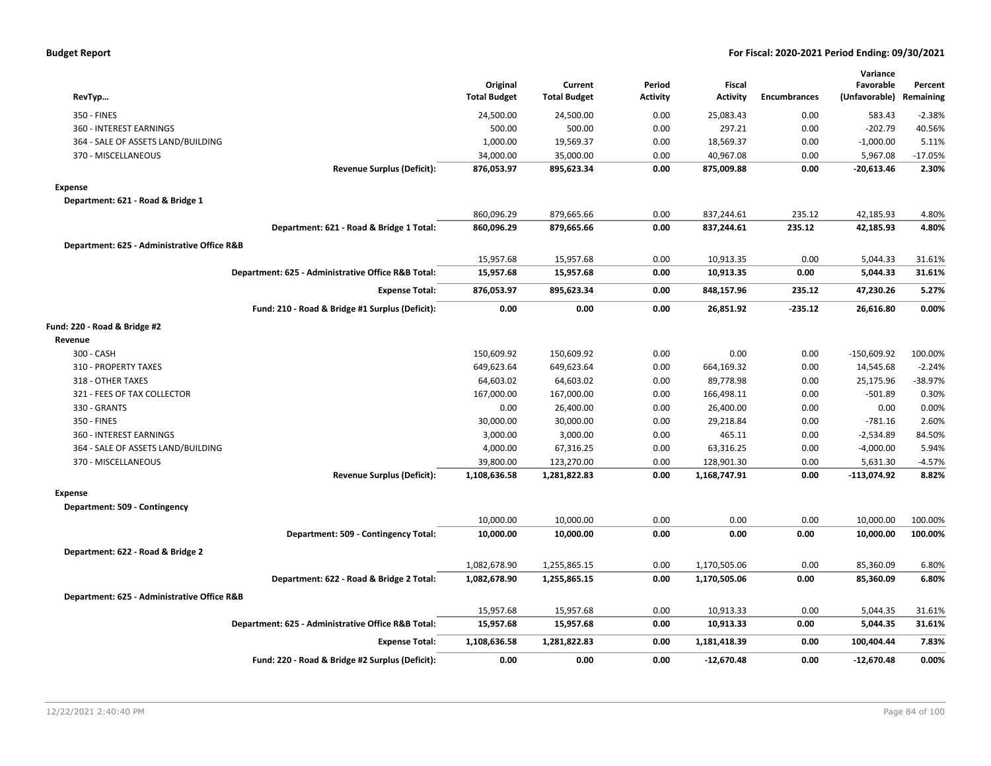| <b>Budget Report</b> |  |
|----------------------|--|
|----------------------|--|

|                                             |                                                    | Original            | Current             | Period          | <b>Fiscal</b>   |                     | Variance<br>Favorable | Percent   |
|---------------------------------------------|----------------------------------------------------|---------------------|---------------------|-----------------|-----------------|---------------------|-----------------------|-----------|
| RevTyp                                      |                                                    | <b>Total Budget</b> | <b>Total Budget</b> | <b>Activity</b> | <b>Activity</b> | <b>Encumbrances</b> | (Unfavorable)         | Remaining |
| 350 - FINES                                 |                                                    | 24,500.00           | 24,500.00           | 0.00            | 25,083.43       | 0.00                | 583.43                | $-2.38%$  |
| 360 - INTEREST EARNINGS                     |                                                    | 500.00              | 500.00              | 0.00            | 297.21          | 0.00                | $-202.79$             | 40.56%    |
| 364 - SALE OF ASSETS LAND/BUILDING          |                                                    | 1,000.00            | 19,569.37           | 0.00            | 18,569.37       | 0.00                | $-1,000.00$           | 5.11%     |
| 370 - MISCELLANEOUS                         |                                                    | 34,000.00           | 35,000.00           | 0.00            | 40,967.08       | 0.00                | 5,967.08              | $-17.05%$ |
|                                             | <b>Revenue Surplus (Deficit):</b>                  | 876,053.97          | 895,623.34          | 0.00            | 875,009.88      | 0.00                | $-20,613.46$          | 2.30%     |
| <b>Expense</b>                              |                                                    |                     |                     |                 |                 |                     |                       |           |
| Department: 621 - Road & Bridge 1           |                                                    |                     |                     |                 |                 |                     |                       |           |
|                                             |                                                    | 860,096.29          | 879,665.66          | 0.00            | 837,244.61      | 235.12              | 42,185.93             | 4.80%     |
|                                             | Department: 621 - Road & Bridge 1 Total:           | 860,096.29          | 879,665.66          | 0.00            | 837,244.61      | 235.12              | 42,185.93             | 4.80%     |
| Department: 625 - Administrative Office R&B |                                                    |                     |                     |                 |                 |                     |                       |           |
|                                             |                                                    | 15,957.68           | 15,957.68           | 0.00            | 10,913.35       | 0.00                | 5,044.33              | 31.61%    |
|                                             | Department: 625 - Administrative Office R&B Total: | 15,957.68           | 15,957.68           | 0.00            | 10,913.35       | 0.00                | 5,044.33              | 31.61%    |
|                                             | <b>Expense Total:</b>                              | 876,053.97          | 895,623.34          | 0.00            | 848,157.96      | 235.12              | 47,230.26             | 5.27%     |
|                                             | Fund: 210 - Road & Bridge #1 Surplus (Deficit):    | 0.00                | 0.00                | 0.00            | 26,851.92       | -235.12             | 26,616.80             | 0.00%     |
| Fund: 220 - Road & Bridge #2                |                                                    |                     |                     |                 |                 |                     |                       |           |
| Revenue                                     |                                                    |                     |                     |                 |                 |                     |                       |           |
| 300 - CASH                                  |                                                    | 150,609.92          | 150,609.92          | 0.00            | 0.00            | 0.00                | $-150,609.92$         | 100.00%   |
| 310 - PROPERTY TAXES                        |                                                    | 649,623.64          | 649,623.64          | 0.00            | 664,169.32      | 0.00                | 14,545.68             | $-2.24%$  |
| 318 - OTHER TAXES                           |                                                    | 64,603.02           | 64,603.02           | 0.00            | 89,778.98       | 0.00                | 25,175.96             | -38.97%   |
| 321 - FEES OF TAX COLLECTOR                 |                                                    | 167,000.00          | 167,000.00          | 0.00            | 166,498.11      | 0.00                | $-501.89$             | 0.30%     |
| 330 - GRANTS                                |                                                    | 0.00                | 26,400.00           | 0.00            | 26,400.00       | 0.00                | 0.00                  | 0.00%     |
| 350 - FINES                                 |                                                    | 30,000.00           | 30,000.00           | 0.00            | 29,218.84       | 0.00                | $-781.16$             | 2.60%     |
| <b>360 - INTEREST EARNINGS</b>              |                                                    | 3,000.00            | 3,000.00            | 0.00            | 465.11          | 0.00                | $-2,534.89$           | 84.50%    |
| 364 - SALE OF ASSETS LAND/BUILDING          |                                                    | 4,000.00            | 67,316.25           | 0.00            | 63,316.25       | 0.00                | $-4,000.00$           | 5.94%     |
| 370 - MISCELLANEOUS                         |                                                    | 39,800.00           | 123,270.00          | 0.00            | 128,901.30      | 0.00                | 5,631.30              | $-4.57%$  |
|                                             | <b>Revenue Surplus (Deficit):</b>                  | 1,108,636.58        | 1,281,822.83        | 0.00            | 1,168,747.91    | 0.00                | $-113,074.92$         | 8.82%     |
| Expense                                     |                                                    |                     |                     |                 |                 |                     |                       |           |
| Department: 509 - Contingency               |                                                    |                     |                     |                 |                 |                     |                       |           |
|                                             |                                                    | 10,000.00           | 10,000.00           | 0.00            | 0.00            | 0.00                | 10,000.00             | 100.00%   |
|                                             | Department: 509 - Contingency Total:               | 10,000.00           | 10,000.00           | 0.00            | 0.00            | 0.00                | 10,000.00             | 100.00%   |
| Department: 622 - Road & Bridge 2           |                                                    |                     |                     |                 |                 |                     |                       |           |
|                                             |                                                    | 1,082,678.90        | 1,255,865.15        | 0.00            | 1,170,505.06    | 0.00                | 85,360.09             | 6.80%     |
|                                             | Department: 622 - Road & Bridge 2 Total:           | 1,082,678.90        | 1,255,865.15        | 0.00            | 1,170,505.06    | 0.00                | 85,360.09             | 6.80%     |
| Department: 625 - Administrative Office R&B |                                                    |                     |                     |                 |                 |                     |                       |           |
|                                             |                                                    | 15,957.68           | 15,957.68           | 0.00            | 10,913.33       | 0.00                | 5,044.35              | 31.61%    |
|                                             | Department: 625 - Administrative Office R&B Total: | 15,957.68           | 15,957.68           | 0.00            | 10,913.33       | 0.00                | 5,044.35              | 31.61%    |
|                                             | <b>Expense Total:</b>                              | 1,108,636.58        | 1,281,822.83        | 0.00            | 1,181,418.39    | 0.00                | 100,404.44            | 7.83%     |
|                                             | Fund: 220 - Road & Bridge #2 Surplus (Deficit):    | 0.00                | 0.00                | 0.00            | $-12,670.48$    | 0.00                | $-12,670.48$          | 0.00%     |
|                                             |                                                    |                     |                     |                 |                 |                     |                       |           |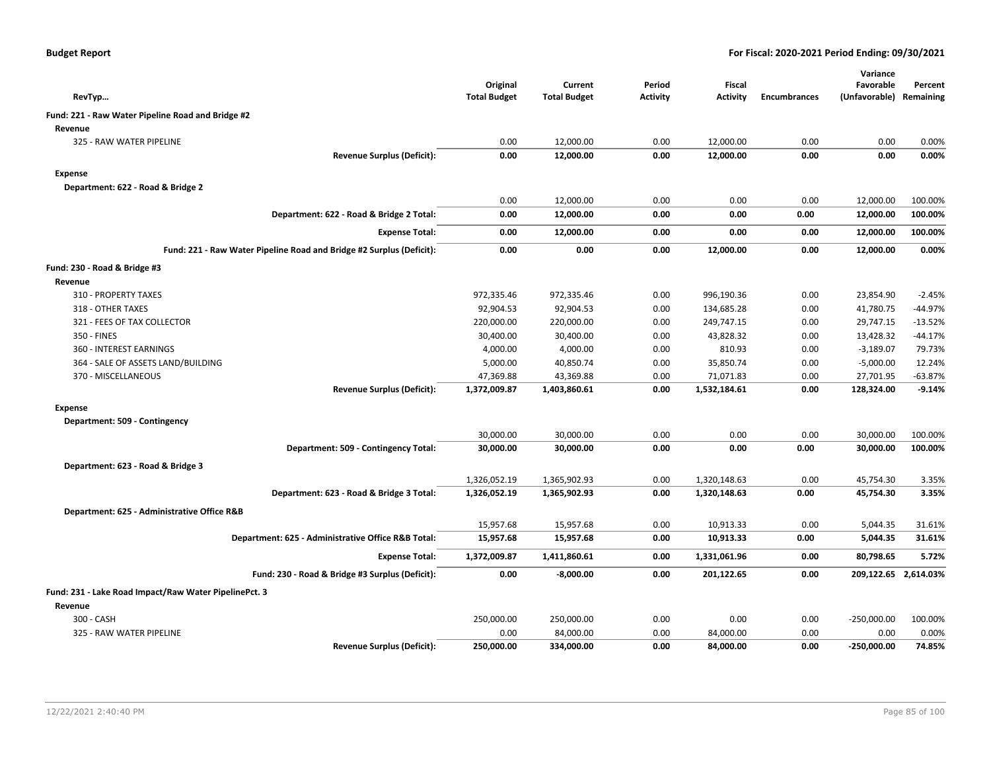| RevTyp                                                |                                                                      | Original<br><b>Total Budget</b> | Current<br><b>Total Budget</b> | Period<br><b>Activity</b> | Fiscal<br><b>Activity</b> | <b>Encumbrances</b> | Variance<br>Favorable<br>(Unfavorable) | Percent<br>Remaining |
|-------------------------------------------------------|----------------------------------------------------------------------|---------------------------------|--------------------------------|---------------------------|---------------------------|---------------------|----------------------------------------|----------------------|
| Fund: 221 - Raw Water Pipeline Road and Bridge #2     |                                                                      |                                 |                                |                           |                           |                     |                                        |                      |
| Revenue                                               |                                                                      |                                 |                                |                           |                           |                     |                                        |                      |
| 325 - RAW WATER PIPELINE                              |                                                                      | 0.00                            | 12,000.00                      | 0.00                      | 12,000.00                 | 0.00                | 0.00                                   | 0.00%                |
|                                                       | <b>Revenue Surplus (Deficit):</b>                                    | 0.00                            | 12,000.00                      | 0.00                      | 12,000.00                 | 0.00                | 0.00                                   | 0.00%                |
| <b>Expense</b>                                        |                                                                      |                                 |                                |                           |                           |                     |                                        |                      |
| Department: 622 - Road & Bridge 2                     |                                                                      |                                 |                                |                           |                           |                     |                                        |                      |
|                                                       |                                                                      | 0.00                            | 12,000.00                      | 0.00                      | 0.00                      | 0.00                | 12,000.00                              | 100.00%              |
|                                                       | Department: 622 - Road & Bridge 2 Total:                             | 0.00                            | 12,000.00                      | 0.00                      | 0.00                      | 0.00                | 12,000.00                              | 100.00%              |
|                                                       | <b>Expense Total:</b>                                                | 0.00                            | 12,000.00                      | 0.00                      | 0.00                      | 0.00                | 12,000.00                              | 100.00%              |
|                                                       | Fund: 221 - Raw Water Pipeline Road and Bridge #2 Surplus (Deficit): | 0.00                            | 0.00                           | 0.00                      | 12,000.00                 | 0.00                | 12,000.00                              | 0.00%                |
| Fund: 230 - Road & Bridge #3                          |                                                                      |                                 |                                |                           |                           |                     |                                        |                      |
| Revenue                                               |                                                                      |                                 |                                |                           |                           |                     |                                        |                      |
| 310 - PROPERTY TAXES                                  |                                                                      | 972,335.46                      | 972,335.46                     | 0.00                      | 996,190.36                | 0.00                | 23,854.90                              | $-2.45%$             |
| 318 - OTHER TAXES                                     |                                                                      | 92,904.53                       | 92,904.53                      | 0.00                      | 134,685.28                | 0.00                | 41,780.75                              | -44.97%              |
| 321 - FEES OF TAX COLLECTOR                           |                                                                      | 220,000.00                      | 220,000.00                     | 0.00                      | 249,747.15                | 0.00                | 29,747.15                              | $-13.52%$            |
| 350 - FINES                                           |                                                                      | 30,400.00                       | 30,400.00                      | 0.00                      | 43,828.32                 | 0.00                | 13,428.32                              | $-44.17%$            |
| 360 - INTEREST EARNINGS                               |                                                                      | 4,000.00                        | 4,000.00                       | 0.00                      | 810.93                    | 0.00                | $-3,189.07$                            | 79.73%               |
| 364 - SALE OF ASSETS LAND/BUILDING                    |                                                                      | 5,000.00                        | 40,850.74                      | 0.00                      | 35,850.74                 | 0.00                | $-5,000.00$                            | 12.24%               |
| 370 - MISCELLANEOUS                                   |                                                                      | 47,369.88                       | 43,369.88                      | 0.00                      | 71,071.83                 | 0.00                | 27,701.95                              | $-63.87%$            |
|                                                       | <b>Revenue Surplus (Deficit):</b>                                    | 1,372,009.87                    | 1,403,860.61                   | 0.00                      | 1,532,184.61              | 0.00                | 128,324.00                             | $-9.14%$             |
| <b>Expense</b>                                        |                                                                      |                                 |                                |                           |                           |                     |                                        |                      |
| Department: 509 - Contingency                         |                                                                      |                                 |                                |                           |                           |                     |                                        |                      |
|                                                       |                                                                      | 30,000.00                       | 30,000.00                      | 0.00                      | 0.00                      | 0.00                | 30,000.00                              | 100.00%              |
|                                                       | Department: 509 - Contingency Total:                                 | 30,000.00                       | 30,000.00                      | 0.00                      | 0.00                      | 0.00                | 30,000.00                              | 100.00%              |
| Department: 623 - Road & Bridge 3                     |                                                                      |                                 |                                |                           |                           |                     |                                        |                      |
|                                                       |                                                                      | 1,326,052.19                    | 1,365,902.93                   | 0.00                      | 1,320,148.63              | 0.00                | 45,754.30                              | 3.35%                |
|                                                       | Department: 623 - Road & Bridge 3 Total:                             | 1,326,052.19                    | 1,365,902.93                   | 0.00                      | 1,320,148.63              | 0.00                | 45,754.30                              | 3.35%                |
| Department: 625 - Administrative Office R&B           |                                                                      |                                 |                                |                           |                           |                     |                                        |                      |
|                                                       |                                                                      | 15,957.68                       | 15,957.68                      | 0.00                      | 10,913.33                 | 0.00                | 5,044.35                               | 31.61%               |
|                                                       | Department: 625 - Administrative Office R&B Total:                   | 15,957.68                       | 15,957.68                      | 0.00                      | 10,913.33                 | 0.00                | 5,044.35                               | 31.61%               |
|                                                       | <b>Expense Total:</b>                                                | 1,372,009.87                    | 1,411,860.61                   | 0.00                      | 1,331,061.96              | 0.00                | 80,798.65                              | 5.72%                |
|                                                       | Fund: 230 - Road & Bridge #3 Surplus (Deficit):                      | 0.00                            | $-8,000.00$                    | 0.00                      | 201,122.65                | 0.00                | 209,122.65 2,614.03%                   |                      |
| Fund: 231 - Lake Road Impact/Raw Water PipelinePct. 3 |                                                                      |                                 |                                |                           |                           |                     |                                        |                      |
| Revenue                                               |                                                                      |                                 |                                |                           |                           |                     |                                        |                      |
| 300 - CASH                                            |                                                                      | 250,000.00                      | 250,000.00                     | 0.00                      | 0.00                      | 0.00                | $-250,000.00$                          | 100.00%              |
| 325 - RAW WATER PIPELINE                              |                                                                      | 0.00                            | 84,000.00                      | 0.00                      | 84,000.00                 | 0.00                | 0.00                                   | 0.00%                |
|                                                       | <b>Revenue Surplus (Deficit):</b>                                    | 250,000.00                      | 334,000.00                     | 0.00                      | 84,000.00                 | 0.00                | $-250,000.00$                          | 74.85%               |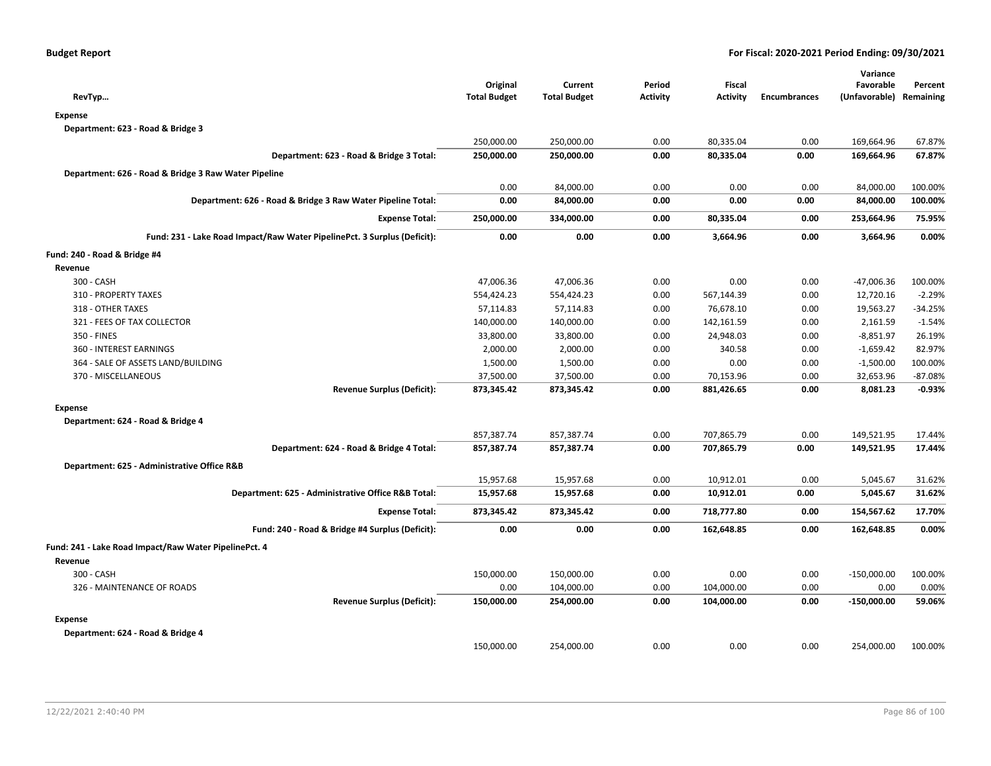| RevTyp                                                                   | Original<br><b>Total Budget</b> | Current<br><b>Total Budget</b> | Period<br><b>Activity</b> | Fiscal<br><b>Activity</b> | <b>Encumbrances</b> | Variance<br>Favorable<br>(Unfavorable) Remaining | Percent             |
|--------------------------------------------------------------------------|---------------------------------|--------------------------------|---------------------------|---------------------------|---------------------|--------------------------------------------------|---------------------|
| <b>Expense</b>                                                           |                                 |                                |                           |                           |                     |                                                  |                     |
| Department: 623 - Road & Bridge 3                                        |                                 |                                |                           |                           |                     |                                                  |                     |
|                                                                          | 250,000.00                      | 250,000.00                     | 0.00                      | 80,335.04                 | 0.00                | 169,664.96                                       | 67.87%              |
| Department: 623 - Road & Bridge 3 Total:                                 | 250,000.00                      | 250,000.00                     | 0.00                      | 80,335.04                 | 0.00                | 169,664.96                                       | 67.87%              |
| Department: 626 - Road & Bridge 3 Raw Water Pipeline                     |                                 |                                |                           |                           |                     |                                                  |                     |
|                                                                          | 0.00                            | 84,000.00                      | 0.00                      | 0.00                      | 0.00                | 84,000.00                                        | 100.00%             |
| Department: 626 - Road & Bridge 3 Raw Water Pipeline Total:              | 0.00                            | 84,000.00                      | 0.00                      | 0.00                      | 0.00                | 84,000.00                                        | 100.00%             |
| <b>Expense Total:</b>                                                    | 250,000.00                      | 334,000.00                     | 0.00                      | 80,335.04                 | 0.00                | 253,664.96                                       | 75.95%              |
| Fund: 231 - Lake Road Impact/Raw Water PipelinePct. 3 Surplus (Deficit): | 0.00                            | 0.00                           | 0.00                      | 3,664.96                  | 0.00                | 3,664.96                                         | 0.00%               |
|                                                                          |                                 |                                |                           |                           |                     |                                                  |                     |
| Fund: 240 - Road & Bridge #4                                             |                                 |                                |                           |                           |                     |                                                  |                     |
| Revenue                                                                  |                                 |                                |                           |                           |                     |                                                  |                     |
| 300 - CASH<br>310 - PROPERTY TAXES                                       | 47,006.36                       | 47,006.36                      | 0.00                      | 0.00<br>567,144.39        | 0.00<br>0.00        | -47,006.36                                       | 100.00%<br>$-2.29%$ |
| 318 - OTHER TAXES                                                        | 554,424.23                      | 554,424.23                     | 0.00                      |                           |                     | 12,720.16                                        |                     |
|                                                                          | 57,114.83                       | 57,114.83                      | 0.00                      | 76,678.10                 | 0.00                | 19,563.27                                        | -34.25%             |
| 321 - FEES OF TAX COLLECTOR                                              | 140,000.00                      | 140,000.00                     | 0.00                      | 142,161.59                | 0.00                | 2,161.59                                         | $-1.54%$            |
| 350 - FINES                                                              | 33,800.00                       | 33,800.00                      | 0.00                      | 24,948.03                 | 0.00                | $-8,851.97$                                      | 26.19%              |
| 360 - INTEREST EARNINGS                                                  | 2,000.00                        | 2,000.00                       | 0.00                      | 340.58                    | 0.00                | $-1,659.42$                                      | 82.97%              |
| 364 - SALE OF ASSETS LAND/BUILDING                                       | 1,500.00                        | 1,500.00                       | 0.00                      | 0.00                      | 0.00                | $-1,500.00$                                      | 100.00%             |
| 370 - MISCELLANEOUS                                                      | 37,500.00                       | 37,500.00                      | 0.00                      | 70,153.96                 | 0.00                | 32,653.96                                        | $-87.08%$           |
| <b>Revenue Surplus (Deficit):</b>                                        | 873,345.42                      | 873,345.42                     | 0.00                      | 881,426.65                | 0.00                | 8,081.23                                         | $-0.93%$            |
| <b>Expense</b>                                                           |                                 |                                |                           |                           |                     |                                                  |                     |
| Department: 624 - Road & Bridge 4                                        |                                 |                                |                           |                           |                     |                                                  |                     |
|                                                                          | 857,387.74                      | 857,387.74                     | 0.00                      | 707,865.79                | 0.00                | 149,521.95                                       | 17.44%              |
| Department: 624 - Road & Bridge 4 Total:                                 | 857,387.74                      | 857,387.74                     | 0.00                      | 707,865.79                | 0.00                | 149,521.95                                       | 17.44%              |
| Department: 625 - Administrative Office R&B                              |                                 |                                |                           |                           |                     |                                                  |                     |
|                                                                          | 15,957.68                       | 15,957.68                      | 0.00                      | 10,912.01                 | 0.00                | 5,045.67                                         | 31.62%              |
| Department: 625 - Administrative Office R&B Total:                       | 15,957.68                       | 15,957.68                      | 0.00                      | 10,912.01                 | 0.00                | 5,045.67                                         | 31.62%              |
| <b>Expense Total:</b>                                                    | 873,345.42                      | 873,345.42                     | 0.00                      | 718,777.80                | 0.00                | 154,567.62                                       | 17.70%              |
| Fund: 240 - Road & Bridge #4 Surplus (Deficit):                          | 0.00                            | 0.00                           | 0.00                      | 162,648.85                | 0.00                | 162,648.85                                       | 0.00%               |
| Fund: 241 - Lake Road Impact/Raw Water PipelinePct. 4                    |                                 |                                |                           |                           |                     |                                                  |                     |
| Revenue                                                                  |                                 |                                |                           |                           |                     |                                                  |                     |
| 300 - CASH                                                               | 150,000.00                      | 150,000.00                     | 0.00                      | 0.00                      | 0.00                | $-150,000.00$                                    | 100.00%             |
| 326 - MAINTENANCE OF ROADS                                               | 0.00                            | 104,000.00                     | 0.00                      | 104,000.00                | 0.00                | 0.00                                             | 0.00%               |
| <b>Revenue Surplus (Deficit):</b>                                        | 150,000.00                      | 254,000.00                     | 0.00                      | 104,000.00                | 0.00                | $-150,000.00$                                    | 59.06%              |
| <b>Expense</b>                                                           |                                 |                                |                           |                           |                     |                                                  |                     |
| Department: 624 - Road & Bridge 4                                        |                                 |                                |                           |                           |                     |                                                  |                     |
|                                                                          | 150,000.00                      | 254,000.00                     | 0.00                      | 0.00                      | 0.00                | 254,000.00                                       | 100.00%             |
|                                                                          |                                 |                                |                           |                           |                     |                                                  |                     |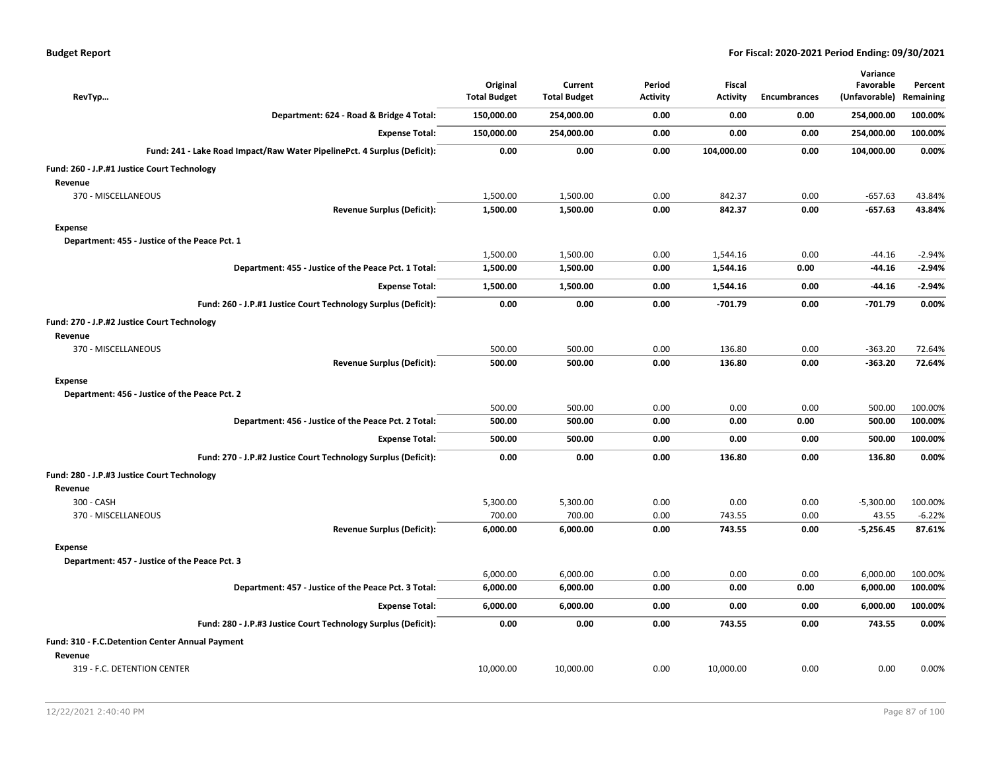|  |  |  | <b>Budget Report</b> |
|--|--|--|----------------------|
|--|--|--|----------------------|

|                                                                 |                                                                          |                                 |                                |                           |                                  |                     | Variance                   |                      |
|-----------------------------------------------------------------|--------------------------------------------------------------------------|---------------------------------|--------------------------------|---------------------------|----------------------------------|---------------------|----------------------------|----------------------|
| RevTyp                                                          |                                                                          | Original<br><b>Total Budget</b> | Current<br><b>Total Budget</b> | Period<br><b>Activity</b> | <b>Fiscal</b><br><b>Activity</b> | <b>Encumbrances</b> | Favorable<br>(Unfavorable) | Percent<br>Remaining |
|                                                                 | Department: 624 - Road & Bridge 4 Total:                                 | 150,000.00                      | 254,000.00                     | 0.00                      | 0.00                             | 0.00                | 254,000.00                 | 100.00%              |
|                                                                 | <b>Expense Total:</b>                                                    | 150,000.00                      | 254,000.00                     | 0.00                      | 0.00                             | 0.00                | 254,000.00                 | 100.00%              |
|                                                                 | Fund: 241 - Lake Road Impact/Raw Water PipelinePct. 4 Surplus (Deficit): | 0.00                            | 0.00                           | 0.00                      | 104,000.00                       | 0.00                | 104,000.00                 | 0.00%                |
|                                                                 |                                                                          |                                 |                                |                           |                                  |                     |                            |                      |
| Fund: 260 - J.P.#1 Justice Court Technology                     |                                                                          |                                 |                                |                           |                                  |                     |                            |                      |
| Revenue<br>370 - MISCELLANEOUS                                  |                                                                          | 1,500.00                        | 1,500.00                       | 0.00                      | 842.37                           | 0.00                | $-657.63$                  | 43.84%               |
|                                                                 | <b>Revenue Surplus (Deficit):</b>                                        | 1,500.00                        | 1,500.00                       | 0.00                      | 842.37                           | 0.00                | $-657.63$                  | 43.84%               |
| <b>Expense</b>                                                  |                                                                          |                                 |                                |                           |                                  |                     |                            |                      |
| Department: 455 - Justice of the Peace Pct. 1                   |                                                                          |                                 |                                |                           |                                  |                     |                            |                      |
|                                                                 |                                                                          | 1,500.00                        | 1,500.00                       | 0.00                      | 1,544.16                         | 0.00                | $-44.16$                   | $-2.94%$             |
|                                                                 | Department: 455 - Justice of the Peace Pct. 1 Total:                     | 1,500.00                        | 1,500.00                       | 0.00                      | 1,544.16                         | 0.00                | $-44.16$                   | $-2.94%$             |
|                                                                 | <b>Expense Total:</b>                                                    | 1,500.00                        | 1,500.00                       | 0.00                      | 1,544.16                         | 0.00                | $-44.16$                   | $-2.94%$             |
|                                                                 | Fund: 260 - J.P.#1 Justice Court Technology Surplus (Deficit):           | 0.00                            | 0.00                           | 0.00                      | $-701.79$                        | 0.00                | -701.79                    | 0.00%                |
| Fund: 270 - J.P.#2 Justice Court Technology<br>Revenue          |                                                                          |                                 |                                |                           |                                  |                     |                            |                      |
| 370 - MISCELLANEOUS                                             |                                                                          | 500.00                          | 500.00                         | 0.00                      | 136.80                           | 0.00                | $-363.20$                  | 72.64%               |
|                                                                 | <b>Revenue Surplus (Deficit):</b>                                        | 500.00                          | 500.00                         | 0.00                      | 136.80                           | 0.00                | $-363.20$                  | 72.64%               |
| <b>Expense</b>                                                  |                                                                          |                                 |                                |                           |                                  |                     |                            |                      |
| Department: 456 - Justice of the Peace Pct. 2                   |                                                                          |                                 |                                |                           |                                  |                     |                            |                      |
|                                                                 |                                                                          | 500.00                          | 500.00                         | 0.00                      | 0.00                             | 0.00                | 500.00                     | 100.00%              |
|                                                                 | Department: 456 - Justice of the Peace Pct. 2 Total:                     | 500.00                          | 500.00                         | 0.00                      | 0.00                             | 0.00                | 500.00                     | 100.00%              |
|                                                                 | <b>Expense Total:</b>                                                    | 500.00                          | 500.00                         | 0.00                      | 0.00                             | 0.00                | 500.00                     | 100.00%              |
|                                                                 | Fund: 270 - J.P.#2 Justice Court Technology Surplus (Deficit):           | 0.00                            | 0.00                           | 0.00                      | 136.80                           | 0.00                | 136.80                     | 0.00%                |
| Fund: 280 - J.P.#3 Justice Court Technology<br>Revenue          |                                                                          |                                 |                                |                           |                                  |                     |                            |                      |
| 300 - CASH                                                      |                                                                          | 5,300.00                        | 5,300.00                       | 0.00                      | 0.00                             | 0.00                | $-5,300.00$                | 100.00%              |
| 370 - MISCELLANEOUS                                             |                                                                          | 700.00                          | 700.00                         | 0.00                      | 743.55                           | 0.00                | 43.55                      | $-6.22%$             |
|                                                                 | <b>Revenue Surplus (Deficit):</b>                                        | 6,000.00                        | 6,000.00                       | 0.00                      | 743.55                           | 0.00                | $-5,256.45$                | 87.61%               |
| <b>Expense</b><br>Department: 457 - Justice of the Peace Pct. 3 |                                                                          |                                 |                                |                           |                                  |                     |                            |                      |
|                                                                 |                                                                          | 6,000.00                        | 6,000.00                       | 0.00                      | 0.00                             | 0.00                | 6,000.00                   | 100.00%              |
|                                                                 | Department: 457 - Justice of the Peace Pct. 3 Total:                     | 6,000.00                        | 6,000.00                       | 0.00                      | 0.00                             | 0.00                | 6,000.00                   | 100.00%              |
|                                                                 | <b>Expense Total:</b>                                                    | 6,000.00                        | 6,000.00                       | 0.00                      | 0.00                             | 0.00                | 6,000.00                   | 100.00%              |
|                                                                 | Fund: 280 - J.P.#3 Justice Court Technology Surplus (Deficit):           | 0.00                            | 0.00                           | 0.00                      | 743.55                           | 0.00                | 743.55                     | 0.00%                |
| Fund: 310 - F.C.Detention Center Annual Payment                 |                                                                          |                                 |                                |                           |                                  |                     |                            |                      |
| Revenue<br>319 - F.C. DETENTION CENTER                          |                                                                          | 10,000.00                       | 10,000.00                      | 0.00                      | 10,000.00                        | 0.00                | 0.00                       | 0.00%                |
|                                                                 |                                                                          |                                 |                                |                           |                                  |                     |                            |                      |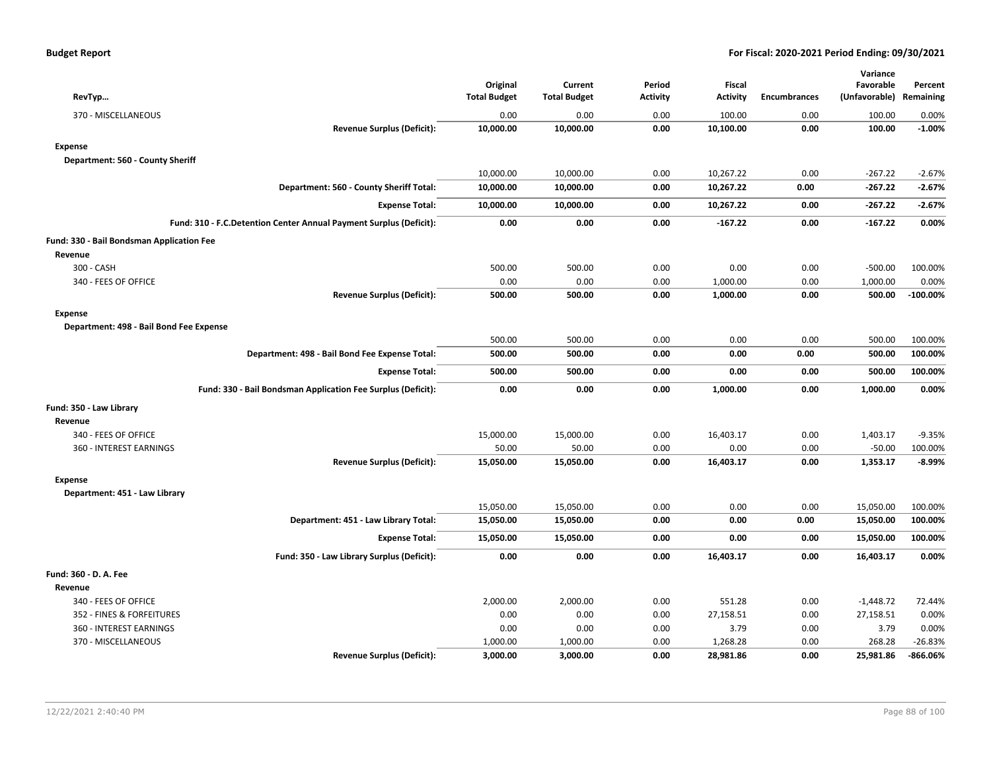| RevTyp                                                             | Original<br><b>Total Budget</b> | Current<br><b>Total Budget</b> | Period<br><b>Activity</b> | <b>Fiscal</b><br><b>Activity</b> | <b>Encumbrances</b> | Variance<br>Favorable<br>(Unfavorable) Remaining | Percent     |
|--------------------------------------------------------------------|---------------------------------|--------------------------------|---------------------------|----------------------------------|---------------------|--------------------------------------------------|-------------|
| 370 - MISCELLANEOUS                                                | 0.00                            | 0.00                           | 0.00                      | 100.00                           | 0.00                | 100.00                                           | 0.00%       |
| <b>Revenue Surplus (Deficit):</b>                                  | 10,000.00                       | 10,000.00                      | 0.00                      | 10,100.00                        | 0.00                | 100.00                                           | $-1.00%$    |
| <b>Expense</b>                                                     |                                 |                                |                           |                                  |                     |                                                  |             |
| Department: 560 - County Sheriff                                   |                                 |                                |                           |                                  |                     |                                                  |             |
|                                                                    | 10,000.00                       | 10,000.00                      | 0.00                      | 10,267.22                        | 0.00                | $-267.22$                                        | $-2.67%$    |
| Department: 560 - County Sheriff Total:                            | 10,000.00                       | 10,000.00                      | 0.00                      | 10,267.22                        | 0.00                | -267.22                                          | $-2.67%$    |
| <b>Expense Total:</b>                                              | 10,000.00                       | 10,000.00                      | 0.00                      | 10,267.22                        | 0.00                | $-267.22$                                        | $-2.67%$    |
| Fund: 310 - F.C.Detention Center Annual Payment Surplus (Deficit): | 0.00                            | 0.00                           | 0.00                      | $-167.22$                        | 0.00                | $-167.22$                                        | 0.00%       |
| Fund: 330 - Bail Bondsman Application Fee                          |                                 |                                |                           |                                  |                     |                                                  |             |
| Revenue                                                            |                                 |                                |                           |                                  |                     |                                                  |             |
| 300 - CASH                                                         | 500.00                          | 500.00                         | 0.00                      | 0.00                             | 0.00                | $-500.00$                                        | 100.00%     |
| 340 - FEES OF OFFICE                                               | 0.00                            | 0.00                           | 0.00                      | 1,000.00                         | 0.00                | 1,000.00                                         | 0.00%       |
| <b>Revenue Surplus (Deficit):</b>                                  | 500.00                          | 500.00                         | 0.00                      | 1,000.00                         | 0.00                | 500.00                                           | $-100.00\%$ |
| <b>Expense</b>                                                     |                                 |                                |                           |                                  |                     |                                                  |             |
| Department: 498 - Bail Bond Fee Expense                            |                                 |                                |                           |                                  |                     |                                                  |             |
|                                                                    | 500.00                          | 500.00                         | 0.00                      | 0.00                             | 0.00                | 500.00                                           | 100.00%     |
| Department: 498 - Bail Bond Fee Expense Total:                     | 500.00                          | 500.00                         | 0.00                      | 0.00                             | 0.00                | 500.00                                           | 100.00%     |
| <b>Expense Total:</b>                                              | 500.00                          | 500.00                         | 0.00                      | 0.00                             | 0.00                | 500.00                                           | 100.00%     |
| Fund: 330 - Bail Bondsman Application Fee Surplus (Deficit):       | 0.00                            | 0.00                           | 0.00                      | 1,000.00                         | 0.00                | 1,000.00                                         | 0.00%       |
| Fund: 350 - Law Library                                            |                                 |                                |                           |                                  |                     |                                                  |             |
| Revenue                                                            |                                 |                                |                           |                                  |                     |                                                  |             |
| 340 - FEES OF OFFICE                                               | 15,000.00                       | 15,000.00                      | 0.00                      | 16,403.17                        | 0.00                | 1,403.17                                         | $-9.35%$    |
| 360 - INTEREST EARNINGS                                            | 50.00                           | 50.00                          | 0.00                      | 0.00                             | 0.00                | $-50.00$                                         | 100.00%     |
| <b>Revenue Surplus (Deficit):</b>                                  | 15,050.00                       | 15,050.00                      | 0.00                      | 16,403.17                        | 0.00                | 1,353.17                                         | $-8.99%$    |
| <b>Expense</b>                                                     |                                 |                                |                           |                                  |                     |                                                  |             |
| Department: 451 - Law Library                                      |                                 |                                |                           |                                  |                     |                                                  |             |
|                                                                    | 15,050.00                       | 15,050.00                      | 0.00                      | 0.00                             | 0.00                | 15,050.00                                        | 100.00%     |
| Department: 451 - Law Library Total:                               | 15,050.00                       | 15,050.00                      | 0.00                      | 0.00                             | 0.00                | 15,050.00                                        | 100.00%     |
| <b>Expense Total:</b>                                              | 15,050.00                       | 15,050.00                      | 0.00                      | 0.00                             | 0.00                | 15,050.00                                        | 100.00%     |
| Fund: 350 - Law Library Surplus (Deficit):                         | 0.00                            | 0.00                           | 0.00                      | 16,403.17                        | 0.00                | 16,403.17                                        | 0.00%       |
| Fund: 360 - D. A. Fee                                              |                                 |                                |                           |                                  |                     |                                                  |             |
| Revenue                                                            |                                 |                                |                           |                                  |                     |                                                  |             |
| 340 - FEES OF OFFICE                                               | 2,000.00                        | 2,000.00                       | 0.00                      | 551.28                           | 0.00                | $-1,448.72$                                      | 72.44%      |
| 352 - FINES & FORFEITURES                                          | 0.00                            | 0.00                           | 0.00                      | 27,158.51                        | 0.00                | 27,158.51                                        | 0.00%       |
| 360 - INTEREST EARNINGS                                            | 0.00                            | 0.00                           | 0.00                      | 3.79                             | 0.00                | 3.79                                             | 0.00%       |
| 370 - MISCELLANEOUS                                                | 1,000.00                        | 1,000.00                       | 0.00                      | 1,268.28                         | 0.00                | 268.28                                           | $-26.83%$   |
| <b>Revenue Surplus (Deficit):</b>                                  | 3,000.00                        | 3,000.00                       | 0.00                      | 28,981.86                        | 0.00                | 25,981.86                                        | -866.06%    |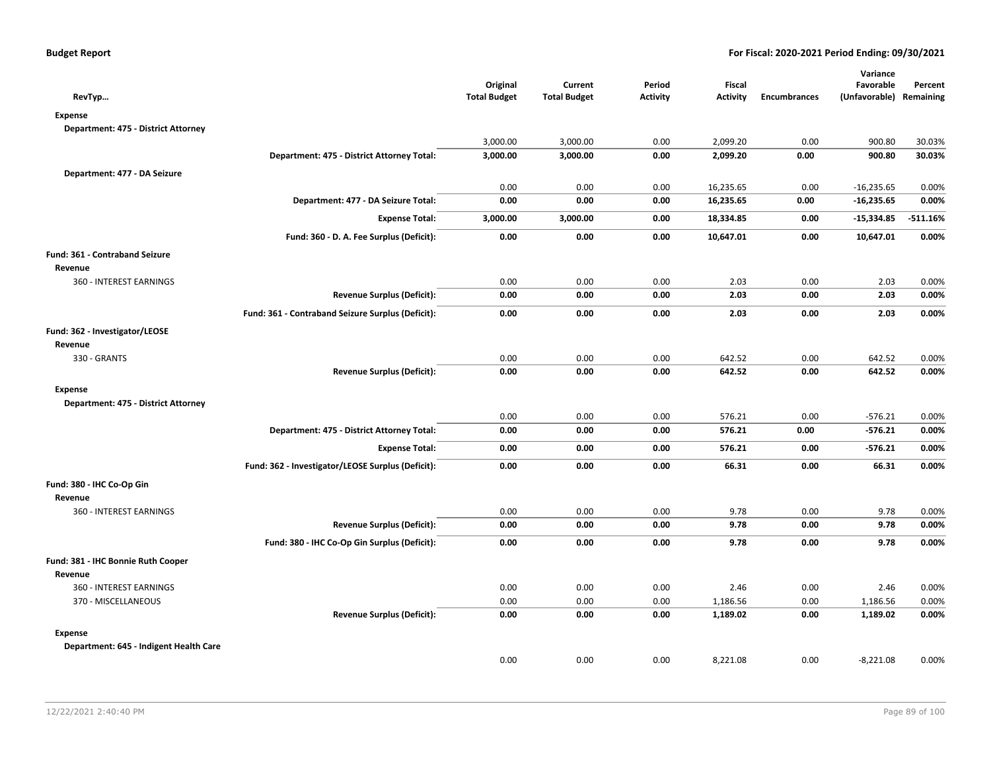| RevTyp                                 |                                                   | Original<br><b>Total Budget</b> | Current<br><b>Total Budget</b> | Period<br><b>Activity</b> | Fiscal<br><b>Activity</b> | <b>Encumbrances</b> | Variance<br>Favorable<br>(Unfavorable) Remaining | Percent    |
|----------------------------------------|---------------------------------------------------|---------------------------------|--------------------------------|---------------------------|---------------------------|---------------------|--------------------------------------------------|------------|
| <b>Expense</b>                         |                                                   |                                 |                                |                           |                           |                     |                                                  |            |
| Department: 475 - District Attorney    |                                                   |                                 |                                |                           |                           |                     |                                                  |            |
|                                        |                                                   | 3,000.00                        | 3,000.00                       | 0.00                      | 2,099.20                  | 0.00                | 900.80                                           | 30.03%     |
|                                        | Department: 475 - District Attorney Total:        | 3,000.00                        | 3,000.00                       | 0.00                      | 2,099.20                  | 0.00                | 900.80                                           | 30.03%     |
| Department: 477 - DA Seizure           |                                                   |                                 |                                |                           |                           |                     |                                                  |            |
|                                        |                                                   | 0.00                            | 0.00                           | 0.00                      | 16,235.65                 | 0.00                | $-16,235.65$                                     | 0.00%      |
|                                        | Department: 477 - DA Seizure Total:               | 0.00                            | 0.00                           | 0.00                      | 16,235.65                 | 0.00                | $-16,235.65$                                     | 0.00%      |
|                                        | <b>Expense Total:</b>                             | 3,000.00                        | 3,000.00                       | 0.00                      | 18,334.85                 | 0.00                | $-15,334.85$                                     | $-511.16%$ |
|                                        | Fund: 360 - D. A. Fee Surplus (Deficit):          | 0.00                            | 0.00                           | 0.00                      | 10,647.01                 | 0.00                | 10,647.01                                        | 0.00%      |
| Fund: 361 - Contraband Seizure         |                                                   |                                 |                                |                           |                           |                     |                                                  |            |
| Revenue                                |                                                   |                                 |                                |                           |                           |                     |                                                  |            |
| 360 - INTEREST EARNINGS                |                                                   | 0.00                            | 0.00                           | 0.00                      | 2.03                      | 0.00                | 2.03                                             | 0.00%      |
|                                        | <b>Revenue Surplus (Deficit):</b>                 | 0.00                            | 0.00                           | 0.00                      | 2.03                      | 0.00                | 2.03                                             | 0.00%      |
|                                        | Fund: 361 - Contraband Seizure Surplus (Deficit): | 0.00                            | 0.00                           | 0.00                      | 2.03                      | 0.00                | 2.03                                             | 0.00%      |
| Fund: 362 - Investigator/LEOSE         |                                                   |                                 |                                |                           |                           |                     |                                                  |            |
| Revenue                                |                                                   |                                 |                                |                           |                           |                     |                                                  |            |
| 330 - GRANTS                           |                                                   | 0.00                            | 0.00                           | 0.00                      | 642.52                    | 0.00                | 642.52                                           | 0.00%      |
|                                        | <b>Revenue Surplus (Deficit):</b>                 | 0.00                            | 0.00                           | 0.00                      | 642.52                    | 0.00                | 642.52                                           | 0.00%      |
| <b>Expense</b>                         |                                                   |                                 |                                |                           |                           |                     |                                                  |            |
| Department: 475 - District Attorney    |                                                   |                                 |                                |                           |                           |                     |                                                  |            |
|                                        |                                                   | 0.00                            | 0.00                           | 0.00                      | 576.21                    | 0.00                | $-576.21$                                        | 0.00%      |
|                                        | Department: 475 - District Attorney Total:        | 0.00                            | 0.00                           | 0.00                      | 576.21                    | 0.00                | $-576.21$                                        | 0.00%      |
|                                        | <b>Expense Total:</b>                             | 0.00                            | 0.00                           | 0.00                      | 576.21                    | 0.00                | $-576.21$                                        | 0.00%      |
|                                        | Fund: 362 - Investigator/LEOSE Surplus (Deficit): | 0.00                            | 0.00                           | 0.00                      | 66.31                     | 0.00                | 66.31                                            | 0.00%      |
| Fund: 380 - IHC Co-Op Gin              |                                                   |                                 |                                |                           |                           |                     |                                                  |            |
| Revenue                                |                                                   |                                 |                                |                           |                           |                     |                                                  |            |
| 360 - INTEREST EARNINGS                |                                                   | 0.00                            | 0.00                           | 0.00                      | 9.78                      | 0.00                | 9.78                                             | 0.00%      |
|                                        | <b>Revenue Surplus (Deficit):</b>                 | 0.00                            | 0.00                           | 0.00                      | 9.78                      | 0.00                | 9.78                                             | 0.00%      |
|                                        | Fund: 380 - IHC Co-Op Gin Surplus (Deficit):      | 0.00                            | 0.00                           | 0.00                      | 9.78                      | 0.00                | 9.78                                             | 0.00%      |
| Fund: 381 - IHC Bonnie Ruth Cooper     |                                                   |                                 |                                |                           |                           |                     |                                                  |            |
| Revenue                                |                                                   |                                 |                                |                           |                           |                     |                                                  |            |
| 360 - INTEREST EARNINGS                |                                                   | 0.00                            | 0.00                           | 0.00                      | 2.46                      | 0.00                | 2.46                                             | 0.00%      |
| 370 - MISCELLANEOUS                    |                                                   | 0.00                            | 0.00                           | 0.00                      | 1,186.56                  | 0.00                | 1,186.56                                         | 0.00%      |
|                                        | <b>Revenue Surplus (Deficit):</b>                 | 0.00                            | 0.00                           | 0.00                      | 1,189.02                  | 0.00                | 1,189.02                                         | 0.00%      |
| <b>Expense</b>                         |                                                   |                                 |                                |                           |                           |                     |                                                  |            |
| Department: 645 - Indigent Health Care |                                                   |                                 |                                |                           |                           |                     |                                                  |            |
|                                        |                                                   | 0.00                            | 0.00                           | 0.00                      | 8,221.08                  | 0.00                | $-8,221.08$                                      | 0.00%      |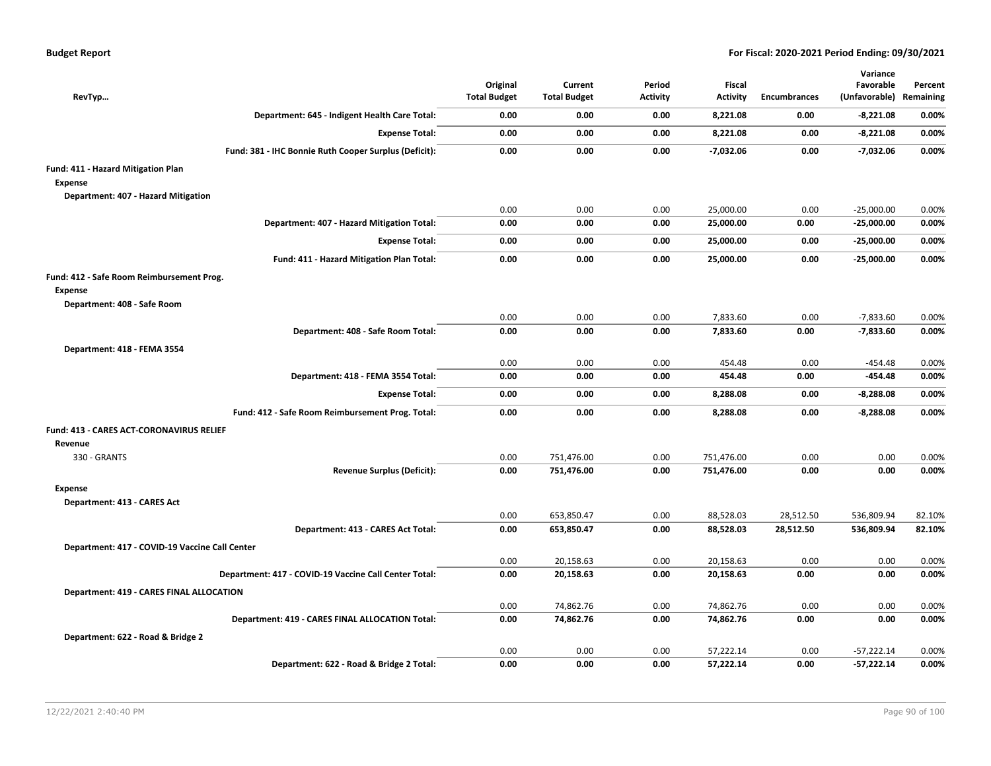| RevTyp                                                |                                    | Original<br><b>Total Budget</b> | Current<br><b>Total Budget</b> | Period<br><b>Activity</b> | Fiscal<br><b>Activity</b> | <b>Encumbrances</b> | Variance<br>Favorable<br>(Unfavorable) Remaining | Percent        |
|-------------------------------------------------------|------------------------------------|---------------------------------|--------------------------------|---------------------------|---------------------------|---------------------|--------------------------------------------------|----------------|
| Department: 645 - Indigent Health Care Total:         |                                    | 0.00                            | 0.00                           | 0.00                      | 8,221.08                  | 0.00                | $-8,221.08$                                      | 0.00%          |
|                                                       | <b>Expense Total:</b>              | 0.00                            | 0.00                           | 0.00                      | 8,221.08                  | 0.00                | $-8,221.08$                                      | 0.00%          |
| Fund: 381 - IHC Bonnie Ruth Cooper Surplus (Deficit): |                                    | 0.00                            | 0.00                           | 0.00                      | $-7,032.06$               | 0.00                | $-7,032.06$                                      | 0.00%          |
| Fund: 411 - Hazard Mitigation Plan                    |                                    |                                 |                                |                           |                           |                     |                                                  |                |
| <b>Expense</b>                                        |                                    |                                 |                                |                           |                           |                     |                                                  |                |
| Department: 407 - Hazard Mitigation                   |                                    |                                 |                                |                           |                           |                     |                                                  |                |
| Department: 407 - Hazard Mitigation Total:            |                                    | 0.00<br>0.00                    | 0.00<br>0.00                   | 0.00<br>0.00              | 25,000.00<br>25,000.00    | 0.00<br>0.00        | $-25,000.00$<br>$-25,000.00$                     | 0.00%<br>0.00% |
|                                                       |                                    |                                 |                                |                           |                           |                     |                                                  |                |
|                                                       | <b>Expense Total:</b>              | 0.00                            | 0.00                           | 0.00                      | 25,000.00                 | 0.00                | $-25,000.00$                                     | 0.00%          |
| Fund: 411 - Hazard Mitigation Plan Total:             |                                    | 0.00                            | 0.00                           | 0.00                      | 25,000.00                 | 0.00                | $-25,000.00$                                     | 0.00%          |
| Fund: 412 - Safe Room Reimbursement Prog.             |                                    |                                 |                                |                           |                           |                     |                                                  |                |
| Expense                                               |                                    |                                 |                                |                           |                           |                     |                                                  |                |
| Department: 408 - Safe Room                           |                                    |                                 |                                |                           |                           |                     |                                                  |                |
|                                                       | Department: 408 - Safe Room Total: | 0.00<br>0.00                    | 0.00<br>0.00                   | 0.00<br>0.00              | 7,833.60<br>7,833.60      | 0.00<br>0.00        | $-7,833.60$<br>$-7,833.60$                       | 0.00%<br>0.00% |
|                                                       |                                    |                                 |                                |                           |                           |                     |                                                  |                |
| Department: 418 - FEMA 3554                           |                                    | 0.00                            | 0.00                           | 0.00                      | 454.48                    | 0.00                | $-454.48$                                        | 0.00%          |
|                                                       | Department: 418 - FEMA 3554 Total: | 0.00                            | 0.00                           | 0.00                      | 454.48                    | 0.00                | -454.48                                          | 0.00%          |
|                                                       | <b>Expense Total:</b>              | 0.00                            | 0.00                           | 0.00                      | 8,288.08                  | 0.00                | $-8,288.08$                                      | 0.00%          |
|                                                       |                                    |                                 |                                |                           |                           |                     |                                                  |                |
| Fund: 412 - Safe Room Reimbursement Prog. Total:      |                                    | 0.00                            | 0.00                           | 0.00                      | 8,288.08                  | 0.00                | $-8,288.08$                                      | 0.00%          |
| Fund: 413 - CARES ACT-CORONAVIRUS RELIEF              |                                    |                                 |                                |                           |                           |                     |                                                  |                |
| Revenue                                               |                                    |                                 |                                |                           |                           |                     |                                                  |                |
| 330 - GRANTS                                          | <b>Revenue Surplus (Deficit):</b>  | 0.00<br>0.00                    | 751,476.00<br>751,476.00       | 0.00<br>0.00              | 751,476.00<br>751,476.00  | 0.00<br>0.00        | 0.00<br>0.00                                     | 0.00%<br>0.00% |
|                                                       |                                    |                                 |                                |                           |                           |                     |                                                  |                |
| <b>Expense</b>                                        |                                    |                                 |                                |                           |                           |                     |                                                  |                |
| Department: 413 - CARES Act                           |                                    | 0.00                            | 653,850.47                     | 0.00                      | 88,528.03                 | 28,512.50           | 536,809.94                                       | 82.10%         |
|                                                       | Department: 413 - CARES Act Total: | 0.00                            | 653,850.47                     | 0.00                      | 88,528.03                 | 28,512.50           | 536,809.94                                       | 82.10%         |
|                                                       |                                    |                                 |                                |                           |                           |                     |                                                  |                |
| Department: 417 - COVID-19 Vaccine Call Center        |                                    | 0.00                            | 20,158.63                      | 0.00                      | 20,158.63                 | 0.00                | 0.00                                             | 0.00%          |
| Department: 417 - COVID-19 Vaccine Call Center Total: |                                    | 0.00                            | 20,158.63                      | 0.00                      | 20,158.63                 | 0.00                | 0.00                                             | 0.00%          |
| Department: 419 - CARES FINAL ALLOCATION              |                                    |                                 |                                |                           |                           |                     |                                                  |                |
|                                                       |                                    | 0.00                            | 74,862.76                      | 0.00                      | 74,862.76                 | 0.00                | 0.00                                             | 0.00%          |
| Department: 419 - CARES FINAL ALLOCATION Total:       |                                    | 0.00                            | 74,862.76                      | 0.00                      | 74,862.76                 | 0.00                | 0.00                                             | 0.00%          |
| Department: 622 - Road & Bridge 2                     |                                    |                                 |                                |                           |                           |                     |                                                  |                |
|                                                       |                                    | 0.00                            | 0.00                           | 0.00                      | 57,222.14                 | 0.00                | $-57,222.14$                                     | 0.00%          |
| Department: 622 - Road & Bridge 2 Total:              |                                    | 0.00                            | 0.00                           | 0.00                      | 57,222.14                 | 0.00                | $-57,222.14$                                     | 0.00%          |
|                                                       |                                    |                                 |                                |                           |                           |                     |                                                  |                |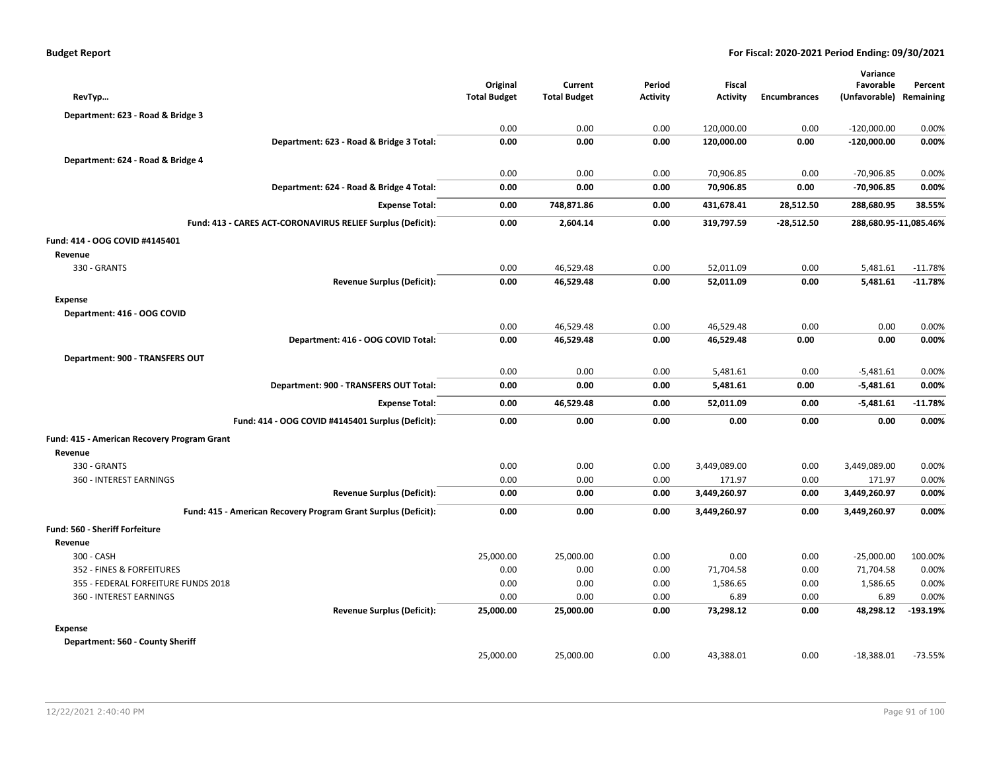| <b>Budget Report</b> |  |
|----------------------|--|
|----------------------|--|

| RevTyp                                                         | Original<br><b>Total Budget</b> | Current<br><b>Total Budget</b> | Period<br><b>Activity</b> | <b>Fiscal</b><br><b>Activity</b> | <b>Encumbrances</b> | Variance<br>Favorable<br>(Unfavorable) | Percent<br>Remaining  |
|----------------------------------------------------------------|---------------------------------|--------------------------------|---------------------------|----------------------------------|---------------------|----------------------------------------|-----------------------|
| Department: 623 - Road & Bridge 3                              |                                 |                                |                           |                                  |                     |                                        |                       |
|                                                                | 0.00                            | 0.00                           | 0.00                      | 120,000.00                       | 0.00                | $-120,000.00$                          | 0.00%                 |
| Department: 623 - Road & Bridge 3 Total:                       | 0.00                            | 0.00                           | 0.00                      | 120,000.00                       | 0.00                | $-120,000.00$                          | 0.00%                 |
| Department: 624 - Road & Bridge 4                              |                                 |                                |                           |                                  |                     |                                        |                       |
|                                                                | 0.00                            | 0.00                           | 0.00                      | 70,906.85                        | 0.00                | $-70,906.85$                           | 0.00%                 |
| Department: 624 - Road & Bridge 4 Total:                       | 0.00                            | 0.00                           | 0.00                      | 70,906.85                        | 0.00                | $-70,906.85$                           | 0.00%                 |
| <b>Expense Total:</b>                                          | 0.00                            | 748,871.86                     | 0.00                      | 431,678.41                       | 28,512.50           | 288,680.95                             | 38.55%                |
| Fund: 413 - CARES ACT-CORONAVIRUS RELIEF Surplus (Deficit):    | 0.00                            | 2,604.14                       | 0.00                      | 319,797.59                       | $-28,512.50$        |                                        | 288,680.95-11,085.46% |
| Fund: 414 - OOG COVID #4145401                                 |                                 |                                |                           |                                  |                     |                                        |                       |
| Revenue                                                        |                                 |                                |                           |                                  |                     |                                        |                       |
| 330 - GRANTS                                                   | 0.00                            | 46,529.48                      | 0.00                      | 52,011.09                        | 0.00                | 5,481.61                               | $-11.78%$             |
| <b>Revenue Surplus (Deficit):</b>                              | 0.00                            | 46,529.48                      | 0.00                      | 52,011.09                        | 0.00                | 5,481.61                               | $-11.78%$             |
| <b>Expense</b>                                                 |                                 |                                |                           |                                  |                     |                                        |                       |
| Department: 416 - OOG COVID                                    |                                 |                                |                           |                                  |                     |                                        |                       |
|                                                                | 0.00                            | 46,529.48                      | 0.00                      | 46,529.48                        | 0.00                | 0.00                                   | 0.00%                 |
| Department: 416 - OOG COVID Total:                             | 0.00                            | 46,529.48                      | 0.00                      | 46,529.48                        | 0.00                | 0.00                                   | 0.00%                 |
| Department: 900 - TRANSFERS OUT                                |                                 |                                |                           |                                  |                     |                                        |                       |
|                                                                | 0.00                            | 0.00                           | 0.00                      | 5,481.61                         | 0.00                | $-5,481.61$                            | 0.00%                 |
| Department: 900 - TRANSFERS OUT Total:                         | 0.00                            | 0.00                           | 0.00                      | 5,481.61                         | 0.00                | $-5,481.61$                            | 0.00%                 |
| <b>Expense Total:</b>                                          | 0.00                            | 46,529.48                      | 0.00                      | 52,011.09                        | 0.00                | $-5,481.61$                            | $-11.78%$             |
| Fund: 414 - OOG COVID #4145401 Surplus (Deficit):              | 0.00                            | 0.00                           | 0.00                      | 0.00                             | 0.00                | 0.00                                   | 0.00%                 |
| Fund: 415 - American Recovery Program Grant                    |                                 |                                |                           |                                  |                     |                                        |                       |
| Revenue                                                        |                                 |                                |                           |                                  |                     |                                        |                       |
| 330 - GRANTS                                                   | 0.00                            | 0.00                           | 0.00                      | 3,449,089.00                     | 0.00                | 3,449,089.00                           | 0.00%                 |
| 360 - INTEREST EARNINGS                                        | 0.00                            | 0.00                           | 0.00                      | 171.97                           | 0.00                | 171.97                                 | 0.00%                 |
| <b>Revenue Surplus (Deficit):</b>                              | 0.00                            | 0.00                           | 0.00                      | 3,449,260.97                     | 0.00                | 3,449,260.97                           | 0.00%                 |
| Fund: 415 - American Recovery Program Grant Surplus (Deficit): | 0.00                            | 0.00                           | 0.00                      | 3,449,260.97                     | 0.00                | 3,449,260.97                           | 0.00%                 |
| <b>Fund: 560 - Sheriff Forfeiture</b>                          |                                 |                                |                           |                                  |                     |                                        |                       |
| Revenue                                                        |                                 |                                |                           |                                  |                     |                                        |                       |
| 300 - CASH                                                     | 25,000.00                       | 25,000.00                      | 0.00                      | 0.00                             | 0.00                | $-25,000.00$                           | 100.00%               |
| 352 - FINES & FORFEITURES                                      | 0.00                            | 0.00                           | 0.00                      | 71,704.58                        | 0.00                | 71,704.58                              | 0.00%                 |
| 355 - FEDERAL FORFEITURE FUNDS 2018                            | 0.00                            | 0.00                           | 0.00                      | 1,586.65                         | 0.00                | 1,586.65                               | 0.00%                 |
| 360 - INTEREST EARNINGS                                        | 0.00                            | 0.00                           | 0.00                      | 6.89                             | 0.00                | 6.89                                   | 0.00%                 |
| <b>Revenue Surplus (Deficit):</b>                              | 25,000.00                       | 25,000.00                      | 0.00                      | 73,298.12                        | 0.00                | 48,298.12                              | $-193.19%$            |
| <b>Expense</b>                                                 |                                 |                                |                           |                                  |                     |                                        |                       |
| Department: 560 - County Sheriff                               |                                 |                                |                           |                                  |                     |                                        |                       |
|                                                                | 25,000.00                       | 25,000.00                      | 0.00                      | 43,388.01                        | 0.00                | $-18,388.01$                           | $-73.55%$             |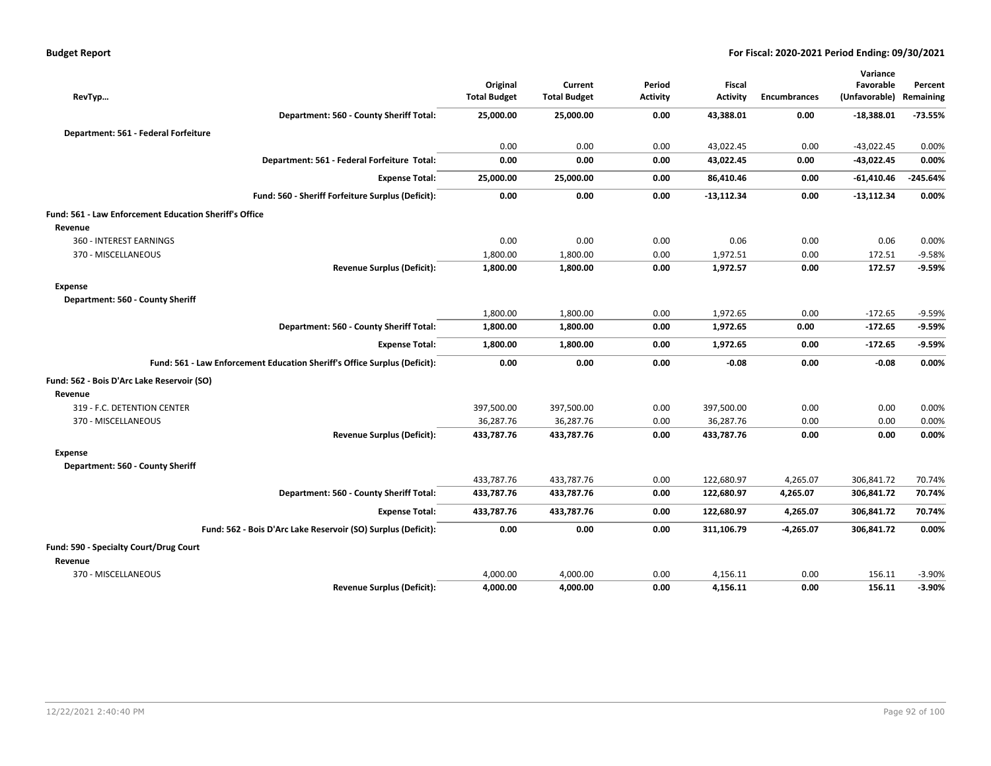| <b>Budget Report</b> |  |
|----------------------|--|
|----------------------|--|

| RevTyp                                                                    | Original<br><b>Total Budget</b> | Current<br><b>Total Budget</b> | Period<br><b>Activity</b> | <b>Fiscal</b><br><b>Activity</b> | <b>Encumbrances</b> | Variance<br>Favorable<br>(Unfavorable) | Percent<br>Remaining |
|---------------------------------------------------------------------------|---------------------------------|--------------------------------|---------------------------|----------------------------------|---------------------|----------------------------------------|----------------------|
| Department: 560 - County Sheriff Total:                                   | 25,000.00                       | 25,000.00                      | 0.00                      | 43,388.01                        | 0.00                | $-18,388.01$                           | $-73.55%$            |
| Department: 561 - Federal Forfeiture                                      |                                 |                                |                           |                                  |                     |                                        |                      |
|                                                                           | 0.00                            | 0.00                           | 0.00                      | 43,022.45                        | 0.00                | $-43,022.45$                           | 0.00%                |
| Department: 561 - Federal Forfeiture Total:                               | 0.00                            | 0.00                           | 0.00                      | 43,022.45                        | 0.00                | $-43,022.45$                           | 0.00%                |
| <b>Expense Total:</b>                                                     | 25,000.00                       | 25,000.00                      | 0.00                      | 86,410.46                        | 0.00                | $-61,410.46$                           | $-245.64%$           |
| Fund: 560 - Sheriff Forfeiture Surplus (Deficit):                         | 0.00                            | 0.00                           | 0.00                      | $-13,112.34$                     | 0.00                | $-13,112.34$                           | 0.00%                |
| Fund: 561 - Law Enforcement Education Sheriff's Office                    |                                 |                                |                           |                                  |                     |                                        |                      |
| Revenue                                                                   |                                 |                                |                           |                                  |                     |                                        |                      |
| 360 - INTEREST EARNINGS                                                   | 0.00                            | 0.00                           | 0.00                      | 0.06                             | 0.00                | 0.06                                   | 0.00%                |
| 370 - MISCELLANEOUS                                                       | 1,800.00                        | 1,800.00                       | 0.00                      | 1,972.51                         | 0.00                | 172.51                                 | $-9.58%$             |
| <b>Revenue Surplus (Deficit):</b>                                         | 1,800.00                        | 1,800.00                       | 0.00                      | 1,972.57                         | 0.00                | 172.57                                 | $-9.59%$             |
| Expense                                                                   |                                 |                                |                           |                                  |                     |                                        |                      |
| Department: 560 - County Sheriff                                          |                                 |                                |                           |                                  |                     |                                        |                      |
|                                                                           | 1,800.00                        | 1,800.00                       | 0.00                      | 1,972.65                         | 0.00                | $-172.65$                              | $-9.59%$             |
| Department: 560 - County Sheriff Total:                                   | 1,800.00                        | 1,800.00                       | 0.00                      | 1,972.65                         | 0.00                | $-172.65$                              | $-9.59%$             |
| <b>Expense Total:</b>                                                     | 1,800.00                        | 1,800.00                       | 0.00                      | 1,972.65                         | 0.00                | $-172.65$                              | $-9.59%$             |
| Fund: 561 - Law Enforcement Education Sheriff's Office Surplus (Deficit): | 0.00                            | 0.00                           | 0.00                      | $-0.08$                          | 0.00                | $-0.08$                                | 0.00%                |
| Fund: 562 - Bois D'Arc Lake Reservoir (SO)                                |                                 |                                |                           |                                  |                     |                                        |                      |
| Revenue                                                                   |                                 |                                |                           |                                  |                     |                                        |                      |
| 319 - F.C. DETENTION CENTER                                               | 397,500.00                      | 397,500.00                     | 0.00                      | 397,500.00                       | 0.00                | 0.00                                   | 0.00%                |
| 370 - MISCELLANEOUS                                                       | 36,287.76                       | 36,287.76                      | 0.00                      | 36,287.76                        | 0.00                | 0.00                                   | 0.00%                |
| <b>Revenue Surplus (Deficit):</b>                                         | 433,787.76                      | 433,787.76                     | 0.00                      | 433,787.76                       | 0.00                | 0.00                                   | 0.00%                |
| <b>Expense</b>                                                            |                                 |                                |                           |                                  |                     |                                        |                      |
| Department: 560 - County Sheriff                                          |                                 |                                |                           |                                  |                     |                                        |                      |
|                                                                           | 433,787.76                      | 433,787.76                     | 0.00                      | 122,680.97                       | 4,265.07            | 306,841.72                             | 70.74%               |
| Department: 560 - County Sheriff Total:                                   | 433,787.76                      | 433,787.76                     | 0.00                      | 122,680.97                       | 4,265.07            | 306,841.72                             | 70.74%               |
| <b>Expense Total:</b>                                                     | 433,787.76                      | 433,787.76                     | 0.00                      | 122,680.97                       | 4,265.07            | 306,841.72                             | 70.74%               |
| Fund: 562 - Bois D'Arc Lake Reservoir (SO) Surplus (Deficit):             | 0.00                            | 0.00                           | 0.00                      | 311,106.79                       | $-4,265.07$         | 306,841.72                             | 0.00%                |
| Fund: 590 - Specialty Court/Drug Court                                    |                                 |                                |                           |                                  |                     |                                        |                      |
| Revenue                                                                   |                                 |                                |                           |                                  |                     |                                        |                      |
| 370 - MISCELLANEOUS                                                       | 4,000.00                        | 4,000.00                       | 0.00                      | 4,156.11                         | 0.00                | 156.11                                 | $-3.90%$             |
| <b>Revenue Surplus (Deficit):</b>                                         | 4,000.00                        | 4,000.00                       | 0.00                      | 4,156.11                         | 0.00                | 156.11                                 | $-3.90%$             |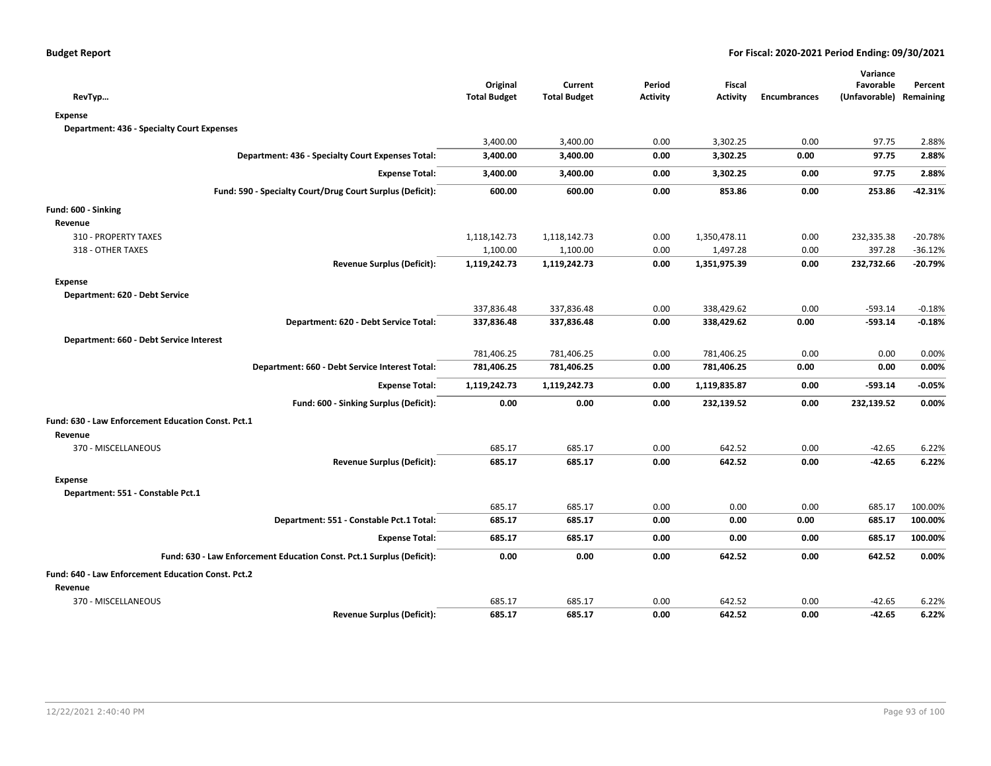|                                                                       |                     |                     |                 |               |                     | Variance                |           |
|-----------------------------------------------------------------------|---------------------|---------------------|-----------------|---------------|---------------------|-------------------------|-----------|
|                                                                       | Original            | Current             | Period          | <b>Fiscal</b> |                     | Favorable               | Percent   |
| RevTyp                                                                | <b>Total Budget</b> | <b>Total Budget</b> | <b>Activity</b> | Activity      | <b>Encumbrances</b> | (Unfavorable) Remaining |           |
| <b>Expense</b>                                                        |                     |                     |                 |               |                     |                         |           |
| <b>Department: 436 - Specialty Court Expenses</b>                     |                     |                     |                 |               |                     |                         |           |
|                                                                       | 3,400.00            | 3,400.00            | 0.00            | 3,302.25      | 0.00                | 97.75                   | 2.88%     |
| Department: 436 - Specialty Court Expenses Total:                     | 3,400.00            | 3,400.00            | 0.00            | 3,302.25      | 0.00                | 97.75                   | 2.88%     |
| <b>Expense Total:</b>                                                 | 3,400.00            | 3,400.00            | 0.00            | 3,302.25      | 0.00                | 97.75                   | 2.88%     |
| Fund: 590 - Specialty Court/Drug Court Surplus (Deficit):             | 600.00              | 600.00              | 0.00            | 853.86        | 0.00                | 253.86                  | $-42.31%$ |
| Fund: 600 - Sinking                                                   |                     |                     |                 |               |                     |                         |           |
| Revenue                                                               |                     |                     |                 |               |                     |                         |           |
| 310 - PROPERTY TAXES                                                  | 1,118,142.73        | 1,118,142.73        | 0.00            | 1,350,478.11  | 0.00                | 232,335.38              | $-20.78%$ |
| 318 - OTHER TAXES                                                     | 1,100.00            | 1,100.00            | 0.00            | 1,497.28      | 0.00                | 397.28                  | $-36.12%$ |
| <b>Revenue Surplus (Deficit):</b>                                     | 1,119,242.73        | 1,119,242.73        | 0.00            | 1,351,975.39  | 0.00                | 232,732.66              | $-20.79%$ |
| <b>Expense</b>                                                        |                     |                     |                 |               |                     |                         |           |
| Department: 620 - Debt Service                                        |                     |                     |                 |               |                     |                         |           |
|                                                                       | 337,836.48          | 337,836.48          | 0.00            | 338,429.62    | 0.00                | $-593.14$               | $-0.18%$  |
| Department: 620 - Debt Service Total:                                 | 337,836.48          | 337,836.48          | 0.00            | 338,429.62    | 0.00                | $-593.14$               | $-0.18%$  |
| Department: 660 - Debt Service Interest                               |                     |                     |                 |               |                     |                         |           |
|                                                                       | 781,406.25          | 781,406.25          | 0.00            | 781,406.25    | 0.00                | 0.00                    | 0.00%     |
| Department: 660 - Debt Service Interest Total:                        | 781,406.25          | 781,406.25          | 0.00            | 781,406.25    | 0.00                | 0.00                    | 0.00%     |
| <b>Expense Total:</b>                                                 | 1,119,242.73        | 1,119,242.73        | 0.00            | 1,119,835.87  | 0.00                | $-593.14$               | $-0.05%$  |
| Fund: 600 - Sinking Surplus (Deficit):                                | 0.00                | 0.00                | 0.00            | 232,139.52    | 0.00                | 232,139.52              | 0.00%     |
| Fund: 630 - Law Enforcement Education Const. Pct.1                    |                     |                     |                 |               |                     |                         |           |
| Revenue                                                               |                     |                     |                 |               |                     |                         |           |
| 370 - MISCELLANEOUS                                                   | 685.17              | 685.17              | 0.00            | 642.52        | 0.00                | $-42.65$                | 6.22%     |
| <b>Revenue Surplus (Deficit):</b>                                     | 685.17              | 685.17              | 0.00            | 642.52        | 0.00                | $-42.65$                | 6.22%     |
| <b>Expense</b>                                                        |                     |                     |                 |               |                     |                         |           |
| Department: 551 - Constable Pct.1                                     |                     |                     |                 |               |                     |                         |           |
|                                                                       | 685.17              | 685.17              | 0.00            | 0.00          | 0.00                | 685.17                  | 100.00%   |
| Department: 551 - Constable Pct.1 Total:                              | 685.17              | 685.17              | 0.00            | 0.00          | 0.00                | 685.17                  | 100.00%   |
| <b>Expense Total:</b>                                                 | 685.17              | 685.17              | 0.00            | 0.00          | 0.00                | 685.17                  | 100.00%   |
| Fund: 630 - Law Enforcement Education Const. Pct.1 Surplus (Deficit): | 0.00                | 0.00                | 0.00            | 642.52        | 0.00                | 642.52                  | 0.00%     |
| Fund: 640 - Law Enforcement Education Const. Pct.2                    |                     |                     |                 |               |                     |                         |           |
| Revenue                                                               |                     |                     |                 |               |                     |                         |           |
| 370 - MISCELLANEOUS                                                   | 685.17              | 685.17              | 0.00            | 642.52        | 0.00                | $-42.65$                | 6.22%     |
| <b>Revenue Surplus (Deficit):</b>                                     | 685.17              | 685.17              | 0.00            | 642.52        | 0.00                | $-42.65$                | 6.22%     |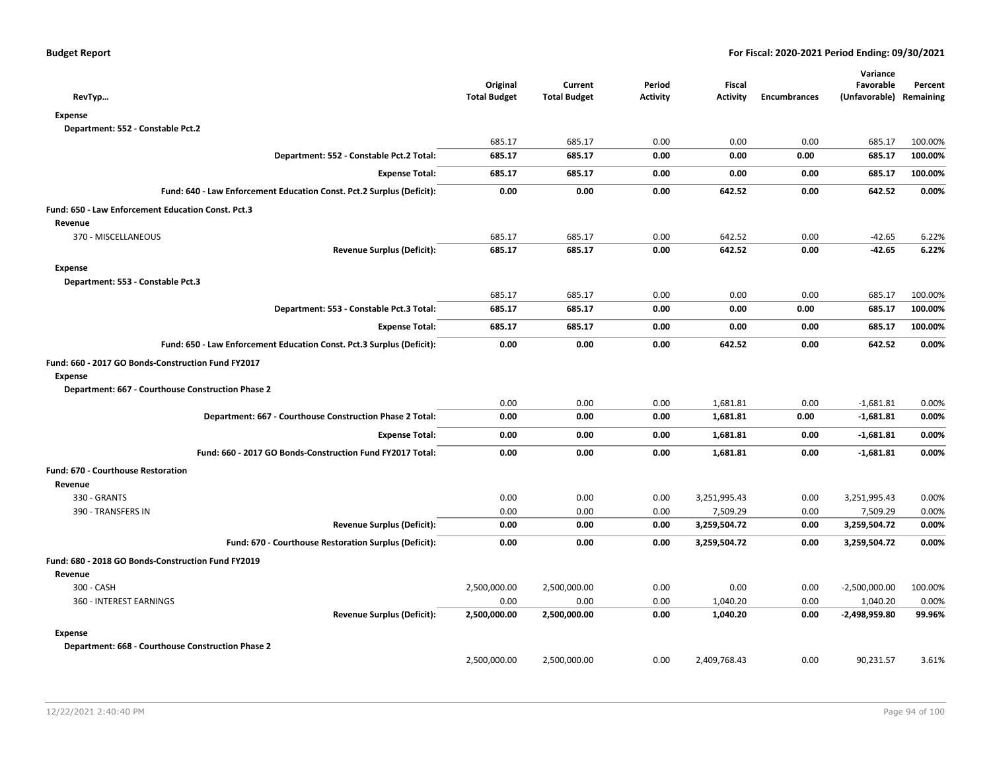| RevTyp                                                                | Original<br><b>Total Budget</b> | Current<br><b>Total Budget</b> | Period<br><b>Activity</b> | <b>Fiscal</b><br>Activity | <b>Encumbrances</b> | Variance<br>Favorable<br>(Unfavorable) Remaining | Percent |
|-----------------------------------------------------------------------|---------------------------------|--------------------------------|---------------------------|---------------------------|---------------------|--------------------------------------------------|---------|
| <b>Expense</b>                                                        |                                 |                                |                           |                           |                     |                                                  |         |
| Department: 552 - Constable Pct.2                                     |                                 |                                |                           |                           |                     |                                                  |         |
|                                                                       | 685.17                          | 685.17                         | 0.00                      | 0.00                      | 0.00                | 685.17                                           | 100.00% |
| Department: 552 - Constable Pct.2 Total:                              | 685.17                          | 685.17                         | 0.00                      | 0.00                      | 0.00                | 685.17                                           | 100.00% |
| <b>Expense Total:</b>                                                 | 685.17                          | 685.17                         | 0.00                      | 0.00                      | 0.00                | 685.17                                           | 100.00% |
| Fund: 640 - Law Enforcement Education Const. Pct.2 Surplus (Deficit): | 0.00                            | 0.00                           | 0.00                      | 642.52                    | 0.00                | 642.52                                           | 0.00%   |
| Fund: 650 - Law Enforcement Education Const. Pct.3                    |                                 |                                |                           |                           |                     |                                                  |         |
| Revenue                                                               |                                 |                                |                           |                           |                     |                                                  |         |
| 370 - MISCELLANEOUS                                                   | 685.17                          | 685.17                         | 0.00                      | 642.52                    | 0.00                | $-42.65$                                         | 6.22%   |
| <b>Revenue Surplus (Deficit):</b>                                     | 685.17                          | 685.17                         | 0.00                      | 642.52                    | 0.00                | $-42.65$                                         | 6.22%   |
| <b>Expense</b>                                                        |                                 |                                |                           |                           |                     |                                                  |         |
| Department: 553 - Constable Pct.3                                     |                                 |                                |                           |                           |                     |                                                  |         |
|                                                                       | 685.17                          | 685.17                         | 0.00                      | 0.00                      | 0.00                | 685.17                                           | 100.00% |
| Department: 553 - Constable Pct.3 Total:                              | 685.17                          | 685.17                         | 0.00                      | 0.00                      | 0.00                | 685.17                                           | 100.00% |
| <b>Expense Total:</b>                                                 | 685.17                          | 685.17                         | 0.00                      | 0.00                      | 0.00                | 685.17                                           | 100.00% |
| Fund: 650 - Law Enforcement Education Const. Pct.3 Surplus (Deficit): | 0.00                            | 0.00                           | 0.00                      | 642.52                    | 0.00                | 642.52                                           | 0.00%   |
| Fund: 660 - 2017 GO Bonds-Construction Fund FY2017                    |                                 |                                |                           |                           |                     |                                                  |         |
| <b>Expense</b>                                                        |                                 |                                |                           |                           |                     |                                                  |         |
| Department: 667 - Courthouse Construction Phase 2                     |                                 |                                |                           |                           |                     |                                                  |         |
|                                                                       | 0.00                            | 0.00                           | 0.00                      | 1,681.81                  | 0.00                | $-1,681.81$                                      | 0.00%   |
| Department: 667 - Courthouse Construction Phase 2 Total:              | 0.00                            | 0.00                           | 0.00                      | 1,681.81                  | 0.00                | $-1,681.81$                                      | 0.00%   |
| <b>Expense Total:</b>                                                 | 0.00                            | 0.00                           | 0.00                      | 1,681.81                  | 0.00                | $-1,681.81$                                      | 0.00%   |
| Fund: 660 - 2017 GO Bonds-Construction Fund FY2017 Total:             | 0.00                            | 0.00                           | 0.00                      | 1,681.81                  | 0.00                | $-1,681.81$                                      | 0.00%   |
| <b>Fund: 670 - Courthouse Restoration</b>                             |                                 |                                |                           |                           |                     |                                                  |         |
| Revenue                                                               |                                 |                                |                           |                           |                     |                                                  |         |
| 330 - GRANTS                                                          | 0.00                            | 0.00                           | 0.00                      | 3,251,995.43              | 0.00                | 3,251,995.43                                     | 0.00%   |
| 390 - TRANSFERS IN                                                    | 0.00                            | 0.00                           | 0.00                      | 7,509.29                  | 0.00                | 7,509.29                                         | 0.00%   |
| <b>Revenue Surplus (Deficit):</b>                                     | 0.00                            | 0.00                           | 0.00                      | 3,259,504.72              | 0.00                | 3,259,504.72                                     | 0.00%   |
| Fund: 670 - Courthouse Restoration Surplus (Deficit):                 | 0.00                            | 0.00                           | 0.00                      | 3,259,504.72              | 0.00                | 3,259,504.72                                     | 0.00%   |
| Fund: 680 - 2018 GO Bonds-Construction Fund FY2019                    |                                 |                                |                           |                           |                     |                                                  |         |
| Revenue                                                               |                                 |                                |                           |                           |                     |                                                  |         |
| 300 - CASH                                                            | 2,500,000.00                    | 2,500,000.00                   | 0.00                      | 0.00                      | 0.00                | $-2,500,000.00$                                  | 100.00% |
| 360 - INTEREST EARNINGS                                               | 0.00                            | 0.00                           | 0.00                      | 1,040.20                  | 0.00                | 1,040.20                                         | 0.00%   |
| <b>Revenue Surplus (Deficit):</b>                                     | 2,500,000.00                    | 2,500,000.00                   | 0.00                      | 1,040.20                  | 0.00                | -2,498,959.80                                    | 99.96%  |
| <b>Expense</b>                                                        |                                 |                                |                           |                           |                     |                                                  |         |
| Department: 668 - Courthouse Construction Phase 2                     |                                 |                                |                           |                           |                     |                                                  |         |
|                                                                       | 2,500,000.00                    | 2,500,000.00                   | 0.00                      | 2,409,768.43              | 0.00                | 90,231.57                                        | 3.61%   |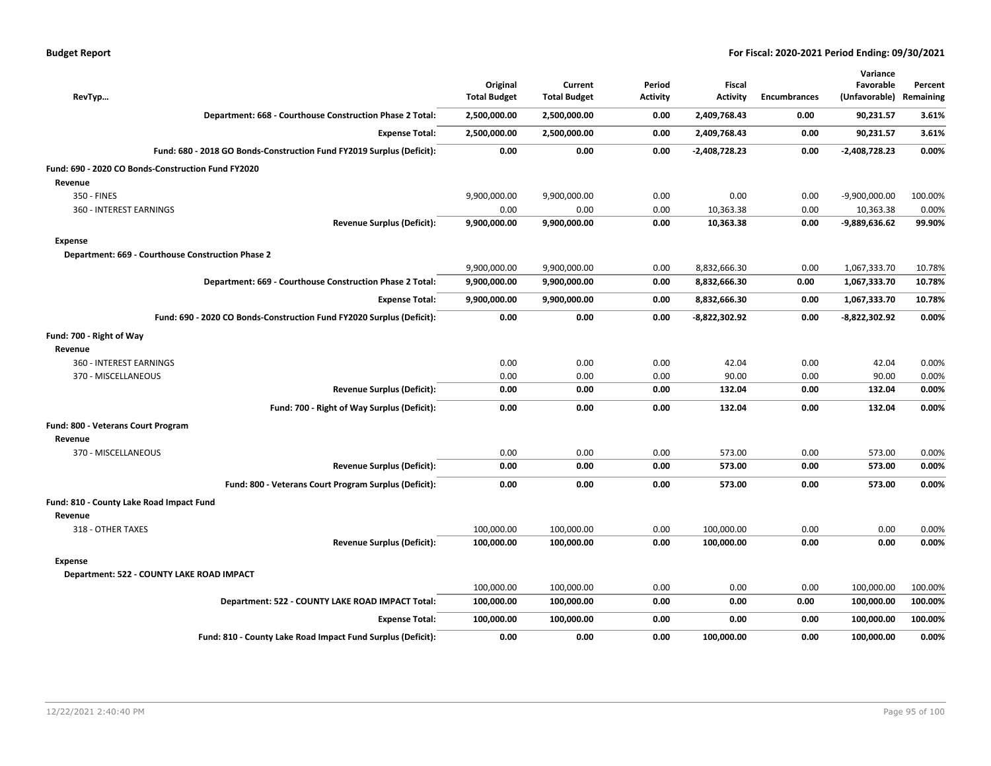| RevTyp                                                                | Original<br><b>Total Budget</b> | Current<br><b>Total Budget</b> | Period<br><b>Activity</b> | <b>Fiscal</b><br><b>Activity</b> | Encumbrances | Variance<br>Favorable<br>(Unfavorable) | Percent<br>Remaining |
|-----------------------------------------------------------------------|---------------------------------|--------------------------------|---------------------------|----------------------------------|--------------|----------------------------------------|----------------------|
| Department: 668 - Courthouse Construction Phase 2 Total:              | 2,500,000.00                    | 2,500,000.00                   | 0.00                      | 2,409,768.43                     | 0.00         | 90,231.57                              | 3.61%                |
| <b>Expense Total:</b>                                                 | 2,500,000.00                    | 2,500,000.00                   | 0.00                      | 2,409,768.43                     | 0.00         | 90,231.57                              | 3.61%                |
| Fund: 680 - 2018 GO Bonds-Construction Fund FY2019 Surplus (Deficit): | 0.00                            | 0.00                           | 0.00                      | -2,408,728.23                    | 0.00         | $-2,408,728.23$                        | 0.00%                |
| Fund: 690 - 2020 CO Bonds-Construction Fund FY2020                    |                                 |                                |                           |                                  |              |                                        |                      |
| Revenue                                                               |                                 |                                |                           |                                  |              |                                        |                      |
| 350 - FINES                                                           | 9,900,000.00                    | 9,900,000.00                   | 0.00                      | 0.00                             | 0.00         | $-9,900,000.00$                        | 100.00%              |
| 360 - INTEREST EARNINGS                                               | 0.00                            | 0.00                           | 0.00                      | 10,363.38                        | 0.00         | 10,363.38                              | 0.00%                |
| <b>Revenue Surplus (Deficit):</b>                                     | 9,900,000.00                    | 9,900,000.00                   | 0.00                      | 10,363.38                        | 0.00         | $-9,889,636.62$                        | 99.90%               |
| <b>Expense</b>                                                        |                                 |                                |                           |                                  |              |                                        |                      |
| Department: 669 - Courthouse Construction Phase 2                     |                                 |                                |                           |                                  |              |                                        |                      |
|                                                                       | 9,900,000.00                    | 9,900,000.00                   | 0.00                      | 8,832,666.30                     | 0.00         | 1,067,333.70                           | 10.78%               |
| Department: 669 - Courthouse Construction Phase 2 Total:              | 9,900,000.00                    | 9,900,000.00                   | 0.00                      | 8,832,666.30                     | 0.00         | 1,067,333.70                           | 10.78%               |
| <b>Expense Total:</b>                                                 | 9,900,000.00                    | 9,900,000.00                   | 0.00                      | 8,832,666.30                     | 0.00         | 1,067,333.70                           | 10.78%               |
| Fund: 690 - 2020 CO Bonds-Construction Fund FY2020 Surplus (Deficit): | 0.00                            | 0.00                           | 0.00                      | -8,822,302.92                    | 0.00         | $-8,822,302.92$                        | 0.00%                |
| Fund: 700 - Right of Way                                              |                                 |                                |                           |                                  |              |                                        |                      |
| Revenue                                                               |                                 |                                |                           |                                  |              |                                        |                      |
| 360 - INTEREST EARNINGS                                               | 0.00                            | 0.00                           | 0.00                      | 42.04                            | 0.00         | 42.04                                  | 0.00%                |
| 370 - MISCELLANEOUS                                                   | 0.00                            | 0.00                           | 0.00                      | 90.00                            | 0.00         | 90.00                                  | 0.00%                |
| <b>Revenue Surplus (Deficit):</b>                                     | 0.00                            | 0.00                           | 0.00                      | 132.04                           | 0.00         | 132.04                                 | 0.00%                |
| Fund: 700 - Right of Way Surplus (Deficit):                           | 0.00                            | 0.00                           | 0.00                      | 132.04                           | 0.00         | 132.04                                 | 0.00%                |
| Fund: 800 - Veterans Court Program                                    |                                 |                                |                           |                                  |              |                                        |                      |
| Revenue                                                               |                                 |                                |                           |                                  |              |                                        |                      |
| 370 - MISCELLANEOUS                                                   | 0.00                            | 0.00                           | 0.00                      | 573.00                           | 0.00         | 573.00                                 | 0.00%                |
| <b>Revenue Surplus (Deficit):</b>                                     | 0.00                            | 0.00                           | 0.00                      | 573.00                           | 0.00         | 573.00                                 | 0.00%                |
| Fund: 800 - Veterans Court Program Surplus (Deficit):                 | 0.00                            | 0.00                           | 0.00                      | 573.00                           | 0.00         | 573.00                                 | 0.00%                |
| Fund: 810 - County Lake Road Impact Fund                              |                                 |                                |                           |                                  |              |                                        |                      |
| Revenue                                                               |                                 |                                |                           |                                  |              |                                        |                      |
| 318 - OTHER TAXES                                                     | 100,000.00                      | 100,000.00                     | 0.00                      | 100,000.00                       | 0.00         | 0.00                                   | 0.00%                |
| <b>Revenue Surplus (Deficit):</b>                                     | 100,000.00                      | 100,000.00                     | 0.00                      | 100,000.00                       | 0.00         | 0.00                                   | 0.00%                |
| <b>Expense</b>                                                        |                                 |                                |                           |                                  |              |                                        |                      |
| Department: 522 - COUNTY LAKE ROAD IMPACT                             |                                 |                                |                           |                                  |              |                                        |                      |
|                                                                       | 100,000.00                      | 100,000.00                     | 0.00                      | 0.00                             | 0.00         | 100,000.00                             | 100.00%              |
| Department: 522 - COUNTY LAKE ROAD IMPACT Total:                      | 100,000.00                      | 100,000.00                     | 0.00                      | 0.00                             | 0.00         | 100,000.00                             | 100.00%              |
| <b>Expense Total:</b>                                                 | 100,000.00                      | 100,000.00                     | 0.00                      | 0.00                             | 0.00         | 100,000.00                             | 100.00%              |
| Fund: 810 - County Lake Road Impact Fund Surplus (Deficit):           | 0.00                            | 0.00                           | 0.00                      | 100,000.00                       | 0.00         | 100.000.00                             | 0.00%                |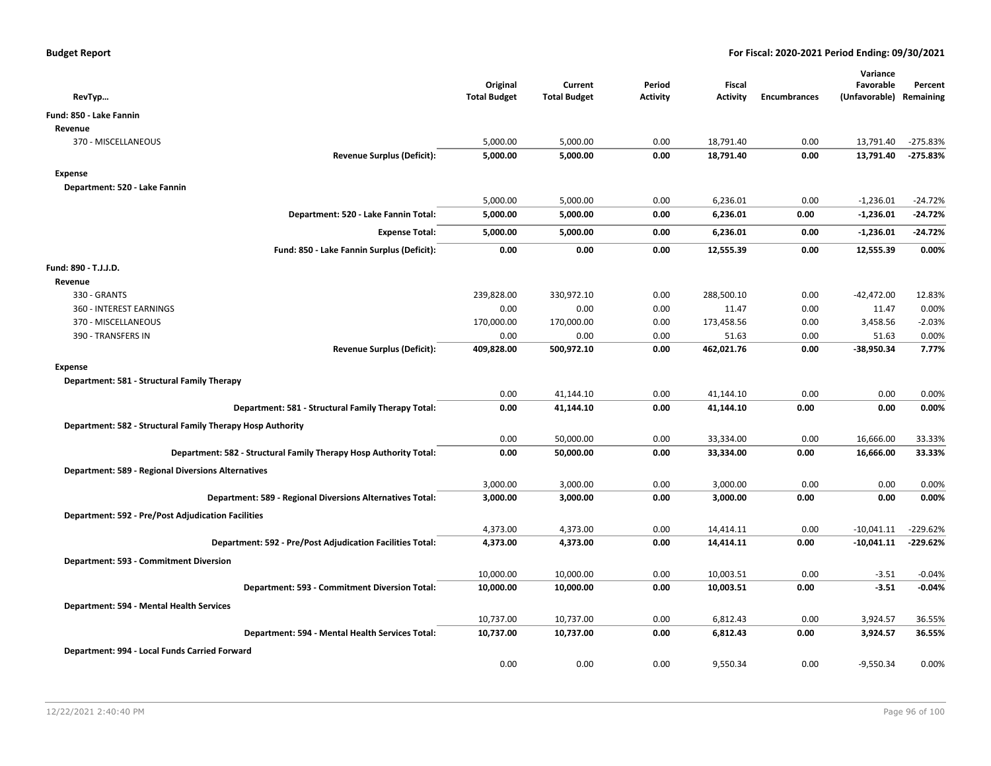| RevTyp                                                            | Original<br><b>Total Budget</b> | Current<br><b>Total Budget</b> | Period<br><b>Activity</b> | Fiscal<br><b>Activity</b> | <b>Encumbrances</b> | Variance<br>Favorable<br>(Unfavorable) Remaining | Percent           |
|-------------------------------------------------------------------|---------------------------------|--------------------------------|---------------------------|---------------------------|---------------------|--------------------------------------------------|-------------------|
| Fund: 850 - Lake Fannin                                           |                                 |                                |                           |                           |                     |                                                  |                   |
| Revenue                                                           |                                 |                                |                           |                           |                     |                                                  |                   |
| 370 - MISCELLANEOUS                                               | 5,000.00                        | 5,000.00                       | 0.00                      | 18,791.40                 | 0.00                | 13,791.40                                        | $-275.83%$        |
| <b>Revenue Surplus (Deficit):</b>                                 | 5,000.00                        | 5,000.00                       | 0.00                      | 18,791.40                 | 0.00                | 13,791.40                                        | $-275.83%$        |
| <b>Expense</b>                                                    |                                 |                                |                           |                           |                     |                                                  |                   |
| Department: 520 - Lake Fannin                                     |                                 |                                |                           |                           |                     |                                                  |                   |
|                                                                   | 5,000.00                        | 5,000.00                       | 0.00                      | 6,236.01                  | 0.00                | $-1,236.01$                                      | $-24.72%$         |
| Department: 520 - Lake Fannin Total:                              | 5,000.00                        | 5,000.00                       | 0.00                      | 6,236.01                  | 0.00                | $-1,236.01$                                      | $-24.72%$         |
| <b>Expense Total:</b>                                             | 5,000.00                        | 5,000.00                       | 0.00                      | 6,236.01                  | 0.00                | $-1,236.01$                                      | $-24.72%$         |
| Fund: 850 - Lake Fannin Surplus (Deficit):                        | 0.00                            | 0.00                           | 0.00                      | 12,555.39                 | 0.00                | 12,555.39                                        | 0.00%             |
|                                                                   |                                 |                                |                           |                           |                     |                                                  |                   |
| Fund: 890 - T.J.J.D.                                              |                                 |                                |                           |                           |                     |                                                  |                   |
| Revenue                                                           |                                 |                                |                           |                           |                     |                                                  |                   |
| 330 - GRANTS                                                      | 239,828.00                      | 330,972.10                     | 0.00                      | 288,500.10                | 0.00                | $-42,472.00$                                     | 12.83%            |
| 360 - INTEREST EARNINGS                                           | 0.00                            | 0.00                           | 0.00                      | 11.47                     | 0.00                | 11.47                                            | 0.00%             |
| 370 - MISCELLANEOUS<br>390 - TRANSFERS IN                         | 170,000.00<br>0.00              | 170,000.00<br>0.00             | 0.00<br>0.00              | 173,458.56<br>51.63       | 0.00<br>0.00        | 3,458.56<br>51.63                                | $-2.03%$<br>0.00% |
| <b>Revenue Surplus (Deficit):</b>                                 | 409,828.00                      | 500,972.10                     | 0.00                      | 462,021.76                | 0.00                | $-38,950.34$                                     | 7.77%             |
|                                                                   |                                 |                                |                           |                           |                     |                                                  |                   |
| <b>Expense</b>                                                    |                                 |                                |                           |                           |                     |                                                  |                   |
| Department: 581 - Structural Family Therapy                       |                                 |                                |                           |                           |                     |                                                  |                   |
|                                                                   | 0.00                            | 41,144.10                      | 0.00                      | 41,144.10                 | 0.00                | 0.00                                             | 0.00%             |
| Department: 581 - Structural Family Therapy Total:                | 0.00                            | 41,144.10                      | 0.00                      | 41,144.10                 | 0.00                | 0.00                                             | 0.00%             |
| Department: 582 - Structural Family Therapy Hosp Authority        |                                 |                                |                           |                           |                     |                                                  |                   |
|                                                                   | 0.00                            | 50,000.00                      | 0.00                      | 33,334.00                 | 0.00                | 16,666.00                                        | 33.33%            |
| Department: 582 - Structural Family Therapy Hosp Authority Total: | 0.00                            | 50,000.00                      | 0.00                      | 33,334.00                 | 0.00                | 16,666.00                                        | 33.33%            |
| <b>Department: 589 - Regional Diversions Alternatives</b>         |                                 |                                |                           |                           |                     |                                                  |                   |
|                                                                   | 3,000.00                        | 3,000.00                       | 0.00                      | 3,000.00                  | 0.00                | 0.00                                             | 0.00%             |
| Department: 589 - Regional Diversions Alternatives Total:         | 3,000.00                        | 3,000.00                       | 0.00                      | 3,000.00                  | 0.00                | 0.00                                             | 0.00%             |
| <b>Department: 592 - Pre/Post Adjudication Facilities</b>         |                                 |                                |                           |                           |                     |                                                  |                   |
|                                                                   | 4,373.00                        | 4,373.00                       | 0.00                      | 14,414.11                 | 0.00                | $-10,041.11$                                     | $-229.62%$        |
| Department: 592 - Pre/Post Adjudication Facilities Total:         | 4,373.00                        | 4,373.00                       | 0.00                      | 14,414.11                 | 0.00                | $-10,041.11$                                     | $-229.62%$        |
| Department: 593 - Commitment Diversion                            |                                 |                                |                           |                           |                     |                                                  |                   |
|                                                                   | 10,000.00                       | 10,000.00                      | 0.00                      | 10,003.51                 | 0.00                | $-3.51$                                          | $-0.04%$          |
| Department: 593 - Commitment Diversion Total:                     | 10,000.00                       | 10,000.00                      | 0.00                      | 10,003.51                 | 0.00                | $-3.51$                                          | $-0.04%$          |
| Department: 594 - Mental Health Services                          |                                 |                                |                           |                           |                     |                                                  |                   |
|                                                                   | 10,737.00                       | 10,737.00                      | 0.00                      | 6,812.43                  | 0.00                | 3,924.57                                         | 36.55%            |
| Department: 594 - Mental Health Services Total:                   | 10,737.00                       | 10,737.00                      | 0.00                      | 6,812.43                  | 0.00                | 3,924.57                                         | 36.55%            |
|                                                                   |                                 |                                |                           |                           |                     |                                                  |                   |
| Department: 994 - Local Funds Carried Forward                     | 0.00                            | 0.00                           | 0.00                      | 9,550.34                  | 0.00                | $-9,550.34$                                      | 0.00%             |
|                                                                   |                                 |                                |                           |                           |                     |                                                  |                   |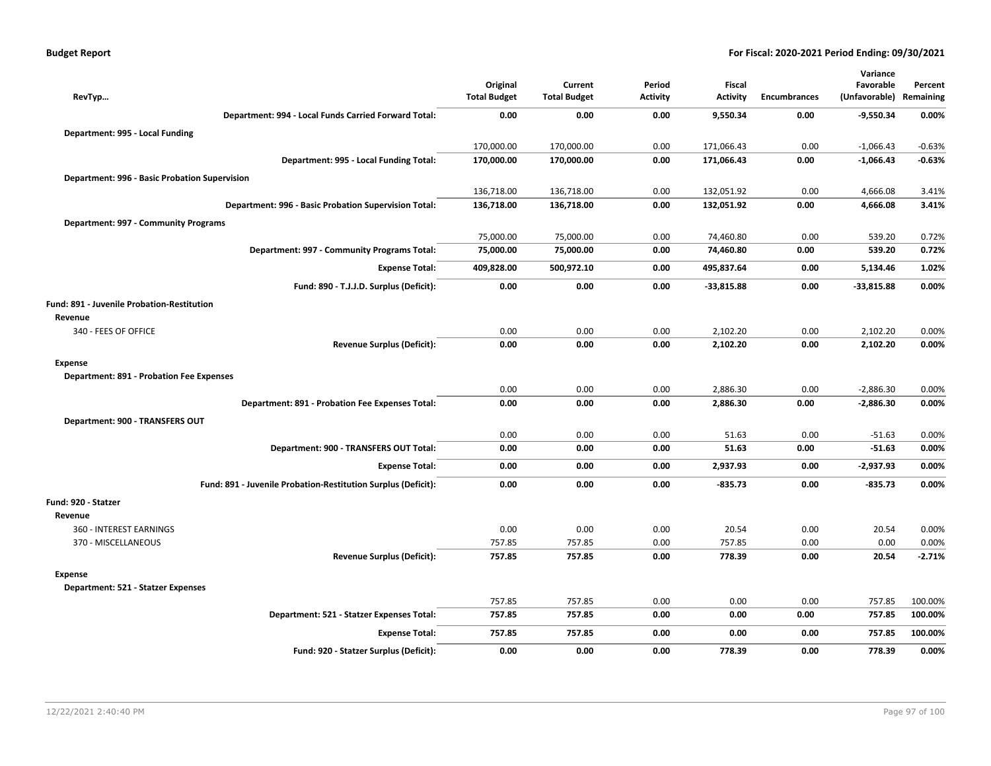| <b>Budget Report</b> |  |
|----------------------|--|
|----------------------|--|

|                                                 |                                                               |                                 |                                |                           |                                  |                     | Variance                   |                      |
|-------------------------------------------------|---------------------------------------------------------------|---------------------------------|--------------------------------|---------------------------|----------------------------------|---------------------|----------------------------|----------------------|
| RevTyp                                          |                                                               | Original<br><b>Total Budget</b> | Current<br><b>Total Budget</b> | Period<br><b>Activity</b> | <b>Fiscal</b><br><b>Activity</b> | <b>Encumbrances</b> | Favorable<br>(Unfavorable) | Percent<br>Remaining |
|                                                 |                                                               |                                 |                                |                           |                                  |                     |                            |                      |
|                                                 | Department: 994 - Local Funds Carried Forward Total:          | 0.00                            | 0.00                           | 0.00                      | 9,550.34                         | 0.00                | -9,550.34                  | 0.00%                |
| Department: 995 - Local Funding                 |                                                               |                                 |                                |                           |                                  |                     |                            |                      |
|                                                 |                                                               | 170,000.00                      | 170,000.00                     | 0.00                      | 171,066.43                       | 0.00                | $-1,066.43$                | $-0.63%$             |
|                                                 | Department: 995 - Local Funding Total:                        | 170,000.00                      | 170,000.00                     | 0.00                      | 171,066.43                       | 0.00                | $-1,066.43$                | $-0.63%$             |
| Department: 996 - Basic Probation Supervision   |                                                               |                                 |                                |                           |                                  |                     |                            |                      |
|                                                 |                                                               | 136,718.00                      | 136,718.00                     | 0.00                      | 132,051.92                       | 0.00                | 4,666.08                   | 3.41%                |
|                                                 | Department: 996 - Basic Probation Supervision Total:          | 136,718.00                      | 136,718.00                     | 0.00                      | 132,051.92                       | 0.00                | 4,666.08                   | 3.41%                |
| Department: 997 - Community Programs            |                                                               |                                 |                                |                           |                                  |                     |                            |                      |
|                                                 |                                                               | 75,000.00                       | 75,000.00                      | 0.00                      | 74,460.80                        | 0.00                | 539.20                     | 0.72%                |
|                                                 | Department: 997 - Community Programs Total:                   | 75,000.00                       | 75,000.00                      | 0.00                      | 74,460.80                        | 0.00                | 539.20                     | 0.72%                |
|                                                 | <b>Expense Total:</b>                                         | 409,828.00                      | 500,972.10                     | 0.00                      | 495,837.64                       | 0.00                | 5,134.46                   | 1.02%                |
|                                                 | Fund: 890 - T.J.J.D. Surplus (Deficit):                       | 0.00                            | 0.00                           | 0.00                      | $-33,815.88$                     | 0.00                | $-33,815.88$               | 0.00%                |
| Fund: 891 - Juvenile Probation-Restitution      |                                                               |                                 |                                |                           |                                  |                     |                            |                      |
| Revenue                                         |                                                               |                                 |                                |                           |                                  |                     |                            |                      |
| 340 - FEES OF OFFICE                            |                                                               | 0.00                            | 0.00                           | 0.00                      | 2,102.20                         | 0.00                | 2,102.20                   | 0.00%                |
|                                                 | <b>Revenue Surplus (Deficit):</b>                             | 0.00                            | 0.00                           | 0.00                      | 2,102.20                         | 0.00                | 2,102.20                   | 0.00%                |
| <b>Expense</b>                                  |                                                               |                                 |                                |                           |                                  |                     |                            |                      |
| <b>Department: 891 - Probation Fee Expenses</b> |                                                               |                                 |                                |                           |                                  |                     |                            |                      |
|                                                 |                                                               | 0.00                            | 0.00                           | 0.00                      | 2,886.30                         | 0.00                | $-2,886.30$                | 0.00%                |
|                                                 | Department: 891 - Probation Fee Expenses Total:               | 0.00                            | 0.00                           | 0.00                      | 2,886.30                         | 0.00                | $-2,886.30$                | 0.00%                |
| Department: 900 - TRANSFERS OUT                 |                                                               |                                 |                                |                           |                                  |                     |                            |                      |
|                                                 |                                                               | 0.00                            | 0.00                           | 0.00                      | 51.63                            | 0.00                | $-51.63$                   | 0.00%                |
|                                                 | Department: 900 - TRANSFERS OUT Total:                        | 0.00                            | 0.00                           | 0.00                      | 51.63                            | 0.00                | $-51.63$                   | 0.00%                |
|                                                 | <b>Expense Total:</b>                                         | 0.00                            | 0.00                           | 0.00                      | 2,937.93                         | 0.00                | $-2,937.93$                | 0.00%                |
|                                                 | Fund: 891 - Juvenile Probation-Restitution Surplus (Deficit): | 0.00                            | 0.00                           | 0.00                      | $-835.73$                        | 0.00                | $-835.73$                  | 0.00%                |
| Fund: 920 - Statzer                             |                                                               |                                 |                                |                           |                                  |                     |                            |                      |
| Revenue                                         |                                                               |                                 |                                |                           |                                  |                     |                            |                      |
| 360 - INTEREST EARNINGS                         |                                                               | 0.00                            | 0.00                           | 0.00                      | 20.54                            | 0.00                | 20.54                      | 0.00%                |
| 370 - MISCELLANEOUS                             |                                                               | 757.85                          | 757.85                         | 0.00                      | 757.85                           | 0.00                | 0.00                       | 0.00%                |
|                                                 | <b>Revenue Surplus (Deficit):</b>                             | 757.85                          | 757.85                         | 0.00                      | 778.39                           | 0.00                | 20.54                      | $-2.71%$             |
| <b>Expense</b>                                  |                                                               |                                 |                                |                           |                                  |                     |                            |                      |
| Department: 521 - Statzer Expenses              |                                                               |                                 |                                |                           |                                  |                     |                            |                      |
|                                                 |                                                               | 757.85                          | 757.85                         | 0.00                      | 0.00                             | 0.00                | 757.85                     | 100.00%              |
|                                                 | Department: 521 - Statzer Expenses Total:                     | 757.85                          | 757.85                         | 0.00                      | 0.00                             | 0.00                | 757.85                     | 100.00%              |
|                                                 | <b>Expense Total:</b>                                         | 757.85                          | 757.85                         | 0.00                      | 0.00                             | 0.00                | 757.85                     | 100.00%              |
|                                                 | Fund: 920 - Statzer Surplus (Deficit):                        | 0.00                            | 0.00                           | 0.00                      | 778.39                           | 0.00                | 778.39                     | 0.00%                |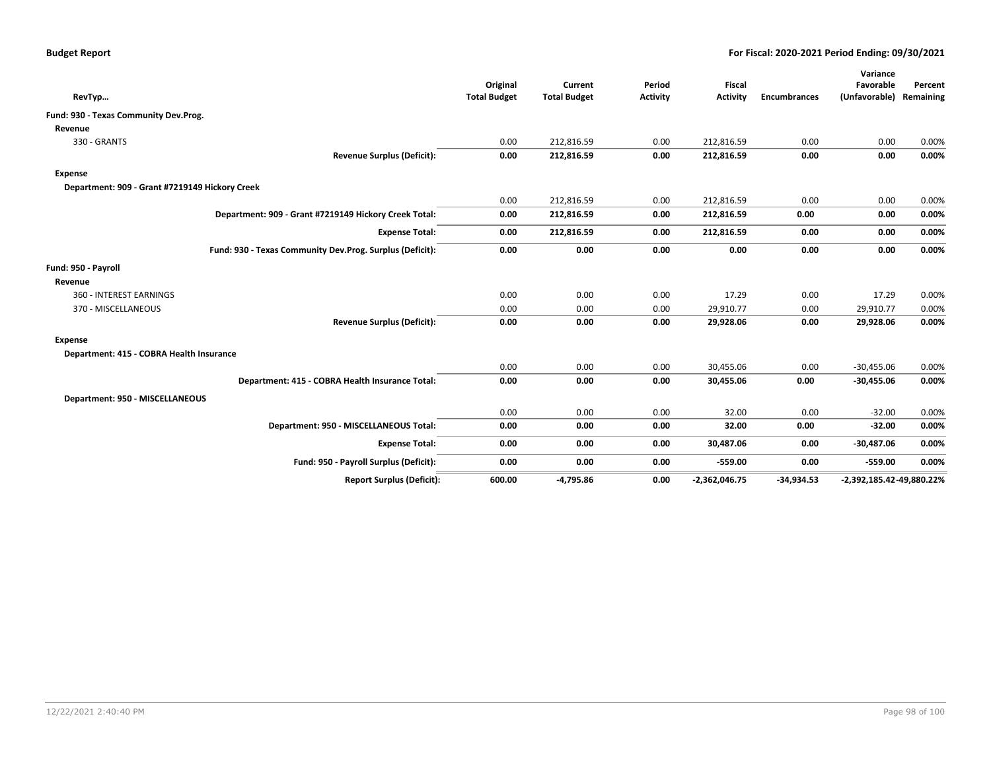| RevTyp                                                   | Original<br><b>Total Budget</b> | Current<br><b>Total Budget</b> | Period<br><b>Activity</b> | <b>Fiscal</b><br><b>Activity</b> | <b>Encumbrances</b> | Variance<br>Favorable<br>(Unfavorable) | Percent<br>Remaining |
|----------------------------------------------------------|---------------------------------|--------------------------------|---------------------------|----------------------------------|---------------------|----------------------------------------|----------------------|
| Fund: 930 - Texas Community Dev.Prog.                    |                                 |                                |                           |                                  |                     |                                        |                      |
| Revenue                                                  |                                 |                                |                           |                                  |                     |                                        |                      |
| 330 - GRANTS                                             | 0.00                            | 212,816.59                     | 0.00                      | 212,816.59                       | 0.00                | 0.00                                   | 0.00%                |
| <b>Revenue Surplus (Deficit):</b>                        | 0.00                            | 212,816.59                     | 0.00                      | 212,816.59                       | 0.00                | 0.00                                   | 0.00%                |
| <b>Expense</b>                                           |                                 |                                |                           |                                  |                     |                                        |                      |
| Department: 909 - Grant #7219149 Hickory Creek           |                                 |                                |                           |                                  |                     |                                        |                      |
|                                                          | 0.00                            | 212,816.59                     | 0.00                      | 212,816.59                       | 0.00                | 0.00                                   | 0.00%                |
| Department: 909 - Grant #7219149 Hickory Creek Total:    | 0.00                            | 212,816.59                     | 0.00                      | 212,816.59                       | 0.00                | 0.00                                   | 0.00%                |
| <b>Expense Total:</b>                                    | 0.00                            | 212,816.59                     | 0.00                      | 212,816.59                       | 0.00                | 0.00                                   | 0.00%                |
| Fund: 930 - Texas Community Dev.Prog. Surplus (Deficit): | 0.00                            | 0.00                           | 0.00                      | 0.00                             | 0.00                | 0.00                                   | 0.00%                |
| Fund: 950 - Payroll                                      |                                 |                                |                           |                                  |                     |                                        |                      |
| Revenue                                                  |                                 |                                |                           |                                  |                     |                                        |                      |
| 360 - INTEREST EARNINGS                                  | 0.00                            | 0.00                           | 0.00                      | 17.29                            | 0.00                | 17.29                                  | 0.00%                |
| 370 - MISCELLANEOUS                                      | 0.00                            | 0.00                           | 0.00                      | 29,910.77                        | 0.00                | 29,910.77                              | 0.00%                |
| <b>Revenue Surplus (Deficit):</b>                        | 0.00                            | 0.00                           | 0.00                      | 29,928.06                        | 0.00                | 29,928.06                              | $0.00\%$             |
| <b>Expense</b>                                           |                                 |                                |                           |                                  |                     |                                        |                      |
| Department: 415 - COBRA Health Insurance                 |                                 |                                |                           |                                  |                     |                                        |                      |
|                                                          | 0.00                            | 0.00                           | 0.00                      | 30,455.06                        | 0.00                | $-30,455.06$                           | 0.00%                |
| Department: 415 - COBRA Health Insurance Total:          | 0.00                            | 0.00                           | 0.00                      | 30,455.06                        | 0.00                | $-30,455.06$                           | $0.00\%$             |
| Department: 950 - MISCELLANEOUS                          |                                 |                                |                           |                                  |                     |                                        |                      |
|                                                          | 0.00                            | 0.00                           | 0.00                      | 32.00                            | 0.00                | $-32.00$                               | 0.00%                |
| Department: 950 - MISCELLANEOUS Total:                   | 0.00                            | 0.00                           | 0.00                      | 32.00                            | 0.00                | $-32.00$                               | 0.00%                |
| <b>Expense Total:</b>                                    | 0.00                            | 0.00                           | 0.00                      | 30,487.06                        | 0.00                | $-30,487.06$                           | 0.00%                |
| Fund: 950 - Payroll Surplus (Deficit):                   | 0.00                            | 0.00                           | 0.00                      | $-559.00$                        | 0.00                | $-559.00$                              | 0.00%                |
| <b>Report Surplus (Deficit):</b>                         | 600.00                          | $-4,795.86$                    | 0.00                      | $-2,362,046.75$                  | $-34,934.53$        | -2,392,185.42-49,880.22%               |                      |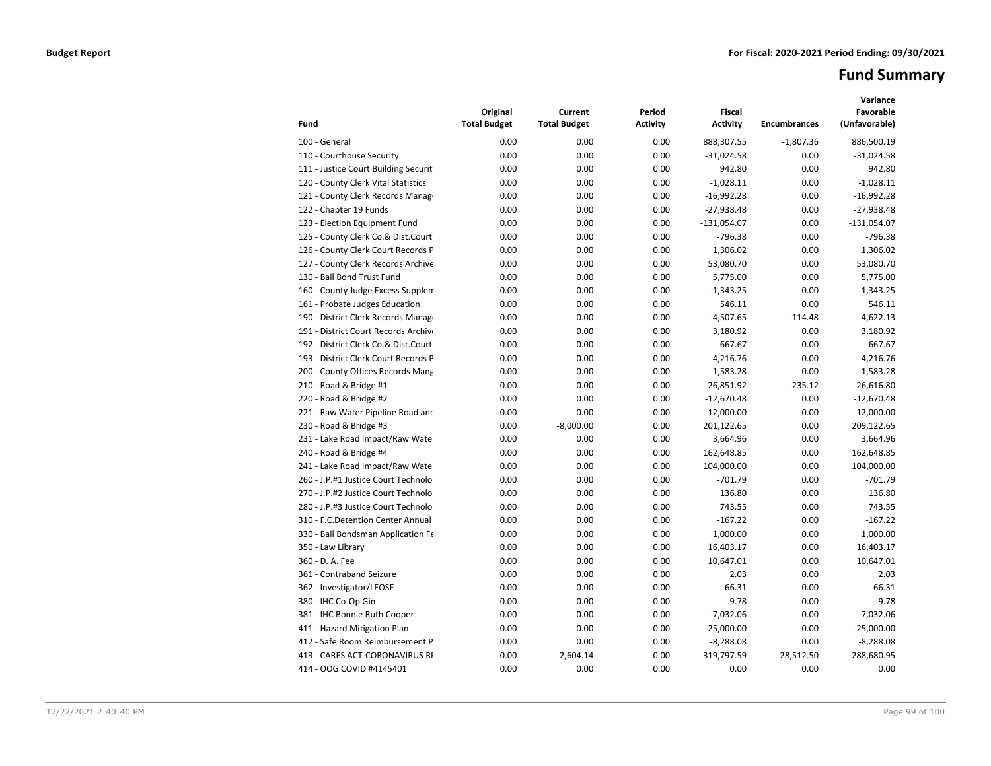# **Fund Summary**

|                                      | Original            | Current             | Period   | <b>Fiscal</b>   |                     | Variance<br>Favorable |
|--------------------------------------|---------------------|---------------------|----------|-----------------|---------------------|-----------------------|
| Fund                                 | <b>Total Budget</b> | <b>Total Budget</b> | Activity | <b>Activity</b> | <b>Encumbrances</b> | (Unfavorable)         |
| 100 - General                        | 0.00                | 0.00                | 0.00     | 888,307.55      | $-1,807.36$         | 886,500.19            |
| 110 - Courthouse Security            | 0.00                | 0.00                | 0.00     | $-31,024.58$    | 0.00                | $-31,024.58$          |
| 111 - Justice Court Building Securit | 0.00                | 0.00                | 0.00     | 942.80          | 0.00                | 942.80                |
| 120 - County Clerk Vital Statistics  | 0.00                | 0.00                | 0.00     | $-1,028.11$     | 0.00                | $-1,028.11$           |
| 121 - County Clerk Records Manag     | 0.00                | 0.00                | 0.00     | $-16,992.28$    | 0.00                | $-16,992.28$          |
| 122 - Chapter 19 Funds               | 0.00                | 0.00                | 0.00     | $-27,938.48$    | 0.00                | $-27,938.48$          |
| 123 - Election Equipment Fund        | 0.00                | 0.00                | 0.00     | $-131,054.07$   | 0.00                | $-131,054.07$         |
| 125 - County Clerk Co.& Dist.Court   | 0.00                | 0.00                | 0.00     | $-796.38$       | 0.00                | $-796.38$             |
| 126 - County Clerk Court Records P   | 0.00                | 0.00                | 0.00     | 1,306.02        | 0.00                | 1,306.02              |
| 127 - County Clerk Records Archive   | 0.00                | 0.00                | 0.00     | 53,080.70       | 0.00                | 53,080.70             |
| 130 - Bail Bond Trust Fund           | 0.00                | 0.00                | 0.00     | 5,775.00        | 0.00                | 5,775.00              |
| 160 - County Judge Excess Supplen    | 0.00                | 0.00                | 0.00     | $-1,343.25$     | 0.00                | $-1,343.25$           |
| 161 - Probate Judges Education       | 0.00                | 0.00                | 0.00     | 546.11          | 0.00                | 546.11                |
| 190 - District Clerk Records Manag   | 0.00                | 0.00                | 0.00     | $-4,507.65$     | $-114.48$           | $-4,622.13$           |
| 191 - District Court Records Archive | 0.00                | 0.00                | 0.00     | 3,180.92        | 0.00                | 3,180.92              |
| 192 - District Clerk Co.& Dist.Court | 0.00                | 0.00                | 0.00     | 667.67          | 0.00                | 667.67                |
| 193 - District Clerk Court Records P | 0.00                | 0.00                | 0.00     | 4.216.76        | 0.00                | 4.216.76              |
| 200 - County Offices Records Mang    | 0.00                | 0.00                | 0.00     | 1,583.28        | 0.00                | 1,583.28              |
| 210 - Road & Bridge #1               | 0.00                | 0.00                | 0.00     | 26,851.92       | $-235.12$           | 26,616.80             |
| 220 - Road & Bridge #2               | 0.00                | 0.00                | 0.00     | $-12,670.48$    | 0.00                | $-12,670.48$          |
| 221 - Raw Water Pipeline Road and    | 0.00                | 0.00                | 0.00     | 12,000.00       | 0.00                | 12,000.00             |
| 230 - Road & Bridge #3               | 0.00                | $-8,000.00$         | 0.00     | 201,122.65      | 0.00                | 209,122.65            |
| 231 - Lake Road Impact/Raw Wate      | 0.00                | 0.00                | 0.00     | 3,664.96        | 0.00                | 3,664.96              |
| 240 - Road & Bridge #4               | 0.00                | 0.00                | 0.00     | 162,648.85      | 0.00                | 162,648.85            |
| 241 - Lake Road Impact/Raw Wate      | 0.00                | 0.00                | 0.00     | 104,000.00      | 0.00                | 104,000.00            |
| 260 - J.P.#1 Justice Court Technolo  | 0.00                | 0.00                | 0.00     | $-701.79$       | 0.00                | $-701.79$             |
| 270 - J.P.#2 Justice Court Technolo  | 0.00                | 0.00                | 0.00     | 136.80          | 0.00                | 136.80                |
| 280 - J.P.#3 Justice Court Technolo  | 0.00                | 0.00                | 0.00     | 743.55          | 0.00                | 743.55                |
| 310 - F.C.Detention Center Annual    | 0.00                | 0.00                | 0.00     | $-167.22$       | 0.00                | $-167.22$             |
| 330 - Bail Bondsman Application Fe   | 0.00                | 0.00                | 0.00     | 1,000.00        | 0.00                | 1,000.00              |
| 350 - Law Library                    | 0.00                | 0.00                | 0.00     | 16,403.17       | 0.00                | 16,403.17             |
| 360 - D. A. Fee                      | 0.00                | 0.00                | 0.00     | 10,647.01       | 0.00                | 10,647.01             |
| 361 - Contraband Seizure             | 0.00                | 0.00                | 0.00     | 2.03            | 0.00                | 2.03                  |
| 362 - Investigator/LEOSE             | 0.00                | 0.00                | 0.00     | 66.31           | 0.00                | 66.31                 |
| 380 - IHC Co-Op Gin                  | 0.00                | 0.00                | 0.00     | 9.78            | 0.00                | 9.78                  |
| 381 - IHC Bonnie Ruth Cooper         | 0.00                | 0.00                | 0.00     | $-7,032.06$     | 0.00                | $-7,032.06$           |
| 411 - Hazard Mitigation Plan         | 0.00                | 0.00                | 0.00     | $-25,000.00$    | 0.00                | $-25,000.00$          |
| 412 - Safe Room Reimbursement P      | 0.00                | 0.00                | 0.00     | $-8,288.08$     | 0.00                | $-8,288.08$           |
| 413 - CARES ACT-CORONAVIRUS RI       | 0.00                | 2,604.14            | 0.00     | 319,797.59      | $-28,512.50$        | 288,680.95            |
| 414 - OOG COVID #4145401             | 0.00                | 0.00                | 0.00     | 0.00            | 0.00                | 0.00                  |